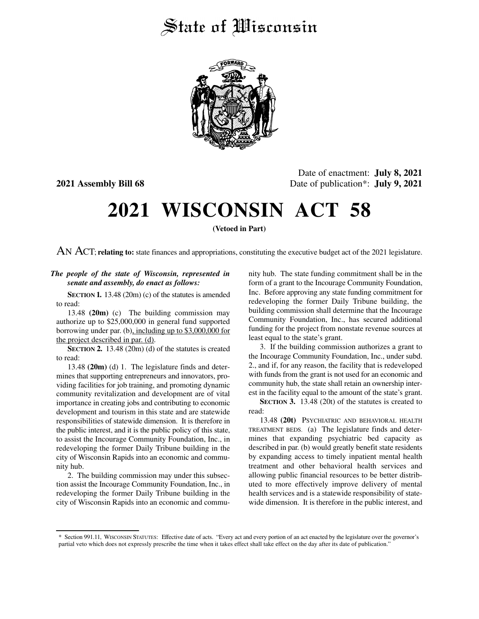## State of Wisconsin



Date of enactment: **July 8, 2021 2021 Assembly Bill 68** Date of publication<sup>\*</sup>: **July 9, 2021** 

# **2021 WISCONSIN ACT 58**

**(Vetoed in Part)**

AN ACT; **relating to:** state finances and appropriations, constituting the executive budget act of the 2021 legislature.

#### *The people of the state of Wisconsin, represented in senate and assembly, do enact as follows:*

**SECTION 1.** 13.48 (20m) (c) of the statutes is amended to read:

13.48 **(20m)** (c) The building commission may authorize up to \$25,000,000 in general fund supported borrowing under par. (b), including up to \$3,000,000 for the project described in par. (d).

**SECTION 2.** 13.48 (20m) (d) of the statutes is created to read:

13.48 **(20m)** (d) 1. The legislature finds and determines that supporting entrepreneurs and innovators, providing facilities for job training, and promoting dynamic community revitalization and development are of vital importance in creating jobs and contributing to economic development and tourism in this state and are statewide responsibilities of statewide dimension. It is therefore in the public interest, and it is the public policy of this state, to assist the Incourage Community Foundation, Inc., in redeveloping the former Daily Tribune building in the city of Wisconsin Rapids into an economic and community hub.

2. The building commission may under this subsection assist the Incourage Community Foundation, Inc., in redeveloping the former Daily Tribune building in the city of Wisconsin Rapids into an economic and community hub. The state funding commitment shall be in the form of a grant to the Incourage Community Foundation, Inc. Before approving any state funding commitment for redeveloping the former Daily Tribune building, the building commission shall determine that the Incourage Community Foundation, Inc., has secured additional funding for the project from nonstate revenue sources at least equal to the state's grant.

3. If the building commission authorizes a grant to the Incourage Community Foundation, Inc., under subd. 2., and if, for any reason, the facility that is redeveloped with funds from the grant is not used for an economic and community hub, the state shall retain an ownership interest in the facility equal to the amount of the state's grant.

**SECTION 3.** 13.48 (20t) of the statutes is created to read:

13.48 **(20t)** PSYCHIATRIC AND BEHAVIORAL HEALTH TREATMENT BEDS. (a) The legislature finds and determines that expanding psychiatric bed capacity as described in par. (b) would greatly benefit state residents by expanding access to timely inpatient mental health treatment and other behavioral health services and allowing public financial resources to be better distributed to more effectively improve delivery of mental health services and is a statewide responsibility of statewide dimension. It is therefore in the public interest, and

<sup>\*</sup> Section 991.11, WISCONSIN STATUTES: Effective date of acts. "Every act and every portion of an act enacted by the legislature over the governor's partial veto which does not expressly prescribe the time when it takes effect shall take effect on the day after its date of publication."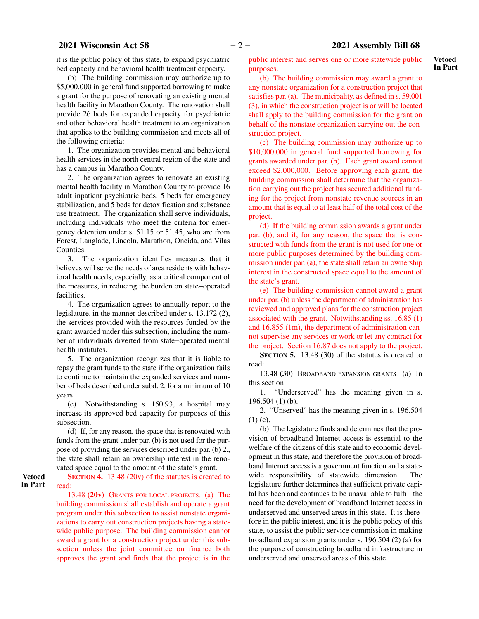it is the public policy of this state, to expand psychiatric bed capacity and behavioral health treatment capacity.

(b) The building commission may authorize up to \$5,000,000 in general fund supported borrowing to make a grant for the purpose of renovating an existing mental health facility in Marathon County. The renovation shall provide 26 beds for expanded capacity for psychiatric and other behavioral health treatment to an organization that applies to the building commission and meets all of the following criteria:

1. The organization provides mental and behavioral health services in the north central region of the state and has a campus in Marathon County.

2. The organization agrees to renovate an existing mental health facility in Marathon County to provide 16 adult inpatient psychiatric beds, 5 beds for emergency stabilization, and 5 beds for detoxification and substance use treatment. The organization shall serve individuals, including individuals who meet the criteria for emergency detention under s. 51.15 or 51.45, who are from Forest, Langlade, Lincoln, Marathon, Oneida, and Vilas Counties.

3. The organization identifies measures that it believes will serve the needs of area residents with behavioral health needs, especially, as a critical component of the measures, in reducing the burden on state−operated facilities.

4. The organization agrees to annually report to the legislature, in the manner described under s. 13.172 (2), the services provided with the resources funded by the grant awarded under this subsection, including the number of individuals diverted from state−operated mental health institutes.

5. The organization recognizes that it is liable to repay the grant funds to the state if the organization fails to continue to maintain the expanded services and number of beds described under subd. 2. for a minimum of 10 years.

(c) Notwithstanding s. 150.93, a hospital may increase its approved bed capacity for purposes of this subsection.

(d) If, for any reason, the space that is renovated with funds from the grant under par. (b) is not used for the purpose of providing the services described under par. (b) 2., the state shall retain an ownership interest in the renovated space equal to the amount of the state's grant.

**SECTION 4.** 13.48 (20v) of the statutes is created to read:

**Vetoed In Part**

> 13.48 **(20v)** GRANTS FOR LOCAL PROJECTS. (a) The building commission shall establish and operate a grant program under this subsection to assist nonstate organizations to carry out construction projects having a statewide public purpose. The building commission cannot award a grant for a construction project under this subsection unless the joint committee on finance both approves the grant and finds that the project is in the

public interest and serves one or more statewide public purposes.

(b) The building commission may award a grant to any nonstate organization for a construction project that satisfies par. (a). The municipality, as defined in s. 59.001 (3), in which the construction project is or will be located shall apply to the building commission for the grant on behalf of the nonstate organization carrying out the construction project.

(c) The building commission may authorize up to \$10,000,000 in general fund supported borrowing for grants awarded under par. (b). Each grant award cannot exceed \$2,000,000. Before approving each grant, the building commission shall determine that the organization carrying out the project has secured additional funding for the project from nonstate revenue sources in an amount that is equal to at least half of the total cost of the project.

(d) If the building commission awards a grant under par. (b), and if, for any reason, the space that is constructed with funds from the grant is not used for one or more public purposes determined by the building commission under par. (a), the state shall retain an ownership interest in the constructed space equal to the amount of the state's grant.

(e) The building commission cannot award a grant under par. (b) unless the department of administration has reviewed and approved plans for the construction project associated with the grant. Notwithstanding ss. 16.85 (1) and 16.855 (1m), the department of administration cannot supervise any services or work or let any contract for the project. Section 16.87 does not apply to the project.

**SECTION 5.** 13.48 (30) of the statutes is created to read:

13.48 **(30)** BROADBAND EXPANSION GRANTS. (a) In this section:

1. "Underserved" has the meaning given in s. 196.504 (1) (b).

2. "Unserved" has the meaning given in s. 196.504 (1) (c).

(b) The legislature finds and determines that the provision of broadband Internet access is essential to the welfare of the citizens of this state and to economic development in this state, and therefore the provision of broadband Internet access is a government function and a statewide responsibility of statewide dimension. The legislature further determines that sufficient private capital has been and continues to be unavailable to fulfill the need for the development of broadband Internet access in underserved and unserved areas in this state. It is therefore in the public interest, and it is the public policy of this state, to assist the public service commission in making broadband expansion grants under s. 196.504 (2) (a) for the purpose of constructing broadband infrastructure in underserved and unserved areas of this state.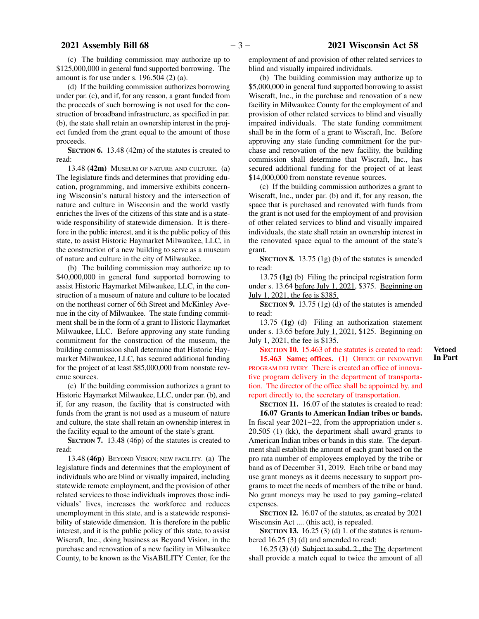(c) The building commission may authorize up to \$125,000,000 in general fund supported borrowing. The amount is for use under s. 196.504 (2) (a).

(d) If the building commission authorizes borrowing under par. (c), and if, for any reason, a grant funded from the proceeds of such borrowing is not used for the construction of broadband infrastructure, as specified in par. (b), the state shall retain an ownership interest in the project funded from the grant equal to the amount of those proceeds.

**SECTION 6.** 13.48 (42m) of the statutes is created to read:

13.48 **(42m)** MUSEUM OF NATURE AND CULTURE. (a) The legislature finds and determines that providing education, programming, and immersive exhibits concerning Wisconsin's natural history and the intersection of nature and culture in Wisconsin and the world vastly enriches the lives of the citizens of this state and is a statewide responsibility of statewide dimension. It is therefore in the public interest, and it is the public policy of this state, to assist Historic Haymarket Milwaukee, LLC, in the construction of a new building to serve as a museum of nature and culture in the city of Milwaukee.

(b) The building commission may authorize up to \$40,000,000 in general fund supported borrowing to assist Historic Haymarket Milwaukee, LLC, in the construction of a museum of nature and culture to be located on the northeast corner of 6th Street and McKinley Avenue in the city of Milwaukee. The state funding commitment shall be in the form of a grant to Historic Haymarket Milwaukee, LLC. Before approving any state funding commitment for the construction of the museum, the building commission shall determine that Historic Haymarket Milwaukee, LLC, has secured additional funding for the project of at least \$85,000,000 from nonstate revenue sources.

(c) If the building commission authorizes a grant to Historic Haymarket Milwaukee, LLC, under par. (b), and if, for any reason, the facility that is constructed with funds from the grant is not used as a museum of nature and culture, the state shall retain an ownership interest in the facility equal to the amount of the state's grant.

**SECTION 7.** 13.48 (46p) of the statutes is created to read:

13.48 **(46p)** BEYOND VISION; NEW FACILITY. (a) The legislature finds and determines that the employment of individuals who are blind or visually impaired, including statewide remote employment, and the provision of other related services to those individuals improves those individuals' lives, increases the workforce and reduces unemployment in this state, and is a statewide responsibility of statewide dimension. It is therefore in the public interest, and it is the public policy of this state, to assist Wiscraft, Inc., doing business as Beyond Vision, in the purchase and renovation of a new facility in Milwaukee County, to be known as the VisABILITY Center, for the employment of and provision of other related services to blind and visually impaired individuals.

(b) The building commission may authorize up to \$5,000,000 in general fund supported borrowing to assist Wiscraft, Inc., in the purchase and renovation of a new facility in Milwaukee County for the employment of and provision of other related services to blind and visually impaired individuals. The state funding commitment shall be in the form of a grant to Wiscraft, Inc. Before approving any state funding commitment for the purchase and renovation of the new facility, the building commission shall determine that Wiscraft, Inc., has secured additional funding for the project of at least \$14,000,000 from nonstate revenue sources.

(c) If the building commission authorizes a grant to Wiscraft, Inc., under par. (b) and if, for any reason, the space that is purchased and renovated with funds from the grant is not used for the employment of and provision of other related services to blind and visually impaired individuals, the state shall retain an ownership interest in the renovated space equal to the amount of the state's grant.

**SECTION 8.** 13.75 (1g) (b) of the statutes is amended to read:

13.75 **(1g)** (b) Filing the principal registration form under s. 13.64 before July 1, 2021, \$375. Beginning on July 1, 2021, the fee is \$385.

**SECTION 9.** 13.75 (1g) (d) of the statutes is amended to read:

13.75 **(1g)** (d) Filing an authorization statement under s. 13.65 before July 1, 2021, \$125. Beginning on July 1, 2021, the fee is \$135.

**SECTION 10.** 15.463 of the statutes is created to read: **15.463 Same; offices. (1)** OFFICE OF INNOVATIVE PROGRAM DELIVERY. There is created an office of innovative program delivery in the department of transportation. The director of the office shall be appointed by, and report directly to, the secretary of transportation.

**SECTION 11.** 16.07 of the statutes is created to read: **16.07 Grants to American Indian tribes or bands.** In fiscal year 2021−22, from the appropriation under s. 20.505 (1) (kk), the department shall award grants to American Indian tribes or bands in this state. The department shall establish the amount of each grant based on the pro rata number of employees employed by the tribe or band as of December 31, 2019. Each tribe or band may use grant moneys as it deems necessary to support programs to meet the needs of members of the tribe or band. No grant moneys may be used to pay gaming−related expenses.

**SECTION 12.** 16.07 of the statutes, as created by 2021 Wisconsin Act .... (this act), is repealed.

**SECTION 13.** 16.25 (3) (d) 1. of the statutes is renumbered 16.25 (3) (d) and amended to read:

16.25 **(3)** (d) Subject to subd. 2., the The department shall provide a match equal to twice the amount of all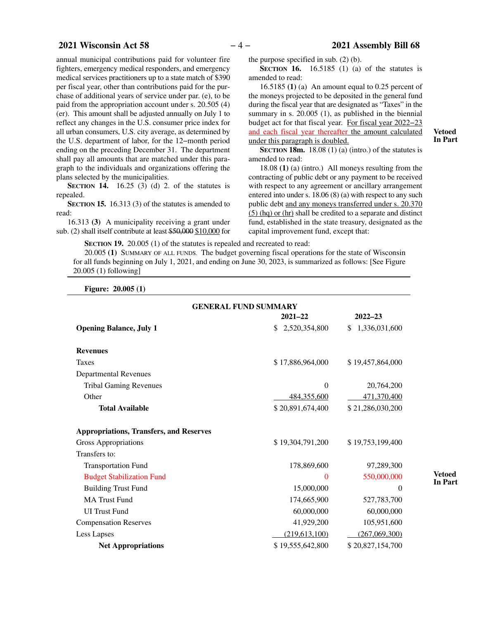#### **2021 Wisconsin Act 58** − 4 − 2021 Assembly Bill 68

annual municipal contributions paid for volunteer fire fighters, emergency medical responders, and emergency medical services practitioners up to a state match of \$390 per fiscal year, other than contributions paid for the purchase of additional years of service under par. (e), to be paid from the appropriation account under s. 20.505 (4) (er). This amount shall be adjusted annually on July 1 to reflect any changes in the U.S. consumer price index for all urban consumers, U.S. city average, as determined by the U.S. department of labor, for the 12−month period ending on the preceding December 31. The department shall pay all amounts that are matched under this paragraph to the individuals and organizations offering the plans selected by the municipalities.

**SECTION 14.** 16.25 (3) (d) 2. of the statutes is repealed.

**SECTION 15.** 16.313 (3) of the statutes is amended to read:

16.313 **(3)** A municipality receiving a grant under sub. (2) shall itself contribute at least \$50,000 \$10,000 for the purpose specified in sub. (2) (b).

**SECTION 16.** 16.5185 (1) (a) of the statutes is amended to read:

16.5185 **(1)** (a) An amount equal to 0.25 percent of the moneys projected to be deposited in the general fund during the fiscal year that are designated as "Taxes" in the summary in s. 20.005 (1), as published in the biennial budget act for that fiscal year. For fiscal year 2022−23 and each fiscal year thereafter the amount calculated under this paragraph is doubled.

**SECTION 18m.** 18.08 (1) (a) (intro.) of the statutes is amended to read:

18.08 **(1)** (a) (intro.) All moneys resulting from the contracting of public debt or any payment to be received with respect to any agreement or ancillary arrangement entered into under s. 18.06 (8) (a) with respect to any such public debt and any moneys transferred under s. 20.370 (5) (hq) or (hr) shall be credited to a separate and distinct fund, established in the state treasury, designated as the capital improvement fund, except that:

**SECTION 19.** 20.005 (1) of the statutes is repealed and recreated to read:

20.005 **(1)** SUMMARY OF ALL FUNDS. The budget governing fiscal operations for the state of Wisconsin for all funds beginning on July 1, 2021, and ending on June 30, 2023, is summarized as follows: [See Figure 20.005 (1) following]

**Figure: 20.005 (1)**

| <b>GENERAL FUND SUMMARY</b>                    |                      |                     |  |  |  |
|------------------------------------------------|----------------------|---------------------|--|--|--|
|                                                | $2022 - 23$          |                     |  |  |  |
| <b>Opening Balance, July 1</b>                 | 2,520,354,800<br>\$. | 1,336,031,600<br>\$ |  |  |  |
| <b>Revenues</b>                                |                      |                     |  |  |  |
| <b>Taxes</b>                                   | \$17,886,964,000     | \$19,457,864,000    |  |  |  |
| <b>Departmental Revenues</b>                   |                      |                     |  |  |  |
| <b>Tribal Gaming Revenues</b>                  | $\Omega$             | 20,764,200          |  |  |  |
| Other                                          | 484,355,600          | 471,370,400         |  |  |  |
| <b>Total Available</b>                         | \$20,891,674,400     | \$21,286,030,200    |  |  |  |
|                                                |                      |                     |  |  |  |
| <b>Appropriations, Transfers, and Reserves</b> |                      |                     |  |  |  |
| Gross Appropriations                           | \$19,304,791,200     | \$19,753,199,400    |  |  |  |
| Transfers to:                                  |                      |                     |  |  |  |
| <b>Transportation Fund</b>                     | 178,869,600          | 97,289,300          |  |  |  |
| <b>Budget Stabilization Fund</b>               | $\Omega$             | 550,000,000         |  |  |  |
| <b>Building Trust Fund</b>                     | 15,000,000           | $\Omega$            |  |  |  |
| <b>MA Trust Fund</b>                           | 174,665,900          | 527,783,700         |  |  |  |
| <b>UI</b> Trust Fund                           | 60,000,000           | 60,000,000          |  |  |  |
| <b>Compensation Reserves</b>                   | 41,929,200           | 105,951,600         |  |  |  |
| Less Lapses                                    | (219, 613, 100)      | (267,069,300)       |  |  |  |
| <b>Net Appropriations</b>                      | \$19,555,642,800     | \$20,827,154,700    |  |  |  |

**Vetoed In Part**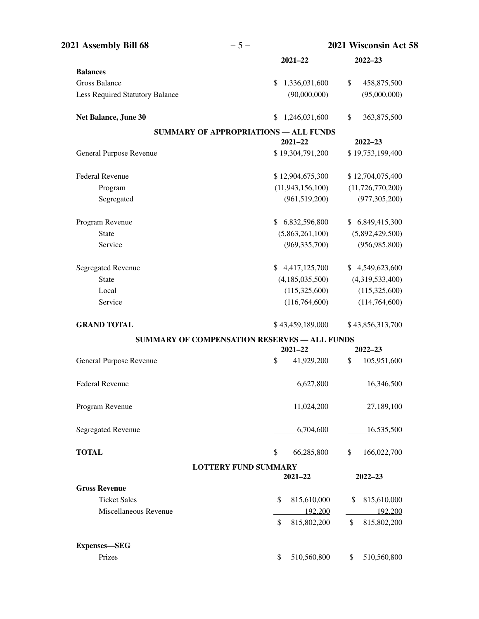| 2021 Assembly Bill 68           | $-5-$                                        | 2021 Wisconsin Act 58 |                     |  |
|---------------------------------|----------------------------------------------|-----------------------|---------------------|--|
|                                 |                                              | $2021 - 22$           | 2022-23             |  |
| <b>Balances</b>                 |                                              |                       |                     |  |
| <b>Gross Balance</b>            | S.                                           | 1,336,031,600         | \$<br>458,875,500   |  |
| Less Required Statutory Balance |                                              | (90,000,000)          | (95,000,000)        |  |
| Net Balance, June 30            | \$                                           | 1,246,031,600         | \$<br>363,875,500   |  |
|                                 | <b>SUMMARY OF APPROPRIATIONS - ALL FUNDS</b> |                       |                     |  |
|                                 |                                              | $2021 - 22$           | $2022 - 23$         |  |
| General Purpose Revenue         |                                              | \$19,304,791,200      | \$19,753,199,400    |  |
| <b>Federal Revenue</b>          |                                              | \$12,904,675,300      | \$12,704,075,400    |  |
| Program                         |                                              | (11, 943, 156, 100)   | (11, 726, 770, 200) |  |
| Segregated                      |                                              | (961, 519, 200)       | (977, 305, 200)     |  |
| Program Revenue                 |                                              | \$6,832,596,800       | \$6,849,415,300     |  |
| <b>State</b>                    |                                              | (5,863,261,100)       | (5,892,429,500)     |  |
| Service                         |                                              | (969, 335, 700)       | (956, 985, 800)     |  |
| <b>Segregated Revenue</b>       | S.                                           | 4,417,125,700         | \$4,549,623,600     |  |
| <b>State</b>                    |                                              | (4, 185, 035, 500)    | (4,319,533,400)     |  |
| Local                           |                                              | (115,325,600)         | (115,325,600)       |  |
| Service                         |                                              | (116, 764, 600)       | (114, 764, 600)     |  |
| <b>GRAND TOTAL</b>              |                                              | \$43,459,189,000      | \$43,856,313,700    |  |
|                                 | SUMMARY OF COMPENSATION RESERVES - ALL FUNDS |                       |                     |  |
|                                 |                                              | $2021 - 22$           | $2022 - 23$         |  |
| General Purpose Revenue         | \$                                           | 41,929,200            | \$<br>105,951,600   |  |
| <b>Federal Revenue</b>          |                                              | 6,627,800             | 16,346,500          |  |
| Program Revenue                 |                                              | 11,024,200            | 27,189,100          |  |
| <b>Segregated Revenue</b>       |                                              | 6,704,600             | 16,535,500          |  |
| <b>TOTAL</b>                    | \$                                           | 66,285,800            | \$<br>166,022,700   |  |
|                                 | <b>LOTTERY FUND SUMMARY</b>                  | $2021 - 22$           | $2022 - 23$         |  |
| <b>Gross Revenue</b>            |                                              |                       |                     |  |
| <b>Ticket Sales</b>             | \$                                           | 815,610,000           | 815,610,000<br>\$   |  |
| Miscellaneous Revenue           |                                              | 192,200               | 192,200             |  |
|                                 | \$                                           | 815,802,200           | \$<br>815,802,200   |  |
| <b>Expenses-SEG</b>             |                                              |                       |                     |  |
| Prizes                          | \$                                           | 510,560,800           | 510,560,800<br>\$   |  |
|                                 |                                              |                       |                     |  |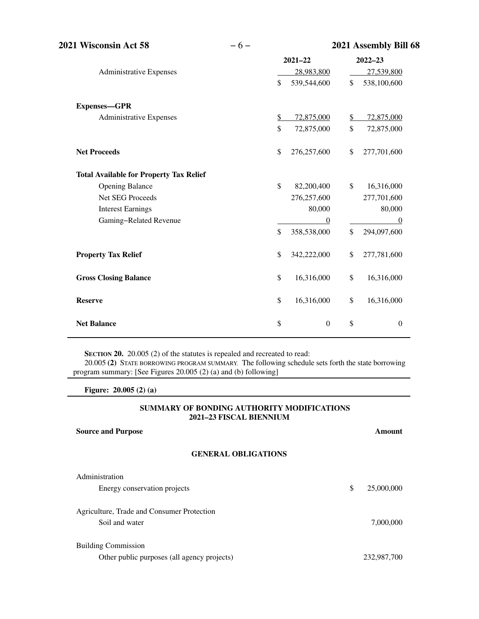| 2021 Wisconsin Act 58                          | $-6-$ | 2021 Assembly Bill 68 |                  |               |                  |
|------------------------------------------------|-------|-----------------------|------------------|---------------|------------------|
|                                                |       |                       | $2021 - 22$      |               | $2022 - 23$      |
| <b>Administrative Expenses</b>                 |       |                       | 28,983,800       |               | 27,539,800       |
|                                                |       | \$                    | 539,544,600      | $\mathcal{S}$ | 538,100,600      |
| Expenses-GPR                                   |       |                       |                  |               |                  |
| Administrative Expenses                        |       | \$                    | 72,875,000       | $\mathbb{Z}$  | 72,875,000       |
|                                                |       | \$                    | 72,875,000       | \$            | 72,875,000       |
| <b>Net Proceeds</b>                            |       | \$                    | 276,257,600      | \$            | 277,701,600      |
| <b>Total Available for Property Tax Relief</b> |       |                       |                  |               |                  |
| <b>Opening Balance</b>                         |       | $\mathcal{S}$         | 82,200,400       | $\mathcal{S}$ | 16,316,000       |
| <b>Net SEG Proceeds</b>                        |       |                       | 276,257,600      |               | 277,701,600      |
| <b>Interest Earnings</b>                       |       |                       | 80,000           |               | 80,000           |
| Gaming-Related Revenue                         |       |                       | $\boldsymbol{0}$ |               | $\boldsymbol{0}$ |
|                                                |       | \$                    | 358,538,000      | $\mathbb{S}$  | 294,097,600      |
| <b>Property Tax Relief</b>                     |       | \$                    | 342,222,000      | \$            | 277,781,600      |
| <b>Gross Closing Balance</b>                   |       | \$                    | 16,316,000       | \$            | 16,316,000       |
| <b>Reserve</b>                                 |       | \$                    | 16,316,000       | \$            | 16,316,000       |
| <b>Net Balance</b>                             |       | \$                    | $\boldsymbol{0}$ | \$            | $\boldsymbol{0}$ |

**SECTION 20.** 20.005 (2) of the statutes is repealed and recreated to read: 20.005 **(2)** STATE BORROWING PROGRAM SUMMARY. The following schedule sets forth the state borrowing program summary: [See Figures 20.005 (2) (a) and (b) following]

**Figure: 20.005 (2) (a)**

#### **SUMMARY OF BONDING AUTHORITY MODIFICATIONS 2021–23 FISCAL BIENNIUM**

| <b>Source and Purpose</b>                   | Amount           |
|---------------------------------------------|------------------|
| <b>GENERAL OBLIGATIONS</b>                  |                  |
| Administration                              |                  |
| Energy conservation projects                | \$<br>25,000,000 |
| Agriculture, Trade and Consumer Protection  |                  |
| Soil and water                              | 7,000,000        |
| <b>Building Commission</b>                  |                  |
| Other public purposes (all agency projects) | 232,987,700      |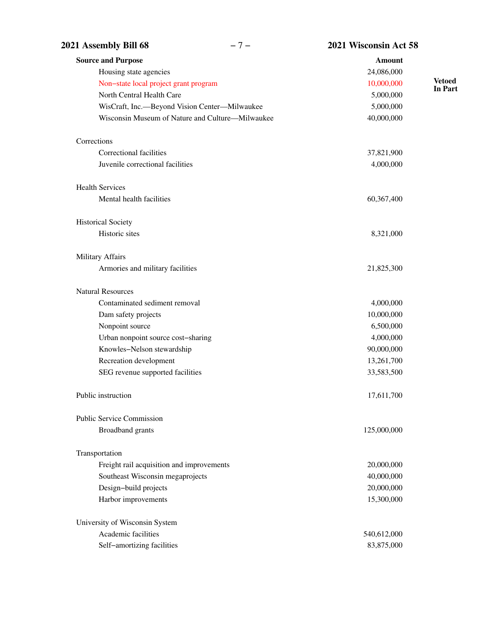| 2021 Assembly Bill 68                            | $-7-$ | 2021 Wisconsin Act 58 |                          |
|--------------------------------------------------|-------|-----------------------|--------------------------|
| <b>Source and Purpose</b>                        |       | <b>Amount</b>         |                          |
| Housing state agencies                           |       | 24,086,000            |                          |
| Non-state local project grant program            |       | 10,000,000            | <b>Vetoed</b><br>In Part |
| North Central Health Care                        |       | 5,000,000             |                          |
| WisCraft, Inc.-Beyond Vision Center-Milwaukee    |       | 5,000,000             |                          |
| Wisconsin Museum of Nature and Culture—Milwaukee |       | 40,000,000            |                          |
| Corrections                                      |       |                       |                          |
| Correctional facilities                          |       | 37,821,900            |                          |
| Juvenile correctional facilities                 |       | 4,000,000             |                          |
| <b>Health Services</b>                           |       |                       |                          |
| Mental health facilities                         |       | 60,367,400            |                          |
| <b>Historical Society</b>                        |       |                       |                          |
| Historic sites                                   |       | 8,321,000             |                          |
| Military Affairs                                 |       |                       |                          |
| Armories and military facilities                 |       | 21,825,300            |                          |
| <b>Natural Resources</b>                         |       |                       |                          |
| Contaminated sediment removal                    |       | 4,000,000             |                          |
| Dam safety projects                              |       | 10,000,000            |                          |
| Nonpoint source                                  |       | 6,500,000             |                          |
| Urban nonpoint source cost-sharing               |       | 4,000,000             |                          |
| Knowles-Nelson stewardship                       |       | 90,000,000            |                          |
| Recreation development                           |       | 13,261,700            |                          |
| SEG revenue supported facilities                 |       | 33,583,500            |                          |
| Public instruction                               |       | 17,611,700            |                          |
| <b>Public Service Commission</b>                 |       |                       |                          |
| <b>Broadband</b> grants                          |       | 125,000,000           |                          |
| Transportation                                   |       |                       |                          |
| Freight rail acquisition and improvements        |       | 20,000,000            |                          |
| Southeast Wisconsin megaprojects                 |       | 40,000,000            |                          |
| Design-build projects                            |       | 20,000,000            |                          |
| Harbor improvements                              |       | 15,300,000            |                          |
| University of Wisconsin System                   |       |                       |                          |
| Academic facilities                              |       | 540,612,000           |                          |
| Self-amortizing facilities                       |       | 83,875,000            |                          |
|                                                  |       |                       |                          |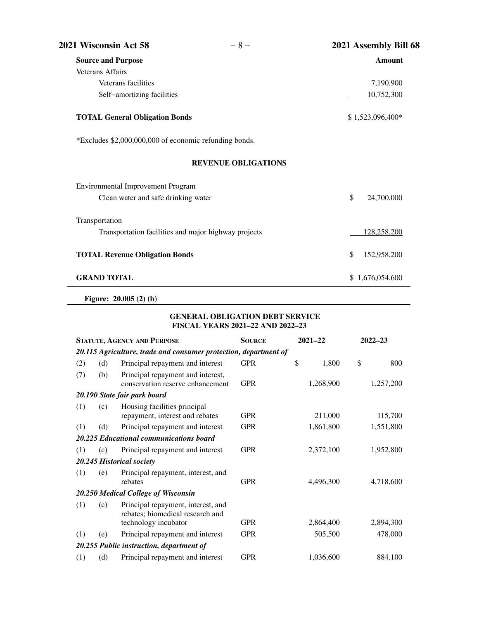| 2021 Wisconsin Act 58                                  | $-8-$                      | 2021 Assembly Bill 68 |
|--------------------------------------------------------|----------------------------|-----------------------|
| <b>Source and Purpose</b>                              |                            | <b>Amount</b>         |
| <b>Veterans Affairs</b>                                |                            |                       |
| Veterans facilities                                    |                            | 7,190,900             |
| Self-amortizing facilities                             |                            | 10,752,300            |
| <b>TOTAL General Obligation Bonds</b>                  |                            | \$1,523,096,400*      |
| *Excludes \$2,000,000,000 of economic refunding bonds. |                            |                       |
|                                                        | <b>REVENUE OBLIGATIONS</b> |                       |
| <b>Environmental Improvement Program</b>               |                            |                       |
| Clean water and safe drinking water                    |                            | \$<br>24,700,000      |
| Transportation                                         |                            |                       |
| Transportation facilities and major highway projects   |                            | 128,258,200           |
| <b>TOTAL Revenue Obligation Bonds</b>                  |                            | \$<br>152,958,200     |
| <b>GRAND TOTAL</b>                                     |                            | \$1,676,054,600       |

**Figure: 20.005 (2) (b)**

### **GENERAL OBLIGATION DEBT SERVICE FISCAL YEARS 2021–22 AND 2022–23**

| <b>STATUTE, AGENCY AND PURPOSE</b> |     |                                                                                                | <b>SOURCE</b> | $2021 - 22$ |           | $2022 - 23$ |           |
|------------------------------------|-----|------------------------------------------------------------------------------------------------|---------------|-------------|-----------|-------------|-----------|
|                                    |     | 20.115 Agriculture, trade and consumer protection, department of                               |               |             |           |             |           |
| (2)                                | (d) | Principal repayment and interest                                                               | <b>GPR</b>    | \$          | 1,800     | \$          | 800       |
| (7)                                | (b) | Principal repayment and interest,<br>conservation reserve enhancement                          | <b>GPR</b>    |             | 1,268,900 |             | 1,257,200 |
|                                    |     | 20.190 State fair park board                                                                   |               |             |           |             |           |
| (1)                                | (c) | Housing facilities principal<br>repayment, interest and rebates                                | <b>GPR</b>    |             | 211,000   |             | 115,700   |
| (1)                                | (d) | Principal repayment and interest                                                               | <b>GPR</b>    |             | 1,861,800 |             | 1,551,800 |
|                                    |     | 20.225 Educational communications board                                                        |               |             |           |             |           |
| (1)                                | (c) | Principal repayment and interest                                                               | <b>GPR</b>    |             | 2,372,100 |             | 1,952,800 |
|                                    |     | 20.245 Historical society                                                                      |               |             |           |             |           |
| (1)                                | (e) | Principal repayment, interest, and<br>rebates                                                  | <b>GPR</b>    |             | 4,496,300 |             | 4,718,600 |
|                                    |     | 20.250 Medical College of Wisconsin                                                            |               |             |           |             |           |
| (1)                                | (c) | Principal repayment, interest, and<br>rebates; biomedical research and<br>technology incubator | <b>GPR</b>    |             | 2,864,400 |             | 2,894,300 |
| (1)                                | (e) | Principal repayment and interest                                                               | <b>GPR</b>    |             | 505,500   |             | 478,000   |
|                                    |     | 20.255 Public instruction, department of                                                       |               |             |           |             |           |
| (1)                                | (d) | Principal repayment and interest                                                               | <b>GPR</b>    |             | 1,036,600 |             | 884,100   |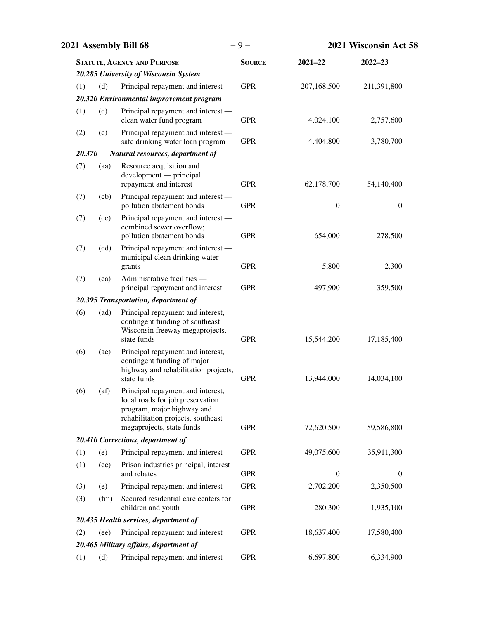| 2021 Assembly Bill 68 |      |                                                                                                                                                                        | $-9-$         | 2021 Wisconsin Act 58 |              |  |
|-----------------------|------|------------------------------------------------------------------------------------------------------------------------------------------------------------------------|---------------|-----------------------|--------------|--|
|                       |      | <b>STATUTE, AGENCY AND PURPOSE</b>                                                                                                                                     | <b>SOURCE</b> | $2021 - 22$           | $2022 - 23$  |  |
|                       |      | 20.285 University of Wisconsin System                                                                                                                                  |               |                       |              |  |
| (1)                   | (d)  | Principal repayment and interest                                                                                                                                       | <b>GPR</b>    | 207,168,500           | 211,391,800  |  |
|                       |      | 20.320 Environmental improvement program                                                                                                                               |               |                       |              |  |
| (1)                   | (c)  | Principal repayment and interest —<br>clean water fund program                                                                                                         | <b>GPR</b>    | 4,024,100             | 2,757,600    |  |
| (2)                   | (c)  | Principal repayment and interest —<br>safe drinking water loan program                                                                                                 | <b>GPR</b>    | 4,404,800             | 3,780,700    |  |
| 20.370                |      | Natural resources, department of                                                                                                                                       |               |                       |              |  |
| (7)                   | (aa) | Resource acquisition and<br>development — principal<br>repayment and interest                                                                                          | <b>GPR</b>    | 62,178,700            | 54,140,400   |  |
| (7)                   | (cb) | Principal repayment and interest —<br>pollution abatement bonds                                                                                                        | <b>GPR</b>    | $\boldsymbol{0}$      | $\mathbf{0}$ |  |
| (7)                   | (cc) | Principal repayment and interest —<br>combined sewer overflow;<br>pollution abatement bonds                                                                            | <b>GPR</b>    | 654,000               | 278,500      |  |
| (7)                   | (cd) | Principal repayment and interest —<br>municipal clean drinking water<br>grants                                                                                         | <b>GPR</b>    | 5,800                 | 2,300        |  |
| (7)                   | (ea) | Administrative facilities -<br>principal repayment and interest                                                                                                        | <b>GPR</b>    | 497,900               | 359,500      |  |
|                       |      | 20.395 Transportation, department of                                                                                                                                   |               |                       |              |  |
| (6)                   | (ad) | Principal repayment and interest,<br>contingent funding of southeast<br>Wisconsin freeway megaprojects,<br>state funds                                                 | <b>GPR</b>    | 15,544,200            | 17,185,400   |  |
| (6)                   | (ae) | Principal repayment and interest,<br>contingent funding of major<br>highway and rehabilitation projects,<br>state funds                                                | <b>GPR</b>    | 13,944,000            | 14,034,100   |  |
| (6)                   | (af) | Principal repayment and interest,<br>local roads for job preservation<br>program, major highway and<br>rehabilitation projects, southeast<br>megaprojects, state funds | <b>GPR</b>    | 72,620,500            | 59,586,800   |  |
|                       |      | 20.410 Corrections, department of                                                                                                                                      |               |                       |              |  |
| (1)                   | (e)  | Principal repayment and interest                                                                                                                                       | <b>GPR</b>    | 49,075,600            | 35,911,300   |  |
| (1)                   | (ec) | Prison industries principal, interest<br>and rebates                                                                                                                   | <b>GPR</b>    | $\mathbf{0}$          | $\mathbf{0}$ |  |
| (3)                   | (e)  | Principal repayment and interest                                                                                                                                       | <b>GPR</b>    | 2,702,200             | 2,350,500    |  |
| (3)                   | (fm) | Secured residential care centers for<br>children and youth                                                                                                             | <b>GPR</b>    | 280,300               | 1,935,100    |  |
|                       |      | 20.435 Health services, department of                                                                                                                                  |               |                       |              |  |
| (2)                   | (ee) | Principal repayment and interest                                                                                                                                       | <b>GPR</b>    | 18,637,400            | 17,580,400   |  |
|                       |      | 20.465 Military affairs, department of                                                                                                                                 |               |                       |              |  |
| (1)                   | (d)  | Principal repayment and interest                                                                                                                                       | <b>GPR</b>    | 6,697,800             | 6,334,900    |  |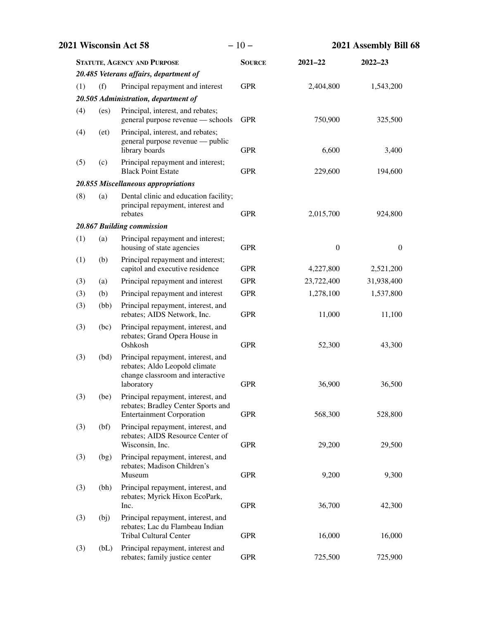|     | 2021 Wisconsin Act 58 |                                                                                                                       | $-10-$        |                  | 2021 Assembly Bill 68 |  |  |
|-----|-----------------------|-----------------------------------------------------------------------------------------------------------------------|---------------|------------------|-----------------------|--|--|
|     |                       | <b>STATUTE, AGENCY AND PURPOSE</b>                                                                                    | <b>SOURCE</b> | $2021 - 22$      | $2022 - 23$           |  |  |
|     |                       | 20.485 Veterans affairs, department of                                                                                |               |                  |                       |  |  |
| (1) | (f)                   | Principal repayment and interest                                                                                      | <b>GPR</b>    | 2,404,800        | 1,543,200             |  |  |
|     |                       | 20.505 Administration, department of                                                                                  |               |                  |                       |  |  |
| (4) | (es)                  | Principal, interest, and rebates;<br>general purpose revenue — schools                                                | <b>GPR</b>    | 750,900          | 325,500               |  |  |
| (4) | (et)                  | Principal, interest, and rebates;<br>general purpose revenue — public<br>library boards                               | <b>GPR</b>    | 6,600            | 3,400                 |  |  |
| (5) | (c)                   | Principal repayment and interest;<br><b>Black Point Estate</b>                                                        | <b>GPR</b>    | 229,600          | 194,600               |  |  |
|     |                       | 20.855 Miscellaneous appropriations                                                                                   |               |                  |                       |  |  |
| (8) | (a)                   | Dental clinic and education facility;<br>principal repayment, interest and<br>rebates                                 | <b>GPR</b>    | 2,015,700        | 924,800               |  |  |
|     |                       | 20.867 Building commission                                                                                            |               |                  |                       |  |  |
| (1) | (a)                   | Principal repayment and interest;<br>housing of state agencies                                                        | <b>GPR</b>    | $\boldsymbol{0}$ | $\boldsymbol{0}$      |  |  |
| (1) | (b)                   | Principal repayment and interest;<br>capitol and executive residence                                                  | <b>GPR</b>    | 4,227,800        | 2,521,200             |  |  |
| (3) | (a)                   | Principal repayment and interest                                                                                      | <b>GPR</b>    | 23,722,400       | 31,938,400            |  |  |
| (3) | (b)                   | Principal repayment and interest                                                                                      | <b>GPR</b>    | 1,278,100        | 1,537,800             |  |  |
| (3) | (bb)                  | Principal repayment, interest, and<br>rebates; AIDS Network, Inc.                                                     | <b>GPR</b>    | 11,000           | 11,100                |  |  |
| (3) | (bc)                  | Principal repayment, interest, and<br>rebates; Grand Opera House in<br>Oshkosh                                        | <b>GPR</b>    | 52,300           | 43,300                |  |  |
| (3) | (bd)                  | Principal repayment, interest, and<br>rebates; Aldo Leopold climate<br>change classroom and interactive<br>laboratory | <b>GPR</b>    | 36,900           | 36,500                |  |  |
| (3) | (be)                  | Principal repayment, interest, and<br>rebates; Bradley Center Sports and<br><b>Entertainment Corporation</b>          | <b>GPR</b>    | 568,300          | 528,800               |  |  |
| (3) | (bf)                  | Principal repayment, interest, and<br>rebates; AIDS Resource Center of<br>Wisconsin, Inc.                             | <b>GPR</b>    | 29,200           | 29,500                |  |  |
| (3) | (bg)                  | Principal repayment, interest, and<br>rebates; Madison Children's<br>Museum                                           | <b>GPR</b>    | 9,200            | 9,300                 |  |  |
| (3) | (bh)                  | Principal repayment, interest, and<br>rebates; Myrick Hixon EcoPark,<br>Inc.                                          | <b>GPR</b>    | 36,700           | 42,300                |  |  |
| (3) | (bj)                  | Principal repayment, interest, and<br>rebates; Lac du Flambeau Indian<br><b>Tribal Cultural Center</b>                | <b>GPR</b>    | 16,000           | 16,000                |  |  |
| (3) | (bL)                  | Principal repayment, interest and<br>rebates; family justice center                                                   | <b>GPR</b>    | 725,500          | 725,900               |  |  |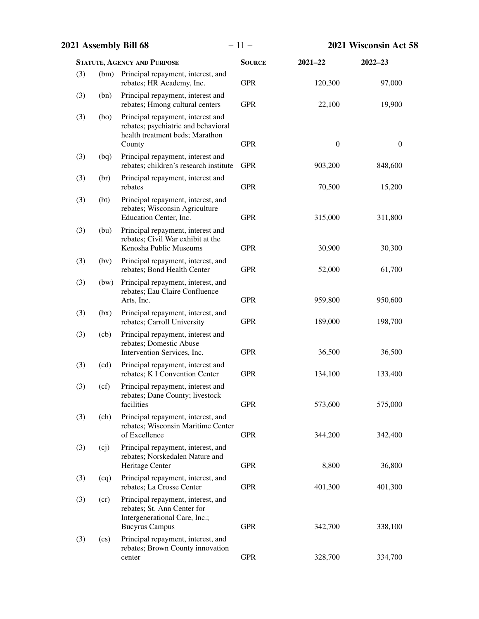|     | 2021 Assembly Bill 68 |                                                                                                                             | $-11-$        |                  | 2021 Wisconsin Act 58 |  |  |
|-----|-----------------------|-----------------------------------------------------------------------------------------------------------------------------|---------------|------------------|-----------------------|--|--|
|     |                       | <b>STATUTE, AGENCY AND PURPOSE</b>                                                                                          | <b>SOURCE</b> | $2021 - 22$      | $2022 - 23$           |  |  |
| (3) | (bm)                  | Principal repayment, interest, and<br>rebates; HR Academy, Inc.                                                             | <b>GPR</b>    | 120,300          | 97,000                |  |  |
| (3) | (bn)                  | Principal repayment, interest and<br>rebates; Hmong cultural centers                                                        | <b>GPR</b>    | 22,100           | 19,900                |  |  |
| (3) | (b)                   | Principal repayment, interest and<br>rebates; psychiatric and behavioral<br>health treatment beds; Marathon<br>County       | <b>GPR</b>    | $\boldsymbol{0}$ | $\boldsymbol{0}$      |  |  |
| (3) | (bq)                  | Principal repayment, interest and<br>rebates; children's research institute                                                 | <b>GPR</b>    | 903,200          | 848,600               |  |  |
| (3) | (br)                  | Principal repayment, interest and<br>rebates                                                                                | <b>GPR</b>    | 70,500           | 15,200                |  |  |
| (3) | (bt)                  | Principal repayment, interest, and<br>rebates; Wisconsin Agriculture<br>Education Center, Inc.                              | <b>GPR</b>    | 315,000          | 311,800               |  |  |
| (3) | (bu)                  | Principal repayment, interest and<br>rebates; Civil War exhibit at the<br>Kenosha Public Museums                            | <b>GPR</b>    | 30,900           | 30,300                |  |  |
| (3) | (bv)                  | Principal repayment, interest, and<br>rebates; Bond Health Center                                                           | <b>GPR</b>    | 52,000           | 61,700                |  |  |
| (3) | (bw)                  | Principal repayment, interest, and<br>rebates; Eau Claire Confluence<br>Arts, Inc.                                          | <b>GPR</b>    | 959,800          | 950,600               |  |  |
| (3) | (bx)                  | Principal repayment, interest, and<br>rebates; Carroll University                                                           | <b>GPR</b>    | 189,000          | 198,700               |  |  |
| (3) | (cb)                  | Principal repayment, interest and<br>rebates; Domestic Abuse<br>Intervention Services, Inc.                                 | <b>GPR</b>    | 36,500           | 36,500                |  |  |
| (3) | (cd)                  | Principal repayment, interest and<br>rebates; K I Convention Center                                                         | <b>GPR</b>    | 134,100          | 133,400               |  |  |
| (3) | (cf)                  | Principal repayment, interest and<br>rebates; Dane County; livestock<br>facilities                                          | <b>GPR</b>    | 573,600          | 575,000               |  |  |
| (3) | (ch)                  | Principal repayment, interest, and<br>rebates; Wisconsin Maritime Center<br>of Excellence                                   | <b>GPR</b>    | 344,200          | 342,400               |  |  |
| (3) | (cj)                  | Principal repayment, interest, and<br>rebates; Norskedalen Nature and<br>Heritage Center                                    | <b>GPR</b>    | 8,800            | 36,800                |  |  |
| (3) | (cq)                  | Principal repayment, interest, and<br>rebates; La Crosse Center                                                             | <b>GPR</b>    | 401,300          | 401,300               |  |  |
| (3) | (c)                   | Principal repayment, interest, and<br>rebates; St. Ann Center for<br>Intergenerational Care, Inc.;<br><b>Bucyrus Campus</b> | <b>GPR</b>    | 342,700          | 338,100               |  |  |
| (3) | $\left($ cs $\right)$ | Principal repayment, interest, and<br>rebates; Brown County innovation<br>center                                            | <b>GPR</b>    | 328,700          | 334,700               |  |  |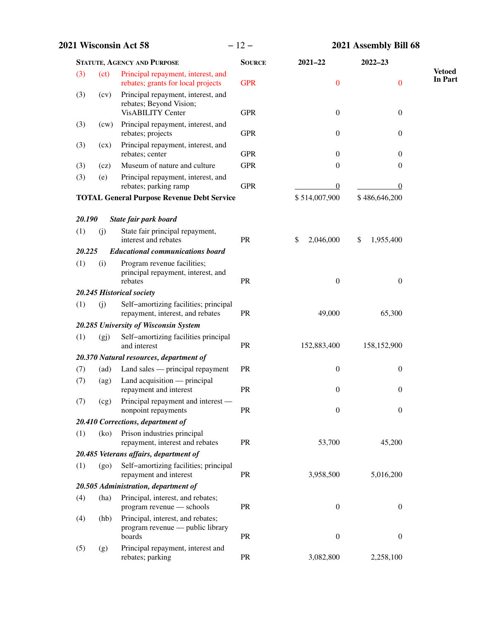| <b>2021 Wisconsin Act 58</b> |         |                                                                                           | $-12-$        |                  | 2021 Assembly Bill 68 |                                 |  |
|------------------------------|---------|-------------------------------------------------------------------------------------------|---------------|------------------|-----------------------|---------------------------------|--|
|                              |         | <b>STATUTE, AGENCY AND PURPOSE</b>                                                        | <b>SOURCE</b> | $2021 - 22$      | 2022-23               |                                 |  |
| (3)                          | (ct)    | Principal repayment, interest, and<br>rebates; grants for local projects                  | <b>GPR</b>    | $\boldsymbol{0}$ | $\overline{0}$        | <b>Vetoed</b><br><b>In Part</b> |  |
| (3)                          | (cv)    | Principal repayment, interest, and<br>rebates; Beyond Vision;<br><b>VisABILITY Center</b> | <b>GPR</b>    | $\boldsymbol{0}$ | $\boldsymbol{0}$      |                                 |  |
| (3)                          | (cw)    | Principal repayment, interest, and<br>rebates; projects                                   | <b>GPR</b>    | $\boldsymbol{0}$ | $\boldsymbol{0}$      |                                 |  |
| (3)                          | (cx)    | Principal repayment, interest, and<br>rebates; center                                     | <b>GPR</b>    | $\boldsymbol{0}$ | $\theta$              |                                 |  |
| (3)                          | (cz)    | Museum of nature and culture                                                              | <b>GPR</b>    | 0                | $\boldsymbol{0}$      |                                 |  |
| (3)                          | (e)     | Principal repayment, interest, and<br>rebates; parking ramp                               | <b>GPR</b>    | $\overline{0}$   | $\theta$              |                                 |  |
|                              |         | <b>TOTAL General Purpose Revenue Debt Service</b>                                         |               | \$514,007,900    | \$486,646,200         |                                 |  |
| 20.190                       |         | State fair park board                                                                     |               |                  |                       |                                 |  |
| (1)                          | (j)     | State fair principal repayment,<br>interest and rebates                                   | PR            | \$<br>2,046,000  | \$<br>1,955,400       |                                 |  |
| 20.225                       |         | <b>Educational communications board</b>                                                   |               |                  |                       |                                 |  |
| (1)                          | (i)     | Program revenue facilities;<br>principal repayment, interest, and<br>rebates              | PR            | $\boldsymbol{0}$ | $\boldsymbol{0}$      |                                 |  |
|                              |         | 20.245 Historical society                                                                 |               |                  |                       |                                 |  |
| (1)                          | (i)     | Self-amortizing facilities; principal<br>repayment, interest, and rebates                 | <b>PR</b>     | 49,000           | 65,300                |                                 |  |
|                              |         | 20.285 University of Wisconsin System                                                     |               |                  |                       |                                 |  |
| (1)                          | (gj)    | Self-amortizing facilities principal<br>and interest                                      | <b>PR</b>     | 152,883,400      | 158,152,900           |                                 |  |
|                              |         | 20.370 Natural resources, department of                                                   |               |                  |                       |                                 |  |
| (7)                          | (ad)    | Land sales — principal repayment                                                          | PR            | $\boldsymbol{0}$ | $\boldsymbol{0}$      |                                 |  |
| (7)                          | (ag)    | Land acquisition $-$ principal<br>repayment and interest                                  | PR            | $\overline{0}$   | $\overline{0}$        |                                 |  |
| (7)                          | (cg)    | Principal repayment and interest -<br>nonpoint repayments                                 | PR            | $\boldsymbol{0}$ | $\boldsymbol{0}$      |                                 |  |
|                              |         | 20.410 Corrections, department of                                                         |               |                  |                       |                                 |  |
| (1)                          | (ko)    | Prison industries principal<br>repayment, interest and rebates                            | PR            | 53,700           | 45,200                |                                 |  |
|                              |         | 20.485 Veterans affairs, department of                                                    |               |                  |                       |                                 |  |
| (1)                          | $(g_0)$ | Self-amortizing facilities; principal<br>repayment and interest                           | PR            | 3,958,500        | 5,016,200             |                                 |  |
|                              |         | 20.505 Administration, department of                                                      |               |                  |                       |                                 |  |
| (4)                          | (ha)    | Principal, interest, and rebates;<br>program revenue — schools                            | PR            | $\boldsymbol{0}$ | $\boldsymbol{0}$      |                                 |  |
| (4)                          | (hb)    | Principal, interest, and rebates;<br>program revenue — public library<br>boards           | PR            | $\boldsymbol{0}$ | $\boldsymbol{0}$      |                                 |  |
| (5)                          | (g)     | Principal repayment, interest and<br>rebates; parking                                     | PR            | 3,082,800        | 2,258,100             |                                 |  |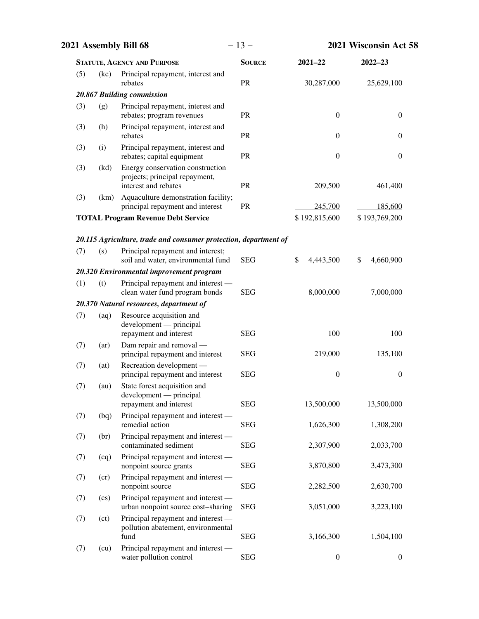| 2021 Assembly Bill 68              |                            |                                                                                            | $-13-$        |                  | 2021 Wisconsin Act 58 |  |  |
|------------------------------------|----------------------------|--------------------------------------------------------------------------------------------|---------------|------------------|-----------------------|--|--|
| <b>STATUTE, AGENCY AND PURPOSE</b> |                            |                                                                                            | <b>SOURCE</b> | $2021 - 22$      | $2022 - 23$           |  |  |
| (5)                                | (kc)                       | Principal repayment, interest and<br>rebates                                               | PR            | 30,287,000       | 25,629,100            |  |  |
|                                    |                            | 20.867 Building commission                                                                 |               |                  |                       |  |  |
| (3)                                | (g)                        | Principal repayment, interest and<br>rebates; program revenues                             | PR            | $\boldsymbol{0}$ | $\boldsymbol{0}$      |  |  |
| (3)                                | (h)                        | Principal repayment, interest and<br>rebates                                               | PR            | $\mathbf{0}$     | $\mathbf{0}$          |  |  |
| (3)                                | (i)                        | Principal repayment, interest and<br>rebates; capital equipment                            | PR            | $\boldsymbol{0}$ | $\boldsymbol{0}$      |  |  |
| (3)                                | (kd)                       | Energy conservation construction<br>projects; principal repayment,<br>interest and rebates | PR            | 209,500          | 461,400               |  |  |
| (3)                                | (km)                       | Aquaculture demonstration facility;<br>principal repayment and interest                    | PR            | 245,700          | 185,600               |  |  |
|                                    |                            | <b>TOTAL Program Revenue Debt Service</b>                                                  |               | \$192,815,600    | \$193,769,200         |  |  |
|                                    |                            | 20.115 Agriculture, trade and consumer protection, department of                           |               |                  |                       |  |  |
| (7)                                | (s)                        | Principal repayment and interest;<br>soil and water, environmental fund                    | <b>SEG</b>    | \$<br>4,443,500  | \$<br>4,660,900       |  |  |
|                                    |                            | 20.320 Environmental improvement program                                                   |               |                  |                       |  |  |
| (1)                                | (t)                        | Principal repayment and interest —<br>clean water fund program bonds                       | <b>SEG</b>    | 8,000,000        | 7,000,000             |  |  |
|                                    |                            | 20.370 Natural resources, department of                                                    |               |                  |                       |  |  |
| (7)                                | (aq)                       | Resource acquisition and<br>development — principal<br>repayment and interest              | <b>SEG</b>    | 100              | 100                   |  |  |
| (7)                                | (ar)                       | Dam repair and removal -<br>principal repayment and interest                               | <b>SEG</b>    | 219,000          | 135,100               |  |  |
| (7)                                | (at)                       | Recreation development -<br>principal repayment and interest                               | <b>SEG</b>    | $\boldsymbol{0}$ | $\boldsymbol{0}$      |  |  |
| (7)                                | (au)                       | State forest acquisition and<br>development — principal<br>repayment and interest          | <b>SEG</b>    | 13,500,000       | 13,500,000            |  |  |
| (7)                                | (bq)                       | Principal repayment and interest -<br>remedial action                                      | <b>SEG</b>    | 1,626,300        | 1,308,200             |  |  |
| (7)                                | (br)                       | Principal repayment and interest —<br>contaminated sediment                                | <b>SEG</b>    | 2,307,900        | 2,033,700             |  |  |
| (7)                                | (cq)                       | Principal repayment and interest —<br>nonpoint source grants                               | <b>SEG</b>    | 3,870,800        | 3,473,300             |  |  |
| (7)                                | (c)                        | Principal repayment and interest —<br>nonpoint source                                      | <b>SEG</b>    | 2,282,500        | 2,630,700             |  |  |
| (7)                                | $\left( \text{cs} \right)$ | Principal repayment and interest —<br>urban nonpoint source cost-sharing                   | <b>SEG</b>    | 3,051,000        | 3,223,100             |  |  |
| (7)                                | (ct)                       | Principal repayment and interest —<br>pollution abatement, environmental<br>fund           | SEG           | 3,166,300        | 1,504,100             |  |  |
| (7)                                | (cu)                       | Principal repayment and interest -<br>water pollution control                              | <b>SEG</b>    | $\boldsymbol{0}$ | $\boldsymbol{0}$      |  |  |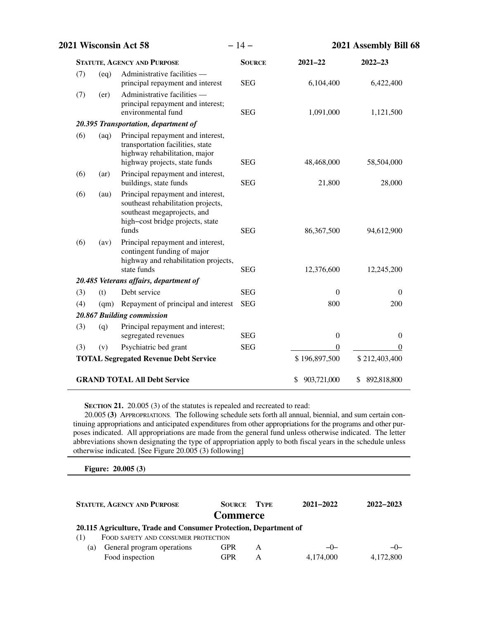| 2021 Wisconsin Act 58 |      | $-14-$                                                                                                                                              | 2021 Assembly Bill 68 |                   |                   |
|-----------------------|------|-----------------------------------------------------------------------------------------------------------------------------------------------------|-----------------------|-------------------|-------------------|
|                       |      | <b>STATUTE, AGENCY AND PURPOSE</b>                                                                                                                  | <b>SOURCE</b>         | $2021 - 22$       | $2022 - 23$       |
| (7)                   | (eq) | Administrative facilities -<br>principal repayment and interest                                                                                     | <b>SEG</b>            | 6,104,400         | 6,422,400         |
| (7)                   | (er) | Administrative facilities —<br>principal repayment and interest;<br>environmental fund                                                              | <b>SEG</b>            | 1,091,000         | 1,121,500         |
|                       |      | 20.395 Transportation, department of                                                                                                                |                       |                   |                   |
| (6)                   | (aq) | Principal repayment and interest,<br>transportation facilities, state<br>highway rehabilitation, major<br>highway projects, state funds             | <b>SEG</b>            | 48,468,000        | 58,504,000        |
| (6)                   | (ar) | Principal repayment and interest,<br>buildings, state funds                                                                                         | <b>SEG</b>            | 21,800            | 28,000            |
| (6)                   | (au) | Principal repayment and interest,<br>southeast rehabilitation projects,<br>southeast megaprojects, and<br>high-cost bridge projects, state<br>funds | <b>SEG</b>            | 86,367,500        | 94,612,900        |
| (6)                   | (av) | Principal repayment and interest,<br>contingent funding of major<br>highway and rehabilitation projects,<br>state funds                             | <b>SEG</b>            | 12,376,600        | 12,245,200        |
|                       |      | 20.485 Veterans affairs, department of                                                                                                              |                       |                   |                   |
| (3)                   | (t)  | Debt service                                                                                                                                        | <b>SEG</b>            | $\Omega$          | 0                 |
| (4)                   | (qm) | Repayment of principal and interest                                                                                                                 | <b>SEG</b>            | 800               | 200               |
|                       |      | 20.867 Building commission                                                                                                                          |                       |                   |                   |
| (3)                   | (q)  | Principal repayment and interest;<br>segregated revenues                                                                                            | <b>SEG</b>            | $\boldsymbol{0}$  | $\theta$          |
| (3)                   | (v)  | Psychiatric bed grant                                                                                                                               | <b>SEG</b>            | $\boldsymbol{0}$  | $\theta$          |
|                       |      | <b>TOTAL Segregated Revenue Debt Service</b>                                                                                                        |                       | \$196,897,500     | \$212,403,400     |
|                       |      | <b>GRAND TOTAL All Debt Service</b>                                                                                                                 |                       | 903,721,000<br>\$ | 892,818,800<br>\$ |

**SECTION 21.** 20.005 (3) of the statutes is repealed and recreated to read:

20.005 **(3)** APPROPRIATIONS. The following schedule sets forth all annual, biennial, and sum certain continuing appropriations and anticipated expenditures from other appropriations for the programs and other purposes indicated. All appropriations are made from the general fund unless otherwise indicated. The letter abbreviations shown designating the type of appropriation apply to both fiscal years in the schedule unless otherwise indicated. [See Figure 20.005 (3) following]

**Figure: 20.005 (3)**

| <b>STATUTE, AGENCY AND PURPOSE</b>                               | <b>SOURCE</b><br><b>Commerce</b> | <b>TYPE</b> | $2021 - 2022$ | 2022-2023 |  |
|------------------------------------------------------------------|----------------------------------|-------------|---------------|-----------|--|
| 20.115 Agriculture, Trade and Consumer Protection, Department of |                                  |             |               |           |  |
| FOOD SAFETY AND CONSUMER PROTECTION<br>(1)                       |                                  |             |               |           |  |
| General program operations<br>(a)                                | <b>GPR</b>                       | A           | $-0-$         | $-0-$     |  |
| Food inspection                                                  | GPR                              | А           | 4,174,000     | 4,172,800 |  |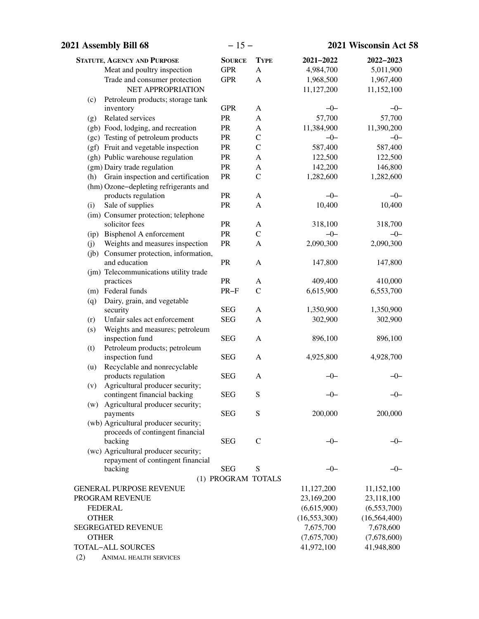| 2021 Assembly Bill 68                                      | $-15-$             |               | 2021 Wisconsin Act 58 |                |
|------------------------------------------------------------|--------------------|---------------|-----------------------|----------------|
| <b>STATUTE, AGENCY AND PURPOSE</b>                         | <b>SOURCE</b>      | <b>TYPE</b>   | 2021-2022             | 2022-2023      |
| Meat and poultry inspection                                | <b>GPR</b>         | $\mathbf{A}$  | 4,984,700             | 5,011,900      |
| Trade and consumer protection                              | <b>GPR</b>         | A             | 1,968,500             | 1,967,400      |
| NET APPROPRIATION                                          |                    |               | 11,127,200            | 11,152,100     |
| Petroleum products; storage tank<br>(c)                    |                    |               |                       |                |
| inventory                                                  | <b>GPR</b>         | A             | $-0-$                 | $-0-$          |
| Related services<br>(g)                                    | PR                 | $\mathbf{A}$  | 57,700                | 57,700         |
| (gb) Food, lodging, and recreation                         | PR                 | $\mathbf{A}$  | 11,384,900            | 11,390,200     |
| (gc) Testing of petroleum products                         | ${\sf PR}$         | $\mathsf{C}$  | $-0-$                 | $-0-$          |
| (gf) Fruit and vegetable inspection                        | ${\sf PR}$         | $\mathbf C$   | 587,400               | 587,400        |
| (gh) Public warehouse regulation                           | PR                 | $\mathbf{A}$  | 122,500               | 122,500        |
| (gm) Dairy trade regulation                                | ${\sf PR}$         | $\mathbf{A}$  | 142,200               | 146,800        |
| Grain inspection and certification<br>(h)                  | PR                 | $\mathcal{C}$ | 1,282,600             | 1,282,600      |
| (hm) Ozone-depleting refrigerants and                      |                    |               |                       |                |
| products regulation                                        | PR                 | $\mathbf{A}$  | $-0-$                 | $-0-$          |
| Sale of supplies<br>(i)                                    | <b>PR</b>          | A             | 10,400                | 10,400         |
| (im) Consumer protection; telephone                        |                    |               |                       |                |
| solicitor fees                                             | <b>PR</b>          | A             | 318,100               | 318,700        |
| (ip) Bisphenol A enforcement                               | PR                 | $\mathcal{C}$ | $-0-$                 | $-0-$          |
| Weights and measures inspection<br>(j)                     | PR                 | A             | 2,090,300             | 2,090,300      |
| (jb) Consumer protection, information,                     |                    |               |                       |                |
| and education                                              | ${\sf PR}$         | $\mathbf{A}$  | 147,800               | 147,800        |
| (jm) Telecommunications utility trade                      |                    |               |                       |                |
| practices                                                  | PR                 | A             | 409,400               | 410,000        |
| (m) Federal funds                                          | $PR-F$             | $\mathcal{C}$ | 6,615,900             | 6,553,700      |
| Dairy, grain, and vegetable<br>(q)                         |                    |               |                       |                |
| security                                                   | <b>SEG</b>         | A             | 1,350,900             | 1,350,900      |
| Unfair sales act enforcement<br>(r)                        | <b>SEG</b>         | A             | 302,900               | 302,900        |
| Weights and measures; petroleum<br>(s)                     |                    |               |                       |                |
| inspection fund                                            | <b>SEG</b>         | $\mathbf{A}$  | 896,100               | 896,100        |
| Petroleum products; petroleum<br>(t)<br>inspection fund    | <b>SEG</b>         | A             | 4,925,800             | 4,928,700      |
|                                                            |                    |               |                       |                |
| Recyclable and nonrecyclable<br>(u)<br>products regulation | <b>SEG</b>         | A             | $-0-$                 | $-0-$          |
| Agricultural producer security;<br>(v)                     |                    |               |                       |                |
| contingent financial backing                               | <b>SEG</b>         | S             | $-0-$                 | $-0-$          |
| (w) Agricultural producer security;                        |                    |               |                       |                |
| payments                                                   | <b>SEG</b>         | S             | 200,000               | 200,000        |
| (wb) Agricultural producer security;                       |                    |               |                       |                |
| proceeds of contingent financial                           |                    |               |                       |                |
| backing                                                    | <b>SEG</b>         | $\mathcal{C}$ | $-0-$                 | $-0-$          |
| (wc) Agricultural producer security;                       |                    |               |                       |                |
| repayment of contingent financial                          |                    |               |                       |                |
| backing                                                    | <b>SEG</b>         | S             | $-0-$                 | –0–            |
|                                                            | (1) PROGRAM TOTALS |               |                       |                |
| <b>GENERAL PURPOSE REVENUE</b>                             |                    |               | 11,127,200            | 11,152,100     |
| PROGRAM REVENUE                                            |                    |               | 23,169,200            | 23,118,100     |
| <b>FEDERAL</b>                                             |                    |               | (6,615,900)           | (6,553,700)    |
| <b>OTHER</b>                                               |                    |               | (16, 553, 300)        | (16, 564, 400) |
| <b>SEGREGATED REVENUE</b>                                  |                    |               | 7,675,700             | 7,678,600      |
| <b>OTHER</b>                                               |                    |               | (7,675,700)           | (7,678,600)    |
| <b>TOTAL-ALL SOURCES</b>                                   |                    |               | 41,972,100            | 41,948,800     |
| (2)<br>ANIMAL HEALTH SERVICES                              |                    |               |                       |                |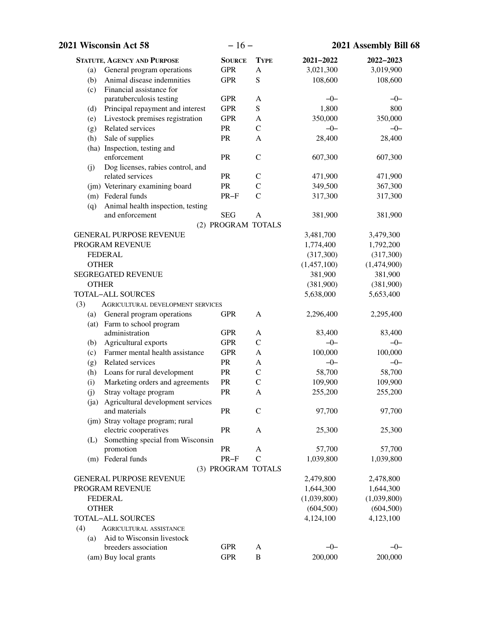|              | 2021 Wisconsin Act 58              | $-16-$             |               |             | 2021 Assembly Bill 68 |
|--------------|------------------------------------|--------------------|---------------|-------------|-----------------------|
|              | <b>STATUTE, AGENCY AND PURPOSE</b> | <b>SOURCE</b>      | <b>TYPE</b>   | 2021-2022   | 2022-2023             |
| (a)          | General program operations         | <b>GPR</b>         | A             | 3,021,300   | 3,019,900             |
| (b)          | Animal disease indemnities         | <b>GPR</b>         | S             | 108,600     | 108,600               |
| (c)          | Financial assistance for           |                    |               |             |                       |
|              | paratuberculosis testing           | <b>GPR</b>         | A             | $-0-$       | $-0-$                 |
| (d)          | Principal repayment and interest   | <b>GPR</b>         | S             | 1,800       | 800                   |
| (e)          | Livestock premises registration    | <b>GPR</b>         | $\mathbf{A}$  | 350,000     | 350,000               |
| (g)          | Related services                   | PR                 | $\mathcal{C}$ | $-0-$       | $-0-$                 |
| (h)          | Sale of supplies                   | PR                 | A             | 28,400      | 28,400                |
|              | (ha) Inspection, testing and       |                    |               |             |                       |
|              | enforcement                        | PR                 | $\mathcal{C}$ | 607,300     | 607,300               |
| (j)          | Dog licenses, rabies control, and  |                    |               |             |                       |
|              | related services                   | PR                 | $\mathsf{C}$  | 471,900     | 471,900               |
|              | (jm) Veterinary examining board    | PR                 | $\mathcal{C}$ | 349,500     | 367,300               |
|              | (m) Federal funds                  | $PR-F$             | $\mathcal{C}$ | 317,300     | 317,300               |
| (q)          | Animal health inspection, testing  |                    |               |             |                       |
|              | and enforcement                    | <b>SEG</b>         | $\mathbf{A}$  | 381,900     | 381,900               |
|              |                                    | (2) PROGRAM TOTALS |               |             |                       |
|              | <b>GENERAL PURPOSE REVENUE</b>     |                    |               | 3,481,700   | 3,479,300             |
|              | PROGRAM REVENUE                    |                    |               | 1,774,400   | 1,792,200             |
|              | <b>FEDERAL</b>                     |                    |               | (317,300)   | (317,300)             |
| <b>OTHER</b> |                                    |                    |               | (1,457,100) | (1,474,900)           |
|              | <b>SEGREGATED REVENUE</b>          |                    |               | 381,900     | 381,900               |
|              | <b>OTHER</b>                       |                    |               | (381,900)   | (381,900)             |
|              | <b>TOTAL-ALL SOURCES</b>           |                    |               | 5,638,000   | 5,653,400             |
| (3)          | AGRICULTURAL DEVELOPMENT SERVICES  |                    |               |             |                       |
| (a)          | General program operations         | <b>GPR</b>         | A             | 2,296,400   | 2,295,400             |
|              | (at) Farm to school program        |                    |               |             |                       |
|              | administration                     | <b>GPR</b>         | A             | 83,400      | 83,400                |
| (b)          | Agricultural exports               | <b>GPR</b>         | $\mathbf C$   | $-0-$       | $-0-$                 |
| (c)          | Farmer mental health assistance    | <b>GPR</b>         | $\mathbf{A}$  | 100,000     | 100,000               |
| (g)          | Related services                   | PR                 | A             | $-0-$       | $-0-$                 |
| (h)          | Loans for rural development        | PR                 | $\mathsf{C}$  | 58,700      | 58,700                |
| (i)          | Marketing orders and agreements    | PR                 | $\mathcal{C}$ | 109,900     | 109,900               |
| (j)          | Stray voltage program              | <b>PR</b>          | A             | 255,200     | 255,200               |
| (ja)         | Agricultural development services  |                    |               |             |                       |
|              | and materials                      | <b>PR</b>          | $\mathcal{C}$ | 97,700      | 97,700                |
|              | (jm) Stray voltage program; rural  |                    |               |             |                       |
|              | electric cooperatives              | <b>PR</b>          | A             | 25,300      | 25,300                |
| (L)          | Something special from Wisconsin   |                    |               |             |                       |
|              | promotion                          | <b>PR</b>          | A             | 57,700      | 57,700                |
|              | (m) Federal funds                  | $PR-F$             | $\mathcal{C}$ | 1,039,800   | 1,039,800             |
|              |                                    | (3) PROGRAM TOTALS |               |             |                       |
|              | <b>GENERAL PURPOSE REVENUE</b>     |                    |               | 2,479,800   | 2,478,800             |
|              | PROGRAM REVENUE                    |                    |               | 1,644,300   | 1,644,300             |
|              | <b>FEDERAL</b>                     |                    |               | (1,039,800) | (1,039,800)           |
| <b>OTHER</b> |                                    |                    |               | (604, 500)  | (604, 500)            |
|              | <b>TOTAL-ALL SOURCES</b>           |                    |               | 4,124,100   | 4,123,100             |
| (4)          | <b>AGRICULTURAL ASSISTANCE</b>     |                    |               |             |                       |
| (a)          | Aid to Wisconsin livestock         |                    |               |             |                       |
|              | breeders association               | <b>GPR</b>         | A             | $-0-$       | $-0-$                 |
|              | (am) Buy local grants              | <b>GPR</b>         | $\, {\bf B}$  | 200,000     | 200,000               |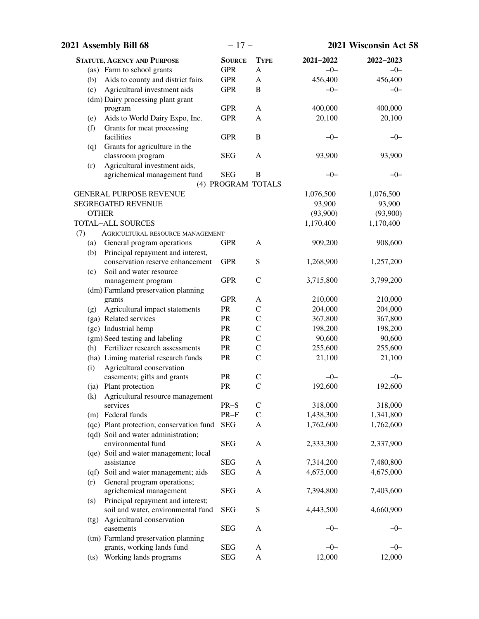| 2021 Assembly Bill 68                          | $-17-$             |               | 2021 Wisconsin Act 58 |           |
|------------------------------------------------|--------------------|---------------|-----------------------|-----------|
| <b>STATUTE, AGENCY AND PURPOSE</b>             | <b>SOURCE</b>      | <b>TYPE</b>   | 2021-2022             | 2022-2023 |
| (as) Farm to school grants                     | <b>GPR</b>         | A             | $-0-$                 | $-0-$     |
| Aids to county and district fairs<br>(b)       | <b>GPR</b>         | A             | 456,400               | 456,400   |
| Agricultural investment aids<br>(c)            | <b>GPR</b>         | B             | $-0-$                 | $-0-$     |
| (dm) Dairy processing plant grant              |                    |               |                       |           |
| program                                        | <b>GPR</b>         | A             | 400,000               | 400,000   |
| Aids to World Dairy Expo, Inc.<br>(e)          | <b>GPR</b>         | A             | 20,100                | 20,100    |
| Grants for meat processing<br>(f)              |                    |               |                       |           |
| facilities                                     | <b>GPR</b>         | $\, {\bf B}$  | $-0-$                 | $-0-$     |
| Grants for agriculture in the<br>(q)           |                    |               |                       |           |
| classroom program                              | <b>SEG</b>         | $\mathbf{A}$  | 93,900                | 93,900    |
| Agricultural investment aids,<br>(r)           |                    |               |                       |           |
| agrichemical management fund                   | <b>SEG</b>         | $\, {\bf B}$  | $-0-$                 | $-0-$     |
|                                                | (4) PROGRAM TOTALS |               |                       |           |
| <b>GENERAL PURPOSE REVENUE</b>                 |                    |               | 1,076,500             | 1,076,500 |
| <b>SEGREGATED REVENUE</b>                      |                    |               | 93,900                | 93,900    |
| <b>OTHER</b>                                   |                    |               | (93,900)              | (93,900)  |
| <b>TOTAL-ALL SOURCES</b>                       |                    |               | 1,170,400             | 1,170,400 |
| (7)<br><b>AGRICULTURAL RESOURCE MANAGEMENT</b> |                    |               |                       |           |
| General program operations<br>(a)              | <b>GPR</b>         | A             | 909,200               | 908,600   |
| Principal repayment and interest,<br>(b)       |                    |               |                       |           |
| conservation reserve enhancement               | <b>GPR</b>         | S             | 1,268,900             | 1,257,200 |
| Soil and water resource<br>(c)                 |                    |               |                       |           |
| management program                             | <b>GPR</b>         | $\mathcal{C}$ | 3,715,800             | 3,799,200 |
| (dm) Farmland preservation planning            |                    |               |                       |           |
| grants                                         | <b>GPR</b>         | A             | 210,000               | 210,000   |
| Agricultural impact statements<br>(g)          | PR                 | $\mathsf{C}$  | 204,000               | 204,000   |
| (ga) Related services                          | PR                 | $\mathbf C$   | 367,800               | 367,800   |
| (gc) Industrial hemp                           | PR                 | $\mathbf C$   | 198,200               | 198,200   |
| (gm) Seed testing and labeling                 | PR                 | $\mathbf C$   | 90,600                | 90,600    |
| (h) Fertilizer research assessments            | PR                 | $\mathbf C$   | 255,600               | 255,600   |
| (ha) Liming material research funds            | ${\sf PR}$         | $\mathcal{C}$ | 21,100                | 21,100    |
| Agricultural conservation<br>(i)               |                    |               |                       |           |
| easements; gifts and grants                    | ${\sf PR}$         | $\mathsf{C}$  | $-0-$                 | $-0-$     |
| (ja) Plant protection                          | PR                 | $\mathcal{C}$ | 192,600               | 192,600   |
| Agricultural resource management<br>(k)        |                    |               |                       |           |
| services                                       | $PR-S$             | $\mathsf{C}$  | 318,000               | 318,000   |
| (m) Federal funds                              | $PR-F$             | $\mathcal{C}$ | 1,438,300             | 1,341,800 |
| (qc) Plant protection; conservation fund       | <b>SEG</b>         | A             | 1,762,600             | 1,762,600 |
| (qd) Soil and water administration;            |                    |               |                       |           |
| environmental fund                             | <b>SEG</b>         | $\mathbf{A}$  | 2,333,300             | 2,337,900 |
| (qe) Soil and water management; local          |                    |               |                       |           |
| assistance                                     | <b>SEG</b>         | A             | 7,314,200             | 7,480,800 |
| (qf) Soil and water management; aids           | <b>SEG</b>         | A             | 4,675,000             | 4,675,000 |
| General program operations;<br>(r)             |                    |               |                       |           |
| agrichemical management                        | <b>SEG</b>         | A             | 7,394,800             | 7,403,600 |
| Principal repayment and interest;<br>(s)       |                    |               |                       |           |
| soil and water, environmental fund             | <b>SEG</b>         | S             | 4,443,500             | 4,660,900 |
| (tg) Agricultural conservation                 |                    |               |                       |           |
| easements                                      | <b>SEG</b>         | A             | -0-                   | $-0-$     |
| (tm) Farmland preservation planning            |                    |               |                       |           |
| grants, working lands fund                     | <b>SEG</b>         | A             | $-0-$                 | $-0-$     |
| Working lands programs<br>(ts)                 | <b>SEG</b>         | A             | 12,000                | 12,000    |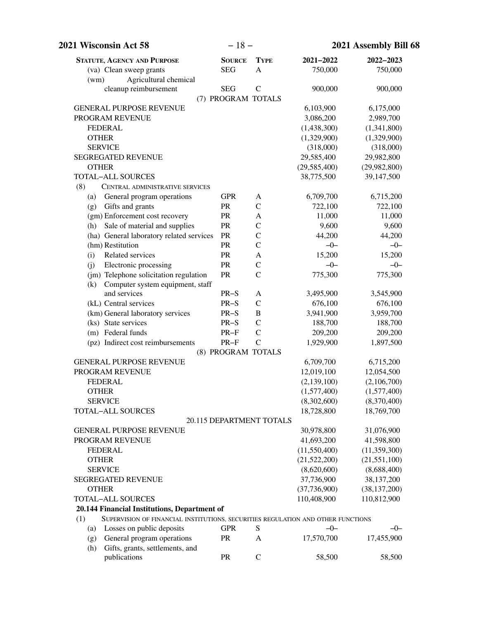| <b>2021 Wisconsin Act 58</b>                                                            | $-18-$        |                          | 2021 Assembly Bill 68        |                               |
|-----------------------------------------------------------------------------------------|---------------|--------------------------|------------------------------|-------------------------------|
| <b>STATUTE, AGENCY AND PURPOSE</b>                                                      | <b>SOURCE</b> | <b>TYPE</b>              | 2021-2022                    | 2022-2023                     |
| (va) Clean sweep grants                                                                 | <b>SEG</b>    | $\mathbf{A}$             | 750,000                      | 750,000                       |
| Agricultural chemical<br>(wm)                                                           |               |                          |                              |                               |
| cleanup reimbursement                                                                   | <b>SEG</b>    | $\mathsf{C}$             | 900,000                      | 900,000                       |
|                                                                                         |               | (7) PROGRAM TOTALS       |                              |                               |
| <b>GENERAL PURPOSE REVENUE</b>                                                          |               |                          | 6,103,900                    | 6,175,000                     |
| PROGRAM REVENUE                                                                         |               |                          | 3,086,200                    | 2,989,700                     |
| <b>FEDERAL</b>                                                                          |               |                          | (1,438,300)                  | (1,341,800)                   |
| <b>OTHER</b>                                                                            |               |                          | (1,329,900)                  | (1,329,900)                   |
| <b>SERVICE</b>                                                                          |               |                          | (318,000)                    | (318,000)                     |
| <b>SEGREGATED REVENUE</b><br><b>OTHER</b>                                               |               |                          | 29,585,400                   | 29,982,800                    |
| <b>TOTAL-ALL SOURCES</b>                                                                |               |                          | (29, 585, 400)<br>38,775,500 | (29,982,800)<br>39,147,500    |
| (8)<br>CENTRAL ADMINISTRATIVE SERVICES                                                  |               |                          |                              |                               |
| General program operations<br>(a)                                                       | <b>GPR</b>    | A                        | 6,709,700                    | 6,715,200                     |
| Gifts and grants<br>(g)                                                                 | PR            | $\mathcal{C}$            | 722,100                      | 722,100                       |
| (gm) Enforcement cost recovery                                                          | PR            | A                        | 11,000                       | 11,000                        |
| Sale of material and supplies<br>(h)                                                    | PR            | $\mathcal{C}$            | 9,600                        | 9,600                         |
| (ha) General laboratory related services                                                | PR            | $\mathcal{C}$            | 44,200                       | 44,200                        |
| (hm) Restitution                                                                        | PR            | $\mathcal{C}$            | $-0-$                        | $-0-$                         |
| Related services<br>(i)                                                                 | PR            | A                        | 15,200                       | 15,200                        |
| Electronic processing<br>(i)                                                            | PR            | $\mathcal{C}$            | $-0-$                        | $-0-$                         |
| (jm) Telephone solicitation regulation                                                  | PR            | $\mathcal{C}$            | 775,300                      | 775,300                       |
| Computer system equipment, staff<br>(k)                                                 |               |                          |                              |                               |
| and services                                                                            | $PR-S$        | A                        | 3,495,900                    | 3,545,900                     |
| (kL) Central services                                                                   | $PR-S$        | $\mathcal{C}$            | 676,100                      | 676,100                       |
| (km) General laboratory services                                                        | $PR-S$        | $\, {\bf B}$             | 3,941,900                    | 3,959,700                     |
| (ks) State services                                                                     | $PR-S$        | $\mathcal{C}$            | 188,700                      | 188,700                       |
| (m) Federal funds                                                                       | $PR-F$        | $\mathsf{C}$             | 209,200                      | 209,200                       |
| (pz) Indirect cost reimbursements                                                       | $PR-F$        | $\mathcal{C}$            | 1,929,900                    | 1,897,500                     |
|                                                                                         |               | (8) PROGRAM TOTALS       |                              |                               |
| <b>GENERAL PURPOSE REVENUE</b>                                                          |               |                          | 6,709,700                    | 6,715,200                     |
| PROGRAM REVENUE                                                                         |               |                          | 12,019,100                   | 12,054,500                    |
| <b>FEDERAL</b>                                                                          |               |                          | (2, 139, 100)                | (2,106,700)                   |
| <b>OTHER</b>                                                                            |               |                          | (1,577,400)                  | (1,577,400)                   |
| <b>SERVICE</b>                                                                          |               |                          | (8,302,600)                  | (8,370,400)                   |
| <b>TOTAL-ALL SOURCES</b>                                                                |               |                          | 18,728,800                   | 18,769,700                    |
|                                                                                         |               | 20.115 DEPARTMENT TOTALS |                              |                               |
| <b>GENERAL PURPOSE REVENUE</b>                                                          |               |                          | 30,978,800                   | 31,076,900                    |
| PROGRAM REVENUE                                                                         |               |                          | 41,693,200                   | 41,598,800                    |
| <b>FEDERAL</b>                                                                          |               |                          | (11, 550, 400)               | (11, 359, 300)                |
| <b>OTHER</b>                                                                            |               |                          | (21,522,200)                 | (21, 551, 100)                |
| <b>SERVICE</b>                                                                          |               |                          | (8,620,600)                  | (8,688,400)                   |
| SEGREGATED REVENUE                                                                      |               |                          | 37,736,900                   | 38,137,200                    |
| <b>OTHER</b><br><b>TOTAL-ALL SOURCES</b>                                                |               |                          | (37,736,900)<br>110,408,900  | (38, 137, 200)<br>110,812,900 |
| 20.144 Financial Institutions, Department of                                            |               |                          |                              |                               |
| SUPERVISION OF FINANCIAL INSTITUTIONS, SECURITIES REGULATION AND OTHER FUNCTIONS<br>(1) |               |                          |                              |                               |
| Losses on public deposits<br>(a)                                                        | <b>GPR</b>    | S                        | $-0-$                        | $-0-$                         |
| General program operations<br>(g)                                                       | PR            | A                        | 17,570,700                   | 17,455,900                    |
| Gifts, grants, settlements, and<br>(h)                                                  |               |                          |                              |                               |
| publications                                                                            | <b>PR</b>     | $\mathbf C$              | 58,500                       | 58,500                        |
|                                                                                         |               |                          |                              |                               |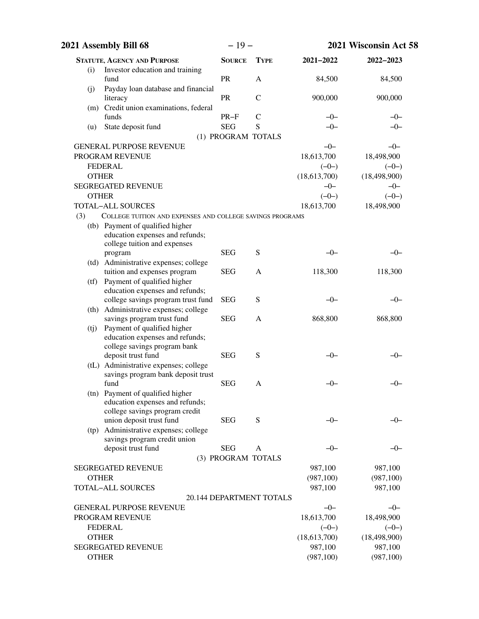|     | 2021 Assembly Bill 68                                             | $-19-$             |                          |              | 2021 Wisconsin Act 58 |
|-----|-------------------------------------------------------------------|--------------------|--------------------------|--------------|-----------------------|
|     | <b>STATUTE, AGENCY AND PURPOSE</b>                                | <b>SOURCE</b>      | <b>TYPE</b>              | 2021-2022    | 2022-2023             |
| (i) | Investor education and training<br>fund                           | PR                 | $\mathbf{A}$             | 84,500       | 84,500                |
| (j) | Payday loan database and financial                                |                    |                          |              |                       |
|     | literacy                                                          | PR                 | $\mathcal{C}$            | 900,000      | 900,000               |
|     | (m) Credit union examinations, federal                            |                    |                          |              |                       |
|     | funds                                                             | $PR-F$             | $\mathcal{C}$            | $-0-$        | $-0-$                 |
| (u) | State deposit fund                                                | <b>SEG</b>         | S                        | $-0-$        | $-0-$                 |
|     |                                                                   | (1) PROGRAM TOTALS |                          |              |                       |
|     | <b>GENERAL PURPOSE REVENUE</b>                                    |                    |                          | $-0-$        | $-0-$                 |
|     | PROGRAM REVENUE                                                   |                    |                          | 18,613,700   | 18,498,900            |
|     | <b>FEDERAL</b>                                                    |                    |                          | $(-0-)$      | $(-0-)$               |
|     | <b>OTHER</b>                                                      |                    |                          | (18,613,700) | (18, 498, 900)        |
|     | <b>SEGREGATED REVENUE</b>                                         |                    |                          | $-0-$        | $-0-$                 |
|     | <b>OTHER</b>                                                      |                    |                          | $(-0-)$      | $(-0-)$               |
|     | <b>TOTAL-ALL SOURCES</b>                                          |                    |                          | 18,613,700   | 18,498,900            |
| (3) | COLLEGE TUITION AND EXPENSES AND COLLEGE SAVINGS PROGRAMS         |                    |                          |              |                       |
|     | (tb) Payment of qualified higher                                  |                    |                          |              |                       |
|     | education expenses and refunds;                                   |                    |                          |              |                       |
|     | college tuition and expenses<br>program                           | <b>SEG</b>         | S                        | $-0-$        | -0-                   |
|     | (td) Administrative expenses; college                             |                    |                          |              |                       |
|     | tuition and expenses program                                      | <b>SEG</b>         | A                        | 118,300      | 118,300               |
|     | (tf) Payment of qualified higher                                  |                    |                          |              |                       |
|     | education expenses and refunds;                                   |                    |                          |              |                       |
|     | college savings program trust fund                                | <b>SEG</b>         | S                        | $-0-$        | -0-                   |
|     | (th) Administrative expenses; college                             |                    |                          |              |                       |
|     | savings program trust fund                                        | <b>SEG</b>         | A                        | 868,800      | 868,800               |
| (i) | Payment of qualified higher                                       |                    |                          |              |                       |
|     | education expenses and refunds;                                   |                    |                          |              |                       |
|     | college savings program bank                                      |                    |                          |              |                       |
|     | deposit trust fund                                                | <b>SEG</b>         | S                        | $-0-$        | $-0-$                 |
|     | (tL) Administrative expenses; college                             |                    |                          |              |                       |
|     | savings program bank deposit trust                                |                    |                          |              |                       |
|     | fund                                                              | <b>SEG</b>         | A                        | $-0-$        | $-0-$                 |
|     | (tn) Payment of qualified higher                                  |                    |                          |              |                       |
|     | education expenses and refunds;                                   |                    |                          |              |                       |
|     | college savings program credit                                    | <b>SEG</b>         | S                        | $-0-$        | –0–                   |
|     | union deposit trust fund<br>(tp) Administrative expenses; college |                    |                          |              |                       |
|     | savings program credit union                                      |                    |                          |              |                       |
|     | deposit trust fund                                                | <b>SEG</b>         | A                        | $-0-$        | -0-                   |
|     |                                                                   | (3) PROGRAM TOTALS |                          |              |                       |
|     | <b>SEGREGATED REVENUE</b>                                         |                    |                          | 987,100      | 987,100               |
|     | <b>OTHER</b>                                                      |                    |                          | (987, 100)   | (987, 100)            |
|     | <b>TOTAL-ALL SOURCES</b>                                          |                    |                          | 987,100      | 987,100               |
|     |                                                                   |                    | 20.144 DEPARTMENT TOTALS |              |                       |
|     | <b>GENERAL PURPOSE REVENUE</b>                                    |                    |                          | $-0-$        | $-0-$                 |
|     | PROGRAM REVENUE                                                   |                    |                          | 18,613,700   | 18,498,900            |
|     | <b>FEDERAL</b>                                                    |                    |                          | $(-0-)$      | $(-0-)$               |
|     | <b>OTHER</b>                                                      |                    |                          | (18,613,700) | (18, 498, 900)        |
|     | <b>SEGREGATED REVENUE</b>                                         |                    |                          | 987,100      | 987,100               |
|     | <b>OTHER</b>                                                      |                    |                          | (987, 100)   | (987, 100)            |
|     |                                                                   |                    |                          |              |                       |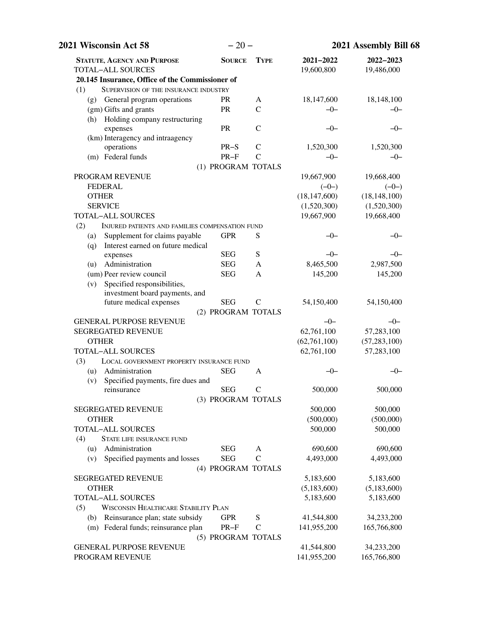| 2021 Wisconsin Act 58                                                | $-20-$             |               | 2021 Assembly Bill 68   |                         |
|----------------------------------------------------------------------|--------------------|---------------|-------------------------|-------------------------|
| <b>STATUTE, AGENCY AND PURPOSE</b><br><b>TOTAL-ALL SOURCES</b>       | <b>SOURCE</b>      | <b>TYPE</b>   | 2021-2022<br>19,600,800 | 2022-2023<br>19,486,000 |
| 20.145 Insurance, Office of the Commissioner of                      |                    |               |                         |                         |
| (1)<br>SUPERVISION OF THE INSURANCE INDUSTRY                         |                    |               |                         |                         |
| General program operations<br>(g)                                    | <b>PR</b>          | A             | 18,147,600              | 18,148,100              |
| (gm) Gifts and grants                                                | PR                 | $\mathcal{C}$ | $-0-$                   | -0-                     |
| Holding company restructuring<br>(h)                                 |                    |               |                         |                         |
| expenses                                                             | PR                 | $\mathcal{C}$ | $-0-$                   | $-0-$                   |
| (km) Interagency and intraagency                                     |                    |               |                         |                         |
| operations                                                           | $PR-S$             | $\mathcal{C}$ | 1,520,300               | 1,520,300               |
| (m) Federal funds                                                    | $PR-F$             | $\mathcal{C}$ | $-0-$                   | $-0-$                   |
|                                                                      | (1) PROGRAM TOTALS |               |                         |                         |
| PROGRAM REVENUE                                                      |                    |               | 19,667,900              | 19,668,400              |
| <b>FEDERAL</b>                                                       |                    |               | $(-0-)$                 | $(-0-)$                 |
| <b>OTHER</b>                                                         |                    |               | (18, 147, 600)          | (18, 148, 100)          |
| <b>SERVICE</b>                                                       |                    |               | (1,520,300)             | (1,520,300)             |
| <b>TOTAL-ALL SOURCES</b>                                             |                    |               | 19,667,900              | 19,668,400              |
| (2)<br>INJURED PATIENTS AND FAMILIES COMPENSATION FUND               |                    |               |                         |                         |
| Supplement for claims payable<br>(a)                                 | <b>GPR</b>         | S             | $-0-$                   | $-0-$                   |
| Interest earned on future medical<br>(q)                             |                    |               |                         |                         |
| expenses                                                             | <b>SEG</b>         | ${\bf S}$     | $-0-$                   | $-0-$                   |
| Administration<br>(u)                                                | <b>SEG</b>         | A             | 8,465,500               | 2,987,500               |
| (um) Peer review council                                             | <b>SEG</b>         | A             | 145,200                 | 145,200                 |
| Specified responsibilities,<br>(v)<br>investment board payments, and |                    |               |                         |                         |
| future medical expenses                                              | <b>SEG</b>         | $\mathsf{C}$  | 54,150,400              | 54,150,400              |
|                                                                      | (2) PROGRAM TOTALS |               |                         |                         |
| <b>GENERAL PURPOSE REVENUE</b>                                       |                    |               | $-0-$                   | $-0-$                   |
| <b>SEGREGATED REVENUE</b>                                            |                    |               | 62,761,100              | 57,283,100              |
| <b>OTHER</b>                                                         |                    |               | (62, 761, 100)          | (57, 283, 100)          |
| <b>TOTAL-ALL SOURCES</b>                                             |                    |               | 62,761,100              | 57,283,100              |
| (3)<br>LOCAL GOVERNMENT PROPERTY INSURANCE FUND                      |                    |               |                         |                         |
| Administration<br>(u)                                                | <b>SEG</b>         | A             | $-0-$                   | $-0-$                   |
| Specified payments, fire dues and<br>(v)                             |                    |               |                         |                         |
| reinsurance                                                          | <b>SEG</b>         | C             | 500,000                 | 500,000                 |
|                                                                      | (3) PROGRAM TOTALS |               |                         |                         |
| <b>SEGREGATED REVENUE</b>                                            |                    |               | 500,000                 | 500,000                 |
| <b>OTHER</b>                                                         |                    |               | (500,000)               | (500,000)               |
| <b>TOTAL-ALL SOURCES</b>                                             |                    |               | 500,000                 | 500,000                 |
| (4)<br>STATE LIFE INSURANCE FUND                                     |                    |               |                         |                         |
| Administration<br>(u)                                                | <b>SEG</b>         | A             | 690,600                 | 690,600                 |
| Specified payments and losses<br>(v)                                 | <b>SEG</b>         | $\mathcal{C}$ | 4,493,000               | 4,493,000               |
|                                                                      | (4) PROGRAM TOTALS |               |                         |                         |
| <b>SEGREGATED REVENUE</b>                                            |                    |               | 5,183,600               | 5,183,600               |
| <b>OTHER</b>                                                         |                    |               | (5,183,600)             | (5,183,600)             |
| <b>TOTAL-ALL SOURCES</b>                                             |                    |               | 5,183,600               | 5,183,600               |
| <b>WISCONSIN HEALTHCARE STABILITY PLAN</b><br>(5)                    |                    |               |                         |                         |
| Reinsurance plan; state subsidy<br>(b)                               | <b>GPR</b>         | S             | 41,544,800              | 34,233,200              |
| (m) Federal funds; reinsurance plan                                  | $PR-F$             | $\mathbf C$   | 141,955,200             | 165,766,800             |
|                                                                      | (5) PROGRAM TOTALS |               |                         |                         |
| <b>GENERAL PURPOSE REVENUE</b>                                       |                    |               | 41,544,800              | 34,233,200              |
| PROGRAM REVENUE                                                      |                    |               | 141,955,200             | 165,766,800             |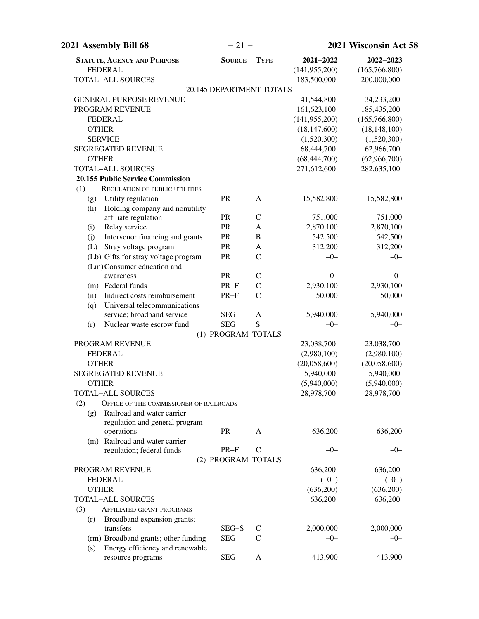| 2021 Assembly Bill 68                                             | $-21-$                   |                | 2021 Wisconsin Act 58 |                 |
|-------------------------------------------------------------------|--------------------------|----------------|-----------------------|-----------------|
| <b>STATUTE, AGENCY AND PURPOSE</b>                                | <b>SOURCE</b>            | <b>TYPE</b>    | 2021-2022             | 2022-2023       |
| <b>FEDERAL</b>                                                    |                          |                | (141, 955, 200)       | (165, 766, 800) |
| <b>TOTAL-ALL SOURCES</b>                                          |                          |                | 183,500,000           | 200,000,000     |
|                                                                   | 20.145 DEPARTMENT TOTALS |                |                       |                 |
| <b>GENERAL PURPOSE REVENUE</b>                                    |                          |                | 41,544,800            | 34,233,200      |
| PROGRAM REVENUE                                                   |                          |                | 161,623,100           | 185,435,200     |
| <b>FEDERAL</b>                                                    |                          |                | (141, 955, 200)       | (165, 766, 800) |
| <b>OTHER</b>                                                      |                          |                | (18, 147, 600)        | (18, 148, 100)  |
| <b>SERVICE</b>                                                    |                          |                | (1,520,300)           | (1,520,300)     |
| <b>SEGREGATED REVENUE</b>                                         |                          |                | 68,444,700            | 62,966,700      |
| <b>OTHER</b>                                                      |                          |                | (68, 444, 700)        | (62,966,700)    |
| <b>TOTAL-ALL SOURCES</b>                                          |                          |                | 271,612,600           | 282,635,100     |
| <b>20.155 Public Service Commission</b>                           |                          |                |                       |                 |
| (1)<br><b>REGULATION OF PUBLIC UTILITIES</b>                      |                          |                |                       |                 |
| Utility regulation<br>(g)                                         | PR                       | A              | 15,582,800            | 15,582,800      |
| Holding company and nonutility<br>(h)                             |                          |                |                       |                 |
| affiliate regulation                                              | <b>PR</b>                | $\mathcal{C}$  | 751,000               | 751,000         |
| Relay service<br>(i)                                              | PR                       | A              | 2,870,100             | 2,870,100       |
| Intervenor financing and grants<br>(j)                            | PR                       | $\overline{B}$ | 542,500               | 542,500         |
| (L) Stray voltage program                                         | PR                       | A              | 312,200               | 312,200         |
| (Lb) Gifts for stray voltage program                              | PR                       | $\mathcal{C}$  | $-0-$                 | $-0-$           |
| (Lm)Consumer education and                                        |                          |                |                       |                 |
| awareness                                                         | PR                       | $\mathcal{C}$  | $-0-$                 | $-0-$           |
| (m) Federal funds                                                 | $PR-F$                   | $\mathcal{C}$  | 2,930,100             | 2,930,100       |
| Indirect costs reimbursement<br>(n)                               | $PR-F$                   | $\mathcal{C}$  | 50,000                | 50,000          |
| Universal telecommunications<br>(q)<br>service; broadband service | <b>SEG</b>               | $\mathbf{A}$   | 5,940,000             | 5,940,000       |
| Nuclear waste escrow fund<br>(r)                                  | <b>SEG</b>               | S              | $-0-$                 | $-0-$           |
|                                                                   | (1) PROGRAM TOTALS       |                |                       |                 |
| PROGRAM REVENUE                                                   |                          |                | 23,038,700            | 23,038,700      |
| <b>FEDERAL</b>                                                    |                          |                | (2,980,100)           | (2,980,100)     |
| <b>OTHER</b>                                                      |                          |                | (20,058,600)          | (20,058,600)    |
| <b>SEGREGATED REVENUE</b>                                         |                          |                | 5,940,000             | 5,940,000       |
| <b>OTHER</b>                                                      |                          |                | (5,940,000)           | (5,940,000)     |
| <b>TOTAL-ALL SOURCES</b>                                          |                          |                | 28,978,700            | 28,978,700      |
| (2)<br>OFFICE OF THE COMMISSIONER OF RAILROADS                    |                          |                |                       |                 |
| Railroad and water carrier<br>(g)                                 |                          |                |                       |                 |
| regulation and general program                                    |                          |                |                       |                 |
| operations                                                        | <b>PR</b>                | A              | 636,200               | 636,200         |
| (m) Railroad and water carrier                                    |                          |                |                       |                 |
| regulation; federal funds                                         | $PR-F$                   | $\mathcal{C}$  | $-0-$                 | $-0-$           |
|                                                                   | (2) PROGRAM TOTALS       |                |                       |                 |
| PROGRAM REVENUE                                                   |                          |                | 636,200               | 636,200         |
| <b>FEDERAL</b>                                                    |                          |                | $(-0-)$               | $(-0-)$         |
| <b>OTHER</b>                                                      |                          |                | (636,200)             | (636,200)       |
| <b>TOTAL-ALL SOURCES</b>                                          |                          |                | 636,200               | 636,200         |
| (3)<br>AFFILIATED GRANT PROGRAMS                                  |                          |                |                       |                 |
| Broadband expansion grants;<br>(r)                                |                          |                |                       |                 |
| transfers                                                         | SEG-S                    | $\mathsf{C}$   | 2,000,000             | 2,000,000       |
| (rm) Broadband grants; other funding                              | <b>SEG</b>               | C              | $-0-$                 | $-0-$           |
| Energy efficiency and renewable<br>(s)                            |                          |                |                       |                 |
| resource programs                                                 | <b>SEG</b>               | A              | 413,900               | 413,900         |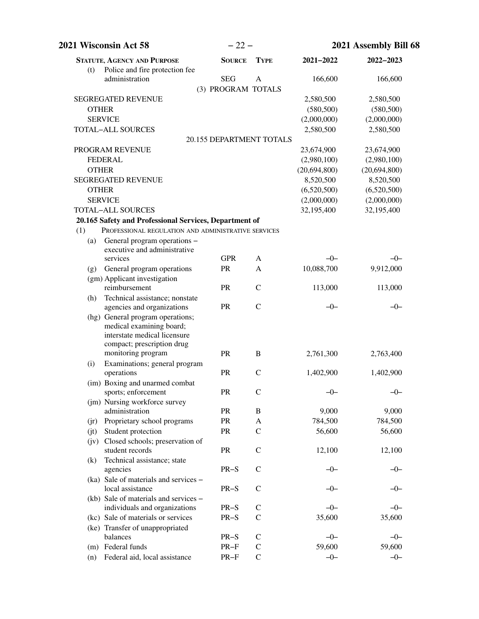|              | 2021 Wisconsin Act 58                                                                                                      | $-22-$                          |               |              | 2021 Assembly Bill 68 |
|--------------|----------------------------------------------------------------------------------------------------------------------------|---------------------------------|---------------|--------------|-----------------------|
| (t)          | <b>STATUTE, AGENCY AND PURPOSE</b><br>Police and fire protection fee                                                       | <b>SOURCE</b>                   | <b>TYPE</b>   | 2021-2022    | 2022-2023             |
|              | administration                                                                                                             | <b>SEG</b>                      | A             | 166,600      | 166,600               |
|              |                                                                                                                            | (3) PROGRAM TOTALS              |               |              |                       |
|              | <b>SEGREGATED REVENUE</b>                                                                                                  |                                 |               | 2,580,500    | 2,580,500             |
| <b>OTHER</b> |                                                                                                                            |                                 |               | (580, 500)   | (580, 500)            |
|              | <b>SERVICE</b>                                                                                                             |                                 |               | (2,000,000)  | (2,000,000)           |
|              | <b>TOTAL-ALL SOURCES</b>                                                                                                   |                                 |               | 2,580,500    | 2,580,500             |
|              |                                                                                                                            | <b>20.155 DEPARTMENT TOTALS</b> |               |              |                       |
|              | PROGRAM REVENUE                                                                                                            |                                 |               | 23,674,900   | 23,674,900            |
|              | <b>FEDERAL</b>                                                                                                             |                                 |               | (2,980,100)  | (2,980,100)           |
| <b>OTHER</b> |                                                                                                                            |                                 |               | (20,694,800) | (20,694,800)          |
|              | <b>SEGREGATED REVENUE</b>                                                                                                  |                                 |               | 8,520,500    | 8,520,500             |
| <b>OTHER</b> |                                                                                                                            |                                 |               | (6,520,500)  | (6,520,500)           |
|              | <b>SERVICE</b>                                                                                                             |                                 |               | (2,000,000)  | (2,000,000)           |
|              | <b>TOTAL-ALL SOURCES</b>                                                                                                   |                                 |               | 32,195,400   | 32,195,400            |
|              | 20.165 Safety and Professional Services, Department of                                                                     |                                 |               |              |                       |
| (1)          | PROFESSIONAL REGULATION AND ADMINISTRATIVE SERVICES                                                                        |                                 |               |              |                       |
| (a)          | General program operations -                                                                                               |                                 |               |              |                       |
|              | executive and administrative                                                                                               |                                 |               |              |                       |
|              | services                                                                                                                   | <b>GPR</b>                      | A             | $-0-$        | $-0-$                 |
| (g)          | General program operations                                                                                                 | PR                              | A             | 10,088,700   | 9,912,000             |
|              | (gm) Applicant investigation<br>reimbursement                                                                              | PR                              | $\mathcal{C}$ | 113,000      | 113,000               |
| (h)          | Technical assistance; nonstate                                                                                             |                                 |               |              |                       |
|              | agencies and organizations                                                                                                 | <b>PR</b>                       | $\mathsf{C}$  | $-0-$        | $-0-$                 |
|              | (hg) General program operations;<br>medical examining board;<br>interstate medical licensure<br>compact; prescription drug |                                 |               |              |                       |
| (i)          | monitoring program<br>Examinations; general program                                                                        | PR                              | B             | 2,761,300    | 2,763,400             |
|              | operations                                                                                                                 | PR                              | $\mathsf{C}$  | 1,402,900    | 1,402,900             |
|              | (im) Boxing and unarmed combat<br>sports; enforcement                                                                      | PR                              | $\mathcal{C}$ | $-0-$        | $-0-$                 |
|              | (jm) Nursing workforce survey                                                                                              |                                 |               |              |                       |
|              | administration                                                                                                             | PR                              | B             | 9,000        | 9,000                 |
|              | (jr) Proprietary school programs                                                                                           | PR                              | A             | 784,500      | 784,500               |
| (jt)         | Student protection                                                                                                         | PR                              | $\mathsf{C}$  | 56,600       | 56,600                |
| (iv)         | Closed schools; preservation of<br>student records                                                                         | PR                              | $\mathcal{C}$ | 12,100       | 12,100                |
| (k)          | Technical assistance; state                                                                                                |                                 |               |              |                       |
|              | agencies                                                                                                                   | $PR-S$                          | $\mathcal{C}$ | $-0-$        | $-0-$                 |
|              | (ka) Sale of materials and services -                                                                                      |                                 |               |              |                       |
|              | local assistance                                                                                                           | $PR-S$                          | $\mathcal{C}$ | $-0-$        | $-0-$                 |
|              | (kb) Sale of materials and services –                                                                                      | $PR-S$                          | $\mathsf{C}$  | $-0-$        | $-0-$                 |
|              | individuals and organizations<br>(kc) Sale of materials or services                                                        | $PR-S$                          | $\mathcal{C}$ | 35,600       | 35,600                |
|              | (ke) Transfer of unappropriated                                                                                            |                                 |               |              |                       |
|              | balances                                                                                                                   | $PR-S$                          | $\mathsf{C}$  | $-0-$        | $-0-$                 |
|              | (m) Federal funds                                                                                                          | PR-F                            | $\mathcal{C}$ | 59,600       | 59,600                |
| (n)          | Federal aid, local assistance                                                                                              | $PR-F$                          | $\mathsf{C}$  | $-0-$        | $-0-$                 |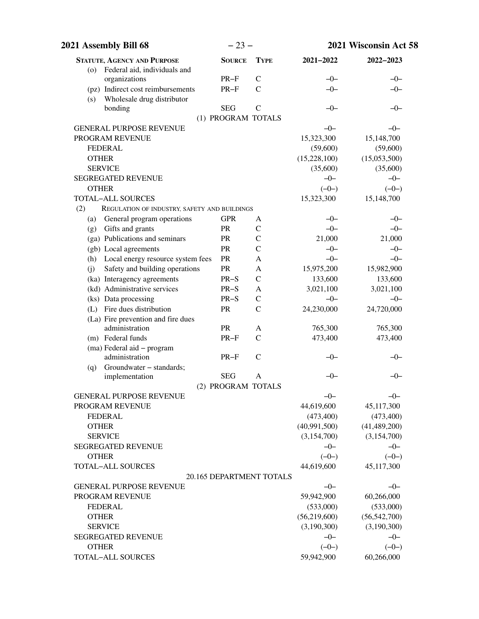| 2021 Assembly Bill 68                                                  | $-23-$             |                          |              | 2021 Wisconsin Act 58 |
|------------------------------------------------------------------------|--------------------|--------------------------|--------------|-----------------------|
| <b>STATUTE, AGENCY AND PURPOSE</b>                                     | <b>SOURCE</b>      | <b>TYPE</b>              | 2021-2022    | 2022-2023             |
| Federal aid, individuals and<br>(o)                                    |                    |                          |              |                       |
| organizations                                                          | $PR-F$             | $\mathcal{C}$            | $-0-$        | $-0-$                 |
| (pz) Indirect cost reimbursements<br>Wholesale drug distributor<br>(s) | $PR-F$             | $\mathcal{C}$            | $-0-$        | $-0-$                 |
| bonding                                                                | <b>SEG</b>         | $\mathcal{C}$            | $-0-$        | $-0-$                 |
|                                                                        | (1) PROGRAM TOTALS |                          |              |                       |
| <b>GENERAL PURPOSE REVENUE</b>                                         |                    |                          | $-0-$        | $-0-$                 |
| PROGRAM REVENUE                                                        |                    |                          | 15,323,300   | 15,148,700            |
| <b>FEDERAL</b>                                                         |                    |                          | (59,600)     | (59,600)              |
| <b>OTHER</b>                                                           |                    |                          | (15,228,100) | (15,053,500)          |
| <b>SERVICE</b>                                                         |                    |                          | (35,600)     | (35,600)              |
| <b>SEGREGATED REVENUE</b>                                              |                    |                          | $-0-$        | $-0-$                 |
| <b>OTHER</b>                                                           |                    |                          | $(-0-)$      | $(-0-)$               |
| <b>TOTAL-ALL SOURCES</b>                                               |                    |                          | 15,323,300   | 15,148,700            |
| (2)<br>REGULATION OF INDUSTRY, SAFETY AND BUILDINGS                    |                    |                          |              |                       |
| General program operations<br>(a)                                      | <b>GPR</b>         | A                        | $-0-$        | $-0-$                 |
| Gifts and grants<br>(g)                                                | <b>PR</b>          | $\mathcal{C}$            | $-0-$        | $-0-$                 |
| (ga) Publications and seminars                                         | PR                 | $\mathcal{C}$            | 21,000       | 21,000                |
| (gb) Local agreements                                                  | PR                 | $\mathcal{C}$            | $-0-$        | $-0-$                 |
| Local energy resource system fees<br>(h)                               | PR                 | A                        | $-0-$        | $-0-$                 |
| Safety and building operations<br>(i)                                  | PR                 | A                        | 15,975,200   | 15,982,900            |
| (ka) Interagency agreements                                            | $PR-S$             | $\mathbf C$              | 133,600      | 133,600               |
| (kd) Administrative services                                           | $PR-S$             | A                        | 3,021,100    | 3,021,100             |
| (ks) Data processing                                                   | $PR-S$             | $\mathcal{C}$            | $-0-$        | $-0-$                 |
| (L) Fire dues distribution                                             | PR                 | $\mathcal{C}$            | 24,230,000   | 24,720,000            |
| (La) Fire prevention and fire dues                                     |                    |                          |              |                       |
| administration                                                         | PR                 | A                        | 765,300      | 765,300               |
| (m) Federal funds                                                      | $PR-F$             | $\mathcal{C}$            | 473,400      | 473,400               |
| (ma) Federal aid - program                                             |                    |                          |              |                       |
| administration                                                         | $PR-F$             | $\mathcal{C}$            | -0-          | –0–                   |
| Groundwater - standards;<br>(q)                                        |                    |                          |              |                       |
| implementation                                                         | <b>SEG</b>         | A                        | $-0-$        | $-0-$                 |
|                                                                        | (2) PROGRAM TOTALS |                          |              |                       |
| <b>GENERAL PURPOSE REVENUE</b>                                         |                    |                          | $-0-$        | $-0-$                 |
| PROGRAM REVENUE                                                        |                    |                          | 44,619,600   | 45,117,300            |
| <b>FEDERAL</b>                                                         |                    |                          | (473, 400)   | (473, 400)            |
| <b>OTHER</b>                                                           |                    |                          | (40,991,500) | (41, 489, 200)        |
| <b>SERVICE</b>                                                         |                    |                          | (3,154,700)  | (3, 154, 700)         |
| <b>SEGREGATED REVENUE</b>                                              |                    |                          | $-0-$        | $-0-$                 |
| <b>OTHER</b>                                                           |                    |                          | $(-0-)$      | $(-0-)$               |
| <b>TOTAL-ALL SOURCES</b>                                               |                    |                          | 44,619,600   | 45,117,300            |
|                                                                        |                    | 20.165 DEPARTMENT TOTALS |              |                       |
| <b>GENERAL PURPOSE REVENUE</b>                                         |                    |                          | $-0-$        | $-0-$                 |
| PROGRAM REVENUE                                                        |                    |                          | 59,942,900   | 60,266,000            |
| <b>FEDERAL</b>                                                         |                    |                          | (533,000)    | (533,000)             |
| <b>OTHER</b>                                                           |                    |                          | (56,219,600) | (56, 542, 700)        |
| <b>SERVICE</b>                                                         |                    |                          | (3,190,300)  | (3,190,300)           |
| <b>SEGREGATED REVENUE</b>                                              |                    |                          | $-0-$        | $-0-$                 |
| <b>OTHER</b>                                                           |                    |                          | $(-0-)$      | $(-0-)$               |
| <b>TOTAL-ALL SOURCES</b>                                               |                    |                          | 59,942,900   | 60,266,000            |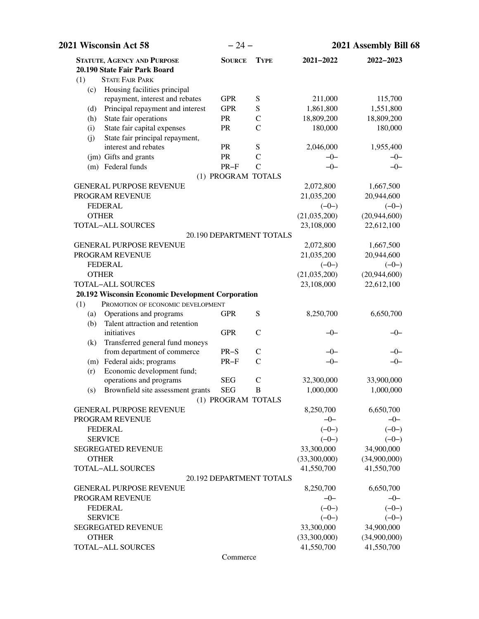| 2021 Wisconsin Act 58                                              | $-24-$                   |                    | 2021 Assembly Bill 68 |                    |
|--------------------------------------------------------------------|--------------------------|--------------------|-----------------------|--------------------|
| <b>STATUTE, AGENCY AND PURPOSE</b><br>20.190 State Fair Park Board | <b>SOURCE</b>            | <b>TYPE</b>        | 2021-2022             | 2022-2023          |
| <b>STATE FAIR PARK</b><br>(1)                                      |                          |                    |                       |                    |
| Housing facilities principal<br>(c)                                |                          |                    |                       |                    |
| repayment, interest and rebates                                    | <b>GPR</b>               | S                  | 211,000               | 115,700            |
| Principal repayment and interest<br>(d)                            | <b>GPR</b>               | ${\bf S}$          | 1,861,800             | 1,551,800          |
| State fair operations<br>(h)                                       | PR                       | $\mathcal{C}$      | 18,809,200            | 18,809,200         |
| State fair capital expenses<br>(i)                                 | PR                       | $\mathcal{C}$      | 180,000               | 180,000            |
| State fair principal repayment,<br>(j)                             |                          |                    |                       |                    |
| interest and rebates                                               | PR                       | ${\bf S}$          | 2,046,000             | 1,955,400          |
| (jm) Gifts and grants                                              | PR                       | $\mathcal{C}$      | $-0-$                 | $-0-$              |
| (m) Federal funds                                                  | $PR-F$                   | $\mathcal{C}$      | $-0-$                 | $-0-$              |
|                                                                    | (1) PROGRAM TOTALS       |                    |                       |                    |
| <b>GENERAL PURPOSE REVENUE</b>                                     |                          |                    | 2,072,800             | 1,667,500          |
| PROGRAM REVENUE                                                    |                          |                    | 21,035,200            | 20,944,600         |
| <b>FEDERAL</b>                                                     |                          |                    | $(-0-)$               | $(-0-)$            |
| <b>OTHER</b>                                                       |                          |                    | (21,035,200)          | (20, 944, 600)     |
| <b>TOTAL-ALL SOURCES</b>                                           |                          |                    | 23,108,000            | 22,612,100         |
|                                                                    | 20.190 DEPARTMENT TOTALS |                    |                       |                    |
| <b>GENERAL PURPOSE REVENUE</b>                                     |                          |                    | 2,072,800             | 1,667,500          |
| PROGRAM REVENUE                                                    |                          |                    | 21,035,200            | 20,944,600         |
| <b>FEDERAL</b>                                                     |                          |                    | $(-0-)$               | $(-0-)$            |
| <b>OTHER</b>                                                       |                          |                    | (21,035,200)          | (20,944,600)       |
| <b>TOTAL-ALL SOURCES</b>                                           |                          |                    | 23,108,000            | 22,612,100         |
| 20.192 Wisconsin Economic Development Corporation                  |                          |                    |                       |                    |
| PROMOTION OF ECONOMIC DEVELOPMENT<br>(1)                           |                          |                    |                       |                    |
| Operations and programs<br>(a)                                     | <b>GPR</b>               | ${\bf S}$          | 8,250,700             | 6,650,700          |
| Talent attraction and retention<br>(b)                             |                          |                    |                       |                    |
| initiatives                                                        | <b>GPR</b>               | $\mathcal{C}$      | $-0-$                 | $-0-$              |
| Transferred general fund moneys<br>(k)                             |                          |                    |                       |                    |
| from department of commerce                                        | $PR-S$                   | $\mathsf{C}$       | $-0-$                 | $-0-$              |
| (m) Federal aids; programs                                         | $PR-F$                   | $\mathsf{C}$       | $-0-$                 | $-0-$              |
| Economic development fund;<br>(r)                                  |                          |                    |                       |                    |
| operations and programs                                            | <b>SEG</b>               | $\mathcal{C}$<br>B | 32,300,000            | 33,900,000         |
| (s) Brownfield site assessment grants SEG                          |                          |                    | 1,000,000             | 1,000,000          |
| <b>GENERAL PURPOSE REVENUE</b>                                     | (1) PROGRAM TOTALS       |                    |                       | 6,650,700          |
| PROGRAM REVENUE                                                    |                          |                    | 8,250,700<br>$-0-$    | $-0-$              |
| <b>FEDERAL</b>                                                     |                          |                    | $(-0-)$               | $(-0-)$            |
| <b>SERVICE</b>                                                     |                          |                    | $(-0-)$               | $(-0-)$            |
| <b>SEGREGATED REVENUE</b>                                          |                          |                    | 33,300,000            | 34,900,000         |
| <b>OTHER</b>                                                       |                          |                    | (33,300,000)          | (34,900,000)       |
| <b>TOTAL-ALL SOURCES</b>                                           |                          |                    | 41,550,700            | 41,550,700         |
|                                                                    | 20.192 DEPARTMENT TOTALS |                    |                       |                    |
| <b>GENERAL PURPOSE REVENUE</b>                                     |                          |                    | 8,250,700             | 6,650,700          |
| PROGRAM REVENUE                                                    |                          |                    | $-0-$                 | $-0-$              |
| <b>FEDERAL</b>                                                     |                          |                    |                       |                    |
| <b>SERVICE</b>                                                     |                          |                    | $(-0-)$<br>$(-0-)$    | $(-0-)$<br>$(-0-)$ |
| SEGREGATED REVENUE                                                 |                          |                    | 33,300,000            | 34,900,000         |
| <b>OTHER</b>                                                       |                          |                    | (33,300,000)          | (34,900,000)       |
| TOTAL-ALL SOURCES                                                  |                          |                    | 41,550,700            | 41,550,700         |
|                                                                    |                          |                    |                       |                    |

Commerce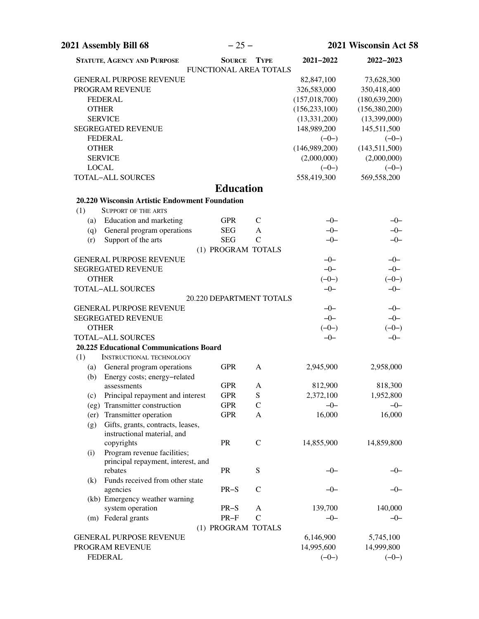| <b>STATUTE, AGENCY AND PURPOSE</b>             | <b>SOURCE</b>    | <b>TYPE</b>              | 2021-2022       | 2022-2023       |
|------------------------------------------------|------------------|--------------------------|-----------------|-----------------|
|                                                |                  | FUNCTIONAL AREA TOTALS   |                 |                 |
| <b>GENERAL PURPOSE REVENUE</b>                 |                  |                          | 82,847,100      | 73,628,300      |
| PROGRAM REVENUE                                |                  |                          | 326,583,000     | 350,418,400     |
| <b>FEDERAL</b>                                 |                  |                          | (157, 018, 700) | (180, 639, 200) |
| <b>OTHER</b>                                   |                  |                          | (156, 233, 100) | (156, 380, 200) |
| <b>SERVICE</b>                                 |                  |                          | (13, 331, 200)  | (13,399,000)    |
| <b>SEGREGATED REVENUE</b>                      |                  |                          | 148,989,200     | 145,511,500     |
| <b>FEDERAL</b>                                 |                  |                          | $(-0-)$         | $(-0-)$         |
| <b>OTHER</b>                                   |                  |                          | (146,989,200)   | (143, 511, 500) |
| <b>SERVICE</b>                                 |                  |                          | (2,000,000)     | (2,000,000)     |
| <b>LOCAL</b>                                   |                  |                          | $(-0-)$         | $(-0-)$         |
| <b>TOTAL-ALL SOURCES</b>                       |                  |                          | 558,419,300     | 569,558,200     |
|                                                | <b>Education</b> |                          |                 |                 |
| 20.220 Wisconsin Artistic Endowment Foundation |                  |                          |                 |                 |
| (1)<br><b>SUPPORT OF THE ARTS</b>              |                  |                          |                 |                 |
| Education and marketing<br>(a)                 | <b>GPR</b>       | $\mathcal{C}$            | $-0-$           | $-0-$           |
| General program operations<br>(q)              | <b>SEG</b>       | A                        | $-0-$           | $-0-$           |
| Support of the arts<br>(r)                     | <b>SEG</b>       | $\mathcal{C}$            | $-0-$           | $-0-$           |
|                                                |                  | (1) PROGRAM TOTALS       |                 |                 |
| <b>GENERAL PURPOSE REVENUE</b>                 |                  |                          | $-0-$           | $-0-$           |
| <b>SEGREGATED REVENUE</b>                      |                  |                          | $-0-$           | $-0-$           |
| <b>OTHER</b>                                   |                  |                          | $(-0-)$         | $(-0-)$         |
| <b>TOTAL-ALL SOURCES</b>                       |                  |                          | $-0-$           | $-0-$           |
|                                                |                  | 20.220 DEPARTMENT TOTALS |                 |                 |
| <b>GENERAL PURPOSE REVENUE</b>                 |                  |                          | $-0-$           | $-0-$           |
| <b>SEGREGATED REVENUE</b>                      |                  |                          | $-0-$           | $-0-$           |
| <b>OTHER</b>                                   |                  |                          | $(-0-)$         | $(-0-)$         |
| <b>TOTAL-ALL SOURCES</b>                       |                  |                          | $-0-$           | $-0-$           |
| 20.225 Educational Communications Board        |                  |                          |                 |                 |
| (1)<br><b>INSTRUCTIONAL TECHNOLOGY</b>         |                  |                          |                 |                 |
| (a) General program operations                 | <b>GPR</b>       | A                        | 2,945,900       | 2,958,000       |
| (b) Energy costs; energy-related               |                  |                          |                 |                 |
| assessments                                    | <b>GPR</b>       | A                        | 812,900         | 818,300         |
| (c) Principal repayment and interest           | <b>GPR</b>       | S                        | 2,372,100       | 1,952,800       |
| (eg) Transmitter construction                  | <b>GPR</b>       | $\mathcal{C}$            | $-0-$           | $-0-$           |
| (er) Transmitter operation                     | <b>GPR</b>       | A                        | 16,000          | 16,000          |
| Gifts, grants, contracts, leases,<br>(g)       |                  |                          |                 |                 |
| instructional material, and                    |                  |                          |                 |                 |
| copyrights                                     | PR               | $\mathsf{C}$             | 14,855,900      | 14,859,800      |
| Program revenue facilities;<br>(i)             |                  |                          |                 |                 |
| principal repayment, interest, and             |                  |                          |                 |                 |
| rebates                                        | PR               | S                        | $-0-$           | -0-             |
| Funds received from other state<br>(k)         |                  |                          |                 |                 |
| agencies                                       | $PR-S$           | $\mathsf{C}$             | $-0-$           | $-0-$           |
| (kb) Emergency weather warning                 |                  |                          |                 |                 |
| system operation                               | PR-S             | A                        | 139,700         | 140,000         |
| (m) Federal grants                             | $PR-F$           | $\mathcal{C}$            | $-0-$           | $-0-$           |
|                                                |                  | (1) PROGRAM TOTALS       |                 |                 |
| <b>GENERAL PURPOSE REVENUE</b>                 |                  |                          |                 |                 |
|                                                |                  |                          | 6,146,900       | 5,745,100       |
| PROGRAM REVENUE                                |                  |                          | 14,995,600      | 14,999,800      |
| <b>FEDERAL</b>                                 |                  |                          | $(-0-)$         | $(-0-)$         |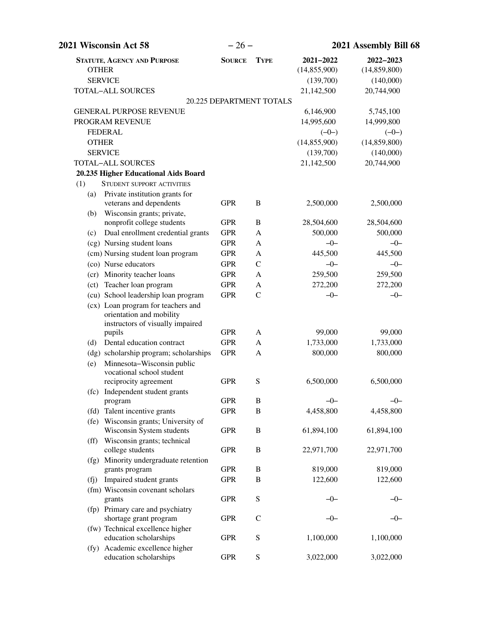| 2021 Wisconsin Act 58                                                                                    | $-26-$                   |               |                             | 2021 Assembly Bill 68     |  |
|----------------------------------------------------------------------------------------------------------|--------------------------|---------------|-----------------------------|---------------------------|--|
| <b>STATUTE, AGENCY AND PURPOSE</b><br><b>OTHER</b><br><b>SERVICE</b>                                     | <b>SOURCE</b>            | <b>TYPE</b>   | 2021-2022<br>(14, 855, 900) | 2022-2023<br>(14,859,800) |  |
|                                                                                                          |                          |               | (139,700)                   | (140,000)                 |  |
| <b>TOTAL-ALL SOURCES</b>                                                                                 |                          |               | 21,142,500                  | 20,744,900                |  |
|                                                                                                          | 20.225 DEPARTMENT TOTALS |               |                             |                           |  |
| <b>GENERAL PURPOSE REVENUE</b>                                                                           |                          |               | 6,146,900                   | 5,745,100                 |  |
| PROGRAM REVENUE                                                                                          |                          |               | 14,995,600                  | 14,999,800                |  |
| <b>FEDERAL</b><br><b>OTHER</b>                                                                           |                          |               | $(-0-)$<br>(14, 855, 900)   | $(-0-)$                   |  |
| <b>SERVICE</b>                                                                                           |                          |               | (139,700)                   | (14,859,800)<br>(140,000) |  |
| <b>TOTAL-ALL SOURCES</b>                                                                                 |                          |               | 21,142,500                  | 20,744,900                |  |
| 20.235 Higher Educational Aids Board                                                                     |                          |               |                             |                           |  |
| (1)<br>STUDENT SUPPORT ACTIVITIES                                                                        |                          |               |                             |                           |  |
| Private institution grants for<br>(a)                                                                    |                          |               |                             |                           |  |
| veterans and dependents<br>Wisconsin grants; private,<br>(b)                                             | <b>GPR</b>               | B             | 2,500,000                   | 2,500,000                 |  |
| nonprofit college students                                                                               | <b>GPR</b>               | B             | 28,504,600                  | 28,504,600                |  |
| Dual enrollment credential grants<br>(c)                                                                 | <b>GPR</b>               | A             | 500,000                     | 500,000                   |  |
| (cg) Nursing student loans                                                                               | <b>GPR</b>               | A             | $-0-$                       | $-0-$                     |  |
| (cm) Nursing student loan program                                                                        | <b>GPR</b>               | A             | 445,500                     | 445,500                   |  |
| (co) Nurse educators                                                                                     | <b>GPR</b>               | $\mathbf C$   | $-0-$                       | $-0-$                     |  |
| (cr) Minority teacher loans                                                                              | <b>GPR</b>               | A             | 259,500                     | 259,500                   |  |
| (ct) Teacher loan program                                                                                | <b>GPR</b>               | A             | 272,200                     | 272,200                   |  |
| (cu) School leadership loan program                                                                      | <b>GPR</b>               | $\mathcal{C}$ | $-0-$                       | $-0-$                     |  |
| (cx) Loan program for teachers and<br>orientation and mobility<br>instructors of visually impaired       |                          |               |                             |                           |  |
| pupils                                                                                                   | <b>GPR</b>               | A             | 99,000                      | 99,000                    |  |
| Dental education contract<br>(d)                                                                         | <b>GPR</b>               | A             | 1,733,000                   | 1,733,000                 |  |
| (dg) scholarship program; scholarships<br>Minnesota-Wisconsin public<br>(e)<br>vocational school student | <b>GPR</b>               | A             | 800,000                     | 800,000                   |  |
| reciprocity agreement<br>(fc) Independent student grants                                                 | <b>GPR</b>               | S             | 6,500,000                   | 6,500,000                 |  |
| program                                                                                                  | <b>GPR</b>               | B             | $-0-$                       | $-0-$                     |  |
| (fd) Talent incentive grants                                                                             | <b>GPR</b>               | $\, {\bf B}$  | 4,458,800                   | 4,458,800                 |  |
| (fe) Wisconsin grants; University of                                                                     |                          |               |                             |                           |  |
| Wisconsin System students<br>(ff) Wisconsin grants; technical                                            | <b>GPR</b>               | $\bf{B}$      | 61,894,100                  | 61,894,100                |  |
| college students<br>(fg) Minority undergraduate retention                                                | <b>GPR</b>               | $\, {\bf B}$  | 22,971,700                  | 22,971,700                |  |
| grants program                                                                                           | <b>GPR</b>               | B             | 819,000                     | 819,000                   |  |
| Impaired student grants<br>(f <sub>j</sub> )                                                             | <b>GPR</b>               | B             | 122,600                     | 122,600                   |  |
| (fm) Wisconsin covenant scholars<br>grants                                                               | <b>GPR</b>               | ${\bf S}$     | -0-                         | –0–                       |  |
| (fp) Primary care and psychiatry<br>shortage grant program                                               | <b>GPR</b>               | $\mathcal{C}$ | -0-                         | $-0-$                     |  |
| (fw) Technical excellence higher<br>education scholarships                                               | <b>GPR</b>               | ${\bf S}$     | 1,100,000                   | 1,100,000                 |  |
| (fy) Academic excellence higher<br>education scholarships                                                | <b>GPR</b>               | ${\bf S}$     | 3,022,000                   | 3,022,000                 |  |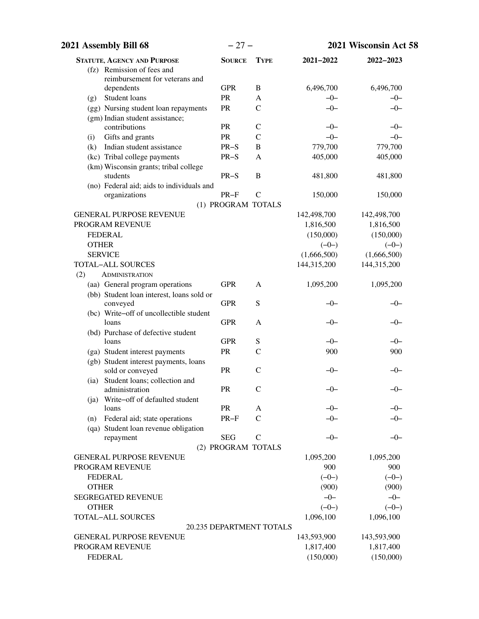| 2021 Assembly Bill 68                                                 | $-27-$                   |                   |                | 2021 Wisconsin Act 58 |
|-----------------------------------------------------------------------|--------------------------|-------------------|----------------|-----------------------|
| <b>STATUTE, AGENCY AND PURPOSE</b>                                    | <b>SOURCE</b>            | <b>TYPE</b>       | 2021-2022      | 2022-2023             |
| (fz) Remission of fees and                                            |                          |                   |                |                       |
| reimbursement for veterans and                                        |                          |                   |                |                       |
| dependents                                                            | <b>GPR</b>               | B                 | 6,496,700      | 6,496,700             |
| Student loans<br>(g)                                                  | PR                       | A                 | $-0-$          | $-0-$                 |
| (gg) Nursing student loan repayments                                  | PR                       | $\mathsf{C}$      | $-0-$          | $-0-$                 |
| (gm) Indian student assistance;                                       |                          |                   |                |                       |
| contributions                                                         | PR                       | $\mathsf{C}$      | $-0-$<br>$-0-$ | $-0-$                 |
| Gifts and grants<br>(i)                                               | PR                       | $\mathcal{C}$     | 779,700        | $-0-$                 |
| Indian student assistance<br>(k)                                      | $PR-S$                   | B<br>$\mathbf{A}$ | 405,000        | 779,700               |
| (kc) Tribal college payments<br>(km) Wisconsin grants; tribal college | $PR-S$                   |                   |                | 405,000               |
| students                                                              | $PR-S$                   | B                 | 481,800        | 481,800               |
| (no) Federal aid; aids to individuals and                             |                          |                   |                |                       |
| organizations                                                         | $PR-F$                   | $\mathsf{C}$      | 150,000        | 150,000               |
|                                                                       | (1) PROGRAM TOTALS       |                   |                |                       |
| <b>GENERAL PURPOSE REVENUE</b>                                        |                          |                   | 142,498,700    | 142,498,700           |
| PROGRAM REVENUE                                                       |                          |                   | 1,816,500      | 1,816,500             |
| <b>FEDERAL</b>                                                        |                          |                   | (150,000)      | (150,000)             |
| <b>OTHER</b>                                                          |                          |                   | $(-0-)$        | $(-0-)$               |
| <b>SERVICE</b>                                                        |                          |                   | (1,666,500)    | (1,666,500)           |
| <b>TOTAL-ALL SOURCES</b>                                              |                          |                   | 144,315,200    | 144,315,200           |
| (2)<br><b>ADMINISTRATION</b>                                          |                          |                   |                |                       |
| (aa) General program operations                                       | <b>GPR</b>               | A                 | 1,095,200      | 1,095,200             |
| (bb) Student loan interest, loans sold or                             |                          |                   |                |                       |
| conveyed                                                              | <b>GPR</b>               | S                 | $-0-$          | $-0-$                 |
| (bc) Write-off of uncollectible student                               |                          |                   |                |                       |
| loans                                                                 | <b>GPR</b>               | A                 | $-0-$          | $-0-$                 |
| (bd) Purchase of defective student                                    |                          |                   |                |                       |
| loans                                                                 | <b>GPR</b>               | ${\mathbf S}$     | $-0-$          | $-0-$                 |
| (ga) Student interest payments                                        | PR                       | $\mathbf C$       | 900            | 900                   |
| (gb) Student interest payments, loans                                 |                          |                   |                |                       |
| sold or conveyed                                                      | PR                       | $\mathsf{C}$      | -0-            | -0-                   |
| (ia) Student loans; collection and                                    |                          |                   |                |                       |
| administration                                                        | ${\sf PR}$               | $\mathcal{C}$     | $-0-$          | $-0-$                 |
| (ja) Write-off of defaulted student<br>loans                          | PR                       | A                 | $-0-$          | $-0-$                 |
| Federal aid; state operations<br>(n)                                  | $PR-F$                   | $\mathcal{C}$     | $-0-$          | $-0-$                 |
| (qa) Student loan revenue obligation                                  |                          |                   |                |                       |
| repayment                                                             | <b>SEG</b>               | $\mathcal{C}$     | $-0-$          | $-0-$                 |
|                                                                       | (2) PROGRAM TOTALS       |                   |                |                       |
| <b>GENERAL PURPOSE REVENUE</b>                                        |                          |                   | 1,095,200      | 1,095,200             |
| PROGRAM REVENUE                                                       |                          |                   | 900            | 900                   |
| <b>FEDERAL</b>                                                        |                          |                   | $(-0-)$        | $(-0-)$               |
| <b>OTHER</b>                                                          |                          |                   | (900)          | (900)                 |
| <b>SEGREGATED REVENUE</b>                                             |                          |                   | $-0-$          | $-0-$                 |
| <b>OTHER</b>                                                          |                          |                   | $(-0-)$        | $(-0-)$               |
| TOTAL-ALL SOURCES                                                     |                          |                   | 1,096,100      | 1,096,100             |
|                                                                       | 20.235 DEPARTMENT TOTALS |                   |                |                       |
| <b>GENERAL PURPOSE REVENUE</b>                                        |                          |                   | 143,593,900    | 143,593,900           |
| PROGRAM REVENUE                                                       |                          |                   | 1,817,400      | 1,817,400             |
| <b>FEDERAL</b>                                                        |                          |                   | (150,000)      | (150,000)             |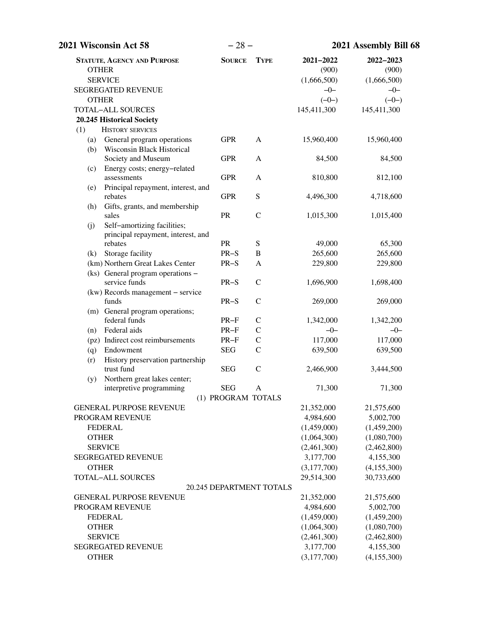| 2021 Wisconsin Act 58                                                         | $-28-$                   |               |                    | 2021 Assembly Bill 68 |
|-------------------------------------------------------------------------------|--------------------------|---------------|--------------------|-----------------------|
| <b>STATUTE, AGENCY AND PURPOSE</b><br><b>OTHER</b>                            | <b>SOURCE</b>            | <b>TYPE</b>   | 2021-2022<br>(900) | 2022-2023<br>(900)    |
| <b>SERVICE</b>                                                                |                          |               | (1,666,500)        | (1,666,500)           |
| SEGREGATED REVENUE                                                            |                          |               | $-0-$              | $-0-$                 |
| <b>OTHER</b>                                                                  |                          |               | $(-0-)$            | $(-0-)$               |
| TOTAL-ALL SOURCES                                                             |                          |               | 145,411,300        | 145,411,300           |
| 20.245 Historical Society                                                     |                          |               |                    |                       |
| <b>HISTORY SERVICES</b><br>(1)                                                |                          |               |                    |                       |
| General program operations<br>(a)<br><b>Wisconsin Black Historical</b><br>(b) | <b>GPR</b>               | $\mathbf{A}$  | 15,960,400         | 15,960,400            |
| Society and Museum<br>Energy costs; energy-related<br>(c)                     | <b>GPR</b>               | A             | 84,500             | 84,500                |
| assessments<br>Principal repayment, interest, and<br>(e)                      | <b>GPR</b>               | A             | 810,800            | 812,100               |
| rebates                                                                       | <b>GPR</b>               | ${\bf S}$     | 4,496,300          | 4,718,600             |
| Gifts, grants, and membership<br>(h)<br>sales                                 | PR                       | $\mathcal{C}$ | 1,015,300          | 1,015,400             |
| Self-amortizing facilities;<br>(j)<br>principal repayment, interest, and      |                          |               |                    |                       |
| rebates                                                                       | <b>PR</b>                | ${\mathbf S}$ | 49,000             | 65,300                |
| Storage facility<br>(k)                                                       | $PR-S$                   | $\, {\bf B}$  | 265,600            | 265,600               |
| (km) Northern Great Lakes Center                                              | $PR-S$                   | A             | 229,800            | 229,800               |
| (ks) General program operations –<br>service funds                            | $PR-S$                   | $\mathbf C$   | 1,696,900          | 1,698,400             |
| (kw) Records management - service<br>funds                                    | $PR-S$                   | $\mathsf{C}$  | 269,000            | 269,000               |
| (m) General program operations;<br>federal funds                              | $PR-F$                   | $\mathcal{C}$ | 1,342,000          | 1,342,200             |
| Federal aids<br>(n)                                                           | $PR-F$                   | $\mathcal{C}$ | $-0-$              | $-0-$                 |
| (pz) Indirect cost reimbursements                                             | $PR-F$                   | $\mathbf C$   | 117,000            | 117,000               |
| Endowment<br>(q)                                                              | <b>SEG</b>               | $\mathcal{C}$ | 639,500            | 639,500               |
| History preservation partnership<br>(r)                                       |                          |               |                    |                       |
| trust fund                                                                    | <b>SEG</b>               | $\mathcal{C}$ | 2,466,900          | 3,444,500             |
| Northern great lakes center;<br>(y)                                           | <b>SEG</b>               |               | 71,300             | 71,300                |
| interpretive programming                                                      | (1) PROGRAM TOTALS       | Α             |                    |                       |
| <b>GENERAL PURPOSE REVENUE</b>                                                |                          |               | 21,352,000         | 21,575,600            |
| PROGRAM REVENUE                                                               |                          |               | 4,984,600          | 5,002,700             |
| <b>FEDERAL</b>                                                                |                          |               | (1,459,000)        | (1,459,200)           |
| <b>OTHER</b>                                                                  |                          |               | (1,064,300)        | (1,080,700)           |
| <b>SERVICE</b>                                                                |                          |               | (2,461,300)        | (2,462,800)           |
| <b>SEGREGATED REVENUE</b>                                                     |                          |               | 3,177,700          | 4,155,300             |
| <b>OTHER</b>                                                                  |                          |               | (3,177,700)        | (4,155,300)           |
| <b>TOTAL-ALL SOURCES</b>                                                      |                          |               | 29,514,300         | 30,733,600            |
|                                                                               | 20.245 DEPARTMENT TOTALS |               |                    |                       |
| <b>GENERAL PURPOSE REVENUE</b>                                                |                          |               | 21,352,000         | 21,575,600            |
| PROGRAM REVENUE                                                               |                          |               | 4,984,600          | 5,002,700             |
| <b>FEDERAL</b>                                                                |                          |               | (1,459,000)        | (1,459,200)           |
| <b>OTHER</b>                                                                  |                          |               | (1,064,300)        | (1,080,700)           |
| <b>SERVICE</b>                                                                |                          |               | (2,461,300)        | (2,462,800)           |
| <b>SEGREGATED REVENUE</b>                                                     |                          |               | 3,177,700          | 4,155,300             |
| <b>OTHER</b>                                                                  |                          |               | (3,177,700)        | (4,155,300)           |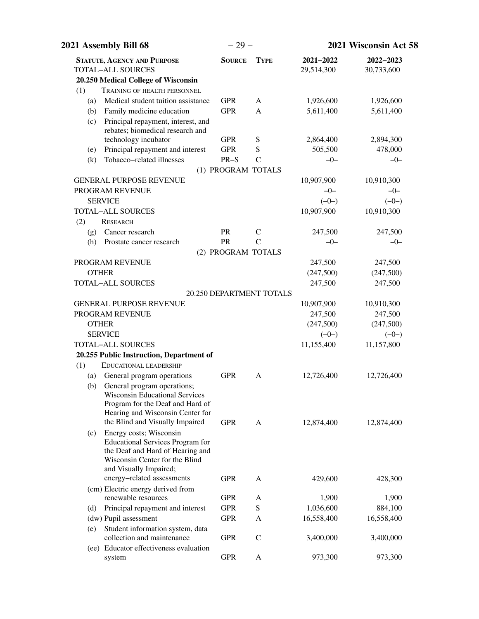|     | 2021 Assembly Bill 68                                                  | $-29-$             |                          |                         | 2021 Wisconsin Act 58   |
|-----|------------------------------------------------------------------------|--------------------|--------------------------|-------------------------|-------------------------|
|     | <b>STATUTE, AGENCY AND PURPOSE</b><br><b>TOTAL-ALL SOURCES</b>         | <b>SOURCE</b>      | <b>TYPE</b>              | 2021-2022<br>29,514,300 | 2022-2023<br>30,733,600 |
|     | 20.250 Medical College of Wisconsin                                    |                    |                          |                         |                         |
| (1) | TRAINING OF HEALTH PERSONNEL                                           |                    |                          |                         |                         |
| (a) | Medical student tuition assistance                                     | <b>GPR</b>         | A                        | 1,926,600               | 1,926,600               |
| (b) | Family medicine education                                              | <b>GPR</b>         | A                        | 5,611,400               | 5,611,400               |
| (c) | Principal repayment, interest, and<br>rebates; biomedical research and |                    |                          |                         |                         |
|     | technology incubator                                                   | <b>GPR</b>         | S                        | 2,864,400               | 2,894,300               |
| (e) | Principal repayment and interest                                       | <b>GPR</b>         | S                        | 505,500                 | 478,000                 |
| (k) | Tobacco-related illnesses                                              | $PR-S$             | $\mathcal{C}$            | $-0-$                   | $-0-$                   |
|     |                                                                        | (1) PROGRAM TOTALS |                          |                         |                         |
|     | <b>GENERAL PURPOSE REVENUE</b>                                         |                    |                          | 10,907,900              | 10,910,300              |
|     | PROGRAM REVENUE                                                        |                    |                          | $-0-$                   | $-0-$                   |
|     | <b>SERVICE</b>                                                         |                    |                          | $(-0-)$                 | $(-0-)$                 |
|     | <b>TOTAL-ALL SOURCES</b>                                               |                    |                          | 10,907,900              | 10,910,300              |
| (2) | <b>RESEARCH</b>                                                        |                    |                          |                         |                         |
| (g) | Cancer research                                                        | <b>PR</b>          | $\mathsf{C}$             | 247,500                 | 247,500                 |
| (h) | Prostate cancer research                                               | PR                 | $\mathcal{C}$            | $-0-$                   | $-0-$                   |
|     |                                                                        | (2) PROGRAM TOTALS |                          |                         |                         |
|     | PROGRAM REVENUE                                                        |                    |                          | 247,500                 | 247,500                 |
|     | <b>OTHER</b>                                                           |                    |                          | (247,500)               | (247,500)               |
|     | <b>TOTAL-ALL SOURCES</b>                                               |                    |                          | 247,500                 | 247,500                 |
|     |                                                                        |                    | 20.250 DEPARTMENT TOTALS |                         |                         |
|     | <b>GENERAL PURPOSE REVENUE</b>                                         |                    |                          | 10,907,900              | 10,910,300              |
|     | PROGRAM REVENUE                                                        |                    |                          | 247,500                 | 247,500                 |
|     | <b>OTHER</b>                                                           |                    |                          | (247,500)               | (247,500)               |
|     | <b>SERVICE</b>                                                         |                    |                          | $(-0-)$                 | $(-0-)$                 |
|     | <b>TOTAL-ALL SOURCES</b><br>20.255 Public Instruction, Department of   |                    |                          | 11,155,400              | 11,157,800              |
| (1) | <b>EDUCATIONAL LEADERSHIP</b>                                          |                    |                          |                         |                         |
| (a) | General program operations                                             | <b>GPR</b>         | A                        | 12,726,400              | 12,726,400              |
| (b) | General program operations;                                            |                    |                          |                         |                         |
|     | <b>Wisconsin Educational Services</b>                                  |                    |                          |                         |                         |
|     | Program for the Deaf and Hard of                                       |                    |                          |                         |                         |
|     | Hearing and Wisconsin Center for                                       |                    |                          |                         |                         |
|     | the Blind and Visually Impaired                                        | <b>GPR</b>         | A                        | 12,874,400              | 12,874,400              |
| (c) | Energy costs; Wisconsin                                                |                    |                          |                         |                         |
|     | <b>Educational Services Program for</b>                                |                    |                          |                         |                         |
|     | the Deaf and Hard of Hearing and<br>Wisconsin Center for the Blind     |                    |                          |                         |                         |
|     | and Visually Impaired;                                                 |                    |                          |                         |                         |
|     | energy-related assessments                                             | <b>GPR</b>         | A                        | 429,600                 | 428,300                 |
|     | (cm) Electric energy derived from                                      |                    |                          |                         |                         |
|     | renewable resources                                                    | <b>GPR</b>         | A                        | 1,900                   | 1,900                   |
| (d) | Principal repayment and interest                                       | <b>GPR</b>         | S                        | 1,036,600               | 884,100                 |
|     | (dw) Pupil assessment                                                  | <b>GPR</b>         | A                        | 16,558,400              | 16,558,400              |
| (e) | Student information system, data                                       |                    |                          |                         |                         |
|     | collection and maintenance                                             | <b>GPR</b>         | $\mathcal{C}$            | 3,400,000               | 3,400,000               |
|     | (ee) Educator effectiveness evaluation<br>system                       | <b>GPR</b>         | A                        | 973,300                 | 973,300                 |
|     |                                                                        |                    |                          |                         |                         |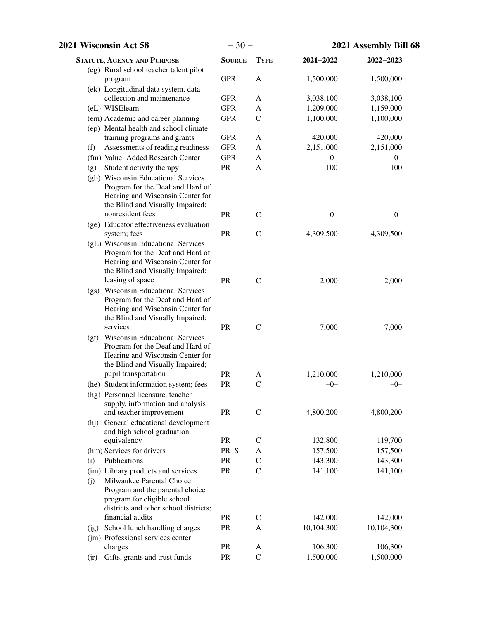| 2021 Wisconsin Act 58                                                                                                                                                              | $-30-$        |               |            | 2021 Assembly Bill 68 |
|------------------------------------------------------------------------------------------------------------------------------------------------------------------------------------|---------------|---------------|------------|-----------------------|
| <b>STATUTE, AGENCY AND PURPOSE</b>                                                                                                                                                 | <b>SOURCE</b> | <b>TYPE</b>   | 2021-2022  | 2022-2023             |
| (eg) Rural school teacher talent pilot<br>program                                                                                                                                  | <b>GPR</b>    | A             | 1,500,000  | 1,500,000             |
| (ek) Longitudinal data system, data                                                                                                                                                |               |               |            |                       |
| collection and maintenance                                                                                                                                                         | <b>GPR</b>    | A             | 3,038,100  | 3,038,100             |
| (eL) WISElearn                                                                                                                                                                     | <b>GPR</b>    | A             | 1,209,000  | 1,159,000             |
| (em) Academic and career planning                                                                                                                                                  | <b>GPR</b>    | $\mathbf C$   | 1,100,000  | 1,100,000             |
| (ep) Mental health and school climate                                                                                                                                              |               |               |            |                       |
| training programs and grants                                                                                                                                                       | <b>GPR</b>    | A             | 420,000    | 420,000               |
| Assessments of reading readiness<br>(f)                                                                                                                                            | <b>GPR</b>    | A             | 2,151,000  | 2,151,000             |
| (fm) Value-Added Research Center                                                                                                                                                   | <b>GPR</b>    | A             | $-0-$      | $-0-$                 |
| Student activity therapy<br>(g)<br>(gb) Wisconsin Educational Services<br>Program for the Deaf and Hard of<br>Hearing and Wisconsin Center for<br>the Blind and Visually Impaired; | ${\sf PR}$    | A             | 100        | 100                   |
| nonresident fees                                                                                                                                                                   | PR            | $\mathsf{C}$  | $-0-$      | $-0-$                 |
| (ge) Educator effectiveness evaluation<br>system; fees                                                                                                                             | PR            | $\mathcal{C}$ | 4,309,500  | 4,309,500             |
| (gL) Wisconsin Educational Services<br>Program for the Deaf and Hard of<br>Hearing and Wisconsin Center for<br>the Blind and Visually Impaired;<br>leasing of space                | PR            | $\mathcal{C}$ | 2,000      | 2,000                 |
| (gs) Wisconsin Educational Services<br>Program for the Deaf and Hard of<br>Hearing and Wisconsin Center for<br>the Blind and Visually Impaired;                                    |               |               |            |                       |
| services<br>(gt) Wisconsin Educational Services<br>Program for the Deaf and Hard of<br>Hearing and Wisconsin Center for<br>the Blind and Visually Impaired;                        | PR            | $\mathcal{C}$ | 7,000      | 7,000                 |
| pupil transportation                                                                                                                                                               | <b>PR</b>     | A             | 1,210,000  | 1,210,000             |
| (he) Student information system; fees<br>(hg) Personnel licensure, teacher<br>supply, information and analysis                                                                     | PR            | $\mathcal{C}$ | $-0-$      | $-0-$                 |
| and teacher improvement<br>(hj) General educational development<br>and high school graduation                                                                                      | PR            | $\mathcal{C}$ | 4,800,200  | 4,800,200             |
| equivalency                                                                                                                                                                        | PR            | $\mathcal{C}$ | 132,800    | 119,700               |
| (hm) Services for drivers                                                                                                                                                          | $PR-S$        | A             | 157,500    | 157,500               |
| Publications<br>(i)                                                                                                                                                                | PR            | $\mathsf{C}$  | 143,300    | 143,300               |
| (im) Library products and services<br>Milwaukee Parental Choice<br>(j)<br>Program and the parental choice<br>program for eligible school<br>districts and other school districts;  | PR            | $\mathcal{C}$ | 141,100    | 141,100               |
| financial audits                                                                                                                                                                   | <b>PR</b>     | $\mathsf{C}$  | 142,000    | 142,000               |
| (jg) School lunch handling charges<br>(jm) Professional services center                                                                                                            | PR            | A             | 10,104,300 | 10,104,300            |
| charges                                                                                                                                                                            | PR            | A             | 106,300    | 106,300               |
| Gifts, grants and trust funds<br>(jr)                                                                                                                                              | PR            | $\mathcal{C}$ | 1,500,000  | 1,500,000             |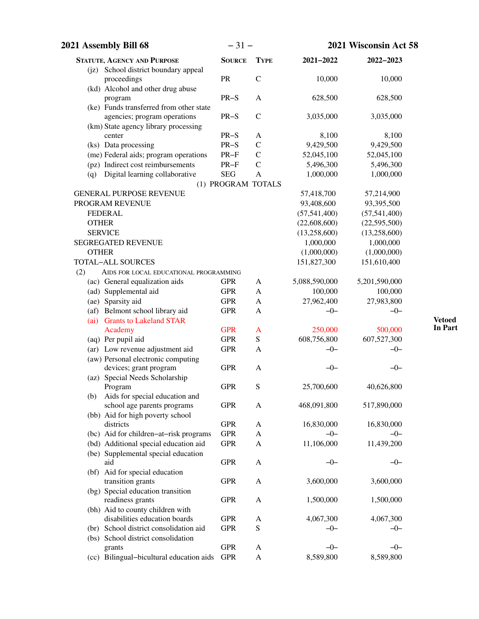| 2021 Assembly Bill 68                                                   | $-31-$                                         |              |                | 2021 Wisconsin Act 58 |
|-------------------------------------------------------------------------|------------------------------------------------|--------------|----------------|-----------------------|
| <b>STATUTE, AGENCY AND PURPOSE</b>                                      | <b>SOURCE</b>                                  | <b>TYPE</b>  | 2021-2022      | 2022-2023             |
| (jz) School district boundary appeal<br>proceedings                     | PR                                             | $\mathbf C$  | 10,000         | 10,000                |
| (kd) Alcohol and other drug abuse<br>program                            | $PR-S$                                         | $\mathbf{A}$ | 628,500        | 628,500               |
| (ke) Funds transferred from other state<br>agencies; program operations | PR-S                                           | $\mathbf C$  | 3,035,000      | 3,035,000             |
| (km) State agency library processing                                    |                                                |              |                |                       |
| center                                                                  | $PR-S$                                         | A            | 8,100          | 8,100                 |
| (ks) Data processing                                                    | $PR-S$                                         | $\mathsf C$  | 9,429,500      | 9,429,500             |
| (me) Federal aids; program operations                                   | $\ensuremath{\mathsf{PR}\text{-}\!\mathsf{F}}$ | $\mathsf C$  | 52,045,100     | 52,045,100            |
| (pz) Indirect cost reimbursements                                       | $PR-F$                                         | $\mathbf C$  | 5,496,300      | 5,496,300             |
| Digital learning collaborative<br>(q)                                   | <b>SEG</b>                                     | $\mathbf{A}$ | 1,000,000      | 1,000,000             |
|                                                                         | (1) PROGRAM TOTALS                             |              |                |                       |
| <b>GENERAL PURPOSE REVENUE</b>                                          |                                                |              | 57,418,700     | 57,214,900            |
| PROGRAM REVENUE                                                         |                                                |              | 93,408,600     | 93,395,500            |
| <b>FEDERAL</b>                                                          |                                                |              | (57, 541, 400) | (57, 541, 400)        |
| <b>OTHER</b>                                                            |                                                |              | (22,608,600)   | (22,595,500)          |
| <b>SERVICE</b>                                                          |                                                |              | (13,258,600)   | (13,258,600)          |
| <b>SEGREGATED REVENUE</b>                                               |                                                |              | 1,000,000      | 1,000,000             |
| <b>OTHER</b>                                                            |                                                |              | (1,000,000)    | (1,000,000)           |
| TOTAL-ALL SOURCES                                                       |                                                |              | 151,827,300    | 151,610,400           |
| (2)<br>AIDS FOR LOCAL EDUCATIONAL PROGRAMMING                           |                                                |              |                |                       |
| (ac) General equalization aids                                          | <b>GPR</b>                                     | $\mathbf{A}$ | 5,088,590,000  | 5,201,590,000         |
| (ad) Supplemental aid                                                   | <b>GPR</b>                                     | A            | 100,000        | 100,000               |
| (ae) Sparsity aid                                                       | <b>GPR</b>                                     | $\mathbf{A}$ | 27,962,400     | 27,983,800            |
| (af) Belmont school library aid                                         | <b>GPR</b>                                     | A            | $-0-$          | $-0-$                 |
| <b>Grants to Lakeland STAR</b><br>(ai)                                  |                                                |              |                |                       |
| Academy                                                                 | <b>GPR</b>                                     | $\mathbf{A}$ | 250,000        | 500,000               |
| (aq) Per pupil aid                                                      | <b>GPR</b>                                     | ${\bf S}$    | 608,756,800    | 607,527,300           |
| (ar) Low revenue adjustment aid                                         | <b>GPR</b>                                     | A            | $-0-$          | $-0-$                 |
| (aw) Personal electronic computing                                      |                                                |              |                |                       |
| devices; grant program                                                  | <b>GPR</b>                                     | A            | $-0-$          | $-0-$                 |
| (az) Special Needs Scholarship                                          |                                                |              |                |                       |
| Program                                                                 | <b>GPR</b>                                     | S            | 25,700,600     | 40,626,800            |
| Aids for special education and<br>(b)                                   |                                                |              |                |                       |
| school age parents programs                                             | <b>GPR</b>                                     | A            | 468,091,800    | 517,890,000           |
| (bb) Aid for high poverty school                                        |                                                |              |                |                       |
| districts                                                               | <b>GPR</b>                                     | A            | 16,830,000     | 16,830,000            |
| (bc) Aid for children-at-risk programs                                  | <b>GPR</b>                                     | $\mathbf{A}$ | $-0-$          | $-0-$                 |
| (bd) Additional special education aid                                   | <b>GPR</b>                                     | A            | 11,106,000     | 11,439,200            |
| (be) Supplemental special education                                     |                                                |              |                |                       |
| aid                                                                     | <b>GPR</b>                                     | A            | $-0-$          | $-0-$                 |
|                                                                         |                                                |              |                |                       |
| (bf) Aid for special education<br>transition grants                     | <b>GPR</b>                                     | A            | 3,600,000      | 3,600,000             |
| (bg) Special education transition                                       |                                                |              |                |                       |
| readiness grants                                                        | <b>GPR</b>                                     | A            | 1,500,000      | 1,500,000             |
|                                                                         |                                                |              |                |                       |
| (bh) Aid to county children with<br>disabilities education boards       | <b>GPR</b>                                     |              | 4,067,300      | 4,067,300             |
|                                                                         |                                                | A            |                |                       |
| (br) School district consolidation aid                                  | <b>GPR</b>                                     | ${\bf S}$    | $-0-$          | $-0-$                 |
| (bs) School district consolidation                                      |                                                |              |                |                       |
| grants                                                                  | <b>GPR</b>                                     | A            | $-0-$          | $-0-$                 |
| (cc) Bilingual-bicultural education aids                                | <b>GPR</b>                                     | $\mathbf{A}$ | 8,589,800      | 8,589,800             |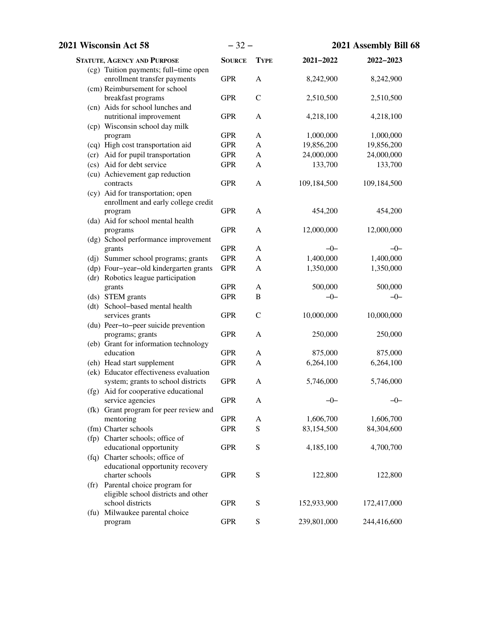| 2021 Wisconsin Act 58                                                        | $-32-$        |                | 2021 Assembly Bill 68 |             |
|------------------------------------------------------------------------------|---------------|----------------|-----------------------|-------------|
| <b>STATUTE, AGENCY AND PURPOSE</b>                                           | <b>SOURCE</b> | <b>TYPE</b>    | $2021 - 2022$         | 2022-2023   |
| (cg) Tuition payments; full-time open<br>enrollment transfer payments        | <b>GPR</b>    | $\mathbf{A}$   | 8,242,900             | 8,242,900   |
| (cm) Reimbursement for school                                                |               |                |                       |             |
| breakfast programs                                                           | <b>GPR</b>    | $\mathcal{C}$  | 2,510,500             | 2,510,500   |
| (cn) Aids for school lunches and<br>nutritional improvement                  | <b>GPR</b>    | A              | 4,218,100             | 4,218,100   |
| (cp) Wisconsin school day milk                                               |               |                |                       |             |
| program                                                                      | <b>GPR</b>    | A              | 1,000,000             | 1,000,000   |
| (cq) High cost transportation aid                                            | <b>GPR</b>    | $\mathbf{A}$   | 19,856,200            | 19,856,200  |
| (cr) Aid for pupil transportation                                            | <b>GPR</b>    | A              | 24,000,000            | 24,000,000  |
| (cs) Aid for debt service                                                    | <b>GPR</b>    | A              | 133,700               | 133,700     |
| (cu) Achievement gap reduction                                               |               |                |                       |             |
| contracts                                                                    | <b>GPR</b>    | A              | 109,184,500           | 109,184,500 |
| (cy) Aid for transportation; open                                            |               |                |                       |             |
| enrollment and early college credit                                          |               |                |                       |             |
| program                                                                      | <b>GPR</b>    | A              | 454,200               | 454,200     |
| (da) Aid for school mental health                                            |               |                |                       |             |
| programs                                                                     | <b>GPR</b>    | A              | 12,000,000            | 12,000,000  |
| (dg) School performance improvement                                          |               |                |                       |             |
| grants                                                                       | <b>GPR</b>    | A              | $-0-$                 | $-0-$       |
| (dj) Summer school programs; grants                                          | <b>GPR</b>    | A              | 1,400,000             | 1,400,000   |
| (dp) Four-year-old kindergarten grants<br>(dr) Robotics league participation | <b>GPR</b>    | A              | 1,350,000             | 1,350,000   |
| grants                                                                       | <b>GPR</b>    | $\mathbf{A}$   | 500,000               | 500,000     |
| (ds) STEM grants                                                             | <b>GPR</b>    | $\overline{B}$ | $-0-$                 | $-0-$       |
| (dt) School-based mental health                                              |               |                |                       |             |
| services grants                                                              | <b>GPR</b>    | $\mathcal{C}$  | 10,000,000            | 10,000,000  |
| (du) Peer-to-peer suicide prevention                                         |               |                |                       |             |
| programs; grants                                                             | <b>GPR</b>    | A              | 250,000               | 250,000     |
| (eb) Grant for information technology                                        |               |                |                       |             |
| education                                                                    | <b>GPR</b>    | $\mathbf{A}$   | 875,000               | 875,000     |
| (eh) Head start supplement                                                   | <b>GPR</b>    | A              | 6,264,100             | 6,264,100   |
| (ek) Educator effectiveness evaluation                                       |               |                |                       |             |
| system; grants to school districts                                           | <b>GPR</b>    | $\mathbf{A}$   | 5,746,000             | 5,746,000   |
| (fg) Aid for cooperative educational                                         |               |                |                       |             |
| service agencies                                                             | <b>GPR</b>    | A              | $-0-$                 | $-0-$       |
| (fk) Grant program for peer review and                                       |               |                |                       |             |
| mentoring<br>(fm) Charter schools                                            | <b>GPR</b>    | A              | 1,606,700             | 1,606,700   |
|                                                                              | <b>GPR</b>    | S              | 83,154,500            | 84,304,600  |
| (fp) Charter schools; office of<br>educational opportunity                   | <b>GPR</b>    | ${\mathbf S}$  | 4,185,100             | 4,700,700   |
| (fq) Charter schools; office of                                              |               |                |                       |             |
| educational opportunity recovery                                             |               |                |                       |             |
| charter schools                                                              | <b>GPR</b>    | ${\mathbf S}$  | 122,800               | 122,800     |
| (fr) Parental choice program for                                             |               |                |                       |             |
| eligible school districts and other                                          |               |                |                       |             |
| school districts                                                             | <b>GPR</b>    | S              | 152,933,900           | 172,417,000 |
| (fu) Milwaukee parental choice                                               |               |                |                       |             |
| program                                                                      | <b>GPR</b>    | ${\bf S}$      | 239,801,000           | 244,416,600 |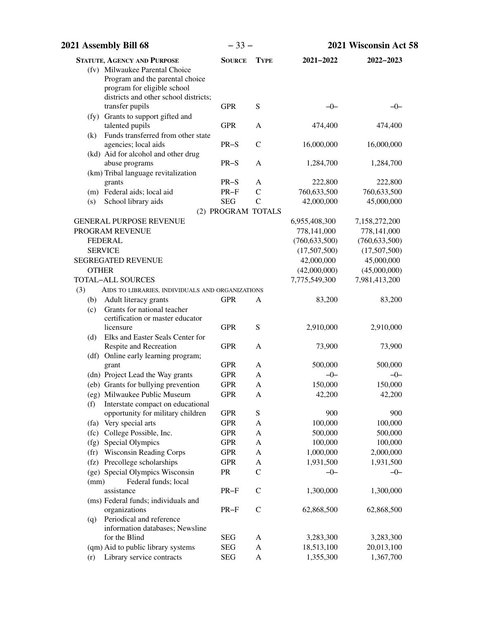| 2021 Assembly Bill 68 |                                                                        | $-33-$             |               | 2021 Wisconsin Act 58 |                 |
|-----------------------|------------------------------------------------------------------------|--------------------|---------------|-----------------------|-----------------|
|                       | <b>STATUTE, AGENCY AND PURPOSE</b>                                     | <b>SOURCE</b>      | <b>TYPE</b>   | 2021-2022             | 2022-2023       |
|                       | (fv) Milwaukee Parental Choice                                         |                    |               |                       |                 |
|                       | Program and the parental choice                                        |                    |               |                       |                 |
|                       | program for eligible school                                            |                    |               |                       |                 |
|                       | districts and other school districts;                                  |                    |               |                       |                 |
|                       | transfer pupils                                                        | <b>GPR</b>         | ${\bf S}$     | $-0-$                 | $-0-$           |
|                       | (fy) Grants to support gifted and<br>talented pupils                   | <b>GPR</b>         | A             | 474,400               | 474,400         |
| (k)                   | Funds transferred from other state                                     |                    |               |                       |                 |
|                       | agencies; local aids                                                   | $PR-S$             | $\mathcal{C}$ | 16,000,000            | 16,000,000      |
|                       | (kd) Aid for alcohol and other drug                                    |                    |               |                       |                 |
|                       | abuse programs                                                         | $PR-S$             | A             | 1,284,700             | 1,284,700       |
|                       | (km) Tribal language revitalization                                    |                    |               |                       |                 |
|                       | grants                                                                 | $PR-S$             | A             | 222,800               | 222,800         |
|                       | (m) Federal aids; local aid                                            | $PR-F$             | $\mathcal{C}$ | 760,633,500           | 760,633,500     |
| (s)                   | School library aids                                                    | <b>SEG</b>         | $\mathcal{C}$ | 42,000,000            | 45,000,000      |
|                       |                                                                        | (2) PROGRAM TOTALS |               |                       |                 |
|                       | <b>GENERAL PURPOSE REVENUE</b>                                         |                    |               | 6,955,408,300         | 7,158,272,200   |
|                       | PROGRAM REVENUE                                                        |                    |               | 778,141,000           | 778,141,000     |
|                       | <b>FEDERAL</b>                                                         |                    |               | (760, 633, 500)       | (760, 633, 500) |
|                       | <b>SERVICE</b>                                                         |                    |               | (17,507,500)          | (17,507,500)    |
|                       | <b>SEGREGATED REVENUE</b>                                              |                    |               | 42,000,000            | 45,000,000      |
| <b>OTHER</b>          |                                                                        |                    |               | (42,000,000)          | (45,000,000)    |
|                       | <b>TOTAL-ALL SOURCES</b>                                               |                    |               | 7,775,549,300         | 7,981,413,200   |
| (3)                   | AIDS TO LIBRARIES, INDIVIDUALS AND ORGANIZATIONS                       |                    |               |                       |                 |
| (b)                   | Adult literacy grants                                                  | <b>GPR</b>         | A             | 83,200                | 83,200          |
| (c)                   | Grants for national teacher                                            |                    |               |                       |                 |
|                       | certification or master educator                                       |                    |               |                       |                 |
|                       | licensure                                                              | <b>GPR</b>         | S             | 2,910,000             | 2,910,000       |
| (d)                   | Elks and Easter Seals Center for                                       |                    |               |                       |                 |
|                       | Respite and Recreation                                                 | <b>GPR</b>         | A             | 73,900                | 73,900          |
|                       | (df) Online early learning program;                                    |                    |               |                       |                 |
|                       | grant                                                                  | <b>GPR</b>         | A             | 500,000               | 500,000         |
|                       | (dn) Project Lead the Way grants                                       | <b>GPR</b>         | A             | $-0-$                 | $-0-$           |
|                       | (eb) Grants for bullying prevention                                    | <b>GPR</b>         | A             | 150,000               | 150,000         |
|                       | (eg) Milwaukee Public Museum                                           | <b>GPR</b>         | A             | 42,200                | 42,200          |
| (f)                   | Interstate compact on educational<br>opportunity for military children | <b>GPR</b>         | ${\mathbf S}$ | 900                   | 900             |
|                       | (fa) Very special arts                                                 | <b>GPR</b>         | A             | 100,000               | 100,000         |
|                       | (fc) College Possible, Inc.                                            | <b>GPR</b>         | A             | 500,000               | 500,000         |
|                       | (fg) Special Olympics                                                  | <b>GPR</b>         | $\mathbf{A}$  | 100,000               | 100,000         |
|                       | (fr) Wisconsin Reading Corps                                           | <b>GPR</b>         | A             | 1,000,000             | 2,000,000       |
|                       | (fz) Precollege scholarships                                           | <b>GPR</b>         | $\mathbf{A}$  | 1,931,500             | 1,931,500       |
|                       | (ge) Special Olympics Wisconsin                                        | PR                 | $\mathcal{C}$ | $-0-$                 | $-0-$           |
| (mm)                  | Federal funds; local                                                   |                    |               |                       |                 |
|                       | assistance                                                             | $PR-F$             | $\mathcal{C}$ | 1,300,000             | 1,300,000       |
|                       | (ms) Federal funds; individuals and                                    |                    |               |                       |                 |
|                       | organizations                                                          | $PR-F$             | $\mathcal{C}$ | 62,868,500            | 62,868,500      |
| (q)                   | Periodical and reference                                               |                    |               |                       |                 |
|                       | information databases; Newsline                                        |                    |               |                       |                 |
|                       | for the Blind                                                          | <b>SEG</b>         | A             | 3,283,300             | 3,283,300       |
|                       | (qm) Aid to public library systems                                     | <b>SEG</b>         | A             | 18,513,100            | 20,013,100      |
| (r)                   | Library service contracts                                              | <b>SEG</b>         | A             | 1,355,300             | 1,367,700       |
|                       |                                                                        |                    |               |                       |                 |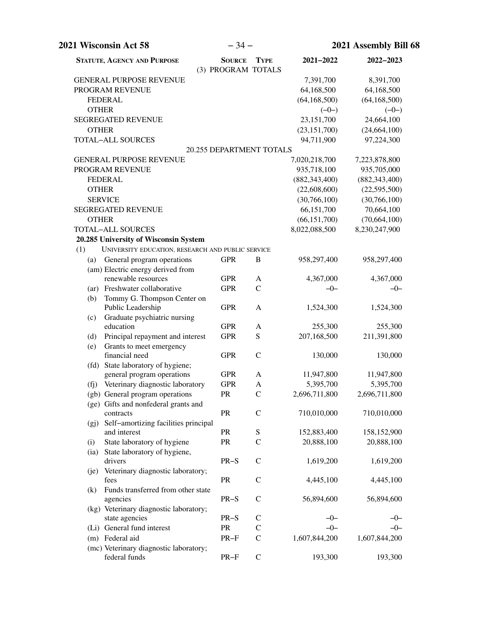|                | $-34-$<br>2021 Wisconsin Act 58                   |                                     | 2021 Assembly Bill 68    |                 |                 |
|----------------|---------------------------------------------------|-------------------------------------|--------------------------|-----------------|-----------------|
|                | <b>STATUTE, AGENCY AND PURPOSE</b>                | <b>SOURCE</b><br>(3) PROGRAM TOTALS | <b>TYPE</b>              | $2021 - 2022$   | 2022-2023       |
|                | <b>GENERAL PURPOSE REVENUE</b>                    |                                     |                          | 7,391,700       | 8,391,700       |
|                | PROGRAM REVENUE                                   |                                     |                          | 64,168,500      | 64,168,500      |
| <b>FEDERAL</b> |                                                   |                                     |                          | (64, 168, 500)  | (64, 168, 500)  |
| <b>OTHER</b>   |                                                   |                                     |                          | $(-0-)$         | $(-0-)$         |
|                | <b>SEGREGATED REVENUE</b>                         |                                     |                          | 23,151,700      | 24,664,100      |
| <b>OTHER</b>   |                                                   |                                     |                          | (23, 151, 700)  | (24, 664, 100)  |
|                | <b>TOTAL-ALL SOURCES</b>                          |                                     |                          | 94,711,900      | 97,224,300      |
|                |                                                   |                                     | 20.255 DEPARTMENT TOTALS |                 |                 |
|                | <b>GENERAL PURPOSE REVENUE</b>                    |                                     |                          | 7,020,218,700   | 7,223,878,800   |
|                | PROGRAM REVENUE                                   |                                     |                          | 935,718,100     | 935,705,000     |
| <b>FEDERAL</b> |                                                   |                                     |                          | (882, 343, 400) | (882, 343, 400) |
| <b>OTHER</b>   |                                                   |                                     |                          | (22,608,600)    | (22,595,500)    |
| <b>SERVICE</b> |                                                   |                                     |                          | (30, 766, 100)  | (30,766,100)    |
|                | <b>SEGREGATED REVENUE</b>                         |                                     |                          | 66,151,700      | 70,664,100      |
| <b>OTHER</b>   |                                                   |                                     |                          | (66, 151, 700)  | (70, 664, 100)  |
|                | <b>TOTAL-ALL SOURCES</b>                          |                                     |                          | 8,022,088,500   | 8,230,247,900   |
|                | 20.285 University of Wisconsin System             |                                     |                          |                 |                 |
| (1)            | UNIVERSITY EDUCATION, RESEARCH AND PUBLIC SERVICE |                                     |                          |                 |                 |
| (a)            | General program operations                        | <b>GPR</b>                          | B                        | 958,297,400     | 958,297,400     |
|                | (am) Electric energy derived from                 |                                     |                          |                 |                 |
|                | renewable resources                               | <b>GPR</b>                          | A                        | 4,367,000       | 4,367,000       |
|                | (ar) Freshwater collaborative                     | <b>GPR</b>                          | $\mathcal{C}$            | $-0-$           | $-0-$           |
| (b)            | Tommy G. Thompson Center on                       |                                     |                          |                 |                 |
|                | Public Leadership                                 | <b>GPR</b>                          | A                        | 1,524,300       | 1,524,300       |
| (c)            | Graduate psychiatric nursing                      |                                     |                          |                 |                 |
|                | education                                         | <b>GPR</b>                          | A                        | 255,300         | 255,300         |
| (d)            | Principal repayment and interest                  | <b>GPR</b>                          | ${\bf S}$                | 207,168,500     | 211,391,800     |
| (e)            | Grants to meet emergency                          |                                     |                          |                 |                 |
|                | financial need                                    | <b>GPR</b>                          | $\mathcal{C}$            | 130,000         | 130,000         |
|                | (fd) State laboratory of hygiene;                 |                                     |                          |                 |                 |
|                | general program operations                        | <b>GPR</b>                          | A                        | 11,947,800      | 11,947,800      |
|                | (fj) Veterinary diagnostic laboratory             | <b>GPR</b>                          | A                        | 5,395,700       | 5,395,700       |
|                | (gb) General program operations                   | PR.                                 | $\mathsf{C}$             | 2,696,711,800   | 2,696,711,800   |
|                | (ge) Gifts and nonfederal grants and              |                                     |                          |                 |                 |
|                | contracts                                         | PR                                  | $\mathcal{C}$            | 710,010,000     | 710,010,000     |
| (gj)           | Self-amortizing facilities principal              |                                     |                          |                 |                 |
|                | and interest                                      | PR                                  | S                        | 152,883,400     | 158,152,900     |
| (i)            | State laboratory of hygiene                       | PR                                  | $\mathcal{C}$            | 20,888,100      | 20,888,100      |
| (ia)           | State laboratory of hygiene,                      |                                     |                          |                 |                 |
|                | drivers                                           | $PR-S$                              | $\mathbf C$              | 1,619,200       | 1,619,200       |
| (je)           | Veterinary diagnostic laboratory;<br>fees         | PR                                  | $\mathcal{C}$            | 4,445,100       |                 |
|                | Funds transferred from other state                |                                     |                          |                 | 4,445,100       |
| (k)            | agencies                                          | $PR-S$                              | $\mathcal{C}$            | 56,894,600      | 56,894,600      |
|                | (kg) Veterinary diagnostic laboratory;            |                                     |                          |                 |                 |
|                | state agencies                                    | $PR-S$                              | $\mathsf{C}$             | $-0-$           | $-0-$           |
|                | (Li) General fund interest                        | ${\sf PR}$                          | $\mathsf{C}$             | $-0-$           | $-0-$           |
|                | (m) Federal aid                                   | $PR-F$                              | $\mathsf{C}$             | 1,607,844,200   | 1,607,844,200   |
|                | (mc) Veterinary diagnostic laboratory;            |                                     |                          |                 |                 |
|                | federal funds                                     | $PR-F$                              | $\mathbf C$              | 193,300         | 193,300         |
|                |                                                   |                                     |                          |                 |                 |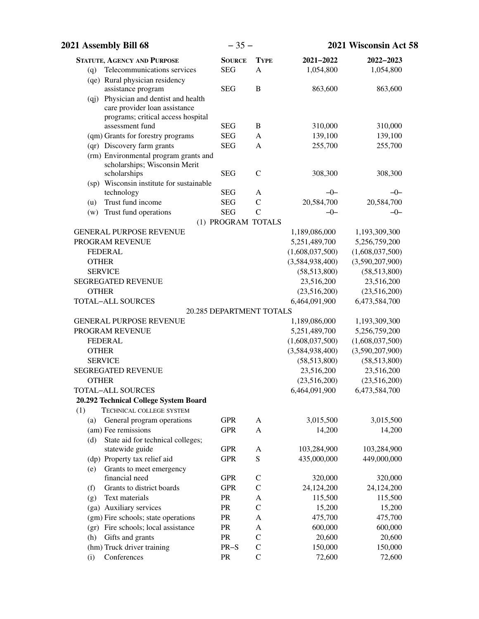|              | 2021 Assembly Bill 68                                                                  | $-35-$                          |                              |                       | 2021 Wisconsin Act 58 |
|--------------|----------------------------------------------------------------------------------------|---------------------------------|------------------------------|-----------------------|-----------------------|
|              | <b>STATUTE, AGENCY AND PURPOSE</b>                                                     | <b>SOURCE</b>                   | <b>TYPE</b>                  | 2021-2022             | 2022-2023             |
| (q)          | Telecommunications services                                                            | <b>SEG</b>                      | A                            | 1,054,800             | 1,054,800             |
|              | (qe) Rural physician residency                                                         |                                 |                              |                       |                       |
|              | assistance program                                                                     | <b>SEG</b>                      | $\, {\bf B}$                 | 863,600               | 863,600               |
|              | (qj) Physician and dentist and health                                                  |                                 |                              |                       |                       |
|              | care provider loan assistance                                                          |                                 |                              |                       |                       |
|              | programs; critical access hospital                                                     |                                 |                              |                       |                       |
|              | assessment fund                                                                        | <b>SEG</b>                      | B                            | 310,000               | 310,000               |
|              | (qm) Grants for forestry programs                                                      | <b>SEG</b>                      | A                            | 139,100               | 139,100               |
|              | (qr) Discovery farm grants                                                             | <b>SEG</b>                      | A                            | 255,700               | 255,700               |
|              | (rm) Environmental program grants and<br>scholarships; Wisconsin Merit<br>scholarships | <b>SEG</b>                      | $\mathcal{C}$                | 308,300               | 308,300               |
|              | (sp) Wisconsin institute for sustainable                                               |                                 |                              |                       |                       |
|              | technology                                                                             | <b>SEG</b>                      | A                            | $-0-$                 | $-0-$                 |
| (u)          | Trust fund income                                                                      | <b>SEG</b>                      | $\mathcal{C}$                | 20,584,700            | 20,584,700            |
| (w)          | Trust fund operations                                                                  | <b>SEG</b>                      | $\overline{C}$               | $-0-$                 | $-0-$                 |
|              |                                                                                        | (1) PROGRAM TOTALS              |                              |                       |                       |
|              | <b>GENERAL PURPOSE REVENUE</b>                                                         |                                 |                              | 1,189,086,000         | 1,193,309,300         |
|              | PROGRAM REVENUE                                                                        |                                 |                              | 5,251,489,700         | 5,256,759,200         |
|              | <b>FEDERAL</b>                                                                         |                                 |                              | (1,608,037,500)       | (1,608,037,500)       |
| <b>OTHER</b> |                                                                                        |                                 |                              | (3,584,938,400)       | (3,590,207,900)       |
|              | <b>SERVICE</b>                                                                         |                                 |                              | (58, 513, 800)        | (58,513,800)          |
|              | <b>SEGREGATED REVENUE</b>                                                              |                                 |                              | 23,516,200            | 23,516,200            |
| <b>OTHER</b> |                                                                                        |                                 |                              | (23,516,200)          | (23,516,200)          |
|              | <b>TOTAL-ALL SOURCES</b>                                                               |                                 |                              | 6,464,091,900         | 6,473,584,700         |
|              |                                                                                        | <b>20.285 DEPARTMENT TOTALS</b> |                              |                       |                       |
|              | <b>GENERAL PURPOSE REVENUE</b>                                                         |                                 |                              | 1,189,086,000         | 1,193,309,300         |
|              | PROGRAM REVENUE                                                                        |                                 |                              | 5,251,489,700         | 5,256,759,200         |
|              | <b>FEDERAL</b>                                                                         |                                 |                              | (1,608,037,500)       | (1,608,037,500)       |
| <b>OTHER</b> |                                                                                        |                                 |                              | (3,584,938,400)       | (3,590,207,900)       |
|              | <b>SERVICE</b>                                                                         |                                 |                              | (58,513,800)          | (58,513,800)          |
|              | <b>SEGREGATED REVENUE</b>                                                              |                                 |                              | 23,516,200            | 23,516,200            |
| <b>OTHER</b> |                                                                                        |                                 |                              | (23,516,200)          | (23,516,200)          |
|              | TOTAL-ALL SOURCES                                                                      |                                 |                              | 6,464,091,900         | 6,473,584,700         |
|              | 20.292 Technical College System Board                                                  |                                 |                              |                       |                       |
| (1)          | TECHNICAL COLLEGE SYSTEM                                                               |                                 |                              |                       |                       |
| (a)          | General program operations                                                             | <b>GPR</b>                      | A                            | 3,015,500             | 3,015,500             |
|              | (am) Fee remissions                                                                    | <b>GPR</b>                      | A                            | 14,200                | 14,200                |
| (d)          | State aid for technical colleges;                                                      |                                 |                              |                       |                       |
|              | statewide guide                                                                        | <b>GPR</b>                      | A                            | 103,284,900           | 103,284,900           |
|              | (dp) Property tax relief aid                                                           | <b>GPR</b>                      | S                            | 435,000,000           | 449,000,000           |
| (e)          | Grants to meet emergency<br>financial need                                             | <b>GPR</b>                      | $\mathcal{C}$                | 320,000               |                       |
|              | Grants to district boards                                                              | <b>GPR</b>                      | $\mathbf C$                  |                       | 320,000<br>24,124,200 |
| (f)          | Text materials                                                                         | PR                              |                              | 24,124,200<br>115,500 | 115,500               |
| (g)          | (ga) Auxiliary services                                                                | PR                              | $\mathbf{A}$<br>$\mathsf{C}$ | 15,200                | 15,200                |
|              |                                                                                        |                                 |                              |                       |                       |
|              | (gm) Fire schools; state operations                                                    | PR<br>PR                        | $\mathbf{A}$                 | 475,700               | 475,700               |
|              | (gr) Fire schools; local assistance<br>Gifts and grants                                | PR                              | A<br>$\mathbf C$             | 600,000<br>20,600     | 600,000<br>20,600     |
| (h)          | (hm) Truck driver training                                                             | $PR-S$                          | $\mathsf{C}$                 | 150,000               | 150,000               |
| (i)          | Conferences                                                                            | PR                              | $\mathcal{C}$                | 72,600                | 72,600                |
|              |                                                                                        |                                 |                              |                       |                       |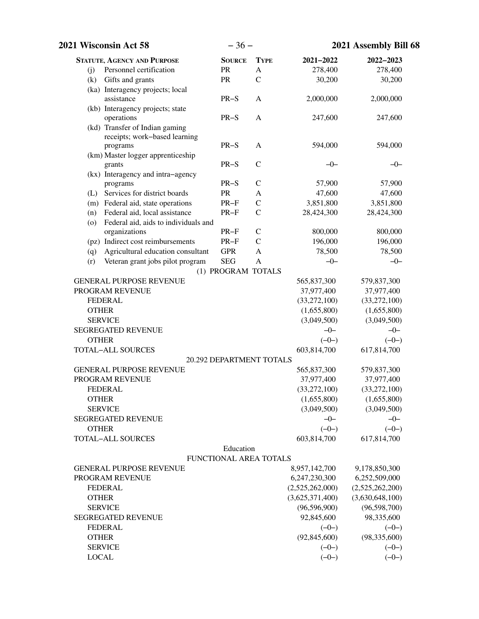| 2021 Wisconsin Act 58                         | $-36-$                   |               |                 | 2021 Assembly Bill 68 |
|-----------------------------------------------|--------------------------|---------------|-----------------|-----------------------|
| <b>STATUTE, AGENCY AND PURPOSE</b>            | <b>SOURCE</b>            | <b>TYPE</b>   | 2021-2022       | 2022-2023             |
| Personnel certification<br>(i)                | PR                       | A             | 278,400         | 278,400               |
| Gifts and grants<br>(k)                       | PR                       | $\mathbf C$   | 30,200          | 30,200                |
| (ka) Interagency projects; local              |                          |               |                 |                       |
| assistance                                    | $PR-S$                   | A             | 2,000,000       | 2,000,000             |
| (kb) Interagency projects; state              |                          |               |                 |                       |
| operations                                    | $PR-S$                   | A             | 247,600         | 247,600               |
| (kd) Transfer of Indian gaming                |                          |               |                 |                       |
| receipts; work-based learning                 |                          |               |                 |                       |
| programs                                      | $PR-S$                   | A             | 594,000         | 594,000               |
| (km) Master logger apprenticeship             |                          |               |                 |                       |
| grants                                        | $PR-S$                   | $\mathcal{C}$ | $-0-$           | $-0-$                 |
| (kx) Interagency and intra-agency<br>programs | $PR-S$                   | $\mathcal{C}$ | 57,900          | 57,900                |
| (L) Services for district boards              | PR                       | A             | 47,600          | 47,600                |
| (m) Federal aid, state operations             | $PR-F$                   | $\mathcal{C}$ | 3,851,800       | 3,851,800             |
| Federal aid, local assistance<br>(n)          | $PR-F$                   | $\mathcal{C}$ | 28,424,300      | 28,424,300            |
| Federal aid, aids to individuals and<br>(0)   |                          |               |                 |                       |
| organizations                                 | $PR-F$                   | $\mathsf{C}$  | 800,000         | 800,000               |
| (pz) Indirect cost reimbursements             | $PR-F$                   | $\mathsf{C}$  | 196,000         | 196,000               |
| Agricultural education consultant<br>(q)      | <b>GPR</b>               | A             | 78,500          | 78,500                |
| Veteran grant jobs pilot program<br>(r)       | <b>SEG</b>               | A             | $-0-$           | $-0-$                 |
|                                               | (1) PROGRAM TOTALS       |               |                 |                       |
| <b>GENERAL PURPOSE REVENUE</b>                |                          |               | 565,837,300     | 579,837,300           |
| PROGRAM REVENUE                               |                          |               | 37,977,400      | 37,977,400            |
| <b>FEDERAL</b>                                |                          |               | (33,272,100)    | (33,272,100)          |
| <b>OTHER</b>                                  |                          |               | (1,655,800)     | (1,655,800)           |
| <b>SERVICE</b>                                |                          |               | (3,049,500)     | (3,049,500)           |
| <b>SEGREGATED REVENUE</b>                     |                          |               | $-0-$           | $-0-$                 |
| <b>OTHER</b>                                  |                          |               | $(-0-)$         | $(-0-)$               |
| <b>TOTAL-ALL SOURCES</b>                      |                          |               | 603,814,700     | 617,814,700           |
|                                               | 20.292 DEPARTMENT TOTALS |               |                 |                       |
| <b>GENERAL PURPOSE REVENUE</b>                |                          |               | 565,837,300     | 579,837,300           |
| PROGRAM REVENUE                               |                          |               | 37,977,400      | 37,977,400            |
| <b>FEDERAL</b>                                |                          |               | (33, 272, 100)  | (33,272,100)          |
| <b>OTHER</b>                                  |                          |               | (1,655,800)     | (1,655,800)           |
| <b>SERVICE</b>                                |                          |               | (3,049,500)     | (3,049,500)           |
| <b>SEGREGATED REVENUE</b>                     |                          |               | $-0-$           | $-0-$                 |
| <b>OTHER</b>                                  |                          |               | $(-0-)$         | $(-0-)$               |
| <b>TOTAL-ALL SOURCES</b>                      |                          |               | 603,814,700     | 617,814,700           |
|                                               | Education                |               |                 |                       |
|                                               | FUNCTIONAL AREA TOTALS   |               |                 |                       |
| <b>GENERAL PURPOSE REVENUE</b>                |                          |               | 8,957,142,700   | 9,178,850,300         |
| PROGRAM REVENUE                               |                          |               | 6,247,230,300   | 6,252,509,000         |
| <b>FEDERAL</b>                                |                          |               | (2,525,262,000) | (2,525,262,200)       |
| <b>OTHER</b>                                  |                          |               | (3,625,371,400) | (3,630,648,100)       |
| <b>SERVICE</b>                                |                          |               | (96, 596, 900)  | (96, 598, 700)        |
| <b>SEGREGATED REVENUE</b>                     |                          |               | 92,845,600      | 98,335,600            |
| <b>FEDERAL</b>                                |                          |               | $(-0-)$         | $(-0-)$               |
| <b>OTHER</b>                                  |                          |               | (92, 845, 600)  | (98, 335, 600)        |
| <b>SERVICE</b>                                |                          |               | $(-0-)$         | $(-0-)$               |
| <b>LOCAL</b>                                  |                          |               | $(-0-)$         | $(-0-)$               |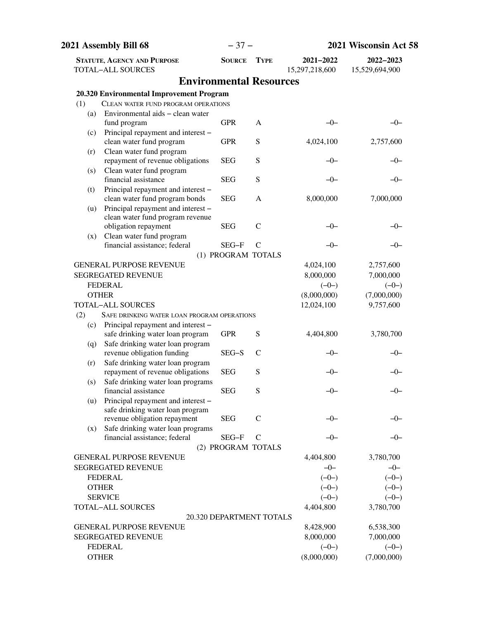|     | 2021 Assembly Bill 68                                                 |                          | $-37-$        | 2021 Wisconsin Act 58       |                             |
|-----|-----------------------------------------------------------------------|--------------------------|---------------|-----------------------------|-----------------------------|
|     | <b>STATUTE, AGENCY AND PURPOSE</b><br><b>TOTAL-ALL SOURCES</b>        | <b>SOURCE</b>            | <b>TYPE</b>   | 2021-2022<br>15,297,218,600 | 2022-2023<br>15,529,694,900 |
|     | <b>Environmental Resources</b>                                        |                          |               |                             |                             |
|     | 20.320 Environmental Improvement Program                              |                          |               |                             |                             |
| (1) | CLEAN WATER FUND PROGRAM OPERATIONS                                   |                          |               |                             |                             |
| (a) | Environmental aids – clean water                                      |                          |               |                             |                             |
|     | fund program                                                          | <b>GPR</b>               | A             | $-0-$                       | –0–                         |
| (c) | Principal repayment and interest -                                    |                          |               |                             |                             |
|     | clean water fund program                                              | <b>GPR</b>               | S             | 4,024,100                   | 2,757,600                   |
| (r) | Clean water fund program                                              |                          |               |                             |                             |
|     | repayment of revenue obligations                                      | <b>SEG</b>               | S             | -0-                         | –0–                         |
| (s) | Clean water fund program                                              |                          |               |                             |                             |
|     | financial assistance                                                  | <b>SEG</b>               | S             | $-0-$                       | $-0-$                       |
| (t) | Principal repayment and interest -                                    |                          |               |                             |                             |
|     | clean water fund program bonds                                        | <b>SEG</b>               | A             | 8,000,000                   | 7,000,000                   |
| (u) | Principal repayment and interest -                                    |                          |               |                             |                             |
|     | clean water fund program revenue<br>obligation repayment              | <b>SEG</b>               | $\mathcal{C}$ | $-0-$                       | -0-                         |
|     | Clean water fund program                                              |                          |               |                             |                             |
| (x) | financial assistance; federal                                         | SEG-F                    | $\mathcal{C}$ | $-0-$                       | $-0-$                       |
|     |                                                                       | (1) PROGRAM TOTALS       |               |                             |                             |
|     | <b>GENERAL PURPOSE REVENUE</b>                                        |                          |               | 4,024,100                   | 2,757,600                   |
|     | <b>SEGREGATED REVENUE</b>                                             |                          |               | 8,000,000                   | 7,000,000                   |
|     | <b>FEDERAL</b>                                                        |                          |               | $(-0-)$                     | $(-0-)$                     |
|     | <b>OTHER</b>                                                          |                          |               | (8,000,000)                 | (7,000,000)                 |
|     | <b>TOTAL-ALL SOURCES</b>                                              |                          |               | 12,024,100                  | 9,757,600                   |
| (2) | SAFE DRINKING WATER LOAN PROGRAM OPERATIONS                           |                          |               |                             |                             |
| (c) | Principal repayment and interest -                                    |                          |               |                             |                             |
|     | safe drinking water loan program                                      | <b>GPR</b>               | S             | 4,404,800                   | 3,780,700                   |
| (q) | Safe drinking water loan program                                      |                          |               |                             |                             |
|     | revenue obligation funding                                            | SEG-S                    | C             | $-()$                       | –0–                         |
| (r) | Safe drinking water loan program                                      | <b>SEG</b>               | S             | -0-                         |                             |
| (s) | repayment of revenue obligations<br>Safe drinking water loan programs |                          |               |                             |                             |
|     | financial assistance                                                  | <b>SEG</b>               | S             | -0-                         | $-0-$                       |
| (u) | Principal repayment and interest -                                    |                          |               |                             |                             |
|     | safe drinking water loan program                                      |                          |               |                             |                             |
|     | revenue obligation repayment                                          | <b>SEG</b>               | $\mathsf{C}$  | -0-                         | -0-                         |
| (x) | Safe drinking water loan programs                                     |                          |               |                             |                             |
|     | financial assistance; federal                                         | SEG-F                    | $\mathcal{C}$ | -0-                         | –0–                         |
|     |                                                                       | (2) PROGRAM TOTALS       |               |                             |                             |
|     | <b>GENERAL PURPOSE REVENUE</b>                                        |                          |               | 4,404,800                   | 3,780,700                   |
|     | <b>SEGREGATED REVENUE</b>                                             |                          |               | $-0-$                       | $-0-$                       |
|     | <b>FEDERAL</b>                                                        |                          |               | $(-0-)$                     | $(-0-)$                     |
|     | <b>OTHER</b>                                                          |                          |               | $(-0-)$                     | $(-0-)$                     |
|     | <b>SERVICE</b>                                                        |                          |               | $(-0-)$                     | $(-0-)$                     |
|     | TOTAL-ALL SOURCES                                                     |                          |               | 4,404,800                   | 3,780,700                   |
|     |                                                                       | 20.320 DEPARTMENT TOTALS |               |                             |                             |
|     | <b>GENERAL PURPOSE REVENUE</b>                                        |                          |               | 8,428,900                   | 6,538,300                   |
|     | <b>SEGREGATED REVENUE</b><br><b>FEDERAL</b>                           |                          |               | 8,000,000                   | 7,000,000                   |
|     | <b>OTHER</b>                                                          |                          |               | $(-0-)$<br>(8,000,000)      | $(-0-)$<br>(7,000,000)      |
|     |                                                                       |                          |               |                             |                             |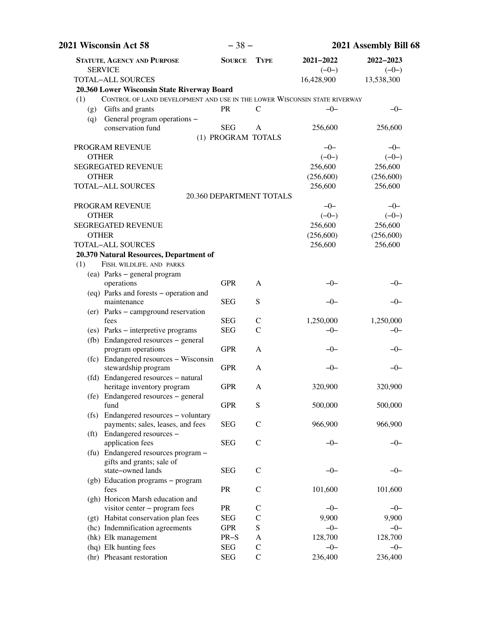| 2021 Wisconsin Act 58                                                            | $-38-$             |                          | 2021 Assembly Bill 68 |                      |
|----------------------------------------------------------------------------------|--------------------|--------------------------|-----------------------|----------------------|
| <b>STATUTE, AGENCY AND PURPOSE</b><br><b>SERVICE</b>                             | <b>SOURCE</b>      | <b>TYPE</b>              | 2021-2022<br>$(-0-)$  | 2022-2023<br>$(-0-)$ |
| <b>TOTAL-ALL SOURCES</b>                                                         |                    |                          | 16,428,900            | 13,538,300           |
| 20.360 Lower Wisconsin State Riverway Board                                      |                    |                          |                       |                      |
| CONTROL OF LAND DEVELOPMENT AND USE IN THE LOWER WISCONSIN STATE RIVERWAY<br>(1) |                    |                          |                       |                      |
| Gifts and grants<br>(g)<br>General program operations -                          | <b>PR</b>          | $\mathsf{C}$             | $-0-$                 | $-0-$                |
| (q)<br>conservation fund                                                         | <b>SEG</b>         | A                        | 256,600               | 256,600              |
|                                                                                  | (1) PROGRAM TOTALS |                          |                       |                      |
| PROGRAM REVENUE                                                                  |                    |                          | $-0-$                 | $-0-$                |
| <b>OTHER</b>                                                                     |                    |                          | $(-0-)$               | $(-0-)$              |
| <b>SEGREGATED REVENUE</b>                                                        |                    |                          | 256,600               | 256,600              |
| <b>OTHER</b>                                                                     |                    |                          | (256, 600)            | (256, 600)           |
| <b>TOTAL-ALL SOURCES</b>                                                         |                    |                          | 256,600               | 256,600              |
|                                                                                  |                    | 20.360 DEPARTMENT TOTALS |                       |                      |
| PROGRAM REVENUE                                                                  |                    |                          | $-0-$                 | $-0-$                |
| <b>OTHER</b>                                                                     |                    |                          | $(-0-)$               | $(-0-)$              |
| <b>SEGREGATED REVENUE</b>                                                        |                    |                          | 256,600               | 256,600              |
| <b>OTHER</b>                                                                     |                    |                          | (256,600)             | (256,600)            |
| <b>TOTAL-ALL SOURCES</b>                                                         |                    |                          | 256,600               | 256,600              |
|                                                                                  |                    |                          |                       |                      |
| 20.370 Natural Resources, Department of<br>FISH, WILDLIFE, AND PARKS<br>(1)      |                    |                          |                       |                      |
| (ea) Parks - general program                                                     |                    |                          |                       |                      |
| operations                                                                       | <b>GPR</b>         | A                        | -0-                   | –0–                  |
| (eq) Parks and forests - operation and                                           |                    |                          |                       |                      |
| maintenance                                                                      | <b>SEG</b>         | S                        | -0-                   | $-0-$                |
| (er) Parks - campground reservation                                              |                    |                          |                       |                      |
| fees                                                                             | <b>SEG</b>         | $\mathsf{C}$             | 1,250,000             | 1,250,000            |
| (es) Parks - interpretive programs                                               | <b>SEG</b>         | $\mathcal{C}$            | $-0-$                 | $-0-$                |
| (fb) Endangered resources - general                                              |                    |                          |                       |                      |
| program operations                                                               | <b>GPR</b>         | A                        | $-0-$                 | $-0-$                |
| (fc) Endangered resources - Wisconsin                                            |                    |                          |                       |                      |
| stewardship program                                                              | <b>GPR</b>         | A                        | $-0-$                 | $-0-$                |
| (fd) Endangered resources - natural                                              |                    |                          |                       |                      |
| heritage inventory program                                                       | <b>GPR</b>         | A                        | 320,900               | 320,900              |
| (fe) Endangered resources – general                                              |                    |                          |                       |                      |
| fund                                                                             | <b>GPR</b>         | S                        | 500,000               | 500,000              |
| (fs) Endangered resources - voluntary                                            |                    |                          |                       |                      |
| payments; sales, leases, and fees                                                | <b>SEG</b>         | $\mathcal{C}$            | 966,900               | 966,900              |
| (ft) Endangered resources -                                                      |                    |                          |                       |                      |
| application fees                                                                 | <b>SEG</b>         | $\mathcal{C}$            | $-0-$                 | $-0-$                |
| (fu) Endangered resources program -                                              |                    |                          |                       |                      |
| gifts and grants; sale of                                                        |                    |                          |                       |                      |
| state-owned lands                                                                | <b>SEG</b>         | $\mathsf{C}$             | $-0-$                 | $-0-$                |
| (gb) Education programs - program                                                |                    |                          |                       |                      |
| fees                                                                             | PR                 | $\mathsf{C}$             | 101,600               | 101,600              |
| (gh) Horicon Marsh education and                                                 |                    |                          |                       |                      |
| visitor center - program fees                                                    | PR                 | C                        | $-0-$                 | $-0-$                |
| (gt) Habitat conservation plan fees                                              | <b>SEG</b>         | $\mathcal{C}$            | 9,900                 | 9,900                |
| (hc) Indemnification agreements                                                  | <b>GPR</b>         | S                        | $-0-$                 | $-0-$                |
| (hk) Elk management                                                              | $PR-S$             | A                        | 128,700               | 128,700              |
| (hq) Elk hunting fees                                                            | <b>SEG</b>         | $\mathcal{C}$            | $-0-$                 | $-0-$                |
| (hr) Pheasant restoration                                                        | <b>SEG</b>         | $\mathcal{C}$            | 236,400               | 236,400              |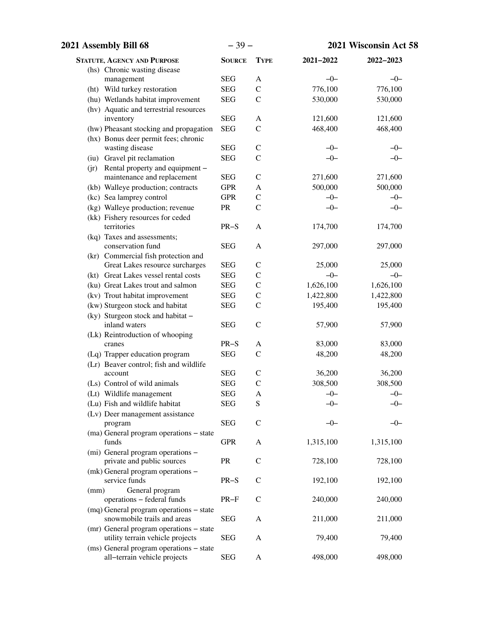| 2021 Assembly Bill 68 |                                                    | $-39-$        |               |           | 2021 Wisconsin Act 58 |
|-----------------------|----------------------------------------------------|---------------|---------------|-----------|-----------------------|
|                       | <b>STATUTE, AGENCY AND PURPOSE</b>                 | <b>SOURCE</b> | <b>TYPE</b>   | 2021-2022 | 2022-2023             |
|                       | (hs) Chronic wasting disease                       |               |               |           |                       |
|                       | management                                         | <b>SEG</b>    | A             | $-0-$     | $-0-$                 |
|                       | (ht) Wild turkey restoration                       | <b>SEG</b>    | $\mathbf C$   | 776,100   | 776,100               |
|                       | (hu) Wetlands habitat improvement                  | <b>SEG</b>    | $\mathcal{C}$ | 530,000   | 530,000               |
|                       | (hv) Aquatic and terrestrial resources             |               |               |           |                       |
|                       | inventory                                          | <b>SEG</b>    | A             | 121,600   | 121,600               |
|                       | (hw) Pheasant stocking and propagation             | <b>SEG</b>    | $\mathcal{C}$ | 468,400   | 468,400               |
|                       | (hx) Bonus deer permit fees; chronic               |               |               |           |                       |
|                       | wasting disease                                    | <b>SEG</b>    | $\mathcal{C}$ | $-0-$     | $-0-$                 |
|                       | (iu) Gravel pit reclamation                        | <b>SEG</b>    | $\mathcal{C}$ | $-0-$     | $-0-$                 |
|                       | (jr) Rental property and equipment -               |               |               |           |                       |
|                       | maintenance and replacement                        | <b>SEG</b>    | $\mathcal{C}$ | 271,600   | 271,600               |
|                       | (kb) Walleye production; contracts                 | <b>GPR</b>    | A             | 500,000   | 500,000               |
|                       | (kc) Sea lamprey control                           | <b>GPR</b>    | $\mathcal{C}$ | $-0-$     | $-0-$                 |
|                       | (kg) Walleye production; revenue                   | PR            | $\mathcal{C}$ | $-0-$     | $-0-$                 |
|                       | (kk) Fishery resources for ceded                   |               |               |           |                       |
|                       | territories                                        | $PR-S$        | A             | 174,700   | 174,700               |
|                       | (kq) Taxes and assessments;<br>conservation fund   | <b>SEG</b>    | A             | 297,000   | 297,000               |
|                       | (kr) Commercial fish protection and                |               |               |           |                       |
|                       | Great Lakes resource surcharges                    | <b>SEG</b>    | $\mathcal{C}$ | 25,000    | 25,000                |
|                       | (kt) Great Lakes vessel rental costs               | <b>SEG</b>    | $\mathcal{C}$ | $-0-$     | $-0-$                 |
|                       | (ku) Great Lakes trout and salmon                  | <b>SEG</b>    | $\mathbf C$   | 1,626,100 | 1,626,100             |
|                       | (kv) Trout habitat improvement                     | <b>SEG</b>    | $\mathbf C$   | 1,422,800 | 1,422,800             |
|                       | (kw) Sturgeon stock and habitat                    | <b>SEG</b>    | $\mathcal{C}$ | 195,400   | 195,400               |
|                       | (ky) Sturgeon stock and habitat -                  |               |               |           |                       |
|                       | inland waters                                      | <b>SEG</b>    | $\mathcal{C}$ | 57,900    | 57,900                |
|                       | (Lk) Reintroduction of whooping                    |               |               |           |                       |
| cranes                |                                                    | $PR-S$        | A             | 83,000    | 83,000                |
|                       | (Lq) Trapper education program                     | <b>SEG</b>    | $\mathcal{C}$ | 48,200    | 48,200                |
|                       | (Lr) Beaver control; fish and wildlife             |               |               |           |                       |
| account               |                                                    | <b>SEG</b>    | $\mathcal{C}$ | 36,200    | 36,200                |
|                       | (Ls) Control of wild animals                       | <b>SEG</b>    | $\mathcal{C}$ | 308,500   | 308,500               |
|                       | (Lt) Wildlife management                           | <b>SEG</b>    | A             | $-0-$     | $-0-$                 |
|                       | (Lu) Fish and wildlife habitat                     | <b>SEG</b>    | S             | -0-       |                       |
|                       | (Lv) Deer management assistance                    |               |               |           |                       |
| program               |                                                    | <b>SEG</b>    | $\mathsf{C}$  | -0-       | -0-                   |
|                       | (ma) General program operations - state            |               |               |           |                       |
| funds                 |                                                    | <b>GPR</b>    | A             | 1,315,100 | 1,315,100             |
|                       | (mi) General program operations –                  |               |               |           |                       |
|                       | private and public sources                         | PR            | $\mathsf{C}$  | 728,100   | 728,100               |
|                       | (mk) General program operations -<br>service funds | $PR-S$        | $\mathcal{C}$ | 192,100   | 192,100               |
| (mm)                  | General program                                    |               |               |           |                       |
|                       | operations - federal funds                         | $PR-F$        | $\mathcal{C}$ | 240,000   | 240,000               |
|                       | (mq) General program operations – state            |               |               |           |                       |
|                       | snowmobile trails and areas                        | <b>SEG</b>    | A             | 211,000   | 211,000               |
|                       | (mr) General program operations - state            |               |               |           |                       |
|                       | utility terrain vehicle projects                   | <b>SEG</b>    | A             | 79,400    | 79,400                |
|                       | (ms) General program operations - state            |               |               |           |                       |
|                       | all-terrain vehicle projects                       | <b>SEG</b>    | A             | 498,000   | 498,000               |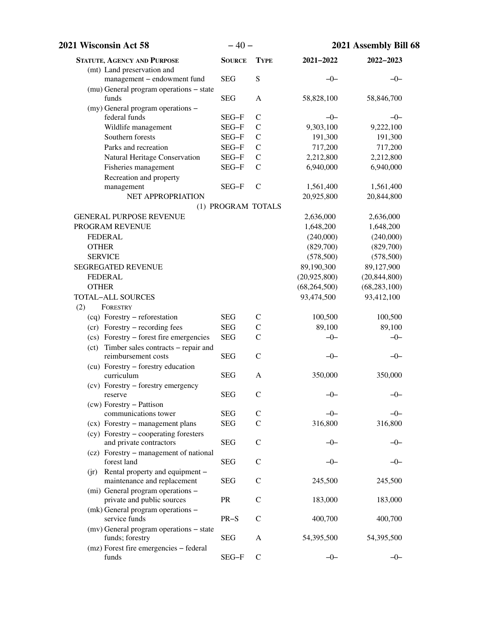| 2021 Wisconsin Act 58                    | $-40-$             |                | 2021 Assembly Bill 68 |                |
|------------------------------------------|--------------------|----------------|-----------------------|----------------|
| <b>STATUTE, AGENCY AND PURPOSE</b>       | <b>SOURCE</b>      | <b>TYPE</b>    | 2021-2022             | 2022-2023      |
| (mt) Land preservation and               |                    |                |                       |                |
| management - endowment fund              | <b>SEG</b>         | ${\bf S}$      | $-0-$                 | $-0-$          |
| (mu) General program operations - state  |                    |                |                       |                |
| funds                                    | <b>SEG</b>         | A              | 58,828,100            | 58,846,700     |
| (my) General program operations -        |                    |                |                       |                |
| federal funds                            | SEG-F              | $\mathsf{C}$   | $-0-$                 | $-0-$          |
| Wildlife management                      | $SEG-F$            | $\mathsf{C}$   | 9,303,100             | 9,222,100      |
| Southern forests                         | $SEG-F$            | $\mathcal{C}$  | 191,300               | 191,300        |
| Parks and recreation                     | SEG-F              | $\mathcal{C}$  | 717,200               | 717,200        |
| Natural Heritage Conservation            | SEG-F              | $\mathsf{C}$   | 2,212,800             | 2,212,800      |
| Fisheries management                     | SEG-F              | $\mathcal{C}$  | 6,940,000             | 6,940,000      |
| Recreation and property                  |                    |                |                       |                |
| management                               | SEG-F              | $\mathcal{C}$  | 1,561,400             | 1,561,400      |
| NET APPROPRIATION                        |                    |                | 20,925,800            | 20,844,800     |
|                                          | (1) PROGRAM TOTALS |                |                       |                |
| <b>GENERAL PURPOSE REVENUE</b>           |                    |                | 2,636,000             | 2,636,000      |
| PROGRAM REVENUE                          |                    |                | 1,648,200             | 1,648,200      |
| <b>FEDERAL</b>                           |                    |                | (240,000)             | (240,000)      |
| <b>OTHER</b>                             |                    |                | (829,700)             | (829,700)      |
| <b>SERVICE</b>                           |                    |                | (578,500)             | (578,500)      |
| <b>SEGREGATED REVENUE</b>                |                    |                | 89,190,300            | 89,127,900     |
| <b>FEDERAL</b>                           |                    |                | (20,925,800)          | (20, 844, 800) |
| <b>OTHER</b>                             |                    |                | (68, 264, 500)        | (68, 283, 100) |
| <b>TOTAL-ALL SOURCES</b>                 |                    |                | 93,474,500            | 93,412,100     |
| (2)<br>FORESTRY                          |                    |                |                       |                |
| (cq) Forestry – reforestation            | <b>SEG</b>         | $\mathsf{C}$   | 100,500               | 100,500        |
| (cr) Forestry – recording fees           | <b>SEG</b>         | $\mathcal{C}$  | 89,100                | 89,100         |
| (cs) Forestry – forest fire emergencies  | <b>SEG</b>         | $\mathcal{C}$  | $-0-$                 | $-0-$          |
| (ct) Timber sales contracts – repair and |                    |                |                       |                |
| reimbursement costs                      | <b>SEG</b>         | $\mathcal{C}$  | $-0-$                 | $-0-$          |
| (cu) Forestry - forestry education       |                    |                |                       |                |
| curriculum                               | <b>SEG</b>         | A              | 350,000               | 350,000        |
| (cv) Forestry - forestry emergency       |                    |                |                       |                |
| reserve                                  | <b>SEG</b>         | $\mathcal{C}$  | -0-                   | $-0-$          |
| (cw) Forestry - Pattison                 |                    |                |                       |                |
| communications tower                     | <b>SEG</b>         | $\mathcal{C}$  | $-0-$                 | $-0-$          |
| (cx) Forestry – management plans         | <b>SEG</b>         | $\overline{C}$ | 316,800               | 316,800        |
| (cy) Forestry – cooperating foresters    |                    |                |                       |                |
| and private contractors                  | <b>SEG</b>         | $\mathsf{C}$   | $-0-$                 | $-0-$          |
| (cz) Forestry - management of national   |                    |                |                       |                |
| forest land                              | <b>SEG</b>         | $\mathsf{C}$   | —()—                  | -0-            |
| Rental property and equipment -<br>(i)   |                    |                |                       |                |
| maintenance and replacement              | <b>SEG</b>         | $\mathsf{C}$   | 245,500               | 245,500        |
| (mi) General program operations -        |                    |                |                       |                |
| private and public sources               | <b>PR</b>          | $\mathsf{C}$   | 183,000               | 183,000        |
| (mk) General program operations –        |                    |                |                       |                |
| service funds                            | $PR-S$             | $\mathsf{C}$   | 400,700               | 400,700        |
| (mv) General program operations – state  |                    |                |                       |                |
| funds; forestry                          | <b>SEG</b>         | A              | 54,395,500            | 54,395,500     |
| (mz) Forest fire emergencies - federal   |                    |                |                       |                |
| funds                                    | SEG-F              | $\mathcal{C}$  | $-0-$                 | $-0-$          |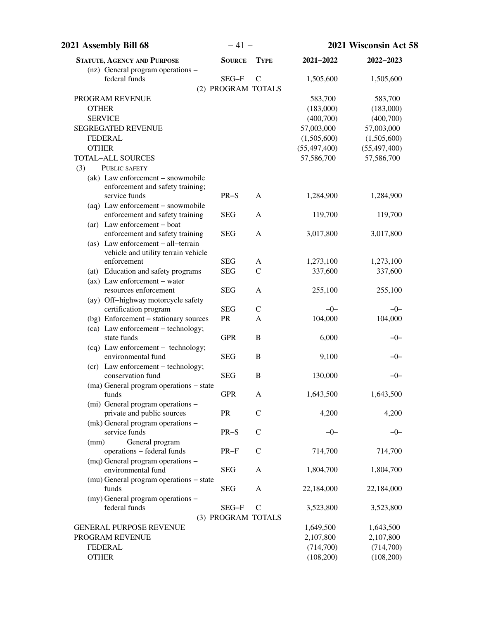| 2021 Assembly Bill 68                                          | $-41-$             |               | 2021 Wisconsin Act 58 |                |
|----------------------------------------------------------------|--------------------|---------------|-----------------------|----------------|
| <b>STATUTE, AGENCY AND PURPOSE</b>                             | <b>SOURCE</b>      | <b>TYPE</b>   | 2021-2022             | 2022-2023      |
| (nz) General program operations -                              |                    |               |                       |                |
| federal funds                                                  | SEG-F              | $\mathcal{C}$ | 1,505,600             | 1,505,600      |
|                                                                | (2) PROGRAM TOTALS |               |                       |                |
| PROGRAM REVENUE                                                |                    |               | 583,700               | 583,700        |
| <b>OTHER</b>                                                   |                    |               | (183,000)             | (183,000)      |
| <b>SERVICE</b>                                                 |                    |               | (400,700)             | (400,700)      |
| <b>SEGREGATED REVENUE</b>                                      |                    |               | 57,003,000            | 57,003,000     |
| <b>FEDERAL</b>                                                 |                    |               | (1,505,600)           | (1,505,600)    |
| <b>OTHER</b>                                                   |                    |               | (55, 497, 400)        | (55, 497, 400) |
| <b>TOTAL-ALL SOURCES</b>                                       |                    |               | 57,586,700            | 57,586,700     |
| PUBLIC SAFETY<br>(3)                                           |                    |               |                       |                |
| (ak) Law enforcement - snowmobile                              |                    |               |                       |                |
| enforcement and safety training;                               |                    |               |                       |                |
| service funds                                                  | $PR-S$             | A             | 1,284,900             | 1,284,900      |
| (aq) Law enforcement - snowmobile                              |                    |               |                       |                |
| enforcement and safety training                                | <b>SEG</b>         | $\mathbf{A}$  | 119,700               | 119,700        |
| (ar) Law enforcement - boat<br>enforcement and safety training | <b>SEG</b>         | A             | 3,017,800             | 3,017,800      |
| (as) Law enforcement - all-terrain                             |                    |               |                       |                |
| vehicle and utility terrain vehicle                            |                    |               |                       |                |
| enforcement                                                    | <b>SEG</b>         | A             | 1,273,100             | 1,273,100      |
| (at) Education and safety programs                             | <b>SEG</b>         | $\mathcal{C}$ | 337,600               | 337,600        |
| $(ax)$ Law enforcement – water                                 |                    |               |                       |                |
| resources enforcement                                          | <b>SEG</b>         | A             | 255,100               | 255,100        |
| (ay) Off-highway motorcycle safety                             |                    |               |                       |                |
| certification program                                          | <b>SEG</b>         | $\mathcal{C}$ | $-0-$                 | $-0-$          |
| (bg) Enforcement - stationary sources                          | ${\sf PR}$         | A             | 104,000               | 104,000        |
| (ca) Law enforcement - technology;                             |                    |               |                       |                |
| state funds                                                    | <b>GPR</b>         | B             | 6,000                 | $-0-$          |
| (cq) Law enforcement - technology;                             |                    |               |                       |                |
| environmental fund                                             | <b>SEG</b>         | B             | 9,100                 | $-0-$          |
| (cr) Law enforcement - technology;                             |                    |               |                       |                |
| conservation fund                                              | <b>SEG</b>         | $\, {\bf B}$  | 130,000               | -0-            |
| (ma) General program operations - state                        |                    |               |                       |                |
| funds                                                          | <b>GPR</b>         | A             | 1,643,500             | 1,643,500      |
| (mi) General program operations -                              |                    |               |                       |                |
| private and public sources                                     | ${\sf PR}$         | $\mathbf C$   | 4,200                 | 4,200          |
| (mk) General program operations -                              |                    |               |                       |                |
| service funds                                                  | $PR-S$             | $\mathcal{C}$ | $-0-$                 | $-0-$          |
| General program<br>(mm)                                        |                    |               |                       |                |
| operations - federal funds                                     | $PR-F$             | $\mathcal{C}$ | 714,700               | 714,700        |
| (mq) General program operations -<br>environmental fund        |                    |               |                       |                |
|                                                                | <b>SEG</b>         | A             | 1,804,700             | 1,804,700      |
| (mu) General program operations – state<br>funds               | <b>SEG</b>         | A             | 22,184,000            | 22,184,000     |
| (my) General program operations -                              |                    |               |                       |                |
| federal funds                                                  | SEG-F              | $\mathcal{C}$ | 3,523,800             | 3,523,800      |
|                                                                | (3) PROGRAM TOTALS |               |                       |                |
| <b>GENERAL PURPOSE REVENUE</b>                                 |                    |               | 1,649,500             | 1,643,500      |
| PROGRAM REVENUE                                                |                    |               | 2,107,800             | 2,107,800      |
| <b>FEDERAL</b>                                                 |                    |               | (714,700)             | (714,700)      |
| <b>OTHER</b>                                                   |                    |               | (108,200)             | (108,200)      |
|                                                                |                    |               |                       |                |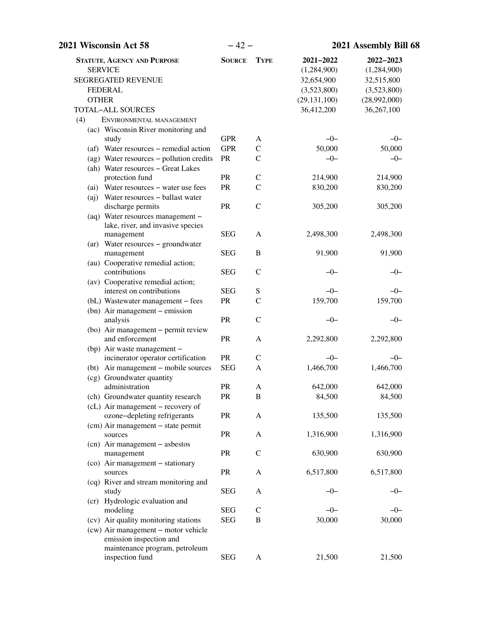| 2021 Wisconsin Act 58                                                                                                                    | $-42-$        |                  | 2021 Assembly Bill 68                                                                 |                                                                                     |
|------------------------------------------------------------------------------------------------------------------------------------------|---------------|------------------|---------------------------------------------------------------------------------------|-------------------------------------------------------------------------------------|
| <b>STATUTE, AGENCY AND PURPOSE</b><br><b>SERVICE</b><br>SEGREGATED REVENUE<br><b>FEDERAL</b><br><b>OTHER</b><br><b>TOTAL-ALL SOURCES</b> | <b>SOURCE</b> | <b>TYPE</b>      | 2021-2022<br>(1,284,900)<br>32,654,900<br>(3,523,800)<br>(29, 131, 100)<br>36,412,200 | 2022-2023<br>(1,284,900)<br>32,515,800<br>(3,523,800)<br>(28,992,000)<br>36,267,100 |
| (4)<br>ENVIRONMENTAL MANAGEMENT                                                                                                          |               |                  |                                                                                       |                                                                                     |
| (ac) Wisconsin River monitoring and<br>study                                                                                             | <b>GPR</b>    | A                | $-0-$                                                                                 | $-0-$                                                                               |
| (af) Water resources – remedial action                                                                                                   | <b>GPR</b>    | $\mathbf C$      | 50,000                                                                                | 50,000                                                                              |
| (ag) Water resources - pollution credits                                                                                                 | PR            | $\mathcal{C}$    | $-0-$                                                                                 | $-0-$                                                                               |
| (ah) Water resources - Great Lakes                                                                                                       |               |                  |                                                                                       |                                                                                     |
| protection fund                                                                                                                          | PR            | $\mathcal{C}$    | 214,900                                                                               | 214,900                                                                             |
| (ai) Water resources - water use fees                                                                                                    | PR            | $\mathcal{C}$    | 830,200                                                                               | 830,200                                                                             |
| (aj) Water resources – ballast water                                                                                                     |               |                  |                                                                                       |                                                                                     |
| discharge permits                                                                                                                        | PR            | $\mathcal{C}$    | 305,200                                                                               | 305,200                                                                             |
| (aq) Water resources management -                                                                                                        |               |                  |                                                                                       |                                                                                     |
| lake, river, and invasive species                                                                                                        |               |                  |                                                                                       |                                                                                     |
| management                                                                                                                               | <b>SEG</b>    | A                | 2,498,300                                                                             | 2,498,300                                                                           |
| (ar) Water resources - groundwater<br>management                                                                                         | <b>SEG</b>    | $\, {\bf B}$     | 91,900                                                                                | 91,900                                                                              |
| (au) Cooperative remedial action;                                                                                                        |               |                  |                                                                                       |                                                                                     |
| contributions                                                                                                                            | <b>SEG</b>    | $\mathcal{C}$    | $-0-$                                                                                 | $-0-$                                                                               |
| (av) Cooperative remedial action;                                                                                                        |               |                  |                                                                                       |                                                                                     |
| interest on contributions                                                                                                                | <b>SEG</b>    | ${\bf S}$        | $-0-$                                                                                 | $-0-$                                                                               |
| (bL) Wastewater management - fees                                                                                                        | PR            | $\mathcal{C}$    | 159,700                                                                               | 159,700                                                                             |
| (bn) Air management – emission                                                                                                           |               |                  |                                                                                       |                                                                                     |
| analysis                                                                                                                                 | PR            | $\mathsf{C}$     | $-0-$                                                                                 | $-0-$                                                                               |
| (bo) Air management - permit review                                                                                                      |               |                  |                                                                                       |                                                                                     |
| and enforcement                                                                                                                          | PR            | A                | 2,292,800                                                                             | 2,292,800                                                                           |
| (bp) Air waste management -<br>incinerator operator certification                                                                        | PR            | $\mathsf{C}$     | $-0-$                                                                                 | $-0-$                                                                               |
| (bt) Air management – mobile sources                                                                                                     | <b>SEG</b>    | A                | 1,466,700                                                                             | 1,466,700                                                                           |
| (cg) Groundwater quantity                                                                                                                |               |                  |                                                                                       |                                                                                     |
| administration                                                                                                                           | PR            | A                | 642,000                                                                               | 642,000                                                                             |
| (ch) Groundwater quantity research                                                                                                       | PR            | $\boldsymbol{B}$ | 84,500                                                                                | 84,500                                                                              |
| (cL) Air management – recovery of                                                                                                        |               |                  |                                                                                       |                                                                                     |
| ozone-depleting refrigerants                                                                                                             | PR            | A                | 135,500                                                                               | 135,500                                                                             |
| (cm) Air management - state permit                                                                                                       |               |                  |                                                                                       |                                                                                     |
| sources                                                                                                                                  | PR            | A                | 1,316,900                                                                             | 1,316,900                                                                           |
| (cn) Air management - asbestos                                                                                                           |               |                  |                                                                                       |                                                                                     |
| management                                                                                                                               | PR            | $\mathbf C$      | 630,900                                                                               | 630,900                                                                             |
| (co) Air management - stationary<br>sources                                                                                              | <b>PR</b>     | A                | 6,517,800                                                                             | 6,517,800                                                                           |
| (cq) River and stream monitoring and                                                                                                     |               |                  |                                                                                       |                                                                                     |
| study                                                                                                                                    | <b>SEG</b>    | A                | -0-                                                                                   | $-0-$                                                                               |
| (cr) Hydrologic evaluation and                                                                                                           |               |                  |                                                                                       |                                                                                     |
| modeling                                                                                                                                 | <b>SEG</b>    | $\mathsf{C}$     | $-0-$                                                                                 | $-0-$                                                                               |
| (cv) Air quality monitoring stations                                                                                                     | <b>SEG</b>    | $\boldsymbol{B}$ | 30,000                                                                                | 30,000                                                                              |
| (cw) Air management - motor vehicle<br>emission inspection and                                                                           |               |                  |                                                                                       |                                                                                     |
| maintenance program, petroleum                                                                                                           |               |                  |                                                                                       |                                                                                     |
| inspection fund                                                                                                                          | <b>SEG</b>    | $\mathbf{A}$     | 21,500                                                                                | 21,500                                                                              |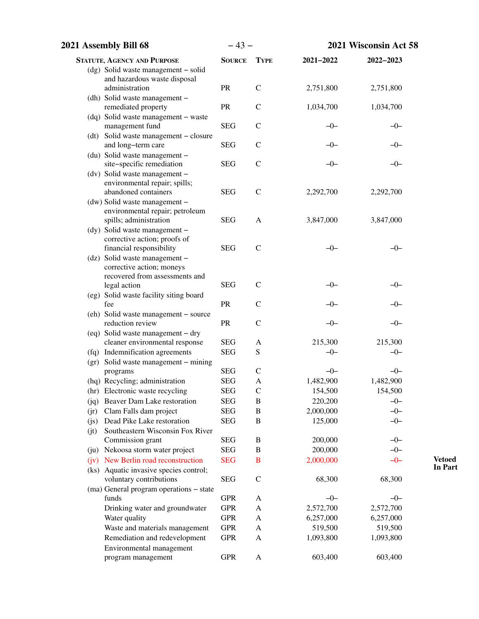| 2021 Assembly Bill 68                                               | $-43-$                   |               |                      | 2021 Wisconsin Act 58 |
|---------------------------------------------------------------------|--------------------------|---------------|----------------------|-----------------------|
| <b>STATUTE, AGENCY AND PURPOSE</b>                                  | <b>SOURCE</b>            | <b>TYPE</b>   | 2021-2022            | 2022-2023             |
| (dg) Solid waste management - solid                                 |                          |               |                      |                       |
| and hazardous waste disposal                                        |                          |               |                      |                       |
| administration                                                      | PR                       | $\mathcal{C}$ | 2,751,800            | 2,751,800             |
| (dh) Solid waste management -                                       |                          |               |                      |                       |
| remediated property                                                 | PR                       | $\mathcal{C}$ | 1,034,700            | 1,034,700             |
| (dq) Solid waste management - waste<br>management fund              | <b>SEG</b>               | $\mathsf{C}$  | $-0-$                | $-0-$                 |
| (dt) Solid waste management - closure                               |                          |               |                      |                       |
| and long-term care                                                  | <b>SEG</b>               | $\mathsf{C}$  | —()—                 | $-0-$                 |
| (du) Solid waste management -                                       |                          |               |                      |                       |
| site-specific remediation                                           | <b>SEG</b>               | $\mathcal{C}$ | -0-                  | -0-                   |
| (dv) Solid waste management -                                       |                          |               |                      |                       |
| environmental repair; spills;                                       |                          |               |                      |                       |
| abandoned containers                                                | <b>SEG</b>               | $\mathsf{C}$  | 2,292,700            | 2,292,700             |
| (dw) Solid waste management -                                       |                          |               |                      |                       |
| environmental repair; petroleum                                     |                          |               |                      |                       |
| spills; administration<br>(dy) Solid waste management -             | <b>SEG</b>               | A             | 3,847,000            | 3,847,000             |
| corrective action; proofs of                                        |                          |               |                      |                       |
| financial responsibility                                            | <b>SEG</b>               | $\mathbf C$   | $-0-$                | $-0-$                 |
| (dz) Solid waste management -                                       |                          |               |                      |                       |
| corrective action; moneys                                           |                          |               |                      |                       |
| recovered from assessments and                                      |                          |               |                      |                       |
| legal action                                                        | <b>SEG</b>               | $\mathcal{C}$ | $-0-$                | $-0-$                 |
| (eg) Solid waste facility siting board                              |                          |               |                      |                       |
| fee                                                                 | PR                       | $\mathcal{C}$ | —()—                 | $-0-$                 |
| (eh) Solid waste management - source                                |                          |               |                      |                       |
| reduction review                                                    | <b>PR</b>                | $\mathcal{C}$ | $-0-$                | -0-                   |
| (eq) Solid waste management - dry<br>cleaner environmental response | <b>SEG</b>               | A             | 215,300              | 215,300               |
| (fq) Indemnification agreements                                     | <b>SEG</b>               | S             | $-0-$                | $-0-$                 |
| (gr) Solid waste management - mining                                |                          |               |                      |                       |
| programs                                                            | <b>SEG</b>               | $\mathcal{C}$ | $-0-$                | $-0-$                 |
| (hq) Recycling; administration                                      | <b>SEG</b>               | A             | 1,482,900            | 1,482,900             |
| (hr) Electronic waste recycling                                     | <b>SEG</b>               | C             | 154,500              | 154,500               |
| Beaver Dam Lake restoration<br>(jq)                                 | <b>SEG</b>               | B             | 220,200              | $-0-$                 |
| Clam Falls dam project<br>(jr)                                      | <b>SEG</b>               | $\, {\bf B}$  | 2,000,000            | $-0-$                 |
| Dead Pike Lake restoration<br>(js)                                  | <b>SEG</b>               | $\, {\bf B}$  | 125,000              | $-0-$                 |
| Southeastern Wisconsin Fox River<br>(jt)                            |                          |               |                      |                       |
| Commission grant                                                    | <b>SEG</b>               | B             | 200,000              | $-0-$                 |
| (ju) Nekoosa storm water project                                    | <b>SEG</b>               | $\, {\bf B}$  | 200,000              | $-0-$                 |
| (jv) New Berlin road reconstruction                                 | <b>SEG</b>               | $\bf{B}$      | 2,000,000            | $-0-$                 |
| (ks) Aquatic invasive species control;                              |                          |               |                      |                       |
| voluntary contributions                                             | <b>SEG</b>               | $\mathbf C$   | 68,300               | 68,300                |
| (ma) General program operations - state                             |                          |               |                      |                       |
| funds                                                               | <b>GPR</b>               | A             | $-0-$                | $-0-$                 |
| Drinking water and groundwater                                      | <b>GPR</b>               | A             | 2,572,700            | 2,572,700             |
| Water quality<br>Waste and materials management                     | <b>GPR</b><br><b>GPR</b> | A<br>A        | 6,257,000<br>519,500 | 6,257,000<br>519,500  |
| Remediation and redevelopment                                       | <b>GPR</b>               | A             | 1,093,800            | 1,093,800             |
| Environmental management                                            |                          |               |                      |                       |
| program management                                                  | <b>GPR</b>               | A             | 603,400              | 603,400               |
|                                                                     |                          |               |                      |                       |

**Vetoed**

**In Part**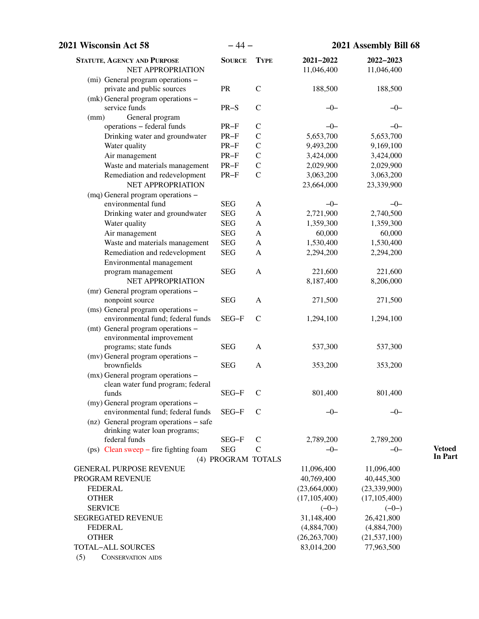| 2021 Wisconsin Act 58                                      | $-44-$             |               | 2021 Assembly Bill 68 |                                  |
|------------------------------------------------------------|--------------------|---------------|-----------------------|----------------------------------|
| <b>STATUTE, AGENCY AND PURPOSE</b>                         | <b>SOURCE</b>      | <b>TYPE</b>   | 2021-2022             | 2022-2023                        |
| NET APPROPRIATION                                          |                    |               | 11,046,400            | 11,046,400                       |
| (mi) General program operations -                          |                    |               |                       |                                  |
| private and public sources                                 | PR                 | $\mathcal{C}$ | 188,500               | 188,500                          |
| (mk) General program operations -                          |                    |               |                       |                                  |
| service funds                                              | $PR-S$             | $\mathcal{C}$ | $-0-$                 | $-0-$                            |
| General program<br>(mm)<br>operations - federal funds      | $PR-F$             | $\mathcal{C}$ | $-0-$                 | $-0-$                            |
| Drinking water and groundwater                             | $PR-F$             | $\mathcal{C}$ | 5,653,700             | 5,653,700                        |
| Water quality                                              | $PR-F$             | $\mathcal{C}$ | 9,493,200             | 9,169,100                        |
| Air management                                             | $PR-F$             | $\mathcal{C}$ | 3,424,000             | 3,424,000                        |
| Waste and materials management                             | $PR-F$             | $\mathcal{C}$ | 2,029,900             | 2,029,900                        |
| Remediation and redevelopment                              | $PR-F$             | $\mathbf C$   | 3,063,200             | 3,063,200                        |
| NET APPROPRIATION                                          |                    |               | 23,664,000            | 23,339,900                       |
| (mq) General program operations -                          |                    |               |                       |                                  |
| environmental fund                                         | <b>SEG</b>         | A             | $-0-$                 | $-0-$                            |
| Drinking water and groundwater                             | <b>SEG</b>         | A             | 2,721,900             | 2,740,500                        |
| Water quality                                              | <b>SEG</b>         | $\mathbf{A}$  | 1,359,300             | 1,359,300                        |
| Air management                                             | <b>SEG</b>         | A             | 60,000                | 60,000                           |
| Waste and materials management                             | <b>SEG</b>         | A             | 1,530,400             | 1,530,400                        |
| Remediation and redevelopment                              | <b>SEG</b>         | A             | 2,294,200             | 2,294,200                        |
| Environmental management                                   |                    |               |                       |                                  |
| program management                                         | <b>SEG</b>         | A             | 221,600               | 221,600                          |
| NET APPROPRIATION                                          |                    |               | 8,187,400             | 8,206,000                        |
| (mr) General program operations -                          |                    |               |                       |                                  |
| nonpoint source                                            | <b>SEG</b>         | A             | 271,500               | 271,500                          |
| (ms) General program operations -                          |                    |               |                       |                                  |
| environmental fund; federal funds                          | SEG-F              | $\mathsf{C}$  | 1,294,100             | 1,294,100                        |
| (mt) General program operations -                          |                    |               |                       |                                  |
| environmental improvement                                  | <b>SEG</b>         | $\mathbf{A}$  | 537,300               | 537,300                          |
| programs; state funds<br>(mv) General program operations - |                    |               |                       |                                  |
| brownfields                                                | <b>SEG</b>         | A             | 353,200               | 353,200                          |
| (mx) General program operations -                          |                    |               |                       |                                  |
| clean water fund program; federal                          |                    |               |                       |                                  |
| funds                                                      | SEG-F              | $\mathsf{C}$  | 801,400               | 801,400                          |
| (my) General program operations -                          |                    |               |                       |                                  |
| environmental fund; federal funds                          | SEG-F              | $\mathsf{C}$  | $-0-$                 | $-0-$                            |
| (nz) General program operations – safe                     |                    |               |                       |                                  |
| drinking water loan programs;                              |                    |               |                       |                                  |
| federal funds                                              | SEG-F              | $\mathcal{C}$ | 2,789,200             | 2,789,200                        |
| $(ps)$ Clean sweep – fire fighting foam                    | <b>SEG</b>         | $\mathcal{C}$ | $-0-$                 | $-0-$                            |
|                                                            | (4) PROGRAM TOTALS |               |                       |                                  |
| <b>GENERAL PURPOSE REVENUE</b>                             |                    |               | 11,096,400            | 11,096,400                       |
| PROGRAM REVENUE                                            |                    |               | 40,769,400            | 40,445,300                       |
| <b>FEDERAL</b><br><b>OTHER</b>                             |                    |               | (23,664,000)          | (23, 339, 900)<br>(17, 105, 400) |
| <b>SERVICE</b>                                             |                    |               | (17, 105, 400)        |                                  |
| <b>SEGREGATED REVENUE</b>                                  |                    |               | $(-0-)$<br>31,148,400 | $(-0-)$                          |
| <b>FEDERAL</b>                                             |                    |               | (4,884,700)           | 26,421,800<br>(4,884,700)        |
| <b>OTHER</b>                                               |                    |               | (26, 263, 700)        | (21, 537, 100)                   |
| <b>TOTAL-ALL SOURCES</b>                                   |                    |               | 83,014,200            | 77,963,500                       |
| (5)<br><b>CONSERVATION AIDS</b>                            |                    |               |                       |                                  |
|                                                            |                    |               |                       |                                  |

**Vetoed**

**In Part**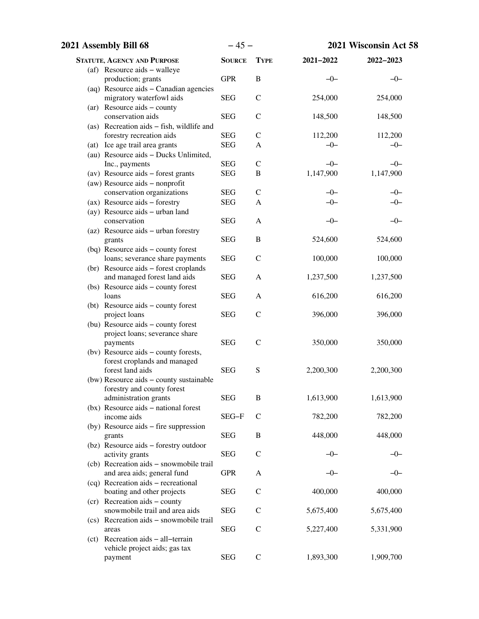| 2021 Assembly Bill 68 |                                                          | $-45-$        |               | 2021 Wisconsin Act 58 |           |
|-----------------------|----------------------------------------------------------|---------------|---------------|-----------------------|-----------|
|                       | <b>STATUTE, AGENCY AND PURPOSE</b>                       | <b>SOURCE</b> | <b>TYPE</b>   | 2021-2022             | 2022-2023 |
|                       | (af) Resource aids – walleye                             |               |               |                       |           |
|                       | production; grants                                       | <b>GPR</b>    | $\, {\bf B}$  | $-0-$                 | $-0-$     |
|                       | (aq) Resource aids - Canadian agencies                   |               |               |                       |           |
|                       | migratory waterfowl aids                                 | <b>SEG</b>    | $\mathcal{C}$ | 254,000               | 254,000   |
|                       | $(ar)$ Resource aids – county                            |               |               |                       |           |
|                       | conservation aids                                        | <b>SEG</b>    | $\mathcal{C}$ | 148,500               | 148,500   |
|                       | (as) Recreation aids - fish, wildlife and                |               |               |                       |           |
|                       | forestry recreation aids                                 | <b>SEG</b>    | $\mathcal{C}$ | 112,200               | 112,200   |
|                       | (at) Ice age trail area grants                           | <b>SEG</b>    | A             | $-0-$                 | $-0-$     |
|                       | (au) Resource aids - Ducks Unlimited,                    |               |               |                       |           |
|                       | Inc., payments                                           | <b>SEG</b>    | $\mathcal{C}$ | $-0-$                 | $-0-$     |
|                       | (av) Resource aids - forest grants                       | <b>SEG</b>    | $\, {\bf B}$  | 1,147,900             | 1,147,900 |
|                       | (aw) Resource aids - nonprofit                           |               |               |                       |           |
|                       | conservation organizations                               | <b>SEG</b>    | $\mathsf{C}$  | $-0-$                 | $-0-$     |
|                       | (ax) Resource aids - forestry                            | <b>SEG</b>    | A             | $-0-$                 | $-0-$     |
|                       | (ay) Resource aids - urban land<br>conservation          | <b>SEG</b>    | A             | $-0-$                 | $-0-$     |
|                       |                                                          |               |               |                       |           |
|                       | (az) Resource aids - urban forestry<br>grants            | <b>SEG</b>    | $\, {\bf B}$  | 524,600               | 524,600   |
|                       | (bq) Resource aids - county forest                       |               |               |                       |           |
|                       | loans; severance share payments                          | <b>SEG</b>    | $\mathcal{C}$ | 100,000               | 100,000   |
|                       | (br) Resource aids - forest croplands                    |               |               |                       |           |
|                       | and managed forest land aids                             | <b>SEG</b>    | A             | 1,237,500             | 1,237,500 |
|                       | (bs) Resource aids – county forest                       |               |               |                       |           |
|                       | loans                                                    | <b>SEG</b>    | A             | 616,200               | 616,200   |
|                       | (bt) Resource aids - county forest                       |               |               |                       |           |
|                       | project loans                                            | <b>SEG</b>    | $\mathcal{C}$ | 396,000               | 396,000   |
|                       | (bu) Resource aids - county forest                       |               |               |                       |           |
|                       | project loans; severance share                           |               |               |                       |           |
|                       | payments                                                 | <b>SEG</b>    | $\mathcal{C}$ | 350,000               | 350,000   |
|                       | (bv) Resource aids - county forests,                     |               |               |                       |           |
|                       | forest croplands and managed                             |               |               |                       |           |
|                       | forest land aids                                         | <b>SEG</b>    | ${\bf S}$     | 2,200,300             | 2,200,300 |
|                       | (bw) Resource aids - county sustainable                  |               |               |                       |           |
|                       | forestry and county forest                               |               |               |                       |           |
|                       | administration grants                                    | <b>SEG</b>    | B             | 1,613,900             | 1,613,900 |
|                       | (bx) Resource aids – national forest                     |               |               |                       |           |
|                       | income aids                                              | SEG-F         | $\mathsf{C}$  | 782,200               | 782,200   |
|                       | (by) Resource aids – fire suppression                    |               |               |                       |           |
|                       | grants                                                   | <b>SEG</b>    | B             | 448,000               | 448,000   |
|                       | (bz) Resource aids - forestry outdoor<br>activity grants | <b>SEG</b>    | $\mathsf{C}$  | -0-                   | —()—      |
|                       | (cb) Recreation aids - snowmobile trail                  |               |               |                       |           |
|                       | and area aids; general fund                              | <b>GPR</b>    | A             | –0–                   | –0–       |
|                       | (cq) Recreation aids - recreational                      |               |               |                       |           |
|                       | boating and other projects                               | <b>SEG</b>    | $\mathbf C$   | 400,000               | 400,000   |
|                       | (cr) Recreation aids - county                            |               |               |                       |           |
|                       | snowmobile trail and area aids                           | <b>SEG</b>    | $\mathsf{C}$  | 5,675,400             | 5,675,400 |
|                       | (cs) Recreation aids - snowmobile trail                  |               |               |                       |           |
|                       | areas                                                    | <b>SEG</b>    | $\mathcal{C}$ | 5,227,400             | 5,331,900 |
|                       | (ct) Recreation aids - all-terrain                       |               |               |                       |           |
|                       | vehicle project aids; gas tax                            |               |               |                       |           |
|                       | payment                                                  | <b>SEG</b>    | $\mathsf C$   | 1,893,300             | 1,909,700 |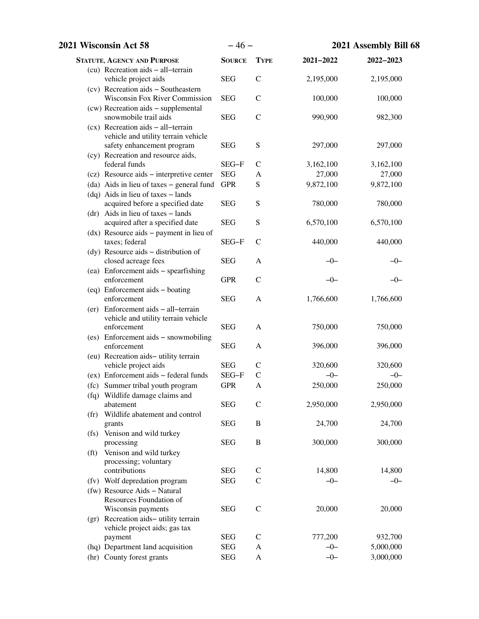| 2021 Wisconsin Act 58                                             | $-46-$        |                               | 2021 Assembly Bill 68 |           |
|-------------------------------------------------------------------|---------------|-------------------------------|-----------------------|-----------|
| <b>STATUTE, AGENCY AND PURPOSE</b>                                | <b>SOURCE</b> | <b>TYPE</b>                   | $2021 - 2022$         | 2022-2023 |
| (cu) Recreation aids - all-terrain                                |               |                               |                       |           |
| vehicle project aids                                              | <b>SEG</b>    | $\mathbf C$                   | 2,195,000             | 2,195,000 |
| (cv) Recreation aids - Southeastern                               |               |                               |                       |           |
| <b>Wisconsin Fox River Commission</b>                             | <b>SEG</b>    | $\mathcal{C}$                 | 100,000               | 100,000   |
| (cw) Recreation aids - supplemental                               |               |                               |                       |           |
| snowmobile trail aids                                             | <b>SEG</b>    | $\mathcal{C}$                 | 990,900               | 982,300   |
| $(cx)$ Recreation aids - all-terrain                              |               |                               |                       |           |
| vehicle and utility terrain vehicle<br>safety enhancement program | <b>SEG</b>    | S                             | 297,000               | 297,000   |
| (cy) Recreation and resource aids,                                |               |                               |                       |           |
| federal funds                                                     | SEG-F         | $\mathsf{C}$                  | 3,162,100             | 3,162,100 |
| (cz) Resource aids - interpretive center                          | <b>SEG</b>    | A                             | 27,000                | 27,000    |
| (da) Aids in lieu of taxes – general fund                         | <b>GPR</b>    | S                             | 9,872,100             | 9,872,100 |
| (dq) Aids in lieu of taxes - lands                                |               |                               |                       |           |
| acquired before a specified date                                  | <b>SEG</b>    | ${\bf S}$                     | 780,000               | 780,000   |
| $(dr)$ Aids in lieu of taxes – lands                              |               |                               |                       |           |
| acquired after a specified date                                   | <b>SEG</b>    | ${\bf S}$                     | 6,570,100             | 6,570,100 |
| $(dx)$ Resource aids – payment in lieu of                         |               |                               |                       |           |
| taxes; federal                                                    | SEG-F         | $\mathsf{C}$                  | 440,000               | 440,000   |
| (dy) Resource aids – distribution of                              |               |                               |                       |           |
| closed acreage fees                                               | <b>SEG</b>    | A                             | $-0-$                 | $-0-$     |
| (ea) Enforcement aids - spearfishing                              |               |                               |                       |           |
| enforcement                                                       | <b>GPR</b>    | $\mathcal{C}$                 | $-0-$                 | $-0-$     |
| (eq) Enforcement aids - boating                                   |               |                               |                       |           |
| enforcement                                                       | <b>SEG</b>    | $\mathbf{A}$                  | 1,766,600             | 1,766,600 |
| (er) Enforcement aids - all-terrain                               |               |                               |                       |           |
| vehicle and utility terrain vehicle<br>enforcement                | <b>SEG</b>    | A                             | 750,000               | 750,000   |
| (es) Enforcement aids - snowmobiling                              |               |                               |                       |           |
| enforcement                                                       | <b>SEG</b>    | A                             | 396,000               | 396,000   |
| (eu) Recreation aids-utility terrain                              |               |                               |                       |           |
| vehicle project aids                                              | <b>SEG</b>    | $\mathcal{C}$                 | 320,600               | 320,600   |
| (ex) Enforcement aids - federal funds                             | SEG-F         | $\mathcal{C}$                 | $-0-$                 | $-0-$     |
| (fc) Summer tribal youth program                                  | <b>GPR</b>    | A                             | 250,000               | 250,000   |
| (fq) Wildlife damage claims and                                   |               |                               |                       |           |
| abatement                                                         | <b>SEG</b>    | $\mathcal{C}$                 | 2,950,000             | 2,950,000 |
| Wildlife abatement and control<br>(f <sub>r</sub> )               |               |                               |                       |           |
| grants                                                            | <b>SEG</b>    | B                             | 24,700                | 24,700    |
| (fs) Venison and wild turkey                                      |               |                               |                       |           |
| processing                                                        | <b>SEG</b>    | $\, {\bf B}$                  | 300,000               | 300,000   |
| Venison and wild turkey<br>(f <sub>t</sub> )                      |               |                               |                       |           |
| processing; voluntary                                             |               |                               |                       |           |
| contributions                                                     | <b>SEG</b>    | $\mathsf{C}$<br>$\mathcal{C}$ | 14,800                | 14,800    |
| (fv) Wolf depredation program<br>(fw) Resource Aids - Natural     | <b>SEG</b>    |                               | $-0-$                 | $-0-$     |
| Resources Foundation of                                           |               |                               |                       |           |
| Wisconsin payments                                                | <b>SEG</b>    | $\mathcal{C}$                 | 20,000                | 20,000    |
| (gr) Recreation aids-utility terrain                              |               |                               |                       |           |
| vehicle project aids; gas tax                                     |               |                               |                       |           |
| payment                                                           | <b>SEG</b>    | $\mathsf{C}$                  | 777,200               | 932,700   |
| (hq) Department land acquisition                                  | <b>SEG</b>    | A                             | $-0-$                 | 5,000,000 |
| (hr) County forest grants                                         | <b>SEG</b>    | A                             | $-0-$                 | 3,000,000 |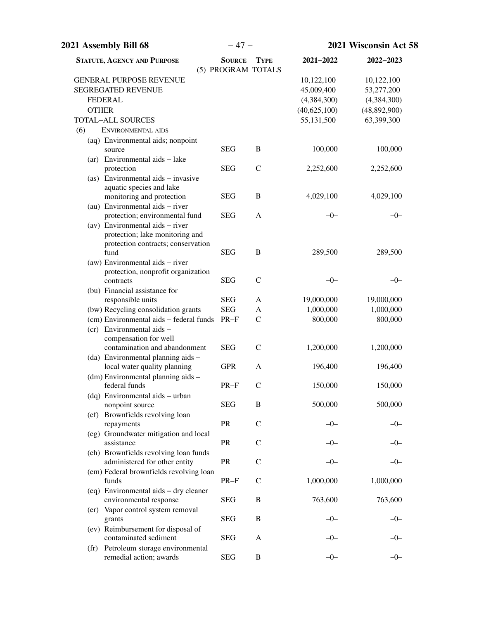| 2021 Assembly Bill 68                                                 | $-47-$                              |               | 2021 Wisconsin Act 58 |               |  |
|-----------------------------------------------------------------------|-------------------------------------|---------------|-----------------------|---------------|--|
| <b>STATUTE, AGENCY AND PURPOSE</b>                                    | <b>SOURCE</b><br>(5) PROGRAM TOTALS | <b>TYPE</b>   | 2021-2022             | $2022 - 2023$ |  |
| <b>GENERAL PURPOSE REVENUE</b>                                        |                                     |               | 10,122,100            | 10,122,100    |  |
| <b>SEGREGATED REVENUE</b>                                             |                                     |               | 45,009,400            | 53,277,200    |  |
| <b>FEDERAL</b>                                                        |                                     |               | (4,384,300)           | (4,384,300)   |  |
| <b>OTHER</b>                                                          |                                     |               | (40,625,100)          | (48,892,900)  |  |
| <b>TOTAL-ALL SOURCES</b>                                              |                                     |               | 55,131,500            | 63,399,300    |  |
| (6)<br>ENVIRONMENTAL AIDS                                             |                                     |               |                       |               |  |
| (aq) Environmental aids; nonpoint                                     |                                     |               |                       |               |  |
| source                                                                | <b>SEG</b>                          | B             | 100,000               | 100,000       |  |
| (ar) Environmental aids - lake                                        |                                     |               |                       |               |  |
| protection                                                            | <b>SEG</b>                          | $\mathcal{C}$ | 2,252,600             | 2,252,600     |  |
| (as) Environmental aids - invasive                                    |                                     |               |                       |               |  |
| aquatic species and lake                                              |                                     |               |                       |               |  |
| monitoring and protection                                             | <b>SEG</b>                          | B             | 4,029,100             | 4,029,100     |  |
| (au) Environmental aids - river                                       |                                     |               |                       |               |  |
| protection; environmental fund                                        | <b>SEG</b>                          | A             | $-0-$                 | $-0-$         |  |
| (av) Environmental aids $-$ river                                     |                                     |               |                       |               |  |
| protection; lake monitoring and                                       |                                     |               |                       |               |  |
| protection contracts; conservation                                    |                                     |               |                       |               |  |
| fund                                                                  | <b>SEG</b>                          | B             | 289,500               | 289,500       |  |
| (aw) Environmental aids - river<br>protection, nonprofit organization |                                     |               |                       |               |  |
| contracts                                                             | <b>SEG</b>                          | $\mathcal{C}$ | $-0-$                 | $-0-$         |  |
| (bu) Financial assistance for                                         |                                     |               |                       |               |  |
| responsible units                                                     | <b>SEG</b>                          | A             | 19,000,000            | 19,000,000    |  |
| (bw) Recycling consolidation grants                                   | <b>SEG</b>                          | A             | 1,000,000             | 1,000,000     |  |
| (cm) Environmental aids - federal funds                               | $PR-F$                              | $\mathcal{C}$ | 800,000               | 800,000       |  |
| (cr) Environmental aids -                                             |                                     |               |                       |               |  |
| compensation for well                                                 |                                     |               |                       |               |  |
| contamination and abandonment                                         | <b>SEG</b>                          | $\mathsf{C}$  | 1,200,000             | 1,200,000     |  |
| (da) Environmental planning aids -                                    |                                     |               |                       |               |  |
| local water quality planning                                          | <b>GPR</b>                          | A             | 196,400               | 196,400       |  |
| (dm) Environmental planning aids -                                    |                                     |               |                       |               |  |
| federal funds                                                         | $PR-F$                              | $\mathcal{C}$ | 150,000               | 150,000       |  |
| (dq) Environmental aids - urban                                       |                                     |               |                       |               |  |
| nonpoint source                                                       | <b>SEG</b>                          | B             | 500,000               | 500,000       |  |
| (ef) Brownfields revolving loan                                       |                                     |               |                       |               |  |
| repayments                                                            | PR                                  | $\mathcal{C}$ | -0-                   | –0–           |  |
| (eg) Groundwater mitigation and local                                 |                                     |               |                       |               |  |
| assistance                                                            | PR                                  | $\mathcal{C}$ |                       |               |  |
| (eh) Brownfields revolving loan funds                                 |                                     |               |                       |               |  |
| administered for other entity                                         | PR                                  | $\mathcal{C}$ | -0-                   | –0–           |  |
| (em) Federal brownfields revolving loan                               |                                     |               |                       |               |  |
| funds                                                                 | $PR-F$                              | $\mathsf{C}$  | 1,000,000             | 1,000,000     |  |
| (eq) Environmental aids - dry cleaner<br>environmental response       | <b>SEG</b>                          | B             | 763,600               | 763,600       |  |
| (er) Vapor control system removal                                     |                                     |               |                       |               |  |
| grants                                                                | <b>SEG</b>                          | B             | —()—                  | —()—          |  |
| (ev) Reimbursement for disposal of                                    |                                     |               |                       |               |  |
| contaminated sediment                                                 | <b>SEG</b>                          | A             |                       |               |  |
| Petroleum storage environmental<br>$(\text{tr})$                      |                                     |               |                       |               |  |
| remedial action; awards                                               | <b>SEG</b>                          | B             | $-0-$                 | $-0-$         |  |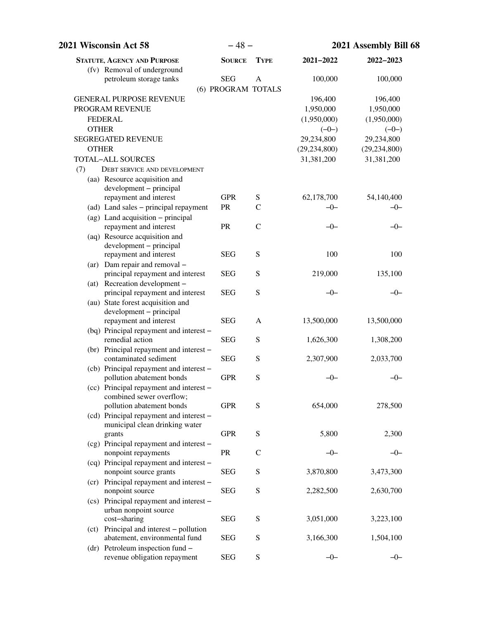| 2021 Wisconsin Act 58                                                     | $-48-$             |               | 2021 Assembly Bill 68 |                |
|---------------------------------------------------------------------------|--------------------|---------------|-----------------------|----------------|
| <b>STATUTE, AGENCY AND PURPOSE</b><br>(fv) Removal of underground         | <b>SOURCE</b>      | <b>TYPE</b>   | 2021-2022             | 2022-2023      |
| petroleum storage tanks                                                   | <b>SEG</b>         | A             | 100,000               | 100,000        |
|                                                                           | (6) PROGRAM TOTALS |               |                       |                |
| <b>GENERAL PURPOSE REVENUE</b>                                            |                    |               | 196,400               | 196,400        |
| PROGRAM REVENUE                                                           |                    |               | 1,950,000             | 1,950,000      |
| <b>FEDERAL</b>                                                            |                    |               | (1,950,000)           | (1,950,000)    |
| <b>OTHER</b>                                                              |                    |               | $(-0-)$               | $(-0-)$        |
| SEGREGATED REVENUE                                                        |                    |               | 29,234,800            | 29,234,800     |
| <b>OTHER</b>                                                              |                    |               | (29, 234, 800)        | (29, 234, 800) |
| <b>TOTAL-ALL SOURCES</b>                                                  |                    |               | 31,381,200            | 31,381,200     |
| (7)<br><b>DEBT SERVICE AND DEVELOPMENT</b>                                |                    |               |                       |                |
| (aa) Resource acquisition and                                             |                    |               |                       |                |
| development – principal                                                   |                    |               |                       |                |
| repayment and interest                                                    | <b>GPR</b>         | ${\bf S}$     | 62,178,700            | 54,140,400     |
| (ad) Land sales - principal repayment                                     | PR                 | $\mathcal{C}$ | $-0-$                 | $-0-$          |
| (ag) Land acquisition - principal                                         |                    |               |                       |                |
| repayment and interest                                                    | PR                 | $\mathcal{C}$ | $-0-$                 | $-0-$          |
| (aq) Resource acquisition and                                             |                    |               |                       |                |
| development - principal                                                   |                    |               |                       |                |
| repayment and interest                                                    | <b>SEG</b>         | ${\bf S}$     | 100                   | 100            |
| (ar) Dam repair and removal -<br>principal repayment and interest         | <b>SEG</b>         | ${\bf S}$     | 219,000               | 135,100        |
| (at) Recreation development -                                             |                    |               |                       |                |
| principal repayment and interest                                          | <b>SEG</b>         | ${\bf S}$     | $-0-$                 | $-0-$          |
| (au) State forest acquisition and                                         |                    |               |                       |                |
| development - principal                                                   |                    |               |                       |                |
| repayment and interest                                                    | <b>SEG</b>         | A             | 13,500,000            | 13,500,000     |
| (bq) Principal repayment and interest -                                   |                    |               |                       |                |
| remedial action                                                           | <b>SEG</b>         | ${\bf S}$     | 1,626,300             | 1,308,200      |
| (br) Principal repayment and interest -                                   |                    |               |                       |                |
| contaminated sediment                                                     | <b>SEG</b>         | ${\bf S}$     | 2,307,900             | 2,033,700      |
| (cb) Principal repayment and interest -                                   |                    |               |                       |                |
| pollution abatement bonds                                                 | <b>GPR</b>         | S             | $-0-$                 | $-0-$          |
| (cc) Principal repayment and interest -                                   |                    |               |                       |                |
| combined sewer overflow;                                                  | <b>GPR</b>         | S             |                       |                |
| pollution abatement bonds                                                 |                    |               | 654,000               | 278,500        |
| (cd) Principal repayment and interest -<br>municipal clean drinking water |                    |               |                       |                |
| grants                                                                    | <b>GPR</b>         | ${\bf S}$     | 5,800                 | 2,300          |
| (cg) Principal repayment and interest -                                   |                    |               |                       |                |
| nonpoint repayments                                                       | PR                 | $\mathsf{C}$  | $-0-$                 | $-0-$          |
| (cq) Principal repayment and interest -                                   |                    |               |                       |                |
| nonpoint source grants                                                    | <b>SEG</b>         | S             | 3,870,800             | 3,473,300      |
| (cr) Principal repayment and interest -                                   |                    |               |                       |                |
| nonpoint source                                                           | <b>SEG</b>         | ${\bf S}$     | 2,282,500             | 2,630,700      |
| (cs) Principal repayment and interest -                                   |                    |               |                       |                |
| urban nonpoint source                                                     |                    |               |                       |                |
| cost-sharing                                                              | <b>SEG</b>         | S             | 3,051,000             | 3,223,100      |
| (ct) Principal and interest - pollution                                   |                    |               |                       |                |
| abatement, environmental fund                                             | <b>SEG</b>         | S             | 3,166,300             | 1,504,100      |
| $(dr)$ Petroleum inspection fund $-$                                      |                    |               |                       |                |
| revenue obligation repayment                                              | <b>SEG</b>         | S             | $-0-$                 | $-0-$          |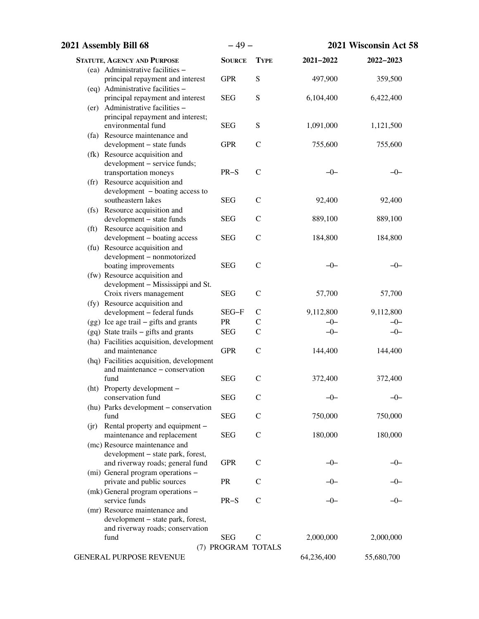| 2021 Assembly Bill 68                                                            | $-49-$             |               |            | 2021 Wisconsin Act 58 |
|----------------------------------------------------------------------------------|--------------------|---------------|------------|-----------------------|
| <b>STATUTE, AGENCY AND PURPOSE</b>                                               | <b>SOURCE</b>      | <b>TYPE</b>   | 2021-2022  | 2022-2023             |
| (ea) Administrative facilities -                                                 |                    |               |            |                       |
| principal repayment and interest                                                 | <b>GPR</b>         | S             | 497,900    | 359,500               |
| (eq) Administrative facilities -                                                 |                    |               |            |                       |
| principal repayment and interest                                                 | <b>SEG</b>         | S             | 6,104,400  | 6,422,400             |
| (er) Administrative facilities -<br>principal repayment and interest;            |                    |               |            |                       |
| environmental fund                                                               | <b>SEG</b>         | ${\bf S}$     | 1,091,000  | 1,121,500             |
| (fa) Resource maintenance and                                                    |                    |               |            |                       |
| development - state funds                                                        | <b>GPR</b>         | $\mathcal{C}$ | 755,600    | 755,600               |
| (fk) Resource acquisition and                                                    |                    |               |            |                       |
| development - service funds;                                                     |                    |               |            |                       |
| transportation moneys                                                            | $PR-S$             | $\mathcal{C}$ | $-0-$      | $-0-$                 |
| (fr) Resource acquisition and                                                    |                    |               |            |                       |
| development - boating access to                                                  |                    |               |            |                       |
| southeastern lakes                                                               | <b>SEG</b>         | $\mathcal{C}$ | 92,400     | 92,400                |
| (fs) Resource acquisition and                                                    |                    |               |            |                       |
| development - state funds<br>(ft) Resource acquisition and                       | <b>SEG</b>         | $\mathcal{C}$ | 889,100    | 889,100               |
| development - boating access                                                     | <b>SEG</b>         | $\mathcal{C}$ | 184,800    | 184,800               |
| (fu) Resource acquisition and                                                    |                    |               |            |                       |
| development - nonmotorized                                                       |                    |               |            |                       |
| boating improvements                                                             | <b>SEG</b>         | $\mathcal{C}$ | $-0-$      | -0-                   |
| (fw) Resource acquisition and                                                    |                    |               |            |                       |
| development - Mississippi and St.                                                |                    |               |            |                       |
| Croix rivers management                                                          | <b>SEG</b>         | $\mathcal{C}$ | 57,700     | 57,700                |
| (fy) Resource acquisition and                                                    |                    |               |            |                       |
| development - federal funds                                                      | SEG-F              | $\mathcal{C}$ | 9,112,800  | 9,112,800             |
| $(gg)$ Ice age trail – gifts and grants                                          | PR                 | $\mathsf{C}$  | $-0-$      | $-0-$                 |
| (gq) State trails – gifts and grants<br>(ha) Facilities acquisition, development | <b>SEG</b>         | $\mathcal{C}$ | $-0-$      | $-0-$                 |
| and maintenance                                                                  | <b>GPR</b>         | $\mathcal{C}$ | 144,400    | 144,400               |
| (hq) Facilities acquisition, development                                         |                    |               |            |                       |
| and maintenance - conservation                                                   |                    |               |            |                       |
| fund                                                                             | <b>SEG</b>         | $\mathcal{C}$ | 372,400    | 372,400               |
| (ht) Property development -                                                      |                    |               |            |                       |
| conservation fund                                                                | <b>SEG</b>         | $\mathsf{C}$  | -0-        | -0-                   |
| (hu) Parks development - conservation                                            |                    |               |            |                       |
| fund                                                                             | <b>SEG</b>         | $\mathsf{C}$  | 750,000    | 750,000               |
| (ir) Rental property and equipment –                                             |                    |               |            |                       |
| maintenance and replacement<br>(mc) Resource maintenance and                     | <b>SEG</b>         | $\mathsf{C}$  | 180,000    | 180,000               |
| development - state park, forest,                                                |                    |               |            |                       |
| and riverway roads; general fund                                                 | <b>GPR</b>         | $\mathsf{C}$  | -0-        | –0–                   |
| (mi) General program operations -                                                |                    |               |            |                       |
| private and public sources                                                       | PR                 | $\mathcal{C}$ |            |                       |
| (mk) General program operations -                                                |                    |               |            |                       |
| service funds                                                                    | $PR-S$             | $\mathcal{C}$ | —()—       |                       |
| (mr) Resource maintenance and                                                    |                    |               |            |                       |
| development - state park, forest,                                                |                    |               |            |                       |
| and riverway roads; conservation<br>fund                                         | <b>SEG</b>         | $\mathsf{C}$  | 2,000,000  | 2,000,000             |
|                                                                                  | (7) PROGRAM TOTALS |               |            |                       |
| GENERAL PURPOSE REVENUE                                                          |                    |               | 64,236,400 | 55,680,700            |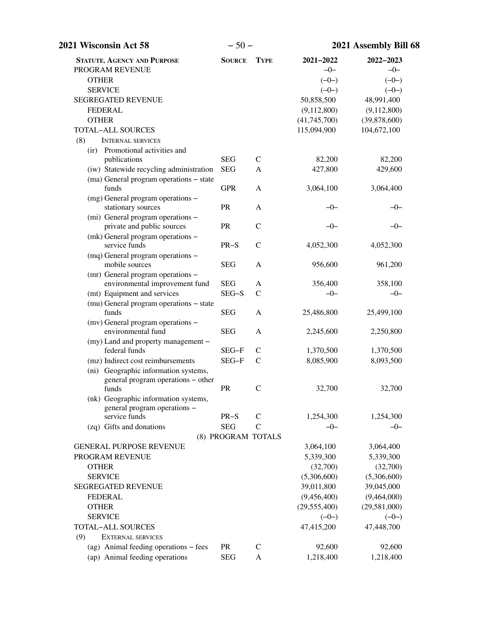| 2021 Wisconsin Act 58                                   | $-50-$             |               | 2021 Assembly Bill 68   |                           |  |
|---------------------------------------------------------|--------------------|---------------|-------------------------|---------------------------|--|
| <b>STATUTE, AGENCY AND PURPOSE</b>                      | <b>SOURCE</b>      | <b>TYPE</b>   | 2021-2022               | 2022-2023                 |  |
| PROGRAM REVENUE                                         |                    |               | $-0-$                   | $-0-$                     |  |
| <b>OTHER</b>                                            |                    |               | $(-0-)$                 | $(-0-)$                   |  |
| <b>SERVICE</b>                                          |                    |               | $(-0-)$                 | $(-0-)$                   |  |
| <b>SEGREGATED REVENUE</b>                               |                    |               | 50,858,500              | 48,991,400                |  |
| <b>FEDERAL</b>                                          |                    |               | (9,112,800)             | (9,112,800)               |  |
| <b>OTHER</b>                                            |                    |               | (41,745,700)            | (39,878,600)              |  |
| <b>TOTAL-ALL SOURCES</b>                                |                    |               | 115,094,900             | 104,672,100               |  |
| (8)<br><b>INTERNAL SERVICES</b>                         |                    |               |                         |                           |  |
| Promotional activities and<br>$\left($ ir $\right)$     |                    |               |                         |                           |  |
| publications                                            | <b>SEG</b>         | $\mathcal{C}$ | 82,200                  | 82,200                    |  |
| (iw) Statewide recycling administration                 | <b>SEG</b>         | A             | 427,800                 | 429,600                   |  |
| (ma) General program operations - state                 |                    |               |                         |                           |  |
| funds                                                   | <b>GPR</b>         | A             | 3,064,100               | 3,064,400                 |  |
| (mg) General program operations -<br>stationary sources | PR                 | A             | $-0-$                   | $-0-$                     |  |
| (mi) General program operations -                       |                    |               |                         |                           |  |
| private and public sources                              | PR                 | $\mathcal{C}$ | $-0-$                   | $-0-$                     |  |
| (mk) General program operations -                       |                    |               |                         |                           |  |
| service funds                                           | $PR-S$             | $\mathsf{C}$  | 4,052,300               | 4,052,300                 |  |
| (mq) General program operations -                       |                    |               |                         |                           |  |
| mobile sources                                          | <b>SEG</b>         | A             | 956,600                 | 961,200                   |  |
| (mr) General program operations -                       |                    |               |                         |                           |  |
| environmental improvement fund                          | <b>SEG</b>         | A             | 356,400                 | 358,100                   |  |
| (mt) Equipment and services                             | SEG-S              | $\mathsf{C}$  | $-0-$                   | $-0-$                     |  |
| (mu) General program operations - state                 |                    |               |                         |                           |  |
| funds                                                   | <b>SEG</b>         | $\mathbf{A}$  | 25,486,800              | 25,499,100                |  |
| (mv) General program operations -<br>environmental fund | <b>SEG</b>         | A             | 2,245,600               | 2,250,800                 |  |
| (my) Land and property management -                     |                    |               |                         |                           |  |
| federal funds                                           | SEG-F              | $\mathsf{C}$  | 1,370,500               | 1,370,500                 |  |
| (mz) Indirect cost reimbursements                       | SEG-F              | $\mathsf{C}$  | 8,085,900               | 8,093,500                 |  |
| (ni) Geographic information systems,                    |                    |               |                         |                           |  |
| general program operations – other                      |                    |               |                         |                           |  |
| funds                                                   | PR                 | $\mathbf C$   | 32,700                  | 32,700                    |  |
| (nk) Geographic information systems,                    |                    |               |                         |                           |  |
| general program operations -                            |                    |               |                         |                           |  |
| service funds                                           | $PR-S$             | $\mathcal{C}$ | 1,254,300               | 1,254,300                 |  |
| (zq) Gifts and donations                                | <b>SEG</b>         | $\mathcal{C}$ | $-0-$                   | $-0-$                     |  |
|                                                         | (8) PROGRAM TOTALS |               |                         |                           |  |
| <b>GENERAL PURPOSE REVENUE</b>                          |                    |               | 3,064,100               | 3,064,400                 |  |
| PROGRAM REVENUE                                         |                    |               | 5,339,300               | 5,339,300                 |  |
| <b>OTHER</b><br><b>SERVICE</b>                          |                    |               | (32,700)<br>(5,306,600) | (32,700)                  |  |
| <b>SEGREGATED REVENUE</b>                               |                    |               | 39,011,800              | (5,306,600)<br>39,045,000 |  |
| <b>FEDERAL</b>                                          |                    |               | (9,456,400)             | (9,464,000)               |  |
| <b>OTHER</b>                                            |                    |               | (29, 555, 400)          | (29,581,000)              |  |
| <b>SERVICE</b>                                          |                    |               | $(-0-)$                 | $(-0-)$                   |  |
| <b>TOTAL-ALL SOURCES</b>                                |                    |               | 47,415,200              | 47,448,700                |  |
| (9)<br><b>EXTERNAL SERVICES</b>                         |                    |               |                         |                           |  |
| (ag) Animal feeding operations – fees                   | <b>PR</b>          | $\mathcal{C}$ | 92,600                  | 92,600                    |  |
| (ap) Animal feeding operations                          | <b>SEG</b>         | A             | 1,218,400               | 1,218,400                 |  |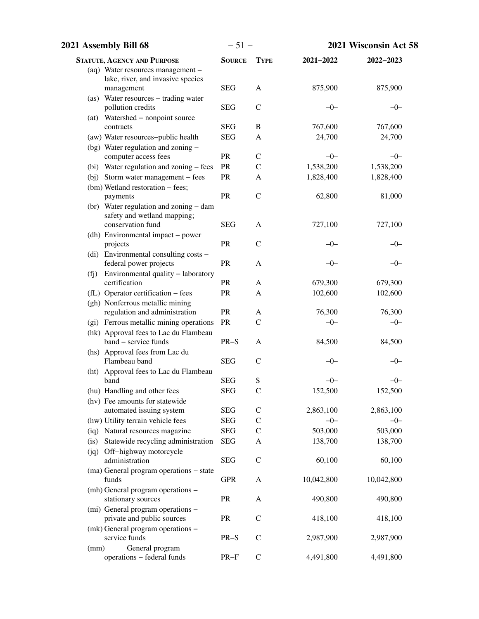| 2021 Assembly Bill 68                                                 | $-51-$        |               | 2021 Wisconsin Act 58 |                    |
|-----------------------------------------------------------------------|---------------|---------------|-----------------------|--------------------|
| <b>STATUTE, AGENCY AND PURPOSE</b>                                    | <b>SOURCE</b> | <b>TYPE</b>   | 2021-2022             | 2022-2023          |
| (aq) Water resources management -                                     |               |               |                       |                    |
| lake, river, and invasive species                                     |               |               |                       |                    |
| management                                                            | <b>SEG</b>    | A             | 875,900               | 875,900            |
| (as) Water resources - trading water<br>pollution credits             | <b>SEG</b>    | $\mathcal{C}$ | $-0-$                 | $-0-$              |
| (at) Watershed - nonpoint source                                      |               |               |                       |                    |
| contracts                                                             | <b>SEG</b>    | $\, {\bf B}$  | 767,600               | 767,600            |
| (aw) Water resources-public health                                    | <b>SEG</b>    | A             | 24,700                | 24,700             |
| $(\text{bg})$ Water regulation and zoning –                           |               |               |                       |                    |
| computer access fees                                                  | PR            | $\mathsf{C}$  | $-0-$                 | $-0-$              |
| (bi) Water regulation and zoning - fees                               | PR            | $\mathsf{C}$  | 1,538,200             | 1,538,200          |
| (bj) Storm water management – fees                                    | PR            | A             | 1,828,400             | 1,828,400          |
| (bm) Wetland restoration - fees;                                      |               |               |                       |                    |
| payments                                                              | PR            | $\mathsf{C}$  | 62,800                | 81,000             |
| (br) Water regulation and zoning - dam<br>safety and wetland mapping; |               |               |                       |                    |
| conservation fund                                                     | <b>SEG</b>    | A             | 727,100               | 727,100            |
| (dh) Environmental impact - power                                     |               |               |                       |                    |
| projects                                                              | PR            | $\mathcal{C}$ | $-0-$                 | -0-                |
| (di) Environmental consulting costs -                                 |               |               |                       |                    |
| federal power projects                                                | PR            | A             | $-0-$                 | $-0-$              |
| (fj) Environmental quality - laboratory<br>certification              |               |               |                       |                    |
| (fL) Operator certification - fees                                    | PR<br>PR      | A<br>A        | 679,300<br>102,600    | 679,300<br>102,600 |
| (gh) Nonferrous metallic mining                                       |               |               |                       |                    |
| regulation and administration                                         | <b>PR</b>     | A             | 76,300                | 76,300             |
| (gi) Ferrous metallic mining operations                               | PR            | $\mathcal{C}$ | $-0-$                 | $-0-$              |
| (hk) Approval fees to Lac du Flambeau                                 |               |               |                       |                    |
| band - service funds                                                  | $PR-S$        | A             | 84,500                | 84,500             |
| (hs) Approval fees from Lac du                                        |               |               |                       |                    |
| Flambeau band                                                         | <b>SEG</b>    | $\mathcal{C}$ | -0-                   | –0–                |
| (ht) Approval fees to Lac du Flambeau<br>band                         | <b>SEG</b>    | ${\bf S}$     | $-0-$                 | $-0-$              |
| (hu) Handling and other fees                                          | <b>SEG</b>    | $\mathbf C$   | 152,500               | 152,500            |
| (hv) Fee amounts for statewide                                        |               |               |                       |                    |
| automated issuing system                                              | <b>SEG</b>    | $\mathsf{C}$  | 2,863,100             | 2,863,100          |
| (hw) Utility terrain vehicle fees                                     | <b>SEG</b>    | $\mathsf{C}$  | $-0-$                 | $-0-$              |
| (iq) Natural resources magazine                                       | <b>SEG</b>    | $\mathcal{C}$ | 503,000               | 503,000            |
| (is) Statewide recycling administration                               | <b>SEG</b>    | A             | 138,700               | 138,700            |
| (jq) Off-highway motorcycle                                           |               |               |                       |                    |
| administration                                                        | <b>SEG</b>    | $\mathsf C$   | 60,100                | 60,100             |
| (ma) General program operations – state<br>funds                      |               |               |                       |                    |
| (mh) General program operations -                                     | <b>GPR</b>    | A             | 10,042,800            | 10,042,800         |
| stationary sources                                                    | PR            | A             | 490,800               | 490,800            |
| (mi) General program operations -                                     |               |               |                       |                    |
| private and public sources                                            | PR            | $\mathcal{C}$ | 418,100               | 418,100            |
| (mk) General program operations -                                     |               |               |                       |                    |
| service funds                                                         | $PR-S$        | $\mathcal{C}$ | 2,987,900             | 2,987,900          |
| General program<br>(mm)                                               |               |               |                       |                    |
| operations - federal funds                                            | $PR-F$        | $\mathbf C$   | 4,491,800             | 4,491,800          |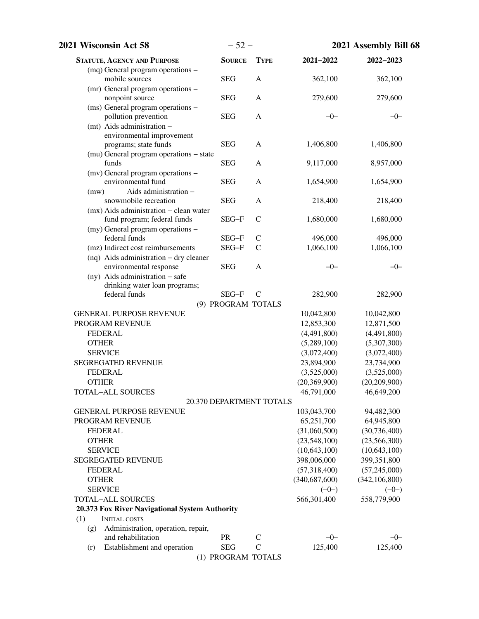| 2021 Wisconsin Act 58                                                            | $-52-$                   |                               |                  | 2021 Assembly Bill 68 |  |
|----------------------------------------------------------------------------------|--------------------------|-------------------------------|------------------|-----------------------|--|
| <b>STATUTE, AGENCY AND PURPOSE</b>                                               | <b>SOURCE</b>            | <b>TYPE</b>                   | $2021 - 2022$    | 2022-2023             |  |
| (mq) General program operations -<br>mobile sources                              | <b>SEG</b>               | A                             | 362,100          | 362,100               |  |
| (mr) General program operations -<br>nonpoint source                             | <b>SEG</b>               | A                             | 279,600          | 279,600               |  |
| (ms) General program operations -<br>pollution prevention                        | <b>SEG</b>               | A                             | $-0-$            | $-0-$                 |  |
| (mt) Aids administration -<br>environmental improvement<br>programs; state funds | <b>SEG</b>               | A                             | 1,406,800        | 1,406,800             |  |
| (mu) General program operations - state                                          |                          |                               |                  |                       |  |
| funds<br>(mv) General program operations -                                       | <b>SEG</b>               | A                             | 9,117,000        | 8,957,000             |  |
| environmental fund<br>Aids administration -<br>(mw)                              | <b>SEG</b>               | A                             | 1,654,900        | 1,654,900             |  |
| snowmobile recreation<br>$(mx)$ Aids administration – clean water                | <b>SEG</b>               | A                             | 218,400          | 218,400               |  |
| fund program; federal funds                                                      | SEG-F                    | $\mathsf{C}$                  | 1,680,000        | 1,680,000             |  |
| (my) General program operations -<br>federal funds                               | SEG-F                    | $\mathcal{C}$                 | 496,000          | 496,000               |  |
| (mz) Indirect cost reimbursements                                                | SEG-F                    | $\mathsf{C}$                  | 1,066,100        | 1,066,100             |  |
| (nq) Aids administration - dry cleaner<br>environmental response                 | <b>SEG</b>               | A                             | $-0-$            | $-0-$                 |  |
| (ny) Aids administration - safe                                                  |                          |                               |                  |                       |  |
| drinking water loan programs;                                                    |                          |                               |                  |                       |  |
| federal funds                                                                    | SEG-F                    | $\mathcal{C}$                 | 282,900          | 282,900               |  |
|                                                                                  | (9) PROGRAM TOTALS       |                               |                  |                       |  |
| <b>GENERAL PURPOSE REVENUE</b>                                                   |                          |                               | 10,042,800       | 10,042,800            |  |
| PROGRAM REVENUE                                                                  |                          |                               | 12,853,300       | 12,871,500            |  |
| <b>FEDERAL</b>                                                                   |                          |                               | (4,491,800)      | (4,491,800)           |  |
| <b>OTHER</b>                                                                     |                          |                               | (5,289,100)      | (5,307,300)           |  |
| <b>SERVICE</b>                                                                   |                          |                               | (3,072,400)      | (3,072,400)           |  |
| <b>SEGREGATED REVENUE</b>                                                        |                          |                               | 23,894,900       | 23,734,900            |  |
| <b>FEDERAL</b>                                                                   |                          |                               | (3,525,000)      | (3,525,000)           |  |
| <b>OTHER</b>                                                                     |                          |                               | (20, 369, 900)   | (20, 209, 900)        |  |
| TOTAL-ALL SOURCES                                                                | 20.370 DEPARTMENT TOTALS |                               | 46,791,000       | 46,649,200            |  |
| <b>GENERAL PURPOSE REVENUE</b>                                                   |                          |                               |                  |                       |  |
|                                                                                  |                          |                               | 103,043,700      | 94,482,300            |  |
| PROGRAM REVENUE                                                                  |                          |                               | 65,251,700       | 64,945,800            |  |
| <b>FEDERAL</b>                                                                   |                          |                               | (31,060,500)     | (30, 736, 400)        |  |
| <b>OTHER</b>                                                                     |                          |                               | (23,548,100)     | (23, 566, 300)        |  |
| <b>SERVICE</b>                                                                   |                          |                               | (10,643,100)     | (10,643,100)          |  |
| <b>SEGREGATED REVENUE</b>                                                        |                          |                               | 398,006,000      | 399,351,800           |  |
| <b>FEDERAL</b>                                                                   |                          |                               | (57,318,400)     | (57,245,000)          |  |
| <b>OTHER</b>                                                                     |                          |                               | (340, 687, 600)  | (342, 106, 800)       |  |
| <b>SERVICE</b>                                                                   |                          |                               | $(-0-)$          | $(-0-)$               |  |
| <b>TOTAL-ALL SOURCES</b>                                                         |                          |                               | 566,301,400      | 558,779,900           |  |
| 20.373 Fox River Navigational System Authority                                   |                          |                               |                  |                       |  |
| (1)<br><b>INITIAL COSTS</b>                                                      |                          |                               |                  |                       |  |
| Administration, operation, repair,<br>(g)<br>and rehabilitation                  | <b>PR</b>                |                               |                  |                       |  |
|                                                                                  | <b>SEG</b>               | $\mathsf{C}$<br>$\mathcal{C}$ | $-0-$<br>125,400 | $-0-$<br>125,400      |  |
| Establishment and operation<br>(r)                                               | (1) PROGRAM TOTALS       |                               |                  |                       |  |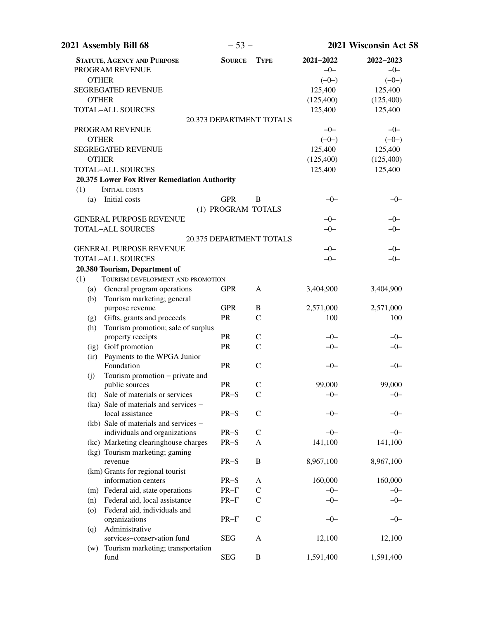| 2021 Assembly Bill 68                                     | $-53-$                   |               |           | 2021 Wisconsin Act 58 |  |
|-----------------------------------------------------------|--------------------------|---------------|-----------|-----------------------|--|
| <b>STATUTE, AGENCY AND PURPOSE</b>                        | <b>SOURCE</b>            | <b>TYPE</b>   | 2021-2022 | 2022-2023             |  |
| PROGRAM REVENUE                                           |                          |               | $-0-$     | $-0-$                 |  |
| <b>OTHER</b>                                              |                          |               | $(-0-)$   | $(-0-)$               |  |
| <b>SEGREGATED REVENUE</b>                                 |                          |               | 125,400   | 125,400               |  |
| <b>OTHER</b>                                              |                          |               | (125,400) | (125,400)             |  |
| TOTAL-ALL SOURCES                                         |                          |               | 125,400   | 125,400               |  |
|                                                           | 20.373 DEPARTMENT TOTALS |               |           |                       |  |
| PROGRAM REVENUE                                           |                          |               | $-0-$     | $-0-$                 |  |
| <b>OTHER</b>                                              |                          |               | $(-0-)$   | $(-0-)$               |  |
| <b>SEGREGATED REVENUE</b>                                 |                          |               | 125,400   | 125,400               |  |
| <b>OTHER</b>                                              |                          |               | (125,400) | (125,400)             |  |
| <b>TOTAL-ALL SOURCES</b>                                  |                          |               | 125,400   | 125,400               |  |
| 20.375 Lower Fox River Remediation Authority              |                          |               |           |                       |  |
| (1)<br><b>INITIAL COSTS</b>                               |                          |               |           |                       |  |
| Initial costs<br>(a)                                      | <b>GPR</b>               | B             | $-0-$     | $-0-$                 |  |
|                                                           | (1) PROGRAM TOTALS       |               |           |                       |  |
| <b>GENERAL PURPOSE REVENUE</b>                            |                          |               | $-0-$     | $-0-$                 |  |
| <b>TOTAL-ALL SOURCES</b>                                  |                          |               | $-0-$     | $-0-$                 |  |
|                                                           | 20.375 DEPARTMENT TOTALS |               |           |                       |  |
| <b>GENERAL PURPOSE REVENUE</b>                            |                          |               | $-0-$     | $-0-$                 |  |
| <b>TOTAL-ALL SOURCES</b>                                  |                          |               | $-0-$     | $-0-$                 |  |
| 20.380 Tourism, Department of                             |                          |               |           |                       |  |
| TOURISM DEVELOPMENT AND PROMOTION<br>(1)                  |                          |               |           |                       |  |
| General program operations<br>(a)                         | <b>GPR</b>               | A             | 3,404,900 | 3,404,900             |  |
| Tourism marketing; general<br>(b)                         |                          |               |           |                       |  |
| purpose revenue                                           | <b>GPR</b>               | B             | 2,571,000 | 2,571,000             |  |
| Gifts, grants and proceeds<br>(g)                         | PR                       | $\mathcal{C}$ | 100       | 100                   |  |
| Tourism promotion; sale of surplus<br>(h)                 |                          |               |           |                       |  |
| property receipts                                         | <b>PR</b>                | $\mathsf{C}$  | $-0-$     | $-0-$                 |  |
| (ig) Golf promotion                                       | PR                       | $\mathcal{C}$ | $-0-$     | $-0-$                 |  |
| Payments to the WPGA Junior<br>$\left($ ir $\right)$      |                          |               |           |                       |  |
| Foundation                                                | <b>PR</b>                | $\mathsf{C}$  | $-0-$     | $-0-$                 |  |
| Tourism promotion – private and<br>(j)                    |                          |               |           |                       |  |
| public sources                                            | <b>PR</b>                | $\mathcal{C}$ | 99,000    | 99,000                |  |
| Sale of materials or services<br>(k)                      | PR-S                     | $\mathsf{C}$  | $-0-$     | $-0-$                 |  |
| (ka) Sale of materials and services –<br>local assistance | $PR-S$                   | $\mathsf C$   | -0-       |                       |  |
| (kb) Sale of materials and services –                     |                          |               |           | –0–                   |  |
| individuals and organizations                             | $PR-S$                   | $\mathsf C$   | $-0-$     | $-0-$                 |  |
| (kc) Marketing clearinghouse charges                      | $PR-S$                   | A             | 141,100   | 141,100               |  |
| (kg) Tourism marketing; gaming                            |                          |               |           |                       |  |
| revenue                                                   | $PR-S$                   | B             | 8,967,100 | 8,967,100             |  |
| (km) Grants for regional tourist                          |                          |               |           |                       |  |
| information centers                                       | $PR-S$                   | A             | 160,000   | 160,000               |  |
| (m) Federal aid, state operations                         | $PR-F$                   | $\mathsf{C}$  | $-0-$     | $-0-$                 |  |
| Federal aid, local assistance<br>(n)                      | $PR-F$                   | $\mathsf{C}$  | $-0-$     | $-0-$                 |  |
| Federal aid, individuals and<br>$\circ$                   |                          |               |           |                       |  |
| organizations                                             | $PR-F$                   | $\mathcal{C}$ | $-0-$     | -0-                   |  |
| Administrative<br>(q)                                     |                          |               |           |                       |  |
| services-conservation fund                                | <b>SEG</b>               | A             | 12,100    | 12,100                |  |
| Tourism marketing; transportation<br>(w)                  |                          |               |           |                       |  |
| fund                                                      | <b>SEG</b>               | B             | 1,591,400 | 1,591,400             |  |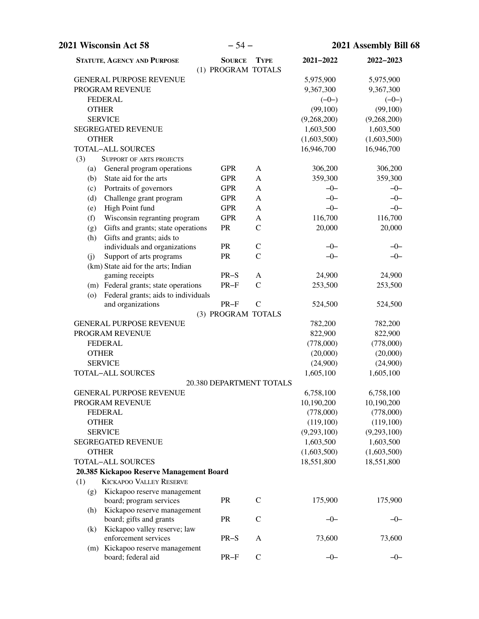| 2021 Wisconsin Act 58                                                      | $-54-$                              |                          | 2021 Assembly Bill 68 |             |
|----------------------------------------------------------------------------|-------------------------------------|--------------------------|-----------------------|-------------|
| <b>STATUTE, AGENCY AND PURPOSE</b>                                         | <b>SOURCE</b><br>(1) PROGRAM TOTALS | <b>TYPE</b>              | 2021-2022             | 2022-2023   |
| <b>GENERAL PURPOSE REVENUE</b>                                             |                                     |                          | 5,975,900             | 5,975,900   |
| PROGRAM REVENUE                                                            |                                     |                          | 9,367,300             | 9,367,300   |
| <b>FEDERAL</b>                                                             |                                     |                          | $(-0-)$               | $(-0-)$     |
| <b>OTHER</b>                                                               |                                     |                          | (99,100)              | (99,100)    |
| <b>SERVICE</b>                                                             |                                     |                          | (9,268,200)           | (9,268,200) |
| <b>SEGREGATED REVENUE</b>                                                  |                                     |                          | 1,603,500             | 1,603,500   |
| <b>OTHER</b>                                                               |                                     |                          | (1,603,500)           | (1,603,500) |
| <b>TOTAL-ALL SOURCES</b>                                                   |                                     |                          | 16,946,700            | 16,946,700  |
| (3)<br>SUPPORT OF ARTS PROJECTS                                            |                                     |                          |                       |             |
| General program operations<br>(a)                                          | <b>GPR</b>                          | A                        | 306,200               | 306,200     |
| State aid for the arts<br>(b)                                              | <b>GPR</b>                          | A                        | 359,300               | 359,300     |
| Portraits of governors<br>(c)                                              | <b>GPR</b>                          | A                        | $-0-$                 | $-0-$       |
| Challenge grant program<br>(d)                                             | <b>GPR</b>                          | A                        | $-0-$                 | $-0-$       |
| High Point fund<br>(e)                                                     | <b>GPR</b>                          | A                        | $-0-$                 | $-0-$       |
| Wisconsin regranting program<br>(f)                                        | <b>GPR</b>                          | A                        | 116,700               | 116,700     |
| Gifts and grants; state operations<br>(g)                                  | PR                                  | $\mathsf{C}$             | 20,000                | 20,000      |
| Gifts and grants; aids to<br>(h)                                           |                                     |                          |                       |             |
| individuals and organizations                                              | <b>PR</b>                           | $\mathsf{C}$             | $-0-$                 | $-0-$       |
| Support of arts programs<br>(j)                                            | <b>PR</b>                           | $\mathcal{C}$            | $-0-$                 | $-0-$       |
| (km) State aid for the arts; Indian                                        |                                     |                          |                       |             |
| gaming receipts                                                            | $PR-S$                              | A                        | 24,900                | 24,900      |
| (m) Federal grants; state operations                                       | $PR-F$                              | $\mathcal{C}$            | 253,500               | 253,500     |
| Federal grants; aids to individuals<br>(0)                                 |                                     |                          |                       |             |
| and organizations                                                          | $PR-F$                              | $\mathbf C$              | 524,500               | 524,500     |
|                                                                            | (3) PROGRAM TOTALS                  |                          |                       |             |
| <b>GENERAL PURPOSE REVENUE</b>                                             |                                     |                          | 782,200               | 782,200     |
| PROGRAM REVENUE                                                            |                                     |                          | 822,900               | 822,900     |
| <b>FEDERAL</b>                                                             |                                     |                          | (778,000)             | (778,000)   |
| <b>OTHER</b>                                                               |                                     |                          | (20,000)              | (20,000)    |
| <b>SERVICE</b>                                                             |                                     |                          | (24,900)              | (24,900)    |
| <b>TOTAL-ALL SOURCES</b>                                                   |                                     |                          | 1,605,100             | 1,605,100   |
|                                                                            |                                     | 20.380 DEPARTMENT TOTALS |                       |             |
| <b>GENERAL PURPOSE REVENUE</b>                                             |                                     |                          | 6,758,100             | 6,758,100   |
| PROGRAM REVENUE                                                            |                                     |                          | 10,190,200            | 10,190,200  |
| <b>FEDERAL</b>                                                             |                                     |                          | (778,000)             | (778,000)   |
| <b>OTHER</b>                                                               |                                     |                          | (119,100)             | (119,100)   |
| <b>SERVICE</b>                                                             |                                     |                          | (9,293,100)           | (9,293,100) |
| <b>SEGREGATED REVENUE</b>                                                  |                                     |                          | 1,603,500             | 1,603,500   |
| <b>OTHER</b>                                                               |                                     |                          | (1,603,500)           | (1,603,500) |
| <b>TOTAL-ALL SOURCES</b>                                                   |                                     |                          | 18,551,800            | 18,551,800  |
| 20.385 Kickapoo Reserve Management Board<br><b>KICKAPOO VALLEY RESERVE</b> |                                     |                          |                       |             |
| (1)                                                                        |                                     |                          |                       |             |
| Kickapoo reserve management<br>(g)<br>board; program services              | PR                                  | $\mathbf C$              | 175,900               | 175,900     |
| Kickapoo reserve management<br>(h)<br>board; gifts and grants              | PR                                  | $\mathbf C$              | $-0-$                 | $-0-$       |
| Kickapoo valley reserve; law<br>(k)<br>enforcement services                | $PR-S$                              | A                        | 73,600                | 73,600      |
| (m) Kickapoo reserve management                                            |                                     |                          |                       |             |
| board; federal aid                                                         | $PR-F$                              | $\mathbf C$              | $-0-$                 | $-0-$       |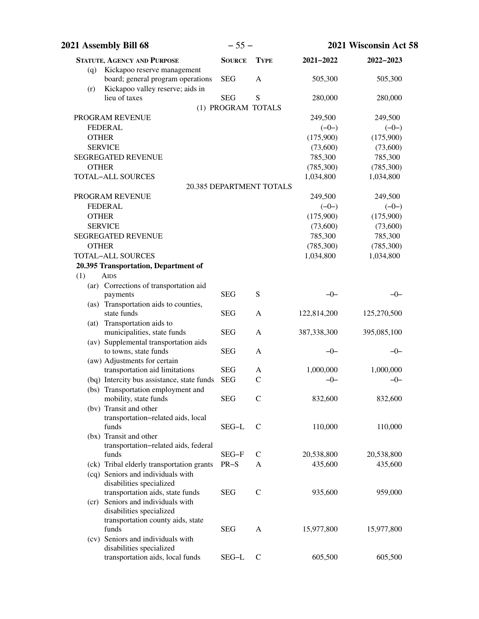| 2021 Assembly Bill 68                                                   | $-55-$             |                          |               | 2021 Wisconsin Act 58 |
|-------------------------------------------------------------------------|--------------------|--------------------------|---------------|-----------------------|
| <b>STATUTE, AGENCY AND PURPOSE</b>                                      | <b>SOURCE</b>      | <b>TYPE</b>              | 2021-2022     | 2022-2023             |
| Kickapoo reserve management<br>(q)<br>board; general program operations | <b>SEG</b>         | $\mathbf{A}$             | 505,300       | 505,300               |
| Kickapoo valley reserve; aids in<br>(r)<br>lieu of taxes                | <b>SEG</b>         | S                        | 280,000       | 280,000               |
|                                                                         | (1) PROGRAM TOTALS |                          |               |                       |
| PROGRAM REVENUE                                                         |                    |                          | 249,500       | 249,500               |
| <b>FEDERAL</b>                                                          |                    |                          | $(-0-)$       | $(-0-)$               |
| <b>OTHER</b>                                                            |                    |                          | (175,900)     | (175,900)             |
| <b>SERVICE</b>                                                          |                    |                          | (73,600)      | (73,600)              |
| <b>SEGREGATED REVENUE</b>                                               |                    |                          | 785,300       | 785,300               |
| <b>OTHER</b>                                                            |                    |                          | (785,300)     | (785,300)             |
| <b>TOTAL-ALL SOURCES</b>                                                |                    |                          | 1,034,800     | 1,034,800             |
|                                                                         |                    | 20.385 DEPARTMENT TOTALS |               |                       |
| PROGRAM REVENUE                                                         |                    |                          | 249,500       | 249,500               |
| <b>FEDERAL</b>                                                          |                    |                          | $(-0-)$       | $(-0-)$               |
| <b>OTHER</b>                                                            |                    |                          | (175,900)     | (175,900)             |
| <b>SERVICE</b>                                                          |                    |                          | (73,600)      | (73,600)              |
| <b>SEGREGATED REVENUE</b>                                               |                    |                          | 785,300       | 785,300               |
| <b>OTHER</b>                                                            |                    |                          | (785,300)     | (785,300)             |
| <b>TOTAL-ALL SOURCES</b>                                                |                    |                          | 1,034,800     | 1,034,800             |
| 20.395 Transportation, Department of                                    |                    |                          |               |                       |
| (1)<br><b>AIDS</b>                                                      |                    |                          |               |                       |
| (ar) Corrections of transportation aid                                  |                    |                          |               |                       |
| payments                                                                | <b>SEG</b>         | S                        | $-0-$         | $-0-$                 |
| (as) Transportation aids to counties,<br>state funds                    | <b>SEG</b>         | A                        | 122,814,200   | 125,270,500           |
| (at) Transportation aids to<br>municipalities, state funds              | <b>SEG</b>         | A                        | 387, 338, 300 | 395,085,100           |
| (av) Supplemental transportation aids<br>to towns, state funds          | <b>SEG</b>         | A                        | $-0-$         | $-0-$                 |
| (aw) Adjustments for certain                                            |                    |                          |               |                       |
| transportation aid limitations                                          | <b>SEG</b>         | A                        | 1,000,000     | 1,000,000             |
| (bq) Intercity bus assistance, state funds                              | <b>SEG</b>         | $\mathcal{C}$            | $-0-$         | $-0-$                 |
| (bs) Transportation employment and<br>mobility, state funds             | <b>SEG</b>         | $\mathsf{C}$             | 832,600       | 832,600               |
| (bv) Transit and other                                                  |                    |                          |               |                       |
| transportation-related aids, local<br>funds                             | SEG-L              | $\mathcal{C}$            | 110,000       | 110,000               |
| (bx) Transit and other                                                  |                    |                          |               |                       |
| transportation-related aids, federal                                    |                    |                          |               |                       |
| funds                                                                   | SEG-F              | C                        | 20,538,800    | 20,538,800            |
| (ck) Tribal elderly transportation grants                               | $PR-S$             | A                        | 435,600       | 435,600               |
| (cq) Seniors and individuals with                                       |                    |                          |               |                       |
| disabilities specialized                                                |                    |                          |               |                       |
| transportation aids, state funds                                        | <b>SEG</b>         | $\mathcal{C}$            | 935,600       | 959,000               |
| (cr) Seniors and individuals with<br>disabilities specialized           |                    |                          |               |                       |
| transportation county aids, state                                       |                    |                          |               |                       |
| funds                                                                   | <b>SEG</b>         | A                        | 15,977,800    | 15,977,800            |
| (cv) Seniors and individuals with                                       |                    |                          |               |                       |
| disabilities specialized<br>transportation aids, local funds            | SEG-L              | $\mathcal{C}$            | 605,500       | 605,500               |
|                                                                         |                    |                          |               |                       |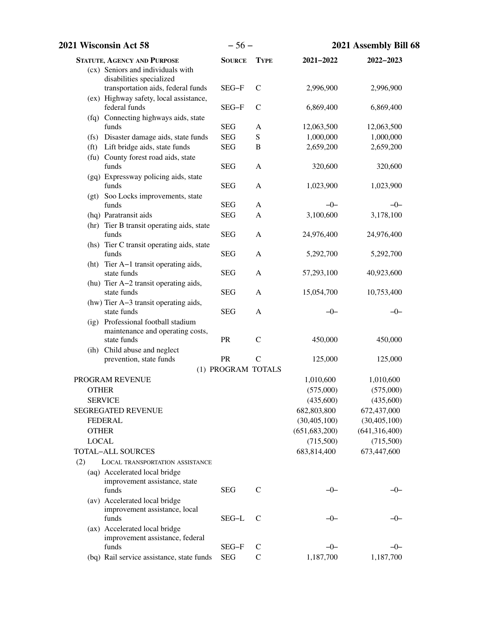| 2021 Wisconsin Act 58                                                        | $-56-$             |               | 2021 Assembly Bill 68 |                        |
|------------------------------------------------------------------------------|--------------------|---------------|-----------------------|------------------------|
| <b>STATUTE, AGENCY AND PURPOSE</b>                                           | <b>SOURCE</b>      | <b>TYPE</b>   | $2021 - 2022$         | $2022 - 2023$          |
| (cx) Seniors and individuals with                                            |                    |               |                       |                        |
| disabilities specialized                                                     | SEG-F              | $\mathsf{C}$  | 2,996,900             | 2,996,900              |
| transportation aids, federal funds<br>(ex) Highway safety, local assistance, |                    |               |                       |                        |
| federal funds                                                                | SEG-F              | $\mathsf{C}$  | 6,869,400             | 6,869,400              |
| (fq) Connecting highways aids, state                                         |                    |               |                       |                        |
| funds                                                                        | <b>SEG</b>         | A             | 12,063,500            | 12,063,500             |
| (fs) Disaster damage aids, state funds                                       | <b>SEG</b>         | S             | 1,000,000             | 1,000,000              |
| (ft) Lift bridge aids, state funds                                           | <b>SEG</b>         | $\, {\bf B}$  | 2,659,200             | 2,659,200              |
| (fu) County forest road aids, state                                          |                    |               |                       |                        |
| funds                                                                        | <b>SEG</b>         | A             | 320,600               | 320,600                |
| (gq) Expressway policing aids, state<br>funds                                | <b>SEG</b>         | A             | 1,023,900             | 1,023,900              |
| (gt) Soo Locks improvements, state                                           |                    |               |                       |                        |
| funds                                                                        | <b>SEG</b>         | A             | $-0-$                 | $-0-$                  |
| (hq) Paratransit aids                                                        | <b>SEG</b>         | A             | 3,100,600             | 3,178,100              |
| (hr) Tier B transit operating aids, state                                    |                    |               |                       |                        |
| funds                                                                        | <b>SEG</b>         | A             | 24,976,400            | 24,976,400             |
| (hs) Tier C transit operating aids, state                                    |                    |               |                       |                        |
| funds                                                                        | <b>SEG</b>         | A             | 5,292,700             | 5,292,700              |
| (ht) Tier A-1 transit operating aids,                                        |                    |               |                       |                        |
| state funds                                                                  | <b>SEG</b>         | A             | 57,293,100            | 40,923,600             |
| (hu) Tier A-2 transit operating aids,<br>state funds                         | <b>SEG</b>         | A             | 15,054,700            | 10,753,400             |
| (hw) Tier A-3 transit operating aids,                                        |                    |               |                       |                        |
| state funds                                                                  | <b>SEG</b>         | A             | $-0-$                 | $-0-$                  |
| (ig) Professional football stadium                                           |                    |               |                       |                        |
| maintenance and operating costs,                                             |                    |               |                       |                        |
| state funds                                                                  | <b>PR</b>          | $\mathcal{C}$ | 450,000               | 450,000                |
| (ih) Child abuse and neglect                                                 |                    |               |                       |                        |
| prevention, state funds                                                      | PR                 | $\mathcal{C}$ | 125,000               | 125,000                |
|                                                                              | (1) PROGRAM TOTALS |               | 1,010,600             |                        |
| PROGRAM REVENUE<br><b>OTHER</b>                                              |                    |               | (575,000)             | 1,010,600<br>(575,000) |
| <b>SERVICE</b>                                                               |                    |               | (435,600)             | (435,600)              |
| <b>SEGREGATED REVENUE</b>                                                    |                    |               | 682,803,800           | 672,437,000            |
| <b>FEDERAL</b>                                                               |                    |               | (30, 405, 100)        | (30, 405, 100)         |
| <b>OTHER</b>                                                                 |                    |               | (651, 683, 200)       | (641, 316, 400)        |
| <b>LOCAL</b>                                                                 |                    |               | (715,500)             | (715,500)              |
| <b>TOTAL-ALL SOURCES</b>                                                     |                    |               | 683,814,400           | 673,447,600            |
| (2)<br><b>LOCAL TRANSPORTATION ASSISTANCE</b>                                |                    |               |                       |                        |
| (aq) Accelerated local bridge                                                |                    |               |                       |                        |
| improvement assistance, state                                                |                    |               |                       |                        |
| funds                                                                        | <b>SEG</b>         | $\mathcal{C}$ | $-0-$                 | $-0-$                  |
| (av) Accelerated local bridge                                                |                    |               |                       |                        |
| improvement assistance, local                                                |                    |               |                       |                        |
| funds                                                                        | SEG-L              | C             | $-0-$                 | –0–                    |
| (ax) Accelerated local bridge                                                |                    |               |                       |                        |
| improvement assistance, federal<br>funds                                     | SEG-F              | $\mathsf{C}$  | $-0-$                 | $-0-$                  |
| (bq) Rail service assistance, state funds                                    | <b>SEG</b>         | $\mathbf C$   | 1,187,700             | 1,187,700              |
|                                                                              |                    |               |                       |                        |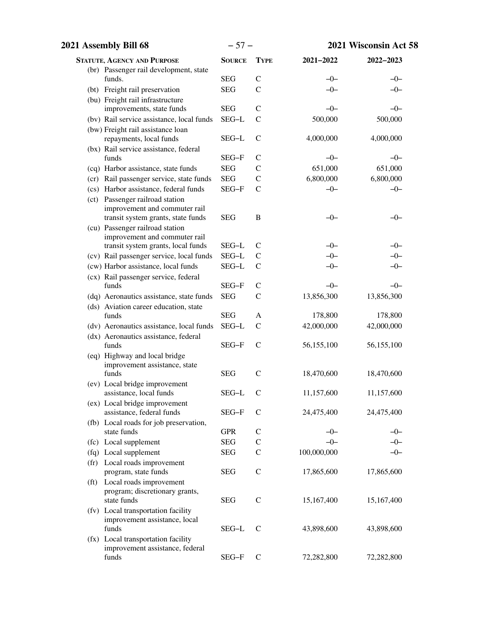| 2021 Assembly Bill 68 |                                                                                                        | $-57-$        |               | 2021 Wisconsin Act 58 |            |
|-----------------------|--------------------------------------------------------------------------------------------------------|---------------|---------------|-----------------------|------------|
|                       | <b>STATUTE, AGENCY AND PURPOSE</b>                                                                     | <b>SOURCE</b> | <b>TYPE</b>   | 2021-2022             | 2022-2023  |
|                       | (br) Passenger rail development, state                                                                 |               |               |                       |            |
|                       | funds.                                                                                                 | <b>SEG</b>    | $\mathcal{C}$ | $-0-$                 | $-0-$      |
|                       | (bt) Freight rail preservation                                                                         | <b>SEG</b>    | $\mathcal{C}$ | $-0-$                 | $-0-$      |
|                       | (bu) Freight rail infrastructure                                                                       |               |               |                       |            |
|                       | improvements, state funds                                                                              | <b>SEG</b>    | $\mathcal{C}$ | $-0-$                 | $-0-$      |
|                       | (bv) Rail service assistance, local funds                                                              | SEG-L         | $\mathcal{C}$ | 500,000               | 500,000    |
|                       | (bw) Freight rail assistance loan<br>repayments, local funds                                           | SEG-L         | $\mathsf{C}$  | 4,000,000             | 4,000,000  |
|                       | (bx) Rail service assistance, federal<br>funds                                                         | SEG-F         | $\mathsf{C}$  | $-0-$                 | $-0-$      |
|                       | (cq) Harbor assistance, state funds                                                                    | <b>SEG</b>    | $\mathsf{C}$  | 651,000               | 651,000    |
|                       | (cr) Rail passenger service, state funds                                                               | <b>SEG</b>    | $\mathsf{C}$  | 6,800,000             | 6,800,000  |
|                       | (cs) Harbor assistance, federal funds                                                                  | SEG-F         | $\mathsf{C}$  | $-0-$                 | $-0-$      |
|                       | (ct) Passenger railroad station<br>improvement and commuter rail<br>transit system grants, state funds | <b>SEG</b>    | $\, {\bf B}$  | $-0-$                 | –0–        |
|                       | (cu) Passenger railroad station<br>improvement and commuter rail                                       |               |               |                       |            |
|                       | transit system grants, local funds                                                                     | SEG-L         | $\mathsf{C}$  | $-0-$                 | $-0-$      |
|                       | (cv) Rail passenger service, local funds                                                               | SEG-L         | $\mathsf{C}$  | $-0-$                 | $-0-$      |
|                       | (cw) Harbor assistance, local funds                                                                    | SEG-L         | $\mathsf{C}$  | $-0-$                 | –0–        |
|                       | (cx) Rail passenger service, federal<br>funds                                                          | SEG-F         | $\mathsf{C}$  | $-0-$                 | $-0-$      |
|                       | (dq) Aeronautics assistance, state funds                                                               | <b>SEG</b>    | $\mathsf{C}$  | 13,856,300            | 13,856,300 |
|                       | (ds) Aviation career education, state<br>funds                                                         | <b>SEG</b>    | A             | 178,800               | 178,800    |
|                       | (dv) Aeronautics assistance, local funds                                                               | SEG-L         | $\mathsf{C}$  | 42,000,000            | 42,000,000 |
|                       | (dx) Aeronautics assistance, federal<br>funds                                                          | SEG-F         | $\mathsf{C}$  | 56,155,100            | 56,155,100 |
|                       | (eq) Highway and local bridge<br>improvement assistance, state                                         |               |               |                       |            |
|                       | funds<br>(ev) Local bridge improvement                                                                 | <b>SEG</b>    | $\mathcal{C}$ | 18,470,600            | 18,470,600 |
|                       | assistance, local funds<br>(ex) Local bridge improvement                                               | SEG-L         | C             | 11,157,600            | 11,157,600 |
|                       | assistance, federal funds<br>(fb) Local roads for job preservation,                                    | SEG-F         | $\mathsf{C}$  | 24,475,400            | 24,475,400 |
|                       | state funds                                                                                            | <b>GPR</b>    | $\mathcal{C}$ | $-0-$                 | $-0-$      |
|                       | (fc) Local supplement                                                                                  | <b>SEG</b>    | $\mathsf{C}$  | $-0-$                 | -0-        |
|                       | (fq) Local supplement                                                                                  | <b>SEG</b>    | $\mathsf{C}$  | 100,000,000           | $-0-$      |
| (f <sub>r</sub> )     | Local roads improvement                                                                                |               |               |                       |            |
|                       | program, state funds                                                                                   | <b>SEG</b>    | $\mathcal{C}$ | 17,865,600            | 17,865,600 |
| (f <sub>t</sub> )     | Local roads improvement<br>program; discretionary grants,<br>state funds                               | <b>SEG</b>    | $\mathcal{C}$ | 15,167,400            | 15,167,400 |
|                       | (fv) Local transportation facility<br>improvement assistance, local                                    |               |               |                       |            |
|                       | funds<br>(fx) Local transportation facility                                                            | SEG-L         | $\mathcal{C}$ | 43,898,600            | 43,898,600 |
|                       | improvement assistance, federal<br>funds                                                               | SEG-F         | $\mathsf C$   | 72,282,800            | 72,282,800 |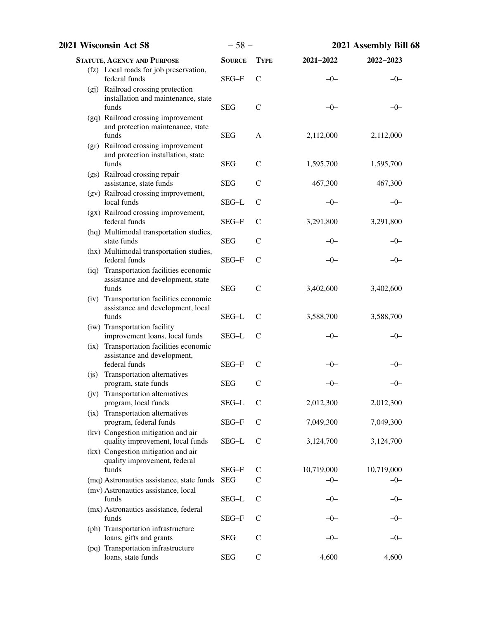| 2021 Wisconsin Act 58                                                                   | $-58-$        |               | 2021 Assembly Bill 68 |            |
|-----------------------------------------------------------------------------------------|---------------|---------------|-----------------------|------------|
| <b>STATUTE, AGENCY AND PURPOSE</b>                                                      | <b>SOURCE</b> | <b>TYPE</b>   | 2021-2022             | 2022-2023  |
| (fz) Local roads for job preservation,<br>federal funds                                 | SEG-F         | $\mathcal{C}$ | $-0-$                 | $-0-$      |
| (gj) Railroad crossing protection<br>installation and maintenance, state<br>funds       | <b>SEG</b>    | $\mathcal{C}$ | $-0-$                 | —()—       |
| (gq) Railroad crossing improvement<br>and protection maintenance, state<br>funds        | <b>SEG</b>    | A             | 2,112,000             | 2,112,000  |
| (gr) Railroad crossing improvement<br>and protection installation, state<br>funds       | <b>SEG</b>    | $\mathsf{C}$  | 1,595,700             | 1,595,700  |
| (gs) Railroad crossing repair<br>assistance, state funds                                | <b>SEG</b>    | $\mathcal{C}$ | 467,300               | 467,300    |
| (gv) Railroad crossing improvement,<br>local funds                                      | SEG-L         | $\mathcal{C}$ | $-0-$                 | $-0-$      |
| (gx) Railroad crossing improvement,<br>federal funds                                    | SEG-F         | $\mathcal{C}$ | 3,291,800             | 3,291,800  |
| (hq) Multimodal transportation studies,<br>state funds                                  | <b>SEG</b>    | $\mathsf{C}$  | —()—                  | –0–        |
| (hx) Multimodal transportation studies,<br>federal funds                                | SEG-F         | $\mathcal{C}$ | $-0-$                 | –0–        |
| (iq) Transportation facilities economic<br>assistance and development, state<br>funds   | <b>SEG</b>    | $\mathsf{C}$  | 3,402,600             | 3,402,600  |
| (iv) Transportation facilities economic<br>assistance and development, local<br>funds   | SEG-L         | $\mathsf{C}$  | 3,588,700             | 3,588,700  |
| (iw) Transportation facility<br>improvement loans, local funds                          | SEG-L         | $\mathsf{C}$  | $-0-$                 | –0–        |
| (ix) Transportation facilities economic<br>assistance and development,<br>federal funds | SEG-F         | $\mathsf{C}$  | $-0-$                 | -0-        |
| Transportation alternatives<br>(js)<br>program, state funds                             | <b>SEG</b>    | $\mathsf{C}$  | $-0-$                 | $-0-$      |
| (jv) Transportation alternatives<br>program, local funds                                | SEG-L         | $\mathsf{C}$  | 2,012,300             | 2,012,300  |
| (jx) Transportation alternatives<br>program, federal funds                              | SEG-F         | $\mathsf{C}$  | 7,049,300             | 7,049,300  |
| (kv) Congestion mitigation and air<br>quality improvement, local funds                  | SEG-L         | $\mathsf{C}$  | 3,124,700             | 3,124,700  |
| (kx) Congestion mitigation and air<br>quality improvement, federal<br>funds             | SEG-F         | $\mathcal{C}$ | 10,719,000            | 10,719,000 |
| (mq) Astronautics assistance, state funds                                               | <b>SEG</b>    | C             | $-0-$                 | -0-        |
| (mv) Astronautics assistance, local<br>funds                                            | SEG-L         | C             | $-()$                 | —()—       |
| (mx) Astronautics assistance, federal<br>funds                                          | SEG-F         | C             | $-0-$                 | —0—        |
| (ph) Transportation infrastructure<br>loans, gifts and grants                           | <b>SEG</b>    | $\mathsf{C}$  | —()—                  | –0–        |
| (pq) Transportation infrastructure<br>loans, state funds                                | <b>SEG</b>    | $\mathcal{C}$ | 4,600                 | 4,600      |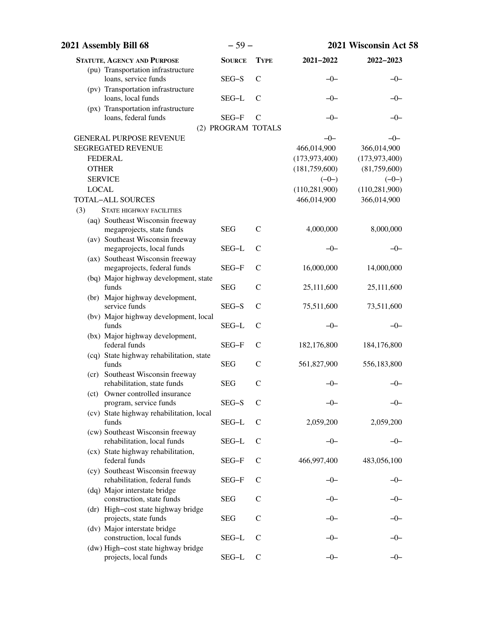| 2021 Assembly Bill 68                                             | $-59-$                      |               | 2021 Wisconsin Act 58 |                 |
|-------------------------------------------------------------------|-----------------------------|---------------|-----------------------|-----------------|
| <b>STATUTE, AGENCY AND PURPOSE</b>                                | <b>SOURCE</b>               | <b>TYPE</b>   | 2021-2022             | 2022-2023       |
| (pu) Transportation infrastructure<br>loans, service funds        | SEG-S                       | $\mathcal{C}$ | $-0-$                 | $-0-$           |
| (pv) Transportation infrastructure<br>loans, local funds          | SEG-L                       | $\mathcal{C}$ | -0-                   | -0-             |
| (px) Transportation infrastructure                                |                             |               |                       |                 |
| loans, federal funds                                              | SEG-F<br>(2) PROGRAM TOTALS | $\mathsf{C}$  | $-0-$                 | -0-             |
| <b>GENERAL PURPOSE REVENUE</b>                                    |                             |               | $-0-$                 | $-0-$           |
| <b>SEGREGATED REVENUE</b>                                         |                             |               | 466,014,900           | 366,014,900     |
| <b>FEDERAL</b>                                                    |                             |               | (173, 973, 400)       | (173, 973, 400) |
| <b>OTHER</b>                                                      |                             |               | (181, 759, 600)       | (81,759,600)    |
| <b>SERVICE</b>                                                    |                             |               | $(-0-)$               | $(-0-)$         |
| <b>LOCAL</b>                                                      |                             |               | (110, 281, 900)       | (110, 281, 900) |
| <b>TOTAL-ALL SOURCES</b>                                          |                             |               | 466,014,900           | 366,014,900     |
| (3)<br><b>STATE HIGHWAY FACILITIES</b>                            |                             |               |                       |                 |
| (aq) Southeast Wisconsin freeway<br>megaprojects, state funds     | <b>SEG</b>                  | $\mathsf{C}$  | 4,000,000             | 8,000,000       |
| (av) Southeast Wisconsin freeway<br>megaprojects, local funds     | SEG-L                       | $\mathsf{C}$  | $-0-$                 | $-0-$           |
| (ax) Southeast Wisconsin freeway<br>megaprojects, federal funds   | SEG-F                       | $\mathcal{C}$ | 16,000,000            | 14,000,000      |
| (bq) Major highway development, state<br>funds                    | <b>SEG</b>                  | $\mathsf{C}$  | 25,111,600            | 25,111,600      |
| (br) Major highway development,<br>service funds                  | SEG-S                       | C             | 75,511,600            | 73,511,600      |
| (bv) Major highway development, local<br>funds                    | SEG-L                       | $\mathcal{C}$ | $-0-$                 | $-0-$           |
| (bx) Major highway development,<br>federal funds                  | SEG-F                       | $\mathcal{C}$ | 182,176,800           | 184,176,800     |
| (cq) State highway rehabilitation, state<br>funds                 | <b>SEG</b>                  | $\mathsf{C}$  | 561,827,900           | 556,183,800     |
| (cr) Southeast Wisconsin freeway<br>rehabilitation, state funds   | <b>SEG</b>                  | $\mathcal{C}$ | $-0-$                 | $-0-$           |
| (ct) Owner controlled insurance<br>program, service funds         | SEG-S                       | C             | -0-                   | —()—            |
| (cv) State highway rehabilitation, local<br>funds                 | SEG-L                       | $\mathcal{C}$ | 2,059,200             | 2,059,200       |
| (cw) Southeast Wisconsin freeway<br>rehabilitation, local funds   | SEG-L                       | $\mathcal{C}$ | -0-                   | –0–             |
| (cx) State highway rehabilitation,<br>federal funds               | SEG-F                       | $\mathcal{C}$ | 466,997,400           | 483,056,100     |
| (cy) Southeast Wisconsin freeway<br>rehabilitation, federal funds | SEG-F                       | C             | —()—                  | —()—            |
| (dq) Major interstate bridge<br>construction, state funds         | <b>SEG</b>                  | $\mathsf{C}$  | -0-                   | —()—            |
| (dr) High-cost state highway bridge<br>projects, state funds      | <b>SEG</b>                  | $\mathcal{C}$ | $-0-$                 | –()–            |
| (dv) Major interstate bridge<br>construction, local funds         | SEG-L                       | $\mathsf{C}$  |                       |                 |
| (dw) High-cost state highway bridge<br>projects, local funds      | SEG-L                       | $\mathsf{C}$  | -0-                   | $-0-$           |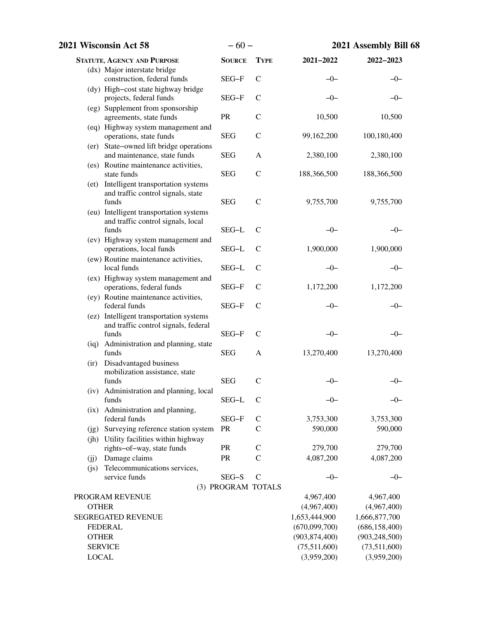| 2021 Wisconsin Act 58 |                                                                                          | $-60-$             |               | 2021 Assembly Bill 68 |                 |
|-----------------------|------------------------------------------------------------------------------------------|--------------------|---------------|-----------------------|-----------------|
|                       | <b>STATUTE, AGENCY AND PURPOSE</b>                                                       | <b>SOURCE</b>      | <b>TYPE</b>   | 2021-2022             | 2022-2023       |
|                       | (dx) Major interstate bridge                                                             |                    |               |                       |                 |
|                       | construction, federal funds                                                              | SEG-F              | $\mathsf{C}$  | $-0-$                 | $-0-$           |
|                       | (dy) High-cost state highway bridge<br>projects, federal funds                           | SEG-F              | $\mathcal{C}$ | -0-                   | –0–             |
|                       | (eg) Supplement from sponsorship<br>agreements, state funds                              | PR                 | $\mathcal{C}$ | 10,500                | 10,500          |
|                       | (eq) Highway system management and<br>operations, state funds                            | <b>SEG</b>         | $\mathsf{C}$  | 99,162,200            | 100,180,400     |
|                       | (er) State-owned lift bridge operations<br>and maintenance, state funds                  | <b>SEG</b>         | A             | 2,380,100             | 2,380,100       |
|                       | (es) Routine maintenance activities,<br>state funds                                      | <b>SEG</b>         | $\mathbf C$   | 188,366,500           | 188,366,500     |
|                       | (et) Intelligent transportation systems<br>and traffic control signals, state<br>funds   | <b>SEG</b>         | $\mathbf C$   | 9,755,700             | 9,755,700       |
|                       | (eu) Intelligent transportation systems<br>and traffic control signals, local<br>funds   | SEG-L              | $\mathsf{C}$  | $-0-$                 | $-0-$           |
|                       | (ev) Highway system management and<br>operations, local funds                            | SEG-L              | $\mathsf{C}$  | 1,900,000             | 1,900,000       |
|                       | (ew) Routine maintenance activities,<br>local funds                                      | SEG-L              | $\mathsf{C}$  | -0-                   | $-0-$           |
|                       | (ex) Highway system management and<br>operations, federal funds                          | SEG-F              | $\mathcal{C}$ | 1,172,200             | 1,172,200       |
|                       | (ey) Routine maintenance activities,<br>federal funds                                    | SEG-F              | $\mathcal{C}$ | $-0-$                 | –0–             |
|                       | (ez) Intelligent transportation systems<br>and traffic control signals, federal<br>funds | SEG-F              | $\mathcal{C}$ | $-0-$                 | –0–             |
|                       | (iq) Administration and planning, state<br>funds                                         | <b>SEG</b>         | A             | 13,270,400            | 13,270,400      |
| $\left($ ir $\right)$ | Disadvantaged business<br>mobilization assistance, state                                 |                    |               |                       |                 |
|                       | funds<br>(iv) Administration and planning, local                                         | <b>SEG</b>         | $\mathcal{C}$ | -0-                   | -0-             |
|                       | funds<br>(ix) Administration and planning,                                               | SEG-L              | $\mathcal{C}$ | $-0-$                 | $-0-$           |
|                       | federal funds                                                                            | SEG-F              | $\mathsf{C}$  | 3,753,300             | 3,753,300       |
|                       | (jg) Surveying reference station system                                                  | <b>PR</b>          | $\mathsf{C}$  | 590,000               | 590,000         |
|                       | (jh) Utility facilities within highway<br>rights-of-way, state funds                     | <b>PR</b>          | $\mathsf{C}$  | 279,700               | 279,700         |
|                       | Damage claims                                                                            | <b>PR</b>          | $\mathcal{C}$ | 4,087,200             | 4,087,200       |
| (jj)<br>(i)           | Telecommunications services,                                                             |                    |               |                       |                 |
|                       | service funds                                                                            | SEG-S              | $\mathcal{C}$ | $-0-$                 | $-0-$           |
|                       |                                                                                          | (3) PROGRAM TOTALS |               |                       |                 |
|                       | PROGRAM REVENUE                                                                          |                    |               | 4,967,400             | 4,967,400       |
| <b>OTHER</b>          |                                                                                          |                    |               | (4,967,400)           | (4,967,400)     |
|                       | <b>SEGREGATED REVENUE</b>                                                                |                    |               | 1,653,444,900         | 1,666,877,700   |
|                       | <b>FEDERAL</b>                                                                           |                    |               | (670,099,700)         | (686, 158, 400) |
| <b>OTHER</b>          |                                                                                          |                    |               | (903, 874, 400)       | (903, 248, 500) |
|                       | <b>SERVICE</b>                                                                           |                    |               | (75,511,600)          | (73,511,600)    |
| <b>LOCAL</b>          |                                                                                          |                    |               | (3,959,200)           | (3,959,200)     |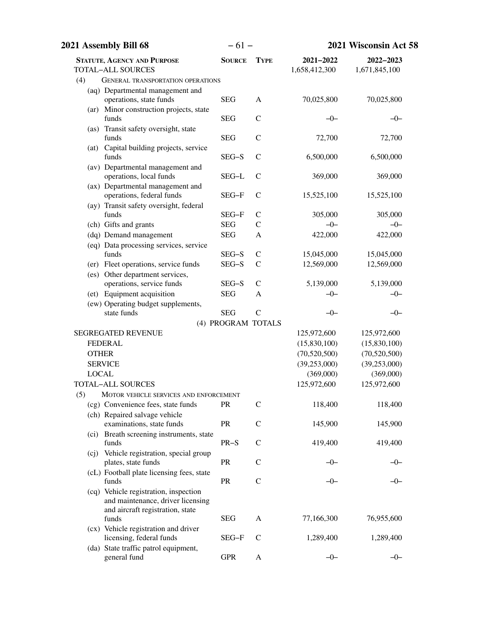| 2021 Assembly Bill 68<br>$-61-$                              |                    |               | 2021 Wisconsin Act 58      |                            |  |
|--------------------------------------------------------------|--------------------|---------------|----------------------------|----------------------------|--|
| <b>STATUTE, AGENCY AND PURPOSE</b><br>TOTAL-ALL SOURCES      | <b>SOURCE</b>      | <b>TYPE</b>   | 2021-2022<br>1,658,412,300 | 2022-2023<br>1,671,845,100 |  |
| (4)<br><b>GENERAL TRANSPORTATION OPERATIONS</b>              |                    |               |                            |                            |  |
| (aq) Departmental management and                             |                    |               |                            |                            |  |
| operations, state funds                                      | <b>SEG</b>         | A             | 70,025,800                 | 70,025,800                 |  |
| (ar) Minor construction projects, state                      |                    |               |                            |                            |  |
| funds                                                        | <b>SEG</b>         | $\mathcal{C}$ | -0-                        | $-0-$                      |  |
| (as) Transit safety oversight, state                         |                    |               |                            |                            |  |
| funds                                                        | <b>SEG</b>         | $\mathcal{C}$ | 72,700                     | 72,700                     |  |
| (at) Capital building projects, service<br>funds             | SEG-S              | $\mathcal{C}$ | 6,500,000                  | 6,500,000                  |  |
| (av) Departmental management and                             |                    |               |                            |                            |  |
| operations, local funds                                      | SEG-L              | $\mathcal{C}$ | 369,000                    | 369,000                    |  |
| (ax) Departmental management and                             |                    |               |                            |                            |  |
| operations, federal funds                                    | SEG-F              | $\mathsf{C}$  | 15,525,100                 | 15,525,100                 |  |
| (ay) Transit safety oversight, federal                       |                    |               |                            |                            |  |
| funds                                                        | SEG-F              | $\mathsf{C}$  | 305,000                    | 305,000                    |  |
| (ch) Gifts and grants                                        | <b>SEG</b>         | $\mathsf{C}$  | $-0-$                      | $-0-$                      |  |
| (dq) Demand management                                       | <b>SEG</b>         | A             | 422,000                    | 422,000                    |  |
| (eq) Data processing services, service                       |                    |               |                            |                            |  |
| funds                                                        | SEG-S              | $\mathsf{C}$  | 15,045,000                 | 15,045,000                 |  |
| (er) Fleet operations, service funds                         | SEG-S              | $\mathcal{C}$ | 12,569,000                 | 12,569,000                 |  |
| (es) Other department services,<br>operations, service funds | SEG-S              | $\mathcal{C}$ | 5,139,000                  | 5,139,000                  |  |
| (et) Equipment acquisition                                   | <b>SEG</b>         | A             | $-0-$                      | $-0-$                      |  |
| (ew) Operating budget supplements,                           |                    |               |                            |                            |  |
| state funds                                                  | <b>SEG</b>         | $\mathcal{C}$ | $-0-$                      | $-0-$                      |  |
|                                                              | (4) PROGRAM TOTALS |               |                            |                            |  |
| <b>SEGREGATED REVENUE</b>                                    |                    |               | 125,972,600                | 125,972,600                |  |
| <b>FEDERAL</b>                                               |                    |               | (15,830,100)               | (15,830,100)               |  |
| <b>OTHER</b>                                                 |                    |               | (70,520,500)               | (70,520,500)               |  |
| <b>SERVICE</b>                                               |                    |               | (39, 253, 000)             | (39, 253, 000)             |  |
| <b>LOCAL</b>                                                 |                    |               | (369,000)                  | (369,000)                  |  |
| TOTAL-ALL SOURCES                                            |                    |               | 125,972,600                | 125,972,600                |  |
| (5)<br>MOTOR VEHICLE SERVICES AND ENFORCEMENT                |                    |               |                            |                            |  |
| (cg) Convenience fees, state funds                           | <b>PR</b>          | C             | 118,400                    | 118,400                    |  |
| (ch) Repaired salvage vehicle                                |                    |               |                            |                            |  |
| examinations, state funds                                    | <b>PR</b>          | $\mathsf{C}$  | 145,900                    | 145,900                    |  |
| (ci) Breath screening instruments, state<br>funds            | $PR-S$             | $\mathsf{C}$  | 419,400                    | 419,400                    |  |
| (cj) Vehicle registration, special group                     |                    |               |                            |                            |  |
| plates, state funds                                          | <b>PR</b>          | $\mathsf{C}$  | $-0-$                      | —()—                       |  |
| (cL) Football plate licensing fees, state                    |                    |               |                            |                            |  |
| funds                                                        | PR                 | $\mathcal{C}$ | $-0-$                      |                            |  |
| (cq) Vehicle registration, inspection                        |                    |               |                            |                            |  |
| and maintenance, driver licensing                            |                    |               |                            |                            |  |
| and aircraft registration, state                             | <b>SEG</b>         | A             | 77,166,300                 | 76,955,600                 |  |
| funds<br>(cx) Vehicle registration and driver                |                    |               |                            |                            |  |
| licensing, federal funds                                     | SEG-F              | C             | 1,289,400                  | 1,289,400                  |  |
| (da) State traffic patrol equipment,                         |                    |               |                            |                            |  |
| general fund                                                 | <b>GPR</b>         | A             | $-0-$                      | $-0-$                      |  |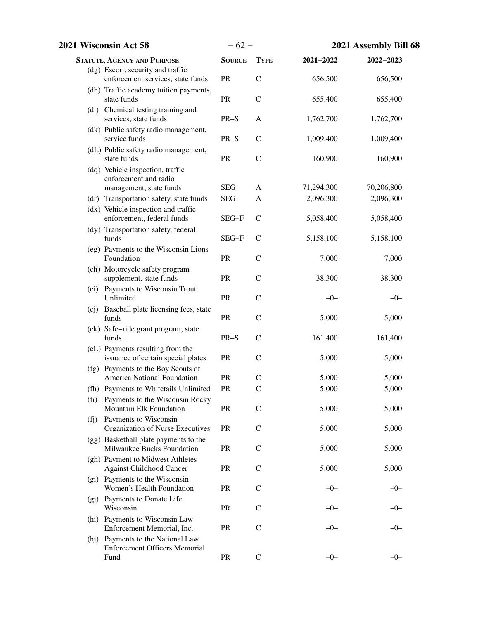| 2021 Wisconsin Act 58                                                             | $-62-$        |               | 2021 Assembly Bill 68 |            |
|-----------------------------------------------------------------------------------|---------------|---------------|-----------------------|------------|
| <b>STATUTE, AGENCY AND PURPOSE</b>                                                | <b>SOURCE</b> | <b>TYPE</b>   | 2021-2022             | 2022-2023  |
| (dg) Escort, security and traffic<br>enforcement services, state funds            | PR            | $\mathcal{C}$ | 656,500               | 656,500    |
| (dh) Traffic academy tuition payments,<br>state funds                             | PR            | $\mathsf{C}$  | 655,400               | 655,400    |
| (di) Chemical testing training and<br>services, state funds                       | $PR-S$        | $\mathbf{A}$  | 1,762,700             | 1,762,700  |
| (dk) Public safety radio management,<br>service funds                             | $PR-S$        | $\mathsf{C}$  | 1,009,400             | 1,009,400  |
| (dL) Public safety radio management,<br>state funds                               | PR            | $\mathcal{C}$ | 160,900               | 160,900    |
| (dq) Vehicle inspection, traffic<br>enforcement and radio                         |               |               |                       |            |
| management, state funds                                                           | <b>SEG</b>    | A             | 71,294,300            | 70,206,800 |
| (dr) Transportation safety, state funds                                           | <b>SEG</b>    | A             | 2,096,300             | 2,096,300  |
| (dx) Vehicle inspection and traffic<br>enforcement, federal funds                 | SEG-F         | $\mathcal{C}$ | 5,058,400             | 5,058,400  |
| (dy) Transportation safety, federal<br>funds                                      | SEG-F         | $\mathsf{C}$  | 5,158,100             | 5,158,100  |
| (eg) Payments to the Wisconsin Lions<br>Foundation                                | PR            | $\mathbf C$   | 7,000                 | 7,000      |
| (eh) Motorcycle safety program<br>supplement, state funds                         | <b>PR</b>     | $\mathsf{C}$  | 38,300                | 38,300     |
| (ei) Payments to Wisconsin Trout<br>Unlimited                                     | PR            | $\mathsf{C}$  | $-0-$                 | $-0-$      |
| (ej) Baseball plate licensing fees, state<br>funds                                | PR            | $\mathsf{C}$  | 5,000                 | 5,000      |
| (ek) Safe-ride grant program; state<br>funds                                      | $PR-S$        | $\mathsf{C}$  | 161,400               | 161,400    |
| (eL) Payments resulting from the<br>issuance of certain special plates            | PR            | $\mathcal{C}$ | 5,000                 | 5,000      |
| (fg) Payments to the Boy Scouts of<br>America National Foundation                 | PR            | $\mathcal{C}$ | 5,000                 | 5,000      |
| (fh) Payments to Whitetails Unlimited                                             | PR            | $\mathsf{C}$  | 5,000                 | 5,000      |
| (fi) Payments to the Wisconsin Rocky<br>Mountain Elk Foundation                   | PR            | $\mathbf C$   | 5,000                 | 5,000      |
| (fj) Payments to Wisconsin                                                        |               |               |                       |            |
| Organization of Nurse Executives<br>(gg) Basketball plate payments to the         | <b>PR</b>     | $\mathsf{C}$  | 5,000                 | 5,000      |
| Milwaukee Bucks Foundation                                                        | <b>PR</b>     | $\mathcal{C}$ | 5,000                 | 5,000      |
| (gh) Payment to Midwest Athletes<br><b>Against Childhood Cancer</b>               | PR            | $\mathsf{C}$  | 5,000                 | 5,000      |
| (gi) Payments to the Wisconsin<br>Women's Health Foundation                       | <b>PR</b>     | $\mathsf{C}$  | -0-                   | –0–        |
| (gj) Payments to Donate Life<br>Wisconsin                                         | PR            | $\mathsf{C}$  | —()—                  | –0–        |
| (hi) Payments to Wisconsin Law<br>Enforcement Memorial, Inc.                      | PR            | $\mathsf{C}$  | -0-                   | –0–        |
| (hj) Payments to the National Law<br><b>Enforcement Officers Memorial</b><br>Fund | PR            | $\mathbf C$   | $-0-$                 | –0–        |
|                                                                                   |               |               |                       |            |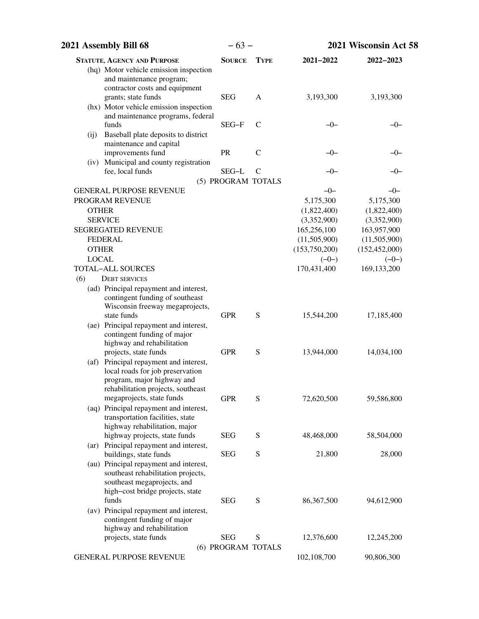| 2021 Assembly Bill 68                                             | $-63-$             |               |               | 2021 Wisconsin Act 58 |  |
|-------------------------------------------------------------------|--------------------|---------------|---------------|-----------------------|--|
| <b>STATUTE, AGENCY AND PURPOSE</b>                                | <b>SOURCE</b>      | <b>TYPE</b>   | 2021-2022     | 2022-2023             |  |
| (hq) Motor vehicle emission inspection                            |                    |               |               |                       |  |
| and maintenance program;                                          |                    |               |               |                       |  |
| contractor costs and equipment                                    |                    |               |               |                       |  |
| grants; state funds                                               | <b>SEG</b>         | A             | 3,193,300     | 3,193,300             |  |
| (hx) Motor vehicle emission inspection                            |                    |               |               |                       |  |
| and maintenance programs, federal<br>funds                        | SEG-F              | $\mathcal{C}$ | $-0-$         | $-0-$                 |  |
| Baseball plate deposits to district<br>(i)                        |                    |               |               |                       |  |
| maintenance and capital                                           |                    |               |               |                       |  |
| improvements fund                                                 | PR                 | $\mathsf{C}$  | -0-           | –0–                   |  |
| (iv) Municipal and county registration                            |                    |               |               |                       |  |
| fee, local funds                                                  | SEG-L              | $\mathcal{C}$ | $-0-$         | $-0-$                 |  |
|                                                                   | (5) PROGRAM TOTALS |               |               |                       |  |
| <b>GENERAL PURPOSE REVENUE</b>                                    |                    |               | $-0-$         | $-0-$                 |  |
| PROGRAM REVENUE                                                   |                    |               | 5,175,300     | 5,175,300             |  |
| <b>OTHER</b>                                                      |                    |               | (1,822,400)   | (1,822,400)           |  |
| <b>SERVICE</b>                                                    |                    |               | (3,352,900)   | (3,352,900)           |  |
| <b>SEGREGATED REVENUE</b>                                         |                    |               | 165,256,100   | 163,957,900           |  |
| <b>FEDERAL</b>                                                    |                    |               | (11,505,900)  | (11,505,900)          |  |
| <b>OTHER</b>                                                      |                    |               | (153,750,200) | (152, 452, 000)       |  |
| <b>LOCAL</b>                                                      |                    |               | $(-0-)$       | $(-0-)$               |  |
| <b>TOTAL-ALL SOURCES</b>                                          |                    |               | 170,431,400   | 169,133,200           |  |
| (6)<br><b>DEBT SERVICES</b>                                       |                    |               |               |                       |  |
| (ad) Principal repayment and interest,                            |                    |               |               |                       |  |
| contingent funding of southeast                                   |                    |               |               |                       |  |
| Wisconsin freeway megaprojects,<br>state funds                    | <b>GPR</b>         | S             | 15,544,200    | 17,185,400            |  |
| (ae) Principal repayment and interest,                            |                    |               |               |                       |  |
| contingent funding of major                                       |                    |               |               |                       |  |
| highway and rehabilitation                                        |                    |               |               |                       |  |
| projects, state funds                                             | <b>GPR</b>         | S             | 13,944,000    | 14,034,100            |  |
| (af) Principal repayment and interest,                            |                    |               |               |                       |  |
| local roads for job preservation                                  |                    |               |               |                       |  |
| program, major highway and                                        |                    |               |               |                       |  |
| rehabilitation projects, southeast                                |                    |               |               |                       |  |
| megaprojects, state funds                                         | <b>GPR</b>         | S             | 72,620,500    | 59,586,800            |  |
| (aq) Principal repayment and interest,                            |                    |               |               |                       |  |
| transportation facilities, state<br>highway rehabilitation, major |                    |               |               |                       |  |
| highway projects, state funds                                     | <b>SEG</b>         | S             | 48,468,000    | 58,504,000            |  |
| (ar) Principal repayment and interest,                            |                    |               |               |                       |  |
| buildings, state funds                                            | <b>SEG</b>         | S             | 21,800        | 28,000                |  |
| (au) Principal repayment and interest,                            |                    |               |               |                       |  |
| southeast rehabilitation projects,                                |                    |               |               |                       |  |
| southeast megaprojects, and                                       |                    |               |               |                       |  |
| high-cost bridge projects, state                                  |                    |               |               |                       |  |
| funds                                                             | <b>SEG</b>         | S             | 86,367,500    | 94,612,900            |  |
| (av) Principal repayment and interest,                            |                    |               |               |                       |  |
| contingent funding of major<br>highway and rehabilitation         |                    |               |               |                       |  |
| projects, state funds                                             | <b>SEG</b>         | S             | 12,376,600    | 12,245,200            |  |
|                                                                   | (6) PROGRAM TOTALS |               |               |                       |  |
| GENERAL PURPOSE REVENUE                                           |                    |               | 102,108,700   | 90,806,300            |  |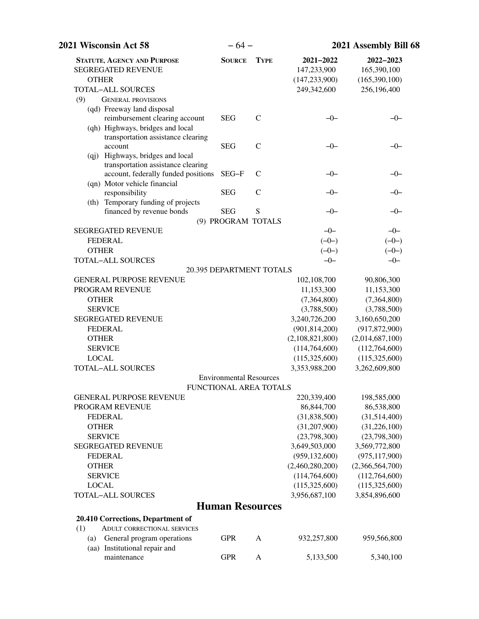| 2021 Wisconsin Act 58                                                                                       | $-64-$                          |               |                                                            | 2021 Assembly Bill 68                                    |  |  |
|-------------------------------------------------------------------------------------------------------------|---------------------------------|---------------|------------------------------------------------------------|----------------------------------------------------------|--|--|
| <b>STATUTE, AGENCY AND PURPOSE</b><br><b>SEGREGATED REVENUE</b><br><b>OTHER</b><br><b>TOTAL-ALL SOURCES</b> | <b>SOURCE</b>                   | <b>TYPE</b>   | 2021-2022<br>147,233,900<br>(147, 233, 900)<br>249,342,600 | 2022-2023<br>165,390,100<br>(165,390,100)<br>256,196,400 |  |  |
| (9)<br><b>GENERAL PROVISIONS</b><br>(qd) Freeway land disposal<br>reimbursement clearing account            | <b>SEG</b>                      | $\mathsf{C}$  | $-0-$                                                      | $-0-$                                                    |  |  |
| (qh) Highways, bridges and local<br>transportation assistance clearing<br>account                           | <b>SEG</b>                      | $\mathsf{C}$  | $-0-$                                                      | $-0-$                                                    |  |  |
| (qj) Highways, bridges and local<br>transportation assistance clearing                                      |                                 |               |                                                            |                                                          |  |  |
| account, federally funded positions<br>(qn) Motor vehicle financial                                         | SEG-F                           | $\mathcal{C}$ | $-0-$                                                      | $-0-$                                                    |  |  |
| responsibility<br>(th) Temporary funding of projects                                                        | <b>SEG</b>                      | $\mathsf{C}$  | $-0-$                                                      | $-0-$                                                    |  |  |
| financed by revenue bonds                                                                                   | <b>SEG</b>                      | S             | $-0-$                                                      | $-0-$                                                    |  |  |
|                                                                                                             | (9) PROGRAM TOTALS              |               |                                                            |                                                          |  |  |
| <b>SEGREGATED REVENUE</b>                                                                                   |                                 |               | $-0-$                                                      | $-0-$                                                    |  |  |
| <b>FEDERAL</b>                                                                                              |                                 |               | $(-0-)$                                                    | $(-0-)$                                                  |  |  |
| <b>OTHER</b>                                                                                                |                                 |               | $(-0-)$                                                    | $(-0-)$                                                  |  |  |
| <b>TOTAL-ALL SOURCES</b>                                                                                    |                                 |               | $-0-$                                                      | $-0-$                                                    |  |  |
|                                                                                                             | <b>20.395 DEPARTMENT TOTALS</b> |               |                                                            |                                                          |  |  |
| <b>GENERAL PURPOSE REVENUE</b>                                                                              |                                 |               | 102,108,700                                                | 90,806,300                                               |  |  |
| PROGRAM REVENUE                                                                                             |                                 |               | 11,153,300                                                 | 11,153,300                                               |  |  |
| <b>OTHER</b>                                                                                                |                                 |               | (7,364,800)                                                | (7,364,800)                                              |  |  |
| <b>SERVICE</b>                                                                                              |                                 |               | (3,788,500)                                                | (3,788,500)                                              |  |  |
| <b>SEGREGATED REVENUE</b>                                                                                   |                                 |               | 3,240,726,200                                              | 3,160,650,200                                            |  |  |
| <b>FEDERAL</b>                                                                                              |                                 |               | (901, 814, 200)                                            | (917, 872, 900)                                          |  |  |
| <b>OTHER</b>                                                                                                |                                 |               | (2,108,821,800)                                            | (2,014,687,100)                                          |  |  |
| <b>SERVICE</b>                                                                                              |                                 |               | (114, 764, 600)                                            | (112,764,600)                                            |  |  |
| <b>LOCAL</b>                                                                                                |                                 |               | (115,325,600)                                              | (115,325,600)                                            |  |  |
| <b>TOTAL-ALL SOURCES</b>                                                                                    |                                 |               | 3,353,988,200                                              | 3,262,609,800                                            |  |  |
|                                                                                                             | <b>Environmental Resources</b>  |               |                                                            |                                                          |  |  |
| <b>GENERAL PURPOSE REVENUE</b>                                                                              | FUNCTIONAL AREA TOTALS          |               | 220,339,400                                                |                                                          |  |  |
| PROGRAM REVENUE                                                                                             |                                 |               | 86, 844, 700                                               | 198,585,000                                              |  |  |
| <b>FEDERAL</b>                                                                                              |                                 |               |                                                            | 86,538,800                                               |  |  |
| <b>OTHER</b>                                                                                                |                                 |               | (31, 838, 500)                                             | (31,514,400)                                             |  |  |
| <b>SERVICE</b>                                                                                              |                                 |               | (31,207,900)                                               | (31,226,100)                                             |  |  |
| <b>SEGREGATED REVENUE</b>                                                                                   |                                 |               | (23,798,300)<br>3,649,503,000                              | (23,798,300)<br>3,569,772,800                            |  |  |
| <b>FEDERAL</b>                                                                                              |                                 |               | (959, 132, 600)                                            | (975, 117, 900)                                          |  |  |
| <b>OTHER</b>                                                                                                |                                 |               | (2,460,280,200)                                            | (2,366,564,700)                                          |  |  |
| <b>SERVICE</b>                                                                                              |                                 |               | (114, 764, 600)                                            | (112,764,600)                                            |  |  |
| <b>LOCAL</b>                                                                                                |                                 |               | (115,325,600)                                              | (115,325,600)                                            |  |  |
| <b>TOTAL-ALL SOURCES</b>                                                                                    |                                 |               | 3,956,687,100                                              | 3,854,896,600                                            |  |  |
|                                                                                                             |                                 |               |                                                            |                                                          |  |  |
|                                                                                                             | <b>Human Resources</b>          |               |                                                            |                                                          |  |  |
| 20.410 Corrections, Department of                                                                           |                                 |               |                                                            |                                                          |  |  |
| <b>ADULT CORRECTIONAL SERVICES</b><br>(1)                                                                   |                                 |               |                                                            |                                                          |  |  |
| (a)<br>General program operations                                                                           | <b>GPR</b>                      | $\mathbf{A}$  | 932,257,800                                                | 959,566,800                                              |  |  |
| (aa) Institutional repair and<br>maintenance                                                                | <b>GPR</b>                      | $\mathbf{A}$  | 5,133,500                                                  | 5,340,100                                                |  |  |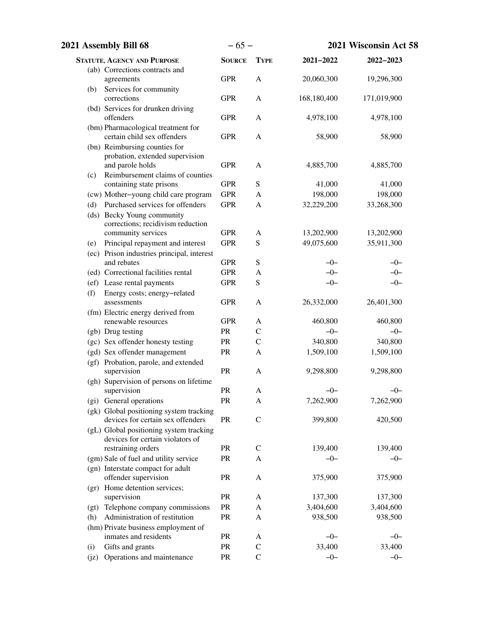| 2021 Assembly Bill 68 |                                                                   | $-65-$        |               | 2021 Wisconsin Act 58 |             |
|-----------------------|-------------------------------------------------------------------|---------------|---------------|-----------------------|-------------|
|                       | <b>STATUTE, AGENCY AND PURPOSE</b>                                | <b>SOURCE</b> | <b>TYPE</b>   | 2021-2022             | 2022-2023   |
|                       | (ab) Corrections contracts and                                    |               |               |                       |             |
|                       | agreements                                                        | <b>GPR</b>    | $\mathbf{A}$  | 20,060,300            | 19,296,300  |
|                       | (b) Services for community                                        |               |               |                       |             |
|                       | corrections                                                       | <b>GPR</b>    | $\mathbf{A}$  | 168,180,400           | 171,019,900 |
|                       | (bd) Services for drunken driving                                 |               |               |                       |             |
|                       | offenders                                                         | <b>GPR</b>    | $\mathbf{A}$  | 4,978,100             | 4,978,100   |
|                       | (bm) Pharmacological treatment for<br>certain child sex offenders | <b>GPR</b>    | $\mathbf{A}$  | 58,900                | 58,900      |
|                       | (bn) Reimbursing counties for                                     |               |               |                       |             |
|                       | probation, extended supervision                                   |               |               |                       |             |
|                       | and parole holds                                                  | <b>GPR</b>    | $\mathbf{A}$  | 4,885,700             | 4,885,700   |
| (c)                   | Reimbursement claims of counties                                  |               |               |                       |             |
|                       | containing state prisons                                          | <b>GPR</b>    | ${\bf S}$     | 41,000                | 41,000      |
|                       | (cw) Mother-young child care program                              | <b>GPR</b>    | A             | 198,000               | 198,000     |
| (d)                   | Purchased services for offenders                                  | <b>GPR</b>    | A             | 32,229,200            | 33,268,300  |
|                       | (ds) Becky Young community                                        |               |               |                       |             |
|                       | corrections; recidivism reduction                                 |               |               |                       |             |
|                       | community services                                                | <b>GPR</b>    | A             | 13,202,900            | 13,202,900  |
| (e)                   | Principal repayment and interest                                  | <b>GPR</b>    | ${\bf S}$     | 49,075,600            | 35,911,300  |
|                       | (ec) Prison industries principal, interest                        |               |               |                       |             |
|                       | and rebates                                                       | <b>GPR</b>    | S             | $-0-$                 | $-0-$       |
|                       | (ed) Correctional facilities rental                               | <b>GPR</b>    | A             | $-0-$                 | $-0-$       |
|                       | (ef) Lease rental payments                                        | <b>GPR</b>    | S             | $-0-$                 | $-0-$       |
| (f)                   | Energy costs; energy-related<br>assessments                       | <b>GPR</b>    | $\mathbf{A}$  | 26,332,000            | 26,401,300  |
|                       | (fm) Electric energy derived from                                 |               |               |                       |             |
|                       | renewable resources                                               | <b>GPR</b>    | A             | 460,800               | 460,800     |
|                       | (gb) Drug testing                                                 | PR            | $\mathcal{C}$ | $-0-$                 | $-0-$       |
|                       | (gc) Sex offender honesty testing                                 | PR            | $\mathcal{C}$ | 340,800               | 340,800     |
|                       | (gd) Sex offender management                                      | PR            | A             | 1,509,100             | 1,509,100   |
|                       | (gf) Probation, parole, and extended                              |               |               |                       |             |
|                       | supervision                                                       | PR            | A             | 9,298,800             | 9,298,800   |
|                       | (gh) Supervision of persons on lifetime                           |               |               |                       |             |
|                       | supervision                                                       | ${\rm PR}$    | A             | $-0-$                 | $-0-$       |
|                       | (gi) General operations                                           | PR            | A             | 7,262,900             | 7,262,900   |
|                       | (gk) Global positioning system tracking                           |               |               |                       |             |
|                       | devices for certain sex offenders                                 | PR            | $\mathcal{C}$ | 399,800               | 420,500     |
|                       | (gL) Global positioning system tracking                           |               |               |                       |             |
|                       | devices for certain violators of                                  |               |               |                       |             |
|                       | restraining orders                                                | PR            | $\mathcal{C}$ | 139,400               | 139,400     |
|                       | (gm) Sale of fuel and utility service                             | PR            | A             | $-0-$                 | $-0-$       |
|                       | (gn) Interstate compact for adult                                 |               |               |                       |             |
|                       | offender supervision                                              | PR            | A             | 375,900               | 375,900     |
|                       | (gr) Home detention services;<br>supervision                      | PR            | A             | 137,300               | 137,300     |
|                       | (gt) Telephone company commissions                                | PR            | A             | 3,404,600             | 3,404,600   |
| (h)                   | Administration of restitution                                     | PR            | A             | 938,500               | 938,500     |
|                       | (hm) Private business employment of                               |               |               |                       |             |
|                       | inmates and residents                                             | PR            | A             | $-0-$                 | $-0-$       |
| (i)                   | Gifts and grants                                                  | PR            | $\mathbf C$   | 33,400                | 33,400      |
| (jz)                  | Operations and maintenance                                        | PR            | $\mathcal{C}$ | $-0-$                 | $-0-$       |
|                       |                                                                   |               |               |                       |             |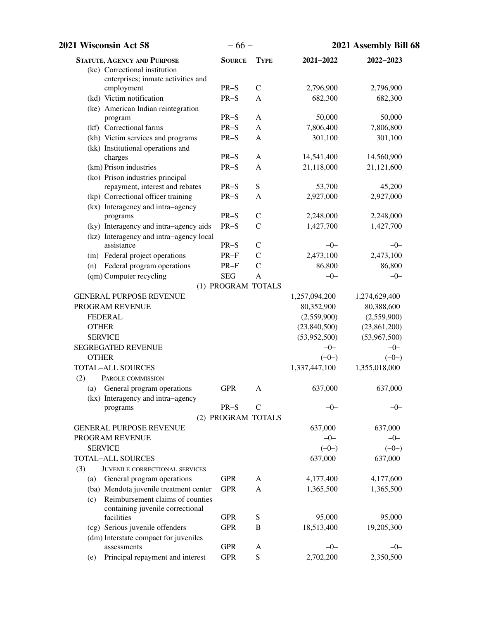| 2021 Wisconsin Act 58                                                       | $-66-$             |                              |               | 2021 Assembly Bill 68 |  |
|-----------------------------------------------------------------------------|--------------------|------------------------------|---------------|-----------------------|--|
| <b>STATUTE, AGENCY AND PURPOSE</b>                                          | <b>SOURCE</b>      | <b>TYPE</b>                  | 2021-2022     | 2022-2023             |  |
| (kc) Correctional institution                                               |                    |                              |               |                       |  |
| enterprises; inmate activities and                                          |                    |                              |               |                       |  |
| employment                                                                  | $PR-S$             | $\mathcal{C}$                | 2,796,900     | 2,796,900             |  |
| (kd) Victim notification                                                    | $PR-S$             | A                            | 682,300       | 682,300               |  |
| (ke) American Indian reintegration                                          |                    |                              |               |                       |  |
| program                                                                     | $PR-S$<br>$PR-S$   | $\mathbf{A}$<br>$\mathsf{A}$ | 50,000        | 50,000                |  |
| (kf) Correctional farms                                                     |                    |                              | 7,806,400     | 7,806,800             |  |
| (kh) Victim services and programs                                           | $PR-S$             | A                            | 301,100       | 301,100               |  |
| (kk) Institutional operations and<br>charges                                | $PR-S$             | A                            | 14,541,400    | 14,560,900            |  |
| (km) Prison industries                                                      | $PR-S$             | A                            | 21,118,000    | 21,121,600            |  |
| (ko) Prison industries principal                                            |                    |                              |               |                       |  |
| repayment, interest and rebates                                             | $PR-S$             | ${\bf S}$                    | 53,700        | 45,200                |  |
| (kp) Correctional officer training                                          | $PR-S$             | A                            | 2,927,000     | 2,927,000             |  |
| (kx) Interagency and intra-agency                                           |                    |                              |               |                       |  |
| programs                                                                    | $PR-S$             | $\mathsf{C}$                 | 2,248,000     | 2,248,000             |  |
| (ky) Interagency and intra-agency aids                                      | $PR-S$             | $\mathcal{C}$                | 1,427,700     | 1,427,700             |  |
| (kz) Interagency and intra-agency local                                     |                    |                              |               |                       |  |
| assistance                                                                  | $PR-S$             | $\mathsf{C}$                 | $-0-$         | $-0-$                 |  |
| (m) Federal project operations                                              | $PR-F$             | $\mathcal{C}$                | 2,473,100     | 2,473,100             |  |
| Federal program operations<br>(n)                                           | $PR-F$             | $\mathcal{C}$                | 86,800        | 86,800                |  |
| (qm) Computer recycling                                                     | <b>SEG</b>         | A                            | $-0-$         | $-0-$                 |  |
|                                                                             | (1) PROGRAM TOTALS |                              |               |                       |  |
| <b>GENERAL PURPOSE REVENUE</b>                                              |                    |                              | 1,257,094,200 | 1,274,629,400         |  |
| PROGRAM REVENUE                                                             |                    |                              | 80,352,900    | 80,388,600            |  |
| <b>FEDERAL</b>                                                              |                    |                              | (2,559,900)   | (2,559,900)           |  |
| <b>OTHER</b>                                                                |                    |                              | (23,840,500)  | (23,861,200)          |  |
| <b>SERVICE</b>                                                              |                    |                              | (53,952,500)  | (53,967,500)          |  |
| <b>SEGREGATED REVENUE</b>                                                   |                    |                              | $-0-$         | $-0-$                 |  |
| <b>OTHER</b>                                                                |                    |                              | $(-0-)$       | $(-0-)$               |  |
| <b>TOTAL-ALL SOURCES</b>                                                    |                    |                              | 1,337,447,100 | 1,355,018,000         |  |
| (2)<br>PAROLE COMMISSION                                                    |                    |                              |               |                       |  |
| (a) General program operations                                              | <b>GPR</b>         | А                            | 637,000       | 637,000               |  |
| (kx) Interagency and intra-agency                                           |                    |                              |               |                       |  |
| programs                                                                    | $PR-S$             | $\mathcal{C}$                | $-0-$         | $-0-$                 |  |
|                                                                             | (2) PROGRAM TOTALS |                              |               |                       |  |
| <b>GENERAL PURPOSE REVENUE</b>                                              |                    |                              | 637,000       | 637,000               |  |
| PROGRAM REVENUE                                                             |                    |                              | $-0-$         | $-0-$                 |  |
| <b>SERVICE</b>                                                              |                    |                              | $(-0-)$       | $(-0-)$               |  |
| <b>TOTAL-ALL SOURCES</b>                                                    |                    |                              | 637,000       | 637,000               |  |
| (3)<br>JUVENILE CORRECTIONAL SERVICES                                       |                    |                              |               |                       |  |
| (a) General program operations                                              | <b>GPR</b>         | A                            | 4,177,400     | 4,177,600             |  |
| (ba) Mendota juvenile treatment center                                      | <b>GPR</b>         | A                            | 1,365,500     | 1,365,500             |  |
| Reimbursement claims of counties<br>(c)<br>containing juvenile correctional |                    |                              |               |                       |  |
| facilities                                                                  | <b>GPR</b>         | ${\bf S}$                    | 95,000        | 95,000                |  |
| (cg) Serious juvenile offenders                                             | <b>GPR</b>         | B                            | 18,513,400    | 19,205,300            |  |
| (dm) Interstate compact for juveniles                                       |                    |                              |               |                       |  |
| assessments                                                                 | <b>GPR</b>         | A                            | $-0-$         | $-0-$                 |  |
| Principal repayment and interest<br>(e)                                     | <b>GPR</b>         | ${\bf S}$                    | 2,702,200     | 2,350,500             |  |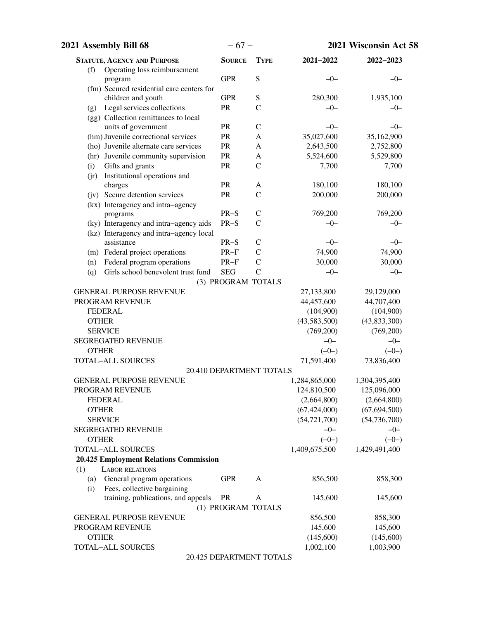| 2021 Assembly Bill 68                                       | $-67-$             |                          | 2021 Wisconsin Act 58   |                                  |
|-------------------------------------------------------------|--------------------|--------------------------|-------------------------|----------------------------------|
| <b>STATUTE, AGENCY AND PURPOSE</b>                          | <b>SOURCE</b>      | <b>TYPE</b>              | 2021-2022               | 2022-2023                        |
| Operating loss reimbursement<br>(f)                         |                    |                          |                         |                                  |
| program                                                     | <b>GPR</b>         | S                        | $-0-$                   | $-0-$                            |
| (fm) Secured residential care centers for                   |                    |                          |                         |                                  |
| children and youth                                          | <b>GPR</b>         | ${\bf S}$                | 280,300                 | 1,935,100                        |
| Legal services collections<br>(g)                           | PR                 | $\overline{C}$           | $-0-$                   | $-0-$                            |
| (gg) Collection remittances to local<br>units of government | ${\sf PR}$         | $\mathcal{C}$            | $-0-$                   | $-0-$                            |
| (hm) Juvenile correctional services                         | PR                 | A                        | 35,027,600              | 35,162,900                       |
| (ho) Juvenile alternate care services                       | PR                 | A                        | 2,643,500               | 2,752,800                        |
| (hr) Juvenile community supervision                         | PR                 | A                        | 5,524,600               | 5,529,800                        |
| Gifts and grants<br>(i)                                     | PR                 | $\mathsf{C}$             | 7,700                   | 7,700                            |
| Institutional operations and<br>(i)                         |                    |                          |                         |                                  |
| charges                                                     | PR                 | A                        | 180,100                 | 180,100                          |
| (jv) Secure detention services                              | PR                 | $\mathcal{C}$            | 200,000                 | 200,000                          |
| (kx) Interagency and intra-agency                           |                    |                          |                         |                                  |
| programs                                                    | $PR-S$             | $\mathsf{C}$             | 769,200                 | 769,200                          |
| (ky) Interagency and intra-agency aids                      | $PR-S$             | $\mathcal{C}$            | $-0-$                   | $-0-$                            |
| (kz) Interagency and intra-agency local                     |                    |                          |                         |                                  |
| assistance                                                  | $PR-S$             | $\mathcal{C}$            | $-0-$                   | $-0-$                            |
| (m) Federal project operations                              | $PR-F$             | $\mathcal{C}$            | 74,900                  | 74,900                           |
| Federal program operations<br>(n)                           | $PR-F$             | $\mathcal{C}$            | 30,000                  | 30,000                           |
| Girls school benevolent trust fund<br>(q)                   | <b>SEG</b>         | $\overline{C}$           | $-0-$                   | $-0-$                            |
|                                                             | (3) PROGRAM TOTALS |                          |                         |                                  |
| <b>GENERAL PURPOSE REVENUE</b>                              |                    |                          | 27,133,800              | 29,129,000                       |
| PROGRAM REVENUE                                             |                    |                          | 44,457,600              | 44,707,400                       |
| <b>FEDERAL</b>                                              |                    |                          | (104,900)               | (104,900)                        |
| <b>OTHER</b>                                                |                    |                          | (43,583,500)            | (43, 833, 300)                   |
| <b>SERVICE</b>                                              |                    |                          | (769,200)               | (769,200)                        |
| <b>SEGREGATED REVENUE</b>                                   |                    |                          | $-0-$                   | $-0-$                            |
| <b>OTHER</b>                                                |                    |                          | $(-0-)$                 | $(-0-)$                          |
| TOTAL-ALL SOURCES                                           |                    |                          | 71,591,400              | 73,836,400                       |
|                                                             |                    | 20.410 DEPARTMENT TOTALS |                         |                                  |
| <b>GENERAL PURPOSE REVENUE</b>                              |                    |                          | 1,284,865,000           | 1,304,395,400                    |
| PROGRAM REVENUE                                             |                    |                          | 124,810,500             | 125,096,000                      |
| <b>FEDERAL</b>                                              |                    |                          | (2,664,800)             | (2,664,800)                      |
| <b>OTHER</b><br><b>SERVICE</b>                              |                    |                          | (67, 424, 000)          | (67, 694, 500)<br>(54, 736, 700) |
| <b>SEGREGATED REVENUE</b>                                   |                    |                          | (54, 721, 700)<br>$-0-$ | $-0-$                            |
| <b>OTHER</b>                                                |                    |                          | $(-0-)$                 | $(-0-)$                          |
| <b>TOTAL-ALL SOURCES</b>                                    |                    |                          | 1,409,675,500           | 1,429,491,400                    |
| <b>20.425 Employment Relations Commission</b>               |                    |                          |                         |                                  |
| <b>LABOR RELATIONS</b><br>(1)                               |                    |                          |                         |                                  |
| General program operations<br>(a)                           | <b>GPR</b>         | A                        | 856,500                 | 858,300                          |
| Fees, collective bargaining<br>(i)                          |                    |                          |                         |                                  |
| training, publications, and appeals                         | <b>PR</b>          | A                        | 145,600                 | 145,600                          |
|                                                             | (1) PROGRAM TOTALS |                          |                         |                                  |
| <b>GENERAL PURPOSE REVENUE</b>                              |                    |                          | 856,500                 | 858,300                          |
| PROGRAM REVENUE                                             |                    |                          | 145,600                 | 145,600                          |
| <b>OTHER</b>                                                |                    |                          | (145,600)               | (145,600)                        |
| TOTAL-ALL SOURCES                                           |                    |                          | 1,002,100               | 1,003,900                        |
|                                                             |                    | 20.425 DEPARTMENT TOTALS |                         |                                  |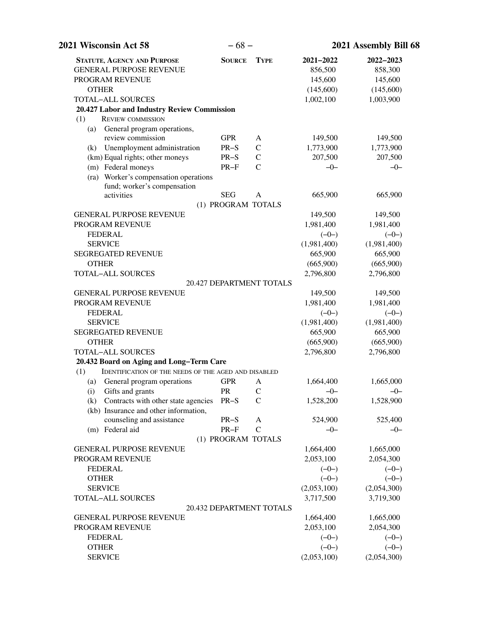| 2021 Wisconsin Act 58                                                | $-68-$             |                          | 2021 Assembly Bill 68 |             |  |
|----------------------------------------------------------------------|--------------------|--------------------------|-----------------------|-------------|--|
| <b>STATUTE, AGENCY AND PURPOSE</b>                                   | <b>SOURCE</b>      | <b>TYPE</b>              | 2021-2022             | 2022-2023   |  |
| <b>GENERAL PURPOSE REVENUE</b>                                       |                    |                          | 856,500               | 858,300     |  |
| PROGRAM REVENUE                                                      |                    |                          | 145,600               | 145,600     |  |
| <b>OTHER</b>                                                         |                    |                          | (145,600)             | (145,600)   |  |
| <b>TOTAL-ALL SOURCES</b>                                             |                    |                          | 1,002,100             | 1,003,900   |  |
| 20.427 Labor and Industry Review Commission                          |                    |                          |                       |             |  |
| <b>REVIEW COMMISSION</b><br>(1)                                      |                    |                          |                       |             |  |
| General program operations,<br>(a)                                   |                    |                          |                       |             |  |
| review commission                                                    | <b>GPR</b>         | A                        | 149,500               | 149,500     |  |
| (k) Unemployment administration                                      | $PR-S$             | $\mathcal{C}$            | 1,773,900             | 1,773,900   |  |
| (km) Equal rights; other moneys                                      | $PR-S$             | $\mathsf{C}$             | 207,500               | 207,500     |  |
| (m) Federal moneys                                                   | $PR-F$             | $\mathsf{C}$             | $-0-$                 | $-0-$       |  |
| (ra) Worker's compensation operations<br>fund; worker's compensation |                    |                          |                       |             |  |
| activities                                                           | <b>SEG</b>         | $\mathbf{A}$             | 665,900               | 665,900     |  |
|                                                                      | (1) PROGRAM TOTALS |                          |                       |             |  |
| <b>GENERAL PURPOSE REVENUE</b>                                       |                    |                          | 149,500               | 149,500     |  |
| PROGRAM REVENUE                                                      |                    |                          | 1,981,400             | 1,981,400   |  |
| <b>FEDERAL</b>                                                       |                    |                          | $(-0-)$               | $(-0-)$     |  |
| <b>SERVICE</b>                                                       |                    |                          | (1,981,400)           | (1,981,400) |  |
| <b>SEGREGATED REVENUE</b>                                            |                    |                          | 665,900               | 665,900     |  |
| <b>OTHER</b>                                                         |                    |                          | (665,900)             | (665,900)   |  |
| <b>TOTAL-ALL SOURCES</b>                                             |                    |                          | 2,796,800             | 2,796,800   |  |
|                                                                      |                    | 20.427 DEPARTMENT TOTALS |                       |             |  |
| <b>GENERAL PURPOSE REVENUE</b>                                       |                    |                          | 149,500               | 149,500     |  |
| PROGRAM REVENUE                                                      |                    |                          | 1,981,400             | 1,981,400   |  |
| <b>FEDERAL</b>                                                       |                    |                          | $(-0-)$               | $(-0-)$     |  |
| <b>SERVICE</b>                                                       |                    |                          | (1,981,400)           | (1,981,400) |  |
| <b>SEGREGATED REVENUE</b>                                            |                    |                          | 665,900               | 665,900     |  |
| <b>OTHER</b>                                                         |                    |                          | (665,900)             | (665,900)   |  |
| <b>TOTAL-ALL SOURCES</b>                                             |                    |                          | 2,796,800             | 2,796,800   |  |
| 20.432 Board on Aging and Long-Term Care                             |                    |                          |                       |             |  |
| IDENTIFICATION OF THE NEEDS OF THE AGED AND DISABLED<br>(1)          |                    |                          |                       |             |  |
| (a) General program operations                                       | <b>GPR</b>         | A                        | 1,664,400             | 1,665,000   |  |
| (i) Gifts and grants                                                 | PR                 | $\mathcal{C}$            | $-0$                  | $-0$        |  |
| (k) Contracts with other state agencies                              | $PR-S$             | $\mathsf{C}$             | 1,528,200             | 1,528,900   |  |
| (kb) Insurance and other information,                                |                    |                          |                       |             |  |
| counseling and assistance                                            | $PR-S$             | A                        | 524,900               | 525,400     |  |
| (m) Federal aid                                                      | $PR-F$             | $\mathcal{C}$            | $-0-$                 | $-0-$       |  |
|                                                                      | (1) PROGRAM TOTALS |                          |                       |             |  |
| <b>GENERAL PURPOSE REVENUE</b>                                       |                    |                          | 1,664,400             | 1,665,000   |  |
| PROGRAM REVENUE                                                      |                    |                          | 2,053,100             | 2,054,300   |  |
| <b>FEDERAL</b>                                                       |                    |                          | $(-0-)$               | $(-0-)$     |  |
| <b>OTHER</b>                                                         |                    |                          | $(-0-)$               | $(-0-)$     |  |
| <b>SERVICE</b>                                                       |                    |                          | (2,053,100)           | (2,054,300) |  |
| <b>TOTAL-ALL SOURCES</b>                                             |                    |                          | 3,717,500             | 3,719,300   |  |
|                                                                      |                    | 20.432 DEPARTMENT TOTALS |                       |             |  |
| <b>GENERAL PURPOSE REVENUE</b>                                       |                    |                          | 1,664,400             | 1,665,000   |  |
| PROGRAM REVENUE                                                      |                    |                          | 2,053,100             | 2,054,300   |  |
| <b>FEDERAL</b>                                                       |                    |                          | $(-0-)$               | $(-0-)$     |  |
| <b>OTHER</b>                                                         |                    |                          | $(-0-)$               | $(-0-)$     |  |
| <b>SERVICE</b>                                                       |                    |                          | (2,053,100)           | (2,054,300) |  |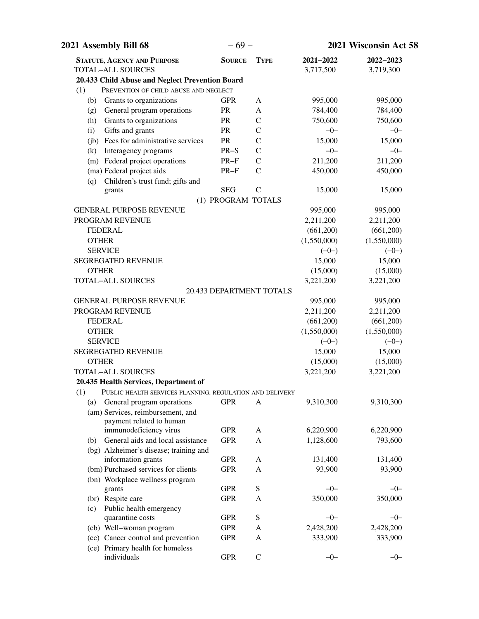| 2021 Assembly Bill 68                                           | $-69-$                   |               |                          | 2021 Wisconsin Act 58  |  |
|-----------------------------------------------------------------|--------------------------|---------------|--------------------------|------------------------|--|
| <b>STATUTE, AGENCY AND PURPOSE</b><br><b>TOTAL-ALL SOURCES</b>  | <b>SOURCE</b>            | <b>TYPE</b>   | 2021-2022<br>3,717,500   | 2022-2023<br>3,719,300 |  |
| 20.433 Child Abuse and Neglect Prevention Board                 |                          |               |                          |                        |  |
| (1)<br>PREVENTION OF CHILD ABUSE AND NEGLECT                    |                          |               |                          |                        |  |
| Grants to organizations<br>(b)                                  | <b>GPR</b>               | A             | 995,000                  | 995,000                |  |
| General program operations<br>(g)                               | PR                       | A             | 784,400                  | 784,400                |  |
| Grants to organizations<br>(h)                                  | PR                       | $\mathcal{C}$ | 750,600                  | 750,600                |  |
| Gifts and grants<br>(i)                                         | PR                       | $\mathcal{C}$ | $-0-$                    | $-0-$                  |  |
| (jb) Fees for administrative services                           | PR                       | $\mathcal{C}$ | 15,000                   | 15,000                 |  |
| Interagency programs<br>(k)                                     | $PR-S$                   | $\mathbf C$   | $-0-$                    | $-0-$                  |  |
| (m) Federal project operations                                  | $PR-F$                   | $\mathbf C$   | 211,200                  | 211,200                |  |
| (ma) Federal project aids                                       | $PR-F$                   | $\mathcal{C}$ | 450,000                  | 450,000                |  |
| Children's trust fund; gifts and<br>(q)                         |                          |               |                          |                        |  |
| grants                                                          | <b>SEG</b>               | $\mathcal{C}$ | 15,000                   | 15,000                 |  |
|                                                                 | (1) PROGRAM TOTALS       |               |                          |                        |  |
| <b>GENERAL PURPOSE REVENUE</b>                                  |                          |               | 995,000                  | 995,000                |  |
| PROGRAM REVENUE                                                 |                          |               | 2,211,200                | 2,211,200              |  |
| <b>FEDERAL</b>                                                  |                          |               | (661,200)                | (661,200)              |  |
| <b>OTHER</b>                                                    |                          |               | (1,550,000)              | (1,550,000)            |  |
| <b>SERVICE</b>                                                  |                          |               | $(-0-)$                  | $(-0-)$                |  |
| <b>SEGREGATED REVENUE</b>                                       |                          |               | 15,000                   | 15,000                 |  |
| <b>OTHER</b>                                                    |                          |               | (15,000)                 | (15,000)               |  |
| TOTAL-ALL SOURCES                                               |                          |               | 3,221,200                | 3,221,200              |  |
|                                                                 | 20.433 DEPARTMENT TOTALS |               |                          |                        |  |
| <b>GENERAL PURPOSE REVENUE</b>                                  |                          |               | 995,000                  | 995,000                |  |
| PROGRAM REVENUE                                                 |                          |               | 2,211,200                | 2,211,200              |  |
| <b>FEDERAL</b><br><b>OTHER</b>                                  |                          |               | (661,200)<br>(1,550,000) | (661,200)              |  |
| <b>SERVICE</b>                                                  |                          |               | $(-0-)$                  | (1,550,000)<br>$(-0-)$ |  |
| <b>SEGREGATED REVENUE</b>                                       |                          |               | 15,000                   | 15,000                 |  |
| <b>OTHER</b>                                                    |                          |               | (15,000)                 | (15,000)               |  |
| TOTAL-ALL SOURCES                                               |                          |               | 3,221,200                | 3,221,200              |  |
| 20.435 Health Services, Department of                           |                          |               |                          |                        |  |
| (1)<br>PUBLIC HEALTH SERVICES PLANNING, REGULATION AND DELIVERY |                          |               |                          |                        |  |
| General program operations<br>(a)                               | <b>GPR</b>               | A             | 9,310,300                | 9,310,300              |  |
| (am) Services, reimbursement, and                               |                          |               |                          |                        |  |
| payment related to human                                        |                          |               |                          |                        |  |
| immunodeficiency virus                                          | <b>GPR</b>               | A             | 6,220,900                | 6,220,900              |  |
| General aids and local assistance<br>(b)                        | <b>GPR</b>               | A             | 1,128,600                | 793,600                |  |
| (bg) Alzheimer's disease; training and                          |                          |               |                          |                        |  |
| information grants                                              | <b>GPR</b>               | A             | 131,400                  | 131,400                |  |
| (bm) Purchased services for clients                             | <b>GPR</b>               | A             | 93,900                   | 93,900                 |  |
| (bn) Workplace wellness program                                 |                          |               |                          |                        |  |
| grants                                                          | <b>GPR</b>               | ${\bf S}$     | $-0-$                    | $-0-$                  |  |
| (br) Respite care                                               | <b>GPR</b>               | A             | 350,000                  | 350,000                |  |
| Public health emergency<br>(c)                                  |                          |               |                          |                        |  |
| quarantine costs                                                | <b>GPR</b>               | ${\bf S}$     | $-0-$                    | $-0-$                  |  |
| (cb) Well-woman program                                         | <b>GPR</b>               | A             | 2,428,200                | 2,428,200              |  |
| (cc) Cancer control and prevention                              | <b>GPR</b>               | A             | 333,900                  | 333,900                |  |
| (ce) Primary health for homeless                                |                          |               |                          |                        |  |
| individuals                                                     | <b>GPR</b>               | $\mathcal{C}$ | $-0-$                    | $-0-$                  |  |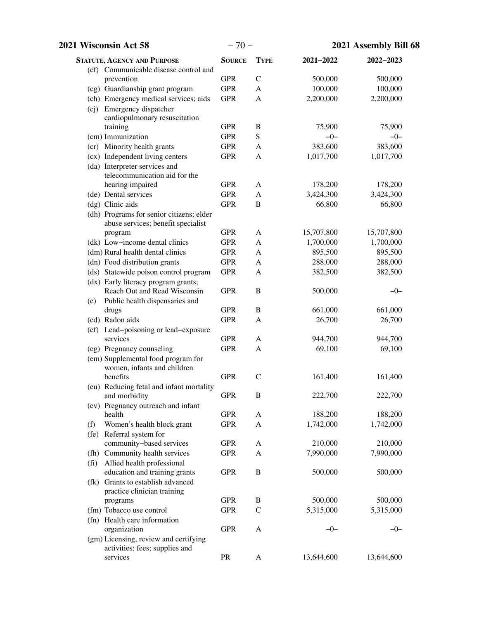| 2021 Wisconsin Act 58                                                          | $-70-$        |               |            | 2021 Assembly Bill 68 |
|--------------------------------------------------------------------------------|---------------|---------------|------------|-----------------------|
| <b>STATUTE, AGENCY AND PURPOSE</b>                                             | <b>SOURCE</b> | <b>TYPE</b>   | 2021-2022  | 2022-2023             |
| (cf) Communicable disease control and                                          |               |               |            |                       |
| prevention                                                                     | <b>GPR</b>    | $\mathsf{C}$  | 500,000    | 500,000               |
| (cg) Guardianship grant program                                                | <b>GPR</b>    | A             | 100,000    | 100,000               |
| (ch) Emergency medical services; aids                                          | <b>GPR</b>    | A             | 2,200,000  | 2,200,000             |
| (cj) Emergency dispatcher<br>cardiopulmonary resuscitation                     |               |               |            |                       |
| training                                                                       | <b>GPR</b>    | $\, {\bf B}$  | 75,900     | 75,900                |
| (cm) Immunization                                                              | <b>GPR</b>    | ${\bf S}$     | $-0-$      | $-0-$                 |
| (cr) Minority health grants                                                    | <b>GPR</b>    | A             | 383,600    | 383,600               |
| (cx) Independent living centers                                                | <b>GPR</b>    | A             | 1,017,700  | 1,017,700             |
| (da) Interpreter services and                                                  |               |               |            |                       |
| telecommunication aid for the                                                  |               |               |            |                       |
| hearing impaired                                                               | <b>GPR</b>    | A             | 178,200    | 178,200               |
| (de) Dental services                                                           | <b>GPR</b>    | A             | 3,424,300  | 3,424,300             |
| (dg) Clinic aids                                                               | <b>GPR</b>    | B             | 66,800     | 66,800                |
| (dh) Programs for senior citizens; elder<br>abuse services; benefit specialist |               |               |            |                       |
| program                                                                        | <b>GPR</b>    | A             | 15,707,800 | 15,707,800            |
| (dk) Low-income dental clinics                                                 | <b>GPR</b>    | A             | 1,700,000  | 1,700,000             |
| (dm) Rural health dental clinics                                               | <b>GPR</b>    | A             | 895,500    | 895,500               |
| (dn) Food distribution grants                                                  | <b>GPR</b>    | A             | 288,000    | 288,000               |
| (ds) Statewide poison control program                                          | <b>GPR</b>    | A             | 382,500    | 382,500               |
| (dx) Early literacy program grants;<br>Reach Out and Read Wisconsin            | <b>GPR</b>    | $\, {\bf B}$  | 500,000    | $-0-$                 |
| Public health dispensaries and<br>(e)                                          |               |               |            |                       |
| drugs                                                                          | <b>GPR</b>    | $\mathbf B$   | 661,000    | 661,000               |
| (ed) Radon aids                                                                | <b>GPR</b>    | A             | 26,700     | 26,700                |
| (ef) Lead-poisoning or lead-exposure<br>services                               | <b>GPR</b>    | A             | 944,700    | 944,700               |
| (eg) Pregnancy counseling                                                      | <b>GPR</b>    | A             | 69,100     | 69,100                |
| (em) Supplemental food program for<br>women, infants and children              |               |               |            |                       |
| benefits                                                                       | <b>GPR</b>    | $\mathcal{C}$ | 161,400    | 161,400               |
| (eu) Reducing fetal and infant mortality                                       |               |               |            |                       |
| and morbidity                                                                  | <b>GPR</b>    | $\bf{B}$      | 222,700    | 222,700               |
| (ev) Pregnancy outreach and infant                                             |               |               |            |                       |
| health                                                                         | <b>GPR</b>    | A             | 188,200    | 188,200               |
| Women's health block grant<br>(f)                                              | <b>GPR</b>    | A             | 1,742,000  | 1,742,000             |
| (fe) Referral system for                                                       |               |               |            |                       |
| community-based services                                                       | <b>GPR</b>    | A             | 210,000    | 210,000               |
| (fh) Community health services                                                 | <b>GPR</b>    | A             | 7,990,000  | 7,990,000             |
| Allied health professional<br>(f <sub>i</sub> )                                |               |               |            |                       |
| education and training grants                                                  | <b>GPR</b>    | B             | 500,000    | 500,000               |
| (fk) Grants to establish advanced<br>practice clinician training               |               |               |            |                       |
| programs                                                                       | <b>GPR</b>    | B             | 500,000    | 500,000               |
| (fm) Tobacco use control                                                       | <b>GPR</b>    | $\mathcal{C}$ | 5,315,000  | 5,315,000             |
| (fn) Health care information                                                   |               |               |            |                       |
| organization                                                                   | <b>GPR</b>    | A             | $-0-$      | $-0-$                 |
| (gm) Licensing, review and certifying                                          |               |               |            |                       |
| activities; fees; supplies and                                                 |               |               |            |                       |
| services                                                                       | PR            | $\mathbf{A}$  | 13,644,600 | 13,644,600            |
|                                                                                |               |               |            |                       |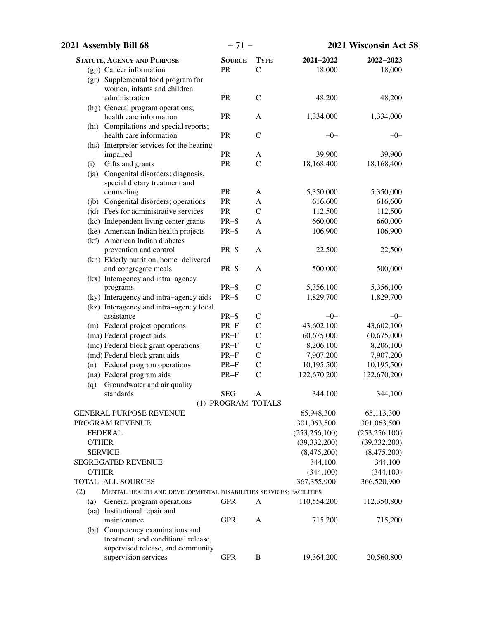| 2021 Assembly Bill 68                                                             | $-71-$             |                                |                        | 2021 Wisconsin Act 58  |
|-----------------------------------------------------------------------------------|--------------------|--------------------------------|------------------------|------------------------|
| <b>STATUTE, AGENCY AND PURPOSE</b>                                                | <b>SOURCE</b>      | <b>TYPE</b>                    | 2021-2022              | 2022-2023              |
| (gp) Cancer information                                                           | PR                 | $\mathcal{C}$                  | 18,000                 | 18,000                 |
| (gr) Supplemental food program for                                                |                    |                                |                        |                        |
| women, infants and children                                                       |                    |                                |                        |                        |
| administration                                                                    | PR                 | $\mathcal{C}$                  | 48,200                 | 48,200                 |
| (hg) General program operations;                                                  |                    |                                |                        |                        |
| health care information                                                           | PR                 | A                              | 1,334,000              | 1,334,000              |
| (hi) Compilations and special reports;<br>health care information                 | PR                 | $\mathcal{C}$                  | $-0-$                  | $-0-$                  |
| (hs) Interpreter services for the hearing                                         |                    |                                |                        |                        |
| impaired                                                                          | PR                 | A                              | 39,900                 | 39,900                 |
| Gifts and grants<br>(i)                                                           | PR                 | $\mathcal{C}$                  | 18,168,400             | 18,168,400             |
| (ja) Congenital disorders; diagnosis,                                             |                    |                                |                        |                        |
| special dietary treatment and                                                     |                    |                                |                        |                        |
| counseling                                                                        | PR                 | A                              | 5,350,000              | 5,350,000              |
| (jb) Congenital disorders; operations                                             | PR                 | A                              | 616,600                | 616,600                |
| (jd) Fees for administrative services                                             | ${\sf PR}$         | $\mathcal{C}$                  | 112,500                | 112,500                |
| (kc) Independent living center grants                                             | $PR-S$             | A                              | 660,000                | 660,000                |
| (ke) American Indian health projects                                              | $PR-S$             | A                              | 106,900                | 106,900                |
| (kf) American Indian diabetes                                                     |                    |                                |                        |                        |
| prevention and control                                                            | $PR-S$             | A                              | 22,500                 | 22,500                 |
| (kn) Elderly nutrition; home-delivered                                            |                    |                                |                        |                        |
| and congregate meals                                                              | $PR-S$             | A                              | 500,000                | 500,000                |
| (kx) Interagency and intra-agency                                                 | $PR-S$             |                                |                        |                        |
| programs                                                                          | $PR-S$             | $\mathcal{C}$<br>$\mathcal{C}$ | 5,356,100<br>1,829,700 | 5,356,100<br>1,829,700 |
| (ky) Interagency and intra-agency aids<br>(kz) Interagency and intra-agency local |                    |                                |                        |                        |
| assistance                                                                        | $PR-S$             | $\mathcal{C}$                  | $-0-$                  | $-0-$                  |
| (m) Federal project operations                                                    | $PR-F$             | $\mathsf{C}$                   | 43,602,100             | 43,602,100             |
| (ma) Federal project aids                                                         | $PR-F$             | $\mathsf{C}$                   | 60,675,000             | 60,675,000             |
| (mc) Federal block grant operations                                               | $PR-F$             | $\mathbf C$                    | 8,206,100              | 8,206,100              |
| (md) Federal block grant aids                                                     | $PR-F$             | $\mathbf C$                    | 7,907,200              | 7,907,200              |
| Federal program operations<br>(n)                                                 | $PR-F$             | $\mathbf C$                    | 10,195,500             | 10,195,500             |
| (na) Federal program aids                                                         | $PR-F$             | $\mathcal{C}$                  | 122,670,200            | 122,670,200            |
| Groundwater and air quality<br>(q)                                                |                    |                                |                        |                        |
| standards                                                                         | <b>SEG</b>         | A                              | 344,100                | 344,100                |
|                                                                                   | (1) PROGRAM TOTALS |                                |                        |                        |
| <b>GENERAL PURPOSE REVENUE</b>                                                    |                    |                                | 65,948,300             | 65,113,300             |
| PROGRAM REVENUE                                                                   |                    |                                | 301,063,500            | 301,063,500            |
| <b>FEDERAL</b>                                                                    |                    |                                | (253, 256, 100)        | (253, 256, 100)        |
| <b>OTHER</b>                                                                      |                    |                                | (39, 332, 200)         | (39, 332, 200)         |
| <b>SERVICE</b>                                                                    |                    |                                | (8,475,200)            | (8,475,200)            |
| <b>SEGREGATED REVENUE</b>                                                         |                    |                                | 344,100                | 344,100                |
| <b>OTHER</b>                                                                      |                    |                                | (344, 100)             | (344, 100)             |
| <b>TOTAL-ALL SOURCES</b>                                                          |                    |                                | 367, 355, 900          | 366,520,900            |
| (2)<br>MENTAL HEALTH AND DEVELOPMENTAL DISABILITIES SERVICES; FACILITIES          |                    |                                |                        |                        |
| General program operations<br>(a)                                                 | <b>GPR</b>         | A                              | 110,554,200            | 112,350,800            |
| (aa) Institutional repair and                                                     |                    |                                |                        |                        |
| maintenance                                                                       | <b>GPR</b>         | A                              | 715,200                | 715,200                |
| (bj) Competency examinations and                                                  |                    |                                |                        |                        |
| treatment, and conditional release,                                               |                    |                                |                        |                        |
| supervised release, and community<br>supervision services                         | <b>GPR</b>         | B                              | 19,364,200             | 20,560,800             |
|                                                                                   |                    |                                |                        |                        |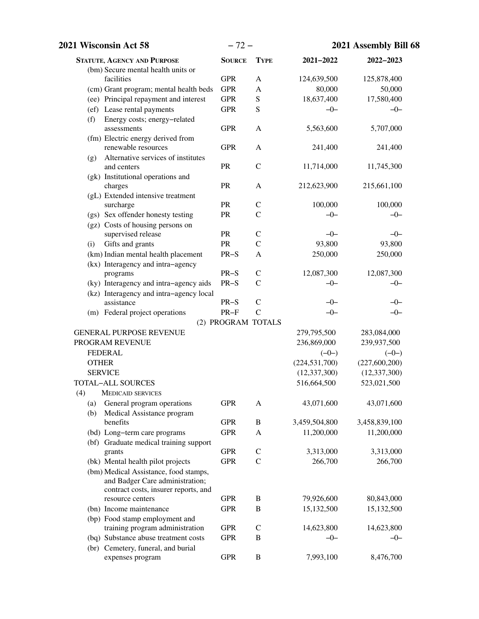| 2021 Wisconsin Act 58                                                                                                                | $-72-$             |                  |                 | 2021 Assembly Bill 68 |
|--------------------------------------------------------------------------------------------------------------------------------------|--------------------|------------------|-----------------|-----------------------|
| <b>STATUTE, AGENCY AND PURPOSE</b>                                                                                                   | <b>SOURCE</b>      | <b>TYPE</b>      | $2021 - 2022$   | 2022-2023             |
| (bm) Secure mental health units or                                                                                                   |                    |                  |                 |                       |
| facilities                                                                                                                           | <b>GPR</b>         | A                | 124,639,500     | 125,878,400           |
| (cm) Grant program; mental health beds                                                                                               | <b>GPR</b>         | A                | 80,000          | 50,000                |
| (ee) Principal repayment and interest                                                                                                | <b>GPR</b>         | ${\bf S}$        | 18,637,400      | 17,580,400            |
| (ef) Lease rental payments                                                                                                           | <b>GPR</b>         | S                | $-0-$           | $-0-$                 |
| Energy costs; energy-related<br>(f)<br>assessments                                                                                   | <b>GPR</b>         | A                | 5,563,600       | 5,707,000             |
| (fm) Electric energy derived from<br>renewable resources                                                                             | <b>GPR</b>         | A                | 241,400         | 241,400               |
| Alternative services of institutes<br>(g)<br>and centers                                                                             | <b>PR</b>          | $\mathcal{C}$    | 11,714,000      | 11,745,300            |
| (gk) Institutional operations and                                                                                                    |                    |                  |                 |                       |
| charges                                                                                                                              | PR                 | A                | 212,623,900     | 215,661,100           |
| (gL) Extended intensive treatment                                                                                                    |                    |                  |                 |                       |
| surcharge                                                                                                                            | <b>PR</b>          | $\mathsf{C}$     | 100,000         | 100,000               |
| (gs) Sex offender honesty testing                                                                                                    | PR                 | $\mathcal{C}$    | $-0-$           | $-0-$                 |
| (gz) Costs of housing persons on                                                                                                     |                    |                  |                 |                       |
| supervised release                                                                                                                   | PR                 | $\mathcal{C}$    | $-0-$           | $-0-$                 |
| Gifts and grants<br>(i)                                                                                                              | PR                 | $\mathcal{C}$    | 93,800          | 93,800                |
| (km) Indian mental health placement                                                                                                  | $PR-S$             | $\mathbf{A}$     | 250,000         | 250,000               |
| (kx) Interagency and intra-agency                                                                                                    |                    |                  |                 |                       |
| programs                                                                                                                             | $PR-S$             | $\mathcal{C}$    | 12,087,300      | 12,087,300            |
| (ky) Interagency and intra-agency aids                                                                                               | $PR-S$             | $\mathcal{C}$    | $-0-$           | $-0-$                 |
| (kz) Interagency and intra-agency local                                                                                              |                    |                  |                 |                       |
| assistance                                                                                                                           | $PR-S$             | $\mathcal{C}$    | $-0-$           | $-0-$                 |
| (m) Federal project operations                                                                                                       | $PR-F$             | $\mathcal{C}$    | $-0-$           | $-0-$                 |
|                                                                                                                                      | (2) PROGRAM TOTALS |                  |                 |                       |
| <b>GENERAL PURPOSE REVENUE</b>                                                                                                       |                    |                  | 279,795,500     | 283,084,000           |
| PROGRAM REVENUE                                                                                                                      |                    |                  | 236,869,000     | 239,937,500           |
| <b>FEDERAL</b>                                                                                                                       |                    |                  | $(-0-)$         | $(-0-)$               |
| <b>OTHER</b>                                                                                                                         |                    |                  | (224, 531, 700) | (227,600,200)         |
| <b>SERVICE</b>                                                                                                                       |                    |                  | (12, 337, 300)  | (12, 337, 300)        |
| <b>TOTAL-ALL SOURCES</b>                                                                                                             |                    |                  | 516,664,500     | 523,021,500           |
| (4)<br><b>MEDICAID SERVICES</b>                                                                                                      |                    |                  |                 |                       |
| General program operations<br>(a)<br>Medical Assistance program<br>(b)                                                               | <b>GPR</b>         | A                | 43,071,600      | 43,071,600            |
| benefits                                                                                                                             | <b>GPR</b>         | $\mathbf B$      | 3,459,504,800   | 3,458,839,100         |
| (bd) Long-term care programs                                                                                                         | <b>GPR</b>         | A                | 11,200,000      | 11,200,000            |
| (bf) Graduate medical training support                                                                                               |                    |                  |                 |                       |
| grants                                                                                                                               | <b>GPR</b>         | $\mathsf{C}$     | 3,313,000       | 3,313,000             |
| (bk) Mental health pilot projects                                                                                                    | <b>GPR</b>         | $\mathcal{C}$    | 266,700         | 266,700               |
| (bm) Medical Assistance, food stamps,<br>and Badger Care administration;<br>contract costs, insurer reports, and<br>resource centers | <b>GPR</b>         | B                | 79,926,600      | 80,843,000            |
|                                                                                                                                      |                    | $\, {\bf B}$     |                 |                       |
| (bn) Income maintenance<br>(bp) Food stamp employment and                                                                            | <b>GPR</b>         |                  | 15,132,500      | 15,132,500            |
| training program administration                                                                                                      | <b>GPR</b>         | $\mathsf{C}$     | 14,623,800      | 14,623,800            |
| (bq) Substance abuse treatment costs                                                                                                 | <b>GPR</b>         | $\boldsymbol{B}$ | $-0-$           | $-0-$                 |
| (br) Cemetery, funeral, and burial                                                                                                   |                    |                  |                 |                       |
| expenses program                                                                                                                     | <b>GPR</b>         | $\bf{B}$         | 7,993,100       | 8,476,700             |
|                                                                                                                                      |                    |                  |                 |                       |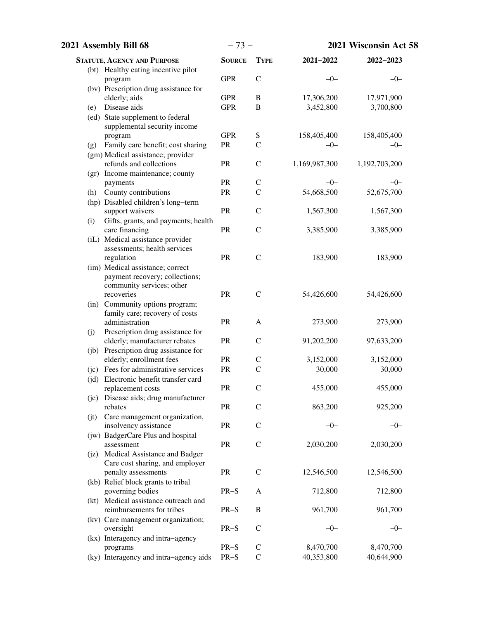| 2021 Assembly Bill 68                                        | $-73-$        |                                | 2021 Wisconsin Act 58 |                     |
|--------------------------------------------------------------|---------------|--------------------------------|-----------------------|---------------------|
| <b>STATUTE, AGENCY AND PURPOSE</b>                           | <b>SOURCE</b> | <b>TYPE</b>                    | 2021-2022             | 2022-2023           |
| (bt) Healthy eating incentive pilot                          |               |                                |                       |                     |
| program                                                      | <b>GPR</b>    | $\mathcal{C}$                  | $-0-$                 | $-0-$               |
| (bv) Prescription drug assistance for                        |               |                                |                       |                     |
| elderly; aids                                                | <b>GPR</b>    | $\, {\bf B}$                   | 17,306,200            | 17,971,900          |
| Disease aids<br>(e)                                          | <b>GPR</b>    | $\, {\bf B}$                   | 3,452,800             | 3,700,800           |
| (ed) State supplement to federal                             |               |                                |                       |                     |
| supplemental security income                                 | <b>GPR</b>    |                                |                       |                     |
| program                                                      |               | ${\bf S}$                      | 158,405,400           | 158,405,400         |
| Family care benefit; cost sharing<br>(g)                     | PR            | $\mathcal{C}$                  | $-0-$                 | $-0-$               |
| (gm) Medical assistance; provider<br>refunds and collections | PR            | $\mathbf C$                    | 1,169,987,300         | 1,192,703,200       |
| (gr) Income maintenance; county                              |               |                                |                       |                     |
| payments                                                     | PR            | $\mathsf{C}$                   | $-0-$                 | $-0-$               |
| County contributions<br>(h)                                  | PR            | $\mathcal{C}$                  | 54,668,500            | 52,675,700          |
| (hp) Disabled children's long-term                           |               |                                |                       |                     |
| support waivers                                              | PR            | $\mathcal{C}$                  | 1,567,300             | 1,567,300           |
| Gifts, grants, and payments; health<br>(i)                   |               |                                |                       |                     |
| care financing                                               | PR            | $\mathcal{C}$                  | 3,385,900             | 3,385,900           |
| (iL) Medical assistance provider                             |               |                                |                       |                     |
| assessments; health services                                 |               |                                |                       |                     |
| regulation                                                   | PR            | $\mathcal{C}$                  | 183,900               | 183,900             |
| (im) Medical assistance; correct                             |               |                                |                       |                     |
| payment recovery; collections;                               |               |                                |                       |                     |
| community services; other                                    |               |                                |                       |                     |
| recoveries                                                   | PR            | $\mathcal{C}$                  | 54,426,600            | 54,426,600          |
| (in) Community options program;                              |               |                                |                       |                     |
| family care; recovery of costs                               |               |                                |                       |                     |
| administration                                               | PR            | A                              | 273,900               | 273,900             |
| Prescription drug assistance for<br>(j)                      |               |                                |                       |                     |
| elderly; manufacturer rebates                                | PR            | $\mathcal{C}$                  | 91,202,200            | 97,633,200          |
| (jb) Prescription drug assistance for                        |               |                                |                       |                     |
| elderly; enrollment fees                                     | PR<br>PR      | $\mathsf{C}$<br>$\overline{C}$ | 3,152,000             | 3,152,000<br>30,000 |
| (jc) Fees for administrative services                        |               |                                | 30,000                |                     |
| (jd) Electronic benefit transfer card                        | PR            | $\mathsf{C}$                   | 455,000               | 455,000             |
| replacement costs<br>(je) Disease aids; drug manufacturer    |               |                                |                       |                     |
| rebates                                                      | PR            | $\mathsf{C}$                   | 863,200               | 925,200             |
| Care management organization,<br>(jt)                        |               |                                |                       |                     |
| insolvency assistance                                        | PR            | $\mathcal{C}$                  | $-0-$                 | $-0-$               |
| (jw) BadgerCare Plus and hospital                            |               |                                |                       |                     |
| assessment                                                   | ${\sf PR}$    | $\mathcal{C}$                  | 2,030,200             | 2,030,200           |
| (jz) Medical Assistance and Badger                           |               |                                |                       |                     |
| Care cost sharing, and employer                              |               |                                |                       |                     |
| penalty assessments                                          | <b>PR</b>     | $\mathsf C$                    | 12,546,500            | 12,546,500          |
| (kb) Relief block grants to tribal                           |               |                                |                       |                     |
| governing bodies                                             | $PR-S$        | A                              | 712,800               | 712,800             |
| (kt) Medical assistance outreach and                         |               |                                |                       |                     |
| reimbursements for tribes                                    | $PR-S$        | B                              | 961,700               | 961,700             |
| (kv) Care management organization;                           |               |                                |                       |                     |
| oversight                                                    | $PR-S$        | $\mathbf C$                    | $-0-$                 | $-0-$               |
| (kx) Interagency and intra-agency                            |               |                                |                       |                     |
| programs                                                     | $PR-S$        | $\mathbf C$                    | 8,470,700             | 8,470,700           |
| (ky) Interagency and intra-agency aids                       | $PR-S$        | $\mathcal{C}$                  | 40,353,800            | 40,644,900          |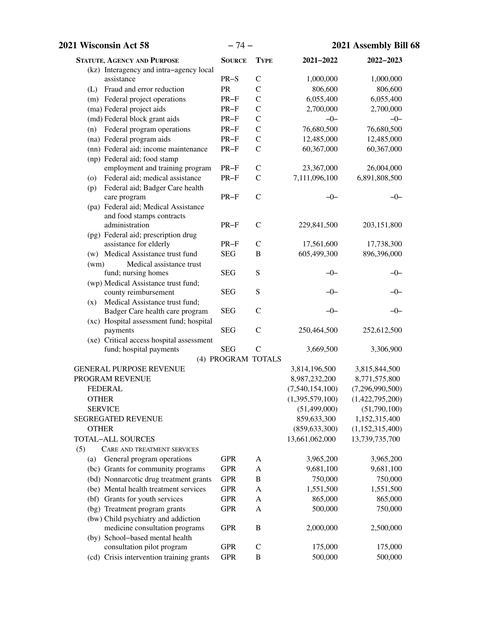| <b>2021 Wisconsin Act 58</b>                                      |                    | $-74-$           |                 | 2021 Assembly Bill 68 |  |  |
|-------------------------------------------------------------------|--------------------|------------------|-----------------|-----------------------|--|--|
| <b>STATUTE, AGENCY AND PURPOSE</b>                                | <b>SOURCE</b>      | <b>TYPE</b>      | $2021 - 2022$   | $2022 - 2023$         |  |  |
| (kz) Interagency and intra-agency local                           |                    |                  |                 |                       |  |  |
| assistance                                                        | $PR-S$             | $\mathcal{C}$    | 1,000,000       | 1,000,000             |  |  |
| (L) Fraud and error reduction                                     | PR                 | $\mathcal{C}$    | 806,600         | 806,600               |  |  |
| (m) Federal project operations                                    | $PR-F$             | $\mathcal{C}$    | 6,055,400       | 6,055,400             |  |  |
| (ma) Federal project aids                                         | $PR-F$             | $\mathcal{C}$    | 2,700,000       | 2,700,000             |  |  |
| (md) Federal block grant aids                                     | $PR-F$             | $\mathcal{C}$    | $-0-$           | $-0-$                 |  |  |
| (n) Federal program operations                                    | $PR-F$             | $\mathcal{C}$    | 76,680,500      | 76,680,500            |  |  |
| (na) Federal program aids                                         | $PR-F$             | $\mathsf{C}$     | 12,485,000      | 12,485,000            |  |  |
| (nn) Federal aid; income maintenance                              | $PR-F$             | $\mathcal{C}$    | 60,367,000      | 60,367,000            |  |  |
| (np) Federal aid; food stamp                                      |                    |                  |                 |                       |  |  |
| employment and training program                                   | $PR-F$             | $\mathsf{C}$     | 23,367,000      | 26,004,000            |  |  |
| Federal aid; medical assistance<br>(0)                            | $PR-F$             | $\mathsf{C}$     | 7,111,096,100   | 6,891,808,500         |  |  |
| Federal aid; Badger Care health<br>(p)                            | $PR-F$             | $\mathcal{C}$    | $-0-$           | $-0-$                 |  |  |
| care program<br>(pa) Federal aid; Medical Assistance              |                    |                  |                 |                       |  |  |
| and food stamps contracts                                         |                    |                  |                 |                       |  |  |
| administration                                                    | $PR-F$             | $\mathcal{C}$    | 229,841,500     | 203,151,800           |  |  |
| (pg) Federal aid; prescription drug                               |                    |                  |                 |                       |  |  |
| assistance for elderly                                            | $PR-F$             | $\mathcal{C}$    | 17,561,600      | 17,738,300            |  |  |
| (w) Medical Assistance trust fund                                 | <b>SEG</b>         | $\bf{B}$         | 605,499,300     | 896,396,000           |  |  |
| Medical assistance trust<br>(wm)                                  |                    |                  |                 |                       |  |  |
| fund; nursing homes                                               | <b>SEG</b>         | S                | $-0-$           | $-0-$                 |  |  |
| (wp) Medical Assistance trust fund;                               |                    |                  |                 |                       |  |  |
| county reimbursement                                              | <b>SEG</b>         | ${\bf S}$        | $-0-$           | $-0-$                 |  |  |
| Medical Assistance trust fund;<br>(x)                             |                    |                  |                 |                       |  |  |
| Badger Care health care program                                   | <b>SEG</b>         | $\mathcal{C}$    | $-0-$           | $-0-$                 |  |  |
| (xc) Hospital assessment fund; hospital                           |                    |                  |                 |                       |  |  |
| payments                                                          | <b>SEG</b>         | $\mathcal{C}$    | 250,464,500     | 252,612,500           |  |  |
| (xe) Critical access hospital assessment                          |                    |                  |                 |                       |  |  |
| fund; hospital payments                                           | <b>SEG</b>         | $\mathcal{C}$    | 3,669,500       | 3,306,900             |  |  |
|                                                                   | (4) PROGRAM TOTALS |                  |                 |                       |  |  |
| <b>GENERAL PURPOSE REVENUE</b>                                    |                    |                  | 3,814,196,500   | 3,815,844,500         |  |  |
| PROGRAM REVENUE                                                   |                    |                  | 8,987,232,200   | 8,771,575,800         |  |  |
| <b>FEDERAL</b>                                                    |                    |                  | (7,540,154,100) | (7,296,990,500)       |  |  |
| <b>OTHER</b>                                                      |                    |                  | (1,395,579,100) | (1,422,795,200)       |  |  |
| <b>SERVICE</b>                                                    |                    |                  | (51, 499, 000)  | (51,790,100)          |  |  |
| <b>SEGREGATED REVENUE</b>                                         |                    |                  | 859,633,300     | 1,152,315,400         |  |  |
| <b>OTHER</b>                                                      |                    |                  | (859, 633, 300) | (1,152,315,400)       |  |  |
| <b>TOTAL-ALL SOURCES</b>                                          |                    |                  | 13,661,062,000  | 13,739,735,700        |  |  |
| (5)<br>CARE AND TREATMENT SERVICES                                |                    |                  |                 |                       |  |  |
| (a)<br>General program operations                                 | <b>GPR</b>         | A                | 3,965,200       | 3,965,200             |  |  |
| (bc) Grants for community programs                                | <b>GPR</b>         | A                | 9,681,100       | 9,681,100             |  |  |
| (bd) Nonnarcotic drug treatment grants                            | <b>GPR</b>         | $\boldsymbol{B}$ | 750,000         | 750,000               |  |  |
| (be) Mental health treatment services                             | <b>GPR</b>         | A                | 1,551,500       | 1,551,500             |  |  |
| (bf) Grants for youth services                                    | <b>GPR</b>         | A                | 865,000         | 865,000               |  |  |
| (bg) Treatment program grants                                     | <b>GPR</b>         | A                | 500,000         | 750,000               |  |  |
| (bw) Child psychiatry and addiction                               | <b>GPR</b>         | $\bf{B}$         | 2,000,000       |                       |  |  |
| medicine consultation programs<br>(by) School-based mental health |                    |                  |                 | 2,500,000             |  |  |
| consultation pilot program                                        | <b>GPR</b>         | $\mathcal{C}$    | 175,000         | 175,000               |  |  |
| (cd) Crisis intervention training grants                          | <b>GPR</b>         | $\boldsymbol{B}$ | 500,000         | 500,000               |  |  |
|                                                                   |                    |                  |                 |                       |  |  |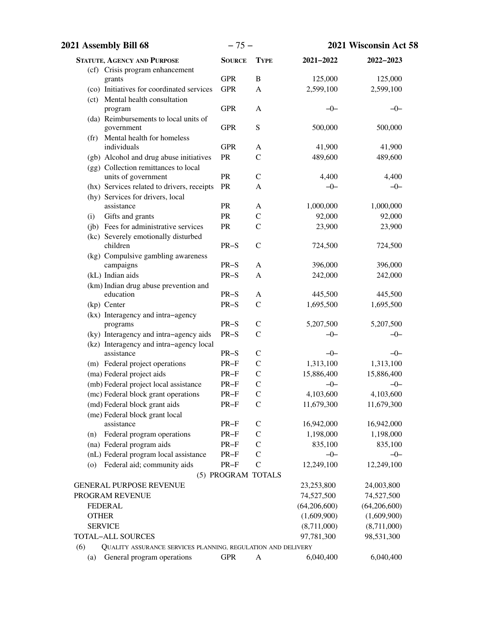| 2021 Assembly Bill 68                                               | $-75-$             |               |              | 2021 Wisconsin Act 58 |
|---------------------------------------------------------------------|--------------------|---------------|--------------|-----------------------|
| <b>STATUTE, AGENCY AND PURPOSE</b>                                  | <b>SOURCE</b>      | <b>TYPE</b>   | 2021-2022    | 2022-2023             |
| (cf) Crisis program enhancement                                     |                    |               |              |                       |
| grants                                                              | <b>GPR</b>         | $\, {\bf B}$  | 125,000      | 125,000               |
| (co) Initiatives for coordinated services                           | <b>GPR</b>         | A             | 2,599,100    | 2,599,100             |
| (ct) Mental health consultation                                     |                    |               |              |                       |
| program                                                             | <b>GPR</b>         | A             | $-0-$        | $-0-$                 |
| (da) Reimbursements to local units of                               |                    |               | 500,000      |                       |
| government<br>(fr) Mental health for homeless                       | <b>GPR</b>         | S             |              | 500,000               |
| individuals                                                         | <b>GPR</b>         | A             | 41,900       | 41,900                |
| (gb) Alcohol and drug abuse initiatives                             | PR                 | $\mathcal{C}$ | 489,600      | 489,600               |
| (gg) Collection remittances to local                                |                    |               |              |                       |
| units of government                                                 | PR                 | $\mathcal{C}$ | 4,400        | 4,400                 |
| (hx) Services related to drivers, receipts                          | PR                 | A             | $-0-$        | $-0-$                 |
| (hy) Services for drivers, local                                    |                    |               |              |                       |
| assistance                                                          | PR                 | A             | 1,000,000    | 1,000,000             |
| Gifts and grants<br>(i)                                             | PR                 | $\mathsf{C}$  | 92,000       | 92,000                |
| (jb) Fees for administrative services                               | PR                 | $\mathcal{C}$ | 23,900       | 23,900                |
| (kc) Severely emotionally disturbed                                 |                    |               |              |                       |
| children                                                            | $PR-S$             | $\mathcal{C}$ | 724,500      | 724,500               |
| (kg) Compulsive gambling awareness                                  |                    |               |              |                       |
| campaigns                                                           | $PR-S$             | A             | 396,000      | 396,000               |
| (kL) Indian aids                                                    | $PR-S$             | A             | 242,000      | 242,000               |
| (km) Indian drug abuse prevention and                               |                    |               |              |                       |
| education                                                           | $PR-S$             | A             | 445,500      | 445,500               |
| (kp) Center                                                         | $PR-S$             | $\mathsf{C}$  | 1,695,500    | 1,695,500             |
| (kx) Interagency and intra-agency                                   |                    |               |              |                       |
| programs                                                            | $PR-S$             | $\mathsf{C}$  | 5,207,500    | 5,207,500             |
| (ky) Interagency and intra-agency aids                              | $PR-S$             | $\mathcal{C}$ | $-0-$        | $-0-$                 |
| (kz) Interagency and intra-agency local<br>assistance               | $PR-S$             | $\mathsf{C}$  | $-0-$        | $-0-$                 |
| (m) Federal project operations                                      | $PR-F$             | $\mathsf{C}$  | 1,313,100    | 1,313,100             |
| (ma) Federal project aids                                           | $PR-F$             | $\mathcal{C}$ | 15,886,400   | 15,886,400            |
| (mb) Federal project local assistance                               | $PR-F$             | $\mathcal{C}$ | $-0-$        | $-0-$                 |
| (mc) Federal block grant operations                                 | $PR-F$             | $\mathsf{C}$  | 4,103,600    | 4,103,600             |
| (md) Federal block grant aids                                       | $PR-F$             | $\mathsf{C}$  | 11,679,300   | 11,679,300            |
| (me) Federal block grant local                                      |                    |               |              |                       |
| assistance                                                          | $PR-F$             | $\mathsf{C}$  | 16,942,000   | 16,942,000            |
| Federal program operations<br>(n)                                   | $PR-F$             | $\mathsf{C}$  | 1,198,000    | 1,198,000             |
| (na) Federal program aids                                           | $PR-F$             | $\mathsf{C}$  | 835,100      | 835,100               |
| (nL) Federal program local assistance                               | $PR-F$             | $\mathcal{C}$ | $-0-$        | $-0-$                 |
| Federal aid; community aids<br>(o)                                  | $PR-F$             | $\mathcal{C}$ | 12,249,100   | 12,249,100            |
|                                                                     | (5) PROGRAM TOTALS |               |              |                       |
| <b>GENERAL PURPOSE REVENUE</b>                                      |                    |               | 23,253,800   | 24,003,800            |
| PROGRAM REVENUE                                                     |                    |               | 74,527,500   | 74,527,500            |
| <b>FEDERAL</b>                                                      |                    |               | (64,206,600) | (64,206,600)          |
| <b>OTHER</b>                                                        |                    |               | (1,609,900)  | (1,609,900)           |
| <b>SERVICE</b>                                                      |                    |               | (8,711,000)  | (8,711,000)           |
| <b>TOTAL-ALL SOURCES</b>                                            |                    |               | 97,781,300   | 98,531,300            |
| (6)<br>QUALITY ASSURANCE SERVICES PLANNING, REGULATION AND DELIVERY |                    |               |              |                       |
| General program operations<br>(a)                                   | <b>GPR</b>         | A             | 6,040,400    | 6,040,400             |
|                                                                     |                    |               |              |                       |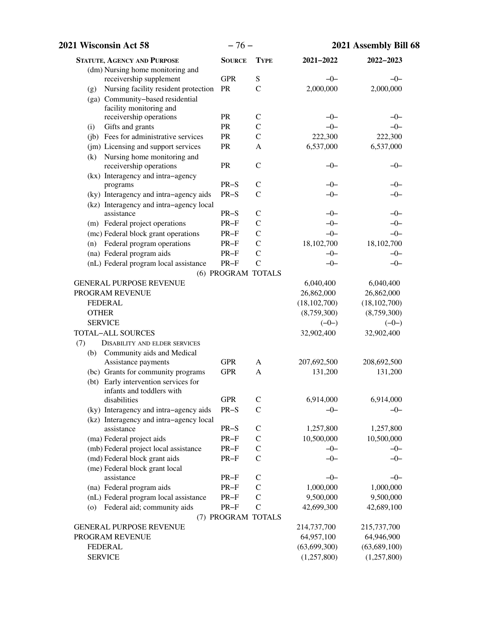| 2021 Wisconsin Act 58                                    | $-76-$             |                |                | 2021 Assembly Bill 68 |
|----------------------------------------------------------|--------------------|----------------|----------------|-----------------------|
| <b>STATUTE, AGENCY AND PURPOSE</b>                       | <b>SOURCE</b>      | <b>TYPE</b>    | 2021-2022      | 2022-2023             |
| (dm) Nursing home monitoring and                         |                    |                |                |                       |
| receivership supplement                                  | <b>GPR</b>         | S              | $-0-$          | $-0-$                 |
| Nursing facility resident protection<br>(g)              | <b>PR</b>          | $\mathcal{C}$  | 2,000,000      | 2,000,000             |
| (ga) Community-based residential                         |                    |                |                |                       |
| facility monitoring and<br>receivership operations       | PR                 | $\mathcal{C}$  | $-0-$          | $-0-$                 |
| Gifts and grants<br>(i)                                  | PR                 | $\mathcal{C}$  | $-0-$          | $-0-$                 |
| (jb) Fees for administrative services                    | PR                 | $\mathcal{C}$  | 222,300        | 222,300               |
| (jm) Licensing and support services                      | PR                 | A              | 6,537,000      | 6,537,000             |
| Nursing home monitoring and<br>(k)                       |                    |                |                |                       |
| receivership operations                                  | <b>PR</b>          | $\mathsf{C}$   | $-0-$          | $-0-$                 |
| (kx) Interagency and intra-agency                        |                    |                |                |                       |
| programs                                                 | $PR-S$             | $\mathcal{C}$  | $-0-$          | $-0-$                 |
| (ky) Interagency and intra-agency aids                   | $PR-S$             | $\mathcal{C}$  | $-0-$          | $-0-$                 |
| (kz) Interagency and intra-agency local                  |                    |                |                |                       |
| assistance                                               | $PR-S$             | $\mathsf{C}$   | $-0-$          | $-0-$                 |
| (m) Federal project operations                           | $PR-F$             | $\mathcal{C}$  | $-0-$          | $-0-$                 |
| (mc) Federal block grant operations                      | $PR-F$             | $\mathcal{C}$  | $-0-$          | $-0-$                 |
| (n) Federal program operations                           | $PR-F$             | $\mathcal{C}$  | 18,102,700     | 18,102,700            |
| (na) Federal program aids                                | $PR-F$             | $\mathcal{C}$  | $-0-$          | $-0-$                 |
| (nL) Federal program local assistance                    | $PR-F$             | $\overline{C}$ | $-0-$          | $-0-$                 |
|                                                          | (6) PROGRAM TOTALS |                |                |                       |
| <b>GENERAL PURPOSE REVENUE</b>                           |                    |                | 6,040,400      | 6,040,400             |
| PROGRAM REVENUE                                          |                    |                | 26,862,000     | 26,862,000            |
| <b>FEDERAL</b>                                           |                    |                | (18, 102, 700) | (18, 102, 700)        |
| <b>OTHER</b>                                             |                    |                | (8,759,300)    | (8,759,300)           |
| <b>SERVICE</b>                                           |                    |                | $(-0-)$        | $(-0-)$               |
| <b>TOTAL-ALL SOURCES</b>                                 |                    |                | 32,902,400     | 32,902,400            |
| (7)<br><b>DISABILITY AND ELDER SERVICES</b>              |                    |                |                |                       |
| Community aids and Medical<br>(b)<br>Assistance payments | <b>GPR</b>         | A              | 207,692,500    | 208,692,500           |
| (bc) Grants for community programs                       | <b>GPR</b>         | A              | 131,200        | 131,200               |
| (bt) Early intervention services for                     |                    |                |                |                       |
| infants and toddlers with                                |                    |                |                |                       |
| disabilities                                             | <b>GPR</b>         | $\mathsf{C}$   | 6,914,000      | 6,914,000             |
| (ky) Interagency and intra-agency aids                   | $PR-S$             | $\mathcal{C}$  | $-0-$          | $-0-$                 |
| (kz) Interagency and intra-agency local                  |                    |                |                |                       |
| assistance                                               | $PR-S$             | $\mathsf{C}$   | 1,257,800      | 1,257,800             |
| (ma) Federal project aids                                | $PR-F$             | $\mathcal{C}$  | 10,500,000     | 10,500,000            |
| (mb) Federal project local assistance                    | $PR-F$             | $\mathcal{C}$  | $-0-$          | $-0-$                 |
| (md) Federal block grant aids                            | $PR-F$             | $\mathsf{C}$   | $-0-$          | $-0-$                 |
| (me) Federal block grant local                           |                    |                |                |                       |
| assistance                                               | $PR-F$             | $\mathsf{C}$   | $-0-$          | $-0-$                 |
| (na) Federal program aids                                | $PR-F$             | $\mathcal{C}$  | 1,000,000      | 1,000,000             |
| (nL) Federal program local assistance                    | $PR-F$             | $\mathbf C$    | 9,500,000      | 9,500,000             |
| Federal aid; community aids<br>(0)                       | $PR-F$             | $\mathcal{C}$  | 42,699,300     | 42,689,100            |
|                                                          | (7) PROGRAM TOTALS |                |                |                       |
| <b>GENERAL PURPOSE REVENUE</b>                           |                    |                | 214,737,700    | 215,737,700           |
| PROGRAM REVENUE                                          |                    |                | 64,957,100     | 64,946,900            |
| <b>FEDERAL</b>                                           |                    |                | (63, 699, 300) | (63, 689, 100)        |
| <b>SERVICE</b>                                           |                    |                | (1,257,800)    | (1,257,800)           |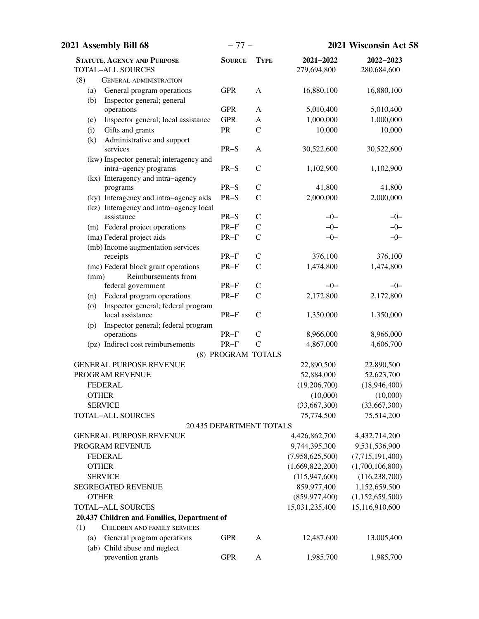| 2021 Assembly Bill 68                             | $-77-$                          |                |                 | 2021 Wisconsin Act 58 |  |
|---------------------------------------------------|---------------------------------|----------------|-----------------|-----------------------|--|
| <b>STATUTE, AGENCY AND PURPOSE</b>                | <b>SOURCE</b>                   | <b>TYPE</b>    | 2021-2022       | 2022-2023             |  |
| <b>TOTAL-ALL SOURCES</b>                          |                                 |                | 279,694,800     | 280,684,600           |  |
| (8)<br><b>GENERAL ADMINISTRATION</b>              |                                 |                |                 |                       |  |
| General program operations<br>(a)                 | <b>GPR</b>                      | A              | 16,880,100      | 16,880,100            |  |
| Inspector general; general<br>(b)                 |                                 |                |                 |                       |  |
| operations                                        | <b>GPR</b>                      | A              | 5,010,400       | 5,010,400             |  |
| Inspector general; local assistance<br>(c)        | <b>GPR</b>                      | A              | 1,000,000       | 1,000,000             |  |
| Gifts and grants<br>(i)                           | PR                              | $\mathcal{C}$  | 10,000          | 10,000                |  |
| Administrative and support<br>(k)                 |                                 |                |                 |                       |  |
| services                                          | $PR-S$                          | A              | 30,522,600      | 30,522,600            |  |
| (kw) Inspector general; interagency and           |                                 |                |                 |                       |  |
| intra-agency programs                             | $PR-S$                          | $\mathcal{C}$  | 1,102,900       | 1,102,900             |  |
| (kx) Interagency and intra-agency                 |                                 |                |                 |                       |  |
| programs                                          | $PR-S$                          | $\mathsf{C}$   | 41,800          | 41,800                |  |
| (ky) Interagency and intra-agency aids            | $PR-S$                          | $\mathbf C$    | 2,000,000       | 2,000,000             |  |
| (kz) Interagency and intra-agency local           |                                 |                |                 |                       |  |
| assistance                                        | $PR-S$                          | $\mathcal{C}$  | -0-             | $-0-$                 |  |
| (m) Federal project operations                    | $PR-F$                          | $\mathsf{C}$   | $-0-$           | $-0-$                 |  |
| (ma) Federal project aids                         | $PR-F$                          | $\mathcal{C}$  | $-0-$           | $-0-$                 |  |
| (mb) Income augmentation services                 |                                 |                |                 |                       |  |
| receipts                                          | $PR-F$                          | $\mathsf{C}$   | 376,100         | 376,100               |  |
| (mc) Federal block grant operations               | $PR-F$                          | $\mathcal{C}$  | 1,474,800       | 1,474,800             |  |
| Reimbursements from<br>(mm)<br>federal government | $PR-F$                          | $\mathsf C$    | $-0-$           | $-0-$                 |  |
| Federal program operations<br>(n)                 | $PR-F$                          | $\mathsf{C}$   | 2,172,800       | 2,172,800             |  |
| Inspector general; federal program<br>(0)         |                                 |                |                 |                       |  |
| local assistance                                  | $PR-F$                          | $\mathcal{C}$  | 1,350,000       | 1,350,000             |  |
| Inspector general; federal program<br>(p)         |                                 |                |                 |                       |  |
| operations                                        | $PR-F$                          | $\mathcal{C}$  | 8,966,000       | 8,966,000             |  |
| (pz) Indirect cost reimbursements                 | $PR-F$                          | $\overline{C}$ | 4,867,000       | 4,606,700             |  |
|                                                   | (8) PROGRAM TOTALS              |                |                 |                       |  |
| <b>GENERAL PURPOSE REVENUE</b>                    |                                 |                | 22,890,500      | 22,890,500            |  |
| PROGRAM REVENUE                                   |                                 |                | 52,884,000      | 52,623,700            |  |
| <b>FEDERAL</b>                                    |                                 |                | (19,206,700)    | (18,946,400)          |  |
| <b>OTHER</b>                                      |                                 |                | (10,000)        | (10,000)              |  |
| <b>SERVICE</b>                                    |                                 |                | (33,667,300)    | (33,667,300)          |  |
| <b>TOTAL-ALL SOURCES</b>                          |                                 |                | 75,774,500      | 75,514,200            |  |
|                                                   | <b>20.435 DEPARTMENT TOTALS</b> |                |                 |                       |  |
| <b>GENERAL PURPOSE REVENUE</b>                    |                                 |                | 4,426,862,700   | 4,432,714,200         |  |
| PROGRAM REVENUE                                   |                                 |                | 9,744,395,300   | 9,531,536,900         |  |
| <b>FEDERAL</b>                                    |                                 |                | (7,958,625,500) | (7,715,191,400)       |  |
| <b>OTHER</b>                                      |                                 |                | (1,669,822,200) | (1,700,106,800)       |  |
| <b>SERVICE</b>                                    |                                 |                | (115, 947, 600) | (116, 238, 700)       |  |
| <b>SEGREGATED REVENUE</b>                         |                                 |                | 859,977,400     | 1,152,659,500         |  |
| <b>OTHER</b>                                      |                                 |                | (859, 977, 400) | (1,152,659,500)       |  |
| <b>TOTAL-ALL SOURCES</b>                          |                                 |                | 15,031,235,400  | 15,116,910,600        |  |
| 20.437 Children and Families, Department of       |                                 |                |                 |                       |  |
| (1)<br>CHILDREN AND FAMILY SERVICES               |                                 |                |                 |                       |  |
| General program operations<br>(a)                 | <b>GPR</b>                      | A              | 12,487,600      | 13,005,400            |  |
| (ab) Child abuse and neglect                      |                                 |                |                 |                       |  |
| prevention grants                                 | <b>GPR</b>                      | A              | 1,985,700       | 1,985,700             |  |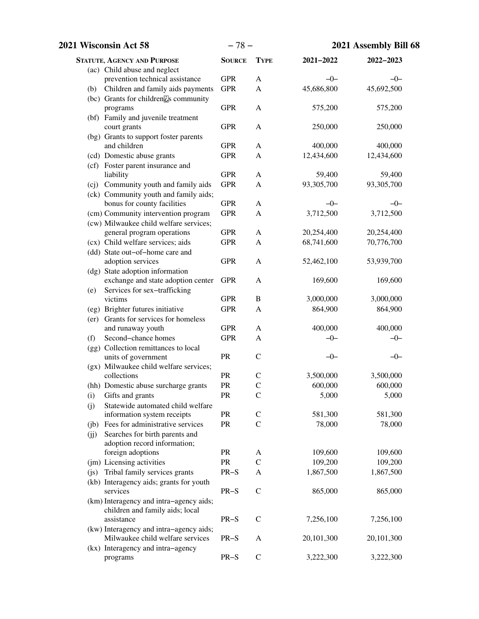| 2021 Wisconsin Act 58                                                | $-78-$        |                  |                      | 2021 Assembly Bill 68 |
|----------------------------------------------------------------------|---------------|------------------|----------------------|-----------------------|
| <b>STATUTE, AGENCY AND PURPOSE</b>                                   | <b>SOURCE</b> | <b>TYPE</b>      | $2021 - 2022$        | 2022-2023             |
| (ac) Child abuse and neglect                                         |               |                  |                      |                       |
| prevention technical assistance                                      | <b>GPR</b>    | A                | $-0-$                | $-0-$                 |
| (b) Children and family aids payments                                | <b>GPR</b>    | $\mathbf{A}$     | 45,686,800           | 45,692,500            |
| (bc) Grants for children <sup>[2]</sup> s community                  | <b>GPR</b>    |                  |                      |                       |
| programs<br>(bf) Family and juvenile treatment                       |               | A                | 575,200              | 575,200               |
| court grants                                                         | <b>GPR</b>    | A                | 250,000              | 250,000               |
| (bg) Grants to support foster parents                                |               |                  |                      |                       |
| and children                                                         | <b>GPR</b>    | A                | 400,000              | 400,000               |
| (cd) Domestic abuse grants                                           | <b>GPR</b>    | A                | 12,434,600           | 12,434,600            |
| (cf) Foster parent insurance and                                     |               |                  |                      |                       |
| liability                                                            | <b>GPR</b>    | $\mathbf{A}$     | 59,400               | 59,400                |
| (cj) Community youth and family aids                                 | <b>GPR</b>    | A                | 93,305,700           | 93,305,700            |
| (ck) Community youth and family aids;                                |               |                  |                      |                       |
| bonus for county facilities                                          | <b>GPR</b>    | A                | $-0-$                | $-0-$                 |
| (cm) Community intervention program                                  | <b>GPR</b>    | A                | 3,712,500            | 3,712,500             |
| (cw) Milwaukee child welfare services;<br>general program operations | <b>GPR</b>    | $\mathbf{A}$     | 20,254,400           | 20,254,400            |
| (cx) Child welfare services; aids                                    | <b>GPR</b>    | A                | 68,741,600           | 70,776,700            |
| (dd) State out-of-home care and                                      |               |                  |                      |                       |
| adoption services                                                    | <b>GPR</b>    | A                | 52,462,100           | 53,939,700            |
| (dg) State adoption information                                      |               |                  |                      |                       |
| exchange and state adoption center                                   | <b>GPR</b>    | A                | 169,600              | 169,600               |
| Services for sex-trafficking<br>(e)                                  |               |                  |                      |                       |
| victims                                                              | <b>GPR</b>    | $\, {\bf B}$     | 3,000,000            | 3,000,000             |
| (eg) Brighter futures initiative                                     | <b>GPR</b>    | $\mathbf{A}$     | 864,900              | 864,900               |
| (er) Grants for services for homeless                                |               |                  |                      |                       |
| and runaway youth                                                    | <b>GPR</b>    | A                | 400,000              | 400,000               |
| Second-chance homes<br>(f)                                           | <b>GPR</b>    | A                | $-0-$                | $-0-$                 |
| (gg) Collection remittances to local<br>units of government          | PR            | $\mathcal{C}$    | $-0-$                | $-0-$                 |
| (gx) Milwaukee child welfare services;                               |               |                  |                      |                       |
| collections                                                          | PR            | $\mathcal{C}$    | 3,500,000            | 3,500,000             |
| (hh) Domestic abuse surcharge grants                                 | PR            | $\mathbf C$      | 600,000              | 600,000               |
| (i)<br>Gifts and grants                                              | PR            | $\mathcal{C}$    | 5,000                | 5,000                 |
| Statewide automated child welfare<br>(i)                             |               |                  |                      |                       |
| information system receipts                                          | PR            | C                | 581,300              | 581,300               |
| (jb) Fees for administrative services                                | PR            | $\mathcal{C}$    | 78,000               | 78,000                |
| Searches for birth parents and<br>(jj)                               |               |                  |                      |                       |
| adoption record information;                                         |               |                  |                      |                       |
| foreign adoptions                                                    | PR<br>PR      | A<br>$\mathbf C$ | 109,600              | 109,600               |
| (jm) Licensing activities<br>Tribal family services grants           | $PR-S$        | A                | 109,200<br>1,867,500 | 109,200<br>1,867,500  |
| (i)<br>(kb) Interagency aids; grants for youth                       |               |                  |                      |                       |
| services                                                             | $PR-S$        | $\mathcal{C}$    | 865,000              | 865,000               |
| (km) Interagency and intra-agency aids;                              |               |                  |                      |                       |
| children and family aids; local                                      |               |                  |                      |                       |
| assistance                                                           | $PR-S$        | $\mathcal{C}$    | 7,256,100            | 7,256,100             |
| (kw) Interagency and intra-agency aids;                              |               |                  |                      |                       |
| Milwaukee child welfare services                                     | $PR-S$        | A                | 20,101,300           | 20,101,300            |
| (kx) Interagency and intra-agency                                    |               |                  |                      |                       |
| programs                                                             | $PR-S$        | ${\bf C}$        | 3,222,300            | 3,222,300             |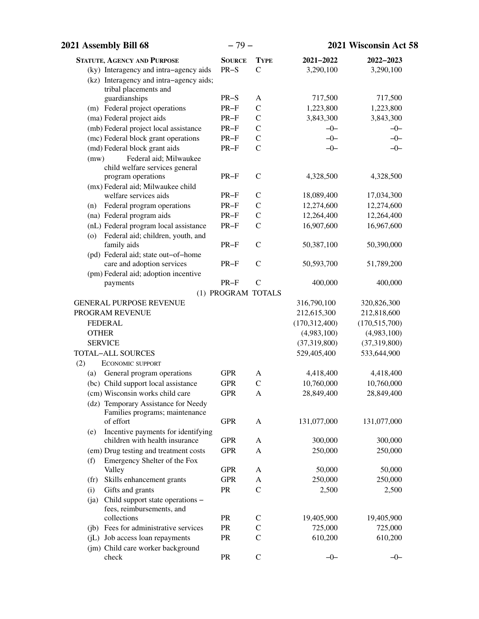| 2021 Assembly Bill 68                                                             | $-79-$             |               |                 | 2021 Wisconsin Act 58 |
|-----------------------------------------------------------------------------------|--------------------|---------------|-----------------|-----------------------|
| <b>STATUTE, AGENCY AND PURPOSE</b>                                                | <b>SOURCE</b>      | <b>TYPE</b>   | 2021-2022       | 2022-2023             |
| (ky) Interagency and intra-agency aids<br>(kz) Interagency and intra-agency aids; | $PR-S$             | $\mathcal{C}$ | 3,290,100       | 3,290,100             |
| tribal placements and                                                             |                    |               |                 |                       |
| guardianships                                                                     | $PR-S$             | A             | 717,500         | 717,500               |
| (m) Federal project operations                                                    | $PR-F$             | $\mathbf C$   | 1,223,800       | 1,223,800             |
| (ma) Federal project aids                                                         | $PR-F$             | $\mathbf C$   | 3,843,300       | 3,843,300             |
| (mb) Federal project local assistance                                             | $PR-F$             | $\mathsf{C}$  | $-0-$           | $-0-$                 |
| (mc) Federal block grant operations                                               | $PR-F$             | $\mathcal{C}$ | $-0-$           | $-0-$                 |
| (md) Federal block grant aids                                                     | $PR-F$             | $\mathcal{C}$ | $-0-$           | $-0-$                 |
| Federal aid; Milwaukee<br>(mw)                                                    |                    |               |                 |                       |
| child welfare services general                                                    |                    |               |                 |                       |
| program operations                                                                | $PR-F$             | $\mathcal{C}$ | 4,328,500       | 4,328,500             |
| (mx) Federal aid; Milwaukee child                                                 |                    |               |                 |                       |
| welfare services aids                                                             | $PR-F$             | $\mathcal{C}$ | 18,089,400      | 17,034,300            |
| (n) Federal program operations                                                    | $PR-F$             | $\mathcal{C}$ | 12,274,600      | 12,274,600            |
| (na) Federal program aids                                                         | $PR-F$             | $\mathbf C$   | 12,264,400      | 12,264,400            |
| (nL) Federal program local assistance<br>(o) Federal aid; children, youth, and    | $PR-F$             | $\mathcal{C}$ | 16,907,600      | 16,967,600            |
| family aids                                                                       | $PR-F$             | $\mathcal{C}$ | 50,387,100      | 50,390,000            |
| (pd) Federal aid; state out-of-home                                               |                    |               |                 |                       |
| care and adoption services                                                        | $PR-F$             | $\mathcal{C}$ | 50,593,700      | 51,789,200            |
| (pm) Federal aid; adoption incentive                                              |                    |               |                 |                       |
| payments                                                                          | $PR-F$             | $\mathcal{C}$ | 400,000         | 400,000               |
|                                                                                   | (1) PROGRAM TOTALS |               |                 |                       |
| <b>GENERAL PURPOSE REVENUE</b>                                                    |                    |               | 316,790,100     | 320,826,300           |
| PROGRAM REVENUE                                                                   |                    |               | 212,615,300     | 212,818,600           |
| <b>FEDERAL</b>                                                                    |                    |               | (170, 312, 400) | (170, 515, 700)       |
| <b>OTHER</b>                                                                      |                    |               | (4,983,100)     | (4,983,100)           |
| <b>SERVICE</b>                                                                    |                    |               | (37,319,800)    | (37,319,800)          |
| TOTAL-ALL SOURCES                                                                 |                    |               | 529,405,400     | 533,644,900           |
| (2)<br><b>ECONOMIC SUPPORT</b>                                                    |                    |               |                 |                       |
| General program operations<br>(a)                                                 | <b>GPR</b>         | A             | 4,418,400       | 4,418,400             |
| (bc) Child support local assistance                                               | <b>GPR</b>         | $\mathcal{C}$ | 10,760,000      | 10,760,000            |
| (cm) Wisconsin works child care                                                   | <b>GPR</b>         | A             | 28,849,400      | 28,849,400            |
| (dz) Temporary Assistance for Needy                                               |                    |               |                 |                       |
| Families programs; maintenance<br>of effort                                       | <b>GPR</b>         | A             | 131,077,000     | 131,077,000           |
| Incentive payments for identifying<br>(e)                                         |                    |               |                 |                       |
| children with health insurance                                                    | <b>GPR</b>         | A             | 300,000         | 300,000               |
| (em) Drug testing and treatment costs                                             | <b>GPR</b>         | A             | 250,000         | 250,000               |
| Emergency Shelter of the Fox<br>(f)                                               |                    |               |                 |                       |
| Valley                                                                            | <b>GPR</b>         | A             | 50,000          | 50,000                |
| Skills enhancement grants<br>(f <sub>r</sub> )                                    | <b>GPR</b>         | A             | 250,000         | 250,000               |
| Gifts and grants<br>(i)                                                           | PR                 | $\mathsf{C}$  | 2,500           | 2,500                 |
| Child support state operations -<br>(ia)                                          |                    |               |                 |                       |
| fees, reimbursements, and                                                         |                    |               |                 |                       |
| collections                                                                       | PR                 | C             | 19,405,900      | 19,405,900            |
| (jb) Fees for administrative services                                             | <b>PR</b>          | $\mathsf{C}$  | 725,000         | 725,000               |
| (jL) Job access loan repayments                                                   | PR                 | $\mathcal{C}$ | 610,200         | 610,200               |
| (jm) Child care worker background                                                 |                    |               |                 |                       |
| check                                                                             | PR                 | $\mathbf C$   | $-0-$           | $-0-$                 |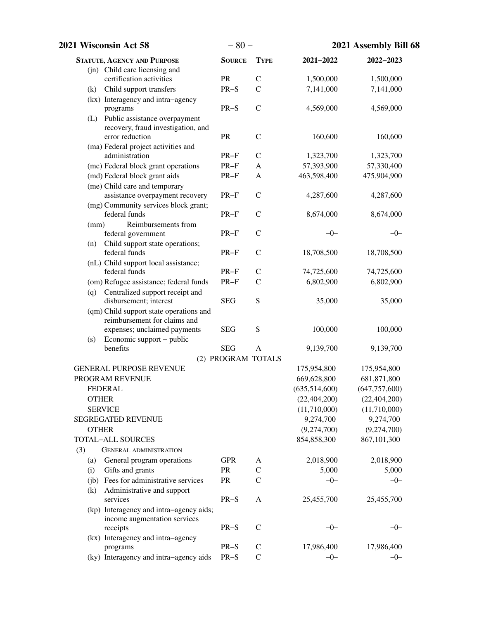| $-80-$<br>2021 Wisconsin Act 58                                         |                    |               | 2021 Assembly Bill 68 |                 |  |
|-------------------------------------------------------------------------|--------------------|---------------|-----------------------|-----------------|--|
| <b>STATUTE, AGENCY AND PURPOSE</b>                                      | <b>SOURCE</b>      | <b>TYPE</b>   | 2021-2022             | 2022-2023       |  |
| (jn) Child care licensing and                                           |                    |               |                       |                 |  |
| certification activities                                                | PR                 | $\mathcal{C}$ | 1,500,000             | 1,500,000       |  |
| Child support transfers<br>(k)                                          | $PR-S$             | $\mathcal{C}$ | 7,141,000             | 7,141,000       |  |
| (kx) Interagency and intra-agency                                       |                    |               |                       |                 |  |
| programs                                                                | $PR-S$             | $\mathcal{C}$ | 4,569,000             | 4,569,000       |  |
| (L) Public assistance overpayment<br>recovery, fraud investigation, and |                    |               |                       |                 |  |
| error reduction                                                         | PR                 | $\mathbf C$   | 160,600               | 160,600         |  |
| (ma) Federal project activities and                                     |                    |               |                       |                 |  |
| administration                                                          | $PR-F$             | $\mathcal{C}$ | 1,323,700             | 1,323,700       |  |
| (mc) Federal block grant operations                                     | $PR-F$             | A             | 57,393,900            | 57,330,400      |  |
| (md) Federal block grant aids                                           | $PR-F$             | A             | 463,598,400           | 475,904,900     |  |
| (me) Child care and temporary                                           |                    |               |                       |                 |  |
| assistance overpayment recovery                                         | $PR-F$             | $\mathcal{C}$ | 4,287,600             | 4,287,600       |  |
| (mg) Community services block grant;                                    |                    |               |                       |                 |  |
| federal funds                                                           | $PR-F$             | $\mathcal{C}$ | 8,674,000             | 8,674,000       |  |
| Reimbursements from<br>(mm)                                             |                    |               |                       |                 |  |
| federal government                                                      | $PR-F$             | $\mathcal{C}$ | $-0-$                 | $-0-$           |  |
| Child support state operations;<br>(n)<br>federal funds                 | $PR-F$             | $\mathcal{C}$ | 18,708,500            | 18,708,500      |  |
| (nL) Child support local assistance;                                    |                    |               |                       |                 |  |
| federal funds                                                           | $PR-F$             | $\mathsf{C}$  | 74,725,600            | 74,725,600      |  |
| (om) Refugee assistance; federal funds                                  | $PR-F$             | $\mathcal{C}$ | 6,802,900             | 6,802,900       |  |
| Centralized support receipt and<br>(q)                                  |                    |               |                       |                 |  |
| disbursement; interest                                                  | <b>SEG</b>         | S             | 35,000                | 35,000          |  |
| (qm) Child support state operations and                                 |                    |               |                       |                 |  |
| reimbursement for claims and                                            |                    |               |                       |                 |  |
| expenses; unclaimed payments                                            | <b>SEG</b>         | ${\bf S}$     | 100,000               | 100,000         |  |
| Economic support – public<br>(s)<br>benefits                            | <b>SEG</b>         | A             |                       |                 |  |
|                                                                         | (2) PROGRAM TOTALS |               | 9,139,700             | 9,139,700       |  |
| <b>GENERAL PURPOSE REVENUE</b>                                          |                    |               | 175,954,800           | 175,954,800     |  |
| PROGRAM REVENUE                                                         |                    |               | 669,628,800           | 681,871,800     |  |
| <b>FEDERAL</b>                                                          |                    |               | (635,514,600)         | (647, 757, 600) |  |
| <b>OTHER</b>                                                            |                    |               | (22, 404, 200)        | (22, 404, 200)  |  |
| <b>SERVICE</b>                                                          |                    |               | (11,710,000)          | (11,710,000)    |  |
| SEGREGATED REVENUE                                                      |                    |               | 9,274,700             | 9,274,700       |  |
| <b>OTHER</b>                                                            |                    |               | (9,274,700)           | (9,274,700)     |  |
| <b>TOTAL-ALL SOURCES</b>                                                |                    |               | 854,858,300           | 867,101,300     |  |
| (3)<br><b>GENERAL ADMINISTRATION</b>                                    |                    |               |                       |                 |  |
| General program operations<br>(a)                                       | <b>GPR</b>         | A             | 2,018,900             | 2,018,900       |  |
| Gifts and grants<br>(i)                                                 | PR                 | $\mathsf{C}$  | 5,000                 | 5,000           |  |
| (jb) Fees for administrative services                                   | PR                 | $\mathcal{C}$ | $-0-$                 | $-0-$           |  |
| Administrative and support<br>(k)                                       |                    |               |                       |                 |  |
| services                                                                | $PR-S$             | A             | 25,455,700            | 25,455,700      |  |
| (kp) Interagency and intra-agency aids;                                 |                    |               |                       |                 |  |
| income augmentation services                                            |                    |               | $-0-$                 | $-0-$           |  |
| receipts                                                                | $PR-S$             | $\mathsf{C}$  |                       |                 |  |
| (kx) Interagency and intra-agency<br>programs                           | $PR-S$             | $\mathsf{C}$  | 17,986,400            | 17,986,400      |  |
| (ky) Interagency and intra-agency aids                                  | $PR-S$             | $\mathcal{C}$ | $-0-$                 | $-0-$           |  |
|                                                                         |                    |               |                       |                 |  |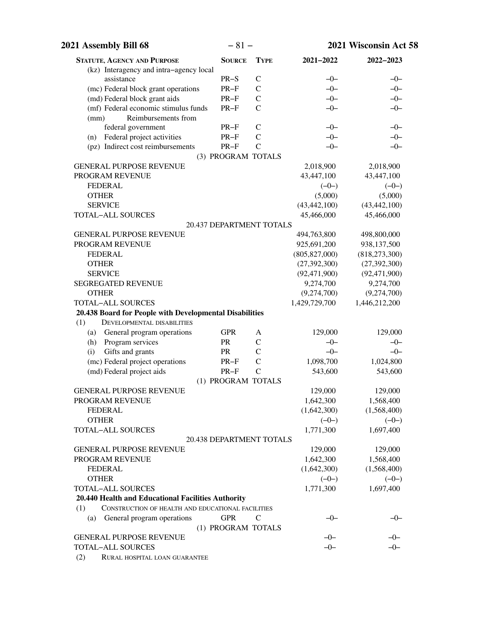| 2021 Assembly Bill 68                                    | $-81-$                       |                                |                 | 2021 Wisconsin Act 58 |
|----------------------------------------------------------|------------------------------|--------------------------------|-----------------|-----------------------|
| <b>STATUTE, AGENCY AND PURPOSE</b>                       | <b>SOURCE</b>                | <b>TYPE</b>                    | 2021-2022       | 2022-2023             |
| (kz) Interagency and intra-agency local                  |                              |                                |                 |                       |
| assistance                                               | $PR-S$                       | $\mathcal{C}$                  | $-0-$           | $-0-$                 |
| (mc) Federal block grant operations                      | $PR-F$                       | $\mathsf{C}$                   | $-0-$           | $-0-$                 |
| (md) Federal block grant aids                            | $PR-F$                       | $\mathcal{C}$                  | $-0-$           | $-0-$                 |
| (mf) Federal economic stimulus funds                     | $PR-F$                       | $\mathcal{C}$                  | $-0-$           | $-0-$                 |
| Reimbursements from<br>(mm)                              |                              |                                |                 |                       |
| federal government                                       | $PR-F$                       | $\mathcal{C}$                  | $-0-$           | $-0-$                 |
| Federal project activities<br>(n)                        | $PR-F$                       | $\mathcal{C}$<br>$\mathcal{C}$ | $-0-$           | $-0-$                 |
| (pz) Indirect cost reimbursements                        | $PR-F$<br>(3) PROGRAM TOTALS |                                | $-0-$           | $-0-$                 |
| <b>GENERAL PURPOSE REVENUE</b>                           |                              |                                | 2,018,900       | 2,018,900             |
| PROGRAM REVENUE                                          |                              |                                | 43,447,100      | 43,447,100            |
| <b>FEDERAL</b>                                           |                              |                                | $(-0-)$         | $(-0-)$               |
| <b>OTHER</b>                                             |                              |                                | (5,000)         | (5,000)               |
| <b>SERVICE</b>                                           |                              |                                | (43, 442, 100)  | (43, 442, 100)        |
| <b>TOTAL-ALL SOURCES</b>                                 |                              |                                | 45,466,000      | 45,466,000            |
|                                                          | 20.437 DEPARTMENT TOTALS     |                                |                 |                       |
| <b>GENERAL PURPOSE REVENUE</b>                           |                              |                                | 494,763,800     | 498,800,000           |
| PROGRAM REVENUE                                          |                              |                                | 925,691,200     | 938,137,500           |
| <b>FEDERAL</b>                                           |                              |                                | (805, 827, 000) | (818, 273, 300)       |
| <b>OTHER</b>                                             |                              |                                | (27, 392, 300)  | (27, 392, 300)        |
| <b>SERVICE</b>                                           |                              |                                | (92, 471, 900)  | (92, 471, 900)        |
| <b>SEGREGATED REVENUE</b>                                |                              |                                | 9,274,700       | 9,274,700             |
| <b>OTHER</b>                                             |                              |                                | (9,274,700)     | (9,274,700)           |
| <b>TOTAL-ALL SOURCES</b>                                 |                              |                                | 1,429,729,700   | 1,446,212,200         |
| 20.438 Board for People with Developmental Disabilities  |                              |                                |                 |                       |
| (1)<br><b>DEVELOPMENTAL DISABILITIES</b>                 |                              |                                |                 |                       |
| General program operations<br>(a)                        | <b>GPR</b>                   | A                              | 129,000         | 129,000               |
| Program services<br>(h)                                  | PR                           | $\mathsf{C}$                   | $-0-$           | $-0-$                 |
| Gifts and grants<br>(i)                                  | PR                           | $\mathcal{C}$                  | $-0-$           | $-0-$                 |
| (mc) Federal project operations                          | $PR-F$                       | $\mathcal{C}$                  | 1,098,700       | 1,024,800             |
| (md) Federal project aids                                | $PR-F$                       | $\mathcal{C}$                  | 543,600         | 543,600               |
|                                                          | (1) PROGRAM TOTALS           |                                |                 |                       |
| <b>GENERAL PURPOSE REVENUE</b>                           |                              |                                | 129,000         | 129,000               |
| PROGRAM REVENUE                                          |                              |                                | 1,642,300       | 1,568,400             |
| <b>FEDERAL</b>                                           |                              |                                | (1,642,300)     | (1,568,400)           |
| <b>OTHER</b>                                             |                              |                                | $(-0-)$         | $(-0-)$               |
| TOTAL-ALL SOURCES                                        |                              |                                | 1,771,300       | 1,697,400             |
| GENERAL PURPOSE REVENUE                                  | 20.438 DEPARTMENT TOTALS     |                                | 129,000         | 129,000               |
| PROGRAM REVENUE                                          |                              |                                | 1,642,300       | 1,568,400             |
| <b>FEDERAL</b>                                           |                              |                                | (1,642,300)     | (1,568,400)           |
| <b>OTHER</b>                                             |                              |                                | $(-0-)$         | $(-0-)$               |
| <b>TOTAL-ALL SOURCES</b>                                 |                              |                                | 1,771,300       | 1,697,400             |
| 20.440 Health and Educational Facilities Authority       |                              |                                |                 |                       |
| CONSTRUCTION OF HEALTH AND EDUCATIONAL FACILITIES<br>(1) |                              |                                |                 |                       |
| (a) General program operations                           | <b>GPR</b>                   | $\mathcal{C}$                  | $-0-$           | $-0-$                 |
|                                                          | (1) PROGRAM TOTALS           |                                |                 |                       |
| <b>GENERAL PURPOSE REVENUE</b>                           |                              |                                | $-0-$           | $-0-$                 |
| <b>TOTAL-ALL SOURCES</b>                                 |                              |                                | $-0-$           | $-0-$                 |
| (2)<br>RURAL HOSPITAL LOAN GUARANTEE                     |                              |                                |                 |                       |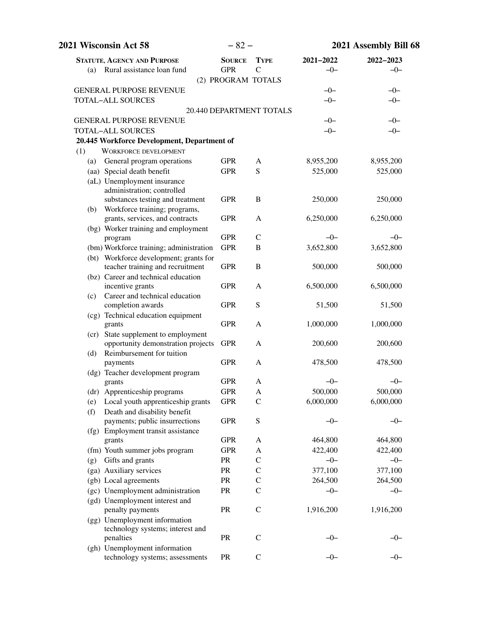| 2021 Wisconsin Act 58                                                | $-82-$        |                          |               | 2021 Assembly Bill 68 |
|----------------------------------------------------------------------|---------------|--------------------------|---------------|-----------------------|
| <b>STATUTE, AGENCY AND PURPOSE</b>                                   | <b>SOURCE</b> | <b>TYPE</b>              | $2021 - 2022$ | 2022-2023             |
| Rural assistance loan fund<br>(a)                                    | <b>GPR</b>    | $\mathcal{C}$            | $-0-$         | $-0-$                 |
|                                                                      |               | (2) PROGRAM TOTALS       |               |                       |
| <b>GENERAL PURPOSE REVENUE</b>                                       |               |                          | $-0-$         | $-0-$                 |
| <b>TOTAL-ALL SOURCES</b>                                             |               |                          | $-0-$         | $-0-$                 |
|                                                                      |               | 20.440 DEPARTMENT TOTALS |               |                       |
| <b>GENERAL PURPOSE REVENUE</b>                                       |               |                          | $-0-$         | $-0-$                 |
| <b>TOTAL-ALL SOURCES</b>                                             |               |                          | $-0-$         | $-0-$                 |
| 20.445 Workforce Development, Department of                          |               |                          |               |                       |
| <b>WORKFORCE DEVELOPMENT</b><br>(1)                                  |               |                          |               |                       |
| General program operations<br>(a)                                    | <b>GPR</b>    | A                        | 8,955,200     | 8,955,200             |
| (aa) Special death benefit                                           | <b>GPR</b>    | S                        | 525,000       | 525,000               |
| (aL) Unemployment insurance<br>administration; controlled            |               |                          |               |                       |
| substances testing and treatment                                     | <b>GPR</b>    | B                        | 250,000       | 250,000               |
| (b) Workforce training; programs,<br>grants, services, and contracts | <b>GPR</b>    | A                        | 6,250,000     | 6,250,000             |
| (bg) Worker training and employment                                  |               |                          |               |                       |
| program                                                              | <b>GPR</b>    | $\mathsf{C}$             | $-0-$         | $-0-$                 |
| (bm) Workforce training; administration                              | <b>GPR</b>    | B                        | 3,652,800     | 3,652,800             |
| (bt) Workforce development; grants for                               |               |                          |               |                       |
| teacher training and recruitment                                     | <b>GPR</b>    | $\, {\bf B}$             | 500,000       | 500,000               |
| (bz) Career and technical education                                  |               |                          |               |                       |
| incentive grants                                                     | <b>GPR</b>    | A                        | 6,500,000     | 6,500,000             |
| Career and technical education<br>(c)                                |               |                          |               |                       |
| completion awards                                                    | <b>GPR</b>    | S                        | 51,500        | 51,500                |
| (cg) Technical education equipment<br>grants                         | <b>GPR</b>    | A                        | 1,000,000     | 1,000,000             |
| (cr) State supplement to employment                                  |               |                          |               |                       |
| opportunity demonstration projects                                   | <b>GPR</b>    | A                        | 200,600       | 200,600               |
| Reimbursement for tuition<br>(d)                                     |               |                          |               |                       |
| payments                                                             | <b>GPR</b>    | A                        | 478,500       | 478,500               |
| (dg) Teacher development program                                     |               |                          |               |                       |
| grants                                                               | <b>GPR</b>    | A                        | $-0-$         | $-0-$                 |
| (dr) Apprenticeship programs                                         | <b>GPR</b>    | A                        | 500,000       | 500,000               |
| (e) Local youth apprenticeship grants                                | <b>GPR</b>    | $\mathcal{C}$            | 6,000,000     | 6,000,000             |
| Death and disability benefit<br>(f)                                  |               |                          |               |                       |
| payments; public insurrections                                       | <b>GPR</b>    | ${\bf S}$                | $-0-$         | $-0-$                 |
| (fg) Employment transit assistance                                   | <b>GPR</b>    | A                        | 464,800       | 464,800               |
| grants<br>(fm) Youth summer jobs program                             | <b>GPR</b>    | A                        | 422,400       | 422,400               |
| Gifts and grants<br>(g)                                              | PR            | $\mathbf C$              | $-0-$         | $-0-$                 |
| (ga) Auxiliary services                                              | PR            | $\mathcal{C}$            | 377,100       | 377,100               |
| (gb) Local agreements                                                | PR            | $\mathsf{C}$             | 264,500       | 264,500               |
| (gc) Unemployment administration                                     | PR            | $\mathsf{C}$             | $-0-$         | $-0-$                 |
| (gd) Unemployment interest and                                       |               |                          |               |                       |
| penalty payments                                                     | PR            | $\mathcal{C}$            | 1,916,200     | 1,916,200             |
| (gg) Unemployment information                                        |               |                          |               |                       |
| technology systems; interest and                                     |               |                          |               |                       |
| penalties                                                            | <b>PR</b>     | $\mathbf C$              | —()—          | –0–                   |
| (gh) Unemployment information                                        |               |                          |               |                       |
| technology systems; assessments                                      | PR            | $\mathbf C$              | $-0-$         | $-0-$                 |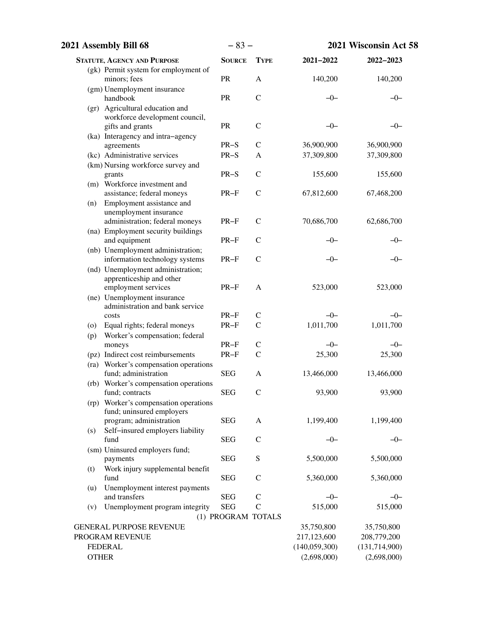| 2021 Assembly Bill 68                                             | $-83-$             |               | 2021 Wisconsin Act 58 |                 |  |
|-------------------------------------------------------------------|--------------------|---------------|-----------------------|-----------------|--|
| <b>STATUTE, AGENCY AND PURPOSE</b>                                | <b>SOURCE</b>      | <b>TYPE</b>   | 2021-2022             | 2022-2023       |  |
| (gk) Permit system for employment of                              |                    |               |                       |                 |  |
| minors; fees                                                      | PR                 | A             | 140,200               | 140,200         |  |
| (gm) Unemployment insurance<br>handbook                           | PR                 | $\mathcal{C}$ | $-0-$                 | $-0-$           |  |
| (gr) Agricultural education and<br>workforce development council, |                    |               |                       |                 |  |
| gifts and grants                                                  | PR                 | $\mathcal{C}$ | $-0-$                 | –0–             |  |
| (ka) Interagency and intra-agency<br>agreements                   | $PR-S$             | $\mathcal{C}$ | 36,900,900            | 36,900,900      |  |
| (kc) Administrative services                                      | $PR-S$             | A             | 37,309,800            | 37,309,800      |  |
| (km) Nursing workforce survey and                                 |                    |               |                       |                 |  |
| grants                                                            | $PR-S$             | $\mathcal{C}$ | 155,600               | 155,600         |  |
| (m) Workforce investment and<br>assistance; federal moneys        | $PR-F$             | $\mathcal{C}$ | 67,812,600            | 67,468,200      |  |
| Employment assistance and<br>(n)                                  |                    |               |                       |                 |  |
| unemployment insurance                                            |                    |               |                       |                 |  |
| administration; federal moneys                                    | $PR-F$             | $\mathcal{C}$ | 70,686,700            | 62,686,700      |  |
| (na) Employment security buildings                                | $PR-F$             | $\mathcal{C}$ | —()—                  |                 |  |
| and equipment<br>(nb) Unemployment administration;                |                    |               |                       | –0–             |  |
| information technology systems                                    | $PR-F$             | $\mathsf{C}$  | $-0-$                 | -0-             |  |
| (nd) Unemployment administration;                                 |                    |               |                       |                 |  |
| apprenticeship and other                                          |                    |               |                       |                 |  |
| employment services                                               | $PR-F$             | A             | 523,000               | 523,000         |  |
| (ne) Unemployment insurance                                       |                    |               |                       |                 |  |
| administration and bank service                                   |                    |               |                       |                 |  |
| costs                                                             | $PR-F$             | $\mathsf{C}$  | $-0-$                 | $-0-$           |  |
| Equal rights; federal moneys<br>(0)                               | $PR-F$             | $\mathsf{C}$  | 1,011,700             | 1,011,700       |  |
| Worker's compensation; federal<br>(p)                             |                    |               |                       |                 |  |
| moneys                                                            | $PR-F$             | $\mathsf{C}$  | $-0-$                 | $-0-$           |  |
| (pz) Indirect cost reimbursements                                 | $PR-F$             | $\mathcal{C}$ | 25,300                | 25,300          |  |
| (ra) Worker's compensation operations                             |                    |               |                       |                 |  |
| fund; administration                                              | <b>SEG</b>         | A             | 13,466,000            | 13,466,000      |  |
| (rb) Worker's compensation operations                             |                    |               |                       |                 |  |
| fund; contracts                                                   | <b>SEG</b>         | $\mathsf{C}$  | 93,900                | 93,900          |  |
| (rp) Worker's compensation operations                             |                    |               |                       |                 |  |
| fund; uninsured employers                                         |                    |               |                       |                 |  |
| program; administration                                           | <b>SEG</b>         | A             | 1,199,400             | 1,199,400       |  |
| Self-insured employers liability<br>(s)                           |                    |               |                       |                 |  |
| fund                                                              | <b>SEG</b>         | $\mathcal{C}$ | $-0-$                 | $-0-$           |  |
| (sm) Uninsured employers fund;                                    |                    |               |                       |                 |  |
| payments                                                          | <b>SEG</b>         | ${\bf S}$     | 5,500,000             | 5,500,000       |  |
| Work injury supplemental benefit<br>(t)<br>fund                   | <b>SEG</b>         | $\mathsf C$   | 5,360,000             | 5,360,000       |  |
| Unemployment interest payments<br>(u)<br>and transfers            | <b>SEG</b>         | $\mathcal{C}$ | $-0-$                 | $-0-$           |  |
| Unemployment program integrity<br>(v)                             | <b>SEG</b>         | $\mathcal{C}$ | 515,000               | 515,000         |  |
|                                                                   | (1) PROGRAM TOTALS |               |                       |                 |  |
| <b>GENERAL PURPOSE REVENUE</b>                                    |                    |               | 35,750,800            | 35,750,800      |  |
| PROGRAM REVENUE                                                   |                    |               | 217,123,600           | 208,779,200     |  |
| <b>FEDERAL</b>                                                    |                    |               | (140, 059, 300)       | (131, 714, 900) |  |
| <b>OTHER</b>                                                      |                    |               | (2,698,000)           | (2,698,000)     |  |
|                                                                   |                    |               |                       |                 |  |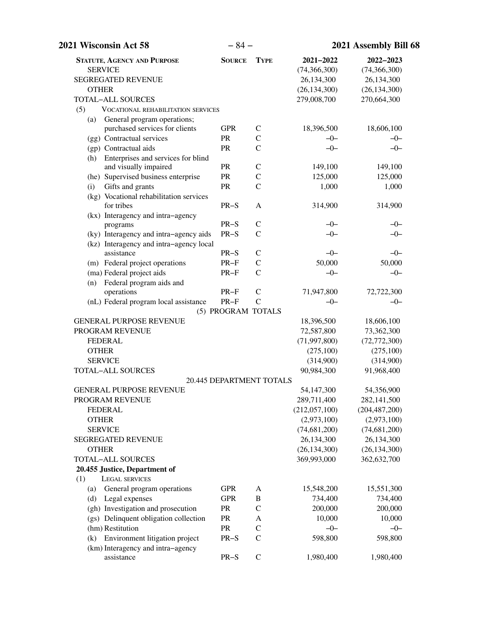| 2021 Wisconsin Act 58                         | $-84-$                   |               |                | 2021 Assembly Bill 68 |  |  |
|-----------------------------------------------|--------------------------|---------------|----------------|-----------------------|--|--|
| <b>STATUTE, AGENCY AND PURPOSE</b>            | <b>SOURCE</b>            | <b>TYPE</b>   | 2021-2022      | 2022-2023             |  |  |
| <b>SERVICE</b>                                |                          |               | (74, 366, 300) | (74, 366, 300)        |  |  |
| <b>SEGREGATED REVENUE</b>                     |                          |               | 26,134,300     | 26,134,300            |  |  |
| <b>OTHER</b>                                  |                          |               | (26, 134, 300) | (26, 134, 300)        |  |  |
| <b>TOTAL-ALL SOURCES</b>                      |                          |               | 279,008,700    | 270,664,300           |  |  |
| (5)<br>VOCATIONAL REHABILITATION SERVICES     |                          |               |                |                       |  |  |
| General program operations;<br>(a)            |                          |               |                |                       |  |  |
| purchased services for clients                | <b>GPR</b>               | $\mathbf C$   | 18,396,500     | 18,606,100            |  |  |
| (gg) Contractual services                     | <b>PR</b>                | $\mathcal{C}$ | $-0-$          | $-0-$                 |  |  |
| (gp) Contractual aids                         | PR                       | $\mathcal{C}$ | $-0-$          | $-0-$                 |  |  |
| Enterprises and services for blind<br>(h)     |                          |               |                |                       |  |  |
| and visually impaired                         | PR                       | $\mathcal{C}$ | 149,100        | 149,100               |  |  |
| (he) Supervised business enterprise           | PR                       | $\mathsf{C}$  | 125,000        | 125,000               |  |  |
| Gifts and grants<br>(i)                       | PR                       | $\mathcal{C}$ | 1,000          | 1,000                 |  |  |
| (kg) Vocational rehabilitation services       |                          |               |                |                       |  |  |
| for tribes                                    | $PR-S$                   | A             | 314,900        | 314,900               |  |  |
| (kx) Interagency and intra-agency             |                          |               |                |                       |  |  |
| programs                                      | $PR-S$                   | $\mathsf{C}$  | $-0-$          | $-0-$                 |  |  |
| (ky) Interagency and intra-agency aids        | $PR-S$                   | $\mathcal{C}$ | $-0-$          | $-0-$                 |  |  |
| (kz) Interagency and intra-agency local       |                          |               |                |                       |  |  |
| assistance                                    | $PR-S$                   | $\mathcal{C}$ | $-0-$          | $-0-$                 |  |  |
| (m) Federal project operations                | $PR-F$                   | $\mathcal{C}$ | 50,000         | 50,000                |  |  |
| (ma) Federal project aids                     | $PR-F$                   | $\mathcal{C}$ | $-0-$          | $-0-$                 |  |  |
| Federal program aids and<br>(n)<br>operations | $PR-F$                   | $\mathcal{C}$ | 71,947,800     | 72,722,300            |  |  |
| (nL) Federal program local assistance         | $PR-F$                   | $\mathcal{C}$ | $-0-$          | $-0-$                 |  |  |
|                                               | (5) PROGRAM TOTALS       |               |                |                       |  |  |
| <b>GENERAL PURPOSE REVENUE</b>                |                          |               | 18,396,500     | 18,606,100            |  |  |
| PROGRAM REVENUE                               |                          |               | 72,587,800     | 73,362,300            |  |  |
| <b>FEDERAL</b>                                |                          |               | (71, 997, 800) | (72, 772, 300)        |  |  |
| <b>OTHER</b>                                  |                          |               | (275,100)      | (275,100)             |  |  |
| <b>SERVICE</b>                                |                          |               | (314,900)      | (314,900)             |  |  |
| <b>TOTAL-ALL SOURCES</b>                      |                          |               | 90,984,300     | 91,968,400            |  |  |
|                                               | 20.445 DEPARTMENT TOTALS |               |                |                       |  |  |
| <b>GENERAL PURPOSE REVENUE</b>                |                          |               | 54,147,300     | 54,356,900            |  |  |
| PROGRAM REVENUE                               |                          |               | 289,711,400    | 282,141,500           |  |  |
| <b>FEDERAL</b>                                |                          |               | (212,057,100)  | (204, 487, 200)       |  |  |
| <b>OTHER</b>                                  |                          |               | (2,973,100)    | (2,973,100)           |  |  |
| <b>SERVICE</b>                                |                          |               | (74, 681, 200) | (74, 681, 200)        |  |  |
| SEGREGATED REVENUE                            |                          |               | 26,134,300     | 26,134,300            |  |  |
| <b>OTHER</b>                                  |                          |               | (26, 134, 300) | (26, 134, 300)        |  |  |
| <b>TOTAL-ALL SOURCES</b>                      |                          |               | 369,993,000    | 362,632,700           |  |  |
| 20.455 Justice, Department of                 |                          |               |                |                       |  |  |
| (1)<br>LEGAL SERVICES                         |                          |               |                |                       |  |  |
| General program operations<br>(a)             | <b>GPR</b>               | A             | 15,548,200     | 15,551,300            |  |  |
| Legal expenses<br>(d)                         | <b>GPR</b>               | $\, {\bf B}$  | 734,400        | 734,400               |  |  |
| (gh) Investigation and prosecution            | PR                       | $\mathcal{C}$ | 200,000        | 200,000               |  |  |
| (gs) Delinquent obligation collection         | <b>PR</b>                | $\mathbf{A}$  | 10,000         | 10,000                |  |  |
| (hm) Restitution                              | PR                       | $\mathbf C$   | $-0-$          | $-0-$                 |  |  |
| Environment litigation project<br>(k)         | $PR-S$                   | $\mathcal{C}$ | 598,800        | 598,800               |  |  |
| (km) Interagency and intra-agency             |                          |               |                |                       |  |  |
| assistance                                    | $PR-S$                   | $\mathbf C$   | 1,980,400      | 1,980,400             |  |  |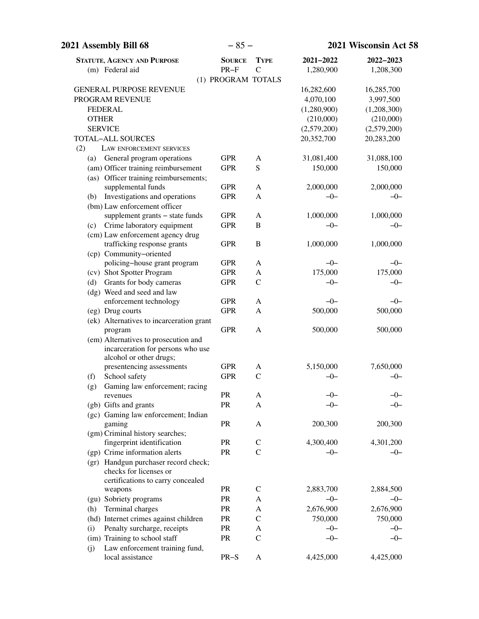| 2021 Assembly Bill 68                                     | $-85-$        |                    | 2021 Wisconsin Act 58 |             |
|-----------------------------------------------------------|---------------|--------------------|-----------------------|-------------|
| <b>STATUTE, AGENCY AND PURPOSE</b>                        | <b>SOURCE</b> | <b>TYPE</b>        | 2021-2022             | 2022-2023   |
| (m) Federal aid                                           | $PR-F$        | $\mathcal{C}$      | 1,280,900             | 1,208,300   |
|                                                           |               | (1) PROGRAM TOTALS |                       |             |
| <b>GENERAL PURPOSE REVENUE</b>                            |               |                    | 16,282,600            | 16,285,700  |
| PROGRAM REVENUE                                           |               |                    | 4,070,100             | 3,997,500   |
| <b>FEDERAL</b>                                            |               |                    | (1,280,900)           | (1,208,300) |
| <b>OTHER</b>                                              |               |                    | (210,000)             | (210,000)   |
| <b>SERVICE</b>                                            |               |                    | (2,579,200)           | (2,579,200) |
| <b>TOTAL-ALL SOURCES</b>                                  |               |                    | 20,352,700            | 20,283,200  |
| (2)<br>LAW ENFORCEMENT SERVICES                           |               |                    |                       |             |
| General program operations<br>(a)                         | <b>GPR</b>    | A                  | 31,081,400            | 31,088,100  |
| (am) Officer training reimbursement                       | <b>GPR</b>    | ${\bf S}$          | 150,000               | 150,000     |
| (as) Officer training reimbursements;                     |               |                    |                       |             |
| supplemental funds                                        | <b>GPR</b>    | A                  | 2,000,000             | 2,000,000   |
| Investigations and operations<br>(b)                      | <b>GPR</b>    | A                  | $-0-$                 | $-0-$       |
| (bm) Law enforcement officer                              |               |                    |                       |             |
| supplement grants - state funds                           | <b>GPR</b>    | A                  | 1,000,000             | 1,000,000   |
| Crime laboratory equipment<br>(c)                         | <b>GPR</b>    | $\, {\bf B}$       | $-0-$                 | $-0-$       |
| (cm) Law enforcement agency drug                          |               |                    |                       |             |
| trafficking response grants                               | <b>GPR</b>    | $\, {\bf B}$       | 1,000,000             | 1,000,000   |
| (cp) Community-oriented                                   |               |                    |                       |             |
| policing-house grant program                              | <b>GPR</b>    | A                  | $-0-$                 | $-0-$       |
| (cv) Shot Spotter Program                                 | <b>GPR</b>    | A                  | 175,000               | 175,000     |
| Grants for body cameras<br>(d)                            | <b>GPR</b>    | $\mathcal{C}$      | $-0-$                 | $-0-$       |
| (dg) Weed and seed and law                                | <b>GPR</b>    |                    | $-0-$                 |             |
| enforcement technology                                    |               | A                  |                       | $-0-$       |
| (eg) Drug courts                                          | <b>GPR</b>    | A                  | 500,000               | 500,000     |
| (ek) Alternatives to incarceration grant<br>program       | <b>GPR</b>    | A                  | 500,000               | 500,000     |
| (em) Alternatives to prosecution and                      |               |                    |                       |             |
| incarceration for persons who use                         |               |                    |                       |             |
| alcohol or other drugs;                                   |               |                    |                       |             |
| presentencing assessments                                 | <b>GPR</b>    | A                  | 5,150,000             | 7,650,000   |
| School safety<br>(f)                                      | <b>GPR</b>    | $\mathcal{C}$      | $-0-$                 | $-0-$       |
| Gaming law enforcement; racing<br>(g)                     |               |                    |                       |             |
| revenues                                                  | PR            | A                  | -0-                   | -0-         |
| (gb) Gifts and grants                                     | PR            | A                  | -0-                   | -0-         |
| (gc) Gaming law enforcement; Indian                       |               |                    |                       |             |
| gaming                                                    | PR            | A                  | 200,300               | 200,300     |
| (gm) Criminal history searches;                           |               |                    |                       |             |
| fingerprint identification                                | PR            | $\mathsf{C}$       | 4,300,400             | 4,301,200   |
| (gp) Crime information alerts                             | PR            | $\mathbf C$        | $-0-$                 | $-0-$       |
| (gr) Handgun purchaser record check;                      |               |                    |                       |             |
| checks for licenses or                                    |               |                    |                       |             |
| certifications to carry concealed                         |               |                    |                       |             |
| weapons                                                   | PR            | $\mathsf{C}$       | 2,883,700             | 2,884,500   |
| (gu) Sobriety programs                                    | PR            | A                  | $-0-$                 | $-0-$       |
| Terminal charges<br>(h)                                   | PR            | A                  | 2,676,900             | 2,676,900   |
| (hd) Internet crimes against children                     | PR            | $\mathsf{C}$       | 750,000               | 750,000     |
| Penalty surcharge, receipts<br>(i)                        | <b>PR</b>     | A                  | $-0-$                 | $-0-$       |
| (im) Training to school staff                             | PR            | $\mathsf{C}$       | $-0-$                 | $-0-$       |
| Law enforcement training fund,<br>(j)<br>local assistance | $PR-S$        | A                  | 4,425,000             | 4,425,000   |
|                                                           |               |                    |                       |             |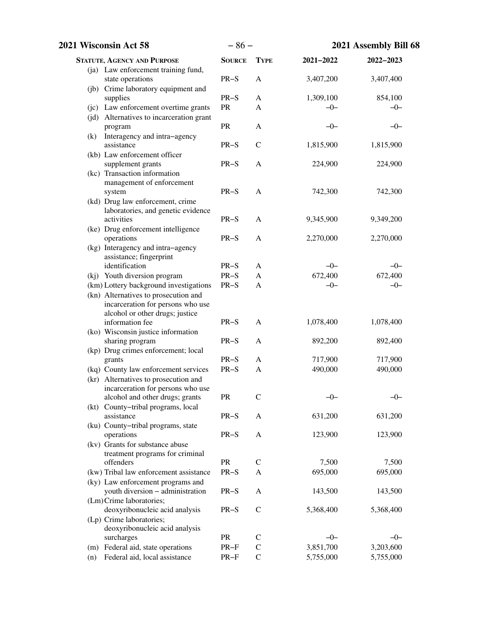| 2021 Wisconsin Act 58                                        | $-86-$        |               | 2021 Assembly Bill 68 |                  |
|--------------------------------------------------------------|---------------|---------------|-----------------------|------------------|
| <b>STATUTE, AGENCY AND PURPOSE</b>                           | <b>SOURCE</b> | <b>TYPE</b>   | 2021-2022             | 2022-2023        |
| (ja) Law enforcement training fund,<br>state operations      | $PR-S$        | A             | 3,407,200             | 3,407,400        |
| (jb) Crime laboratory equipment and                          |               |               |                       |                  |
| supplies<br>(jc) Law enforcement overtime grants             | $PR-S$<br>PR  | A<br>A        | 1,309,100<br>$-0-$    | 854,100<br>$-0-$ |
| (jd) Alternatives to incarceration grant                     |               |               |                       |                  |
| program                                                      | PR            | A             | $-0-$                 | $-0-$            |
| Interagency and intra-agency<br>(k)                          |               |               |                       |                  |
| assistance                                                   | $PR-S$        | $\mathcal{C}$ | 1,815,900             | 1,815,900        |
| (kb) Law enforcement officer                                 |               |               |                       |                  |
| supplement grants                                            | $PR-S$        | A             | 224,900               | 224,900          |
| (kc) Transaction information<br>management of enforcement    |               |               |                       |                  |
| system                                                       | $PR-S$        | A             | 742,300               | 742,300          |
| (kd) Drug law enforcement, crime                             |               |               |                       |                  |
| laboratories, and genetic evidence                           |               |               |                       |                  |
| activities                                                   | $PR-S$        | $\mathbf{A}$  | 9,345,900             | 9,349,200        |
| (ke) Drug enforcement intelligence                           |               |               |                       |                  |
| operations                                                   | $PR-S$        | A             | 2,270,000             | 2,270,000        |
| (kg) Interagency and intra-agency<br>assistance; fingerprint |               |               |                       |                  |
| identification                                               | $PR-S$        | A             | $-0-$                 | $-0-$            |
| (kj) Youth diversion program                                 | $PR-S$        | $\mathbf{A}$  | 672,400               | 672,400          |
| (km) Lottery background investigations                       | $PR-S$        | A             | $-0-$                 | $-0-$            |
| (kn) Alternatives to prosecution and                         |               |               |                       |                  |
| incarceration for persons who use                            |               |               |                       |                  |
| alcohol or other drugs; justice                              |               |               |                       |                  |
| information fee                                              | $PR-S$        | A             | 1,078,400             | 1,078,400        |
| (ko) Wisconsin justice information<br>sharing program        | $PR-S$        | A             | 892,200               | 892,400          |
| (kp) Drug crimes enforcement; local                          |               |               |                       |                  |
| grants                                                       | $PR-S$        | A             | 717,900               | 717,900          |
| (kq) County law enforcement services                         | $PR-S$        | A             | 490,000               | 490,000          |
| (kr) Alternatives to prosecution and                         |               |               |                       |                  |
| incarceration for persons who use                            |               |               |                       |                  |
| alcohol and other drugs; grants                              | <b>PR</b>     | $\mathcal{C}$ | $-0-$                 | $-0-$            |
| (kt) County-tribal programs, local<br>assistance             | $PR-S$        |               |                       |                  |
| (ku) County-tribal programs, state                           |               | A             | 631,200               | 631,200          |
| operations                                                   | $PR-S$        | A             | 123,900               | 123,900          |
| (kv) Grants for substance abuse                              |               |               |                       |                  |
| treatment programs for criminal                              |               |               |                       |                  |
| offenders                                                    | <b>PR</b>     | $\mathsf{C}$  | 7,500                 | 7,500            |
| (kw) Tribal law enforcement assistance                       | $PR-S$        | A             | 695,000               | 695,000          |
| (ky) Law enforcement programs and                            |               |               |                       |                  |
| youth diversion - administration<br>(Lm)Crime laboratories;  | $PR-S$        | A             | 143,500               | 143,500          |
| deoxyribonucleic acid analysis                               | $PR-S$        | $\mathsf{C}$  | 5,368,400             | 5,368,400        |
| (Lp) Crime laboratories;                                     |               |               |                       |                  |
| deoxyribonucleic acid analysis                               |               |               |                       |                  |
| surcharges                                                   | PR            | $\mathsf{C}$  | $-0-$                 | $-0-$            |
| (m) Federal aid, state operations                            | $PR-F$        | $\mathcal{C}$ | 3,851,700             | 3,203,600        |
| Federal aid, local assistance<br>(n)                         | $PR-F$        | $\mathsf C$   | 5,755,000             | 5,755,000        |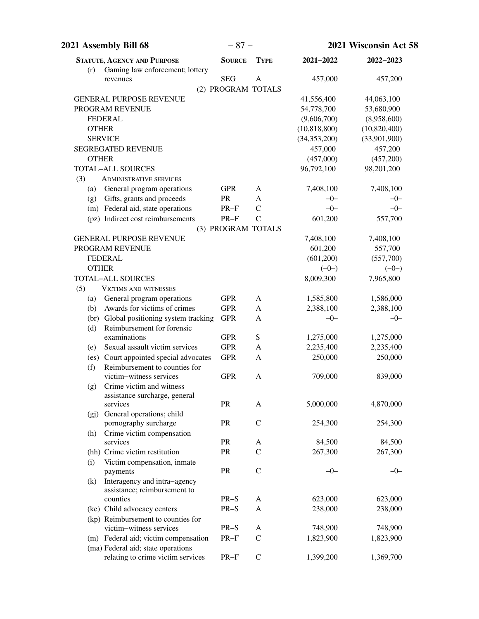| 2021 Assembly Bill 68                                           | $-87-$        |                    | 2021 Wisconsin Act 58     |              |
|-----------------------------------------------------------------|---------------|--------------------|---------------------------|--------------|
| <b>STATUTE, AGENCY AND PURPOSE</b>                              | <b>SOURCE</b> | <b>TYPE</b>        | 2021-2022                 | 2022-2023    |
| Gaming law enforcement; lottery<br>(r)                          |               |                    |                           |              |
| revenues                                                        | <b>SEG</b>    | $\mathbf{A}$       | 457,000                   | 457,200      |
|                                                                 |               | (2) PROGRAM TOTALS |                           |              |
| <b>GENERAL PURPOSE REVENUE</b>                                  |               |                    | 41,556,400                | 44,063,100   |
| PROGRAM REVENUE                                                 |               |                    | 54,778,700                | 53,680,900   |
| <b>FEDERAL</b>                                                  |               |                    | (9,606,700)               | (8,958,600)  |
| <b>OTHER</b>                                                    |               |                    | (10, 818, 800)            | (10,820,400) |
| <b>SERVICE</b>                                                  |               |                    | (34, 353, 200)<br>457,000 | (33,901,900) |
| <b>SEGREGATED REVENUE</b><br><b>OTHER</b>                       |               |                    |                           | 457,200      |
| <b>TOTAL-ALL SOURCES</b>                                        |               |                    | (457,000)                 | (457,200)    |
|                                                                 |               |                    | 96,792,100                | 98,201,200   |
| (3)<br><b>ADMINISTRATIVE SERVICES</b>                           |               |                    |                           |              |
| General program operations<br>(a)                               | <b>GPR</b>    | A                  | 7,408,100                 | 7,408,100    |
| Gifts, grants and proceeds<br>(g)                               | PR            | A                  | $-0-$                     | $-0-$        |
| (m) Federal aid, state operations                               | $PR-F$        | $\mathcal{C}$      | $-0-$                     | $-0-$        |
| (pz) Indirect cost reimbursements                               | $PR-F$        | $\mathcal{C}$      | 601,200                   | 557,700      |
|                                                                 |               | (3) PROGRAM TOTALS |                           |              |
| <b>GENERAL PURPOSE REVENUE</b>                                  |               |                    | 7,408,100                 | 7,408,100    |
| PROGRAM REVENUE                                                 |               |                    | 601,200                   | 557,700      |
| <b>FEDERAL</b>                                                  |               |                    | (601, 200)                | (557,700)    |
| <b>OTHER</b>                                                    |               |                    | $(-0-)$                   | $(-0-)$      |
| <b>TOTAL-ALL SOURCES</b>                                        |               |                    | 8,009,300                 | 7,965,800    |
| (5)<br><b>VICTIMS AND WITNESSES</b>                             |               |                    |                           |              |
| General program operations<br>(a)                               | <b>GPR</b>    | A                  | 1,585,800                 | 1,586,000    |
| Awards for victims of crimes<br>(b)                             | <b>GPR</b>    | A                  | 2,388,100                 | 2,388,100    |
| (br) Global positioning system tracking                         | <b>GPR</b>    | A                  | $-0-$                     | $-0-$        |
| Reimbursement for forensic<br>(d)                               |               |                    |                           |              |
| examinations                                                    | <b>GPR</b>    | S                  | 1,275,000                 | 1,275,000    |
| Sexual assault victim services<br>(e)                           | <b>GPR</b>    | A                  | 2,235,400                 | 2,235,400    |
| (es) Court appointed special advocates                          | <b>GPR</b>    | A                  | 250,000                   | 250,000      |
| Reimbursement to counties for<br>(f)<br>victim-witness services | <b>GPR</b>    | A                  | 709,000                   | 839,000      |
| Crime victim and witness                                        |               |                    |                           |              |
| (g)<br>assistance surcharge, general                            |               |                    |                           |              |
| services                                                        | <b>PR</b>     | A                  | 5,000,000                 | 4,870,000    |
| (gj) General operations; child                                  |               |                    |                           |              |
| pornography surcharge                                           | PR            | $\mathsf C$        | 254,300                   | 254,300      |
| Crime victim compensation<br>(h)                                |               |                    |                           |              |
| services                                                        | PR            | A                  | 84,500                    | 84,500       |
| (hh) Crime victim restitution                                   | PR            | $\mathbf C$        | 267,300                   | 267,300      |
| Victim compensation, inmate<br>(i)                              |               |                    |                           |              |
| payments                                                        | <b>PR</b>     | $\mathcal{C}$      | $-0-$                     | $-0-$        |
| Interagency and intra-agency<br>(k)                             |               |                    |                           |              |
| assistance; reimbursement to                                    |               |                    |                           |              |
| counties                                                        | $PR-S$        | A                  | 623,000                   | 623,000      |
| (ke) Child advocacy centers                                     | $PR-S$        | A                  | 238,000                   | 238,000      |
| (kp) Reimbursement to counties for                              |               |                    |                           |              |
| victim-witness services                                         | $PR-S$        | A                  | 748,900                   | 748,900      |
| (m) Federal aid; victim compensation                            | $PR-F$        | $\mathcal{C}$      | 1,823,900                 | 1,823,900    |
| (ma) Federal aid; state operations                              |               |                    |                           |              |
| relating to crime victim services                               | $PR-F$        | $\mathcal{C}$      | 1,399,200                 | 1,369,700    |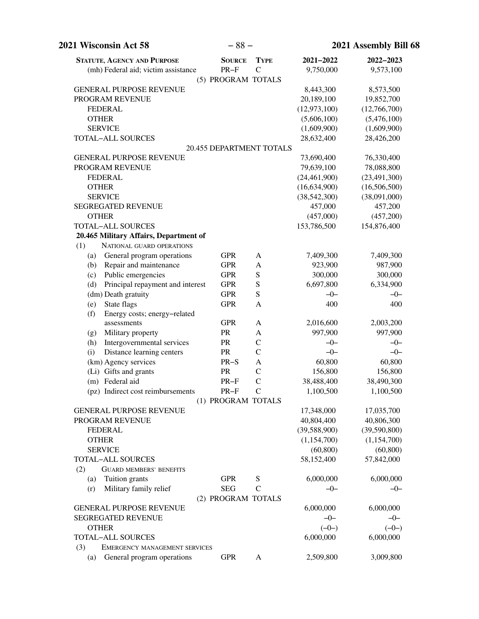| <b>2021 Wisconsin Act 58</b>            | $-88-$             |                             | 2021 Assembly Bill 68 |                |
|-----------------------------------------|--------------------|-----------------------------|-----------------------|----------------|
| <b>STATUTE, AGENCY AND PURPOSE</b>      | <b>SOURCE</b>      | <b>TYPE</b>                 | 2021-2022             | 2022-2023      |
| (mh) Federal aid; victim assistance     | $PR-F$             | $\mathcal{C}$               | 9,750,000             | 9,573,100      |
|                                         | (5) PROGRAM TOTALS |                             |                       |                |
| <b>GENERAL PURPOSE REVENUE</b>          |                    |                             | 8,443,300             | 8,573,500      |
| PROGRAM REVENUE                         |                    |                             | 20,189,100            | 19,852,700     |
| <b>FEDERAL</b>                          |                    |                             | (12, 973, 100)        | (12,766,700)   |
| <b>OTHER</b>                            |                    |                             | (5,606,100)           | (5,476,100)    |
| <b>SERVICE</b>                          |                    |                             | (1,609,900)           | (1,609,900)    |
| <b>TOTAL-ALL SOURCES</b>                |                    |                             | 28,632,400            | 28,426,200     |
|                                         |                    | 20.455 DEPARTMENT TOTALS    |                       |                |
| <b>GENERAL PURPOSE REVENUE</b>          |                    |                             | 73,690,400            | 76,330,400     |
| PROGRAM REVENUE                         |                    |                             | 79,639,100            | 78,088,800     |
| <b>FEDERAL</b>                          |                    |                             | (24, 461, 900)        | (23, 491, 300) |
| <b>OTHER</b>                            |                    |                             | (16, 634, 900)        | (16,506,500)   |
| <b>SERVICE</b>                          |                    |                             | (38, 542, 300)        | (38,091,000)   |
| <b>SEGREGATED REVENUE</b>               |                    |                             | 457,000               | 457,200        |
| <b>OTHER</b>                            |                    |                             | (457,000)             | (457,200)      |
| <b>TOTAL-ALL SOURCES</b>                |                    |                             | 153,786,500           | 154,876,400    |
| 20.465 Military Affairs, Department of  |                    |                             |                       |                |
| (1)<br>NATIONAL GUARD OPERATIONS        |                    |                             |                       |                |
| General program operations<br>(a)       | <b>GPR</b>         | A                           | 7,409,300             | 7,409,300      |
| Repair and maintenance<br>(b)           | <b>GPR</b>         | A                           | 923,900               | 987,900        |
| Public emergencies<br>(c)               | <b>GPR</b>         | S                           | 300,000               | 300,000        |
| Principal repayment and interest<br>(d) | <b>GPR</b>         | S                           | 6,697,800             | 6,334,900      |
| (dm) Death gratuity                     | <b>GPR</b>         | ${\bf S}$                   | $-0-$                 | $-0-$          |
| State flags<br>(e)                      | <b>GPR</b>         | A                           | 400                   | 400            |
| Energy costs; energy-related<br>(f)     |                    |                             |                       |                |
| assessments                             | <b>GPR</b>         | $\mathbf{A}$                | 2,016,600             | 2,003,200      |
| Military property<br>(g)                | PR                 | A                           | 997,900               | 997,900        |
| Intergovernmental services<br>(h)       | <b>PR</b>          | $\mathcal{C}$               | $-0-$                 | $-0-$          |
| Distance learning centers<br>(i)        | PR                 | $\mathcal{C}$               | $-0-$                 | $-0-$          |
| (km) Agency services                    | $PR-S$             | A                           | 60,800                | 60,800         |
| (Li) Gifts and grants                   | <b>PR</b>          | $\mathcal{C}$               | 156,800               | 156,800        |
| (m) Federal aid                         | $PR-F$             | $\mathcal{C}$               | 38,488,400            | 38,490,300     |
| (pz) Indirect cost reimbursements       | $PR-F$             | $\mathcal{C}_{\mathcal{C}}$ | 1,100,500             | 1,100,500      |
|                                         | (1) PROGRAM TOTALS |                             |                       |                |
| <b>GENERAL PURPOSE REVENUE</b>          |                    |                             | 17,348,000            | 17,035,700     |
| PROGRAM REVENUE                         |                    |                             | 40,804,400            | 40,806,300     |
| <b>FEDERAL</b>                          |                    |                             | (39,588,900)          | (39,590,800)   |
| <b>OTHER</b>                            |                    |                             | (1,154,700)           | (1,154,700)    |
| <b>SERVICE</b>                          |                    |                             | (60, 800)             | (60, 800)      |
| <b>TOTAL-ALL SOURCES</b>                |                    |                             | 58,152,400            | 57,842,000     |
| (2)<br><b>GUARD MEMBERS' BENEFITS</b>   |                    |                             |                       |                |
| Tuition grants<br>(a)                   | <b>GPR</b>         | S                           | 6,000,000             | 6,000,000      |
| Military family relief<br>(r)           | <b>SEG</b>         | $\mathcal{C}$               | $-0-$                 | $-0-$          |
|                                         | (2) PROGRAM TOTALS |                             |                       |                |
| <b>GENERAL PURPOSE REVENUE</b>          |                    |                             | 6,000,000             | 6,000,000      |
| SEGREGATED REVENUE                      |                    |                             | $-0-$                 | $-0-$          |
| <b>OTHER</b>                            |                    |                             | $(-0-)$               | $(-0-)$        |
| <b>TOTAL-ALL SOURCES</b>                |                    |                             | 6,000,000             | 6,000,000      |
| (3)<br>EMERGENCY MANAGEMENT SERVICES    |                    |                             |                       |                |
| General program operations<br>(a)       | <b>GPR</b>         | $\mathbf{A}$                | 2,509,800             | 3,009,800      |
|                                         |                    |                             |                       |                |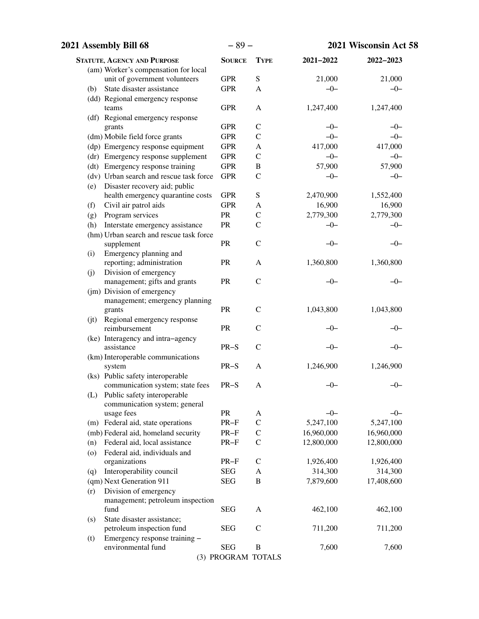| 2021 Assembly Bill 68                                      | $-89-$             |               | 2021 Wisconsin Act 58 |            |
|------------------------------------------------------------|--------------------|---------------|-----------------------|------------|
| <b>STATUTE, AGENCY AND PURPOSE</b>                         | <b>SOURCE</b>      | <b>TYPE</b>   | 2021-2022             | 2022-2023  |
| (am) Worker's compensation for local                       |                    |               |                       |            |
| unit of government volunteers                              | <b>GPR</b>         | ${\bf S}$     | 21,000                | 21,000     |
| State disaster assistance<br>(b)                           | <b>GPR</b>         | A             | $-0-$                 | $-0-$      |
| (dd) Regional emergency response                           |                    |               |                       |            |
| teams                                                      | <b>GPR</b>         | $\mathbf{A}$  | 1,247,400             | 1,247,400  |
| (df) Regional emergency response                           |                    |               |                       |            |
| grants                                                     | <b>GPR</b>         | $\mathsf{C}$  | $-0-$                 | $-0-$      |
| (dm) Mobile field force grants                             | <b>GPR</b>         | $\mathcal{C}$ | $-0-$                 | $-0-$      |
| (dp) Emergency response equipment                          | <b>GPR</b>         | $\mathbf{A}$  | 417,000               | 417,000    |
| (dr) Emergency response supplement                         | <b>GPR</b>         | $\mathsf{C}$  | $-0-$                 | $-0-$      |
| (dt) Emergency response training                           | <b>GPR</b>         | $\, {\bf B}$  | 57,900                | 57,900     |
| (dv) Urban search and rescue task force                    | <b>GPR</b>         | $\mathcal{C}$ | $-0-$                 | $-0-$      |
| Disaster recovery aid; public<br>(e)                       |                    |               |                       |            |
| health emergency quarantine costs                          | <b>GPR</b>         | ${\bf S}$     | 2,470,900             | 1,552,400  |
| Civil air patrol aids<br>(f)                               | <b>GPR</b>         | A             | 16,900                | 16,900     |
| Program services<br>(g)                                    | PR                 | $\mathcal{C}$ | 2,779,300             | 2,779,300  |
| Interstate emergency assistance<br>(h)                     | PR                 | $\mathcal{C}$ | $-0-$                 | $-0-$      |
| (hm) Urban search and rescue task force                    |                    |               |                       |            |
| supplement                                                 | PR                 | $\mathcal{C}$ | $-0-$                 | $-0-$      |
| Emergency planning and<br>(i)                              |                    |               |                       |            |
| reporting; administration                                  | ${\sf PR}$         | A             | 1,360,800             | 1,360,800  |
| Division of emergency<br>(j)                               | ${\sf PR}$         | $\mathbf C$   | $-0-$                 | $-0-$      |
| management; gifts and grants<br>(jm) Division of emergency |                    |               |                       |            |
| management; emergency planning                             |                    |               |                       |            |
| grants                                                     | PR                 | $\mathbf C$   | 1,043,800             | 1,043,800  |
| (jt) Regional emergency response                           |                    |               |                       |            |
| reimbursement                                              | PR                 | $\mathcal{C}$ | $-0-$                 | -0-        |
| (ke) Interagency and intra-agency                          |                    |               |                       |            |
| assistance                                                 | $PR-S$             | $\mathcal{C}$ | $-0-$                 | $-0-$      |
| (km) Interoperable communications                          |                    |               |                       |            |
| system                                                     | $PR-S$             | A             | 1,246,900             | 1,246,900  |
| (ks) Public safety interoperable                           |                    |               |                       |            |
| communication system; state fees                           | $PR-S$             | A             | $-0-$                 | $-0-$      |
| Public safety interoperable<br>(L)                         |                    |               |                       |            |
| communication system; general                              |                    |               |                       |            |
| usage fees                                                 | PR                 | A             | $-0-$                 | $-0-$      |
| (m) Federal aid, state operations                          | $PR-F$             | $\mathcal{C}$ | 5,247,100             | 5,247,100  |
| (mb) Federal aid, homeland security                        | $PR-F$             | $\mathcal{C}$ | 16,960,000            | 16,960,000 |
| Federal aid, local assistance<br>(n)                       | $PR-F$             | $\mathcal{C}$ | 12,800,000            | 12,800,000 |
| Federal aid, individuals and<br>(0)                        |                    |               |                       |            |
| organizations                                              | $PR-F$             | $\mathsf{C}$  | 1,926,400             | 1,926,400  |
| Interoperability council<br>(q)                            | <b>SEG</b>         | A             | 314,300               | 314,300    |
| (qm) Next Generation 911                                   | <b>SEG</b>         | B             | 7,879,600             | 17,408,600 |
| Division of emergency<br>(r)                               |                    |               |                       |            |
| management; petroleum inspection                           |                    |               |                       |            |
| fund                                                       | <b>SEG</b>         | A             | 462,100               | 462,100    |
| State disaster assistance;<br>(s)                          |                    | $\mathcal{C}$ |                       |            |
| petroleum inspection fund                                  | <b>SEG</b>         |               | 711,200               | 711,200    |
| Emergency response training -<br>(t)<br>environmental fund | <b>SEG</b>         | $\, {\bf B}$  | 7,600                 | 7,600      |
|                                                            | (3) PROGRAM TOTALS |               |                       |            |
|                                                            |                    |               |                       |            |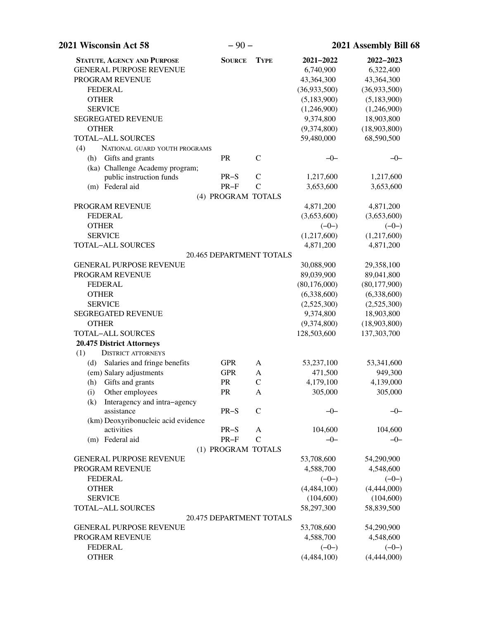| 2021 Wisconsin Act 58                | $-90-$                   |                | 2021 Assembly Bill 68 |                |  |
|--------------------------------------|--------------------------|----------------|-----------------------|----------------|--|
| <b>STATUTE, AGENCY AND PURPOSE</b>   | <b>SOURCE</b>            | <b>TYPE</b>    | 2021-2022             | 2022-2023      |  |
| <b>GENERAL PURPOSE REVENUE</b>       |                          |                | 6,740,900             | 6,322,400      |  |
| PROGRAM REVENUE                      |                          |                | 43,364,300            | 43,364,300     |  |
| <b>FEDERAL</b>                       |                          |                | (36,933,500)          | (36,933,500)   |  |
| <b>OTHER</b>                         |                          |                | (5,183,900)           | (5,183,900)    |  |
| <b>SERVICE</b>                       |                          |                | (1,246,900)           | (1,246,900)    |  |
| <b>SEGREGATED REVENUE</b>            |                          |                | 9,374,800             | 18,903,800     |  |
| <b>OTHER</b>                         |                          |                | (9,374,800)           | (18,903,800)   |  |
| TOTAL-ALL SOURCES                    |                          |                | 59,480,000            | 68,590,500     |  |
| (4)<br>NATIONAL GUARD YOUTH PROGRAMS |                          |                |                       |                |  |
| Gifts and grants<br>(h)              | PR                       | $\mathcal{C}$  | $-0-$                 | $-0-$          |  |
| (ka) Challenge Academy program;      |                          |                |                       |                |  |
| public instruction funds             | $PR-S$                   | $\mathcal{C}$  | 1,217,600             | 1,217,600      |  |
| (m) Federal aid                      | $PR-F$                   | $\overline{C}$ | 3,653,600             | 3,653,600      |  |
|                                      | (4) PROGRAM TOTALS       |                |                       |                |  |
| PROGRAM REVENUE                      |                          |                | 4,871,200             | 4,871,200      |  |
| <b>FEDERAL</b>                       |                          |                | (3,653,600)           | (3,653,600)    |  |
| <b>OTHER</b>                         |                          |                | $(-0-)$               | $(-0-)$        |  |
| <b>SERVICE</b>                       |                          |                | (1,217,600)           | (1,217,600)    |  |
| <b>TOTAL-ALL SOURCES</b>             |                          |                | 4,871,200             | 4,871,200      |  |
|                                      | 20.465 DEPARTMENT TOTALS |                |                       |                |  |
| <b>GENERAL PURPOSE REVENUE</b>       |                          |                | 30,088,900            | 29,358,100     |  |
| PROGRAM REVENUE                      |                          |                | 89,039,900            | 89,041,800     |  |
| <b>FEDERAL</b>                       |                          |                | (80, 176, 000)        | (80, 177, 900) |  |
| <b>OTHER</b>                         |                          |                | (6,338,600)           | (6,338,600)    |  |
| <b>SERVICE</b>                       |                          |                | (2,525,300)           | (2,525,300)    |  |
| <b>SEGREGATED REVENUE</b>            |                          |                | 9,374,800             | 18,903,800     |  |
| <b>OTHER</b>                         |                          |                | (9,374,800)           | (18,903,800)   |  |
| <b>TOTAL-ALL SOURCES</b>             |                          |                | 128,503,600           | 137,303,700    |  |
| 20.475 District Attorneys            |                          |                |                       |                |  |
| <b>DISTRICT ATTORNEYS</b><br>(1)     |                          |                |                       |                |  |
| (d) Salaries and fringe benefits     | <b>GPR</b>               | A              | 53,237,100            | 53,341,600     |  |
| (em) Salary adjustments              | <b>GPR</b>               | A              | 471,500               | 949,300        |  |
| (h) Gifts and grants                 | PR                       | $\mathcal{C}$  | 4,179,100             | 4,139,000      |  |
| (i) Other employees                  | PR                       | A              | 305,000               | 305,000        |  |
| Interagency and intra-agency<br>(k)  |                          |                |                       |                |  |
| assistance                           | $PR-S$                   | $\mathcal{C}$  | $-0-$                 | $-0-$          |  |
| (km) Deoxyribonucleic acid evidence  |                          |                |                       |                |  |
| activities                           | $PR-S$                   | A              | 104,600               | 104,600        |  |
| (m) Federal aid                      | $PR-F$                   | $\mathcal{C}$  | $-0-$                 | $-0-$          |  |
|                                      | (1) PROGRAM TOTALS       |                |                       |                |  |
| <b>GENERAL PURPOSE REVENUE</b>       |                          |                | 53,708,600            | 54,290,900     |  |
| PROGRAM REVENUE                      |                          |                | 4,588,700             | 4,548,600      |  |
| <b>FEDERAL</b>                       |                          |                | $(-0-)$               | $(-0-)$        |  |
| <b>OTHER</b>                         |                          |                | (4, 484, 100)         | (4,444,000)    |  |
| <b>SERVICE</b>                       |                          |                | (104, 600)            | (104, 600)     |  |
| <b>TOTAL-ALL SOURCES</b>             |                          |                | 58,297,300            | 58,839,500     |  |
|                                      | 20.475 DEPARTMENT TOTALS |                |                       |                |  |
| <b>GENERAL PURPOSE REVENUE</b>       |                          |                | 53,708,600            | 54,290,900     |  |
| PROGRAM REVENUE                      |                          |                | 4,588,700             | 4,548,600      |  |
| <b>FEDERAL</b>                       |                          |                | $(-0-)$               | $(-0-)$        |  |
| <b>OTHER</b>                         |                          |                | (4,484,100)           | (4,444,000)    |  |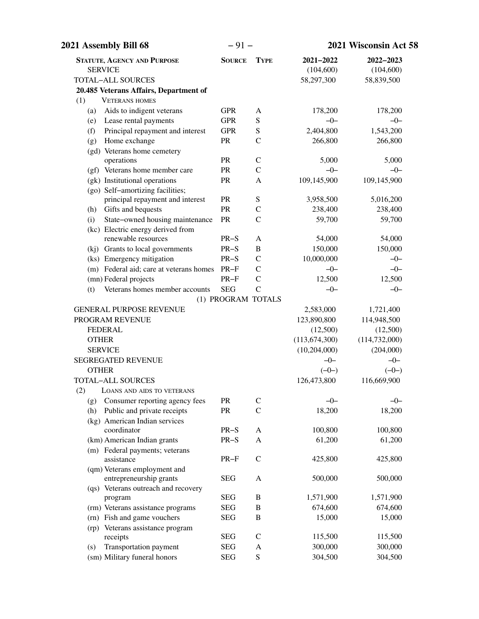| 2021 Assembly Bill 68                                         | $-91-$             |                   | 2021 Wisconsin Act 58   |                         |  |
|---------------------------------------------------------------|--------------------|-------------------|-------------------------|-------------------------|--|
| <b>STATUTE, AGENCY AND PURPOSE</b><br><b>SERVICE</b>          | <b>SOURCE</b>      | <b>TYPE</b>       | 2021-2022<br>(104, 600) | 2022-2023<br>(104, 600) |  |
| <b>TOTAL-ALL SOURCES</b>                                      |                    |                   | 58,297,300              | 58,839,500              |  |
| 20.485 Veterans Affairs, Department of                        |                    |                   |                         |                         |  |
| (1)<br><b>VETERANS HOMES</b>                                  |                    |                   |                         |                         |  |
| Aids to indigent veterans<br>(a)                              | <b>GPR</b>         | A                 | 178,200                 | 178,200                 |  |
| Lease rental payments<br>(e)                                  | <b>GPR</b>         | ${\bf S}$         | $-0-$                   | $-0-$                   |  |
| Principal repayment and interest<br>(f)                       | <b>GPR</b>         | ${\bf S}$         | 2,404,800               | 1,543,200               |  |
| Home exchange<br>(g)                                          | PR                 | $\mathcal{C}$     | 266,800                 | 266,800                 |  |
| (gd) Veterans home cemetery                                   |                    |                   |                         |                         |  |
| operations                                                    | <b>PR</b>          | $\mathcal{C}$     | 5,000                   | 5,000                   |  |
| (gf) Veterans home member care                                | PR                 | $\mathcal{C}$     | $-0-$                   | $-0-$                   |  |
| (gk) Institutional operations                                 | PR                 | A                 | 109,145,900             | 109,145,900             |  |
| (go) Self-amortizing facilities;                              |                    |                   |                         |                         |  |
| principal repayment and interest                              | PR                 | ${\bf S}$         | 3,958,500               | 5,016,200               |  |
| Gifts and bequests<br>(h)                                     | PR                 | $\mathsf{C}$      | 238,400                 | 238,400                 |  |
| State-owned housing maintenance<br>(i)                        | PR                 | $\overline{C}$    | 59,700                  | 59,700                  |  |
| (kc) Electric energy derived from<br>renewable resources      |                    |                   |                         | 54,000                  |  |
|                                                               | $PR-S$<br>$PR-S$   | A<br>$\, {\bf B}$ | 54,000                  |                         |  |
| (kj) Grants to local governments<br>(ks) Emergency mitigation | $PR-S$             | $\mathbf C$       | 150,000<br>10,000,000   | 150,000<br>$-0-$        |  |
| (m) Federal aid; care at veterans homes                       | $PR-F$             | $\mathcal{C}$     | $-0-$                   | $-0-$                   |  |
| (mn) Federal projects                                         | $PR-F$             | $\mathcal{C}$     | 12,500                  | 12,500                  |  |
| Veterans homes member accounts<br>(t)                         | <b>SEG</b>         | $\overline{C}$    | $-0-$                   | $-0-$                   |  |
|                                                               | (1) PROGRAM TOTALS |                   |                         |                         |  |
| <b>GENERAL PURPOSE REVENUE</b>                                |                    |                   | 2,583,000               | 1,721,400               |  |
| PROGRAM REVENUE                                               |                    |                   | 123,890,800             | 114,948,500             |  |
| <b>FEDERAL</b>                                                |                    |                   | (12,500)                | (12,500)                |  |
| <b>OTHER</b>                                                  |                    |                   | (113, 674, 300)         | (114, 732, 000)         |  |
| <b>SERVICE</b>                                                |                    |                   | (10, 204, 000)          | (204,000)               |  |
| <b>SEGREGATED REVENUE</b>                                     |                    |                   | $-0-$                   | $-0-$                   |  |
| <b>OTHER</b>                                                  |                    |                   | $(-0-)$                 | $(-0-)$                 |  |
| TOTAL-ALL SOURCES                                             |                    |                   | 126,473,800             | 116,669,900             |  |
| (2) LOANS AND AIDS TO VETERANS                                |                    |                   |                         |                         |  |
| Consumer reporting agency fees<br>(g)                         | PR                 | $\mathsf{C}$      | $-0-$                   | $-0-$                   |  |
| Public and private receipts<br>(h)                            | PR                 | $\mathcal{C}$     | 18,200                  | 18,200                  |  |
| (kg) American Indian services                                 |                    |                   |                         |                         |  |
| coordinator                                                   | $PR-S$             | $\mathbf{A}$      | 100,800                 | 100,800                 |  |
| (km) American Indian grants                                   | $PR-S$             | A                 | 61,200                  | 61,200                  |  |
| (m) Federal payments; veterans                                |                    |                   |                         |                         |  |
| assistance                                                    | $PR-F$             | $\mathsf C$       | 425,800                 | 425,800                 |  |
| (qm) Veterans employment and                                  |                    |                   |                         |                         |  |
| entrepreneurship grants                                       | <b>SEG</b>         | A                 | 500,000                 | 500,000                 |  |
| (qs) Veterans outreach and recovery                           | <b>SEG</b>         | B                 | 1,571,900               | 1,571,900               |  |
| program<br>(rm) Veterans assistance programs                  | <b>SEG</b>         | $\, {\bf B}$      | 674,600                 | 674,600                 |  |
| (rn) Fish and game vouchers                                   | <b>SEG</b>         | $\, {\bf B}$      | 15,000                  | 15,000                  |  |
| (rp) Veterans assistance program                              |                    |                   |                         |                         |  |
| receipts                                                      | <b>SEG</b>         | $\mathsf{C}$      | 115,500                 | 115,500                 |  |
| Transportation payment<br>(s)                                 | <b>SEG</b>         | A                 | 300,000                 | 300,000                 |  |
| (sm) Military funeral honors                                  | <b>SEG</b>         | ${\bf S}$         | 304,500                 | 304,500                 |  |
|                                                               |                    |                   |                         |                         |  |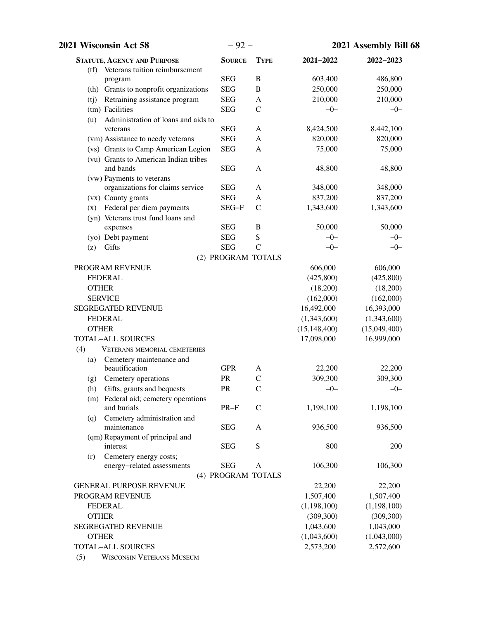| 2021 Wisconsin Act 58                                                    | $-92-$             |               | 2021 Assembly Bill 68 |              |
|--------------------------------------------------------------------------|--------------------|---------------|-----------------------|--------------|
| <b>STATUTE, AGENCY AND PURPOSE</b>                                       | <b>SOURCE</b>      | <b>TYPE</b>   | 2021-2022             | 2022-2023    |
| (tf) Veterans tuition reimbursement                                      |                    |               |                       |              |
| program                                                                  | <b>SEG</b>         | $\, {\bf B}$  | 603,400               | 486,800      |
| (th) Grants to nonprofit organizations                                   | <b>SEG</b>         | $\, {\bf B}$  | 250,000               | 250,000      |
| Retraining assistance program<br>(i)                                     | <b>SEG</b>         | A             | 210,000               | 210,000      |
| (tm) Facilities                                                          | <b>SEG</b>         | $\mathsf{C}$  | $-0-$                 | $-0-$        |
| Administration of loans and aids to<br>(u)                               | <b>SEG</b>         |               |                       |              |
| veterans                                                                 | <b>SEG</b>         | $\mathbf{A}$  | 8,424,500             | 8,442,100    |
| (vm) Assistance to needy veterans<br>(vs) Grants to Camp American Legion |                    | A             | 820,000<br>75,000     | 820,000      |
| (vu) Grants to American Indian tribes                                    | <b>SEG</b>         | A             |                       | 75,000       |
| and bands                                                                | <b>SEG</b>         | A             | 48,800                | 48,800       |
| (vw) Payments to veterans                                                |                    |               |                       |              |
| organizations for claims service                                         | <b>SEG</b>         | A             | 348,000               | 348,000      |
| (vx) County grants                                                       | <b>SEG</b>         | A             | 837,200               | 837,200      |
| (x) Federal per diem payments                                            | SEG-F              | $\mathsf{C}$  | 1,343,600             | 1,343,600    |
| (yn) Veterans trust fund loans and<br>expenses                           | <b>SEG</b>         | B             | 50,000                | 50,000       |
| (yo) Debt payment                                                        | <b>SEG</b>         | S             | $-0-$                 | $-0-$        |
| Gifts<br>(z)                                                             | <b>SEG</b>         | $\mathcal{C}$ | $-0-$                 | $-0-$        |
|                                                                          | (2) PROGRAM TOTALS |               |                       |              |
| PROGRAM REVENUE                                                          |                    |               | 606,000               | 606,000      |
| <b>FEDERAL</b>                                                           |                    |               | (425, 800)            | (425,800)    |
| <b>OTHER</b>                                                             |                    |               | (18,200)              | (18,200)     |
| <b>SERVICE</b>                                                           |                    |               | (162,000)             | (162,000)    |
| SEGREGATED REVENUE                                                       |                    |               | 16,492,000            | 16,393,000   |
| <b>FEDERAL</b>                                                           |                    |               | (1,343,600)           | (1,343,600)  |
| <b>OTHER</b>                                                             |                    |               | (15, 148, 400)        | (15,049,400) |
| <b>TOTAL-ALL SOURCES</b>                                                 |                    |               | 17,098,000            | 16,999,000   |
| (4)<br><b>VETERANS MEMORIAL CEMETERIES</b>                               |                    |               |                       |              |
| Cemetery maintenance and<br>(a)                                          |                    |               |                       |              |
| beautification                                                           | <b>GPR</b>         | A             | 22,200                | 22,200       |
| Cemetery operations<br>(g)                                               | PR                 | $\mathcal{C}$ | 309,300               | 309,300      |
| (h) Gifts, grants and bequests                                           | PR                 | $\mathsf C$   | $-0-$                 | $-0-$        |
| (m) Federal aid; cemetery operations                                     |                    |               |                       |              |
| and burials                                                              | $PR-F$             | $\mathsf{C}$  | 1,198,100             | 1,198,100    |
| Cemetery administration and<br>(q)                                       |                    |               |                       |              |
| maintenance                                                              | <b>SEG</b>         | A             | 936,500               | 936,500      |
| (qm) Repayment of principal and                                          |                    |               |                       |              |
| interest                                                                 | <b>SEG</b>         | ${\bf S}$     | 800                   | 200          |
| Cemetery energy costs;<br>(r)<br>energy-related assessments              | <b>SEG</b>         | A             | 106,300               | 106,300      |
|                                                                          | (4) PROGRAM TOTALS |               |                       |              |
| <b>GENERAL PURPOSE REVENUE</b>                                           |                    |               | 22,200                | 22,200       |
| PROGRAM REVENUE                                                          |                    |               | 1,507,400             | 1,507,400    |
| <b>FEDERAL</b>                                                           |                    |               | (1, 198, 100)         | (1,198,100)  |
| <b>OTHER</b>                                                             |                    |               | (309, 300)            | (309, 300)   |
| SEGREGATED REVENUE                                                       |                    |               | 1,043,600             | 1,043,000    |
| <b>OTHER</b>                                                             |                    |               | (1,043,600)           | (1,043,000)  |
| <b>TOTAL-ALL SOURCES</b>                                                 |                    |               | 2,573,200             | 2,572,600    |
| <b>WISCONSIN VETERANS MUSEUM</b><br>(5)                                  |                    |               |                       |              |
|                                                                          |                    |               |                       |              |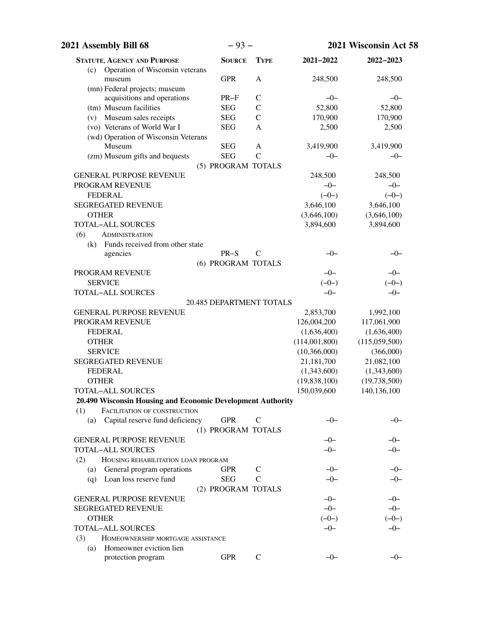| 2021 Assembly Bill 68                                       | $-93-$                          |               |                  | 2021 Wisconsin Act 58 |
|-------------------------------------------------------------|---------------------------------|---------------|------------------|-----------------------|
| <b>STATUTE, AGENCY AND PURPOSE</b>                          | <b>SOURCE</b>                   | <b>TYPE</b>   | 2021-2022        | 2022-2023             |
| (c) Operation of Wisconsin veterans                         |                                 |               |                  |                       |
| museum<br>(mn) Federal projects; museum                     | <b>GPR</b>                      | $\mathbf{A}$  | 248,500          | 248,500               |
| acquisitions and operations                                 | $PR-F$                          | $\mathsf{C}$  | $-0-$            | $-0-$                 |
| (tm) Museum facilities                                      | <b>SEG</b>                      | $\mathcal{C}$ | 52,800           | 52,800                |
| (v) Museum sales receipts                                   | <b>SEG</b>                      | $\mathcal{C}$ | 170,900          | 170,900               |
| (vo) Veterans of World War I                                | <b>SEG</b>                      | A             | 2,500            | 2,500                 |
| (wd) Operation of Wisconsin Veterans                        |                                 |               |                  |                       |
| Museum                                                      | <b>SEG</b>                      | $\mathbf{A}$  | 3,419,900        | 3,419,900             |
| (zm) Museum gifts and bequests                              | <b>SEG</b>                      | $\mathcal{C}$ | $-0-$            | $-0-$                 |
|                                                             | (5) PROGRAM TOTALS              |               |                  |                       |
| <b>GENERAL PURPOSE REVENUE</b>                              |                                 |               | 248,500          | 248,500               |
| PROGRAM REVENUE                                             |                                 |               | $-0-$            | $-0-$                 |
| <b>FEDERAL</b>                                              |                                 |               | $(-0-)$          | $(-0-)$               |
| <b>SEGREGATED REVENUE</b>                                   |                                 |               | 3,646,100        | 3,646,100             |
| <b>OTHER</b>                                                |                                 |               | (3,646,100)      | (3,646,100)           |
| <b>TOTAL-ALL SOURCES</b>                                    |                                 |               | 3,894,600        | 3,894,600             |
| (6)<br><b>ADMINISTRATION</b>                                |                                 |               |                  |                       |
| Funds received from other state<br>(k)                      |                                 |               |                  |                       |
| agencies                                                    | $PR-S$                          | $\mathsf{C}$  | -0-              | $-0-$                 |
|                                                             | (6) PROGRAM TOTALS              |               |                  | $-0-$                 |
| PROGRAM REVENUE<br><b>SERVICE</b>                           |                                 |               | $-0-$<br>$(-0-)$ |                       |
| TOTAL-ALL SOURCES                                           |                                 |               | $-0-$            | $(-0-)$<br>$-0-$      |
|                                                             | <b>20.485 DEPARTMENT TOTALS</b> |               |                  |                       |
| <b>GENERAL PURPOSE REVENUE</b>                              |                                 |               | 2,853,700        | 1,992,100             |
| PROGRAM REVENUE                                             |                                 |               | 126,004,200      | 117,061,900           |
| <b>FEDERAL</b>                                              |                                 |               | (1,636,400)      | (1,636,400)           |
| <b>OTHER</b>                                                |                                 |               | (114,001,800)    | (115,059,500)         |
| <b>SERVICE</b>                                              |                                 |               | (10,366,000)     | (366,000)             |
| <b>SEGREGATED REVENUE</b>                                   |                                 |               | 21,181,700       | 21,082,100            |
| <b>FEDERAL</b>                                              |                                 |               | (1,343,600)      | (1,343,600)           |
| <b>OTHER</b>                                                |                                 |               | (19, 838, 100)   | (19,738,500)          |
| TOTAL-ALL SOURCES                                           |                                 |               | 150,039,600      | 140,136,100           |
| 20.490 Wisconsin Housing and Economic Development Authority |                                 |               |                  |                       |
| FACILITATION OF CONSTRUCTION<br>(1)                         |                                 |               |                  |                       |
| Capital reserve fund deficiency<br>(a)                      | <b>GPR</b>                      | $\mathsf{C}$  | -0-              | $-0-$                 |
|                                                             | (1) PROGRAM TOTALS              |               |                  |                       |
| <b>GENERAL PURPOSE REVENUE</b>                              |                                 |               | $-0-$            | -0-                   |
| <b>TOTAL-ALL SOURCES</b>                                    |                                 |               | $-0-$            | $-0-$                 |
| (2)<br>HOUSING REHABILITATION LOAN PROGRAM                  |                                 |               |                  |                       |
| General program operations<br>(a)                           | <b>GPR</b>                      | $\mathsf{C}$  | $-0-$            | $-0-$                 |
| Loan loss reserve fund<br>(q)                               | <b>SEG</b>                      | $\mathcal{C}$ | $-0-$            | $-0-$                 |
|                                                             | (2) PROGRAM TOTALS              |               |                  |                       |
| <b>GENERAL PURPOSE REVENUE</b>                              |                                 |               | $-0-$            | $-0-$                 |
| <b>SEGREGATED REVENUE</b>                                   |                                 |               | $-0-$            | $-0-$                 |
| <b>OTHER</b>                                                |                                 |               | $(-0-)$          | $(-0-)$               |
| <b>TOTAL-ALL SOURCES</b>                                    |                                 |               | $-0-$            | $-0-$                 |
| (3)<br>HOMEOWNERSHIP MORTGAGE ASSISTANCE                    |                                 |               |                  |                       |
| (a) Homeowner eviction lien<br>protection program           | <b>GPR</b>                      | $\mathsf{C}$  | $-0-$            | $-0-$                 |
|                                                             |                                 |               |                  |                       |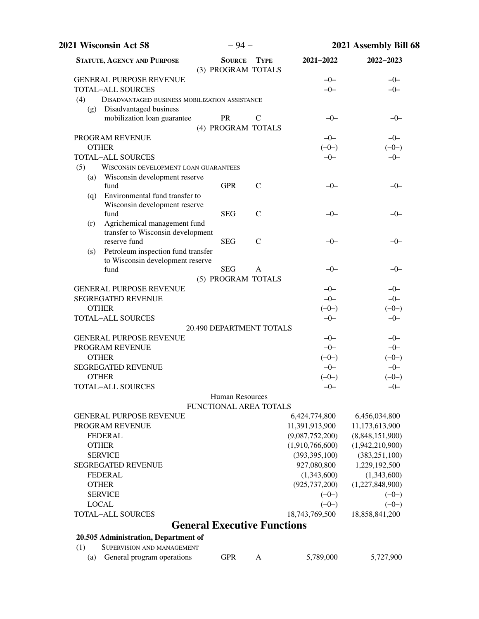|     | 2021 Wisconsin Act 58                                                           | $-94-$                              |               | 2021 Assembly Bill 68 |                 |
|-----|---------------------------------------------------------------------------------|-------------------------------------|---------------|-----------------------|-----------------|
|     | <b>STATUTE, AGENCY AND PURPOSE</b>                                              | <b>SOURCE</b><br>(3) PROGRAM TOTALS | <b>TYPE</b>   | 2021-2022             | 2022-2023       |
|     | <b>GENERAL PURPOSE REVENUE</b>                                                  |                                     |               | $-0-$                 | $-0-$           |
|     | <b>TOTAL-ALL SOURCES</b>                                                        |                                     |               | $-0-$                 | $-0-$           |
| (4) | <b>DISADVANTAGED BUSINESS MOBILIZATION ASSISTANCE</b><br>Disadvantaged business |                                     |               |                       |                 |
| (g) | mobilization loan guarantee                                                     | <b>PR</b>                           | $\mathsf{C}$  | $-0-$                 | $-0-$           |
|     |                                                                                 | (4) PROGRAM TOTALS                  |               |                       |                 |
|     | PROGRAM REVENUE                                                                 |                                     |               | $-0-$                 | $-0-$           |
|     | <b>OTHER</b>                                                                    |                                     |               | $(-0-)$               | $(-0-)$         |
|     | <b>TOTAL-ALL SOURCES</b>                                                        |                                     |               | $-0-$                 | $-0-$           |
| (5) | <b>WISCONSIN DEVELOPMENT LOAN GUARANTEES</b>                                    |                                     |               |                       |                 |
| (a) | Wisconsin development reserve                                                   |                                     |               |                       |                 |
|     | fund                                                                            | <b>GPR</b>                          | $\mathsf{C}$  | $-0-$                 | $-0-$           |
| (q) | Environmental fund transfer to                                                  |                                     |               |                       |                 |
|     | Wisconsin development reserve                                                   |                                     |               |                       |                 |
|     | fund                                                                            | <b>SEG</b>                          | $\mathcal{C}$ | $-0-$                 | –0–             |
| (r) | Agrichemical management fund                                                    |                                     |               |                       |                 |
|     | transfer to Wisconsin development                                               |                                     | $\mathcal{C}$ |                       |                 |
|     | reserve fund                                                                    | <b>SEG</b>                          |               | $-0-$                 | $-0-$           |
| (s) | Petroleum inspection fund transfer<br>to Wisconsin development reserve          |                                     |               |                       |                 |
|     | fund                                                                            | <b>SEG</b>                          | $\mathbf{A}$  | $-0-$                 | $-0-$           |
|     |                                                                                 | (5) PROGRAM TOTALS                  |               |                       |                 |
|     | <b>GENERAL PURPOSE REVENUE</b>                                                  |                                     |               | $-0-$                 | $-0-$           |
|     | <b>SEGREGATED REVENUE</b>                                                       |                                     |               | $-0-$                 | $-0-$           |
|     | <b>OTHER</b>                                                                    |                                     |               | $(-0-)$               | $(-0-)$         |
|     | <b>TOTAL-ALL SOURCES</b>                                                        |                                     |               | $-0-$                 | $-0-$           |
|     |                                                                                 | 20.490 DEPARTMENT TOTALS            |               |                       |                 |
|     | <b>GENERAL PURPOSE REVENUE</b>                                                  |                                     |               | $-0-$                 | $-0-$           |
|     | PROGRAM REVENUE                                                                 |                                     |               | $-0-$                 | $-0-$           |
|     | <b>OTHER</b>                                                                    |                                     |               | $(-0-)$               | $(-0-)$         |
|     | <b>SEGREGATED REVENUE</b>                                                       |                                     |               | $-0-$                 | $-0-$           |
|     | <b>OTHER</b>                                                                    |                                     |               | $(-0-)$               | $(-0-)$         |
|     | TOTAL-ALL SOURCES                                                               |                                     |               | $-0-$                 | $-0-$           |
|     |                                                                                 | Human Resources                     |               |                       |                 |
|     |                                                                                 | <b>FUNCTIONAL AREA TOTALS</b>       |               |                       |                 |
|     | <b>GENERAL PURPOSE REVENUE</b>                                                  |                                     |               | 6,424,774,800         | 6,456,034,800   |
|     | PROGRAM REVENUE                                                                 |                                     |               | 11,391,913,900        | 11,173,613,900  |
|     | <b>FEDERAL</b>                                                                  |                                     |               | (9,087,752,200)       | (8,848,151,900) |
|     | <b>OTHER</b>                                                                    |                                     |               | (1,910,766,600)       | (1,942,210,900) |
|     | <b>SERVICE</b>                                                                  |                                     |               | (393, 395, 100)       | (383, 251, 100) |
|     | <b>SEGREGATED REVENUE</b>                                                       |                                     |               | 927,080,800           | 1,229,192,500   |
|     | <b>FEDERAL</b>                                                                  |                                     |               | (1,343,600)           | (1,343,600)     |
|     | <b>OTHER</b>                                                                    |                                     |               | (925, 737, 200)       | (1,227,848,900) |
|     | <b>SERVICE</b>                                                                  |                                     |               | $(-0-)$               | $(-0-)$         |
|     | <b>LOCAL</b>                                                                    |                                     |               | $(-0-)$               | $(-0-)$         |
|     | <b>TOTAL-ALL SOURCES</b>                                                        |                                     |               | 18,743,769,500        | 18,858,841,200  |
|     |                                                                                 | <b>General Executive Functions</b>  |               |                       |                 |
|     | 20.505 Administration, Department of                                            |                                     |               |                       |                 |
| (1) | SUPERVISION AND MANAGEMENT                                                      |                                     |               |                       |                 |
| (a) | General program operations                                                      | <b>GPR</b>                          | A             | 5,789,000             | 5,727,900       |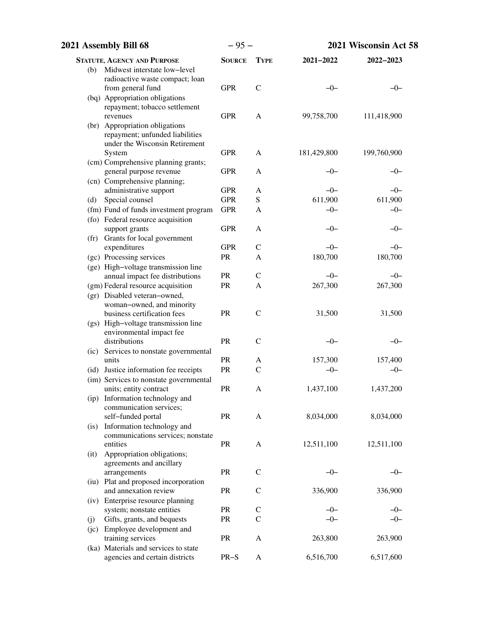| 2021 Assembly Bill 68                                            | $-95-$        |               | 2021 Wisconsin Act 58 |             |
|------------------------------------------------------------------|---------------|---------------|-----------------------|-------------|
| <b>STATUTE, AGENCY AND PURPOSE</b>                               | <b>SOURCE</b> | <b>TYPE</b>   | 2021-2022             | 2022-2023   |
| Midwest interstate low-level<br>(b)                              |               |               |                       |             |
| radioactive waste compact; loan                                  |               |               |                       |             |
| from general fund                                                | <b>GPR</b>    | $\mathcal{C}$ | $-0-$                 | –0–         |
| (bq) Appropriation obligations                                   |               |               |                       |             |
| repayment; tobacco settlement<br>revenues                        | <b>GPR</b>    | $\mathbf{A}$  | 99,758,700            | 111,418,900 |
| (br) Appropriation obligations                                   |               |               |                       |             |
| repayment; unfunded liabilities                                  |               |               |                       |             |
| under the Wisconsin Retirement                                   |               |               |                       |             |
| System                                                           | <b>GPR</b>    | $\mathbf{A}$  | 181,429,800           | 199,760,900 |
| (cm) Comprehensive planning grants;                              |               |               |                       |             |
| general purpose revenue                                          | <b>GPR</b>    | A             | $-0-$                 | $-0-$       |
| (cn) Comprehensive planning;<br>administrative support           | <b>GPR</b>    | A             | $-0-$                 | $-0-$       |
| Special counsel<br>(d)                                           | <b>GPR</b>    | ${\bf S}$     | 611,900               | 611,900     |
| (fm) Fund of funds investment program                            | <b>GPR</b>    | A             | $-0-$                 | $-0-$       |
| (fo) Federal resource acquisition                                |               |               |                       |             |
| support grants                                                   | <b>GPR</b>    | A             | $-0-$                 | $-0-$       |
| (fr) Grants for local government                                 |               |               |                       |             |
| expenditures                                                     | <b>GPR</b>    | $\mathbf C$   | $-0-$                 | $-0-$       |
| (gc) Processing services                                         | PR            | A             | 180,700               | 180,700     |
| (ge) High-voltage transmission line                              |               |               |                       |             |
| annual impact fee distributions                                  | <b>PR</b>     | $\mathbf C$   | $-0-$                 | $-0-$       |
| (gm) Federal resource acquisition                                | <b>PR</b>     | A             | 267,300               | 267,300     |
| (gr) Disabled veteran-owned,<br>woman-owned, and minority        |               |               |                       |             |
| business certification fees                                      | <b>PR</b>     | $\mathcal{C}$ | 31,500                | 31,500      |
| (gs) High-voltage transmission line                              |               |               |                       |             |
| environmental impact fee                                         |               |               |                       |             |
| distributions                                                    | <b>PR</b>     | $\mathcal{C}$ | $-0-$                 | $-0-$       |
| (ic) Services to nonstate governmental                           |               |               |                       |             |
| units                                                            | <b>PR</b>     | A             | 157,300               | 157,400     |
| (id) Justice information fee receipts                            | PR            | $\mathcal{C}$ | $-0-$                 | $-0-$       |
| (im) Services to nonstate governmental<br>units; entity contract | <b>PR</b>     |               |                       | 1,437,200   |
| (ip) Information technology and                                  |               | Α             | 1,437,100             |             |
| communication services;                                          |               |               |                       |             |
| self-funded portal                                               | PR            | A             | 8,034,000             | 8,034,000   |
| Information technology and<br>(i <sub>s</sub> )                  |               |               |                       |             |
| communications services; nonstate                                |               |               |                       |             |
| entities                                                         | PR            | A             | 12,511,100            | 12,511,100  |
| Appropriation obligations;<br>(it)                               |               |               |                       |             |
| agreements and ancillary                                         | PR            | $\mathbf C$   | $-0-$                 | $-0-$       |
| arrangements<br>(iu) Plat and proposed incorporation             |               |               |                       |             |
| and annexation review                                            | PR            | $\mathsf{C}$  | 336,900               | 336,900     |
| (iv) Enterprise resource planning                                |               |               |                       |             |
| system; nonstate entities                                        | PR            | $\mathbf C$   | $-0-$                 | $-0-$       |
| Gifts, grants, and bequests<br>(j)                               | PR            | $\mathsf{C}$  | $-0-$                 | $-0-$       |
| (jc) Employee development and                                    |               |               |                       |             |
| training services                                                | PR            | A             | 263,800               | 263,900     |
| (ka) Materials and services to state                             |               |               |                       |             |
| agencies and certain districts                                   | $PR-S$        | A             | 6,516,700             | 6,517,600   |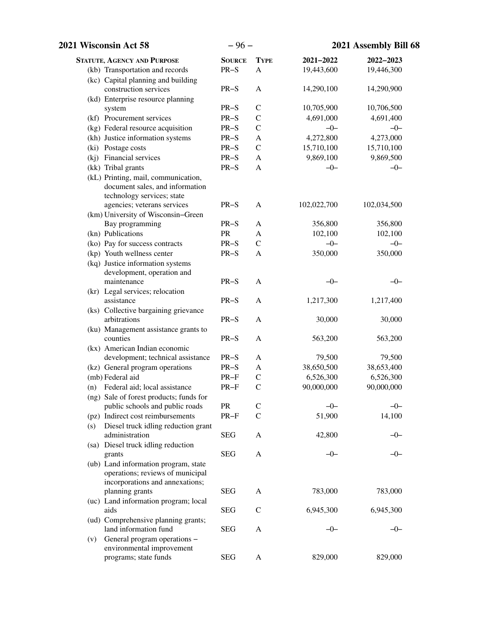| 2021 Wisconsin Act 58                              | $-96-$        |               | 2021 Assembly Bill 68 |             |
|----------------------------------------------------|---------------|---------------|-----------------------|-------------|
| <b>STATUTE, AGENCY AND PURPOSE</b>                 | <b>SOURCE</b> | <b>TYPE</b>   | 2021-2022             | 2022-2023   |
| (kb) Transportation and records                    | $PR-S$        | $\mathbf{A}$  | 19,443,600            | 19,446,300  |
| (kc) Capital planning and building                 |               |               |                       |             |
| construction services                              | $PR-S$        | $\mathbf{A}$  | 14,290,100            | 14,290,900  |
| (kd) Enterprise resource planning                  |               |               |                       |             |
| system                                             | $PR-S$        | $\mathcal{C}$ | 10,705,900            | 10,706,500  |
| (kf) Procurement services                          | $PR-S$        | $\mathcal{C}$ | 4,691,000             | 4,691,400   |
| (kg) Federal resource acquisition                  | $PR-S$        | $\mathcal{C}$ | $-0-$                 | $-0-$       |
| (kh) Justice information systems                   | $PR-S$        | A             | 4,272,800             | 4,273,000   |
| (ki) Postage costs                                 | $PR-S$        | $\mathbf C$   | 15,710,100            | 15,710,100  |
| (kj) Financial services                            | $PR-S$        | A             | 9,869,100             | 9,869,500   |
| (kk) Tribal grants                                 | $PR-S$        | A             | $-0-$                 | $-0-$       |
| (kL) Printing, mail, communication,                |               |               |                       |             |
| document sales, and information                    |               |               |                       |             |
| technology services; state                         |               |               |                       |             |
| agencies; veterans services                        | $PR-S$        | A             | 102,022,700           | 102,034,500 |
| (km) University of Wisconsin-Green                 |               |               |                       |             |
| Bay programming                                    | $PR-S$        | A             | 356,800               | 356,800     |
| (kn) Publications                                  | PR            | A             | 102,100               | 102,100     |
| (ko) Pay for success contracts                     | $PR-S$        | $\mathbf C$   | $-0-$                 | $-0-$       |
| (kp) Youth wellness center                         | $PR-S$        | A             | 350,000               | 350,000     |
| (kq) Justice information systems                   |               |               |                       |             |
| development, operation and                         |               |               |                       |             |
| maintenance                                        | $PR-S$        | A             | $-0-$                 | $-0-$       |
| (kr) Legal services; relocation                    |               |               |                       |             |
| assistance                                         | $PR-S$        | A             | 1,217,300             | 1,217,400   |
| (ks) Collective bargaining grievance               |               |               |                       |             |
| arbitrations                                       | $PR-S$        | A             | 30,000                | 30,000      |
| (ku) Management assistance grants to               |               |               |                       |             |
| counties                                           | $PR-S$        | A             | 563,200               | 563,200     |
| (kx) American Indian economic                      |               |               |                       |             |
| development; technical assistance                  | $PR-S$        | A             | 79,500                | 79,500      |
| (kz) General program operations                    | $PR-S$        | A             | 38,650,500            | 38,653,400  |
| (mb) Federal aid                                   | $PR-F$        | $\mathcal{C}$ | 6,526,300             | 6,526,300   |
| (n) Federal aid; local assistance                  | PR-F          | $\mathcal{C}$ | 90,000,000            | 90,000,000  |
| (ng) Sale of forest products; funds for            |               |               |                       |             |
| public schools and public roads                    | <b>PR</b>     | C             | $-0-$                 | $-0-$       |
| (pz) Indirect cost reimbursements                  | $PR-F$        | $\mathbf C$   | 51,900                | 14,100      |
| Diesel truck idling reduction grant<br>(s)         |               |               |                       |             |
| administration                                     | <b>SEG</b>    | A             | 42,800                | $-0-$       |
| (sa) Diesel truck idling reduction                 |               |               |                       |             |
| grants                                             | <b>SEG</b>    | A             | $-0-$                 | $-0-$       |
| (ub) Land information program, state               |               |               |                       |             |
| operations; reviews of municipal                   |               |               |                       |             |
| incorporations and annexations;<br>planning grants | <b>SEG</b>    | A             | 783,000               | 783,000     |
| (uc) Land information program; local               |               |               |                       |             |
| aids                                               | <b>SEG</b>    | $\mathsf{C}$  | 6,945,300             | 6,945,300   |
| (ud) Comprehensive planning grants;                |               |               |                       |             |
| land information fund                              | <b>SEG</b>    | A             | $-0-$                 | $-0-$       |
| General program operations -<br>(v)                |               |               |                       |             |
| environmental improvement                          |               |               |                       |             |
| programs; state funds                              | <b>SEG</b>    | A             | 829,000               | 829,000     |
|                                                    |               |               |                       |             |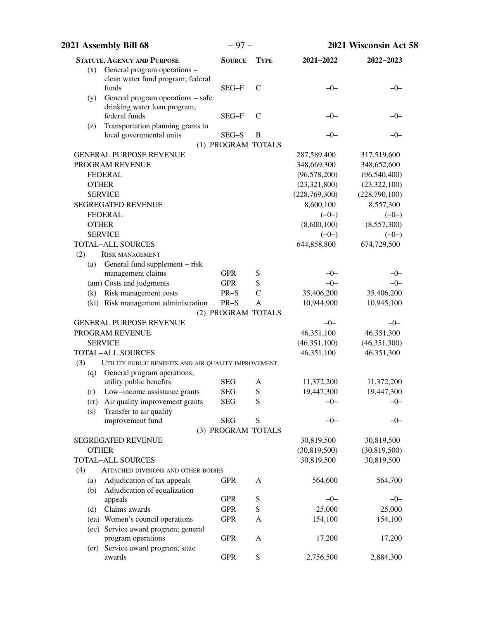| 2021 Assembly Bill 68                                                    | $-97-$             |               | 2021 Wisconsin Act 58 |                |  |
|--------------------------------------------------------------------------|--------------------|---------------|-----------------------|----------------|--|
| <b>STATUTE, AGENCY AND PURPOSE</b>                                       | <b>SOURCE</b>      | <b>TYPE</b>   | 2021-2022             | 2022-2023      |  |
| General program operations -<br>(x)                                      |                    |               |                       |                |  |
| clean water fund program; federal                                        |                    |               |                       |                |  |
| funds                                                                    | $SEG-F$            | $\mathcal{C}$ | $-0-$                 | -0-            |  |
| General program operations - safe<br>(y)<br>drinking water loan program; |                    |               |                       |                |  |
| federal funds                                                            | SEG-F              | $\mathsf{C}$  | $-0-$                 | -0-            |  |
| Transportation planning grants to<br>(z)                                 |                    |               |                       |                |  |
| local governmental units                                                 | SEG-S              | B             | $-0-$                 | $-0-$          |  |
|                                                                          | (1) PROGRAM TOTALS |               |                       |                |  |
| <b>GENERAL PURPOSE REVENUE</b>                                           |                    |               | 287,589,400           | 317,519,600    |  |
| PROGRAM REVENUE                                                          |                    |               | 348,669,300           | 348,652,600    |  |
| <b>FEDERAL</b>                                                           |                    |               | (96, 578, 200)        | (96,540,400)   |  |
| <b>OTHER</b>                                                             |                    |               | (23,321,800)          | (23,322,100)   |  |
| <b>SERVICE</b>                                                           |                    |               | (228,769,300)         | (228,790,100)  |  |
| <b>SEGREGATED REVENUE</b>                                                |                    |               | 8,600,100             | 8,557,300      |  |
| <b>FEDERAL</b>                                                           |                    |               | $(-0-)$               | $(-0-)$        |  |
| <b>OTHER</b>                                                             |                    |               | (8,600,100)           | (8,557,300)    |  |
| <b>SERVICE</b>                                                           |                    |               | $(-0-)$               | $(-0-)$        |  |
| <b>TOTAL-ALL SOURCES</b>                                                 |                    |               | 644,858,800           | 674,729,500    |  |
| (2)<br><b>RISK MANAGEMENT</b>                                            |                    |               |                       |                |  |
| (a) General fund supplement – risk<br>management claims                  | <b>GPR</b>         | S             | $-0-$                 | $-0-$          |  |
| (am) Costs and judgments                                                 | <b>GPR</b>         | S             | $-0-$                 | $-0-$          |  |
| (k) Risk management costs                                                | $PR-S$             | $\mathcal{C}$ | 35,406,200            | 35,406,200     |  |
| (ki) Risk management administration                                      | $PR-S$             | A             | 10,944,900            | 10,945,100     |  |
|                                                                          | (2) PROGRAM TOTALS |               |                       |                |  |
| <b>GENERAL PURPOSE REVENUE</b>                                           |                    |               | $-0-$                 | $-0-$          |  |
| PROGRAM REVENUE                                                          |                    |               | 46,351,100            | 46,351,300     |  |
| <b>SERVICE</b>                                                           |                    |               | (46, 351, 100)        | (46, 351, 300) |  |
| <b>TOTAL-ALL SOURCES</b>                                                 |                    |               | 46,351,100            | 46,351,300     |  |
| (3)<br>UTILITY PUBLIC BENEFITS AND AIR QUALITY IMPROVEMENT               |                    |               |                       |                |  |
| General program operations;<br>(q)                                       |                    |               |                       |                |  |
| utility public benefits                                                  | <b>SEG</b>         | A             | 11,372,200            | 11,372,200     |  |
| (r) Low-income assistance grants                                         | <b>SEG</b>         | S             | 19,447,300            | 19,447,300     |  |
| Air quality improvement grants<br>(rr)                                   | <b>SEG</b>         | S             | $-0-$                 | $-0-$          |  |
| Transfer to air quality<br>(s)                                           | <b>SEG</b>         |               |                       |                |  |
| improvement fund                                                         | (3) PROGRAM TOTALS | S             | $-0-$                 | $-0-$          |  |
| <b>SEGREGATED REVENUE</b>                                                |                    |               | 30,819,500            | 30,819,500     |  |
| <b>OTHER</b>                                                             |                    |               | (30,819,500)          | (30,819,500)   |  |
| <b>TOTAL-ALL SOURCES</b>                                                 |                    |               | 30,819,500            | 30,819,500     |  |
| (4)<br>ATTACHED DIVISIONS AND OTHER BODIES                               |                    |               |                       |                |  |
| Adjudication of tax appeals<br>(a)                                       | <b>GPR</b>         | A             | 564,600               | 564,700        |  |
| Adjudication of equalization<br>(b)                                      |                    |               |                       |                |  |
| appeals                                                                  | <b>GPR</b>         | ${\bf S}$     | $-0-$                 | $-0-$          |  |
| Claims awards<br>(d)                                                     | <b>GPR</b>         | S             | 25,000                | 25,000         |  |
| (ea) Women's council operations                                          | <b>GPR</b>         | A             | 154,100               | 154,100        |  |
| (ec) Service award program; general                                      |                    |               |                       |                |  |
| program operations                                                       | <b>GPR</b>         | A             | 17,200                | 17,200         |  |
| Service award program; state<br>(er)                                     |                    |               |                       |                |  |
| awards                                                                   | <b>GPR</b>         | ${\bf S}$     | 2,756,500             | 2,884,300      |  |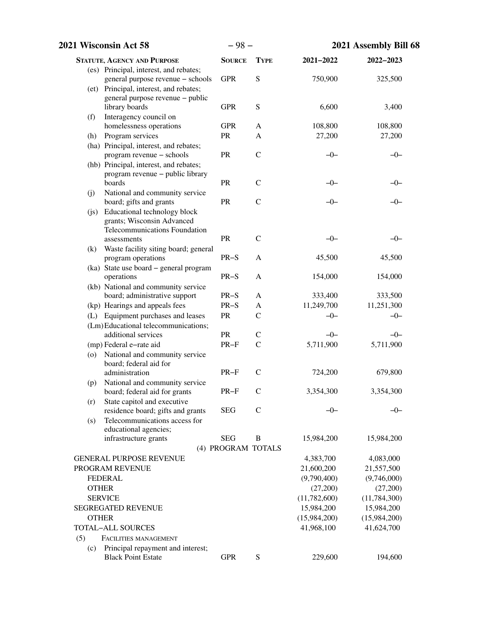| 2021 Wisconsin Act 58 |                                                             | $-98-$             |               | 2021 Assembly Bill 68   |                         |
|-----------------------|-------------------------------------------------------------|--------------------|---------------|-------------------------|-------------------------|
|                       | <b>STATUTE, AGENCY AND PURPOSE</b>                          | <b>SOURCE</b>      | <b>TYPE</b>   | 2021-2022               | 2022-2023               |
|                       | (es) Principal, interest, and rebates;                      |                    |               |                         |                         |
|                       | general purpose revenue - schools                           | <b>GPR</b>         | ${\bf S}$     | 750,900                 | 325,500                 |
|                       | (et) Principal, interest, and rebates;                      |                    |               |                         |                         |
|                       | general purpose revenue – public                            | <b>GPR</b>         |               |                         |                         |
|                       | library boards                                              |                    | ${\bf S}$     | 6,600                   | 3,400                   |
| (f)                   | Interagency council on<br>homelessness operations           | <b>GPR</b>         | A             | 108,800                 | 108,800                 |
| (h)                   | Program services                                            | PR                 | A             | 27,200                  | 27,200                  |
|                       | (ha) Principal, interest, and rebates;                      |                    |               |                         |                         |
|                       | program revenue - schools                                   | <b>PR</b>          | $\mathcal{C}$ | $-0-$                   | $-0-$                   |
|                       | (hb) Principal, interest, and rebates;                      |                    |               |                         |                         |
|                       | program revenue - public library                            |                    |               |                         |                         |
|                       | boards                                                      | PR                 | $\mathcal{C}$ | -0-                     | $-0-$                   |
| (j)                   | National and community service                              |                    |               |                         |                         |
|                       | board; gifts and grants                                     | PR                 | $\mathcal{C}$ | $-0-$                   | $-0-$                   |
| (i)                   | Educational technology block                                |                    |               |                         |                         |
|                       | grants; Wisconsin Advanced<br>Telecommunications Foundation |                    |               |                         |                         |
|                       | assessments                                                 | PR                 | $\mathcal{C}$ | $-0-$                   | $-0-$                   |
| (k)                   | Waste facility siting board; general                        |                    |               |                         |                         |
|                       | program operations                                          | $PR-S$             | A             | 45,500                  | 45,500                  |
|                       | (ka) State use board – general program                      |                    |               |                         |                         |
|                       | operations                                                  | $PR-S$             | A             | 154,000                 | 154,000                 |
|                       | (kb) National and community service                         |                    |               |                         |                         |
|                       | board; administrative support                               | $PR-S$             | A             | 333,400                 | 333,500                 |
|                       | (kp) Hearings and appeals fees                              | $PR-S$             | A             | 11,249,700              | 11,251,300              |
|                       | (L) Equipment purchases and leases                          | <b>PR</b>          | $\mathcal{C}$ | $-0-$                   | $-0-$                   |
|                       | (Lm) Educational telecommunications;                        |                    |               |                         |                         |
|                       | additional services                                         | <b>PR</b>          | $\mathsf{C}$  | $-0-$                   | $-0-$                   |
|                       | (mp) Federal e-rate aid                                     | $PR-F$             | $\mathcal{C}$ | 5,711,900               | 5,711,900               |
| (0)                   | National and community service<br>board; federal aid for    |                    |               |                         |                         |
|                       | administration                                              | $PR-F$             | $\mathsf{C}$  | 724,200                 | 679,800                 |
| (p)                   | National and community service                              |                    |               |                         |                         |
|                       | board; federal aid for grants                               | $PR-F$             | $\mathcal{C}$ | 3,354,300               | 3,354,300               |
| (r)                   | State capitol and executive                                 |                    |               |                         |                         |
|                       | residence board; gifts and grants                           | <b>SEG</b>         | $\mathsf{C}$  | $-0-$                   | $-0-$                   |
| (s)                   | Telecommunications access for                               |                    |               |                         |                         |
|                       | educational agencies;                                       |                    |               |                         |                         |
|                       | infrastructure grants                                       | <b>SEG</b>         | B             | 15,984,200              | 15,984,200              |
|                       |                                                             | (4) PROGRAM TOTALS |               |                         |                         |
|                       | <b>GENERAL PURPOSE REVENUE</b>                              |                    |               | 4,383,700               | 4,083,000               |
|                       | PROGRAM REVENUE<br><b>FEDERAL</b>                           |                    |               | 21,600,200              | 21,557,500              |
| <b>OTHER</b>          |                                                             |                    |               | (9,790,400)<br>(27,200) | (9,746,000)<br>(27,200) |
|                       | <b>SERVICE</b>                                              |                    |               | (11, 782, 600)          | (11, 784, 300)          |
|                       | <b>SEGREGATED REVENUE</b>                                   |                    |               | 15,984,200              | 15,984,200              |
| <b>OTHER</b>          |                                                             |                    |               | (15,984,200)            | (15,984,200)            |
|                       | <b>TOTAL-ALL SOURCES</b>                                    |                    |               | 41,968,100              | 41,624,700              |
| (5)                   | FACILITIES MANAGEMENT                                       |                    |               |                         |                         |
| (c)                   | Principal repayment and interest;                           |                    |               |                         |                         |
|                       | <b>Black Point Estate</b>                                   | <b>GPR</b>         | ${\bf S}$     | 229,600                 | 194,600                 |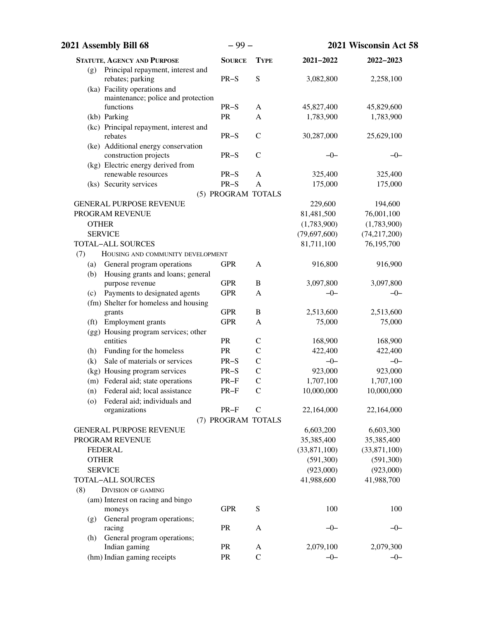| 2021 Assembly Bill 68                                              | $-99-$             |               | 2021 Wisconsin Act 58 |              |
|--------------------------------------------------------------------|--------------------|---------------|-----------------------|--------------|
| <b>STATUTE, AGENCY AND PURPOSE</b>                                 | <b>SOURCE</b>      | <b>TYPE</b>   | 2021-2022             | 2022-2023    |
| Principal repayment, interest and<br>(g)<br>rebates; parking       | $PR-S$             | S             | 3,082,800             | 2,258,100    |
| (ka) Facility operations and<br>maintenance; police and protection |                    |               |                       |              |
| functions                                                          | $PR-S$             | A             | 45,827,400            | 45,829,600   |
| (kb) Parking                                                       | PR                 | A             | 1,783,900             | 1,783,900    |
| (kc) Principal repayment, interest and                             |                    |               |                       |              |
| rebates                                                            | $PR-S$             | $\mathbf C$   | 30,287,000            | 25,629,100   |
| (ke) Additional energy conservation                                |                    |               |                       |              |
| construction projects                                              | $PR-S$             | $\mathcal{C}$ | $-0-$                 | $-0-$        |
| (kg) Electric energy derived from                                  |                    |               |                       |              |
| renewable resources                                                | $PR-S$             | $\mathbf{A}$  | 325,400               | 325,400      |
| (ks) Security services                                             | $PR-S$             | A             | 175,000               | 175,000      |
|                                                                    | (5) PROGRAM TOTALS |               |                       |              |
| <b>GENERAL PURPOSE REVENUE</b>                                     |                    |               | 229,600               | 194,600      |
| PROGRAM REVENUE                                                    |                    |               | 81,481,500            | 76,001,100   |
| <b>OTHER</b>                                                       |                    |               | (1,783,900)           | (1,783,900)  |
| <b>SERVICE</b>                                                     |                    |               | (79, 697, 600)        | (74,217,200) |
| <b>TOTAL-ALL SOURCES</b>                                           |                    |               | 81,711,100            | 76,195,700   |
| (7)<br>HOUSING AND COMMUNITY DEVELOPMENT                           |                    |               |                       |              |
| General program operations<br>(a)                                  | <b>GPR</b>         | $\mathbf{A}$  | 916,800               | 916,900      |
| Housing grants and loans; general<br>(b)                           | <b>GPR</b>         | $\, {\bf B}$  | 3,097,800             | 3,097,800    |
| purpose revenue<br>Payments to designated agents<br>(c)            | <b>GPR</b>         | A             | $-0-$                 | $-0-$        |
| (fm) Shelter for homeless and housing                              |                    |               |                       |              |
| grants                                                             | <b>GPR</b>         | $\, {\bf B}$  | 2,513,600             | 2,513,600    |
| Employment grants<br>(f <sub>t</sub> )                             | <b>GPR</b>         | A             | 75,000                | 75,000       |
| (gg) Housing program services; other                               |                    |               |                       |              |
| entities                                                           | PR                 | $\mathsf{C}$  | 168,900               | 168,900      |
| Funding for the homeless<br>(h)                                    | PR                 | $\mathsf{C}$  | 422,400               | 422,400      |
| Sale of materials or services<br>(k)                               | $PR-S$             | $\mathsf{C}$  | $-0-$                 | $-0-$        |
| (kg) Housing program services                                      | $PR-S$             | $\mathbf C$   | 923,000               | 923,000      |
| (m) Federal aid; state operations                                  | $PR-F$             | $\mathbf C$   | 1,707,100             | 1,707,100    |
| Federal aid; local assistance<br>(n)                               | PR-F               | $\mathbf C$   | 10,000,000            | 10,000,000   |
| Federal aid; individuals and<br>(0)                                |                    |               |                       |              |
| organizations                                                      | $PR-F$             | $\mathcal{C}$ | 22,164,000            | 22,164,000   |
|                                                                    | (7) PROGRAM TOTALS |               |                       |              |
| <b>GENERAL PURPOSE REVENUE</b>                                     |                    |               | 6,603,200             | 6,603,300    |
| PROGRAM REVENUE                                                    |                    |               | 35,385,400            | 35,385,400   |
| <b>FEDERAL</b>                                                     |                    |               | (33,871,100)          | (33,871,100) |
| <b>OTHER</b>                                                       |                    |               | (591,300)             | (591,300)    |
| <b>SERVICE</b>                                                     |                    |               | (923,000)             | (923,000)    |
| <b>TOTAL-ALL SOURCES</b>                                           |                    |               | 41,988,600            | 41,988,700   |
| (8)<br><b>DIVISION OF GAMING</b>                                   |                    |               |                       |              |
| (am) Interest on racing and bingo                                  |                    |               |                       |              |
| moneys                                                             | <b>GPR</b>         | ${\bf S}$     | 100                   | 100          |
| General program operations;<br>(g)                                 | PR                 |               | $-0-$                 |              |
| racing                                                             |                    | A             |                       | $-0-$        |
| General program operations;<br>(h)<br>Indian gaming                | PR                 | A             | 2,079,100             | 2,079,300    |
| (hm) Indian gaming receipts                                        | PR                 | $\mathcal{C}$ | $-0-$                 | $-0-$        |
|                                                                    |                    |               |                       |              |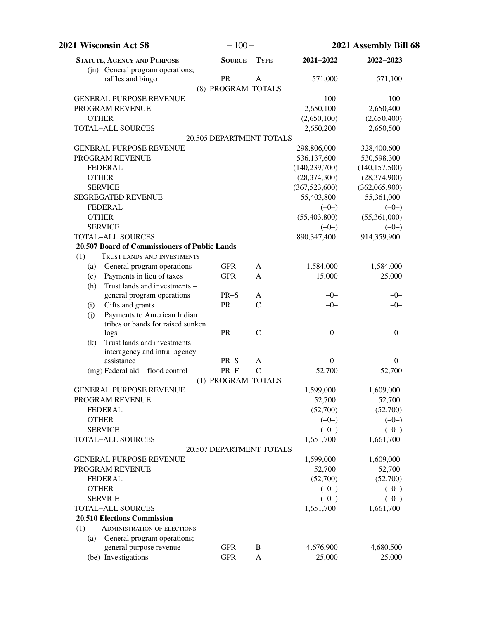| $-100-$<br><b>2021 Wisconsin Act 58</b>                              |                          | 2021 Assembly Bill 68 |                 |                 |
|----------------------------------------------------------------------|--------------------------|-----------------------|-----------------|-----------------|
| <b>STATUTE, AGENCY AND PURPOSE</b>                                   | <b>SOURCE</b>            | <b>TYPE</b>           | 2021-2022       | 2022-2023       |
| (in) General program operations;<br>raffles and bingo                | <b>PR</b>                | A                     | 571,000         | 571,100         |
|                                                                      | (8) PROGRAM TOTALS       |                       |                 |                 |
| <b>GENERAL PURPOSE REVENUE</b>                                       |                          |                       | 100             | 100             |
| PROGRAM REVENUE                                                      |                          |                       | 2,650,100       | 2,650,400       |
| <b>OTHER</b>                                                         |                          |                       | (2,650,100)     | (2,650,400)     |
| <b>TOTAL-ALL SOURCES</b>                                             |                          |                       | 2,650,200       | 2,650,500       |
|                                                                      | 20.505 DEPARTMENT TOTALS |                       |                 |                 |
| <b>GENERAL PURPOSE REVENUE</b>                                       |                          |                       | 298,806,000     | 328,400,600     |
| PROGRAM REVENUE                                                      |                          |                       | 536,137,600     | 530,598,300     |
| <b>FEDERAL</b>                                                       |                          |                       | (140, 239, 700) | (140, 157, 500) |
| <b>OTHER</b>                                                         |                          |                       | (28, 374, 300)  | (28, 374, 900)  |
| <b>SERVICE</b>                                                       |                          |                       | (367, 523, 600) | (362,065,900)   |
| <b>SEGREGATED REVENUE</b>                                            |                          |                       | 55,403,800      | 55,361,000      |
| <b>FEDERAL</b>                                                       |                          |                       | $(-0-)$         | $(-0-)$         |
| <b>OTHER</b>                                                         |                          |                       | (55, 403, 800)  | (55,361,000)    |
| <b>SERVICE</b>                                                       |                          |                       | $(-0-)$         | $(-0-)$         |
| <b>TOTAL-ALL SOURCES</b>                                             |                          |                       | 890,347,400     | 914,359,900     |
| 20.507 Board of Commissioners of Public Lands                        |                          |                       |                 |                 |
| (1)<br>TRUST LANDS AND INVESTMENTS                                   |                          |                       |                 |                 |
| General program operations<br>(a)                                    | <b>GPR</b>               | A                     | 1,584,000       | 1,584,000       |
| Payments in lieu of taxes<br>(c)                                     | <b>GPR</b>               | A                     | 15,000          | 25,000          |
| Trust lands and investments -<br>(h)                                 |                          |                       |                 |                 |
| general program operations                                           | $PR-S$                   | A                     | $-0-$           | $-0-$           |
| Gifts and grants<br>(i)                                              | PR                       | $\mathcal{C}$         | $-0-$           | $-0-$           |
| Payments to American Indian<br>(j)                                   |                          |                       |                 |                 |
| tribes or bands for raised sunken                                    |                          |                       |                 |                 |
| logs                                                                 | PR                       | $\mathcal{C}$         | $-0-$           | $-0-$           |
| Trust lands and investments -<br>(k)<br>interagency and intra-agency |                          |                       |                 |                 |
| assistance                                                           | $PR-S$                   | A                     | $-0-$           | $-0-$           |
| (mg) Federal aid - flood control                                     | $PR-F$                   | $\mathsf{C}$          | 52,700          | 52,700          |
|                                                                      | (1) PROGRAM TOTALS       |                       |                 |                 |
| <b>GENERAL PURPOSE REVENUE</b>                                       |                          |                       | 1,599,000       | 1,609,000       |
| PROGRAM REVENUE                                                      |                          |                       | 52,700          | 52,700          |
| <b>FEDERAL</b>                                                       |                          |                       | (52,700)        | (52,700)        |
| <b>OTHER</b>                                                         |                          |                       | $(-0-)$         | $(-0-)$         |
| <b>SERVICE</b>                                                       |                          |                       | $(-0-)$         | $(-0-)$         |
| <b>TOTAL-ALL SOURCES</b>                                             |                          |                       | 1,651,700       | 1,661,700       |
|                                                                      | 20.507 DEPARTMENT TOTALS |                       |                 |                 |
| <b>GENERAL PURPOSE REVENUE</b>                                       |                          |                       | 1,599,000       | 1,609,000       |
| PROGRAM REVENUE                                                      |                          |                       | 52,700          | 52,700          |
| <b>FEDERAL</b>                                                       |                          |                       | (52,700)        | (52,700)        |
| <b>OTHER</b>                                                         |                          |                       | $(-0-)$         | $(-0-)$         |
| <b>SERVICE</b>                                                       |                          |                       | $(-0-)$         | $(-0-)$         |
| <b>TOTAL-ALL SOURCES</b>                                             |                          |                       | 1,651,700       | 1,661,700       |
| <b>20.510 Elections Commission</b>                                   |                          |                       |                 |                 |
| (1)<br><b>ADMINISTRATION OF ELECTIONS</b>                            |                          |                       |                 |                 |
| General program operations;<br>(a)                                   |                          |                       |                 |                 |
| general purpose revenue                                              | <b>GPR</b>               | B                     | 4,676,900       | 4,680,500       |
| (be) Investigations                                                  | <b>GPR</b>               | A                     | 25,000          | 25,000          |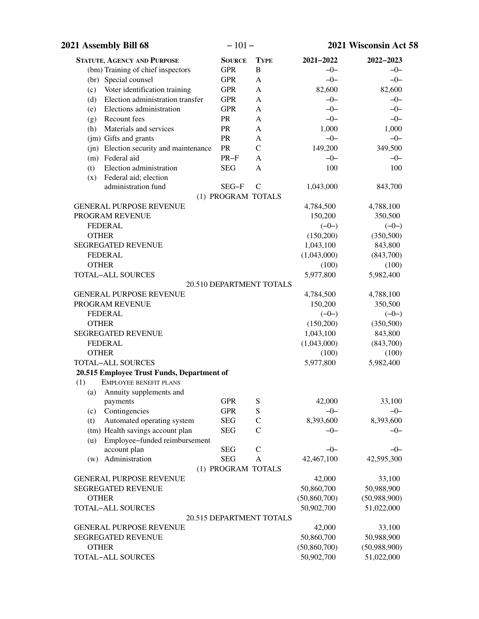| 2021 Assembly Bill 68                      | $-101-$            |                          |                | 2021 Wisconsin Act 58 |
|--------------------------------------------|--------------------|--------------------------|----------------|-----------------------|
| <b>STATUTE, AGENCY AND PURPOSE</b>         | <b>SOURCE</b>      | <b>TYPE</b>              | 2021-2022      | 2022-2023             |
| (bm) Training of chief inspectors          | <b>GPR</b>         | B                        | $-0-$          | $-0-$                 |
| (br) Special counsel                       | <b>GPR</b>         | A                        | $-0-$          | $-0-$                 |
| Voter identification training<br>(c)       | <b>GPR</b>         | A                        | 82,600         | 82,600                |
| Election administration transfer<br>(d)    | <b>GPR</b>         | A                        | $-0-$          | $-0-$                 |
| Elections administration<br>(e)            | <b>GPR</b>         | A                        | $-0-$          | $-0-$                 |
| Recount fees<br>(g)                        | PR                 | A                        | $-0-$          | $-0-$                 |
| Materials and services<br>(h)              | PR                 | A                        | 1,000          | 1,000                 |
| (jm) Gifts and grants                      | PR                 | A                        | $-0-$          | $-0-$                 |
| (jn) Election security and maintenance     | PR                 | $\mathcal{C}$            | 149,200        | 349,500               |
| (m) Federal aid                            | $PR-F$             | A                        | $-0-$          | $-0-$                 |
| Election administration<br>(t)             | <b>SEG</b>         | A                        | 100            | 100                   |
| Federal aid; election<br>(x)               |                    |                          |                |                       |
| administration fund                        | SEG-F              | $\mathcal{C}$            | 1,043,000      | 843,700               |
|                                            | (1) PROGRAM TOTALS |                          |                |                       |
| <b>GENERAL PURPOSE REVENUE</b>             |                    |                          | 4,784,500      | 4,788,100             |
| PROGRAM REVENUE                            |                    |                          | 150,200        | 350,500               |
| <b>FEDERAL</b>                             |                    |                          | $(-0-)$        | $(-0-)$               |
| <b>OTHER</b>                               |                    |                          | (150,200)      | (350,500)             |
| <b>SEGREGATED REVENUE</b>                  |                    |                          | 1,043,100      | 843,800               |
| <b>FEDERAL</b>                             |                    |                          | (1,043,000)    | (843,700)             |
| <b>OTHER</b>                               |                    |                          | (100)          | (100)                 |
| <b>TOTAL-ALL SOURCES</b>                   |                    |                          | 5,977,800      | 5,982,400             |
|                                            |                    | 20.510 DEPARTMENT TOTALS |                |                       |
| <b>GENERAL PURPOSE REVENUE</b>             |                    |                          | 4,784,500      | 4,788,100             |
| PROGRAM REVENUE                            |                    |                          | 150,200        | 350,500               |
| <b>FEDERAL</b>                             |                    |                          | $(-0-)$        | $(-0-)$               |
| <b>OTHER</b>                               |                    |                          | (150,200)      | (350,500)             |
| <b>SEGREGATED REVENUE</b>                  |                    |                          | 1,043,100      | 843,800               |
| <b>FEDERAL</b>                             |                    |                          | (1,043,000)    | (843,700)             |
| <b>OTHER</b>                               |                    |                          | (100)          | (100)                 |
| TOTAL-ALL SOURCES                          |                    |                          | 5,977,800      | 5,982,400             |
| 20.515 Employee Trust Funds, Department of |                    |                          |                |                       |
| (1)<br><b>EMPLOYEE BENEFIT PLANS</b>       |                    |                          |                |                       |
| (a)<br>Annuity supplements and<br>payments | <b>GPR</b>         | S                        | 42,000         | 33,100                |
| Contingencies<br>(c)                       | <b>GPR</b>         | S                        | $-0-$          | $-0-$                 |
| Automated operating system<br>(t)          | <b>SEG</b>         | $\mathsf{C}$             | 8,393,600      | 8,393,600             |
| (tm) Health savings account plan           | <b>SEG</b>         | $\overline{C}$           | $-0-$          | $-0-$                 |
| Employee-funded reimbursement<br>(u)       |                    |                          |                |                       |
| account plan                               | <b>SEG</b>         | $\mathcal{C}$            | $-0-$          | $-0-$                 |
| Administration<br>(w)                      | <b>SEG</b>         | $\mathbf{A}$             | 42,467,100     | 42,595,300            |
|                                            | (1) PROGRAM TOTALS |                          |                |                       |
| <b>GENERAL PURPOSE REVENUE</b>             |                    |                          | 42,000         | 33,100                |
| <b>SEGREGATED REVENUE</b>                  |                    |                          | 50,860,700     | 50,988,900            |
| <b>OTHER</b>                               |                    |                          | (50, 860, 700) | (50,988,900)          |
| TOTAL-ALL SOURCES                          |                    |                          | 50,902,700     | 51,022,000            |
|                                            |                    | 20.515 DEPARTMENT TOTALS |                |                       |
| <b>GENERAL PURPOSE REVENUE</b>             |                    |                          | 42,000         | 33,100                |
| <b>SEGREGATED REVENUE</b>                  |                    |                          | 50,860,700     | 50,988,900            |
| <b>OTHER</b>                               |                    |                          | (50, 860, 700) | (50,988,900)          |
| <b>TOTAL-ALL SOURCES</b>                   |                    |                          | 50,902,700     | 51,022,000            |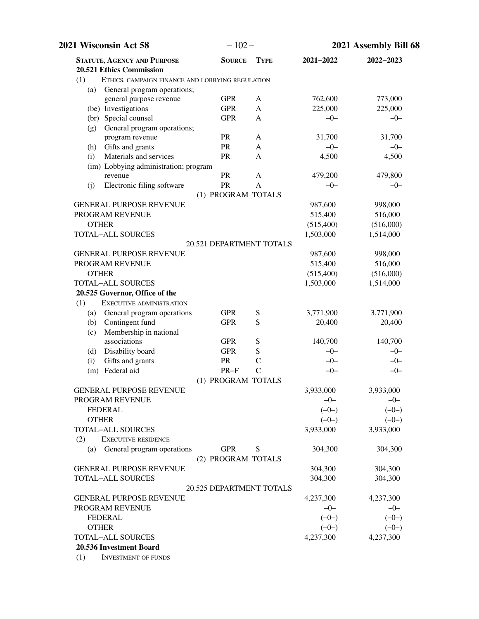| 2021 Wisconsin Act 58                                   | $-102-$                  |               | 2021 Assembly Bill 68 |           |
|---------------------------------------------------------|--------------------------|---------------|-----------------------|-----------|
| <b>STATUTE, AGENCY AND PURPOSE</b>                      | <b>SOURCE</b>            | <b>TYPE</b>   | 2021-2022             | 2022-2023 |
| 20.521 Ethics Commission                                |                          |               |                       |           |
| (1)<br>ETHICS, CAMPAIGN FINANCE AND LOBBYING REGULATION |                          |               |                       |           |
| General program operations;<br>(a)                      |                          |               |                       |           |
| general purpose revenue                                 | <b>GPR</b>               | A             | 762,600               | 773,000   |
| (be) Investigations                                     | <b>GPR</b>               | A             | 225,000               | 225,000   |
| (br) Special counsel                                    | <b>GPR</b>               | A             | $-0-$                 | $-0-$     |
| General program operations;<br>(g)                      |                          |               |                       |           |
| program revenue                                         | <b>PR</b>                | A             | 31,700                | 31,700    |
| Gifts and grants<br>(h)                                 | PR                       | A             | $-0-$                 | $-0-$     |
| Materials and services<br>(i)                           | PR                       | A             | 4,500                 | 4,500     |
| (im) Lobbying administration; program                   |                          |               |                       |           |
| revenue                                                 | PR                       | A             | 479,200               | 479,800   |
| Electronic filing software<br>(i)                       | PR                       | $\mathsf{A}$  | $-0-$                 | $-0-$     |
|                                                         | (1) PROGRAM TOTALS       |               |                       |           |
| <b>GENERAL PURPOSE REVENUE</b>                          |                          |               | 987,600               | 998,000   |
| PROGRAM REVENUE                                         |                          |               | 515,400               | 516,000   |
| <b>OTHER</b>                                            |                          |               | (515,400)             | (516,000) |
| <b>TOTAL-ALL SOURCES</b>                                |                          |               | 1,503,000             | 1,514,000 |
|                                                         | 20.521 DEPARTMENT TOTALS |               |                       |           |
| <b>GENERAL PURPOSE REVENUE</b>                          |                          |               | 987,600               | 998,000   |
| PROGRAM REVENUE                                         |                          |               | 515,400               | 516,000   |
| <b>OTHER</b>                                            |                          |               | (515,400)             | (516,000) |
| <b>TOTAL-ALL SOURCES</b>                                |                          |               | 1,503,000             | 1,514,000 |
| 20.525 Governor, Office of the                          |                          |               |                       |           |
| (1)<br>EXECUTIVE ADMINISTRATION                         |                          |               |                       |           |
| General program operations<br>(a)                       | <b>GPR</b>               | S             | 3,771,900             | 3,771,900 |
| Contingent fund<br>(b)                                  | <b>GPR</b>               | S             | 20,400                | 20,400    |
| Membership in national<br>(c)                           |                          |               |                       |           |
| associations                                            | <b>GPR</b>               | S             | 140,700               | 140,700   |
| Disability board<br>(d)                                 | <b>GPR</b>               | S             | $-0-$                 | $-0-$     |
| Gifts and grants<br>(i)                                 | <b>PR</b>                | $\mathcal{C}$ | $-0-$                 | $-0-$     |
| (m) Federal aid                                         | $PR-F$                   | $\mathcal{C}$ | $-0-$                 | $-0-$     |
|                                                         | (1) PROGRAM TOTALS       |               |                       |           |
| <b>GENERAL PURPOSE REVENUE</b>                          |                          |               | 3,933,000             | 3,933,000 |
| PROGRAM REVENUE                                         |                          |               | $-0-$                 | $-0-$     |
| <b>FEDERAL</b>                                          |                          |               | $(-0-)$               | $(-0-)$   |
| <b>OTHER</b>                                            |                          |               | $(-0-)$               | $(-0-)$   |
| <b>TOTAL-ALL SOURCES</b>                                |                          |               | 3,933,000             | 3,933,000 |
| <b>EXECUTIVE RESIDENCE</b><br>(2)                       |                          |               |                       |           |
| General program operations<br>(a)                       | <b>GPR</b>               | S             | 304,300               | 304,300   |
|                                                         | (2) PROGRAM TOTALS       |               |                       |           |
| <b>GENERAL PURPOSE REVENUE</b>                          |                          |               | 304,300               | 304,300   |
| <b>TOTAL-ALL SOURCES</b>                                |                          |               | 304,300               | 304,300   |
|                                                         | 20.525 DEPARTMENT TOTALS |               |                       |           |
| <b>GENERAL PURPOSE REVENUE</b>                          |                          |               | 4,237,300             | 4,237,300 |
| PROGRAM REVENUE                                         |                          |               | $-0-$                 | $-0-$     |
| <b>FEDERAL</b>                                          |                          |               | $(-0-)$               | $(-0-)$   |
| <b>OTHER</b>                                            |                          |               | $(-0-)$               | $(-0-)$   |
| <b>TOTAL-ALL SOURCES</b>                                |                          |               | 4,237,300             | 4,237,300 |
| 20.536 Investment Board                                 |                          |               |                       |           |
| <b>INVESTMENT OF FUNDS</b><br>(1)                       |                          |               |                       |           |
|                                                         |                          |               |                       |           |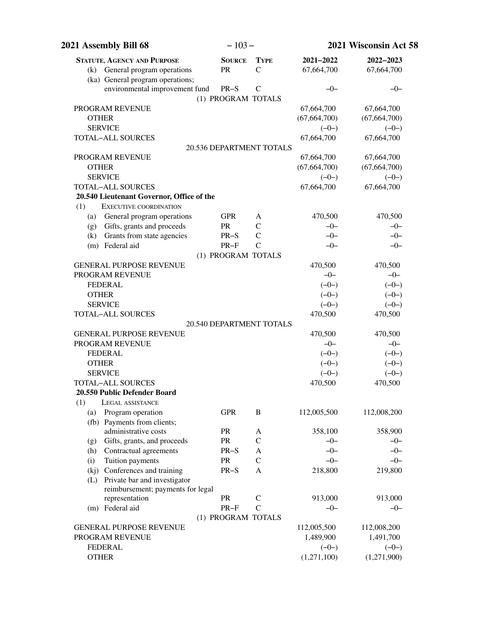| 2021 Assembly Bill 68                                | $-103-$            |                                 |                | 2021 Wisconsin Act 58 |
|------------------------------------------------------|--------------------|---------------------------------|----------------|-----------------------|
| <b>STATUTE, AGENCY AND PURPOSE</b>                   | <b>SOURCE</b>      | <b>TYPE</b>                     | 2021-2022      | 2022-2023             |
| (k) General program operations                       | PR                 | $\mathcal{C}$                   | 67,664,700     | 67,664,700            |
| (ka) General program operations;                     |                    |                                 |                |                       |
| environmental improvement fund                       | $PR-S$             | $\mathcal{C}$                   | $-0-$          | $-0-$                 |
|                                                      | (1) PROGRAM TOTALS |                                 |                |                       |
| PROGRAM REVENUE                                      |                    |                                 | 67,664,700     | 67,664,700            |
| <b>OTHER</b>                                         |                    |                                 | (67, 664, 700) | (67, 664, 700)        |
| <b>SERVICE</b>                                       |                    |                                 | $(-0-)$        | $(-0-)$               |
| <b>TOTAL-ALL SOURCES</b>                             |                    |                                 | 67,664,700     | 67,664,700            |
|                                                      |                    | 20.536 DEPARTMENT TOTALS        |                |                       |
| PROGRAM REVENUE                                      |                    |                                 | 67,664,700     | 67,664,700            |
| <b>OTHER</b>                                         |                    |                                 | (67, 664, 700) | (67, 664, 700)        |
| <b>SERVICE</b>                                       |                    |                                 | $(-0-)$        | $(-0-)$               |
| <b>TOTAL-ALL SOURCES</b>                             |                    |                                 | 67,664,700     | 67,664,700            |
| 20.540 Lieutenant Governor, Office of the            |                    |                                 |                |                       |
| <b>EXECUTIVE COORDINATION</b><br>(1)                 |                    |                                 |                |                       |
| General program operations<br>(a)                    | <b>GPR</b>         | A                               | 470,500        | 470,500               |
| (g) Gifts, grants and proceeds                       | PR                 | $\mathcal{C}$                   | $-0-$          | $-0-$                 |
| Grants from state agencies<br>(k)<br>(m) Federal aid | $PR-S$             | $\mathcal{C}$<br>$\overline{C}$ | $-0-$<br>$-0-$ | $-0-$                 |
|                                                      | $PR-F$             |                                 |                | $-0-$                 |
| <b>GENERAL PURPOSE REVENUE</b>                       | (1) PROGRAM TOTALS |                                 | 470,500        | 470,500               |
| PROGRAM REVENUE                                      |                    |                                 | $-0-$          | $-0-$                 |
| <b>FEDERAL</b>                                       |                    |                                 | $(-0-)$        | $(-0-)$               |
| <b>OTHER</b>                                         |                    |                                 | $(-0-)$        | $(-0-)$               |
| <b>SERVICE</b>                                       |                    |                                 | $(-0-)$        | $(-0-)$               |
| <b>TOTAL-ALL SOURCES</b>                             |                    |                                 | 470,500        | 470,500               |
|                                                      |                    | 20.540 DEPARTMENT TOTALS        |                |                       |
| <b>GENERAL PURPOSE REVENUE</b>                       |                    |                                 | 470,500        | 470,500               |
| PROGRAM REVENUE                                      |                    |                                 | $-0-$          | $-0-$                 |
| <b>FEDERAL</b>                                       |                    |                                 | $(-0-)$        | $(-0-)$               |
| <b>OTHER</b>                                         |                    |                                 | $(-0-)$        | $(-0-)$               |
| <b>SERVICE</b>                                       |                    |                                 | $(-0-)$        | $(-0-)$               |
| <b>TOTAL-ALL SOURCES</b>                             |                    |                                 | 470,500        | 470,500               |
| 20.550 Public Defender Board                         |                    |                                 |                |                       |
| (1)<br>LEGAL ASSISTANCE                              |                    |                                 |                |                       |
| Program operation<br>(a)                             | <b>GPR</b>         | B                               | 112,005,500    | 112,008,200           |
| (fb) Payments from clients;                          |                    |                                 |                |                       |
| administrative costs                                 | PR                 | A                               | 358,100        | 358,900               |
| Gifts, grants, and proceeds<br>(g)                   | PR                 | $\mathcal{C}$                   | $-0-$          | $-0-$                 |
| Contractual agreements<br>(h)                        | $PR-S$             | A                               | $-0-$          | $-0-$                 |
| Tuition payments<br>(i)                              | PR                 | $\mathsf{C}$                    | $-0-$          | $-0-$                 |
| (kj) Conferences and training                        | $PR-S$             | A                               | 218,800        | 219,800               |
| Private bar and investigator<br>(L)                  |                    |                                 |                |                       |
| reimbursement; payments for legal                    |                    |                                 |                |                       |
| representation                                       | ${\sf PR}$         | $\mathcal{C}$                   | 913,000        | 913,000               |
| (m) Federal aid                                      | $PR-F$             | $\overline{C}$                  | $-0-$          | $-0-$                 |
|                                                      | (1) PROGRAM TOTALS |                                 |                |                       |
| <b>GENERAL PURPOSE REVENUE</b>                       |                    |                                 | 112,005,500    | 112,008,200           |
| PROGRAM REVENUE                                      |                    |                                 | 1,489,900      | 1,491,700             |
| <b>FEDERAL</b>                                       |                    |                                 | $(-0-)$        | $(-0-)$               |
| <b>OTHER</b>                                         |                    |                                 | (1,271,100)    | (1,271,900)           |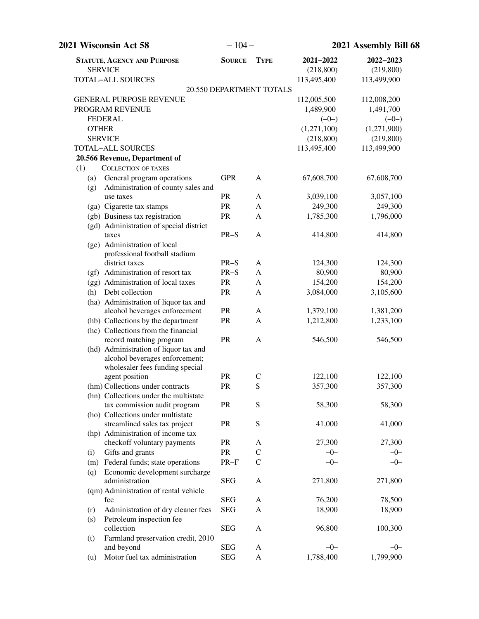| 2021 Wisconsin Act 58                                                          | $-104-$       |                          | 2021 Assembly Bill 68 |             |
|--------------------------------------------------------------------------------|---------------|--------------------------|-----------------------|-------------|
| <b>STATUTE, AGENCY AND PURPOSE</b>                                             | <b>SOURCE</b> | <b>TYPE</b>              | 2021-2022             | 2022-2023   |
| <b>SERVICE</b>                                                                 |               |                          | (218, 800)            | (219, 800)  |
| TOTAL-ALL SOURCES                                                              |               |                          | 113,495,400           | 113,499,900 |
|                                                                                |               | 20.550 DEPARTMENT TOTALS |                       |             |
| <b>GENERAL PURPOSE REVENUE</b>                                                 |               |                          | 112,005,500           | 112,008,200 |
| PROGRAM REVENUE                                                                |               |                          | 1,489,900             | 1,491,700   |
| <b>FEDERAL</b>                                                                 |               |                          | $(-0-)$               | $(-0-)$     |
| <b>OTHER</b>                                                                   |               |                          | (1,271,100)           | (1,271,900) |
| <b>SERVICE</b>                                                                 |               |                          | (218, 800)            | (219, 800)  |
| TOTAL-ALL SOURCES                                                              |               |                          | 113,495,400           | 113,499,900 |
| 20.566 Revenue, Department of                                                  |               |                          |                       |             |
| <b>COLLECTION OF TAXES</b><br>(1)                                              |               |                          |                       |             |
| General program operations<br>(a)<br>Administration of county sales and<br>(g) | <b>GPR</b>    | A                        | 67,608,700            | 67,608,700  |
| use taxes                                                                      | PR            | A                        | 3,039,100             | 3,057,100   |
| (ga) Cigarette tax stamps                                                      | PR            | $\mathbf{A}$             | 249,300               | 249,300     |
| (gb) Business tax registration                                                 | PR            | A                        | 1,785,300             | 1,796,000   |
| (gd) Administration of special district                                        |               |                          |                       |             |
| taxes                                                                          | $PR-S$        | A                        | 414,800               | 414,800     |
| (ge) Administration of local                                                   |               |                          |                       |             |
| professional football stadium                                                  |               |                          |                       |             |
| district taxes                                                                 | $PR-S$        | A                        | 124,300               | 124,300     |
| (gf) Administration of resort tax                                              | $PR-S$        | A                        | 80,900                | 80,900      |
| (gg) Administration of local taxes                                             | PR            | $\mathbf{A}$             | 154,200               | 154,200     |
| Debt collection<br>(h)                                                         | PR            | A                        | 3,084,000             | 3,105,600   |
| (ha) Administration of liquor tax and                                          |               |                          |                       |             |
| alcohol beverages enforcement                                                  | PR            | A                        | 1,379,100             | 1,381,200   |
| (hb) Collections by the department                                             | PR            | $\mathbf{A}$             | 1,212,800             | 1,233,100   |
| (hc) Collections from the financial                                            |               |                          |                       |             |
| record matching program                                                        | PR            | A                        | 546,500               | 546,500     |
| (hd) Administration of liquor tax and<br>alcohol beverages enforcement;        |               |                          |                       |             |
| wholesaler fees funding special                                                |               |                          |                       |             |
| agent position                                                                 | <b>PR</b>     | $\mathsf{C}$             | 122,100               | 122,100     |
| (hm) Collections under contracts                                               | PR            | S                        | 357,300               | 357,300     |
| (hn) Collections under the multistate                                          |               |                          |                       |             |
| tax commission audit program                                                   | PR            | S                        | 58,300                | 58,300      |
| (ho) Collections under multistate                                              |               |                          |                       |             |
| streamlined sales tax project                                                  | PR            | ${\bf S}$                | 41,000                | 41,000      |
| (hp) Administration of income tax                                              |               |                          |                       |             |
| checkoff voluntary payments                                                    | PR            | A                        | 27,300                | 27,300      |
| Gifts and grants<br>(i)                                                        | PR            | $\mathbf C$              | $-0-$                 | $-0-$       |
| (m) Federal funds; state operations                                            | $PR-F$        | $\mathsf{C}$             | $-0-$                 | $-0-$       |
| Economic development surcharge<br>(q)                                          |               |                          |                       |             |
| administration                                                                 | <b>SEG</b>    | A                        | 271,800               | 271,800     |
| (qm) Administration of rental vehicle                                          |               |                          |                       |             |
| fee                                                                            | <b>SEG</b>    | A                        | 76,200                | 78,500      |
| Administration of dry cleaner fees<br>(r)                                      | <b>SEG</b>    | A                        | 18,900                | 18,900      |
| Petroleum inspection fee<br>(s)                                                |               |                          |                       |             |
| collection                                                                     | <b>SEG</b>    | A                        | 96,800                | 100,300     |
| Farmland preservation credit, 2010<br>(t)                                      |               |                          |                       |             |
| and beyond                                                                     | <b>SEG</b>    | A                        | $-0-$                 | $-0-$       |
| Motor fuel tax administration<br>(u)                                           | <b>SEG</b>    | $\mathbf{A}$             | 1,788,400             | 1,799,900   |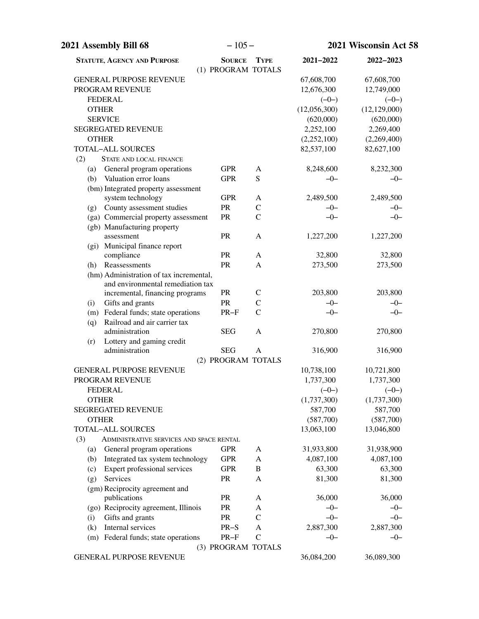| 2021 Assembly Bill 68                                                        | $-105-$                             |                                |                      | 2021 Wisconsin Act 58 |
|------------------------------------------------------------------------------|-------------------------------------|--------------------------------|----------------------|-----------------------|
| <b>STATUTE, AGENCY AND PURPOSE</b>                                           | <b>SOURCE</b><br>(1) PROGRAM TOTALS | <b>TYPE</b>                    | 2021-2022            | 2022-2023             |
| <b>GENERAL PURPOSE REVENUE</b>                                               |                                     |                                | 67,608,700           | 67,608,700            |
| PROGRAM REVENUE                                                              |                                     |                                | 12,676,300           | 12,749,000            |
| <b>FEDERAL</b>                                                               |                                     |                                | $(-0-)$              | $(-0-)$               |
| <b>OTHER</b>                                                                 |                                     |                                | (12,056,300)         | (12, 129, 000)        |
| <b>SERVICE</b>                                                               |                                     |                                | (620,000)            | (620,000)             |
| <b>SEGREGATED REVENUE</b>                                                    |                                     |                                | 2,252,100            | 2,269,400             |
| <b>OTHER</b>                                                                 |                                     |                                | (2,252,100)          | (2,269,400)           |
| <b>TOTAL-ALL SOURCES</b>                                                     |                                     |                                | 82,537,100           | 82,627,100            |
| (2)<br><b>STATE AND LOCAL FINANCE</b>                                        |                                     |                                |                      |                       |
| General program operations<br>(a)                                            | <b>GPR</b>                          | A                              | 8,248,600            | 8,232,300             |
| Valuation error loans<br>(b)                                                 | <b>GPR</b>                          | ${\bf S}$                      | $-0-$                | $-0-$                 |
| (bm) Integrated property assessment                                          |                                     |                                |                      |                       |
| system technology                                                            | <b>GPR</b>                          | A                              | 2,489,500            | 2,489,500             |
| County assessment studies<br>(g)                                             | PR                                  | $\mathcal{C}$<br>$\mathcal{C}$ | $-0-$                | $-0-$                 |
| (ga) Commercial property assessment                                          | PR                                  |                                | $-0-$                | $-0-$                 |
| (gb) Manufacturing property<br>assessment                                    | PR                                  | A                              | 1,227,200            | 1,227,200             |
| (gi) Municipal finance report                                                |                                     |                                |                      |                       |
| compliance                                                                   | PR                                  | A                              | 32,800               | 32,800                |
| Reassessments<br>(h)                                                         | PR                                  | A                              | 273,500              | 273,500               |
| (hm) Administration of tax incremental,<br>and environmental remediation tax |                                     |                                |                      |                       |
| incremental, financing programs                                              | PR                                  | $\mathsf{C}$                   | 203,800              | 203,800               |
| (i)<br>Gifts and grants                                                      | PR                                  | $\mathsf{C}$                   | $-0-$                | $-0-$                 |
| (m) Federal funds; state operations                                          | $PR-F$                              | $\overline{C}$                 | $-0-$                | $-0-$                 |
| Railroad and air carrier tax<br>(q)                                          |                                     |                                |                      |                       |
| administration                                                               | <b>SEG</b>                          | A                              | 270,800              | 270,800               |
| Lottery and gaming credit<br>(r)                                             |                                     |                                |                      |                       |
| administration                                                               | <b>SEG</b>                          | A                              | 316,900              | 316,900               |
|                                                                              | (2) PROGRAM TOTALS                  |                                |                      |                       |
| <b>GENERAL PURPOSE REVENUE</b>                                               |                                     |                                | 10,738,100           | 10,721,800            |
| PROGRAM REVENUE                                                              |                                     |                                | 1,737,300            | 1,737,300             |
| FEDERAL                                                                      |                                     |                                | $(-0-)$              | $(-0-)$               |
| <b>OTHER</b>                                                                 |                                     |                                | (1,737,300)          | (1,737,300)           |
| <b>SEGREGATED REVENUE</b><br><b>OTHER</b>                                    |                                     |                                | 587,700<br>(587,700) | 587,700<br>(587,700)  |
| <b>TOTAL-ALL SOURCES</b>                                                     |                                     |                                | 13,063,100           | 13,046,800            |
| (3)<br>ADMINISTRATIVE SERVICES AND SPACE RENTAL                              |                                     |                                |                      |                       |
| General program operations<br>(a)                                            | <b>GPR</b>                          | A                              | 31,933,800           | 31,938,900            |
| Integrated tax system technology<br>(b)                                      | <b>GPR</b>                          | A                              | 4,087,100            | 4,087,100             |
| Expert professional services<br>(c)                                          | <b>GPR</b>                          | B                              | 63,300               | 63,300                |
| Services<br>(g)                                                              | PR                                  | A                              | 81,300               | 81,300                |
| (gm) Reciprocity agreement and                                               |                                     |                                |                      |                       |
| publications                                                                 | PR                                  | A                              | 36,000               | 36,000                |
| (go) Reciprocity agreement, Illinois                                         | PR                                  | A                              | $-0-$                | $-0-$                 |
| Gifts and grants<br>(i)                                                      | PR                                  | $\mathcal{C}$                  | $-0-$                | $-0-$                 |
| Internal services<br>(k)                                                     | $PR-S$                              | A                              | 2,887,300            | 2,887,300             |
| (m) Federal funds; state operations                                          | $PR-F$                              | $\mathcal{C}$                  | $-0-$                | $-0-$                 |
|                                                                              | (3) PROGRAM TOTALS                  |                                |                      |                       |
| <b>GENERAL PURPOSE REVENUE</b>                                               |                                     |                                | 36,084,200           | 36,089,300            |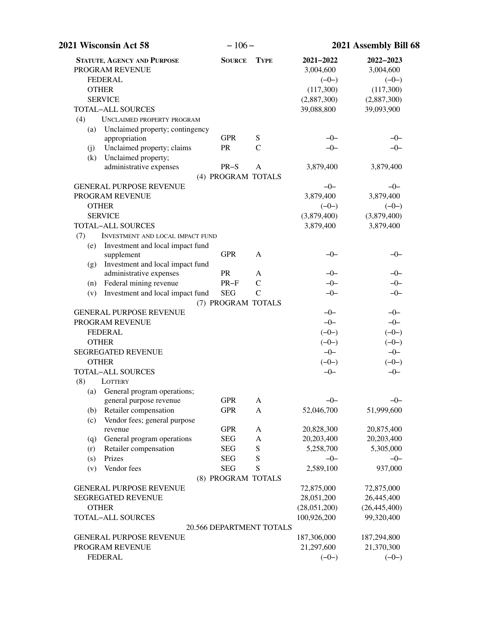| 2021 Wisconsin Act 58                                                                                                                                                                                                | $-106-$                  |               | 2021 Assembly Bill 68                                                       |                                                                             |  |
|----------------------------------------------------------------------------------------------------------------------------------------------------------------------------------------------------------------------|--------------------------|---------------|-----------------------------------------------------------------------------|-----------------------------------------------------------------------------|--|
| <b>STATUTE, AGENCY AND PURPOSE</b><br>PROGRAM REVENUE<br><b>FEDERAL</b><br><b>OTHER</b><br><b>SERVICE</b><br><b>TOTAL-ALL SOURCES</b><br>(4)<br>UNCLAIMED PROPERTY PROGRAM<br>Unclaimed property; contingency<br>(a) | <b>SOURCE</b>            | <b>TYPE</b>   | 2021-2022<br>3,004,600<br>$(-0-)$<br>(117,300)<br>(2,887,300)<br>39,088,800 | 2022-2023<br>3,004,600<br>$(-0-)$<br>(117,300)<br>(2,887,300)<br>39,093,900 |  |
| appropriation                                                                                                                                                                                                        | <b>GPR</b>               | ${\bf S}$     | $-0-$                                                                       | $-0-$                                                                       |  |
| Unclaimed property; claims<br>(j)<br>Unclaimed property;<br>(k)                                                                                                                                                      | <b>PR</b>                | $\mathcal{C}$ | $-0-$                                                                       | $-0-$                                                                       |  |
| administrative expenses                                                                                                                                                                                              | $PR-S$                   | A             | 3,879,400                                                                   | 3,879,400                                                                   |  |
|                                                                                                                                                                                                                      | (4) PROGRAM TOTALS       |               |                                                                             |                                                                             |  |
| <b>GENERAL PURPOSE REVENUE</b>                                                                                                                                                                                       |                          |               | $-0-$                                                                       | $-0-$                                                                       |  |
| PROGRAM REVENUE                                                                                                                                                                                                      |                          |               | 3,879,400                                                                   | 3,879,400                                                                   |  |
| <b>OTHER</b>                                                                                                                                                                                                         |                          |               | $(-0-)$                                                                     | $(-0-)$                                                                     |  |
| <b>SERVICE</b>                                                                                                                                                                                                       |                          |               | (3,879,400)                                                                 | (3,879,400)                                                                 |  |
| <b>TOTAL-ALL SOURCES</b>                                                                                                                                                                                             |                          |               | 3,879,400                                                                   | 3,879,400                                                                   |  |
| (7)<br><b>INVESTMENT AND LOCAL IMPACT FUND</b><br>Investment and local impact fund<br>(e)                                                                                                                            |                          |               |                                                                             |                                                                             |  |
| supplement                                                                                                                                                                                                           | <b>GPR</b>               | A             | $-0-$                                                                       | $-0-$                                                                       |  |
| Investment and local impact fund<br>(g)<br>administrative expenses                                                                                                                                                   | <b>PR</b>                | A             | $-0-$                                                                       | $-0-$                                                                       |  |
| Federal mining revenue<br>(n)                                                                                                                                                                                        | $PR-F$                   | $\mathsf{C}$  | $-0-$                                                                       | $-0-$                                                                       |  |
| Investment and local impact fund<br>(v)                                                                                                                                                                              | <b>SEG</b>               | $\mathsf{C}$  | $-0-$                                                                       | $-0-$                                                                       |  |
|                                                                                                                                                                                                                      | (7) PROGRAM TOTALS       |               |                                                                             |                                                                             |  |
| <b>GENERAL PURPOSE REVENUE</b><br>PROGRAM REVENUE<br><b>FEDERAL</b>                                                                                                                                                  |                          |               | $-0-$<br>$-0-$<br>$(-0-)$                                                   | $-0-$<br>$-0-$<br>$(-0-)$                                                   |  |
| <b>OTHER</b>                                                                                                                                                                                                         |                          |               | $(-0-)$                                                                     | $(-0-)$                                                                     |  |
| <b>SEGREGATED REVENUE</b>                                                                                                                                                                                            |                          |               | $-0-$                                                                       | $-0-$                                                                       |  |
| <b>OTHER</b>                                                                                                                                                                                                         |                          |               | $(-0-)$                                                                     | $(-0-)$                                                                     |  |
| <b>TOTAL-ALL SOURCES</b><br>(8)<br>LOTTERY                                                                                                                                                                           |                          |               | $-0-$                                                                       | $-0-$                                                                       |  |
| (a) General program operations;                                                                                                                                                                                      |                          |               |                                                                             |                                                                             |  |
| general purpose revenue                                                                                                                                                                                              | <b>GPR</b>               | A             | $-0-$                                                                       | $-0-$                                                                       |  |
| Retailer compensation<br>(b)                                                                                                                                                                                         | <b>GPR</b>               | A             | 52,046,700                                                                  | 51,999,600                                                                  |  |
| Vendor fees; general purpose<br>(c)<br>revenue                                                                                                                                                                       | <b>GPR</b>               | A             | 20,828,300                                                                  | 20,875,400                                                                  |  |
| General program operations                                                                                                                                                                                           | <b>SEG</b>               | A             | 20,203,400                                                                  | 20,203,400                                                                  |  |
| (q)<br>Retailer compensation<br>(r)                                                                                                                                                                                  | <b>SEG</b>               | ${\bf S}$     | 5,258,700                                                                   | 5,305,000                                                                   |  |
| Prizes<br>(s)                                                                                                                                                                                                        | <b>SEG</b>               | S             | $-0-$                                                                       | $-0-$                                                                       |  |
| Vendor fees<br>(v)                                                                                                                                                                                                   | <b>SEG</b>               | S             | 2,589,100                                                                   | 937,000                                                                     |  |
|                                                                                                                                                                                                                      | (8) PROGRAM TOTALS       |               |                                                                             |                                                                             |  |
| <b>GENERAL PURPOSE REVENUE</b>                                                                                                                                                                                       |                          |               | 72,875,000                                                                  | 72,875,000                                                                  |  |
| SEGREGATED REVENUE                                                                                                                                                                                                   |                          |               | 28,051,200                                                                  | 26,445,400                                                                  |  |
| <b>OTHER</b>                                                                                                                                                                                                         |                          |               | (28,051,200)                                                                | (26, 445, 400)                                                              |  |
| <b>TOTAL-ALL SOURCES</b>                                                                                                                                                                                             |                          |               | 100,926,200                                                                 | 99,320,400                                                                  |  |
|                                                                                                                                                                                                                      | 20.566 DEPARTMENT TOTALS |               |                                                                             |                                                                             |  |
| <b>GENERAL PURPOSE REVENUE</b>                                                                                                                                                                                       |                          |               | 187,306,000                                                                 | 187,294,800                                                                 |  |
| PROGRAM REVENUE                                                                                                                                                                                                      |                          |               | 21,297,600                                                                  | 21,370,300                                                                  |  |
| <b>FEDERAL</b>                                                                                                                                                                                                       |                          |               | $(-0-)$                                                                     | $(-0-)$                                                                     |  |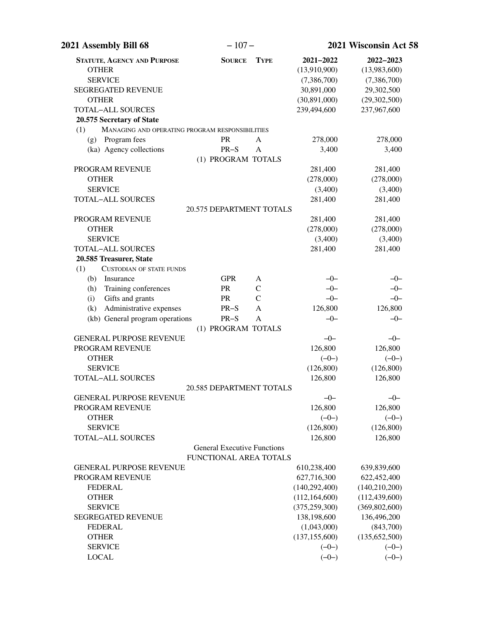| 2021 Assembly Bill 68                                  | $-107-$                                                      |               |                      | 2021 Wisconsin Act 58 |
|--------------------------------------------------------|--------------------------------------------------------------|---------------|----------------------|-----------------------|
| <b>STATUTE, AGENCY AND PURPOSE</b>                     | <b>SOURCE</b>                                                | <b>TYPE</b>   | 2021-2022            | 2022-2023             |
| <b>OTHER</b>                                           |                                                              |               | (13,910,900)         | (13,983,600)          |
| <b>SERVICE</b>                                         |                                                              |               | (7,386,700)          | (7,386,700)           |
| <b>SEGREGATED REVENUE</b>                              |                                                              |               | 30,891,000           | 29,302,500            |
| <b>OTHER</b>                                           |                                                              |               | (30,891,000)         | (29, 302, 500)        |
| <b>TOTAL-ALL SOURCES</b>                               |                                                              |               | 239,494,600          | 237,967,600           |
| 20.575 Secretary of State                              |                                                              |               |                      |                       |
| MANAGING AND OPERATING PROGRAM RESPONSIBILITIES<br>(1) |                                                              |               |                      |                       |
| Program fees<br>(g)                                    | <b>PR</b>                                                    | A             | 278,000              | 278,000               |
| (ka) Agency collections                                | $PR-S$                                                       | A             | 3,400                | 3,400                 |
|                                                        | (1) PROGRAM TOTALS                                           |               |                      |                       |
| PROGRAM REVENUE<br><b>OTHER</b>                        |                                                              |               | 281,400<br>(278,000) | 281,400               |
| <b>SERVICE</b>                                         |                                                              |               | (3,400)              | (278,000)<br>(3,400)  |
| TOTAL-ALL SOURCES                                      |                                                              |               | 281,400              | 281,400               |
|                                                        | 20.575 DEPARTMENT TOTALS                                     |               |                      |                       |
| PROGRAM REVENUE                                        |                                                              |               | 281,400              | 281,400               |
| <b>OTHER</b>                                           |                                                              |               | (278,000)            | (278,000)             |
| <b>SERVICE</b>                                         |                                                              |               | (3,400)              | (3,400)               |
| TOTAL-ALL SOURCES                                      |                                                              |               | 281,400              | 281,400               |
| 20.585 Treasurer, State                                |                                                              |               |                      |                       |
| (1)<br><b>CUSTODIAN OF STATE FUNDS</b>                 |                                                              |               |                      |                       |
| (b)<br>Insurance                                       | <b>GPR</b>                                                   | A             | $-0-$                | $-0-$                 |
| Training conferences<br>(h)                            | PR                                                           | $\mathsf{C}$  | $-0-$                | $-0-$                 |
| Gifts and grants<br>(i)                                | PR                                                           | $\mathcal{C}$ | $-0-$                | $-0-$                 |
| Administrative expenses<br>(k)                         | $PR-S$                                                       | A             | 126,800              | 126,800               |
| (kb) General program operations                        | $PR-S$                                                       | A             | $-0-$                | $-0-$                 |
|                                                        | (1) PROGRAM TOTALS                                           |               |                      |                       |
| <b>GENERAL PURPOSE REVENUE</b>                         |                                                              |               | $-0-$                | $-0-$                 |
| PROGRAM REVENUE                                        |                                                              |               | 126,800              | 126,800               |
| <b>OTHER</b>                                           |                                                              |               | $(-0-)$              | $(-0-)$               |
| <b>SERVICE</b>                                         |                                                              |               | (126, 800)           | (126, 800)            |
| <b>TOTAL-ALL SOURCES</b>                               |                                                              |               | 126,800              | 126,800               |
|                                                        | 20.585 DEPARTMENT TOTALS                                     |               |                      |                       |
| <b>GENERAL PURPOSE REVENUE</b>                         |                                                              |               | $-0-$                | $-0-$                 |
| PROGRAM REVENUE                                        |                                                              |               | 126,800              | 126,800               |
| <b>OTHER</b>                                           |                                                              |               | $(-0-)$              | $(-0-)$               |
| <b>SERVICE</b>                                         |                                                              |               | (126, 800)           | (126, 800)            |
| <b>TOTAL-ALL SOURCES</b>                               |                                                              |               | 126,800              | 126,800               |
|                                                        | <b>General Executive Functions</b><br>FUNCTIONAL AREA TOTALS |               |                      |                       |
| <b>GENERAL PURPOSE REVENUE</b>                         |                                                              |               | 610,238,400          | 639,839,600           |
| PROGRAM REVENUE                                        |                                                              |               | 627,716,300          | 622,452,400           |
| <b>FEDERAL</b>                                         |                                                              |               | (140, 292, 400)      | (140, 210, 200)       |
| <b>OTHER</b>                                           |                                                              |               | (112, 164, 600)      | (112, 439, 600)       |
| <b>SERVICE</b>                                         |                                                              |               | (375, 259, 300)      | (369, 802, 600)       |
| <b>SEGREGATED REVENUE</b>                              |                                                              |               | 138,198,600          | 136,496,200           |
| <b>FEDERAL</b>                                         |                                                              |               | (1,043,000)          | (843,700)             |
| <b>OTHER</b>                                           |                                                              |               | (137, 155, 600)      | (135, 652, 500)       |
| <b>SERVICE</b>                                         |                                                              |               | $(-0-)$              | $(-0-)$               |
| <b>LOCAL</b>                                           |                                                              |               | $(-0-)$              | $(-0-)$               |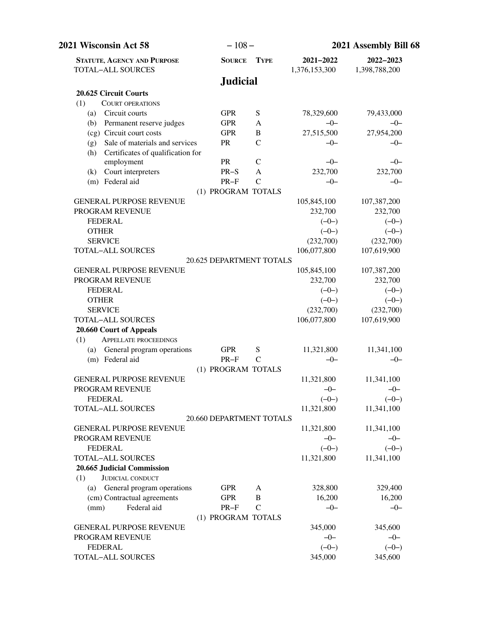| 2021 Wisconsin Act 58                                                             | $-108-$                  |               |                            | 2021 Assembly Bill 68      |  |
|-----------------------------------------------------------------------------------|--------------------------|---------------|----------------------------|----------------------------|--|
| <b>STATUTE, AGENCY AND PURPOSE</b><br><b>TOTAL-ALL SOURCES</b>                    | <b>SOURCE</b>            | <b>TYPE</b>   | 2021-2022<br>1,376,153,300 | 2022-2023<br>1,398,788,200 |  |
|                                                                                   | <b>Judicial</b>          |               |                            |                            |  |
| 20.625 Circuit Courts                                                             |                          |               |                            |                            |  |
| (1)<br><b>COURT OPERATIONS</b>                                                    |                          |               |                            |                            |  |
| Circuit courts<br>(a)                                                             | <b>GPR</b>               | S             | 78,329,600                 | 79,433,000                 |  |
| Permanent reserve judges<br>(b)                                                   | <b>GPR</b>               | A             | $-0-$                      | $-0-$                      |  |
| (cg) Circuit court costs                                                          | <b>GPR</b>               | B             | 27,515,500                 | 27,954,200                 |  |
| Sale of materials and services<br>(g)<br>Certificates of qualification for<br>(h) | <b>PR</b>                | $\mathcal{C}$ | $-0-$                      | $-0-$                      |  |
| employment                                                                        | <b>PR</b>                | $\mathcal{C}$ | $-0-$                      | $-0-$                      |  |
| Court interpreters<br>(k)                                                         | $PR-S$                   | A             | 232,700                    | 232,700                    |  |
| (m) Federal aid                                                                   | $PR-F$                   | $\mathcal{C}$ | $-0-$                      | $-0-$                      |  |
|                                                                                   | (1) PROGRAM TOTALS       |               |                            |                            |  |
| <b>GENERAL PURPOSE REVENUE</b>                                                    |                          |               | 105,845,100                | 107,387,200                |  |
| PROGRAM REVENUE                                                                   |                          |               | 232,700                    | 232,700                    |  |
| <b>FEDERAL</b>                                                                    |                          |               | $(-0-)$                    | $(-0-)$                    |  |
| <b>OTHER</b>                                                                      |                          |               | $(-0-)$                    | $(-0-)$                    |  |
| <b>SERVICE</b>                                                                    |                          |               | (232,700)                  | (232,700)                  |  |
| <b>TOTAL-ALL SOURCES</b>                                                          |                          |               | 106,077,800                | 107,619,900                |  |
|                                                                                   | 20.625 DEPARTMENT TOTALS |               |                            |                            |  |
| <b>GENERAL PURPOSE REVENUE</b>                                                    |                          |               | 105,845,100                | 107,387,200                |  |
| PROGRAM REVENUE                                                                   |                          |               | 232,700                    | 232,700                    |  |
| <b>FEDERAL</b>                                                                    |                          |               | $(-0-)$                    | $(-0-)$                    |  |
| <b>OTHER</b>                                                                      |                          |               | $(-0-)$                    | $(-0-)$                    |  |
| <b>SERVICE</b>                                                                    |                          |               | (232,700)                  | (232,700)                  |  |
| <b>TOTAL-ALL SOURCES</b>                                                          |                          |               | 106,077,800                | 107,619,900                |  |
| 20.660 Court of Appeals                                                           |                          |               |                            |                            |  |
| (1)<br><b>APPELLATE PROCEEDINGS</b>                                               |                          |               |                            |                            |  |
| (a) General program operations                                                    | <b>GPR</b>               | S             | 11,321,800                 | 11,341,100                 |  |
| (m) Federal aid                                                                   | $PR-F$                   | $\mathcal{C}$ | $-0-$                      | $-0-$                      |  |
|                                                                                   | (1) PROGRAM TOTALS       |               |                            |                            |  |
| <b>GENERAL PURPOSE REVENUE</b><br>PROGRAM REVENUE                                 |                          |               | 11,321,800                 | 11,341,100                 |  |
| <b>FEDERAL</b>                                                                    |                          |               | $-0$                       | $-()$<br>$(-0-)$           |  |
| TOTAL-ALL SOURCES                                                                 |                          |               | $(-0-)$<br>11,321,800      | 11,341,100                 |  |
|                                                                                   | 20.660 DEPARTMENT TOTALS |               |                            |                            |  |
| <b>GENERAL PURPOSE REVENUE</b>                                                    |                          |               | 11,321,800                 | 11,341,100                 |  |
| PROGRAM REVENUE                                                                   |                          |               | $-0-$                      | $-0-$                      |  |
| <b>FEDERAL</b>                                                                    |                          |               | $(-0-)$                    | $(-0-)$                    |  |
| <b>TOTAL-ALL SOURCES</b>                                                          |                          |               | 11,321,800                 | 11,341,100                 |  |
| 20.665 Judicial Commission                                                        |                          |               |                            |                            |  |
| (1)<br><b>JUDICIAL CONDUCT</b>                                                    |                          |               |                            |                            |  |
| (a) General program operations                                                    | <b>GPR</b>               | A             | 328,800                    | 329,400                    |  |
| (cm) Contractual agreements                                                       | <b>GPR</b>               | B             | 16,200                     | 16,200                     |  |
| Federal aid<br>(mm)                                                               | $PR-F$                   | $\mathbf C$   | $-0-$                      | $-0-$                      |  |
|                                                                                   | (1) PROGRAM TOTALS       |               |                            |                            |  |
| <b>GENERAL PURPOSE REVENUE</b>                                                    |                          |               | 345,000                    | 345,600                    |  |
| PROGRAM REVENUE                                                                   |                          |               | $-0-$                      | $-0-$                      |  |
| <b>FEDERAL</b>                                                                    |                          |               | $(-0-)$                    | $(-0-)$                    |  |
| <b>TOTAL-ALL SOURCES</b>                                                          |                          |               | 345,000                    | 345,600                    |  |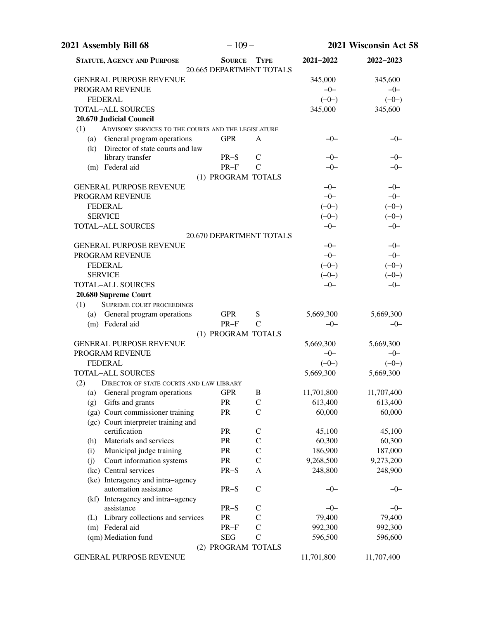| 2021 Assembly Bill 68                                      | $-109-$       |                                         | 2021 Wisconsin Act 58 |            |
|------------------------------------------------------------|---------------|-----------------------------------------|-----------------------|------------|
| <b>STATUTE, AGENCY AND PURPOSE</b>                         | <b>SOURCE</b> | <b>TYPE</b><br>20.665 DEPARTMENT TOTALS | 2021-2022             | 2022-2023  |
| <b>GENERAL PURPOSE REVENUE</b>                             |               |                                         | 345,000               | 345,600    |
| PROGRAM REVENUE                                            |               |                                         | $-0-$                 | $-0-$      |
| <b>FEDERAL</b>                                             |               |                                         | $(-0-)$               | $(-0-)$    |
| <b>TOTAL-ALL SOURCES</b>                                   |               |                                         | 345,000               | 345,600    |
| 20.670 Judicial Council                                    |               |                                         |                       |            |
| (1)<br>ADVISORY SERVICES TO THE COURTS AND THE LEGISLATURE |               |                                         |                       |            |
| (a) General program operations                             | <b>GPR</b>    | A                                       | $-0-$                 | $-0-$      |
| (k) Director of state courts and law                       |               |                                         |                       |            |
| library transfer                                           | $PR-S$        | $\mathsf{C}$                            | $-0-$                 | $-0-$      |
| (m) Federal aid                                            | $PR-F$        | $\mathcal{C}$                           | $-0-$                 | $-0-$      |
|                                                            |               | (1) PROGRAM TOTALS                      |                       |            |
| <b>GENERAL PURPOSE REVENUE</b>                             |               |                                         | $-0-$                 | $-0-$      |
| PROGRAM REVENUE                                            |               |                                         | $-0-$                 | $-0-$      |
| <b>FEDERAL</b>                                             |               |                                         | $(-0-)$               | $(-0-)$    |
| <b>SERVICE</b>                                             |               |                                         | $(-0-)$               | $(-0-)$    |
| TOTAL-ALL SOURCES                                          |               |                                         | $-0-$                 | $-0-$      |
|                                                            |               | 20.670 DEPARTMENT TOTALS                |                       |            |
| <b>GENERAL PURPOSE REVENUE</b>                             |               |                                         | $-0-$                 | $-0-$      |
| PROGRAM REVENUE                                            |               |                                         | $-0-$                 | $-0-$      |
| <b>FEDERAL</b>                                             |               |                                         | $(-0-)$               | $(-0-)$    |
| <b>SERVICE</b>                                             |               |                                         | $(-0-)$               | $(-0-)$    |
| TOTAL-ALL SOURCES                                          |               |                                         | $-0-$                 | $-0-$      |
| 20.680 Supreme Court                                       |               |                                         |                       |            |
| <b>SUPREME COURT PROCEEDINGS</b><br>(1)                    |               |                                         |                       |            |
| (a) General program operations                             | <b>GPR</b>    | S                                       | 5,669,300             | 5,669,300  |
| (m) Federal aid                                            | $PR-F$        | $\mathsf{C}$                            | $-0-$                 | $-0-$      |
|                                                            |               | (1) PROGRAM TOTALS                      |                       |            |
| <b>GENERAL PURPOSE REVENUE</b>                             |               |                                         | 5,669,300             | 5,669,300  |
| PROGRAM REVENUE                                            |               |                                         | $-0-$                 | $-0-$      |
| <b>FEDERAL</b>                                             |               |                                         | $(-0-)$               | $(-0-)$    |
| TOTAL-ALL SOURCES                                          |               |                                         | 5,669,300             | 5,669,300  |
| (2)<br>DIRECTOR OF STATE COURTS AND LAW LIBRARY            |               |                                         |                       |            |
| General program operations<br>(a)                          | <b>GPR</b>    | B                                       | 11,701,800            | 11,707,400 |
| Gifts and grants<br>(g)                                    | PR            | $\mathcal{C}$                           | 613,400               | 613,400    |
| (ga) Court commissioner training                           | PR            | $\mathcal{C}$                           | 60,000                | 60,000     |
| (gc) Court interpreter training and                        |               |                                         |                       |            |
| certification                                              | PR            | $\mathsf{C}$                            | 45,100                | 45,100     |
| Materials and services<br>(h)                              | PR            | $\mathsf{C}$                            | 60,300                | 60,300     |
| Municipal judge training<br>(i)                            | PR            | $\mathbf C$                             | 186,900               | 187,000    |
| Court information systems<br>(j)                           | PR            | $\mathcal{C}$                           | 9,268,500             | 9,273,200  |
| (kc) Central services                                      | $PR-S$        | A                                       | 248,800               | 248,900    |
| (ke) Interagency and intra-agency                          |               |                                         |                       |            |
| automation assistance                                      | $PR-S$        | $\mathcal{C}$                           | $-0-$                 | $-0-$      |
| (kf) Interagency and intra-agency                          |               |                                         |                       |            |
| assistance                                                 | $PR-S$        | $\mathsf{C}$                            | $-0-$                 | $-0-$      |
| (L) Library collections and services                       | PR            | $\mathsf{C}$                            | 79,400                | 79,400     |
| (m) Federal aid                                            | $PR-F$        | $\mathcal{C}$                           | 992,300               | 992,300    |
| (qm) Mediation fund                                        | <b>SEG</b>    | $\mathcal{C}$                           | 596,500               | 596,600    |
|                                                            |               | (2) PROGRAM TOTALS                      |                       |            |
| GENERAL PURPOSE REVENUE                                    |               |                                         | 11,701,800            | 11,707,400 |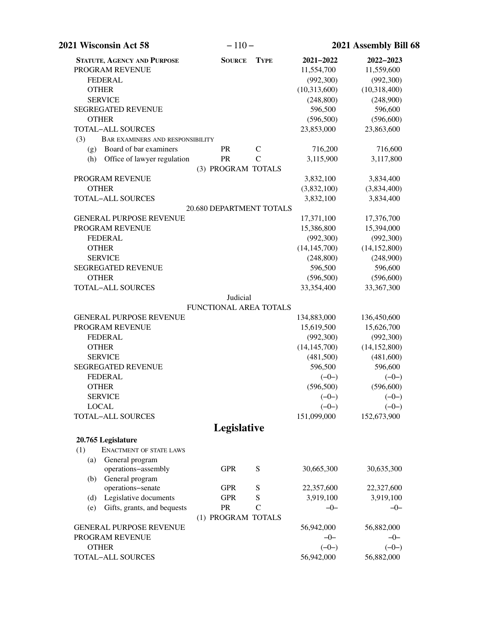| 2021 Wisconsin Act 58                          | $-110-$                  |               |                | 2021 Assembly Bill 68 |
|------------------------------------------------|--------------------------|---------------|----------------|-----------------------|
| <b>STATUTE, AGENCY AND PURPOSE</b>             | <b>SOURCE</b>            | <b>TYPE</b>   | 2021-2022      | 2022-2023             |
| PROGRAM REVENUE                                |                          |               | 11,554,700     | 11,559,600            |
| <b>FEDERAL</b>                                 |                          |               | (992, 300)     | (992, 300)            |
| <b>OTHER</b>                                   |                          |               | (10,313,600)   | (10,318,400)          |
| <b>SERVICE</b>                                 |                          |               | (248, 800)     | (248,900)             |
| <b>SEGREGATED REVENUE</b>                      |                          |               | 596,500        | 596,600               |
| <b>OTHER</b>                                   |                          |               | (596, 500)     | (596,600)             |
| TOTAL-ALL SOURCES                              |                          |               | 23,853,000     | 23,863,600            |
| (3)<br><b>BAR EXAMINERS AND RESPONSIBILITY</b> |                          |               |                |                       |
| Board of bar examiners<br>(g)                  | <b>PR</b>                | $\mathsf{C}$  | 716,200        | 716,600               |
| Office of lawyer regulation<br>(h)             | PR                       | $\mathcal{C}$ | 3,115,900      | 3,117,800             |
|                                                | (3) PROGRAM TOTALS       |               |                |                       |
| PROGRAM REVENUE                                |                          |               | 3,832,100      | 3,834,400             |
| <b>OTHER</b>                                   |                          |               | (3,832,100)    | (3,834,400)           |
| <b>TOTAL-ALL SOURCES</b>                       |                          |               | 3,832,100      | 3,834,400             |
|                                                | 20.680 DEPARTMENT TOTALS |               |                |                       |
| <b>GENERAL PURPOSE REVENUE</b>                 |                          |               | 17,371,100     | 17,376,700            |
| PROGRAM REVENUE                                |                          |               | 15,386,800     | 15,394,000            |
| <b>FEDERAL</b>                                 |                          |               | (992,300)      | (992, 300)            |
| <b>OTHER</b>                                   |                          |               | (14, 145, 700) | (14, 152, 800)        |
| <b>SERVICE</b>                                 |                          |               | (248, 800)     | (248,900)             |
| SEGREGATED REVENUE                             |                          |               | 596,500        | 596,600               |
| <b>OTHER</b>                                   |                          |               | (596, 500)     | (596,600)             |
| <b>TOTAL-ALL SOURCES</b>                       |                          |               | 33,354,400     | 33,367,300            |
|                                                | Judicial                 |               |                |                       |
|                                                | FUNCTIONAL AREA TOTALS   |               |                |                       |
| <b>GENERAL PURPOSE REVENUE</b>                 |                          |               | 134,883,000    | 136,450,600           |
| PROGRAM REVENUE                                |                          |               | 15,619,500     | 15,626,700            |
| <b>FEDERAL</b>                                 |                          |               | (992,300)      | (992, 300)            |
| <b>OTHER</b>                                   |                          |               | (14, 145, 700) | (14, 152, 800)        |
| <b>SERVICE</b>                                 |                          |               | (481,500)      | (481,600)             |
| <b>SEGREGATED REVENUE</b>                      |                          |               | 596,500        | 596,600               |
| <b>FEDERAL</b>                                 |                          |               | $(-0-)$        | $(-0-)$               |
| <b>OTHER</b>                                   |                          |               | (596, 500)     | (596, 600)            |
|                                                |                          |               |                |                       |
| <b>SERVICE</b><br><b>LOCAL</b>                 |                          |               | $(-0-)$        | $(-0-)$               |
|                                                |                          |               | $(-0-)$        | $(-0-)$               |
| <b>TOTAL-ALL SOURCES</b>                       |                          |               | 151,099,000    | 152,673,900           |
|                                                | Legislative              |               |                |                       |
| 20.765 Legislature                             |                          |               |                |                       |
| (1)<br><b>ENACTMENT OF STATE LAWS</b>          |                          |               |                |                       |
| General program<br>(a)                         |                          |               |                |                       |
| operations-assembly                            | <b>GPR</b>               | S             | 30,665,300     | 30,635,300            |
| General program<br>(b)                         |                          |               |                |                       |
| operations-senate                              | <b>GPR</b>               | S             | 22,357,600     | 22,327,600            |
| Legislative documents<br>(d)                   | <b>GPR</b>               | S             | 3,919,100      | 3,919,100             |
| Gifts, grants, and bequests<br>(e)             | PR                       | $\mathcal{C}$ | $-0-$          | $-0-$                 |
|                                                | (1) PROGRAM TOTALS       |               |                |                       |
| <b>GENERAL PURPOSE REVENUE</b>                 |                          |               | 56,942,000     | 56,882,000            |
| PROGRAM REVENUE                                |                          |               | $-0-$          | $-0-$                 |
| <b>OTHER</b>                                   |                          |               | $(-0-)$        | $(-0-)$               |
| TOTAL-ALL SOURCES                              |                          |               | 56,942,000     | 56,882,000            |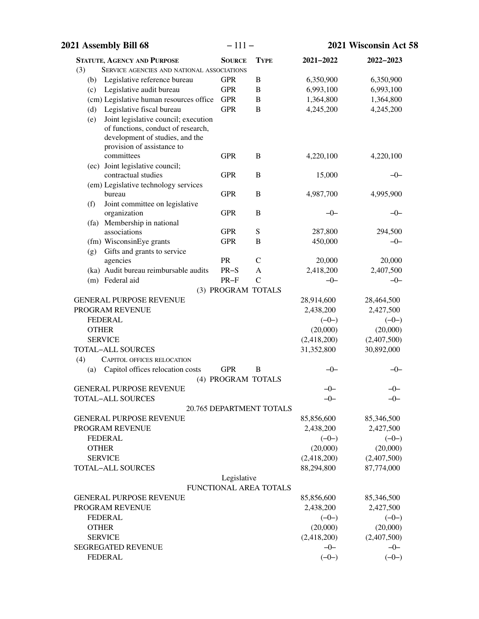| 2021 Assembly Bill 68                                                                                                                              | $-111-$            |                          |                    | 2021 Wisconsin Act 58 |
|----------------------------------------------------------------------------------------------------------------------------------------------------|--------------------|--------------------------|--------------------|-----------------------|
| <b>STATUTE, AGENCY AND PURPOSE</b>                                                                                                                 | <b>SOURCE</b>      | <b>TYPE</b>              | 2021-2022          | 2022-2023             |
| (3)<br><b>SERVICE AGENCIES AND NATIONAL ASSOCIATIONS</b>                                                                                           |                    |                          |                    |                       |
| Legislative reference bureau<br>(b)                                                                                                                | <b>GPR</b>         | $\, {\bf B}$             | 6,350,900          | 6,350,900             |
| Legislative audit bureau<br>(c)                                                                                                                    | <b>GPR</b>         | B                        | 6,993,100          | 6,993,100             |
| (cm) Legislative human resources office                                                                                                            | <b>GPR</b>         | B                        | 1,364,800          | 1,364,800             |
| Legislative fiscal bureau<br>(d)                                                                                                                   | <b>GPR</b>         | B                        | 4,245,200          | 4,245,200             |
| Joint legislative council; execution<br>(e)<br>of functions, conduct of research,<br>development of studies, and the<br>provision of assistance to |                    |                          |                    |                       |
| committees<br>(ec) Joint legislative council;                                                                                                      | <b>GPR</b>         | B                        | 4,220,100          | 4,220,100             |
| contractual studies                                                                                                                                | <b>GPR</b>         | B                        | 15,000             | $-0-$                 |
| (em) Legislative technology services                                                                                                               |                    |                          |                    |                       |
| bureau                                                                                                                                             | <b>GPR</b>         | B                        | 4,987,700          | 4,995,900             |
| Joint committee on legislative<br>(f)                                                                                                              |                    |                          |                    |                       |
| organization                                                                                                                                       | <b>GPR</b>         | B                        | $-0-$              | $-0-$                 |
| (fa) Membership in national                                                                                                                        |                    |                          |                    |                       |
| associations                                                                                                                                       | <b>GPR</b>         | S                        | 287,800            | 294,500               |
| (fm) WisconsinEye grants                                                                                                                           | <b>GPR</b>         | B                        | 450,000            | $-0-$                 |
| Gifts and grants to service<br>(g)                                                                                                                 | PR                 |                          |                    |                       |
| agencies<br>(ka) Audit bureau reimbursable audits                                                                                                  | $PR-S$             | $\mathsf{C}$             | 20,000             | 20,000                |
|                                                                                                                                                    | $PR-F$             | A<br>$\mathcal{C}$       | 2,418,200<br>$-0-$ | 2,407,500             |
| (m) Federal aid                                                                                                                                    | (3) PROGRAM TOTALS |                          |                    | $-0-$                 |
| <b>GENERAL PURPOSE REVENUE</b>                                                                                                                     |                    |                          | 28,914,600         | 28,464,500            |
| PROGRAM REVENUE                                                                                                                                    |                    |                          | 2,438,200          | 2,427,500             |
| <b>FEDERAL</b>                                                                                                                                     |                    |                          | $(-0-)$            | $(-0-)$               |
| <b>OTHER</b>                                                                                                                                       |                    |                          | (20,000)           | (20,000)              |
| <b>SERVICE</b>                                                                                                                                     |                    |                          | (2,418,200)        | (2,407,500)           |
| <b>TOTAL-ALL SOURCES</b>                                                                                                                           |                    |                          | 31,352,800         | 30,892,000            |
| (4)<br>CAPITOL OFFICES RELOCATION                                                                                                                  |                    |                          |                    |                       |
| Capitol offices relocation costs<br>(a)                                                                                                            | <b>GPR</b>         | B                        | —()—               | —()—                  |
|                                                                                                                                                    | (4) PROGRAM TOTALS |                          |                    |                       |
| <b>GENERAL PURPOSE REVENUE</b>                                                                                                                     |                    |                          | -0                 | ብ-                    |
| <b>TOTAL-ALL SOURCES</b>                                                                                                                           |                    |                          | $-0-$              | $-0-$                 |
|                                                                                                                                                    |                    | 20.765 DEPARTMENT TOTALS |                    |                       |
| <b>GENERAL PURPOSE REVENUE</b>                                                                                                                     |                    |                          | 85,856,600         | 85,346,500            |
| PROGRAM REVENUE                                                                                                                                    |                    |                          | 2,438,200          | 2,427,500             |
| <b>FEDERAL</b>                                                                                                                                     |                    |                          | $(-0-)$            | $(-0-)$               |
| <b>OTHER</b>                                                                                                                                       |                    |                          | (20,000)           | (20,000)              |
| <b>SERVICE</b>                                                                                                                                     |                    |                          | (2,418,200)        | (2,407,500)           |
| <b>TOTAL-ALL SOURCES</b>                                                                                                                           |                    |                          | 88,294,800         | 87,774,000            |
|                                                                                                                                                    | Legislative        | FUNCTIONAL AREA TOTALS   |                    |                       |
| <b>GENERAL PURPOSE REVENUE</b>                                                                                                                     |                    |                          | 85,856,600         | 85,346,500            |
| PROGRAM REVENUE                                                                                                                                    |                    |                          | 2,438,200          | 2,427,500             |
| <b>FEDERAL</b>                                                                                                                                     |                    |                          | $(-0-)$            | $(-0-)$               |
| <b>OTHER</b>                                                                                                                                       |                    |                          | (20,000)           | (20,000)              |
| <b>SERVICE</b>                                                                                                                                     |                    |                          | (2,418,200)        | (2,407,500)           |
| <b>SEGREGATED REVENUE</b>                                                                                                                          |                    |                          | $-0-$              | $-0-$                 |
| <b>FEDERAL</b>                                                                                                                                     |                    |                          | $(-0-)$            | $(-0-)$               |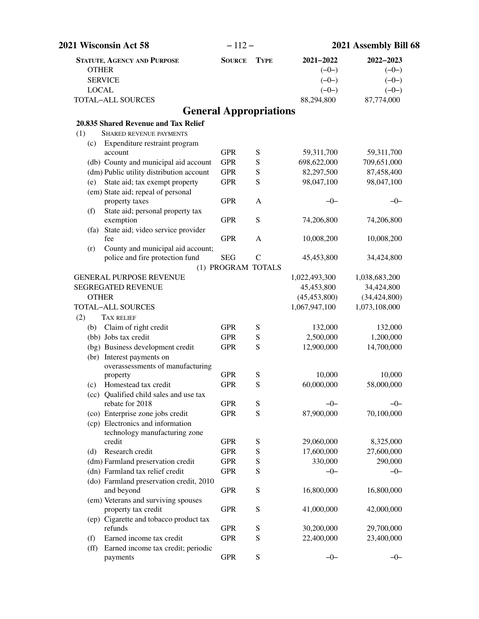| 2021 Wisconsin Act 58                                      | $-112-$                       |               |                | 2021 Assembly Bill 68 |
|------------------------------------------------------------|-------------------------------|---------------|----------------|-----------------------|
| <b>STATUTE, AGENCY AND PURPOSE</b>                         | <b>SOURCE</b>                 | <b>TYPE</b>   | 2021-2022      | 2022-2023             |
| <b>OTHER</b>                                               |                               |               | $(-0-)$        | $(-0-)$               |
| <b>SERVICE</b>                                             |                               |               | $(-0-)$        | $(-0-)$               |
| <b>LOCAL</b>                                               |                               |               | $(-0-)$        | $(-0-)$               |
| <b>TOTAL-ALL SOURCES</b>                                   |                               |               | 88,294,800     | 87,774,000            |
|                                                            | <b>General Appropriations</b> |               |                |                       |
| 20.835 Shared Revenue and Tax Relief                       |                               |               |                |                       |
| (1)<br><b>SHARED REVENUE PAYMENTS</b>                      |                               |               |                |                       |
| Expenditure restraint program<br>(c)                       |                               |               |                |                       |
| account                                                    | <b>GPR</b>                    | S             | 59,311,700     | 59,311,700            |
| (db) County and municipal aid account                      | <b>GPR</b>                    | S             | 698,622,000    | 709,651,000           |
| (dm) Public utility distribution account                   | <b>GPR</b>                    | S             | 82,297,500     | 87,458,400            |
| State aid; tax exempt property<br>(e)                      | <b>GPR</b>                    | S             | 98,047,100     | 98,047,100            |
| (em) State aid; repeal of personal                         |                               |               |                |                       |
| property taxes                                             | <b>GPR</b>                    | $\mathbf{A}$  | $-0-$          | $-0-$                 |
| State aid; personal property tax<br>(f)                    |                               |               |                |                       |
| exemption                                                  | <b>GPR</b>                    | ${\bf S}$     | 74,206,800     | 74,206,800            |
| (fa) State aid; video service provider                     | <b>GPR</b>                    |               | 10,008,200     |                       |
| fee<br>County and municipal aid account;                   |                               | A             |                | 10,008,200            |
| (r)<br>police and fire protection fund                     | <b>SEG</b>                    | $\mathcal{C}$ | 45,453,800     | 34,424,800            |
|                                                            | (1) PROGRAM TOTALS            |               |                |                       |
| <b>GENERAL PURPOSE REVENUE</b>                             |                               |               | 1,022,493,300  | 1,038,683,200         |
| <b>SEGREGATED REVENUE</b>                                  |                               |               | 45,453,800     | 34,424,800            |
| <b>OTHER</b>                                               |                               |               | (45, 453, 800) | (34, 424, 800)        |
| <b>TOTAL-ALL SOURCES</b>                                   |                               |               | 1,067,947,100  | 1,073,108,000         |
| (2)<br><b>TAX RELIEF</b>                                   |                               |               |                |                       |
| Claim of right credit<br>(b)                               | <b>GPR</b>                    | S             | 132,000        | 132,000               |
| (bb) Jobs tax credit                                       | <b>GPR</b>                    | ${\bf S}$     | 2,500,000      | 1,200,000             |
| (bg) Business development credit                           | <b>GPR</b>                    | ${\bf S}$     | 12,900,000     | 14,700,000            |
| (br) Interest payments on                                  |                               |               |                |                       |
| overassessments of manufacturing                           |                               |               |                |                       |
| property                                                   | <b>GPR</b>                    | S             | 10,000         | 10,000                |
| Homestead tax credit<br>(c)                                | <b>GPR</b>                    | S             | 60,000,000     | 58,000,000            |
| (cc) Qualified child sales and use tax                     |                               |               |                |                       |
| rebate for 2018                                            | <b>GPR</b>                    | S             | $-0-$          | $-0-$                 |
| (co) Enterprise zone jobs credit                           | <b>GPR</b>                    | ${\bf S}$     | 87,900,000     | 70,100,000            |
| (cp) Electronics and information                           |                               |               |                |                       |
| technology manufacturing zone                              |                               |               |                |                       |
| credit                                                     | <b>GPR</b>                    | S             | 29,060,000     | 8,325,000             |
| Research credit<br>(d)                                     | <b>GPR</b>                    | S             | 17,600,000     | 27,600,000            |
| (dm) Farmland preservation credit                          | <b>GPR</b>                    | S             | 330,000        | 290,000               |
| (dn) Farmland tax relief credit                            | <b>GPR</b>                    | ${\bf S}$     | $-0-$          | $-0-$                 |
| (do) Farmland preservation credit, 2010<br>and beyond      | <b>GPR</b>                    | ${\bf S}$     | 16,800,000     | 16,800,000            |
| (em) Veterans and surviving spouses<br>property tax credit | <b>GPR</b>                    | S             | 41,000,000     | 42,000,000            |
| (ep) Cigarette and tobacco product tax                     |                               |               |                |                       |
| refunds                                                    | <b>GPR</b>                    | ${\bf S}$     | 30,200,000     | 29,700,000            |
| Earned income tax credit<br>(f)                            | <b>GPR</b>                    | S             | 22,400,000     | 23,400,000            |
| Earned income tax credit; periodic<br>$(f\!f)$<br>payments | <b>GPR</b>                    | ${\bf S}$     | $-0-$          | $-0-$                 |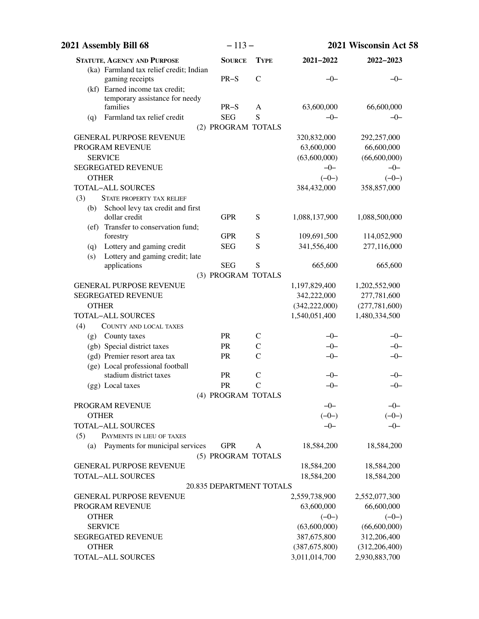| 2021 Assembly Bill 68                      | $-113-$                         |                                | 2021 Wisconsin Act 58 |                  |  |
|--------------------------------------------|---------------------------------|--------------------------------|-----------------------|------------------|--|
| <b>STATUTE, AGENCY AND PURPOSE</b>         | <b>SOURCE</b>                   | <b>TYPE</b>                    | 2021-2022             | 2022-2023        |  |
| (ka) Farmland tax relief credit; Indian    |                                 |                                |                       |                  |  |
| gaming receipts                            | $PR-S$                          | $\mathcal{C}$                  | $-0-$                 | $-0-$            |  |
| (kf) Earned income tax credit;             |                                 |                                |                       |                  |  |
| temporary assistance for needy<br>families | $PR-S$                          | A                              | 63,600,000            | 66,600,000       |  |
| Farmland tax relief credit                 | <b>SEG</b>                      | S                              | $-0-$                 | $-0-$            |  |
| (q)                                        | (2) PROGRAM TOTALS              |                                |                       |                  |  |
| <b>GENERAL PURPOSE REVENUE</b>             |                                 |                                | 320,832,000           | 292,257,000      |  |
| PROGRAM REVENUE                            |                                 |                                | 63,600,000            | 66,600,000       |  |
| <b>SERVICE</b>                             |                                 |                                | (63,600,000)          | (66,600,000)     |  |
| <b>SEGREGATED REVENUE</b>                  |                                 |                                | $-0-$                 | $-0-$            |  |
| <b>OTHER</b>                               |                                 |                                | $(-0-)$               | $(-0-)$          |  |
| <b>TOTAL-ALL SOURCES</b>                   |                                 |                                | 384,432,000           | 358,857,000      |  |
| (3)<br>STATE PROPERTY TAX RELIEF           |                                 |                                |                       |                  |  |
| (b) School levy tax credit and first       |                                 |                                |                       |                  |  |
| dollar credit                              | <b>GPR</b>                      | S                              | 1,088,137,900         | 1,088,500,000    |  |
| (ef) Transfer to conservation fund;        |                                 |                                |                       |                  |  |
| forestry                                   | <b>GPR</b>                      | S                              | 109,691,500           | 114,052,900      |  |
| Lottery and gaming credit<br>(q)           | <b>SEG</b>                      | S                              | 341,556,400           | 277,116,000      |  |
| Lottery and gaming credit; late<br>(s)     |                                 |                                |                       |                  |  |
| applications                               | <b>SEG</b>                      | S                              | 665,600               | 665,600          |  |
|                                            | (3) PROGRAM TOTALS              |                                |                       |                  |  |
| <b>GENERAL PURPOSE REVENUE</b>             |                                 |                                | 1,197,829,400         | 1,202,552,900    |  |
| <b>SEGREGATED REVENUE</b>                  |                                 |                                | 342,222,000           | 277,781,600      |  |
| <b>OTHER</b>                               |                                 |                                | (342, 222, 000)       | (277, 781, 600)  |  |
| <b>TOTAL-ALL SOURCES</b>                   |                                 |                                | 1,540,051,400         | 1,480,334,500    |  |
| (4)<br><b>COUNTY AND LOCAL TAXES</b>       |                                 |                                |                       |                  |  |
| County taxes<br>(g)                        | <b>PR</b>                       | $\mathsf{C}$                   | $-0-$                 | $-0-$            |  |
| (gb) Special district taxes                | <b>PR</b>                       | $\mathcal{C}$                  | $-0-$                 | $-0-$            |  |
| (gd) Premier resort area tax               | PR                              | $\mathcal{C}$                  | $-0-$                 | $-0-$            |  |
| (ge) Local professional football           |                                 |                                |                       |                  |  |
| stadium district taxes                     | PR                              | $\mathsf{C}$<br>$\overline{C}$ | $-0-$                 | –0–              |  |
| (gg) Local taxes                           | PR                              |                                | $-0-$                 | $-0-$            |  |
| <b>PROGRAM REVENUE</b>                     | (4) PROGRAM TOTALS              |                                |                       |                  |  |
| <b>OTHER</b>                               |                                 |                                | $-0-$<br>$(-0-)$      | $-0-$<br>$(-0-)$ |  |
| <b>TOTAL-ALL SOURCES</b>                   |                                 |                                | $-0-$                 | $-0-$            |  |
| (5)<br>PAYMENTS IN LIEU OF TAXES           |                                 |                                |                       |                  |  |
| Payments for municipal services<br>(a)     | <b>GPR</b>                      | A                              | 18,584,200            | 18,584,200       |  |
|                                            | (5) PROGRAM TOTALS              |                                |                       |                  |  |
| <b>GENERAL PURPOSE REVENUE</b>             |                                 |                                | 18,584,200            | 18,584,200       |  |
| <b>TOTAL-ALL SOURCES</b>                   |                                 |                                | 18,584,200            | 18,584,200       |  |
|                                            | <b>20.835 DEPARTMENT TOTALS</b> |                                |                       |                  |  |
| <b>GENERAL PURPOSE REVENUE</b>             |                                 |                                | 2,559,738,900         | 2,552,077,300    |  |
| PROGRAM REVENUE                            |                                 |                                | 63,600,000            | 66,600,000       |  |
| <b>OTHER</b>                               |                                 |                                | $(-0-)$               | $(-0-)$          |  |
| <b>SERVICE</b>                             |                                 |                                | (63,600,000)          | (66,600,000)     |  |
| <b>SEGREGATED REVENUE</b>                  |                                 |                                | 387,675,800           | 312,206,400      |  |
| <b>OTHER</b>                               |                                 |                                | (387, 675, 800)       | (312, 206, 400)  |  |
| <b>TOTAL-ALL SOURCES</b>                   |                                 |                                | 3,011,014,700         | 2,930,883,700    |  |
|                                            |                                 |                                |                       |                  |  |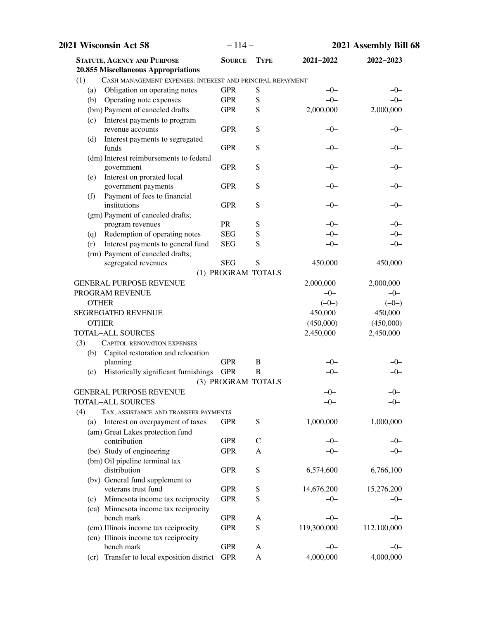| $-114-$       |                                                                                                                                                                                                                                                                                                                                                                                                                    | 2021 Assembly Bill 68                                                                                                                                              |                                                                                                                                                                                                                                                                                                                                                  |
|---------------|--------------------------------------------------------------------------------------------------------------------------------------------------------------------------------------------------------------------------------------------------------------------------------------------------------------------------------------------------------------------------------------------------------------------|--------------------------------------------------------------------------------------------------------------------------------------------------------------------|--------------------------------------------------------------------------------------------------------------------------------------------------------------------------------------------------------------------------------------------------------------------------------------------------------------------------------------------------|
| <b>SOURCE</b> | <b>TYPE</b>                                                                                                                                                                                                                                                                                                                                                                                                        | 2021-2022                                                                                                                                                          | 2022-2023                                                                                                                                                                                                                                                                                                                                        |
|               |                                                                                                                                                                                                                                                                                                                                                                                                                    |                                                                                                                                                                    |                                                                                                                                                                                                                                                                                                                                                  |
|               |                                                                                                                                                                                                                                                                                                                                                                                                                    |                                                                                                                                                                    |                                                                                                                                                                                                                                                                                                                                                  |
|               |                                                                                                                                                                                                                                                                                                                                                                                                                    |                                                                                                                                                                    | $-0-$                                                                                                                                                                                                                                                                                                                                            |
|               |                                                                                                                                                                                                                                                                                                                                                                                                                    |                                                                                                                                                                    | $-0-$                                                                                                                                                                                                                                                                                                                                            |
|               |                                                                                                                                                                                                                                                                                                                                                                                                                    |                                                                                                                                                                    | 2,000,000                                                                                                                                                                                                                                                                                                                                        |
|               |                                                                                                                                                                                                                                                                                                                                                                                                                    |                                                                                                                                                                    |                                                                                                                                                                                                                                                                                                                                                  |
|               |                                                                                                                                                                                                                                                                                                                                                                                                                    |                                                                                                                                                                    | –0–                                                                                                                                                                                                                                                                                                                                              |
|               |                                                                                                                                                                                                                                                                                                                                                                                                                    |                                                                                                                                                                    |                                                                                                                                                                                                                                                                                                                                                  |
|               |                                                                                                                                                                                                                                                                                                                                                                                                                    |                                                                                                                                                                    | $-0-$                                                                                                                                                                                                                                                                                                                                            |
|               |                                                                                                                                                                                                                                                                                                                                                                                                                    |                                                                                                                                                                    | $-0-$                                                                                                                                                                                                                                                                                                                                            |
|               |                                                                                                                                                                                                                                                                                                                                                                                                                    |                                                                                                                                                                    |                                                                                                                                                                                                                                                                                                                                                  |
|               |                                                                                                                                                                                                                                                                                                                                                                                                                    |                                                                                                                                                                    | $-0-$                                                                                                                                                                                                                                                                                                                                            |
|               |                                                                                                                                                                                                                                                                                                                                                                                                                    |                                                                                                                                                                    |                                                                                                                                                                                                                                                                                                                                                  |
|               |                                                                                                                                                                                                                                                                                                                                                                                                                    |                                                                                                                                                                    | $-0-$                                                                                                                                                                                                                                                                                                                                            |
|               |                                                                                                                                                                                                                                                                                                                                                                                                                    |                                                                                                                                                                    |                                                                                                                                                                                                                                                                                                                                                  |
|               |                                                                                                                                                                                                                                                                                                                                                                                                                    |                                                                                                                                                                    | $-0-$                                                                                                                                                                                                                                                                                                                                            |
|               |                                                                                                                                                                                                                                                                                                                                                                                                                    |                                                                                                                                                                    | $-0-$                                                                                                                                                                                                                                                                                                                                            |
|               |                                                                                                                                                                                                                                                                                                                                                                                                                    |                                                                                                                                                                    | $-0-$                                                                                                                                                                                                                                                                                                                                            |
|               |                                                                                                                                                                                                                                                                                                                                                                                                                    |                                                                                                                                                                    |                                                                                                                                                                                                                                                                                                                                                  |
|               |                                                                                                                                                                                                                                                                                                                                                                                                                    |                                                                                                                                                                    | 450,000                                                                                                                                                                                                                                                                                                                                          |
|               |                                                                                                                                                                                                                                                                                                                                                                                                                    |                                                                                                                                                                    |                                                                                                                                                                                                                                                                                                                                                  |
|               |                                                                                                                                                                                                                                                                                                                                                                                                                    |                                                                                                                                                                    | 2,000,000                                                                                                                                                                                                                                                                                                                                        |
|               |                                                                                                                                                                                                                                                                                                                                                                                                                    |                                                                                                                                                                    | $-0-$                                                                                                                                                                                                                                                                                                                                            |
|               |                                                                                                                                                                                                                                                                                                                                                                                                                    |                                                                                                                                                                    | $(-0-)$                                                                                                                                                                                                                                                                                                                                          |
|               |                                                                                                                                                                                                                                                                                                                                                                                                                    |                                                                                                                                                                    | 450,000                                                                                                                                                                                                                                                                                                                                          |
|               |                                                                                                                                                                                                                                                                                                                                                                                                                    |                                                                                                                                                                    | (450,000)                                                                                                                                                                                                                                                                                                                                        |
|               |                                                                                                                                                                                                                                                                                                                                                                                                                    |                                                                                                                                                                    | 2,450,000                                                                                                                                                                                                                                                                                                                                        |
|               |                                                                                                                                                                                                                                                                                                                                                                                                                    |                                                                                                                                                                    |                                                                                                                                                                                                                                                                                                                                                  |
|               |                                                                                                                                                                                                                                                                                                                                                                                                                    |                                                                                                                                                                    |                                                                                                                                                                                                                                                                                                                                                  |
|               |                                                                                                                                                                                                                                                                                                                                                                                                                    |                                                                                                                                                                    | $-0-$                                                                                                                                                                                                                                                                                                                                            |
|               |                                                                                                                                                                                                                                                                                                                                                                                                                    |                                                                                                                                                                    | -0-                                                                                                                                                                                                                                                                                                                                              |
|               |                                                                                                                                                                                                                                                                                                                                                                                                                    |                                                                                                                                                                    |                                                                                                                                                                                                                                                                                                                                                  |
|               |                                                                                                                                                                                                                                                                                                                                                                                                                    |                                                                                                                                                                    | $-0-$                                                                                                                                                                                                                                                                                                                                            |
|               |                                                                                                                                                                                                                                                                                                                                                                                                                    |                                                                                                                                                                    | $-0-$                                                                                                                                                                                                                                                                                                                                            |
|               |                                                                                                                                                                                                                                                                                                                                                                                                                    |                                                                                                                                                                    |                                                                                                                                                                                                                                                                                                                                                  |
|               |                                                                                                                                                                                                                                                                                                                                                                                                                    |                                                                                                                                                                    | 1,000,000                                                                                                                                                                                                                                                                                                                                        |
|               |                                                                                                                                                                                                                                                                                                                                                                                                                    |                                                                                                                                                                    |                                                                                                                                                                                                                                                                                                                                                  |
|               |                                                                                                                                                                                                                                                                                                                                                                                                                    |                                                                                                                                                                    | $-0-$                                                                                                                                                                                                                                                                                                                                            |
|               |                                                                                                                                                                                                                                                                                                                                                                                                                    |                                                                                                                                                                    | $-0-$                                                                                                                                                                                                                                                                                                                                            |
|               |                                                                                                                                                                                                                                                                                                                                                                                                                    |                                                                                                                                                                    |                                                                                                                                                                                                                                                                                                                                                  |
|               |                                                                                                                                                                                                                                                                                                                                                                                                                    |                                                                                                                                                                    | 6,766,100                                                                                                                                                                                                                                                                                                                                        |
|               |                                                                                                                                                                                                                                                                                                                                                                                                                    |                                                                                                                                                                    |                                                                                                                                                                                                                                                                                                                                                  |
|               |                                                                                                                                                                                                                                                                                                                                                                                                                    |                                                                                                                                                                    | 15,276,200                                                                                                                                                                                                                                                                                                                                       |
|               | S                                                                                                                                                                                                                                                                                                                                                                                                                  | $-0-$                                                                                                                                                              | $-0-$                                                                                                                                                                                                                                                                                                                                            |
|               |                                                                                                                                                                                                                                                                                                                                                                                                                    |                                                                                                                                                                    |                                                                                                                                                                                                                                                                                                                                                  |
| <b>GPR</b>    | A                                                                                                                                                                                                                                                                                                                                                                                                                  | $-0-$                                                                                                                                                              | $-0-$                                                                                                                                                                                                                                                                                                                                            |
| <b>GPR</b>    | S                                                                                                                                                                                                                                                                                                                                                                                                                  | 119,300,000                                                                                                                                                        | 112,100,000                                                                                                                                                                                                                                                                                                                                      |
|               |                                                                                                                                                                                                                                                                                                                                                                                                                    |                                                                                                                                                                    |                                                                                                                                                                                                                                                                                                                                                  |
| <b>GPR</b>    | A                                                                                                                                                                                                                                                                                                                                                                                                                  | $-0-$                                                                                                                                                              | $-0-$                                                                                                                                                                                                                                                                                                                                            |
| <b>GPR</b>    | A                                                                                                                                                                                                                                                                                                                                                                                                                  | 4,000,000                                                                                                                                                          | 4,000,000                                                                                                                                                                                                                                                                                                                                        |
|               | <b>GPR</b><br><b>GPR</b><br><b>GPR</b><br><b>GPR</b><br><b>GPR</b><br><b>GPR</b><br><b>GPR</b><br><b>GPR</b><br><b>PR</b><br><b>SEG</b><br><b>SEG</b><br><b>SEG</b><br><b>GPR</b><br>Historically significant furnishings<br><b>GPR</b><br>TAX, ASSISTANCE AND TRANSFER PAYMENTS<br><b>GPR</b><br><b>GPR</b><br><b>GPR</b><br><b>GPR</b><br><b>GPR</b><br><b>GPR</b><br>(cr) Transfer to local exposition district | S<br>S<br>${\bf S}$<br>${\bf S}$<br>S<br>S<br>S<br>S<br>S<br>S<br>S<br>S<br>(1) PROGRAM TOTALS<br>B<br>B<br>(3) PROGRAM TOTALS<br>S<br>$\mathsf{C}$<br>A<br>S<br>S | CASH MANAGEMENT EXPENSES; INTEREST AND PRINCIPAL REPAYMENT<br>$-0-$<br>$-0-$<br>2,000,000<br>$-0-$<br>$-0-$<br>$-0-$<br>$-0-$<br>$-0-$<br>$-0-$<br>$-0-$<br>$-0-$<br>450,000<br>2,000,000<br>$-0-$<br>$(-0-)$<br>450,000<br>(450,000)<br>2,450,000<br>$-0-$<br>$-0-$<br>$-0-$<br>$-0-$<br>1,000,000<br>$-0-$<br>$-0-$<br>6,574,600<br>14,676,200 |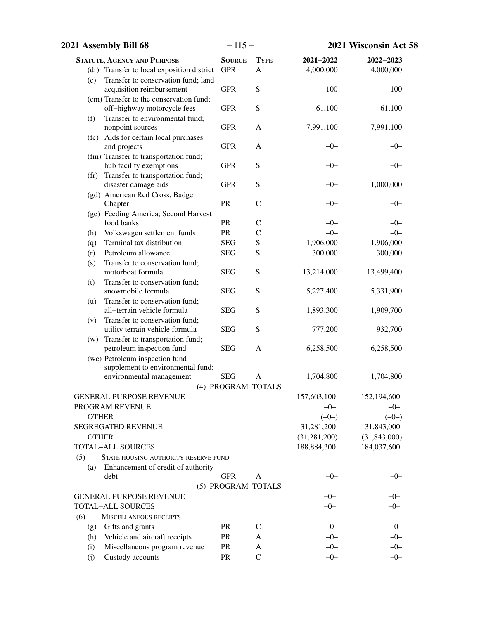|                   | 2021 Assembly Bill 68                              |                    | $-115-$       | 2021 Wisconsin Act 58 |                |
|-------------------|----------------------------------------------------|--------------------|---------------|-----------------------|----------------|
|                   | <b>STATUTE, AGENCY AND PURPOSE</b>                 | <b>SOURCE</b>      | <b>TYPE</b>   | 2021-2022             | 2022-2023      |
|                   | (dr) Transfer to local exposition district         | <b>GPR</b>         | $\mathbf{A}$  | 4,000,000             | 4,000,000      |
| (e)               | Transfer to conservation fund; land                |                    |               |                       |                |
|                   | acquisition reimbursement                          | <b>GPR</b>         | S             | 100                   | 100            |
|                   | (em) Transfer to the conservation fund;            |                    |               |                       |                |
|                   | off-highway motorcycle fees                        | <b>GPR</b>         | S             | 61,100                | 61,100         |
| (f)               | Transfer to environmental fund;                    |                    |               |                       |                |
|                   | nonpoint sources                                   | <b>GPR</b>         | $\mathbf{A}$  | 7,991,100             | 7,991,100      |
|                   | (fc) Aids for certain local purchases              |                    |               |                       |                |
|                   | and projects                                       | <b>GPR</b>         | $\mathbf{A}$  | -0-                   | –0–            |
|                   | (fm) Transfer to transportation fund;              |                    |               |                       |                |
|                   | hub facility exemptions                            | <b>GPR</b>         | S             | $-0-$                 | -0-            |
| (f <sub>r</sub> ) | Transfer to transportation fund;                   |                    |               |                       |                |
|                   | disaster damage aids                               | <b>GPR</b>         | S             | $-0-$                 | 1,000,000      |
|                   | (gd) American Red Cross, Badger                    | PR                 | $\mathcal{C}$ | $-0-$                 |                |
|                   | Chapter                                            |                    |               |                       | $-0-$          |
|                   | (ge) Feeding America; Second Harvest<br>food banks | PR                 | $\mathcal{C}$ | $-0-$                 | $-0-$          |
| (h)               | Volkswagen settlement funds                        | PR                 | $\mathbf C$   | $-0-$                 | $-0-$          |
| (q)               | Terminal tax distribution                          | <b>SEG</b>         | S             | 1,906,000             | 1,906,000      |
| (r)               | Petroleum allowance                                | <b>SEG</b>         | S             | 300,000               | 300,000        |
| (s)               | Transfer to conservation fund;                     |                    |               |                       |                |
|                   | motorboat formula                                  | <b>SEG</b>         | ${\bf S}$     | 13,214,000            | 13,499,400     |
| (t)               | Transfer to conservation fund;                     |                    |               |                       |                |
|                   | snowmobile formula                                 | <b>SEG</b>         | ${\bf S}$     | 5,227,400             | 5,331,900      |
| (u)               | Transfer to conservation fund;                     |                    |               |                       |                |
|                   | all-terrain vehicle formula                        | <b>SEG</b>         | ${\bf S}$     | 1,893,300             | 1,909,700      |
| (v)               | Transfer to conservation fund;                     |                    |               |                       |                |
|                   | utility terrain vehicle formula                    | <b>SEG</b>         | ${\bf S}$     | 777,200               | 932,700        |
|                   | (w) Transfer to transportation fund;               |                    |               |                       |                |
|                   | petroleum inspection fund                          | <b>SEG</b>         | A             | 6,258,500             | 6,258,500      |
|                   | (wc) Petroleum inspection fund                     |                    |               |                       |                |
|                   | supplement to environmental fund;                  |                    |               |                       |                |
|                   | environmental management                           | <b>SEG</b>         | $\mathbf{A}$  | 1,704,800             | 1,704,800      |
|                   |                                                    | (4) PROGRAM TOTALS |               |                       |                |
|                   | <b>GENERAL PURPOSE REVENUE</b>                     |                    |               | 157,603,100           | 152,194,600    |
|                   | PROGRAM REVENUE                                    |                    |               | $-0-$                 | $-0-$          |
| <b>OTHER</b>      |                                                    |                    |               | $(-0-)$               | $(-0-)$        |
|                   | <b>SEGREGATED REVENUE</b>                          |                    |               | 31,281,200            | 31,843,000     |
| <b>OTHER</b>      |                                                    |                    |               | (31, 281, 200)        | (31, 843, 000) |
|                   | <b>TOTAL-ALL SOURCES</b>                           |                    |               | 188,884,300           | 184,037,600    |
| (5)               | STATE HOUSING AUTHORITY RESERVE FUND               |                    |               |                       |                |
| (a)               | Enhancement of credit of authority                 |                    |               |                       |                |
|                   | debt                                               | <b>GPR</b>         | A             | $-0-$                 | –0–            |
|                   |                                                    | (5) PROGRAM TOTALS |               |                       |                |
|                   | <b>GENERAL PURPOSE REVENUE</b>                     |                    |               | $-0-$                 | $-0-$          |
|                   | <b>TOTAL-ALL SOURCES</b>                           |                    |               | $-0-$                 | $-0-$          |
| (6)               | <b>MISCELLANEOUS RECEIPTS</b>                      |                    |               |                       |                |
| (g)               | Gifts and grants                                   | <b>PR</b>          | $\mathsf{C}$  | $-0-$                 | $-0-$          |
| (h)               | Vehicle and aircraft receipts                      | <b>PR</b>          | A             | $-0-$                 | $-0-$          |
| (i)               | Miscellaneous program revenue                      | <b>PR</b>          | A             | $-0-$                 | $-0-$          |
| (i)               | Custody accounts                                   | <b>PR</b>          | $\mathbf C$   | $-0-$                 | $-0-$          |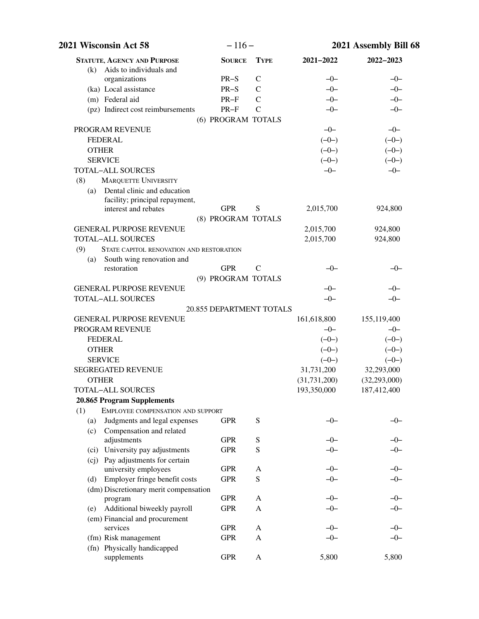| 2021 Wisconsin Act 58                           | $-116-$                      |               | 2021 Assembly Bill 68 |                |
|-------------------------------------------------|------------------------------|---------------|-----------------------|----------------|
| <b>STATUTE, AGENCY AND PURPOSE</b>              | <b>SOURCE</b>                | <b>TYPE</b>   | 2021-2022             | 2022-2023      |
| Aids to individuals and<br>(k)                  |                              |               |                       |                |
| organizations                                   | $PR-S$                       | $\mathsf{C}$  | $-0-$                 | $-0-$          |
| (ka) Local assistance                           | $PR-S$                       | $\mathcal{C}$ | $-0-$                 | $-0-$          |
| (m) Federal aid                                 | $PR-F$                       | $\mathcal{C}$ | $-0-$                 | $-0-$          |
| (pz) Indirect cost reimbursements               | $PR-F$<br>(6) PROGRAM TOTALS | $\mathcal{C}$ | $-0-$                 | $-0-$          |
| PROGRAM REVENUE                                 |                              |               | $-0-$                 | $-0-$          |
| <b>FEDERAL</b>                                  |                              |               | $(-0-)$               | $(-0-)$        |
| <b>OTHER</b>                                    |                              |               | $(-0-)$               | $(-0-)$        |
| <b>SERVICE</b>                                  |                              |               | $(-0-)$               | $(-0-)$        |
| <b>TOTAL-ALL SOURCES</b>                        |                              |               | $-0-$                 | $-0-$          |
| (8)<br><b>MARQUETTE UNIVERSITY</b>              |                              |               |                       |                |
| (a) Dental clinic and education                 |                              |               |                       |                |
| facility; principal repayment,                  |                              |               |                       |                |
| interest and rebates                            | <b>GPR</b>                   | S             | 2,015,700             | 924,800        |
|                                                 | (8) PROGRAM TOTALS           |               |                       |                |
| <b>GENERAL PURPOSE REVENUE</b>                  |                              |               | 2,015,700             | 924,800        |
| <b>TOTAL-ALL SOURCES</b>                        |                              |               | 2,015,700             | 924,800        |
| (9)<br>STATE CAPITOL RENOVATION AND RESTORATION |                              |               |                       |                |
| South wing renovation and<br>(a)                |                              |               |                       |                |
| restoration                                     | <b>GPR</b>                   | $\mathbf C$   | $-0-$                 | $-0-$          |
|                                                 | (9) PROGRAM TOTALS           |               |                       |                |
| <b>GENERAL PURPOSE REVENUE</b>                  |                              |               | $-0-$                 | $-0-$          |
| <b>TOTAL-ALL SOURCES</b>                        |                              |               | $-0-$                 | $-0-$          |
|                                                 | 20.855 DEPARTMENT TOTALS     |               |                       |                |
| <b>GENERAL PURPOSE REVENUE</b>                  |                              |               | 161,618,800           | 155,119,400    |
| PROGRAM REVENUE                                 |                              |               | $-0-$                 | $-0-$          |
| <b>FEDERAL</b>                                  |                              |               | $(-0-)$               | $(-0-)$        |
| <b>OTHER</b>                                    |                              |               | $(-0-)$               | $(-0-)$        |
| <b>SERVICE</b>                                  |                              |               | $(-0-)$               | $(-0-)$        |
| SEGREGATED REVENUE                              |                              |               | 31,731,200            | 32,293,000     |
| <b>OTHER</b>                                    |                              |               | (31, 731, 200)        | (32, 293, 000) |
| TOTAL-ALL SOURCES                               |                              |               | 193,350,000           | 187,412,400    |
| 20.865 Program Supplements                      |                              |               |                       |                |
| (1)<br>EMPLOYEE COMPENSATION AND SUPPORT        |                              |               |                       |                |
| Judgments and legal expenses<br>(a)             | <b>GPR</b>                   | ${\bf S}$     | $-0-$                 | $-0-$          |
| Compensation and related<br>(c)                 |                              |               |                       |                |
| adjustments                                     | <b>GPR</b>                   | S             | $-0-$                 | $-0-$          |
| (ci) University pay adjustments                 | <b>GPR</b>                   | ${\bf S}$     | $-0-$                 | $-0-$          |
| (cj) Pay adjustments for certain                |                              |               |                       |                |
| university employees                            | <b>GPR</b>                   | A             | $-0-$                 | $-0-$          |
| Employer fringe benefit costs<br>(d)            | <b>GPR</b>                   | S             | $-0-$                 | $-0-$          |
| (dm) Discretionary merit compensation           |                              |               |                       |                |
| program                                         | <b>GPR</b>                   | A             | $-0-$                 | $-0-$          |
| Additional biweekly payroll<br>(e)              | <b>GPR</b>                   | A             | $-0-$                 | $-0-$          |
| (em) Financial and procurement<br>services      |                              |               | $-0-$                 | $-0-$          |
|                                                 | <b>GPR</b>                   | A             | $-0-$                 | $-0-$          |
| (fm) Risk management                            | <b>GPR</b>                   | A             |                       |                |
| (fn) Physically handicapped<br>supplements      | <b>GPR</b>                   | A             | 5,800                 | 5,800          |
|                                                 |                              |               |                       |                |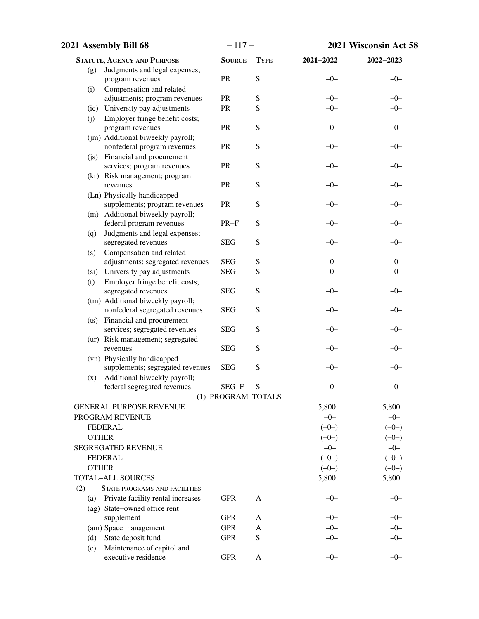| 2021 Assembly Bill 68 |                                                                 | $-117-$            |             |           | 2021 Wisconsin Act 58 |  |
|-----------------------|-----------------------------------------------------------------|--------------------|-------------|-----------|-----------------------|--|
|                       | <b>STATUTE, AGENCY AND PURPOSE</b>                              | <b>SOURCE</b>      | <b>TYPE</b> | 2021-2022 | 2022-2023             |  |
| (g)                   | Judgments and legal expenses;                                   |                    |             |           |                       |  |
|                       | program revenues                                                | PR                 | S           | $-0-$     | $-0-$                 |  |
| (i)                   | Compensation and related                                        |                    |             |           |                       |  |
|                       | adjustments; program revenues                                   | PR                 | ${\bf S}$   | $-0-$     | $-0-$                 |  |
|                       | (ic) University pay adjustments                                 | PR                 | S           | $-0-$     | $-0-$                 |  |
| (j)                   | Employer fringe benefit costs;                                  | PR                 | ${\bf S}$   | $-0-$     |                       |  |
|                       | program revenues<br>(jm) Additional biweekly payroll;           |                    |             |           | $-0-$                 |  |
|                       | nonfederal program revenues                                     | <b>PR</b>          | S           | $-0-$     | $-0-$                 |  |
|                       | (js) Financial and procurement                                  |                    |             |           |                       |  |
|                       | services; program revenues                                      | PR                 | S           | $-0-$     | $-0-$                 |  |
|                       | (kr) Risk management; program                                   |                    |             |           |                       |  |
|                       | revenues                                                        | PR                 | S           | $-0-$     | $-0-$                 |  |
|                       | (Ln) Physically handicapped                                     |                    |             |           |                       |  |
|                       | supplements; program revenues                                   | PR                 | S           | $-0-$     | $-0-$                 |  |
|                       | (m) Additional biweekly payroll;                                |                    |             |           |                       |  |
|                       | federal program revenues                                        | $PR-F$             | S           | $-0-$     | $-0-$                 |  |
| (q)                   | Judgments and legal expenses;                                   | <b>SEG</b>         | S           | $-0-$     | $-0-$                 |  |
| (s)                   | segregated revenues<br>Compensation and related                 |                    |             |           |                       |  |
|                       | adjustments; segregated revenues                                | <b>SEG</b>         | S           | $-0-$     | $-0-$                 |  |
|                       | (si) University pay adjustments                                 | <b>SEG</b>         | ${\bf S}$   | $-0-$     | $-0-$                 |  |
| (t)                   | Employer fringe benefit costs;                                  |                    |             |           |                       |  |
|                       | segregated revenues                                             | <b>SEG</b>         | S           | $-0-$     | $-0-$                 |  |
|                       | (tm) Additional biweekly payroll;                               |                    |             |           |                       |  |
|                       | nonfederal segregated revenues                                  | <b>SEG</b>         | ${\bf S}$   | $-0-$     | $-0-$                 |  |
|                       | (ts) Financial and procurement                                  |                    |             |           |                       |  |
|                       | services; segregated revenues                                   | <b>SEG</b>         | ${\bf S}$   | $-0-$     | $-0-$                 |  |
|                       | (ur) Risk management; segregated                                |                    |             |           |                       |  |
|                       | revenues                                                        | <b>SEG</b>         | ${\bf S}$   | $-0-$     | $-0-$                 |  |
|                       | (vn) Physically handicapped<br>supplements; segregated revenues | <b>SEG</b>         | S           | $-0-$     | $-0-$                 |  |
| (x)                   | Additional biweekly payroll;                                    |                    |             |           |                       |  |
|                       | federal segregated revenues                                     | SEG-F              | S           | $-0-$     | $-0-$                 |  |
|                       |                                                                 | (1) PROGRAM TOTALS |             |           |                       |  |
|                       | <b>GENERAL PURPOSE REVENUE</b>                                  |                    |             | 5,800     | 5,800                 |  |
|                       | PROGRAM REVENUE                                                 |                    |             | $-0-$     | $-0-$                 |  |
|                       | <b>FEDERAL</b>                                                  |                    |             | $(-0-)$   | $(-0-)$               |  |
| <b>OTHER</b>          |                                                                 |                    |             | $(-0-)$   | $(-0-)$               |  |
|                       | <b>SEGREGATED REVENUE</b>                                       |                    |             | $-0-$     | $-0-$                 |  |
|                       | <b>FEDERAL</b>                                                  |                    |             | $(-0-)$   | $(-0-)$               |  |
| <b>OTHER</b>          |                                                                 |                    |             | $(-0-)$   | $(-0-)$               |  |
|                       | <b>TOTAL-ALL SOURCES</b>                                        |                    |             | 5,800     | 5,800                 |  |
| (2)                   | <b>STATE PROGRAMS AND FACILITIES</b>                            |                    |             |           |                       |  |
| (a)                   | Private facility rental increases                               | <b>GPR</b>         | A           | $-0-$     | $-0-$                 |  |
|                       | (ag) State-owned office rent                                    |                    |             |           |                       |  |
|                       | supplement                                                      | <b>GPR</b>         | A           | -0-       | $-0-$                 |  |
|                       | (am) Space management                                           | <b>GPR</b>         | A           | $-0-$     | $-0-$                 |  |
| (d)                   | State deposit fund                                              | <b>GPR</b>         | S           | $-0-$     | $-0-$                 |  |
| (e)                   | Maintenance of capitol and<br>executive residence               | <b>GPR</b>         | A           | $-0-$     | $-0-$                 |  |
|                       |                                                                 |                    |             |           |                       |  |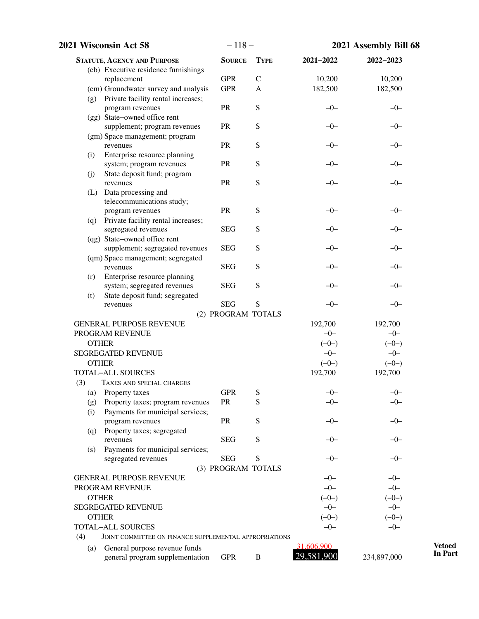|     | 2021 Wisconsin Act 58                                  | $-118-$            |              |            | 2021 Assembly Bill 68 |  |
|-----|--------------------------------------------------------|--------------------|--------------|------------|-----------------------|--|
|     | <b>STATUTE, AGENCY AND PURPOSE</b>                     | <b>SOURCE</b>      | <b>TYPE</b>  | 2021-2022  | 2022-2023             |  |
|     | (eb) Executive residence furnishings                   |                    |              |            |                       |  |
|     | replacement                                            | <b>GPR</b>         | $\mathsf{C}$ | 10,200     | 10,200                |  |
|     | (em) Groundwater survey and analysis                   | <b>GPR</b>         | $\mathbf{A}$ | 182,500    | 182,500               |  |
|     | (g) Private facility rental increases;                 | PR                 | ${\bf S}$    | $-0-$      |                       |  |
|     | program revenues<br>(gg) State-owned office rent       |                    |              |            | $-0-$                 |  |
|     | supplement; program revenues                           | PR                 | ${\bf S}$    | $-0-$      | $-0-$                 |  |
|     | (gm) Space management; program                         |                    |              |            |                       |  |
|     | revenues                                               | PR                 | ${\bf S}$    | $-0-$      | $-0-$                 |  |
| (i) | Enterprise resource planning                           |                    |              |            |                       |  |
|     | system; program revenues                               | PR                 | ${\bf S}$    | $-0-$      | $-0-$                 |  |
| (j) | State deposit fund; program                            |                    |              |            |                       |  |
|     | revenues                                               | PR                 | ${\bf S}$    | $-0-$      | $-0-$                 |  |
| (L) | Data processing and                                    |                    |              |            |                       |  |
|     | telecommunications study;                              |                    |              |            |                       |  |
|     | program revenues                                       | PR                 | ${\bf S}$    | $-0-$      | $-0-$                 |  |
| (q) | Private facility rental increases;                     |                    |              |            |                       |  |
|     | segregated revenues                                    | <b>SEG</b>         | S            | -0-        | $-0-$                 |  |
|     | (qg) State-owned office rent                           |                    |              |            |                       |  |
|     | supplement; segregated revenues                        | <b>SEG</b>         | ${\bf S}$    | $-0-$      | $-0-$                 |  |
|     | (qm) Space management; segregated<br>revenues          | <b>SEG</b>         | ${\bf S}$    | $-0-$      | $-0-$                 |  |
| (r) | Enterprise resource planning                           |                    |              |            |                       |  |
|     | system; segregated revenues                            | <b>SEG</b>         | ${\bf S}$    | $-0-$      | $-0-$                 |  |
| (t) | State deposit fund; segregated                         |                    |              |            |                       |  |
|     | revenues                                               | <b>SEG</b>         | S            | $-0-$      | $-0-$                 |  |
|     |                                                        | (2) PROGRAM TOTALS |              |            |                       |  |
|     | <b>GENERAL PURPOSE REVENUE</b>                         |                    |              | 192,700    | 192,700               |  |
|     | PROGRAM REVENUE                                        |                    |              | $-0-$      | $-0-$                 |  |
|     | <b>OTHER</b>                                           |                    |              | $(-0-)$    | $(-0-)$               |  |
|     | <b>SEGREGATED REVENUE</b>                              |                    |              | $-0-$      | $-0-$                 |  |
|     | <b>OTHER</b>                                           |                    |              | $(-0-)$    | $(-0-)$               |  |
|     | <b>TOTAL-ALL SOURCES</b>                               |                    |              | 192,700    | 192,700               |  |
| (3) | TAXES AND SPECIAL CHARGES                              |                    |              |            |                       |  |
| (a) | Property taxes                                         | <b>GPR</b>         | S            | $-0-$      | $-0-$                 |  |
| (g) | Property taxes; program revenues                       | PR                 | S            | $-0-$      | $-0-$                 |  |
| (i) | Payments for municipal services;                       |                    |              |            |                       |  |
|     | program revenues                                       | <b>PR</b>          | ${\bf S}$    | $-0-$      | $-0-$                 |  |
| (q) | Property taxes; segregated                             |                    |              |            |                       |  |
|     | revenues                                               | <b>SEG</b>         | ${\bf S}$    | $-0-$      | $-0-$                 |  |
| (s) | Payments for municipal services;                       |                    |              |            |                       |  |
|     | segregated revenues                                    | <b>SEG</b>         | S            | $-0-$      | $-0-$                 |  |
|     | <b>GENERAL PURPOSE REVENUE</b>                         | (3) PROGRAM TOTALS |              | $-0-$      | $-0-$                 |  |
|     | PROGRAM REVENUE                                        |                    |              | $-0-$      | $-0-$                 |  |
|     | <b>OTHER</b>                                           |                    |              | $(-0-)$    | $(-0-)$               |  |
|     | <b>SEGREGATED REVENUE</b>                              |                    |              | $-0-$      | $-0-$                 |  |
|     | <b>OTHER</b>                                           |                    |              | $(-0-)$    | $(-0-)$               |  |
|     | <b>TOTAL-ALL SOURCES</b>                               |                    |              | $-0-$      | $-0-$                 |  |
| (4) | JOINT COMMITTEE ON FINANCE SUPPLEMENTAL APPROPRIATIONS |                    |              |            |                       |  |
| (a) | General purpose revenue funds                          |                    |              | 31,606,900 |                       |  |
|     | general program supplementation                        | <b>GPR</b>         | B            | 29,581,900 | 234,897,000           |  |
|     |                                                        |                    |              |            |                       |  |

**Vetoed In Part**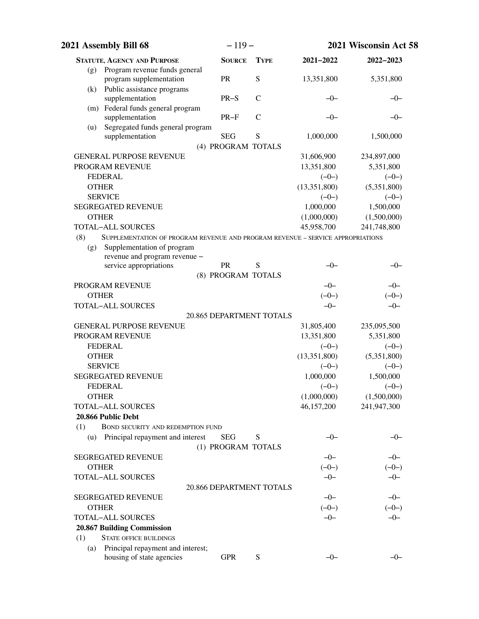| 2021 Assembly Bill 68                                                                  | $-119-$                  |              |                         | 2021 Wisconsin Act 58  |
|----------------------------------------------------------------------------------------|--------------------------|--------------|-------------------------|------------------------|
| <b>STATUTE, AGENCY AND PURPOSE</b>                                                     | <b>SOURCE</b>            | <b>TYPE</b>  | 2021-2022               | 2022-2023              |
| Program revenue funds general<br>(g)                                                   |                          |              |                         |                        |
| program supplementation                                                                | <b>PR</b>                | S            | 13,351,800              | 5,351,800              |
| Public assistance programs<br>(k)<br>supplementation                                   | $PR-S$                   | $\mathsf{C}$ | $-0-$                   | $-0-$                  |
| (m) Federal funds general program                                                      |                          |              |                         |                        |
| supplementation                                                                        | $PR-F$                   | $\mathsf{C}$ | $-0-$                   | -0-                    |
| Segregated funds general program<br>(u)                                                |                          |              |                         |                        |
| supplementation                                                                        | <b>SEG</b>               | S            | 1,000,000               | 1,500,000              |
|                                                                                        | (4) PROGRAM TOTALS       |              |                         |                        |
| <b>GENERAL PURPOSE REVENUE</b>                                                         |                          |              | 31,606,900              | 234,897,000            |
| PROGRAM REVENUE                                                                        |                          |              | 13,351,800              | 5,351,800              |
| <b>FEDERAL</b><br><b>OTHER</b>                                                         |                          |              | $(-0-)$                 | $(-0-)$                |
| <b>SERVICE</b>                                                                         |                          |              | (13,351,800)<br>$(-0-)$ | (5,351,800)<br>$(-0-)$ |
| <b>SEGREGATED REVENUE</b>                                                              |                          |              | 1,000,000               | 1,500,000              |
| <b>OTHER</b>                                                                           |                          |              | (1,000,000)             | (1,500,000)            |
| <b>TOTAL-ALL SOURCES</b>                                                               |                          |              | 45,958,700              | 241,748,800            |
| (8)<br>SUPPLEMENTATION OF PROGRAM REVENUE AND PROGRAM REVENUE – SERVICE APPROPRIATIONS |                          |              |                         |                        |
| Supplementation of program<br>(g)                                                      |                          |              |                         |                        |
| revenue and program revenue -                                                          |                          |              |                         |                        |
| service appropriations                                                                 | <b>PR</b>                | S            | $-0-$                   | $-0-$                  |
|                                                                                        | (8) PROGRAM TOTALS       |              |                         |                        |
| PROGRAM REVENUE                                                                        |                          |              | $-0-$                   | $-0-$                  |
| <b>OTHER</b><br><b>TOTAL-ALL SOURCES</b>                                               |                          |              | $(-0-)$<br>$-0-$        | $(-0-)$<br>$-0-$       |
|                                                                                        | 20.865 DEPARTMENT TOTALS |              |                         |                        |
| <b>GENERAL PURPOSE REVENUE</b>                                                         |                          |              | 31,805,400              | 235,095,500            |
| PROGRAM REVENUE                                                                        |                          |              | 13,351,800              | 5,351,800              |
| <b>FEDERAL</b>                                                                         |                          |              | $(-0-)$                 | $(-0-)$                |
| <b>OTHER</b>                                                                           |                          |              | (13,351,800)            | (5,351,800)            |
| <b>SERVICE</b>                                                                         |                          |              | $(-0-)$                 | $(-0-)$                |
| <b>SEGREGATED REVENUE</b>                                                              |                          |              | 1,000,000               | 1,500,000              |
| <b>FEDERAL</b>                                                                         |                          |              | $(-0-)$                 | $(-0-)$                |
| <b>OTHER</b>                                                                           |                          |              | (1,000,000)             | (1,500,000)            |
| <b>TOTAL-ALL SOURCES</b>                                                               |                          |              | 46,157,200              | 241,947,300            |
| 20.866 Public Debt                                                                     |                          |              |                         |                        |
| BOND SECURITY AND REDEMPTION FUND<br>(1)                                               |                          |              |                         |                        |
| Principal repayment and interest<br>(u)                                                | <b>SEG</b>               | S            | $-0-$                   | $-0-$                  |
| <b>SEGREGATED REVENUE</b>                                                              | (1) PROGRAM TOTALS       |              | $-0-$                   | $-0-$                  |
| <b>OTHER</b>                                                                           |                          |              | $(-0-)$                 | $(-0-)$                |
| <b>TOTAL-ALL SOURCES</b>                                                               |                          |              | $-0-$                   | $-0-$                  |
|                                                                                        | 20.866 DEPARTMENT TOTALS |              |                         |                        |
| <b>SEGREGATED REVENUE</b>                                                              |                          |              | $-0-$                   | $-0-$                  |
| <b>OTHER</b>                                                                           |                          |              | $(-0-)$                 | $(-0-)$                |
| <b>TOTAL-ALL SOURCES</b>                                                               |                          |              | $-0-$                   | $-0-$                  |
| 20.867 Building Commission                                                             |                          |              |                         |                        |
| <b>STATE OFFICE BUILDINGS</b><br>(1)                                                   |                          |              |                         |                        |
| Principal repayment and interest;<br>(a)                                               |                          |              |                         |                        |
| housing of state agencies                                                              | <b>GPR</b>               | S            | $-0-$                   | $-0-$                  |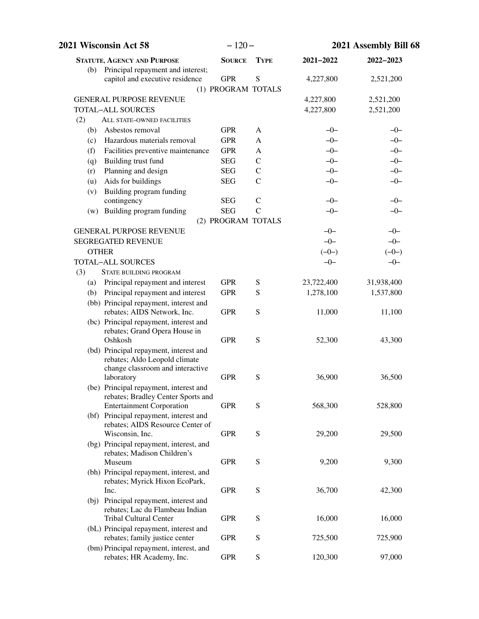| 2021 Wisconsin Act 58                                                                                          | $-120-$            |               | 2021 Assembly Bill 68 |            |
|----------------------------------------------------------------------------------------------------------------|--------------------|---------------|-----------------------|------------|
| <b>STATUTE, AGENCY AND PURPOSE</b>                                                                             | <b>SOURCE</b>      | <b>TYPE</b>   | 2021-2022             | 2022-2023  |
| Principal repayment and interest;<br>(b)                                                                       |                    |               |                       |            |
| capitol and executive residence                                                                                | <b>GPR</b>         | S             | 4,227,800             | 2,521,200  |
|                                                                                                                | (1) PROGRAM TOTALS |               |                       |            |
| <b>GENERAL PURPOSE REVENUE</b>                                                                                 |                    |               | 4,227,800             | 2,521,200  |
| <b>TOTAL-ALL SOURCES</b>                                                                                       |                    |               | 4,227,800             | 2,521,200  |
| (2)<br>ALL STATE-OWNED FACILITIES                                                                              |                    |               |                       |            |
| Asbestos removal<br>(b)                                                                                        | <b>GPR</b>         | A             | $-0-$                 | $-0-$      |
| Hazardous materials removal<br>(c)                                                                             | <b>GPR</b>         | A             | $-0-$                 | $-0-$      |
| Facilities preventive maintenance<br>(f)                                                                       | <b>GPR</b>         | A             | $-0-$                 | $-0-$      |
| Building trust fund<br>(q)                                                                                     | <b>SEG</b>         | $\mathcal{C}$ | $-0-$                 | $-0-$      |
| Planning and design<br>(r)                                                                                     | <b>SEG</b>         | $\mathcal{C}$ | $-0-$                 | $-0-$      |
| Aids for buildings<br>(u)                                                                                      | <b>SEG</b>         | $\mathcal{C}$ | $-0-$                 | $-0-$      |
| Building program funding<br>(v)                                                                                |                    |               |                       |            |
| contingency                                                                                                    | <b>SEG</b>         | $\mathcal{C}$ | $-0-$                 | $-0-$      |
| (w) Building program funding                                                                                   | <b>SEG</b>         | $\mathcal{C}$ | $-0-$                 | $-0-$      |
|                                                                                                                | (2) PROGRAM TOTALS |               |                       |            |
| <b>GENERAL PURPOSE REVENUE</b>                                                                                 |                    |               | $-0-$                 | $-0-$      |
| <b>SEGREGATED REVENUE</b>                                                                                      |                    |               | $-0-$                 | $-0-$      |
| <b>OTHER</b>                                                                                                   |                    |               | $(-0-)$               | $(-0-)$    |
| <b>TOTAL-ALL SOURCES</b>                                                                                       |                    |               | $-0-$                 | $-0-$      |
| (3)<br>STATE BUILDING PROGRAM                                                                                  |                    |               |                       |            |
| (a) Principal repayment and interest                                                                           | <b>GPR</b>         | S             | 23,722,400            | 31,938,400 |
| Principal repayment and interest<br>(b)                                                                        | <b>GPR</b>         | S             | 1,278,100             | 1,537,800  |
| (bb) Principal repayment, interest and<br>rebates; AIDS Network, Inc.                                          | <b>GPR</b>         | S             | 11,000                | 11,100     |
| (bc) Principal repayment, interest and<br>rebates; Grand Opera House in                                        |                    |               |                       |            |
| Oshkosh<br>(bd) Principal repayment, interest and                                                              | <b>GPR</b>         | S             | 52,300                | 43,300     |
| rebates; Aldo Leopold climate                                                                                  |                    |               |                       |            |
| change classroom and interactive<br>laboratory                                                                 | <b>GPR</b>         | S             | 36,900                | 36,500     |
| (be) Principal repayment, interest and                                                                         |                    |               |                       |            |
| rebates; Bradley Center Sports and                                                                             |                    |               |                       |            |
| <b>Entertainment Corporation</b><br>(bf) Principal repayment, interest and<br>rebates; AIDS Resource Center of | <b>GPR</b>         | S             | 568,300               | 528,800    |
| Wisconsin, Inc.<br>(bg) Principal repayment, interest, and                                                     | <b>GPR</b>         | S             | 29,200                | 29,500     |
| rebates; Madison Children's<br>Museum                                                                          | <b>GPR</b>         | S             | 9,200                 | 9,300      |
| (bh) Principal repayment, interest, and<br>rebates; Myrick Hixon EcoPark,<br>Inc.                              | <b>GPR</b>         | S             | 36,700                | 42,300     |
|                                                                                                                |                    |               |                       |            |
| (bj) Principal repayment, interest and<br>rebates; Lac du Flambeau Indian<br><b>Tribal Cultural Center</b>     | <b>GPR</b>         | S             | 16,000                | 16,000     |
| (bL) Principal repayment, interest and<br>rebates; family justice center                                       | <b>GPR</b>         | S             | 725,500               | 725,900    |
| (bm) Principal repayment, interest, and<br>rebates; HR Academy, Inc.                                           | <b>GPR</b>         | ${\bf S}$     | 120,300               | 97,000     |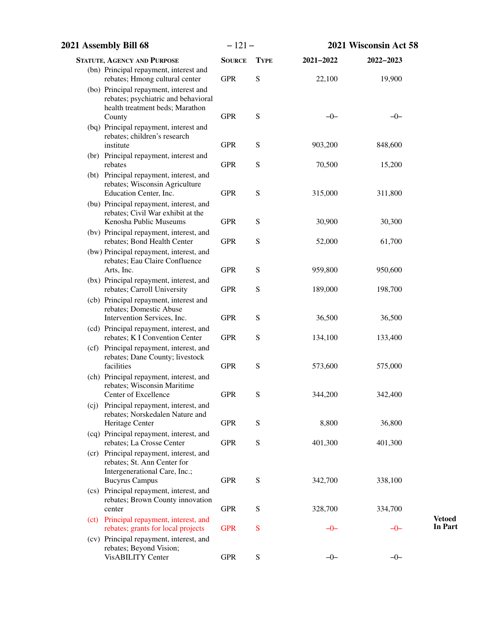| 2021 Assembly Bill 68 |                                                                                                                            | $-121-$       |             |           | 2021 Wisconsin Act 58 |                          |  |
|-----------------------|----------------------------------------------------------------------------------------------------------------------------|---------------|-------------|-----------|-----------------------|--------------------------|--|
|                       | <b>STATUTE, AGENCY AND PURPOSE</b>                                                                                         | <b>SOURCE</b> | <b>TYPE</b> | 2021-2022 | 2022-2023             |                          |  |
|                       | (bn) Principal repayment, interest and<br>rebates; Hmong cultural center                                                   | <b>GPR</b>    | S           | 22,100    | 19,900                |                          |  |
|                       | (bo) Principal repayment, interest and<br>rebates; psychiatric and behavioral<br>health treatment beds; Marathon<br>County | <b>GPR</b>    | S           | $-0-$     | $-0-$                 |                          |  |
|                       | (bq) Principal repayment, interest and<br>rebates; children's research<br>institute                                        | <b>GPR</b>    | S           | 903,200   | 848,600               |                          |  |
|                       | (br) Principal repayment, interest and<br>rebates                                                                          | <b>GPR</b>    | S           | 70,500    | 15,200                |                          |  |
|                       | (bt) Principal repayment, interest, and<br>rebates; Wisconsin Agriculture<br>Education Center, Inc.                        | <b>GPR</b>    | S           | 315,000   | 311,800               |                          |  |
|                       | (bu) Principal repayment, interest, and<br>rebates; Civil War exhibit at the<br>Kenosha Public Museums                     | <b>GPR</b>    | S           | 30,900    | 30,300                |                          |  |
|                       | (bv) Principal repayment, interest, and<br>rebates; Bond Health Center                                                     | <b>GPR</b>    | S           | 52,000    | 61,700                |                          |  |
|                       | (bw) Principal repayment, interest, and<br>rebates; Eau Claire Confluence<br>Arts, Inc.                                    | <b>GPR</b>    | S           | 959,800   | 950,600               |                          |  |
|                       | (bx) Principal repayment, interest, and<br>rebates; Carroll University                                                     | <b>GPR</b>    | S           | 189,000   | 198,700               |                          |  |
|                       | (cb) Principal repayment, interest and<br>rebates; Domestic Abuse                                                          |               |             |           |                       |                          |  |
|                       | Intervention Services, Inc.<br>(cd) Principal repayment, interest, and                                                     | <b>GPR</b>    | S           | 36,500    | 36,500                |                          |  |
|                       | rebates; K I Convention Center<br>(cf) Principal repayment, interest, and                                                  | <b>GPR</b>    | S           | 134,100   | 133,400               |                          |  |
|                       | rebates; Dane County; livestock<br>facilities                                                                              | <b>GPR</b>    | S           | 573,600   | 575,000               |                          |  |
|                       | (ch) Principal repayment, interest, and<br>rebates; Wisconsin Maritime<br>Center of Excellence                             | <b>GPR</b>    | S           | 344,200   | 342,400               |                          |  |
|                       | (cj) Principal repayment, interest, and<br>rebates; Norskedalen Nature and                                                 |               |             |           |                       |                          |  |
|                       | Heritage Center<br>(cq) Principal repayment, interest, and                                                                 | <b>GPR</b>    | S           | 8,800     | 36,800                |                          |  |
|                       | rebates; La Crosse Center<br>(cr) Principal repayment, interest, and<br>rebates; St. Ann Center for                        | <b>GPR</b>    | S           | 401,300   | 401,300               |                          |  |
|                       | Intergenerational Care, Inc.;<br><b>Bucyrus Campus</b><br>(cs) Principal repayment, interest, and                          | <b>GPR</b>    | S           | 342,700   | 338,100               |                          |  |
|                       | rebates; Brown County innovation<br>center                                                                                 | <b>GPR</b>    | S           | 328,700   | 334,700               |                          |  |
|                       | (ct) Principal repayment, interest, and<br>rebates; grants for local projects                                              | <b>GPR</b>    | S           | $-0-$     | -0-                   | <b>Vetoed</b><br>In Part |  |
|                       | (cv) Principal repayment, interest, and<br>rebates; Beyond Vision;<br>VisABILITY Center                                    | <b>GPR</b>    | S           | $-0-$     | $-0-$                 |                          |  |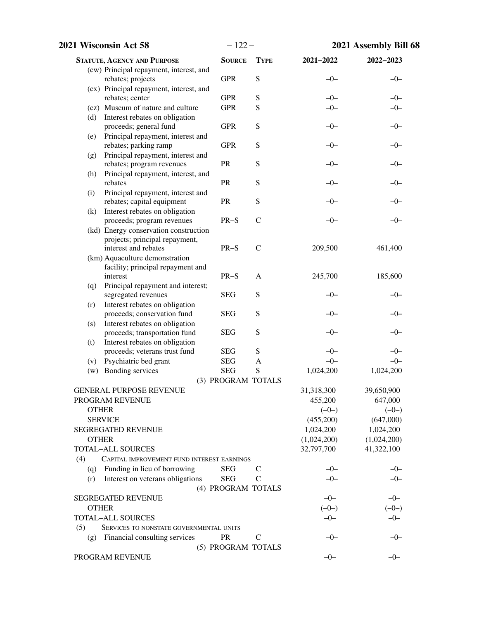|     | 2021 Wisconsin Act 58                                                   | $-122-$            |               |                  | 2021 Assembly Bill 68 |
|-----|-------------------------------------------------------------------------|--------------------|---------------|------------------|-----------------------|
|     | <b>STATUTE, AGENCY AND PURPOSE</b>                                      | <b>SOURCE</b>      | <b>TYPE</b>   | 2021-2022        | 2022-2023             |
|     | (cw) Principal repayment, interest, and                                 |                    |               |                  |                       |
|     | rebates; projects                                                       | <b>GPR</b>         | ${\bf S}$     | $-0-$            | $-0-$                 |
|     | (cx) Principal repayment, interest, and                                 |                    |               |                  |                       |
|     | rebates; center                                                         | <b>GPR</b>         | ${\bf S}$     | $-0-$            | $-0-$                 |
|     | (cz) Museum of nature and culture                                       | <b>GPR</b>         | ${\bf S}$     | $-0-$            | $-0-$                 |
| (d) | Interest rebates on obligation<br>proceeds; general fund                | <b>GPR</b>         | ${\bf S}$     | $-0-$            | $-0-$                 |
| (e) | Principal repayment, interest and<br>rebates; parking ramp              | <b>GPR</b>         | ${\bf S}$     | $-0-$            | $-0-$                 |
| (g) | Principal repayment, interest and<br>rebates; program revenues          | <b>PR</b>          | ${\bf S}$     | $-0-$            | $-0-$                 |
| (h) | Principal repayment, interest, and<br>rebates                           | <b>PR</b>          | ${\bf S}$     | $-0-$            | $-0-$                 |
| (i) | Principal repayment, interest and                                       |                    |               |                  |                       |
|     | rebates; capital equipment                                              | PR                 | ${\bf S}$     | $-0-$            | $-0-$                 |
| (k) | Interest rebates on obligation                                          |                    |               |                  |                       |
|     | proceeds; program revenues                                              | $PR-S$             | $\mathcal{C}$ | $-0-$            | $-0-$                 |
|     | (kd) Energy conservation construction<br>projects; principal repayment, |                    |               |                  |                       |
|     | interest and rebates                                                    | $PR-S$             | $\mathcal{C}$ | 209,500          | 461,400               |
|     | (km) Aquaculture demonstration                                          |                    |               |                  |                       |
|     | facility; principal repayment and                                       |                    |               |                  |                       |
|     | interest                                                                | $PR-S$             | A             | 245,700          | 185,600               |
| (q) | Principal repayment and interest;                                       |                    |               |                  |                       |
|     | segregated revenues                                                     | <b>SEG</b>         | ${\bf S}$     | $-0-$            | $-0-$                 |
| (r) | Interest rebates on obligation                                          |                    |               |                  |                       |
|     | proceeds; conservation fund                                             | <b>SEG</b>         | ${\bf S}$     | $-0-$            | $-0-$                 |
| (s) | Interest rebates on obligation<br>proceeds; transportation fund         | <b>SEG</b>         | ${\bf S}$     | $-0-$            | $-0-$                 |
| (t) | Interest rebates on obligation                                          |                    |               |                  |                       |
|     | proceeds; veterans trust fund                                           | <b>SEG</b>         | ${\bf S}$     | $-0-$            | $-0-$                 |
| (v) | Psychiatric bed grant                                                   | <b>SEG</b>         | A             | $-0-$            | $-0-$                 |
| (w) | Bonding services                                                        | <b>SEG</b>         | S             | 1,024,200        | 1,024,200             |
|     |                                                                         | (3) PROGRAM TOTALS |               |                  |                       |
|     | <b>GENERAL PURPOSE REVENUE</b>                                          |                    |               | 31,318,300       | 39,650,900            |
|     | PROGRAM REVENUE                                                         |                    |               | 455,200          | 647,000               |
|     | <b>OTHER</b>                                                            |                    |               | $(-0-)$          | $(-0-)$               |
|     | <b>SERVICE</b>                                                          |                    |               | (455,200)        | (647,000)             |
|     | <b>SEGREGATED REVENUE</b>                                               |                    |               | 1,024,200        | 1,024,200             |
|     | <b>OTHER</b>                                                            |                    |               | (1,024,200)      | (1,024,200)           |
|     | <b>TOTAL-ALL SOURCES</b>                                                |                    |               | 32,797,700       | 41,322,100            |
| (4) | CAPITAL IMPROVEMENT FUND INTEREST EARNINGS                              |                    |               |                  |                       |
| (q) | Funding in lieu of borrowing                                            | <b>SEG</b>         | $\mathcal{C}$ | $-0-$            | $-0-$                 |
| (r) | Interest on veterans obligations                                        | <b>SEG</b>         | C             | $-0-$            | $-0-$                 |
|     |                                                                         | (4) PROGRAM TOTALS |               |                  |                       |
|     | SEGREGATED REVENUE                                                      |                    |               | $-0-$            | $-0-$                 |
|     | <b>OTHER</b>                                                            |                    |               | $(-0-)$<br>$-0-$ | $(-0-)$               |
| (5) | <b>TOTAL-ALL SOURCES</b><br>SERVICES TO NONSTATE GOVERNMENTAL UNITS     |                    |               |                  | $-0-$                 |
|     | Financial consulting services                                           | <b>PR</b>          | $\mathbf C$   | $-0-$            | $-0-$                 |
| (g) |                                                                         | (5) PROGRAM TOTALS |               |                  |                       |
|     | PROGRAM REVENUE                                                         |                    |               | $-0-$            | $-0-$                 |
|     |                                                                         |                    |               |                  |                       |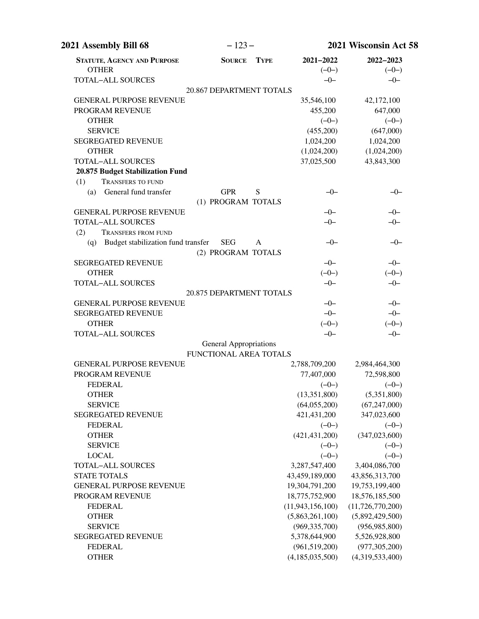| 2021 Assembly Bill 68                              | $-123-$                                                 |             |                      | 2021 Wisconsin Act 58 |
|----------------------------------------------------|---------------------------------------------------------|-------------|----------------------|-----------------------|
| <b>STATUTE, AGENCY AND PURPOSE</b><br><b>OTHER</b> | <b>SOURCE</b>                                           | <b>TYPE</b> | 2021-2022<br>$(-0-)$ | 2022-2023<br>$(-0-)$  |
| <b>TOTAL-ALL SOURCES</b>                           |                                                         |             | $-0-$                | $-0-$                 |
|                                                    | 20.867 DEPARTMENT TOTALS                                |             |                      |                       |
| <b>GENERAL PURPOSE REVENUE</b>                     |                                                         |             | 35,546,100           | 42,172,100            |
| PROGRAM REVENUE                                    |                                                         |             | 455,200              | 647,000               |
| <b>OTHER</b>                                       |                                                         |             | $(-0-)$              | $(-0-)$               |
| <b>SERVICE</b>                                     |                                                         |             | (455,200)            | (647,000)             |
| <b>SEGREGATED REVENUE</b>                          |                                                         |             | 1,024,200            | 1,024,200             |
| <b>OTHER</b>                                       |                                                         |             | (1,024,200)          | (1,024,200)           |
| <b>TOTAL-ALL SOURCES</b>                           |                                                         |             | 37,025,500           | 43,843,300            |
| 20.875 Budget Stabilization Fund                   |                                                         |             |                      |                       |
| (1)<br><b>TRANSFERS TO FUND</b>                    |                                                         |             |                      |                       |
| General fund transfer<br>(a)                       | <b>GPR</b>                                              | S           | $-0-$                | $-0-$                 |
|                                                    | (1) PROGRAM TOTALS                                      |             |                      |                       |
| <b>GENERAL PURPOSE REVENUE</b>                     |                                                         |             | $-0-$                | $-0-$                 |
| <b>TOTAL-ALL SOURCES</b>                           |                                                         |             | $-0-$                | $-0-$                 |
| (2)<br><b>TRANSFERS FROM FUND</b>                  |                                                         |             |                      |                       |
| Budget stabilization fund transfer<br>(q)          | <b>SEG</b>                                              | A           | $-0-$                | $-0-$                 |
|                                                    | (2) PROGRAM TOTALS                                      |             |                      |                       |
| <b>SEGREGATED REVENUE</b>                          |                                                         |             | $-0-$                | $-0-$                 |
| <b>OTHER</b>                                       |                                                         |             | $(-0-)$              | $(-0-)$               |
| <b>TOTAL-ALL SOURCES</b>                           |                                                         |             | $-0-$                | $-0-$                 |
|                                                    | 20.875 DEPARTMENT TOTALS                                |             |                      |                       |
| <b>GENERAL PURPOSE REVENUE</b>                     |                                                         |             | $-0-$                | $-0-$                 |
| <b>SEGREGATED REVENUE</b>                          |                                                         |             | $-0-$                | $-0-$                 |
| <b>OTHER</b>                                       |                                                         |             | $(-0-)$              | $(-0-)$               |
| <b>TOTAL-ALL SOURCES</b>                           |                                                         |             | $-0-$                | $-0-$                 |
|                                                    | <b>General Appropriations</b><br>FUNCTIONAL AREA TOTALS |             |                      |                       |
| <b>GENERAL PURPOSE REVENUE</b>                     |                                                         |             | 2,788,709,200        | 2,984,464,300         |
| PROGRAM REVENUE                                    |                                                         |             | 77,407,000           | 72,598,800            |
| <b>FEDERAL</b>                                     |                                                         |             | $(-0-)$              | $(-0-)$               |
| <b>OTHER</b>                                       |                                                         |             | (13, 351, 800)       | (5,351,800)           |
| <b>SERVICE</b>                                     |                                                         |             | (64,055,200)         | (67, 247, 000)        |
| <b>SEGREGATED REVENUE</b>                          |                                                         |             | 421,431,200          | 347,023,600           |
| <b>FEDERAL</b>                                     |                                                         |             | $(-0-)$              | $(-0-)$               |
| <b>OTHER</b>                                       |                                                         |             | (421, 431, 200)      | (347, 023, 600)       |
| <b>SERVICE</b>                                     |                                                         |             | $(-0-)$              | $(-0-)$               |
| <b>LOCAL</b>                                       |                                                         |             | $(-0-)$              | $(-0-)$               |
| <b>TOTAL-ALL SOURCES</b>                           |                                                         |             | 3,287,547,400        | 3,404,086,700         |
| <b>STATE TOTALS</b>                                |                                                         |             | 43,459,189,000       | 43,856,313,700        |
| <b>GENERAL PURPOSE REVENUE</b>                     |                                                         |             | 19,304,791,200       | 19,753,199,400        |
| PROGRAM REVENUE                                    |                                                         |             | 18,775,752,900       | 18,576,185,500        |
| <b>FEDERAL</b>                                     |                                                         |             | (11, 943, 156, 100)  | (11, 726, 770, 200)   |
| <b>OTHER</b>                                       |                                                         |             | (5,863,261,100)      | (5,892,429,500)       |
| <b>SERVICE</b>                                     |                                                         |             | (969, 335, 700)      | (956, 985, 800)       |
| <b>SEGREGATED REVENUE</b>                          |                                                         |             | 5,378,644,900        | 5,526,928,800         |
| <b>FEDERAL</b>                                     |                                                         |             | (961, 519, 200)      | (977, 305, 200)       |
| <b>OTHER</b>                                       |                                                         |             | (4, 185, 035, 500)   | (4,319,533,400)       |
|                                                    |                                                         |             |                      |                       |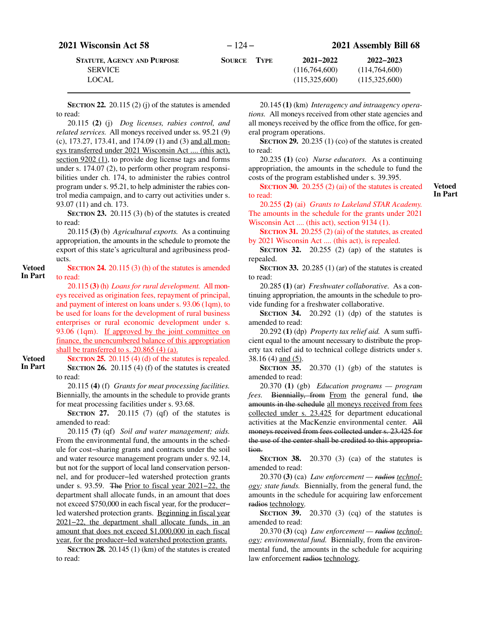| <b>2021 Wisconsin Act 58</b> |  |
|------------------------------|--|
|                              |  |

**SECTION 22.** 20.115 (2) (j) of the statutes is amended to read:

20.115 **(2)** (j) *Dog licenses, rabies control, and related services.* All moneys received under ss. 95.21 (9) (c), 173.27, 173.41, and 174.09 (1) and (3) and all moneys transferred under 2021 Wisconsin Act .... (this act), section 9202 [\(1](#page-173-0)), to provide dog license tags and forms under s. 174.07 (2), to perform other program responsibilities under ch. 174, to administer the rabies control program under s. 95.21, to help administer the rabies control media campaign, and to carry out activities under s. 93.07 (11) and ch. 173.

**SECTION 23.** 20.115 (3) (b) of the statutes is created to read:

20.115 **(3)** (b) *Agricultural exports.* As a continuing appropriation, the amounts in the schedule to promote the export of this state's agricultural and agribusiness products.

## **SECTION 24.** 20.115 (3) (h) of the statutes is amended to read:

20.115 **(3)** (h) *Loans for rural development.* All moneys received as origination fees, repayment of principal, and payment of interest on loans under s. 93.06 (1qm), to be used for loans for the development of rural business enterprises or rural economic development under s. 93.06 (1qm). If approved by the joint committee on finance, the unencumbered balance of this appropriation shall be transferred to s. 20.865 (4) (a).

**Vetoed In Part**

**Vetoed In Part**

> **SECTION 25.** 20.115 (4) (d) of the statutes is repealed. **SECTION 26.** 20.115 (4) (f) of the statutes is created to read:

> 20.115 **(4)** (f) *Grants for meat processing facilities.* Biennially, the amounts in the schedule to provide grants for meat processing facilities under s. 93.68.

> **SECTION 27.** 20.115 (7) (qf) of the statutes is amended to read:

> 20.115 **(7)** (qf) *Soil and water management; aids.* From the environmental fund, the amounts in the schedule for cost−sharing grants and contracts under the soil and water resource management program under s. 92.14, but not for the support of local land conservation personnel, and for producer−led watershed protection grants under s. 93.59. The Prior to fiscal year 2021−22, the department shall allocate funds, in an amount that does not exceed \$750,000 in each fiscal year, for the producer− led watershed protection grants. Beginning in fiscal year 2021−22, the department shall allocate funds, in an amount that does not exceed \$1,000,000 in each fiscal year, for the producer−led watershed protection grants.

> **SECTION 28.** 20.145 (1) (km) of the statutes is created to read:

20.145 **(1)** (km) *Interagency and intraagency operations.* All moneys received from other state agencies and all moneys received by the office from the office, for general program operations.

**SECTION 29.** 20.235 (1) (co) of the statutes is created to read:

20.235 **(1)** (co) *Nurse educators.* As a continuing appropriation, the amounts in the schedule to fund the costs of the program established under s. 39.395.

**SECTION 30.** 20.255 (2) (ai) of the statutes is created to read:

**Vetoed In Part**

20.255 **(2)** (ai) *Grants to Lakeland STAR Academy.* The amounts in the schedule for the grants under 2021 Wisconsin Act .... (this act), section 9134 [\(1](#page-171-0)).

**SECTION 31.** 20.255 (2) (ai) of the statutes, as created by 2021 Wisconsin Act .... (this act), is repealed.

**SECTION 32.** 20.255 (2) (ap) of the statutes is repealed.

**SECTION 33.** 20.285 (1) (ar) of the statutes is created to read:

20.285 **(1)** (ar) *Freshwater collaborative.* As a continuing appropriation, the amounts in the schedule to provide funding for a freshwater collaborative.

**SECTION** 34. 20.292 (1) (dp) of the statutes is amended to read:

20.292 **(1)** (dp) *Property tax relief aid.* A sum sufficient equal to the amount necessary to distribute the property tax relief aid to technical college districts under s. 38.16 (4) and (5).

**SECTION 35.** 20.370 (1) (gb) of the statutes is amended to read:

20.370 **(1)** (gb) *Education programs — program fees.* Biennially, from From the general fund, the amounts in the schedule all moneys received from fees collected under s. 23.425 for department educational activities at the MacKenzie environmental center. All moneys received from fees collected under s. 23.425 for the use of the center shall be credited to this appropriation.

**SECTION 38.** 20.370 (3) (ca) of the statutes is amended to read:

20.370 **(3)** (ca) *Law enforcement — radios technology; state funds.* Biennially, from the general fund, the amounts in the schedule for acquiring law enforcement radios technology.

**SECTION 39.** 20.370 (3) (cq) of the statutes is amended to read:

20.370 **(3)** (cq) *Law enforcement — radios technology; environmental fund.* Biennially, from the environmental fund, the amounts in the schedule for acquiring law enforcement radios technology.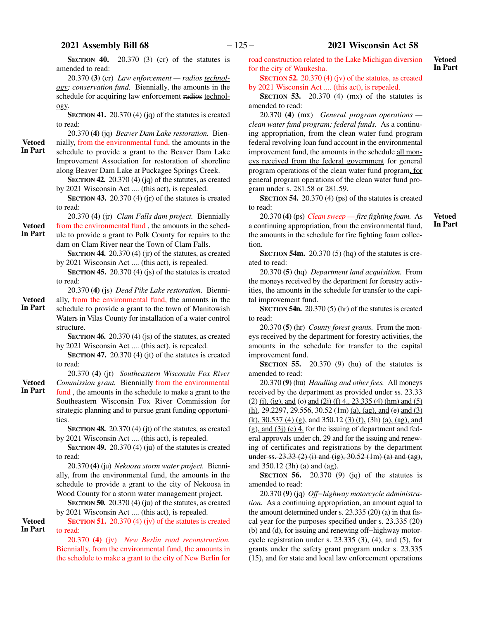**SECTION 40.** 20.370 (3) (cr) of the statutes is amended to read:

20.370 **(3)** (cr) *Law enforcement — radios technology; conservation fund.* Biennially, the amounts in the schedule for acquiring law enforcement radios technology.

**SECTION 41.** 20.370 (4) (jq) of the statutes is created to read:

20.370 **(4)** (jq) *Beaver Dam Lake restoration.* Biennially, from the environmental fund, the amounts in the

schedule to provide a grant to the Beaver Dam Lake Improvement Association for restoration of shoreline along Beaver Dam Lake at Puckagee Springs Creek. **In Part**

**SECTION 42.** 20.370 (4) (jq) of the statutes, as created by 2021 Wisconsin Act .... (this act), is repealed.

**SECTION 43.** 20.370 (4) (jr) of the statutes is created to read:

20.370 **(4)** (jr) *Clam Falls dam project.* Biennially

from the environmental fund , the amounts in the schedule to provide a grant to Polk County for repairs to the

dam on Clam River near the Town of Clam Falls. **SECTION 44.** 20.370 (4) (jr) of the statutes, as created

- by 2021 Wisconsin Act .... (this act), is repealed.
- **SECTION 45.** 20.370 (4) (is) of the statutes is created to read:
- 20.370 **(4)** (js) *Dead Pike Lake restoration.* Bienni-

ally, from the environmental fund, the amounts in the schedule to provide a grant to the town of Manitowish Waters in Vilas County for installation of a water control structure. **Vetoed In Part**

> **SECTION 46.** 20.370 (4) (js) of the statutes, as created by 2021 Wisconsin Act .... (this act), is repealed.

> **SECTION 47.** 20.370 (4) (jt) of the statutes is created to read:

20.370 **(4)** (jt) *Southeastern Wisconsin Fox River Commission grant.* Biennially from the environmental fund , the amounts in the schedule to make a grant to the Southeastern Wisconsin Fox River Commission for strategic planning and to pursue grant funding opportunities.

**SECTION 48.** 20.370 (4) (jt) of the statutes, as created by 2021 Wisconsin Act .... (this act), is repealed.

**SECTION 49.** 20.370 (4) (ju) of the statutes is created to read:

20.370 **(4)** (ju) *Nekoosa storm water project.* Biennially, from the environmental fund, the amounts in the schedule to provide a grant to the city of Nekoosa in Wood County for a storm water management project.

**SECTION 50.** 20.370 (4) (ju) of the statutes, as created by 2021 Wisconsin Act .... (this act), is repealed.

**SECTION 51.** 20.370 (4) (jv) of the statutes is created to read: **Vetoed In Part**

> 20.370 **(4)** (jv) *New Berlin road reconstruction.* Biennially, from the environmental fund, the amounts in the schedule to make a grant to the city of New Berlin for

road construction related to the Lake Michigan diversion for the city of Waukesha.

**SECTION 52.** 20.370 (4) (jv) of the statutes, as created by 2021 Wisconsin Act .... (this act), is repealed.

**SECTION 53.** 20.370 (4) (mx) of the statutes is amended to read:

20.370 **(4)** (mx) *General program operations clean water fund program; federal funds.* As a continuing appropriation, from the clean water fund program federal revolving loan fund account in the environmental improvement fund, the amounts in the schedule all moneys received from the federal government for general program operations of the clean water fund program, for general program operations of the clean water fund program under s. 281.58 or 281.59.

**SECTION 54.** 20.370 (4) (ps) of the statutes is created to read:

20.370 **(4)** (ps) *Clean sweep* —*fire fighting foam.* As a continuing appropriation, from the environmental fund, the amounts in the schedule for fire fighting foam collection.

**Vetoed In Part**

**Vetoed In Part**

**SECTION 54m.** 20.370 (5) (hq) of the statutes is created to read:

20.370 **(5)** (hq) *Department land acquisition.* From the moneys received by the department for forestry activities, the amounts in the schedule for transfer to the capital improvement fund.

**SECTION** 54n. 20.370 (5) (hr) of the statutes is created to read:

20.370 **(5)** (hr) *County forest grants.* From the moneys received by the department for forestry activities, the amounts in the schedule for transfer to the capital improvement fund.

**SECTION 55.** 20.370 (9) (hu) of the statutes is amended to read:

20.370 **(9)** (hu) *Handling and other fees.* All moneys received by the department as provided under ss. 23.33  $(2)$  (i), (ig), and (o) and (2j) (f) 4., 23.335 (4) (hm) and (5) (h), 29.2297, 29.556, 30.52 (1m) (a), (ag), and (e) and (3) (k),  $30.537$  (4) (g), and  $350.12$  (3) (f), (3h) (a), (ag), and  $(g)$ , and  $(3j)$  (e) 4. for the issuing of department and federal approvals under ch. 29 and for the issuing and renewing of certificates and registrations by the department under ss. 23.33 (2) (i) and (ig), 30.52 (1m) (a) and (ag), and 350.12 (3h) (a) and (ag).

**SECTION 56.** 20.370 (9) (jq) of the statutes is amended to read:

20.370 **(9)** (jq) *Off−highway motorcycle administration.* As a continuing appropriation, an amount equal to the amount determined under s. 23.335 (20) (a) in that fiscal year for the purposes specified under s. 23.335 (20) (b) and (d), for issuing and renewing off−highway motorcycle registration under s. 23.335 (3), (4), and (5), for grants under the safety grant program under s. 23.335 (15), and for state and local law enforcement operations

**Vetoed**

**In Part**

**Vetoed In Part**

**Vetoed**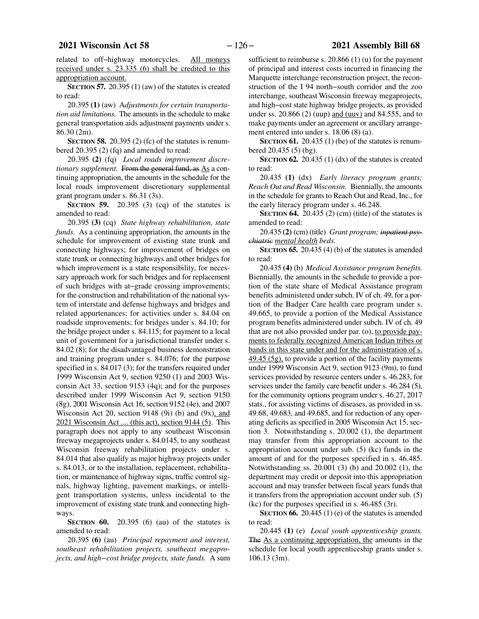related to off−highway motorcycles. All moneys received under s. 23.335 (6) shall be credited to this appropriation account.

**SECTION 57.** 20.395 (1) (aw) of the statutes is created to read:

20.395 **(1)** (aw) A*djustments for certain transportation aid limitations.* The amounts in the schedule to make general transportation aids adjustment payments under s. 86.30 (2m).

**SECTION 58.** 20.395 (2) (fc) of the statutes is renumbered 20.395 (2) (fq) and amended to read:

20.395 **(2)** (fq) *Local roads improvement discretionary supplement.* From the general fund, as As a continuing appropriation, the amounts in the schedule for the local roads improvement discretionary supplemental grant program under s. 86.31 (3s).

**SECTION 59.** 20.395 (3) (cq) of the statutes is amended to read:

20.395 **(3)** (cq) *State highway rehabilitation, state funds.* As a continuing appropriation, the amounts in the schedule for improvement of existing state trunk and connecting highways; for improvement of bridges on state trunk or connecting highways and other bridges for which improvement is a state responsibility, for necessary approach work for such bridges and for replacement of such bridges with at−grade crossing improvements; for the construction and rehabilitation of the national system of interstate and defense highways and bridges and related appurtenances; for activities under s. 84.04 on roadside improvements; for bridges under s. 84.10; for the bridge project under s. 84.115; for payment to a local unit of government for a jurisdictional transfer under s. 84.02 (8); for the disadvantaged business demonstration and training program under s. 84.076; for the purpose specified in s. 84.017 (3); for the transfers required under 1999 Wisconsin Act 9, section 9250 (1) and 2003 Wisconsin Act 33, section 9153 (4q); and for the purposes described under 1999 Wisconsin Act 9, section 9150 (8g), 2001 Wisconsin Act 16, section 9152 (4e), and 2007 Wisconsin Act 20, section 9148 (9i) (b) and  $(9x)$ , and 2021 Wisconsin Act .... (this act), section 9144 [\(5](#page-172-0)). This paragraph does not apply to any southeast Wisconsin freeway megaprojects under s. 84.0145, to any southeast Wisconsin freeway rehabilitation projects under s. 84.014 that also qualify as major highway projects under s. 84.013, or to the installation, replacement, rehabilitation, or maintenance of highway signs, traffic control signals, highway lighting, pavement markings, or intelligent transportation systems, unless incidental to the improvement of existing state trunk and connecting highways.

**SECTION 60.** 20.395 (6) (au) of the statutes is amended to read:

20.395 **(6)** (au) *Principal repayment and interest, southeast rehabilitation projects, southeast megaprojects, and high−cost bridge projects, state funds.* A sum

sufficient to reimburse s. 20.866 (1) (u) for the payment of principal and interest costs incurred in financing the Marquette interchange reconstruction project, the reconstruction of the I 94 north−south corridor and the zoo interchange, southeast Wisconsin freeway megaprojects, and high−cost state highway bridge projects, as provided under ss.  $20.866$  (2) (uup) and (uuv) and 84.555, and to make payments under an agreement or ancillary arrangement entered into under s. 18.06 (8) (a).

**SECTION 61.** 20.435 (1) (be) of the statutes is renumbered 20.435 (5) (bg).

**SECTION 62.** 20.435 (1)  $(dx)$  of the statutes is created to read:

20.435 **(1)** (dx) *Early literacy program grants; Reach Out and Read Wisconsin.* Biennially, the amounts in the schedule for grants to Reach Out and Read, Inc., for the early literacy program under s. 46.248.

**SECTION 64.** 20.435 (2) (cm) (title) of the statutes is amended to read:

20.435 **(2)** (cm) (title) *Grant program; inpatient psychiatric mental health beds.*

**SECTION 65.** 20.435 (4) (b) of the statutes is amended to read:

20.435 **(4)** (b) *Medical Assistance program benefits.* Biennially, the amounts in the schedule to provide a portion of the state share of Medical Assistance program benefits administered under subch. IV of ch. 49, for a portion of the Badger Care health care program under s. 49.665, to provide a portion of the Medical Assistance program benefits administered under subch. IV of ch. 49 that are not also provided under par. (o), to provide payments to federally recognized American Indian tribes or bands in this state under and for the administration of s.  $49.45$  (5g), to provide a portion of the facility payments under 1999 Wisconsin Act 9, section 9123 (9m), to fund services provided by resource centers under s. 46.283, for services under the family care benefit under s. 46.284 (5), for the community options program under s. 46.27, 2017 stats., for assisting victims of diseases, as provided in ss. 49.68, 49.683, and 49.685, and for reduction of any operating deficits as specified in 2005 Wisconsin Act 15, section 3. Notwithstanding s. 20.002 (1), the department may transfer from this appropriation account to the appropriation account under sub. (5) (kc) funds in the amount of and for the purposes specified in s. 46.485. Notwithstanding ss. 20.001 (3) (b) and 20.002 (1), the department may credit or deposit into this appropriation account and may transfer between fiscal years funds that it transfers from the appropriation account under sub. (5) (kc) for the purposes specified in s. 46.485 (3r).

**SECTION 66.** 20.445 (1) (e) of the statutes is amended to read:

20.445 **(1)** (e) *Local youth apprenticeship grants.* The As a continuing appropriation, the amounts in the schedule for local youth apprenticeship grants under s. 106.13 (3m).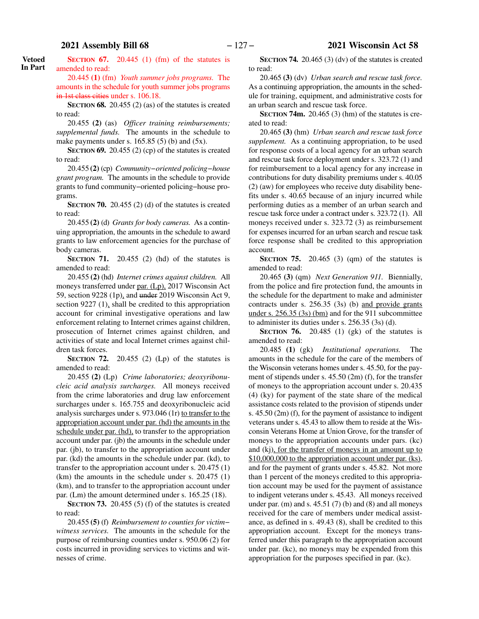**SECTION 67.** 20.445 (1) (fm) of the statutes is amended to read: **Vetoed In Part**

> 20.445 **(1)** (fm) *Youth summer jobs programs.* The amounts in the schedule for youth summer jobs programs in 1st class cities under s. 106.18.

> **SECTION 68.** 20.455 (2) (as) of the statutes is created to read:

> 20.455 **(2)** (as) *Officer training reimbursements; supplemental funds.* The amounts in the schedule to make payments under s.  $165.85(5)$  (b) and  $(5x)$ .

> **SECTION 69.** 20.455 (2) (cp) of the statutes is created to read:

> 20.455 **(2)** (cp) *Community−oriented policing−house grant program.* The amounts in the schedule to provide grants to fund community−oriented policing−house programs.

> **SECTION 70.** 20.455 (2) (d) of the statutes is created to read:

> 20.455 **(2)** (d) *Grants for body cameras.* As a continuing appropriation, the amounts in the schedule to award grants to law enforcement agencies for the purchase of body cameras.

> **SECTION 71.** 20.455 (2) (hd) of the statutes is amended to read:

> 20.455 **(2)** (hd) *Internet crimes against children.* All moneys transferred under par. (Lp), 2017 Wisconsin Act 59, section 9228 (1p), and under 2019 Wisconsin Act 9, section 9227 (1), shall be credited to this appropriation account for criminal investigative operations and law enforcement relating to Internet crimes against children, prosecution of Internet crimes against children, and activities of state and local Internet crimes against children task forces.

> **SECTION** 72.  $20.455$  (2) (Lp) of the statutes is amended to read:

> 20.455 **(2)** (Lp) *Crime laboratories; deoxyribonucleic acid analysis surcharges.* All moneys received from the crime laboratories and drug law enforcement surcharges under s. 165.755 and deoxyribonucleic acid analysis surcharges under s. 973.046 (1r) to transfer to the appropriation account under par. (hd) the amounts in the schedule under par. (hd), to transfer to the appropriation account under par. (jb) the amounts in the schedule under par. (jb), to transfer to the appropriation account under par. (kd) the amounts in the schedule under par. (kd), to transfer to the appropriation account under s. 20.475 (1) (km) the amounts in the schedule under s. 20.475 (1) (km), and to transfer to the appropriation account under par. (Lm) the amount determined under s. 165.25 (18).

> **SECTION 73.** 20.455 (5) (f) of the statutes is created to read:

> 20.455 **(5)** (f) *Reimbursement to counties for victim− witness services.* The amounts in the schedule for the purpose of reimbursing counties under s. 950.06 (2) for costs incurred in providing services to victims and witnesses of crime.

**SECTION 74.** 20.465 (3) (dv) of the statutes is created to read:

20.465 **(3)** (dv) *Urban search and rescue task force.* As a continuing appropriation, the amounts in the schedule for training, equipment, and administrative costs for an urban search and rescue task force.

**SECTION 74m.** 20.465 (3) (hm) of the statutes is created to read:

20.465 **(3)** (hm) *Urban search and rescue task force supplement.* As a continuing appropriation, to be used for response costs of a local agency for an urban search and rescue task force deployment under s. 323.72 (1) and for reimbursement to a local agency for any increase in contributions for duty disability premiums under s. 40.05 (2) (aw) for employees who receive duty disability benefits under s. 40.65 because of an injury incurred while performing duties as a member of an urban search and rescue task force under a contract under s. 323.72 (1). All moneys received under s. 323.72 (3) as reimbursement for expenses incurred for an urban search and rescue task force response shall be credited to this appropriation account.

**SECTION 75.** 20.465 (3) (qm) of the statutes is amended to read:

20.465 **(3)** (qm) *Next Generation 911.* Biennially, from the police and fire protection fund, the amounts in the schedule for the department to make and administer contracts under s. 256.35 (3s) (b) and provide grants under s. 256.35 (3s) (bm) and for the 911 subcommittee to administer its duties under s. 256.35 (3s) (d).

**SECTION 76.** 20.485 (1) (gk) of the statutes is amended to read:

20.485 **(1)** (gk) *Institutional operations.* The amounts in the schedule for the care of the members of the Wisconsin veterans homes under s. 45.50, for the payment of stipends under s. 45.50 (2m) (f), for the transfer of moneys to the appropriation account under s. 20.435 (4) (ky) for payment of the state share of the medical assistance costs related to the provision of stipends under s. 45.50 (2m) (f), for the payment of assistance to indigent veterans under s. 45.43 to allow them to reside at the Wisconsin Veterans Home at Union Grove, for the transfer of moneys to the appropriation accounts under pars. (kc) and (kj), for the transfer of moneys in an amount up to \$10,000,000 to the appropriation account under par. (ks), and for the payment of grants under s. 45.82. Not more than 1 percent of the moneys credited to this appropriation account may be used for the payment of assistance to indigent veterans under s. 45.43. All moneys received under par. (m) and s.  $45.51(7)$  (b) and (8) and all moneys received for the care of members under medical assistance, as defined in s. 49.43 (8), shall be credited to this appropriation account. Except for the moneys transferred under this paragraph to the appropriation account under par. (kc), no moneys may be expended from this appropriation for the purposes specified in par. (kc).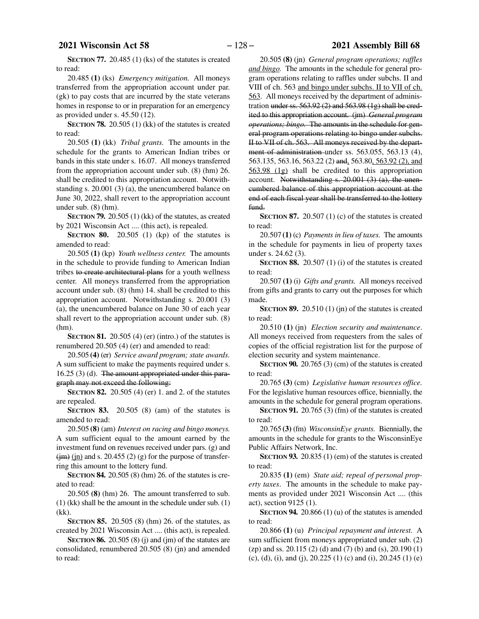**SECTION 77.** 20.485 (1) (ks) of the statutes is created to read:

20.485 **(1)** (ks) *Emergency mitigation.* All moneys transferred from the appropriation account under par. (gk) to pay costs that are incurred by the state veterans homes in response to or in preparation for an emergency as provided under s. 45.50 (12).

**SECTION 78.** 20.505 (1) (kk) of the statutes is created to read:

20.505 **(1)** (kk) *Tribal grants.* The amounts in the schedule for the grants to American Indian tribes or bands in this state under s. 16.07. All moneys transferred from the appropriation account under sub. (8) (hm) 26. shall be credited to this appropriation account. Notwithstanding s. 20.001 (3) (a), the unencumbered balance on June 30, 2022, shall revert to the appropriation account under sub. (8) (hm).

**SECTION 79.** 20.505 (1) (kk) of the statutes, as created by 2021 Wisconsin Act .... (this act), is repealed.

**SECTION 80.** 20.505 (1) (kp) of the statutes is amended to read:

20.505 **(1)** (kp) *Youth wellness center.* The amounts in the schedule to provide funding to American Indian tribes to create architectural plans for a youth wellness center. All moneys transferred from the appropriation account under sub. (8) (hm) 14. shall be credited to this appropriation account. Notwithstanding s. 20.001 (3) (a), the unencumbered balance on June 30 of each year shall revert to the appropriation account under sub. (8) (hm).

**SECTION 81.** 20.505 (4) (er) (intro.) of the statutes is renumbered 20.505 (4) (er) and amended to read:

20.505 **(4)** (er) *Service award program; state awards.* A sum sufficient to make the payments required under s. 16.25 (3) (d). The amount appropriated under this paragraph may not exceed the following:

**SECTION 82.** 20.505 (4) (er) 1. and 2. of the statutes are repealed.

**SECTION 83.** 20.505 (8) (am) of the statutes is amended to read:

20.505 **(8)** (am) *Interest on racing and bingo moneys.* A sum sufficient equal to the amount earned by the investment fund on revenues received under pars. (g) and  $\frac{\text{(im)} \text{(in)}}{\text{(in)}}$  and s. 20.455 (2) (g) for the purpose of transferring this amount to the lottery fund.

**SECTION 84.** 20.505 (8) (hm) 26. of the statutes is created to read:

20.505 **(8)** (hm) 26. The amount transferred to sub. (1) (kk) shall be the amount in the schedule under sub. (1) (kk).

**SECTION 85.** 20.505 (8) (hm) 26. of the statutes, as created by 2021 Wisconsin Act .... (this act), is repealed.

**SECTION 86.** 20.505 (8) (j) and (jm) of the statutes are consolidated, renumbered 20.505 (8) (jn) and amended to read:

20.505 **(8)** (jn) *General program operations; raffles and bingo.* The amounts in the schedule for general program operations relating to raffles under subchs. II and VIII of ch. 563 and bingo under subchs. II to VII of ch. 563. All moneys received by the department of administration under ss. 563.92 (2) and 563.98 (1g) shall be credited to this appropriation account. (jm) *General program operations; bingo.* The amounts in the schedule for general program operations relating to bingo under subchs. II to VII of ch. 563. All moneys received by the department of administration under ss. 563.055, 563.13 (4), 563.135, 563.16, 563.22 (2) and, 563.80, 563.92 (2), and 563.98 (1g) shall be credited to this appropriation account. Notwithstanding s.  $20.001$  (3) (a), the unencumbered balance of this appropriation account at the end of each fiscal year shall be transferred to the lottery fund.

**SECTION 87.** 20.507 (1) (c) of the statutes is created to read:

20.507 **(1)** (c) *Payments in lieu of taxes.* The amounts in the schedule for payments in lieu of property taxes under s. 24.62 (3).

**SECTION 88.** 20.507 (1) (i) of the statutes is created to read:

20.507 **(1)** (i) *Gifts and grants.* All moneys received from gifts and grants to carry out the purposes for which made.

**SECTION 89.** 20.510 (1) (jn) of the statutes is created to read:

20.510 **(1)** (jn) *Election security and maintenance*. All moneys received from requesters from the sales of copies of the official registration list for the purpose of election security and system maintenance.

**SECTION 90.** 20.765 (3) (cm) of the statutes is created to read:

20.765 **(3)** (cm) *Legislative human resources office.* For the legislative human resources office, biennially, the amounts in the schedule for general program operations.

**SECTION 91.** 20.765 (3) (fm) of the statutes is created to read:

20.765 **(3)** (fm) *WisconsinEye grants.* Biennially, the amounts in the schedule for grants to the WisconsinEye Public Affairs Network, Inc.

**SECTION 93.** 20.835 (1) (em) of the statutes is created to read:

20.835 **(1)** (em) *State aid; repeal of personal property taxes*. The amounts in the schedule to make payments as provided under 2021 Wisconsin Act .... (this act), section 9125 (1).

**SECTION 94.** 20.866 (1) (u) of the statutes is amended to read:

20.866 **(1)** (u) *Principal repayment and interest.* A sum sufficient from moneys appropriated under sub. (2) (zp) and ss. 20.115 (2) (d) and (7) (b) and (s), 20.190 (1) (c), (d), (i), and (j), 20.225 (1) (c) and (i), 20.245 (1) (e)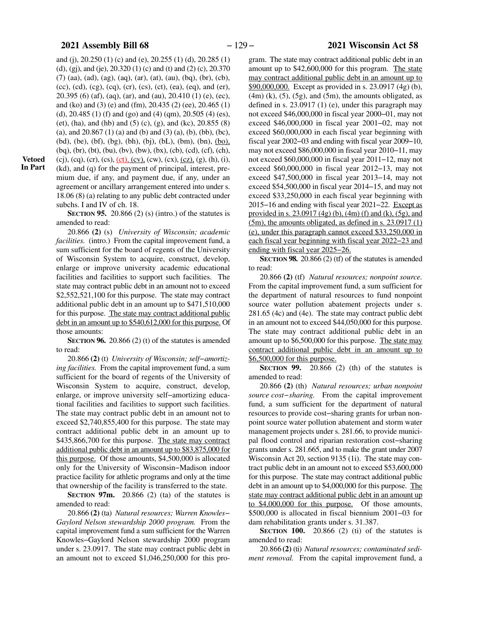and (j), 20.250 (1) (c) and (e), 20.255 (1) (d), 20.285 (1) (d), (gj), and (je), 20.320 (1) (c) and (t) and (2) (c), 20.370 (7) (aa), (ad), (ag), (aq), (ar), (at), (au), (bq), (br), (cb), (cc), (cd), (cg), (cq), (cr), (cs), (ct), (ea), (eq), and (er), 20.395 (6) (af), (aq), (ar), and (au), 20.410 (1) (e), (ec), and (ko) and (3) (e) and (fm), 20.435 (2) (ee), 20.465 (1) (d), 20.485 (1) (f) and (go) and (4) (qm), 20.505 (4) (es), (et), (ha), and (hb) and (5) (c), (g), and (kc),  $20.855(8)$ (a), and  $20.867$  (1) (a) and (b) and (3) (a), (b), (bb), (bc), (bd), (be), (bf), (bg), (bh), (bj), (bL), (bm), (bn), (bo), (bq), (br), (bt), (bu), (bv), (bw), (bx), (cb), (cd), (cf), (ch), (cj), (cq), (cr), (cs),  $(ct)$ , (cv), (cw), (cx), (cz), (g), (h), (i),

**Vetoed In Part**

(kd), and (q) for the payment of principal, interest, premium due, if any, and payment due, if any, under an agreement or ancillary arrangement entered into under s. 18.06 (8) (a) relating to any public debt contracted under subchs. I and IV of ch. 18.

**SECTION 95.** 20.866 (2) (s) (intro.) of the statutes is amended to read:

20.866 **(2)** (s) *University of Wisconsin; academic facilities.* (intro.) From the capital improvement fund, a sum sufficient for the board of regents of the University of Wisconsin System to acquire, construct, develop, enlarge or improve university academic educational facilities and facilities to support such facilities. The state may contract public debt in an amount not to exceed \$2,552,521,100 for this purpose. The state may contract additional public debt in an amount up to \$471,510,000 for this purpose. The state may contract additional public debt in an amount up to \$540,612,000 for this purpose. Of those amounts:

**SECTION 96.** 20.866 (2) (t) of the statutes is amended to read:

20.866 **(2)** (t) *University of Wisconsin; self−amortizing facilities.* From the capital improvement fund, a sum sufficient for the board of regents of the University of Wisconsin System to acquire, construct, develop, enlarge, or improve university self−amortizing educational facilities and facilities to support such facilities. The state may contract public debt in an amount not to exceed \$2,740,855,400 for this purpose. The state may contract additional public debt in an amount up to \$435,866,700 for this purpose. The state may contract additional public debt in an amount up to \$83,875,000 for this purpose. Of those amounts, \$4,500,000 is allocated only for the University of Wisconsin−Madison indoor practice facility for athletic programs and only at the time that ownership of the facility is transferred to the state.

**SECTION 97m.** 20.866 (2) (ta) of the statutes is amended to read:

20.866 **(2)** (ta) *Natural resources; Warren Knowles− Gaylord Nelson stewardship 2000 program.* From the capital improvement fund a sum sufficient for the Warren Knowles−Gaylord Nelson stewardship 2000 program under s. 23.0917. The state may contract public debt in an amount not to exceed \$1,046,250,000 for this pro-

gram. The state may contract additional public debt in an amount up to \$42,600,000 for this program. The state may contract additional public debt in an amount up to \$90,000,000. Except as provided in s. 23.0917 (4g) (b),  $(4m)$  (k),  $(5)$ ,  $(5g)$ , and  $(5m)$ , the amounts obligated, as defined in s. 23.0917 (1) (e), under this paragraph may not exceed \$46,000,000 in fiscal year 2000−01, may not exceed \$46,000,000 in fiscal year 2001−02, may not exceed \$60,000,000 in each fiscal year beginning with fiscal year 2002−03 and ending with fiscal year 2009−10, may not exceed \$86,000,000 in fiscal year 2010−11, may not exceed \$60,000,000 in fiscal year 2011−12, may not exceed \$60,000,000 in fiscal year 2012−13, may not exceed \$47,500,000 in fiscal year 2013−14, may not exceed \$54,500,000 in fiscal year 2014−15, and may not exceed \$33,250,000 in each fiscal year beginning with 2015−16 and ending with fiscal year 2021−22. Except as provided in s. 23.0917 (4g) (b), (4m) (f) and (k), (5g), and (5m), the amounts obligated, as defined in s. 23.0917 (1) (e), under this paragraph cannot exceed \$33,250,000 in each fiscal year beginning with fiscal year 2022−23 and ending with fiscal year 2025−26.

**SECTION 98.** 20.866 (2) (tf) of the statutes is amended to read:

20.866 **(2)** (tf) *Natural resources; nonpoint source.* From the capital improvement fund, a sum sufficient for the department of natural resources to fund nonpoint source water pollution abatement projects under s. 281.65 (4c) and (4e). The state may contract public debt in an amount not to exceed \$44,050,000 for this purpose. The state may contract additional public debt in an amount up to \$6,500,000 for this purpose. The state may contract additional public debt in an amount up to \$6,500,000 for this purpose.

**SECTION 99.** 20.866 (2) (th) of the statutes is amended to read:

20.866 **(2)** (th) *Natural resources; urban nonpoint source cost−sharing.* From the capital improvement fund, a sum sufficient for the department of natural resources to provide cost−sharing grants for urban nonpoint source water pollution abatement and storm water management projects under s. 281.66, to provide municipal flood control and riparian restoration cost−sharing grants under s. 281.665, and to make the grant under 2007 Wisconsin Act 20, section 9135 (1i). The state may contract public debt in an amount not to exceed \$53,600,000 for this purpose. The state may contract additional public debt in an amount up to \$4,000,000 for this purpose. The state may contract additional public debt in an amount up to \$4,000,000 for this purpose. Of those amounts, \$500,000 is allocated in fiscal biennium 2001−03 for dam rehabilitation grants under s. 31.387.

**SECTION 100.** 20.866 (2) (ti) of the statutes is amended to read:

20.866 **(2)** (ti) *Natural resources; contaminated sediment removal.* From the capital improvement fund, a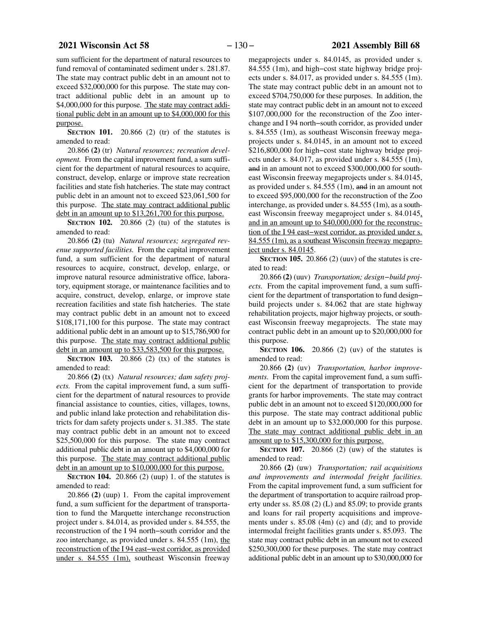sum sufficient for the department of natural resources to fund removal of contaminated sediment under s. 281.87. The state may contract public debt in an amount not to exceed \$32,000,000 for this purpose. The state may contract additional public debt in an amount up to \$4,000,000 for this purpose. The state may contract additional public debt in an amount up to \$4,000,000 for this purpose.

**SECTION 101.** 20.866 (2) (tr) of the statutes is amended to read:

20.866 **(2)** (tr) *Natural resources; recreation development.* From the capital improvement fund, a sum sufficient for the department of natural resources to acquire, construct, develop, enlarge or improve state recreation facilities and state fish hatcheries. The state may contract public debt in an amount not to exceed \$23,061,500 for this purpose. The state may contract additional public debt in an amount up to \$13,261,700 for this purpose.

**SECTION 102.** 20.866 (2) (tu) of the statutes is amended to read:

20.866 **(2)** (tu) *Natural resources; segregated revenue supported facilities.* From the capital improvement fund, a sum sufficient for the department of natural resources to acquire, construct, develop, enlarge, or improve natural resource administrative office, laboratory, equipment storage, or maintenance facilities and to acquire, construct, develop, enlarge, or improve state recreation facilities and state fish hatcheries. The state may contract public debt in an amount not to exceed \$108,171,100 for this purpose. The state may contract additional public debt in an amount up to \$15,786,900 for this purpose. The state may contract additional public debt in an amount up to \$33,583,500 for this purpose.

**SECTION 103.** 20.866 (2) (tx) of the statutes is amended to read:

20.866 **(2)** (tx) *Natural resources; dam safety projects.* From the capital improvement fund, a sum sufficient for the department of natural resources to provide financial assistance to counties, cities, villages, towns, and public inland lake protection and rehabilitation districts for dam safety projects under s. 31.385. The state may contract public debt in an amount not to exceed \$25,500,000 for this purpose. The state may contract additional public debt in an amount up to \$4,000,000 for this purpose. The state may contract additional public debt in an amount up to \$10,000,000 for this purpose.

**SECTION 104.** 20.866 (2) (uup) 1. of the statutes is amended to read:

20.866 **(2)** (uup) 1. From the capital improvement fund, a sum sufficient for the department of transportation to fund the Marquette interchange reconstruction project under s. 84.014, as provided under s. 84.555, the reconstruction of the I 94 north−south corridor and the zoo interchange, as provided under s. 84.555 (1m), the reconstruction of the I 94 east−west corridor, as provided under s. 84.555 (1m), southeast Wisconsin freeway

megaprojects under s. 84.0145, as provided under s. 84.555 (1m), and high−cost state highway bridge projects under s. 84.017, as provided under s. 84.555 (1m). The state may contract public debt in an amount not to exceed \$704,750,000 for these purposes. In addition, the state may contract public debt in an amount not to exceed \$107,000,000 for the reconstruction of the Zoo interchange and I 94 north−south corridor, as provided under s. 84.555 (1m), as southeast Wisconsin freeway megaprojects under s. 84.0145, in an amount not to exceed \$216,800,000 for high−cost state highway bridge projects under s. 84.017, as provided under s. 84.555 (1m), and in an amount not to exceed \$300,000,000 for southeast Wisconsin freeway megaprojects under s. 84.0145, as provided under s. 84.555 (1m), and in an amount not to exceed \$95,000,000 for the reconstruction of the Zoo interchange, as provided under s. 84.555 (1m), as a southeast Wisconsin freeway megaproject under s. 84.0145, and in an amount up to \$40,000,000 for the reconstruction of the I 94 east−west corridor, as provided under s. 84.555 (1m), as a southeast Wisconsin freeway megaproject under s. 84.0145.

**SECTION 105.** 20.866 (2) (uuv) of the statutes is created to read:

20.866 **(2)** (uuv) *Transportation; design−build projects.* From the capital improvement fund, a sum sufficient for the department of transportation to fund design− build projects under s. 84.062 that are state highway rehabilitation projects, major highway projects, or southeast Wisconsin freeway megaprojects. The state may contract public debt in an amount up to \$20,000,000 for this purpose.

**SECTION 106.** 20.866 (2) (uv) of the statutes is amended to read:

20.866 **(2)** (uv) *Transportation, harbor improvements.* From the capital improvement fund, a sum sufficient for the department of transportation to provide grants for harbor improvements. The state may contract public debt in an amount not to exceed \$120,000,000 for this purpose. The state may contract additional public debt in an amount up to \$32,000,000 for this purpose. The state may contract additional public debt in an amount up to \$15,300,000 for this purpose.

**SECTION 107.** 20.866 (2) (uw) of the statutes is amended to read:

20.866 **(2)** (uw) *Transportation; rail acquisitions and improvements and intermodal freight facilities.* From the capital improvement fund, a sum sufficient for the department of transportation to acquire railroad property under ss. 85.08 (2) (L) and 85.09; to provide grants and loans for rail property acquisitions and improvements under s. 85.08 (4m) (c) and (d); and to provide intermodal freight facilities grants under s. 85.093. The state may contract public debt in an amount not to exceed \$250,300,000 for these purposes. The state may contract additional public debt in an amount up to \$30,000,000 for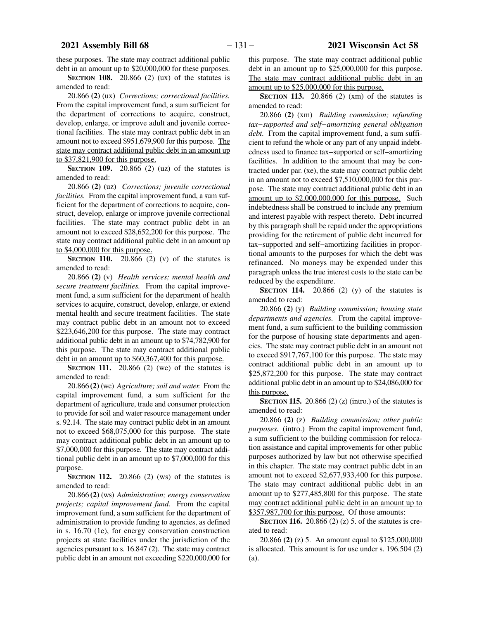these purposes. The state may contract additional public debt in an amount up to \$20,000,000 for these purposes.

**SECTION 108.** 20.866 (2) (ux) of the statutes is amended to read:

20.866 **(2)** (ux) *Corrections; correctional facilities.* From the capital improvement fund, a sum sufficient for the department of corrections to acquire, construct, develop, enlarge, or improve adult and juvenile correctional facilities. The state may contract public debt in an amount not to exceed \$951,679,900 for this purpose. The state may contract additional public debt in an amount up to \$37,821,900 for this purpose.

**SECTION 109.** 20.866 (2) (uz) of the statutes is amended to read:

20.866 **(2)** (uz) *Corrections; juvenile correctional facilities.* From the capital improvement fund, a sum sufficient for the department of corrections to acquire, construct, develop, enlarge or improve juvenile correctional facilities. The state may contract public debt in an amount not to exceed \$28,652,200 for this purpose. The state may contract additional public debt in an amount up to \$4,000,000 for this purpose.

**SECTION** 110. 20.866 (2) (v) of the statutes is amended to read:

20.866 **(2)** (v) *Health services; mental health and secure treatment facilities.* From the capital improvement fund, a sum sufficient for the department of health services to acquire, construct, develop, enlarge, or extend mental health and secure treatment facilities. The state may contract public debt in an amount not to exceed \$223,646,200 for this purpose. The state may contract additional public debt in an amount up to \$74,782,900 for this purpose. The state may contract additional public debt in an amount up to \$60,367,400 for this purpose.

**SECTION 111.** 20.866 (2) (we) of the statutes is amended to read:

20.866 **(2)** (we) *Agriculture; soil and water.* From the capital improvement fund, a sum sufficient for the department of agriculture, trade and consumer protection to provide for soil and water resource management under s. 92.14. The state may contract public debt in an amount not to exceed \$68,075,000 for this purpose. The state may contract additional public debt in an amount up to \$7,000,000 for this purpose. The state may contract additional public debt in an amount up to \$7,000,000 for this purpose.

**SECTION 112.** 20.866 (2) (ws) of the statutes is amended to read:

20.866 **(2)** (ws) *Administration; energy conservation projects; capital improvement fund.* From the capital improvement fund, a sum sufficient for the department of administration to provide funding to agencies, as defined in s. 16.70 (1e), for energy conservation construction projects at state facilities under the jurisdiction of the agencies pursuant to s. 16.847 (2). The state may contract public debt in an amount not exceeding \$220,000,000 for

this purpose. The state may contract additional public debt in an amount up to \$25,000,000 for this purpose. The state may contract additional public debt in an amount up to \$25,000,000 for this purpose.

**SECTION 113.** 20.866 (2) (xm) of the statutes is amended to read:

20.866 **(2)** (xm) *Building commission; refunding tax−supported and self−amortizing general obligation debt.* From the capital improvement fund, a sum sufficient to refund the whole or any part of any unpaid indebtedness used to finance tax−supported or self−amortizing facilities. In addition to the amount that may be contracted under par. (xe), the state may contract public debt in an amount not to exceed \$7,510,000,000 for this purpose. The state may contract additional public debt in an amount up to \$2,000,000,000 for this purpose. Such indebtedness shall be construed to include any premium and interest payable with respect thereto. Debt incurred by this paragraph shall be repaid under the appropriations providing for the retirement of public debt incurred for tax−supported and self−amortizing facilities in proportional amounts to the purposes for which the debt was refinanced. No moneys may be expended under this paragraph unless the true interest costs to the state can be reduced by the expenditure.

**SECTION 114.** 20.866 (2) (y) of the statutes is amended to read:

20.866 **(2)** (y) *Building commission; housing state departments and agencies.* From the capital improvement fund, a sum sufficient to the building commission for the purpose of housing state departments and agencies. The state may contract public debt in an amount not to exceed \$917,767,100 for this purpose. The state may contract additional public debt in an amount up to \$25,872,200 for this purpose. The state may contract additional public debt in an amount up to \$24,086,000 for this purpose.

**SECTION 115.** 20.866 (2) (z) (intro.) of the statutes is amended to read:

20.866 **(2)** (z) *Building commission; other public purposes.* (intro.) From the capital improvement fund, a sum sufficient to the building commission for relocation assistance and capital improvements for other public purposes authorized by law but not otherwise specified in this chapter. The state may contract public debt in an amount not to exceed \$2,677,933,400 for this purpose. The state may contract additional public debt in an amount up to \$277,485,800 for this purpose. The state may contract additional public debt in an amount up to \$357,987,700 for this purpose. Of those amounts:

**SECTION 116.** 20.866 (2) (z) 5. of the statutes is created to read:

20.866 **(2)** (z) 5. An amount equal to \$125,000,000 is allocated. This amount is for use under s. 196.504 (2) (a).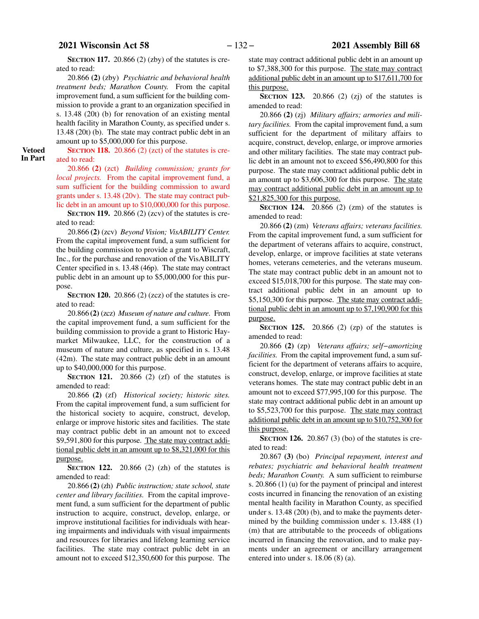**SECTION 117.** 20.866 (2) (zby) of the statutes is created to read:

20.866 **(2)** (zby) *Psychiatric and behavioral health treatment beds; Marathon County.* From the capital improvement fund, a sum sufficient for the building commission to provide a grant to an organization specified in s. 13.48 (20t) (b) for renovation of an existing mental health facility in Marathon County, as specified under s. 13.48 (20t) (b). The state may contract public debt in an amount up to \$5,000,000 for this purpose.

**Vetoed In Part**

## **SECTION 118.** 20.866 (2) (zct) of the statutes is created to read:

20.866 **(2)** (zct) *Building commission; grants for local projects.* From the capital improvement fund, a sum sufficient for the building commission to award grants under s. 13.48 (20v). The state may contract public debt in an amount up to \$10,000,000 for this purpose.

**SECTION 119.** 20.866 (2) (zcv) of the statutes is created to read:

20.866 **(2)** (zcv) *Beyond Vision; VisABILITY Center.* From the capital improvement fund, a sum sufficient for the building commission to provide a grant to Wiscraft, Inc., for the purchase and renovation of the VisABILITY Center specified in s. 13.48 (46p). The state may contract public debt in an amount up to \$5,000,000 for this purpose.

**SECTION 120.** 20.866 (2) (zcz) of the statutes is created to read:

20.866 **(2)** (zcz) *Museum of nature and culture.* From the capital improvement fund, a sum sufficient for the building commission to provide a grant to Historic Haymarket Milwaukee, LLC, for the construction of a museum of nature and culture, as specified in s. 13.48 (42m). The state may contract public debt in an amount up to \$40,000,000 for this purpose.

**SECTION 121.** 20.866 (2) (zf) of the statutes is amended to read:

20.866 **(2)** (zf) *Historical society; historic sites.* From the capital improvement fund, a sum sufficient for the historical society to acquire, construct, develop, enlarge or improve historic sites and facilities. The state may contract public debt in an amount not to exceed \$9,591,800 for this purpose. The state may contract additional public debt in an amount up to \$8,321,000 for this purpose.

**SECTION 122.** 20.866 (2) (zh) of the statutes is amended to read:

20.866 **(2)** (zh) *Public instruction; state school, state center and library facilities.* From the capital improvement fund, a sum sufficient for the department of public instruction to acquire, construct, develop, enlarge, or improve institutional facilities for individuals with hearing impairments and individuals with visual impairments and resources for libraries and lifelong learning service facilities. The state may contract public debt in an amount not to exceed \$12,350,600 for this purpose. The

state may contract additional public debt in an amount up to \$7,388,300 for this purpose. The state may contract additional public debt in an amount up to \$17,611,700 for this purpose.

**SECTION 123.** 20.866 (2) (zj) of the statutes is amended to read:

20.866 **(2)** (zj) *Military affairs; armories and military facilities.* From the capital improvement fund, a sum sufficient for the department of military affairs to acquire, construct, develop, enlarge, or improve armories and other military facilities. The state may contract public debt in an amount not to exceed \$56,490,800 for this purpose. The state may contract additional public debt in an amount up to \$3,606,300 for this purpose. The state may contract additional public debt in an amount up to \$21,825,300 for this purpose.

**SECTION 124.** 20.866 (2) (zm) of the statutes is amended to read:

20.866 **(2)** (zm) *Veterans affairs; veterans facilities.* From the capital improvement fund, a sum sufficient for the department of veterans affairs to acquire, construct, develop, enlarge, or improve facilities at state veterans homes, veterans cemeteries, and the veterans museum. The state may contract public debt in an amount not to exceed \$15,018,700 for this purpose. The state may contract additional public debt in an amount up to \$5,150,300 for this purpose. The state may contract additional public debt in an amount up to \$7,190,900 for this purpose.

**SECTION 125.** 20.866 (2) (zp) of the statutes is amended to read:

20.866 **(2)** (zp) *Veterans affairs; self−amortizing facilities.* From the capital improvement fund, a sum sufficient for the department of veterans affairs to acquire, construct, develop, enlarge, or improve facilities at state veterans homes. The state may contract public debt in an amount not to exceed \$77,995,100 for this purpose. The state may contract additional public debt in an amount up to \$5,523,700 for this purpose. The state may contract additional public debt in an amount up to \$10,752,300 for this purpose.

**SECTION 126.** 20.867 (3) (bo) of the statutes is created to read:

20.867 **(3)** (bo) *Principal repayment, interest and rebates; psychiatric and behavioral health treatment beds; Marathon County.* A sum sufficient to reimburse s. 20.866 (1) (u) for the payment of principal and interest costs incurred in financing the renovation of an existing mental health facility in Marathon County, as specified under s. 13.48 (20t) (b), and to make the payments determined by the building commission under s. 13.488 (1) (m) that are attributable to the proceeds of obligations incurred in financing the renovation, and to make payments under an agreement or ancillary arrangement entered into under s. 18.06 (8) (a).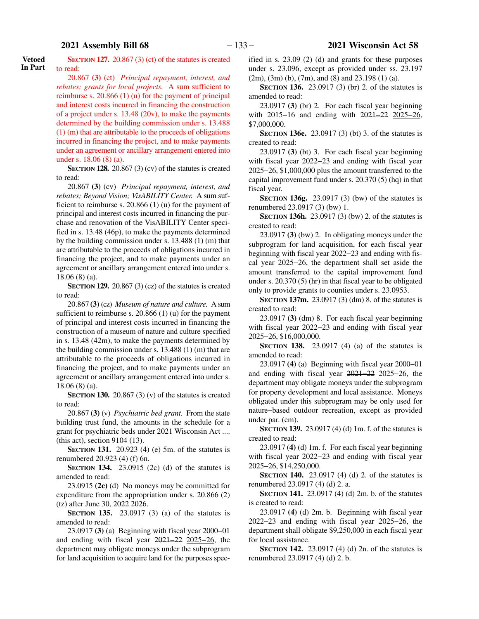**Vetoed In Part**

**SECTION 127.** 20.867 (3) (ct) of the statutes is created to read:

20.867 **(3)** (ct) *Principal repayment, interest, and rebates; grants for local projects.* A sum sufficient to reimburse s. 20.866 (1) (u) for the payment of principal and interest costs incurred in financing the construction of a project under s. 13.48 (20v), to make the payments determined by the building commission under s. 13.488 (1) (m) that are attributable to the proceeds of obligations incurred in financing the project, and to make payments under an agreement or ancillary arrangement entered into under s. 18.06 (8) (a).

**SECTION 128.** 20.867 (3) (cv) of the statutes is created to read:

20.867 **(3)** (cv) *Principal repayment, interest, and rebates; Beyond Vision; VisABILITY Center.* A sum sufficient to reimburse s. 20.866 (1) (u) for the payment of principal and interest costs incurred in financing the purchase and renovation of the VisABILITY Center specified in s. 13.48 (46p), to make the payments determined by the building commission under s. 13.488 (1) (m) that are attributable to the proceeds of obligations incurred in financing the project, and to make payments under an agreement or ancillary arrangement entered into under s. 18.06 (8) (a).

**SECTION 129.** 20.867 (3) (cz) of the statutes is created to read:

20.867 **(3)** (cz) *Museum of nature and culture.* A sum sufficient to reimburse s. 20.866 (1) (u) for the payment of principal and interest costs incurred in financing the construction of a museum of nature and culture specified in s. 13.48 (42m), to make the payments determined by the building commission under s. 13.488 (1) (m) that are attributable to the proceeds of obligations incurred in financing the project, and to make payments under an agreement or ancillary arrangement entered into under s. 18.06 (8) (a).

**SECTION 130.** 20.867 (3) (v) of the statutes is created to read:

20.867 **(3)** (v) *Psychiatric bed grant.* From the state building trust fund, the amounts in the schedule for a grant for psychiatric beds under 2021 Wisconsin Act .... (this act), section 9104 ([13\)](#page-169-0).

**SECTION 131.** 20.923 (4) (e) 5m. of the statutes is renumbered 20.923 (4) (f) 6n.

**SECTION 134.** 23.0915 (2c) (d) of the statutes is amended to read:

23.0915 **(2c)** (d) No moneys may be committed for expenditure from the appropriation under s. 20.866 (2) (tz) after June 30, 2022 2026.

**SECTION 135.** 23.0917 (3) (a) of the statutes is amended to read:

23.0917 **(3)** (a) Beginning with fiscal year 2000−01 and ending with fiscal year 2021−22 2025−26, the department may obligate moneys under the subprogram for land acquisition to acquire land for the purposes specified in s. 23.09 (2) (d) and grants for these purposes under s. 23.096, except as provided under ss. 23.197 (2m), (3m) (b), (7m), and (8) and 23.198 (1) (a).

**SECTION 136.** 23.0917 (3) (br) 2. of the statutes is amended to read:

23.0917 **(3)** (br) 2. For each fiscal year beginning with 2015−16 and ending with 2021−22 2025−26, \$7,000,000.

**SECTION 136e.** 23.0917 (3) (bt) 3. of the statutes is created to read:

23.0917 **(3)** (bt) 3. For each fiscal year beginning with fiscal year 2022−23 and ending with fiscal year 2025−26, \$1,000,000 plus the amount transferred to the capital improvement fund under s. 20.370 (5) (hq) in that fiscal year.

**SECTION 136g.** 23.0917 (3) (bw) of the statutes is renumbered 23.0917 (3) (bw) 1.

**SECTION 136h.** 23.0917 (3) (bw) 2. of the statutes is created to read:

23.0917 **(3)** (bw) 2. In obligating moneys under the subprogram for land acquisition, for each fiscal year beginning with fiscal year 2022−23 and ending with fiscal year 2025−26, the department shall set aside the amount transferred to the capital improvement fund under s. 20.370 (5) (hr) in that fiscal year to be obligated only to provide grants to counties under s. 23.0953.

**SECTION 137m.** 23.0917 (3) (dm) 8. of the statutes is created to read:

23.0917 **(3)** (dm) 8. For each fiscal year beginning with fiscal year 2022−23 and ending with fiscal year 2025−26, \$16,000,000.

**SECTION 138.** 23.0917 (4) (a) of the statutes is amended to read:

23.0917 **(4)** (a) Beginning with fiscal year 2000−01 and ending with fiscal year 2021−22 2025−26, the department may obligate moneys under the subprogram for property development and local assistance. Moneys obligated under this subprogram may be only used for nature−based outdoor recreation, except as provided under par. (cm).

**SECTION 139.** 23.0917 (4) (d) 1m. f. of the statutes is created to read:

23.0917 **(4)** (d) 1m. f. For each fiscal year beginning with fiscal year 2022−23 and ending with fiscal year 2025−26, \$14,250,000.

**SECTION 140.** 23.0917 (4) (d) 2. of the statutes is renumbered 23.0917 (4) (d) 2. a.

**SECTION 141.** 23.0917 (4) (d) 2m. b. of the statutes is created to read:

23.0917 **(4)** (d) 2m. b. Beginning with fiscal year 2022−23 and ending with fiscal year 2025−26, the department shall obligate \$9,250,000 in each fiscal year for local assistance.

**SECTION 142.** 23.0917 (4) (d) 2n. of the statutes is renumbered 23.0917 (4) (d) 2. b.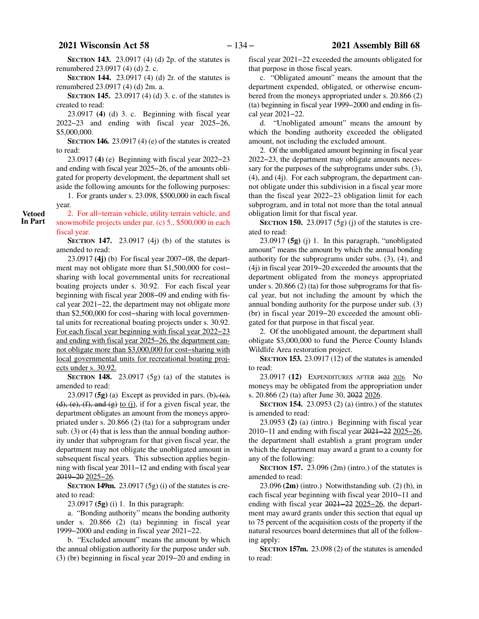**SECTION 143.** 23.0917 (4) (d) 2p. of the statutes is renumbered 23.0917 (4) (d) 2. c.

**SECTION 144.** 23.0917 (4) (d) 2r. of the statutes is renumbered 23.0917 (4) (d) 2m. a.

**SECTION 145.** 23.0917 (4) (d) 3. c. of the statutes is created to read:

23.0917 **(4)** (d) 3. c. Beginning with fiscal year 2022−23 and ending with fiscal year 2025−26, \$5,000,000.

**SECTION 146.** 23.0917 (4) (e) of the statutes is created to read:

23.0917 **(4)** (e) Beginning with fiscal year 2022−23 and ending with fiscal year 2025−26, of the amounts obligated for property development, the department shall set aside the following amounts for the following purposes:

1. For grants under s. 23.098, \$500,000 in each fiscal year.

2. For all−terrain vehicle, utility terrain vehicle, and snowmobile projects under par. (c) 5., \$500,000 in each fiscal year.

**SECTION 147.** 23.0917 (4j) (b) of the statutes is amended to read:

23.0917 **(4j)** (b) For fiscal year 2007−08, the department may not obligate more than \$1,500,000 for cost− sharing with local governmental units for recreational boating projects under s. 30.92. For each fiscal year beginning with fiscal year 2008−09 and ending with fiscal year 2021−22, the department may not obligate more than \$2,500,000 for cost−sharing with local governmental units for recreational boating projects under s. 30.92. For each fiscal year beginning with fiscal year 2022−23 and ending with fiscal year 2025−26, the department cannot obligate more than \$3,000,000 for cost−sharing with local governmental units for recreational boating projects under s. 30.92.

**SECTION 148.** 23.0917 (5g) (a) of the statutes is amended to read:

23.0917 **(5g)** (a) Except as provided in pars.  $(b)$ ,  $(c)$ ,  $(d)$ ,  $(e)$ ,  $(f)$ , and  $(g)$  to  $(j)$ , if for a given fiscal year, the department obligates an amount from the moneys appropriated under s. 20.866 (2) (ta) for a subprogram under sub. (3) or (4) that is less than the annual bonding authority under that subprogram for that given fiscal year, the department may not obligate the unobligated amount in subsequent fiscal years. This subsection applies beginning with fiscal year 2011−12 and ending with fiscal year 2019−20 2025−26.

**SECTION 149m.** 23.0917 (5g) (i) of the statutes is created to read:

23.0917 **(5g)** (i) 1. In this paragraph:

a. "Bonding authority" means the bonding authority under s. 20.866 (2) (ta) beginning in fiscal year 1999−2000 and ending in fiscal year 2021−22.

b. "Excluded amount" means the amount by which the annual obligation authority for the purpose under sub. (3) (br) beginning in fiscal year 2019−20 and ending in fiscal year 2021−22 exceeded the amounts obligated for that purpose in those fiscal years.

c. "Obligated amount" means the amount that the department expended, obligated, or otherwise encumbered from the moneys appropriated under s. 20.866 (2) (ta) beginning in fiscal year 1999−2000 and ending in fiscal year 2021−22.

d. "Unobligated amount" means the amount by which the bonding authority exceeded the obligated amount, not including the excluded amount.

2. Of the unobligated amount beginning in fiscal year 2022−23, the department may obligate amounts necessary for the purposes of the subprograms under subs. (3), (4), and (4j). For each subprogram, the department cannot obligate under this subdivision in a fiscal year more than the fiscal year 2022−23 obligation limit for each subprogram, and in total not more than the total annual obligation limit for that fiscal year.

**SECTION 150.** 23.0917 (5g) (j) of the statutes is created to read:

23.0917 **(5g)** (j) 1. In this paragraph, "unobligated amount" means the amount by which the annual bonding authority for the subprograms under subs. (3), (4), and (4j) in fiscal year 2019−20 exceeded the amounts that the department obligated from the moneys appropriated under s. 20.866 (2) (ta) for those subprograms for that fiscal year, but not including the amount by which the annual bonding authority for the purpose under sub. (3) (br) in fiscal year 2019−20 exceeded the amount obligated for that purpose in that fiscal year.

2. Of the unobligated amount, the department shall obligate \$3,000,000 to fund the Pierce County Islands Wildlife Area restoration project.

**SECTION 153.** 23.0917 (12) of the statutes is amended to read:

23.0917 **(12)** EXPENDITURES AFTER 2022 2026. No moneys may be obligated from the appropriation under s. 20.866 (2) (ta) after June 30, 2022 2026.

**SECTION 154.** 23.0953 (2) (a) (intro.) of the statutes is amended to read:

23.0953 **(2)** (a) (intro.) Beginning with fiscal year 2010−11 and ending with fiscal year 2021−22 2025−26, the department shall establish a grant program under which the department may award a grant to a county for any of the following:

**SECTION 157.** 23.096 (2m) (intro.) of the statutes is amended to read:

23.096 **(2m)** (intro.) Notwithstanding sub. (2) (b), in each fiscal year beginning with fiscal year 2010−11 and ending with fiscal year 2021−22 2025−26, the department may award grants under this section that equal up to 75 percent of the acquisition costs of the property if the natural resources board determines that all of the following apply:

**SECTION 157m.** 23.098 (2) of the statutes is amended to read:

**Vetoed In Part**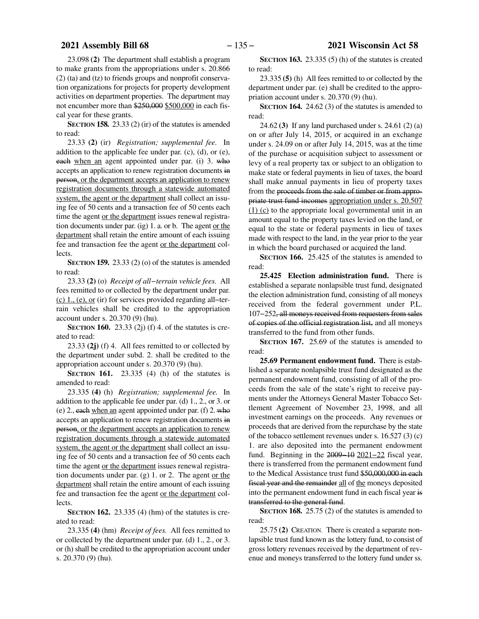23.098 **(2)** The department shall establish a program to make grants from the appropriations under s. 20.866 (2) (ta) and (tz) to friends groups and nonprofit conservation organizations for projects for property development activities on department properties. The department may not encumber more than \$250,000 \$500,000 in each fiscal year for these grants.

**SECTION 158.** 23.33 (2) (ir) of the statutes is amended to read:

23.33 **(2)** (ir) *Registration; supplemental fee.* In addition to the applicable fee under par. (c), (d), or (e), each when an agent appointed under par. (i) 3. who accepts an application to renew registration documents in person, or the department accepts an application to renew registration documents through a statewide automated system, the agent or the department shall collect an issuing fee of 50 cents and a transaction fee of 50 cents each time the agent or the department issues renewal registration documents under par. (ig) 1. a. or b. The agent or the department shall retain the entire amount of each issuing fee and transaction fee the agent or the department collects.

**SECTION 159.** 23.33 (2) (o) of the statutes is amended to read:

23.33 **(2)** (o) *Receipt of all−terrain vehicle fees.* All fees remitted to or collected by the department under par. (c) 1., (e), or (ir) for services provided regarding all−terrain vehicles shall be credited to the appropriation account under s. 20.370 (9) (hu).

**SECTION 160.** 23.33 (2j) (f) 4. of the statutes is created to read:

23.33 **(2j)** (f) 4. All fees remitted to or collected by the department under subd. 2. shall be credited to the appropriation account under s. 20.370 (9) (hu).

**SECTION 161.** 23.335 (4) (h) of the statutes is amended to read:

23.335 **(4)** (h) *Registration; supplemental fee.* In addition to the applicable fee under par. (d) 1., 2., or 3. or (e) 2., each when an agent appointed under par. (f) 2. who accepts an application to renew registration documents in person, or the department accepts an application to renew registration documents through a statewide automated system, the agent or the department shall collect an issuing fee of 50 cents and a transaction fee of 50 cents each time the agent or the department issues renewal registration documents under par. (g) 1. or 2. The agent or the department shall retain the entire amount of each issuing fee and transaction fee the agent or the department collects.

**SECTION 162.** 23.335 (4) (hm) of the statutes is created to read:

23.335 **(4)** (hm) *Receipt of fees.* All fees remitted to or collected by the department under par. (d) 1., 2., or 3. or (h) shall be credited to the appropriation account under s. 20.370 (9) (hu).

**SECTION 163.** 23.335 (5) (h) of the statutes is created to read:

23.335 **(5)** (h) All fees remitted to or collected by the department under par. (e) shall be credited to the appropriation account under s. 20.370 (9) (hu).

**SECTION 164.** 24.62 (3) of the statutes is amended to read:

24.62 **(3)** If any land purchased under s. 24.61 (2) (a) on or after July 14, 2015, or acquired in an exchange under s. 24.09 on or after July 14, 2015, was at the time of the purchase or acquisition subject to assessment or levy of a real property tax or subject to an obligation to make state or federal payments in lieu of taxes, the board shall make annual payments in lieu of property taxes from the proceeds from the sale of timber or from appropriate trust fund incomes appropriation under s. 20.507 (1) (c) to the appropriate local governmental unit in an amount equal to the property taxes levied on the land, or equal to the state or federal payments in lieu of taxes made with respect to the land, in the year prior to the year in which the board purchased or acquired the land.

**SECTION 166.** 25.425 of the statutes is amended to read:

**25.425 Election administration fund.** There is established a separate nonlapsible trust fund, designated the election administration fund, consisting of all moneys received from the federal government under P.L. 107−252, all moneys received from requesters from sales of copies of the official registration list, and all moneys transferred to the fund from other funds.

**SECTION** 167. 25.69 of the statutes is amended to read:

**25.69 Permanent endowment fund.** There is established a separate nonlapsible trust fund designated as the permanent endowment fund, consisting of all of the proceeds from the sale of the state's right to receive payments under the Attorneys General Master Tobacco Settlement Agreement of November 23, 1998, and all investment earnings on the proceeds. Any revenues or proceeds that are derived from the repurchase by the state of the tobacco settlement revenues under s. 16.527 (3) (c) 1. are also deposited into the permanent endowment fund. Beginning in the 2009−10 2021−22 fiscal year, there is transferred from the permanent endowment fund to the Medical Assistance trust fund \$50,000,000 in each fiscal year and the remainder all of the moneys deposited into the permanent endowment fund in each fiscal year is transferred to the general fund.

**SECTION 168.** 25.75 (2) of the statutes is amended to read:

25.75 **(2)** CREATION. There is created a separate nonlapsible trust fund known as the lottery fund, to consist of gross lottery revenues received by the department of revenue and moneys transferred to the lottery fund under ss.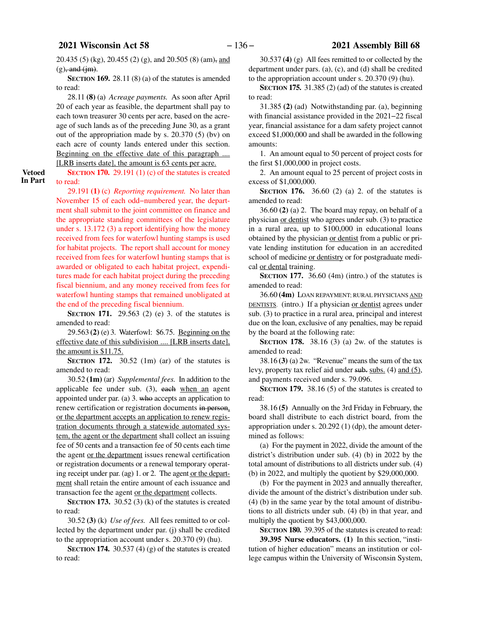**Vetoed In Part** 20.435 (5) (kg), 20.455 (2) (g), and 20.505 (8) (am), and  $(g)$ , and  $(im)$ .

**SECTION 169.** 28.11 (8) (a) of the statutes is amended to read:

28.11 **(8)** (a) *Acreage payments.* As soon after April 20 of each year as feasible, the department shall pay to each town treasurer 30 cents per acre, based on the acreage of such lands as of the preceding June 30, as a grant out of the appropriation made by s. 20.370 (5) (bv) on each acre of county lands entered under this section. Beginning on the effective date of this paragraph ....

[LRB inserts date], the amount is 63 cents per acre.

**SECTION 170.** 29.191 (1) (c) of the statutes is created to read:

29.191 **(1)** (c) *Reporting requirement.* No later than November 15 of each odd−numbered year, the department shall submit to the joint committee on finance and the appropriate standing committees of the legislature under s. 13.172 (3) a report identifying how the money received from fees for waterfowl hunting stamps is used for habitat projects. The report shall account for money received from fees for waterfowl hunting stamps that is awarded or obligated to each habitat project, expenditures made for each habitat project during the preceding fiscal biennium, and any money received from fees for waterfowl hunting stamps that remained unobligated at the end of the preceding fiscal biennium.

**SECTION 171.** 29.563 (2) (e) 3. of the statutes is amended to read:

29.563 **(2)** (e) 3. Waterfowl: \$6.75. Beginning on the effective date of this subdivision .... [LRB inserts date], the amount is \$11.75.

**SECTION 172.** 30.52 (1m) (ar) of the statutes is amended to read:

30.52 **(1m)** (ar) *Supplemental fees.* In addition to the applicable fee under sub. (3), each when an agent appointed under par. (a) 3. who accepts an application to renew certification or registration documents in person, or the department accepts an application to renew registration documents through a statewide automated system, the agent or the department shall collect an issuing fee of 50 cents and a transaction fee of 50 cents each time the agent or the department issues renewal certification or registration documents or a renewal temporary operating receipt under par. (ag) 1. or 2. The agent or the department shall retain the entire amount of each issuance and transaction fee the agent or the department collects.

**SECTION 173.** 30.52 (3) (k) of the statutes is created to read:

30.52 **(3)** (k) *Use of fees.* All fees remitted to or collected by the department under par. (j) shall be credited to the appropriation account under s. 20.370 (9) (hu).

**SECTION 174.** 30.537 (4) (g) of the statutes is created to read:

30.537 **(4)** (g) All fees remitted to or collected by the department under pars. (a), (c), and (d) shall be credited to the appropriation account under s. 20.370 (9) (hu).

**SECTION 175.** 31.385 (2) (ad) of the statutes is created to read:

31.385 **(2)** (ad) Notwithstanding par. (a), beginning with financial assistance provided in the 2021−22 fiscal year, financial assistance for a dam safety project cannot exceed \$1,000,000 and shall be awarded in the following amounts:

1. An amount equal to 50 percent of project costs for the first \$1,000,000 in project costs.

2. An amount equal to 25 percent of project costs in excess of \$1,000,000.

**SECTION 176.** 36.60 (2) (a) 2. of the statutes is amended to read:

36.60 **(2)** (a) 2. The board may repay, on behalf of a physician or dentist who agrees under sub. (3) to practice in a rural area, up to \$100,000 in educational loans obtained by the physician or dentist from a public or private lending institution for education in an accredited school of medicine or dentistry or for postgraduate medical or dental training.

**SECTION 177.** 36.60 (4m) (intro.) of the statutes is amended to read:

36.60 **(4m)** LOAN REPAYMENT; RURAL PHYSICIANS AND DENTISTS. (intro.) If a physician or dentist agrees under sub. (3) to practice in a rural area, principal and interest due on the loan, exclusive of any penalties, may be repaid by the board at the following rate:

**SECTION 178.** 38.16 (3) (a) 2w. of the statutes is amended to read:

38.16 **(3)** (a) 2w. "Revenue" means the sum of the tax levy, property tax relief aid under sub. subs. (4) and (5), and payments received under s. 79.096.

**SECTION 179.** 38.16 (5) of the statutes is created to read:

38.16 **(5)** Annually on the 3rd Friday in February, the board shall distribute to each district board, from the appropriation under s. 20.292 (1) (dp), the amount determined as follows:

(a) For the payment in 2022, divide the amount of the district's distribution under sub. (4) (b) in 2022 by the total amount of distributions to all districts under sub. (4) (b) in 2022, and multiply the quotient by \$29,000,000.

(b) For the payment in 2023 and annually thereafter, divide the amount of the district's distribution under sub. (4) (b) in the same year by the total amount of distributions to all districts under sub. (4) (b) in that year, and multiply the quotient by \$43,000,000.

**SECTION 180.** 39.395 of the statutes is created to read: **39.395 Nurse educators. (1)** In this section, "institution of higher education" means an institution or college campus within the University of Wisconsin System,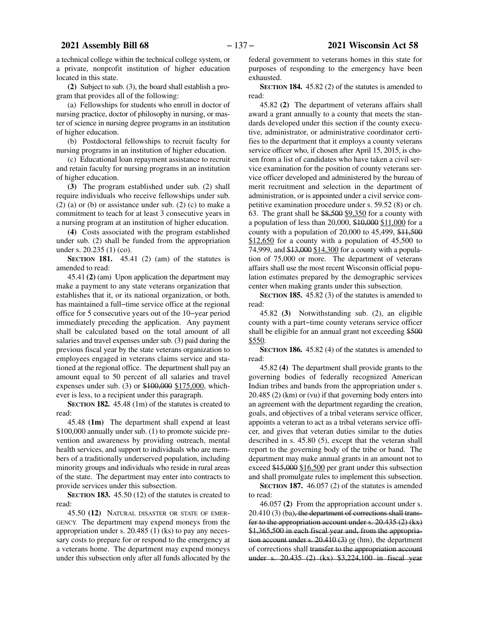a technical college within the technical college system, or a private, nonprofit institution of higher education located in this state.

**(2)** Subject to sub. (3), the board shall establish a program that provides all of the following:

(a) Fellowships for students who enroll in doctor of nursing practice, doctor of philosophy in nursing, or master of science in nursing degree programs in an institution of higher education.

(b) Postdoctoral fellowships to recruit faculty for nursing programs in an institution of higher education.

(c) Educational loan repayment assistance to recruit and retain faculty for nursing programs in an institution of higher education.

**(3)** The program established under sub. (2) shall require individuals who receive fellowships under sub.  $(2)$  (a) or (b) or assistance under sub.  $(2)$  (c) to make a commitment to teach for at least 3 consecutive years in a nursing program at an institution of higher education.

**(4)** Costs associated with the program established under sub. (2) shall be funded from the appropriation under s. 20.235 (1) (co).

**SECTION 181.** 45.41 (2) (am) of the statutes is amended to read:

45.41 **(2)** (am) Upon application the department may make a payment to any state veterans organization that establishes that it, or its national organization, or both, has maintained a full−time service office at the regional office for 5 consecutive years out of the 10−year period immediately preceding the application. Any payment shall be calculated based on the total amount of all salaries and travel expenses under sub. (3) paid during the previous fiscal year by the state veterans organization to employees engaged in veterans claims service and stationed at the regional office. The department shall pay an amount equal to 50 percent of all salaries and travel expenses under sub. (3) or \$100,000 \$175,000, whichever is less, to a recipient under this paragraph.

**SECTION 182.** 45.48 (1m) of the statutes is created to read:

45.48 **(1m)** The department shall expend at least \$100,000 annually under sub. (1) to promote suicide prevention and awareness by providing outreach, mental health services, and support to individuals who are members of a traditionally underserved population, including minority groups and individuals who reside in rural areas of the state. The department may enter into contracts to provide services under this subsection.

**SECTION 183.** 45.50 (12) of the statutes is created to read:

45.50 **(12)** NATURAL DISASTER OR STATE OF EMER-GENCY. The department may expend moneys from the appropriation under s. 20.485 (1) (ks) to pay any necessary costs to prepare for or respond to the emergency at a veterans home. The department may expend moneys under this subsection only after all funds allocated by the

federal government to veterans homes in this state for purposes of responding to the emergency have been exhausted.

**SECTION 184.** 45.82 (2) of the statutes is amended to read:

45.82 **(2)** The department of veterans affairs shall award a grant annually to a county that meets the standards developed under this section if the county executive, administrator, or administrative coordinator certifies to the department that it employs a county veterans service officer who, if chosen after April 15, 2015, is chosen from a list of candidates who have taken a civil service examination for the position of county veterans service officer developed and administered by the bureau of merit recruitment and selection in the department of administration, or is appointed under a civil service competitive examination procedure under s. 59.52 (8) or ch. 63. The grant shall be \$8,500 \$9,350 for a county with a population of less than 20,000, \$10,000 \$11,000 for a county with a population of  $20,000$  to  $45,499,$  \$11,500 \$12,650 for a county with a population of 45,500 to 74,999, and \$13,000 \$14,300 for a county with a population of 75,000 or more. The department of veterans affairs shall use the most recent Wisconsin official population estimates prepared by the demographic services center when making grants under this subsection.

**SECTION 185.** 45.82 (3) of the statutes is amended to read:

45.82 **(3)** Notwithstanding sub. (2), an eligible county with a part−time county veterans service officer shall be eligible for an annual grant not exceeding \$500 \$550.

**SECTION 186.** 45.82 (4) of the statutes is amended to read:

45.82 **(4)** The department shall provide grants to the governing bodies of federally recognized American Indian tribes and bands from the appropriation under s. 20.485 (2) (km) or (vu) if that governing body enters into an agreement with the department regarding the creation, goals, and objectives of a tribal veterans service officer, appoints a veteran to act as a tribal veterans service officer, and gives that veteran duties similar to the duties described in s. 45.80 (5), except that the veteran shall report to the governing body of the tribe or band. The department may make annual grants in an amount not to exceed \$15,000 \$16,500 per grant under this subsection and shall promulgate rules to implement this subsection.

**SECTION 187.** 46.057 (2) of the statutes is amended to read:

46.057 **(2)** From the appropriation account under s. 20.410 (3) (ba), the department of corrections shall transfer to the appropriation account under s. 20.435 (2) (kx) \$1,365,500 in each fiscal year and, from the appropriation account under s.  $20.410(3)$  or (hm), the department of corrections shall transfer to the appropriation account under s. 20.435 (2) (kx) \$3,224,100 in fiscal year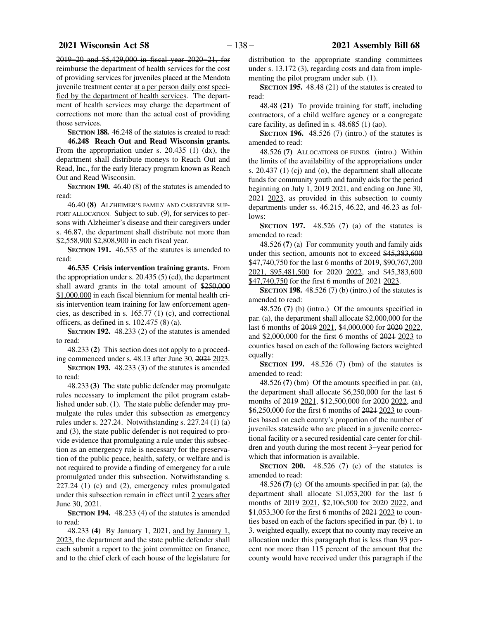2019−20 and \$5,429,000 in fiscal year 2020−21, for reimburse the department of health services for the cost of providing services for juveniles placed at the Mendota juvenile treatment center at a per person daily cost specified by the department of health services. The department of health services may charge the department of corrections not more than the actual cost of providing those services.

**SECTION 188.** 46.248 of the statutes is created to read:

**46.248 Reach Out and Read Wisconsin grants.** From the appropriation under s. 20.435 (1) (dx), the department shall distribute moneys to Reach Out and Read, Inc., for the early literacy program known as Reach Out and Read Wisconsin.

**SECTION 190.** 46.40 (8) of the statutes is amended to read:

46.40 **(8)** ALZHEIMER'S FAMILY AND CAREGIVER SUP-PORT ALLOCATION. Subject to sub. (9), for services to persons with Alzheimer's disease and their caregivers under s. 46.87, the department shall distribute not more than \$2,558,900 \$2,808,900 in each fiscal year.

**SECTION 191.** 46.535 of the statutes is amended to read:

**46.535 Crisis intervention training grants.** From the appropriation under s. 20.435 (5) (cd), the department shall award grants in the total amount of \$250,000 \$1,000,000 in each fiscal biennium for mental health crisis intervention team training for law enforcement agencies, as described in s. 165.77 (1) (c), and correctional officers, as defined in s. 102.475 (8) (a).

**SECTION 192.** 48.233 (2) of the statutes is amended to read:

48.233 **(2)** This section does not apply to a proceeding commenced under s. 48.13 after June 30, 2021 2023.

**SECTION 193.** 48.233 (3) of the statutes is amended to read:

48.233 **(3)** The state public defender may promulgate rules necessary to implement the pilot program established under sub. (1). The state public defender may promulgate the rules under this subsection as emergency rules under s. 227.24. Notwithstanding s. 227.24 (1) (a) and (3), the state public defender is not required to provide evidence that promulgating a rule under this subsection as an emergency rule is necessary for the preservation of the public peace, health, safety, or welfare and is not required to provide a finding of emergency for a rule promulgated under this subsection. Notwithstanding s. 227.24 (1) (c) and (2), emergency rules promulgated under this subsection remain in effect until 2 years after June 30, 2021.

**SECTION 194.** 48.233 (4) of the statutes is amended to read:

48.233 **(4)** By January 1, 2021, and by January 1, 2023, the department and the state public defender shall each submit a report to the joint committee on finance, and to the chief clerk of each house of the legislature for

distribution to the appropriate standing committees under s. 13.172 (3), regarding costs and data from implementing the pilot program under sub. (1).

**SECTION 195.** 48.48 (21) of the statutes is created to read:

48.48 **(21)** To provide training for staff, including contractors, of a child welfare agency or a congregate care facility, as defined in s. 48.685 (1) (ao).

**SECTION 196.** 48.526 (7) (intro.) of the statutes is amended to read:

48.526 **(7)** ALLOCATIONS OF FUNDS. (intro.) Within the limits of the availability of the appropriations under s. 20.437 (1) (cj) and (o), the department shall allocate funds for community youth and family aids for the period beginning on July 1, 2019 2021, and ending on June 30, 2021 2023, as provided in this subsection to county departments under ss. 46.215, 46.22, and 46.23 as follows:

**SECTION 197.** 48.526 (7) (a) of the statutes is amended to read:

48.526 **(7)** (a) For community youth and family aids under this section, amounts not to exceed \$45,383,600 \$47,740,750 for the last 6 months of 2019, \$90,767,200 2021, \$95,481,500 for 2020 2022, and \$45,383,600 \$47,740,750 for the first 6 months of 2021 2023.

**SECTION 198.** 48.526 (7) (b) (intro.) of the statutes is amended to read:

48.526 **(7)** (b) (intro.) Of the amounts specified in par. (a), the department shall allocate \$2,000,000 for the last 6 months of 2019 2021, \$4,000,000 for 2020 2022, and \$2,000,000 for the first 6 months of 2021 2023 to counties based on each of the following factors weighted equally:

**SECTION 199.** 48.526 (7) (bm) of the statutes is amended to read:

48.526 **(7)** (bm) Of the amounts specified in par. (a), the department shall allocate \$6,250,000 for the last 6 months of 2019 2021, \$12,500,000 for 2020 2022, and \$6,250,000 for the first 6 months of 2021 2023 to counties based on each county's proportion of the number of juveniles statewide who are placed in a juvenile correctional facility or a secured residential care center for children and youth during the most recent 3−year period for which that information is available.

**SECTION 200.** 48.526 (7) (c) of the statutes is amended to read:

48.526 **(7)** (c) Of the amounts specified in par. (a), the department shall allocate \$1,053,200 for the last 6 months of 2019 2021, \$2,106,500 for 2020 2022, and \$1,053,300 for the first 6 months of 2021 2023 to counties based on each of the factors specified in par. (b) 1. to 3. weighted equally, except that no county may receive an allocation under this paragraph that is less than 93 percent nor more than 115 percent of the amount that the county would have received under this paragraph if the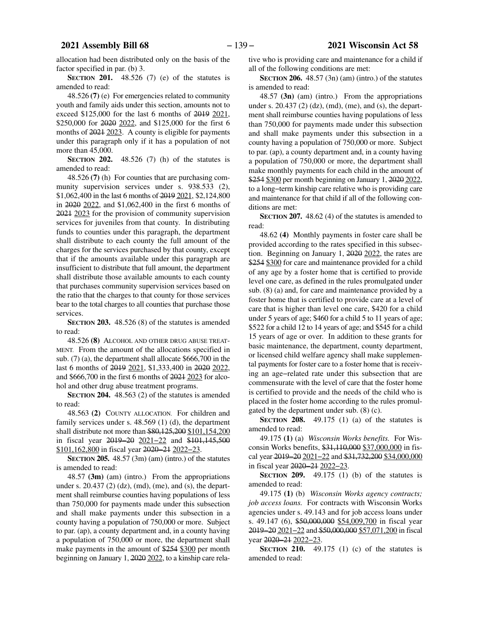allocation had been distributed only on the basis of the factor specified in par. (b) 3.

**SECTION 201.** 48.526 (7) (e) of the statutes is amended to read:

48.526 **(7)** (e) For emergencies related to community youth and family aids under this section, amounts not to exceed \$125,000 for the last 6 months of 2019 2021, \$250,000 for 2020 2022, and \$125,000 for the first 6 months of 2021 2023. A county is eligible for payments under this paragraph only if it has a population of not more than 45,000.

**SECTION 202.** 48.526 (7) (h) of the statutes is amended to read:

48.526 **(7)** (h) For counties that are purchasing community supervision services under s. 938.533 (2), \$1,062,400 in the last 6 months of 2019 2021, \$2,124,800 in 2020 2022, and \$1,062,400 in the first 6 months of 2021 2023 for the provision of community supervision services for juveniles from that county. In distributing funds to counties under this paragraph, the department shall distribute to each county the full amount of the charges for the services purchased by that county, except that if the amounts available under this paragraph are insufficient to distribute that full amount, the department shall distribute those available amounts to each county that purchases community supervision services based on the ratio that the charges to that county for those services bear to the total charges to all counties that purchase those services.

**SECTION 203.** 48.526 (8) of the statutes is amended to read:

48.526 **(8)** ALCOHOL AND OTHER DRUG ABUSE TREAT-MENT. From the amount of the allocations specified in sub. (7) (a), the department shall allocate \$666,700 in the last 6 months of 2019 2021, \$1,333,400 in 2020 2022, and \$666,700 in the first 6 months of 2021 2023 for alcohol and other drug abuse treatment programs.

**SECTION 204.** 48.563 (2) of the statutes is amended to read:

48.563 **(2)** COUNTY ALLOCATION. For children and family services under s. 48.569 (1) (d), the department shall distribute not more than \$80,125,200 \$101,154,200 in fiscal year 2019−20 2021−22 and \$101,145,500 \$101,162,800 in fiscal year 2020−21 2022−23.

**SECTION 205.** 48.57 (3m) (am) (intro.) of the statutes is amended to read:

48.57 **(3m)** (am) (intro.) From the appropriations under s. 20.437 (2) (dz), (md), (me), and (s), the department shall reimburse counties having populations of less than 750,000 for payments made under this subsection and shall make payments under this subsection in a county having a population of 750,000 or more. Subject to par. (ap), a county department and, in a county having a population of 750,000 or more, the department shall make payments in the amount of \$254 \$300 per month beginning on January 1, 2020 2022, to a kinship care relative who is providing care and maintenance for a child if all of the following conditions are met:

**SECTION 206.** 48.57 (3n) (am) (intro.) of the statutes is amended to read:

48.57 **(3n)** (am) (intro.) From the appropriations under s. 20.437 (2) (dz), (md), (me), and (s), the department shall reimburse counties having populations of less than 750,000 for payments made under this subsection and shall make payments under this subsection in a county having a population of 750,000 or more. Subject to par. (ap), a county department and, in a county having a population of 750,000 or more, the department shall make monthly payments for each child in the amount of \$254 \$300 per month beginning on January 1, 2020 2022, to a long−term kinship care relative who is providing care and maintenance for that child if all of the following conditions are met:

**SECTION 207.** 48.62 (4) of the statutes is amended to read:

48.62 **(4)** Monthly payments in foster care shall be provided according to the rates specified in this subsection. Beginning on January 1, 2020 2022, the rates are \$254 \$300 for care and maintenance provided for a child of any age by a foster home that is certified to provide level one care, as defined in the rules promulgated under sub. (8) (a) and, for care and maintenance provided by a foster home that is certified to provide care at a level of care that is higher than level one care, \$420 for a child under 5 years of age; \$460 for a child 5 to 11 years of age; \$522 for a child 12 to 14 years of age; and \$545 for a child 15 years of age or over. In addition to these grants for basic maintenance, the department, county department, or licensed child welfare agency shall make supplemental payments for foster care to a foster home that is receiving an age−related rate under this subsection that are commensurate with the level of care that the foster home is certified to provide and the needs of the child who is placed in the foster home according to the rules promulgated by the department under sub. (8) (c).

**SECTION 208.** 49.175 (1) (a) of the statutes is amended to read:

49.175 **(1)** (a) *Wisconsin Works benefits.* For Wisconsin Works benefits, \$31,110,000 \$37,000,000 in fiscal year 2019−20 2021−22 and \$31,732,200 \$34,000,000 in fiscal year 2020−21 2022−23.

**SECTION 209.** 49.175 (1) (b) of the statutes is amended to read:

49.175 **(1)** (b) *Wisconsin Works agency contracts; job access loans.* For contracts with Wisconsin Works agencies under s. 49.143 and for job access loans under s. 49.147 (6), \$50,000,000 \$54,009,700 in fiscal year 2019−20 2021−22 and \$50,000,000 \$57,071,200 in fiscal year 2020−21 2022−23.

**SECTION 210.** 49.175 (1) (c) of the statutes is amended to read: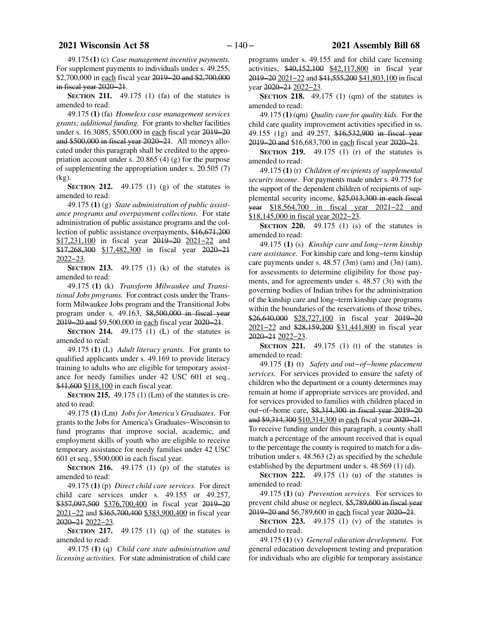49.175 **(1)** (c) *Case management incentive payments.* For supplement payments to individuals under s. 49.255, \$2,700,000 in each fiscal year 2019−20 and \$2,700,000 in fiscal year 2020−21.

**SECTION 211.** 49.175 (1) (fa) of the statutes is amended to read:

49.175 **(1)** (fa) *Homeless case management services grants; additional funding.* For grants to shelter facilities under s. 16.3085, \$500,000 in each fiscal year 2019−20 and \$500,000 in fiscal year 2020−21. All moneys allocated under this paragraph shall be credited to the appropriation account under s. 20.865 (4) (g) for the purpose of supplementing the appropriation under s. 20.505 (7) (kg).

**SECTION 212.** 49.175 (1) (g) of the statutes is amended to read:

49.175 **(1)** (g) *State administration of public assistance programs and overpayment collections.* For state administration of public assistance programs and the collection of public assistance overpayments, \$16,671,200 \$17,231,100 in fiscal year 2019−20 2021−22 and \$17,268,300 \$17,482,300 in fiscal year 2020−21 2022−23.

**SECTION 213.** 49.175 (1) (k) of the statutes is amended to read:

49.175 **(1)** (k) *Transform Milwaukee and Transitional Jobs programs.* For contract costs under the Transform Milwaukee Jobs program and the Transitional Jobs program under s. 49.163, \$8,500,000 in fiscal year 2019−20 and \$9,500,000 in each fiscal year 2020−21.

**SECTION 214.** 49.175 (1) (L) of the statutes is amended to read:

49.175 **(1)** (L) *Adult literacy grants.* For grants to qualified applicants under s. 49.169 to provide literacy training to adults who are eligible for temporary assistance for needy families under 42 USC 601 et seq., \$41,600 \$118,100 in each fiscal year.

**SECTION 215.** 49.175 (1) (Lm) of the statutes is created to read:

49.175 **(1)** (Lm) *Jobs for America's Graduates.* For grants to the Jobs for America's Graduates−Wisconsin to fund programs that improve social, academic, and employment skills of youth who are eligible to receive temporary assistance for needy families under 42 USC 601 et seq., \$500,000 in each fiscal year.

**SECTION 216.** 49.175 (1) (p) of the statutes is amended to read:

49.175 **(1)** (p) *Direct child care services.* For direct child care services under s. 49.155 or 49.257, \$357,097,500 \$376,700,400 in fiscal year 2019−20 2021−22 and \$365,700,400 \$383,900,400 in fiscal year 2020−21 2022−23.

**SECTION 217.** 49.175 (1) (q) of the statutes is amended to read:

49.175 **(1)** (q) *Child care state administration and licensing activities.* For state administration of child care

programs under s. 49.155 and for child care licensing activities, \$40,152,100 \$42,117,800 in fiscal year 2019–20 2021–22 and \$41,555,200 \$41,803,100 in fiscal year 2020−21 2022−23.

**SECTION 218.** 49.175 (1) (qm) of the statutes is amended to read:

49.175 **(1)** (qm) *Quality care for quality kids.* For the child care quality improvement activities specified in ss. 49.155 (1g) and 49.257, \$16,532,900 in fiscal year 2019−20 and \$16,683,700 in each fiscal year 2020−21.

**SECTION 219.** 49.175 (1) (r) of the statutes is amended to read:

49.175 **(1)** (r) *Children of recipients of supplemental security income.* For payments made under s. 49.775 for the support of the dependent children of recipients of supplemental security income, \$25,013,300 in each fiscal year \$18,564,700 in fiscal year 2021−22 and \$18,145,000 in fiscal year 2022−23.

**SECTION 220.** 49.175 (1) (s) of the statutes is amended to read:

49.175 **(1)** (s) *Kinship care and long−term kinship care assistance.* For kinship care and long−term kinship care payments under s. 48.57 (3m) (am) and (3n) (am), for assessments to determine eligibility for those payments, and for agreements under s. 48.57 (3t) with the governing bodies of Indian tribes for the administration of the kinship care and long−term kinship care programs within the boundaries of the reservations of those tribes, \$26,640,000 \$28,727,100 in fiscal year 2019–20 2021−22 and \$28,159,200 \$31,441,800 in fiscal year 2020−21 2022−23.

**SECTION 221.** 49.175 (1) (t) of the statutes is amended to read:

49.175 **(1)** (t) *Safety and out−of−home placement services.* For services provided to ensure the safety of children who the department or a county determines may remain at home if appropriate services are provided, and for services provided to families with children placed in out−of−home care, \$8,314,300 in fiscal year 2019−20 and \$9,314,300 \$10,314,300 in each fiscal year 2020−21. To receive funding under this paragraph, a county shall match a percentage of the amount received that is equal to the percentage the county is required to match for a distribution under s. 48.563 (2) as specified by the schedule established by the department under s. 48.569 (1) (d).

**SECTION 222.** 49.175 (1) (u) of the statutes is amended to read:

49.175 **(1)** (u) *Prevention services.* For services to prevent child abuse or neglect, \$5,789,600 in fiscal year 2019−20 and \$6,789,600 in each fiscal year 2020−21.

**SECTION 223.** 49.175 (1) (v) of the statutes is amended to read:

49.175 **(1)** (v) *General education development.* For general education development testing and preparation for individuals who are eligible for temporary assistance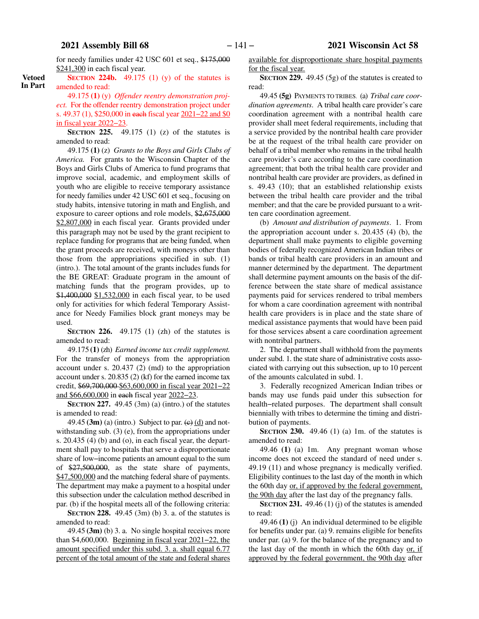**Vetoed In Part** for needy families under 42 USC 601 et seq., \$175,000 \$241,300 in each fiscal year.

**SECTION** 224b.  $49.175$  (1) (y) of the statutes is amended to read:

49.175 **(1)** (y) *Offender reentry demonstration project.* For the offender reentry demonstration project under s. 49.37 (1), \$250,000 in each fiscal year 2021–22 and \$0 in fiscal year 2022−23.

**SECTION 225.** 49.175 (1) (z) of the statutes is amended to read:

49.175 **(1)** (z) *Grants to the Boys and Girls Clubs of America.* For grants to the Wisconsin Chapter of the Boys and Girls Clubs of America to fund programs that improve social, academic, and employment skills of youth who are eligible to receive temporary assistance for needy families under 42 USC 601 et seq., focusing on study habits, intensive tutoring in math and English, and exposure to career options and role models, \$2,675,000 \$2,807,000 in each fiscal year. Grants provided under this paragraph may not be used by the grant recipient to replace funding for programs that are being funded, when the grant proceeds are received, with moneys other than those from the appropriations specified in sub. (1) (intro.). The total amount of the grants includes funds for the BE GREAT: Graduate program in the amount of matching funds that the program provides, up to \$1,400,000 \$1,532,000 in each fiscal year, to be used only for activities for which federal Temporary Assistance for Needy Families block grant moneys may be used.

**SECTION 226.** 49.175 (1) (zh) of the statutes is amended to read:

49.175 **(1)** (zh) *Earned income tax credit supplement.* For the transfer of moneys from the appropriation account under s. 20.437 (2) (md) to the appropriation account under s. 20.835 (2) (kf) for the earned income tax credit, \$69,700,000 \$63,600,000 in fiscal year 2021−22 and \$66,600,000 in each fiscal year 2022−23.

**SECTION 227.** 49.45 (3m) (a) (intro.) of the statutes is amended to read:

49.45  $(3m)$  (a) (intro.) Subject to par.  $(e)$   $(d)$  and notwithstanding sub. (3) (e), from the appropriations under s. 20.435 (4) (b) and (o), in each fiscal year, the department shall pay to hospitals that serve a disproportionate share of low−income patients an amount equal to the sum of \$27,500,000, as the state share of payments, \$47,500,000 and the matching federal share of payments. The department may make a payment to a hospital under this subsection under the calculation method described in par. (b) if the hospital meets all of the following criteria:

**SECTION** 228. 49.45 (3m) (b) 3. a. of the statutes is amended to read:

49.45 **(3m)** (b) 3. a. No single hospital receives more than \$4,600,000. Beginning in fiscal year 2021−22, the amount specified under this subd. 3. a. shall equal 6.77 percent of the total amount of the state and federal shares

available for disproportionate share hospital payments for the fiscal year.

**SECTION 229.** 49.45 (5g) of the statutes is created to read:

49.45 **(5g)** PAYMENTS TO TRIBES. (a) *Tribal care coordination agreements*. A tribal health care provider's care coordination agreement with a nontribal health care provider shall meet federal requirements, including that a service provided by the nontribal health care provider be at the request of the tribal health care provider on behalf of a tribal member who remains in the tribal health care provider's care according to the care coordination agreement; that both the tribal health care provider and nontribal health care provider are providers, as defined in s. 49.43 (10); that an established relationship exists between the tribal health care provider and the tribal member; and that the care be provided pursuant to a written care coordination agreement.

(b) *Amount and distribution of payments*. 1. From the appropriation account under s. 20.435 (4) (b), the department shall make payments to eligible governing bodies of federally recognized American Indian tribes or bands or tribal health care providers in an amount and manner determined by the department. The department shall determine payment amounts on the basis of the difference between the state share of medical assistance payments paid for services rendered to tribal members for whom a care coordination agreement with nontribal health care providers is in place and the state share of medical assistance payments that would have been paid for those services absent a care coordination agreement with nontribal partners.

2. The department shall withhold from the payments under subd. 1. the state share of administrative costs associated with carrying out this subsection, up to 10 percent of the amounts calculated in subd. 1.

3. Federally recognized American Indian tribes or bands may use funds paid under this subsection for health−related purposes. The department shall consult biennially with tribes to determine the timing and distribution of payments.

**SECTION 230.** 49.46 (1) (a) 1m. of the statutes is amended to read:

49.46 **(1)** (a) 1m. Any pregnant woman whose income does not exceed the standard of need under s. 49.19 (11) and whose pregnancy is medically verified. Eligibility continues to the last day of the month in which the 60th day or, if approved by the federal government, the 90th day after the last day of the pregnancy falls.

**SECTION** 231. 49.46 (1) (j) of the statutes is amended to read:

49.46 **(1)** (j) An individual determined to be eligible for benefits under par. (a) 9. remains eligible for benefits under par. (a) 9. for the balance of the pregnancy and to the last day of the month in which the 60th day or, if approved by the federal government, the 90th day after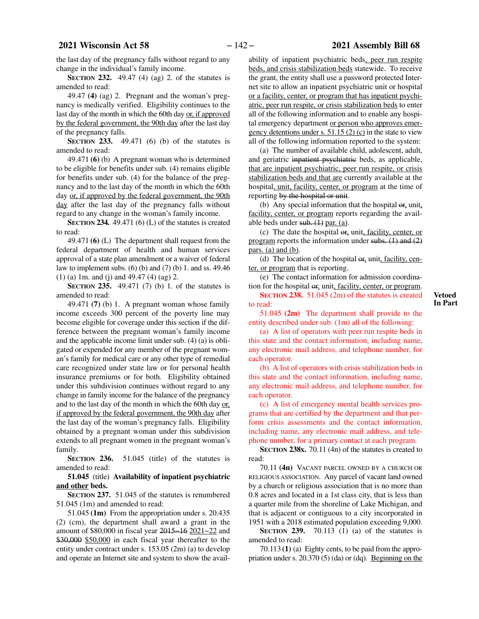the last day of the pregnancy falls without regard to any change in the individual's family income.

**SECTION 232.** 49.47 (4) (ag) 2. of the statutes is amended to read:

49.47 **(4)** (ag) 2. Pregnant and the woman's pregnancy is medically verified. Eligibility continues to the last day of the month in which the 60th day or, if approved by the federal government, the 90th day after the last day of the pregnancy falls.

**SECTION 233.** 49.471 (6) (b) of the statutes is amended to read:

49.471 **(6)** (b) A pregnant woman who is determined to be eligible for benefits under sub. (4) remains eligible for benefits under sub. (4) for the balance of the pregnancy and to the last day of the month in which the 60th day or, if approved by the federal government, the 90th day after the last day of the pregnancy falls without regard to any change in the woman's family income.

**SECTION 234.** 49.471 (6) (L) of the statutes is created to read:

49.471 **(6)** (L) The department shall request from the federal department of health and human services approval of a state plan amendment or a waiver of federal law to implement subs.  $(6)$  (b) and  $(7)$  (b) 1. and ss. 49.46 (1) (a) 1m. and (j) and 49.47 (4) (ag) 2.

**SECTION 235.** 49.471 (7) (b) 1. of the statutes is amended to read:

49.471 **(7)** (b) 1. A pregnant woman whose family income exceeds 300 percent of the poverty line may become eligible for coverage under this section if the difference between the pregnant woman's family income and the applicable income limit under sub. (4) (a) is obligated or expended for any member of the pregnant woman's family for medical care or any other type of remedial care recognized under state law or for personal health insurance premiums or for both. Eligibility obtained under this subdivision continues without regard to any change in family income for the balance of the pregnancy and to the last day of the month in which the 60th day or, if approved by the federal government, the 90th day after the last day of the woman's pregnancy falls. Eligibility obtained by a pregnant woman under this subdivision extends to all pregnant women in the pregnant woman's family.

**SECTION 236.** 51.045 (title) of the statutes is amended to read:

## **51.045** (title) **Availability of inpatient psychiatric and other beds.**

**SECTION 237.** 51.045 of the statutes is renumbered 51.045 (1m) and amended to read:

51.045 **(1m)** From the appropriation under s. 20.435 (2) (cm), the department shall award a grant in the amount of \$80,000 in fiscal year 2015−16 2021−22 and \$30,000 \$50,000 in each fiscal year thereafter to the entity under contract under s. 153.05 (2m) (a) to develop and operate an Internet site and system to show the availability of inpatient psychiatric beds, peer run respite beds, and crisis stabilization beds statewide. To receive the grant, the entity shall use a password protected Internet site to allow an inpatient psychiatric unit or hospital or a facility, center, or program that has inpatient psychiatric, peer run respite, or crisis stabilization beds to enter all of the following information and to enable any hospital emergency department or person who approves emergency detentions under s.  $51.15(2)(c)$  in the state to view all of the following information reported to the system:

(a) The number of available child, adolescent, adult, and geriatric inpatient psychiatric beds, as applicable, that are inpatient psychiatric, peer run respite, or crisis stabilization beds and that are currently available at the hospital, unit, facility, center, or program at the time of reporting by the hospital or unit.

(b) Any special information that the hospital  $\sigma$ , unit, facility, center, or program reports regarding the available beds under  $sub. (1)$  par. (a).

(c) The date the hospital or, unit, facility, center, or program reports the information under subs. (1) and (2) pars. (a) and  $(b)$ .

(d) The location of the hospital  $\Theta$ <sub>r</sub>, unit, facility, center, or program that is reporting.

(e) The contact information for admission coordination for the hospital  $\Theta$ <sub>r</sub>, unit, facility, center, or program.

**SECTION 238.** 51.045 (2m) of the statutes is created to read:

**Vetoed In Part**

51.045 **(2m)** The department shall provide to the entity described under sub. (1m) all of the following:

(a) A list of operators with peer run respite beds in this state and the contact information, including name, any electronic mail address, and telephone number, for each operator.

(b) A list of operators with crisis stabilization beds in this state and the contact information, including name, any electronic mail address, and telephone number, for each operator.

(c) A list of emergency mental health services programs that are certified by the department and that perform crisis assessments and the contact information, including name, any electronic mail address, and telephone number, for a primary contact at each program.

**SECTION 238x.** 70.11 (4n) of the statutes is created to read:

70.11 **(4n)** VACANT PARCEL OWNED BY A CHURCH OR RELIGIOUS ASSOCIATION. Any parcel of vacant land owned by a church or religious association that is no more than 0.8 acres and located in a 1st class city, that is less than a quarter mile from the shoreline of Lake Michigan, and that is adjacent or contiguous to a city incorporated in 1951 with a 2018 estimated population exceeding 9,000.

**SECTION 239.** 70.113 (1) (a) of the statutes is amended to read:

70.113 **(1)** (a) Eighty cents, to be paid from the appropriation under s. 20.370 (5) (da) or (dq). <u>Beginning on the</u>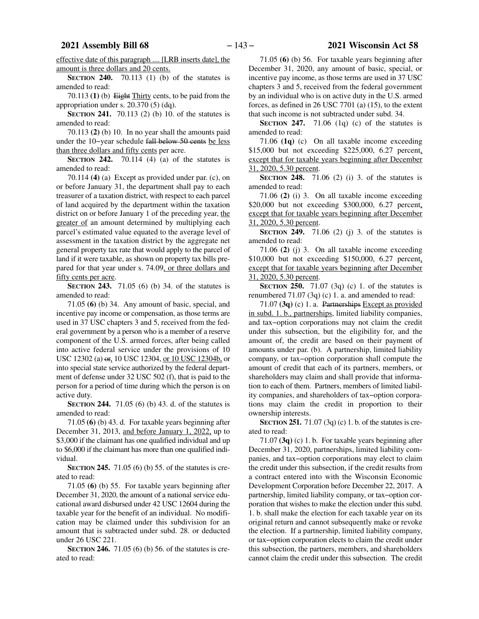effective date of this paragraph .... [LRB inserts date], the amount is three dollars and 20 cents.

**SECTION** 240. 70.113 (1) (b) of the statutes is amended to read:

70.113 **(1)** (b) Eight Thirty cents, to be paid from the appropriation under s. 20.370 (5) (dq).

**SECTION 241.** 70.113 (2) (b) 10. of the statutes is amended to read:

70.113 **(2)** (b) 10. In no year shall the amounts paid under the 10−year schedule fall below 50 cents be less than three dollars and fifty cents per acre.

**SECTION 242.** 70.114 (4) (a) of the statutes is amended to read:

70.114 **(4)** (a) Except as provided under par. (c), on or before January 31, the department shall pay to each treasurer of a taxation district, with respect to each parcel of land acquired by the department within the taxation district on or before January 1 of the preceding year, the greater of an amount determined by multiplying each parcel's estimated value equated to the average level of assessment in the taxation district by the aggregate net general property tax rate that would apply to the parcel of land if it were taxable, as shown on property tax bills prepared for that year under s. 74.09, or three dollars and fifty cents per acre.

**SECTION 243.** 71.05 (6) (b) 34. of the statutes is amended to read:

71.05 **(6)** (b) 34. Any amount of basic, special, and incentive pay income or compensation, as those terms are used in 37 USC chapters 3 and 5, received from the federal government by a person who is a member of a reserve component of the U.S. armed forces, after being called into active federal service under the provisions of 10 USC 12302 (a) or, 10 USC 12304, or 10 USC 12304b, or into special state service authorized by the federal department of defense under 32 USC 502 (f), that is paid to the person for a period of time during which the person is on active duty.

**SECTION 244.** 71.05 (6) (b) 43. d. of the statutes is amended to read:

71.05 **(6)** (b) 43. d. For taxable years beginning after December 31, 2013, and before January 1, 2022, up to \$3,000 if the claimant has one qualified individual and up to \$6,000 if the claimant has more than one qualified individual.

**SECTION 245.** 71.05 (6) (b) 55. of the statutes is created to read:

71.05 **(6)** (b) 55. For taxable years beginning after December 31, 2020, the amount of a national service educational award disbursed under 42 USC 12604 during the taxable year for the benefit of an individual. No modification may be claimed under this subdivision for an amount that is subtracted under subd. 28. or deducted under 26 USC 221.

**SECTION 246.** 71.05 (6) (b) 56. of the statutes is created to read:

71.05 **(6)** (b) 56. For taxable years beginning after December 31, 2020, any amount of basic, special, or incentive pay income, as those terms are used in 37 USC chapters 3 and 5, received from the federal government by an individual who is on active duty in the U.S. armed forces, as defined in 26 USC 7701 (a) (15), to the extent that such income is not subtracted under subd. 34.

**SECTION** 247. 71.06 (1q) (c) of the statutes is amended to read:

71.06 **(1q)** (c) On all taxable income exceeding \$15,000 but not exceeding \$225,000, 6.27 percent, except that for taxable years beginning after December 31, 2020, 5.30 percent.

**SECTION 248.** 71.06 (2) (i) 3. of the statutes is amended to read:

71.06 **(2)** (i) 3. On all taxable income exceeding \$20,000 but not exceeding \$300,000, 6.27 percent, except that for taxable years beginning after December 31, 2020, 5.30 percent.

**SECTION 249.** 71.06 (2) (j) 3. of the statutes is amended to read:

71.06 **(2)** (j) 3. On all taxable income exceeding \$10,000 but not exceeding \$150,000, 6.27 percent, except that for taxable years beginning after December 31, 2020, 5.30 percent.

**SECTION 250.** 71.07 (3q) (c) 1. of the statutes is renumbered 71.07 (3q) (c) 1. a. and amended to read:

71.07 **(3q)** (c) 1. a. Partnerships Except as provided in subd. 1. b., partnerships, limited liability companies, and tax−option corporations may not claim the credit under this subsection, but the eligibility for, and the amount of, the credit are based on their payment of amounts under par. (b). A partnership, limited liability company, or tax−option corporation shall compute the amount of credit that each of its partners, members, or shareholders may claim and shall provide that information to each of them. Partners, members of limited liability companies, and shareholders of tax−option corporations may claim the credit in proportion to their ownership interests.

**SECTION 251.** 71.07 (3q) (c) 1. b. of the statutes is created to read:

71.07 **(3q)** (c) 1. b. For taxable years beginning after December 31, 2020, partnerships, limited liability companies, and tax−option corporations may elect to claim the credit under this subsection, if the credit results from a contract entered into with the Wisconsin Economic Development Corporation before December 22, 2017. A partnership, limited liability company, or tax−option corporation that wishes to make the election under this subd. 1. b. shall make the election for each taxable year on its original return and cannot subsequently make or revoke the election. If a partnership, limited liability company, or tax−option corporation elects to claim the credit under this subsection, the partners, members, and shareholders cannot claim the credit under this subsection. The credit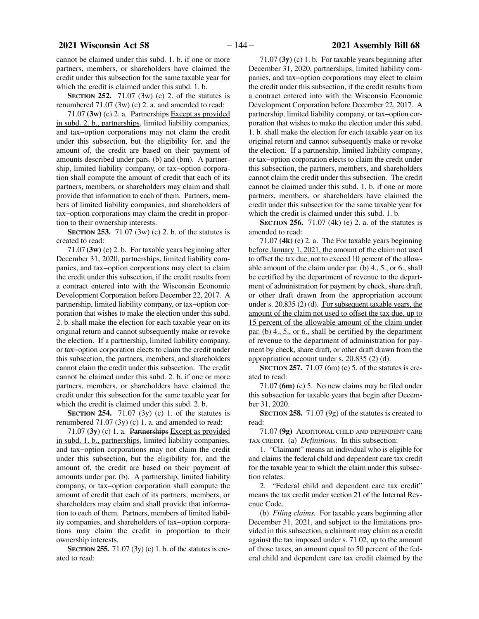cannot be claimed under this subd. 1. b. if one or more partners, members, or shareholders have claimed the credit under this subsection for the same taxable year for which the credit is claimed under this subd. 1. b.

**SECTION 252.** 71.07 (3w) (c) 2. of the statutes is renumbered 71.07 (3w) (c) 2. a. and amended to read:

71.07 **(3w)** (c) 2. a. Partnerships Except as provided in subd. 2. b., partnerships, limited liability companies, and tax−option corporations may not claim the credit under this subsection, but the eligibility for, and the amount of, the credit are based on their payment of amounts described under pars. (b) and (bm). A partnership, limited liability company, or tax−option corporation shall compute the amount of credit that each of its partners, members, or shareholders may claim and shall provide that information to each of them. Partners, members of limited liability companies, and shareholders of tax−option corporations may claim the credit in proportion to their ownership interests.

**SECTION 253.** 71.07 (3w) (c) 2. b. of the statutes is created to read:

71.07 **(3w)** (c) 2. b. For taxable years beginning after December 31, 2020, partnerships, limited liability companies, and tax−option corporations may elect to claim the credit under this subsection, if the credit results from a contract entered into with the Wisconsin Economic Development Corporation before December 22, 2017. A partnership, limited liability company, or tax−option corporation that wishes to make the election under this subd. 2. b. shall make the election for each taxable year on its original return and cannot subsequently make or revoke the election. If a partnership, limited liability company, or tax−option corporation elects to claim the credit under this subsection, the partners, members, and shareholders cannot claim the credit under this subsection. The credit cannot be claimed under this subd. 2. b. if one or more partners, members, or shareholders have claimed the credit under this subsection for the same taxable year for which the credit is claimed under this subd. 2. b.

**SECTION 254.** 71.07 (3y) (c) 1. of the statutes is renumbered 71.07 (3y) (c) 1. a. and amended to read:

71.07 **(3y)** (c) 1. a. Partnerships Except as provided in subd. 1. b., partnerships, limited liability companies, and tax−option corporations may not claim the credit under this subsection, but the eligibility for, and the amount of, the credit are based on their payment of amounts under par. (b). A partnership, limited liability company, or tax−option corporation shall compute the amount of credit that each of its partners, members, or shareholders may claim and shall provide that information to each of them. Partners, members of limited liability companies, and shareholders of tax−option corporations may claim the credit in proportion to their ownership interests.

**SECTION 255.** 71.07 (3y) (c) 1. b. of the statutes is created to read:

71.07 **(3y)** (c) 1. b. For taxable years beginning after December 31, 2020, partnerships, limited liability companies, and tax−option corporations may elect to claim the credit under this subsection, if the credit results from a contract entered into with the Wisconsin Economic Development Corporation before December 22, 2017. A partnership, limited liability company, or tax−option corporation that wishes to make the election under this subd. 1. b. shall make the election for each taxable year on its original return and cannot subsequently make or revoke the election. If a partnership, limited liability company, or tax−option corporation elects to claim the credit under this subsection, the partners, members, and shareholders cannot claim the credit under this subsection. The credit cannot be claimed under this subd. 1. b. if one or more partners, members, or shareholders have claimed the credit under this subsection for the same taxable year for which the credit is claimed under this subd. 1. b.

**SECTION 256.** 71.07 (4k) (e) 2. a. of the statutes is amended to read:

71.07 **(4k)** (e) 2. a. The For taxable years beginning before January 1, 2021, the amount of the claim not used to offset the tax due, not to exceed 10 percent of the allowable amount of the claim under par. (b) 4., 5., or 6., shall be certified by the department of revenue to the department of administration for payment by check, share draft, or other draft drawn from the appropriation account under s. 20.835 (2) (d). For subsequent taxable years, the amount of the claim not used to offset the tax due, up to 15 percent of the allowable amount of the claim under par. (b) 4., 5., or 6., shall be certified by the department of revenue to the department of administration for payment by check, share draft, or other draft drawn from the appropriation account under s. 20.835 (2) (d).

**SECTION 257.** 71.07 (6m) (c) 5. of the statutes is created to read:

71.07 **(6m)** (c) 5. No new claims may be filed under this subsection for taxable years that begin after December 31, 2020.

**SECTION 258.** 71.07 (9g) of the statutes is created to read:

71.07 **(9g)** ADDITIONAL CHILD AND DEPENDENT CARE TAX CREDIT. (a) *Definitions.* In this subsection:

1. "Claimant" means an individual who is eligible for and claims the federal child and dependent care tax credit for the taxable year to which the claim under this subsection relates.

2. "Federal child and dependent care tax credit" means the tax credit under section 21 of the Internal Revenue Code.

(b) *Filing claims.* For taxable years beginning after December 31, 2021, and subject to the limitations provided in this subsection, a claimant may claim as a credit against the tax imposed under s. 71.02, up to the amount of those taxes, an amount equal to 50 percent of the federal child and dependent care tax credit claimed by the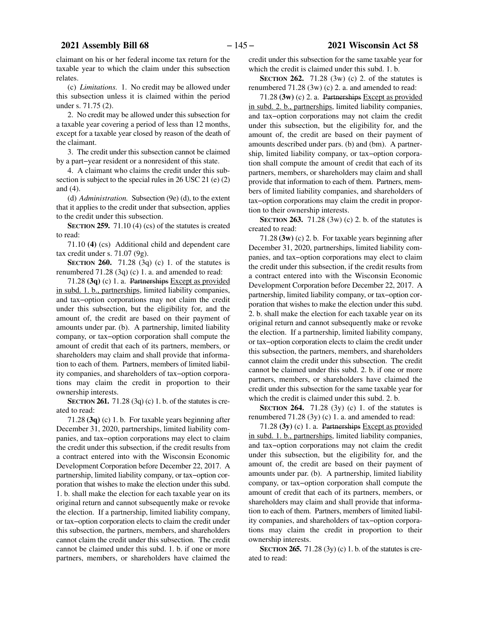claimant on his or her federal income tax return for the taxable year to which the claim under this subsection relates.

(c) *Limitations.* 1. No credit may be allowed under this subsection unless it is claimed within the period under s. 71.75 (2).

2. No credit may be allowed under this subsection for a taxable year covering a period of less than 12 months, except for a taxable year closed by reason of the death of the claimant.

3. The credit under this subsection cannot be claimed by a part−year resident or a nonresident of this state.

4. A claimant who claims the credit under this subsection is subject to the special rules in 26 USC 21 (e) (2) and (4).

(d) *Administration.* Subsection (9e) (d), to the extent that it applies to the credit under that subsection, applies to the credit under this subsection.

**SECTION 259.** 71.10 (4) (cs) of the statutes is created to read:

71.10 **(4)** (cs) Additional child and dependent care tax credit under s. 71.07 (9g).

**SECTION 260.** 71.28 (3q) (c) 1. of the statutes is renumbered 71.28 (3q) (c) 1. a. and amended to read:

71.28 **(3q)** (c) 1. a. Partnerships Except as provided in subd. 1. b., partnerships, limited liability companies, and tax−option corporations may not claim the credit under this subsection, but the eligibility for, and the amount of, the credit are based on their payment of amounts under par. (b). A partnership, limited liability company, or tax−option corporation shall compute the amount of credit that each of its partners, members, or shareholders may claim and shall provide that information to each of them. Partners, members of limited liability companies, and shareholders of tax−option corporations may claim the credit in proportion to their ownership interests.

**SECTION 261.** 71.28 (3q) (c) 1. b. of the statutes is created to read:

71.28 **(3q)** (c) 1. b. For taxable years beginning after December 31, 2020, partnerships, limited liability companies, and tax−option corporations may elect to claim the credit under this subsection, if the credit results from a contract entered into with the Wisconsin Economic Development Corporation before December 22, 2017. A partnership, limited liability company, or tax−option corporation that wishes to make the election under this subd. 1. b. shall make the election for each taxable year on its original return and cannot subsequently make or revoke the election. If a partnership, limited liability company, or tax−option corporation elects to claim the credit under this subsection, the partners, members, and shareholders cannot claim the credit under this subsection. The credit cannot be claimed under this subd. 1. b. if one or more partners, members, or shareholders have claimed the

credit under this subsection for the same taxable year for which the credit is claimed under this subd. 1. b.

**SECTION 262.** 71.28 (3w) (c) 2. of the statutes is renumbered 71.28 (3w) (c) 2. a. and amended to read:

71.28 **(3w)** (c) 2. a. Partnerships Except as provided in subd. 2. b., partnerships, limited liability companies, and tax−option corporations may not claim the credit under this subsection, but the eligibility for, and the amount of, the credit are based on their payment of amounts described under pars. (b) and (bm). A partnership, limited liability company, or tax−option corporation shall compute the amount of credit that each of its partners, members, or shareholders may claim and shall provide that information to each of them. Partners, members of limited liability companies, and shareholders of tax−option corporations may claim the credit in proportion to their ownership interests.

**SECTION 263.** 71.28 (3w) (c) 2. b. of the statutes is created to read:

71.28 **(3w)** (c) 2. b. For taxable years beginning after December 31, 2020, partnerships, limited liability companies, and tax−option corporations may elect to claim the credit under this subsection, if the credit results from a contract entered into with the Wisconsin Economic Development Corporation before December 22, 2017. A partnership, limited liability company, or tax−option corporation that wishes to make the election under this subd. 2. b. shall make the election for each taxable year on its original return and cannot subsequently make or revoke the election. If a partnership, limited liability company, or tax−option corporation elects to claim the credit under this subsection, the partners, members, and shareholders cannot claim the credit under this subsection. The credit cannot be claimed under this subd. 2. b. if one or more partners, members, or shareholders have claimed the credit under this subsection for the same taxable year for which the credit is claimed under this subd. 2. b.

**SECTION 264.** 71.28 (3y) (c) 1. of the statutes is renumbered 71.28 (3y) (c) 1. a. and amended to read:

71.28 **(3y)** (c) 1. a. Partnerships Except as provided in subd. 1. b., partnerships, limited liability companies, and tax−option corporations may not claim the credit under this subsection, but the eligibility for, and the amount of, the credit are based on their payment of amounts under par. (b). A partnership, limited liability company, or tax−option corporation shall compute the amount of credit that each of its partners, members, or shareholders may claim and shall provide that information to each of them. Partners, members of limited liability companies, and shareholders of tax−option corporations may claim the credit in proportion to their ownership interests.

**SECTION 265.** 71.28 (3y) (c) 1. b. of the statutes is created to read: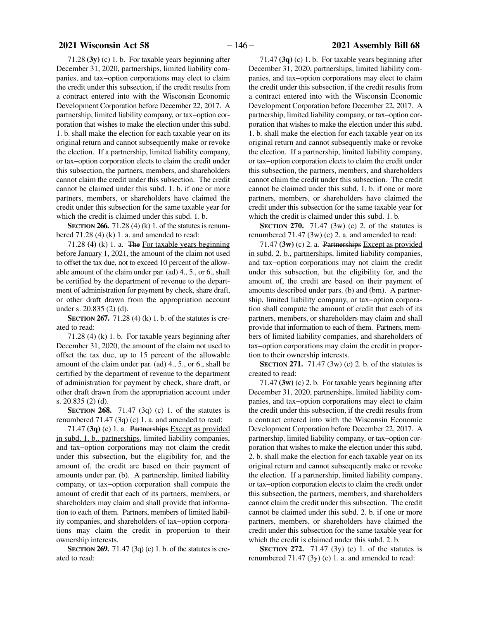# **2021 Wisconsin Act 58** − 146 − **2021 Assembly Bill 68**

71.28 **(3y)** (c) 1. b. For taxable years beginning after December 31, 2020, partnerships, limited liability companies, and tax−option corporations may elect to claim the credit under this subsection, if the credit results from a contract entered into with the Wisconsin Economic Development Corporation before December 22, 2017. A partnership, limited liability company, or tax−option corporation that wishes to make the election under this subd. 1. b. shall make the election for each taxable year on its original return and cannot subsequently make or revoke the election. If a partnership, limited liability company, or tax−option corporation elects to claim the credit under this subsection, the partners, members, and shareholders cannot claim the credit under this subsection. The credit cannot be claimed under this subd. 1. b. if one or more partners, members, or shareholders have claimed the credit under this subsection for the same taxable year for which the credit is claimed under this subd. 1. b.

**SECTION 266.** 71.28 (4) (k) 1. of the statutes is renumbered  $71.28$  (4) (k) 1. a. and amended to read:

71.28 **(4)** (k) 1. a. The For taxable years beginning before January 1, 2021, the amount of the claim not used to offset the tax due, not to exceed 10 percent of the allowable amount of the claim under par. (ad) 4., 5., or 6., shall be certified by the department of revenue to the department of administration for payment by check, share draft, or other draft drawn from the appropriation account under s. 20.835 (2) (d).

**SECTION 267.** 71.28 (4) (k) 1. b. of the statutes is created to read:

71.28 (4) (k) 1. b. For taxable years beginning after December 31, 2020, the amount of the claim not used to offset the tax due, up to 15 percent of the allowable amount of the claim under par. (ad) 4., 5., or 6., shall be certified by the department of revenue to the department of administration for payment by check, share draft, or other draft drawn from the appropriation account under s. 20.835 (2) (d).

**SECTION 268.** 71.47 (3q) (c) 1. of the statutes is renumbered 71.47 (3q) (c) 1. a. and amended to read:

71.47 **(3q)** (c) 1. a. Partnerships Except as provided in subd. 1. b., partnerships, limited liability companies, and tax−option corporations may not claim the credit under this subsection, but the eligibility for, and the amount of, the credit are based on their payment of amounts under par. (b). A partnership, limited liability company, or tax−option corporation shall compute the amount of credit that each of its partners, members, or shareholders may claim and shall provide that information to each of them. Partners, members of limited liability companies, and shareholders of tax−option corporations may claim the credit in proportion to their ownership interests.

**SECTION 269.** 71.47 (3q) (c) 1. b. of the statutes is created to read:

71.47 **(3q)** (c) 1. b. For taxable years beginning after December 31, 2020, partnerships, limited liability companies, and tax−option corporations may elect to claim the credit under this subsection, if the credit results from a contract entered into with the Wisconsin Economic Development Corporation before December 22, 2017. A partnership, limited liability company, or tax−option corporation that wishes to make the election under this subd. 1. b. shall make the election for each taxable year on its original return and cannot subsequently make or revoke the election. If a partnership, limited liability company, or tax−option corporation elects to claim the credit under this subsection, the partners, members, and shareholders cannot claim the credit under this subsection. The credit cannot be claimed under this subd. 1. b. if one or more partners, members, or shareholders have claimed the credit under this subsection for the same taxable year for which the credit is claimed under this subd. 1. b.

**SECTION 270.** 71.47 (3w) (c) 2. of the statutes is renumbered 71.47 (3w) (c) 2. a. and amended to read:

71.47 **(3w)** (c) 2. a. Partnerships Except as provided in subd. 2. b., partnerships, limited liability companies, and tax−option corporations may not claim the credit under this subsection, but the eligibility for, and the amount of, the credit are based on their payment of amounts described under pars. (b) and (bm). A partnership, limited liability company, or tax−option corporation shall compute the amount of credit that each of its partners, members, or shareholders may claim and shall provide that information to each of them. Partners, members of limited liability companies, and shareholders of tax−option corporations may claim the credit in proportion to their ownership interests.

**SECTION** 271. 71.47 (3w) (c) 2. b. of the statutes is created to read:

71.47 **(3w)** (c) 2. b. For taxable years beginning after December 31, 2020, partnerships, limited liability companies, and tax−option corporations may elect to claim the credit under this subsection, if the credit results from a contract entered into with the Wisconsin Economic Development Corporation before December 22, 2017. A partnership, limited liability company, or tax−option corporation that wishes to make the election under this subd. 2. b. shall make the election for each taxable year on its original return and cannot subsequently make or revoke the election. If a partnership, limited liability company, or tax−option corporation elects to claim the credit under this subsection, the partners, members, and shareholders cannot claim the credit under this subsection. The credit cannot be claimed under this subd. 2. b. if one or more partners, members, or shareholders have claimed the credit under this subsection for the same taxable year for which the credit is claimed under this subd. 2. b.

**SECTION 272.** 71.47 (3y) (c) 1. of the statutes is renumbered 71.47 (3y) (c) 1. a. and amended to read: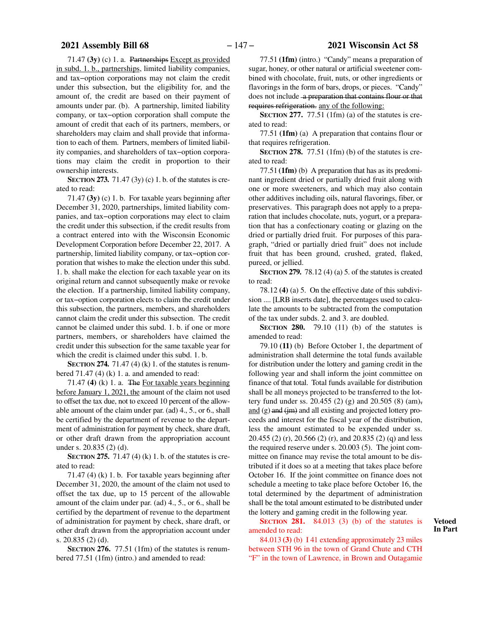71.47 **(3y)** (c) 1. a. Partnerships Except as provided in subd. 1. b., partnerships, limited liability companies, and tax−option corporations may not claim the credit under this subsection, but the eligibility for, and the amount of, the credit are based on their payment of amounts under par. (b). A partnership, limited liability company, or tax−option corporation shall compute the amount of credit that each of its partners, members, or shareholders may claim and shall provide that information to each of them. Partners, members of limited liability companies, and shareholders of tax−option corporations may claim the credit in proportion to their ownership interests.

**SECTION 273.** 71.47 (3y) (c) 1. b. of the statutes is created to read:

71.47 **(3y)** (c) 1. b. For taxable years beginning after December 31, 2020, partnerships, limited liability companies, and tax−option corporations may elect to claim the credit under this subsection, if the credit results from a contract entered into with the Wisconsin Economic Development Corporation before December 22, 2017. A partnership, limited liability company, or tax−option corporation that wishes to make the election under this subd. 1. b. shall make the election for each taxable year on its original return and cannot subsequently make or revoke the election. If a partnership, limited liability company, or tax−option corporation elects to claim the credit under this subsection, the partners, members, and shareholders cannot claim the credit under this subsection. The credit cannot be claimed under this subd. 1. b. if one or more partners, members, or shareholders have claimed the credit under this subsection for the same taxable year for which the credit is claimed under this subd. 1. b.

**SECTION 274.** 71.47 (4) (k) 1. of the statutes is renumbered  $71.47$  (4) (k) 1. a. and amended to read:

71.47 **(4)** (k) 1. a. The For taxable years beginning before January 1, 2021, the amount of the claim not used to offset the tax due, not to exceed 10 percent of the allowable amount of the claim under par. (ad) 4., 5., or 6., shall be certified by the department of revenue to the department of administration for payment by check, share draft, or other draft drawn from the appropriation account under s. 20.835 (2) (d).

**SECTION 275.** 71.47 (4) (k) 1, b. of the statutes is created to read:

71.47 (4) (k) 1. b. For taxable years beginning after December 31, 2020, the amount of the claim not used to offset the tax due, up to 15 percent of the allowable amount of the claim under par. (ad) 4., 5., or 6., shall be certified by the department of revenue to the department of administration for payment by check, share draft, or other draft drawn from the appropriation account under s. 20.835 (2) (d).

**SECTION 276.** 77.51 (1fm) of the statutes is renumbered 77.51 (1fm) (intro.) and amended to read:

77.51 **(1fm)** (intro.) "Candy" means a preparation of sugar, honey, or other natural or artificial sweetener combined with chocolate, fruit, nuts, or other ingredients or flavorings in the form of bars, drops, or pieces. "Candy" does not include -a preparation that contains flour or that requires refrigeration. any of the following:

**SECTION** 277. 77.51 (1fm) (a) of the statutes is created to read:

77.51 **(1fm)** (a) A preparation that contains flour or that requires refrigeration.

**SECTION 278.** 77.51 (1fm) (b) of the statutes is created to read:

77.51 **(1fm)** (b) A preparation that has as its predominant ingredient dried or partially dried fruit along with one or more sweeteners, and which may also contain other additives including oils, natural flavorings, fiber, or preservatives. This paragraph does not apply to a preparation that includes chocolate, nuts, yogurt, or a preparation that has a confectionary coating or glazing on the dried or partially dried fruit. For purposes of this paragraph, "dried or partially dried fruit" does not include fruit that has been ground, crushed, grated, flaked, pureed, or jellied.

**SECTION 279.** 78.12 (4) (a) 5. of the statutes is created to read:

78.12 **(4)** (a) 5. On the effective date of this subdivision .... [LRB inserts date], the percentages used to calculate the amounts to be subtracted from the computation of the tax under subds. 2. and 3. are doubled.

**SECTION 280.** 79.10 (11) (b) of the statutes is amended to read:

79.10 **(11)** (b) Before October 1, the department of administration shall determine the total funds available for distribution under the lottery and gaming credit in the following year and shall inform the joint committee on finance of that total. Total funds available for distribution shall be all moneys projected to be transferred to the lottery fund under ss. 20.455 (2) (g) and 20.505 (8) (am), and  $(g)$  and  $(im)$  and all existing and projected lottery proceeds and interest for the fiscal year of the distribution, less the amount estimated to be expended under ss. 20.455 (2) (r), 20.566 (2) (r), and 20.835 (2) (q) and less the required reserve under s. 20.003 (5). The joint committee on finance may revise the total amount to be distributed if it does so at a meeting that takes place before October 16. If the joint committee on finance does not schedule a meeting to take place before October 16, the total determined by the department of administration shall be the total amount estimated to be distributed under the lottery and gaming credit in the following year.

**SECTION 281.** 84.013 (3) (b) of the statutes is amended to read:

84.013 **(3)** (b) I 41 extending approximately 23 miles between STH 96 in the town of Grand Chute and CTH "F" in the town of Lawrence, in Brown and Outagamie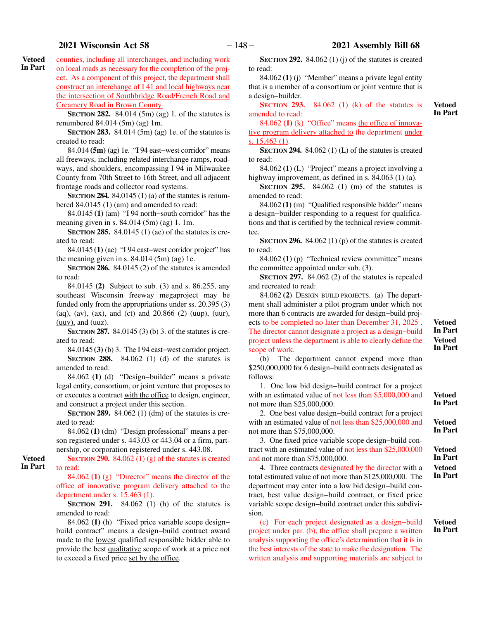counties, including all interchanges, and including work on local roads as necessary for the completion of the project. As a component of this project, the department shall construct an interchange of I 41 and local highways near the intersection of Southbridge Road/French Road and Creamery Road in Brown County. **Vetoed In Part**

> **SECTION 282.** 84.014 (5m) (ag) 1. of the statutes is renumbered 84.014 (5m) (ag) 1m.

> **SECTION 283.** 84.014 (5m) (ag) 1e. of the statutes is created to read:

> 84.014 **(5m)** (ag) 1e. "I 94 east−west corridor" means all freeways, including related interchange ramps, roadways, and shoulders, encompassing I 94 in Milwaukee County from 70th Street to 16th Street, and all adjacent frontage roads and collector road systems.

> **SECTION 284.** 84.0145 (1) (a) of the statutes is renumbered 84.0145 (1) (am) and amended to read:

> 84.0145 **(1)** (am) "I 94 north−south corridor" has the meaning given in s.  $84.014$  (5m) (ag)  $\pm$  1m.

> **SECTION 285.** 84.0145 (1) (ae) of the statutes is created to read:

> 84.0145 **(1)** (ae) "I 94 east−west corridor project" has the meaning given in s.  $84.014$  (5m) (ag) 1e.

> **SECTION 286.** 84.0145 (2) of the statutes is amended to read:

> 84.0145 **(2)** Subject to sub. (3) and s. 86.255, any southeast Wisconsin freeway megaproject may be funded only from the appropriations under ss. 20.395 (3) (aq), (av), (ax), and (ct) and 20.866 (2) (uup), (uur),  $(uuv)$ , and  $(uuz)$ .

> **SECTION 287.** 84.0145 (3) (b) 3. of the statutes is created to read:

> 84.0145 **(3)** (b) 3. The I 94 east−west corridor project. **SECTION 288.** 84.062 (1) (d) of the statutes is amended to read:

> 84.062 **(1)** (d) "Design−builder" means a private legal entity, consortium, or joint venture that proposes to or executes a contract with the office to design, engineer, and construct a project under this section.

> **SECTION 289.** 84.062 (1) (dm) of the statutes is created to read:

> 84.062 **(1)** (dm) "Design professional" means a person registered under s. 443.03 or 443.04 or a firm, partnership, or corporation registered under s. 443.08.

**SECTION 290.** 84.062 (1) (g) of the statutes is created to read: **Vetoed In Part**

> 84.062 **(1)** (g) "Director" means the director of the office of innovative program delivery attached to the department under s. 15.463 (1).

> **SECTION** 291. 84.062 (1) (h) of the statutes is amended to read:

> 84.062 **(1)** (h) "Fixed price variable scope design− build contract" means a design−build contract award made to the lowest qualified responsible bidder able to provide the best qualitative scope of work at a price not to exceed a fixed price set by the office.

**SECTION 292.** 84.062 (1) (j) of the statutes is created to read:

84.062 **(1)** (j) "Member" means a private legal entity that is a member of a consortium or joint venture that is a design−builder.

**SECTION 293.** 84.062 (1) (k) of the statutes is amended to read:

**Vetoed In Part**

84.062 **(1)** (k) "Office" means the office of innovative program delivery attached to the department under s. 15.463 (1).

**SECTION 294.** 84.062 (1) (L) of the statutes is created to read:

84.062 **(1)** (L) "Project" means a project involving a highway improvement, as defined in s. 84.063 (1) (a).

**SECTION 295.** 84.062 (1) (m) of the statutes is amended to read:

84.062 **(1)** (m) "Qualified responsible bidder" means a design−builder responding to a request for qualifications and that is certified by the technical review committee.

**SECTION 296.** 84.062 (1) (p) of the statutes is created to read:

84.062 **(1)** (p) "Technical review committee" means the committee appointed under sub. (3).

**SECTION 297.** 84.062 (2) of the statutes is repealed and recreated to read:

84.062 **(2)** DESIGN-BUILD PROJECTS. **(a)** The department shall administer a pilot program under which not more than 6 contracts are awarded for design−build projects to be completed no later than December 31, 2025 . The director cannot designate a project as a design−build project unless the department is able to clearly define the scope of work.

**Vetoed In Part Vetoed In Part**

(b) The department cannot expend more than \$250,000,000 for 6 design−build contracts designated as follows:

1. One low bid design−build contract for a project with an estimated value of not less than \$5,000,000 and not more than \$25,000,000.

2. One best value design−build contract for a project with an estimated value of not less than \$25,000,000 and not more than \$75,000,000.

3. One fixed price variable scope design−build contract with an estimated value of not less than \$25,000,000 and not more than \$75,000,000.

4. Three contracts designated by the director with a total estimated value of not more than \$125,000,000. The department may enter into a low bid design−build contract, best value design−build contract, or fixed price variable scope design−build contract under this subdivision.

(c) For each project designated as a design−build project under par. (b), the office shall prepare a written analysis supporting the office's determination that it is in the best interests of the state to make the designation. The written analysis and supporting materials are subject to **Vetoed**

**In Part**

**Vetoed In Part**

**Vetoed In Part Vetoed In Part**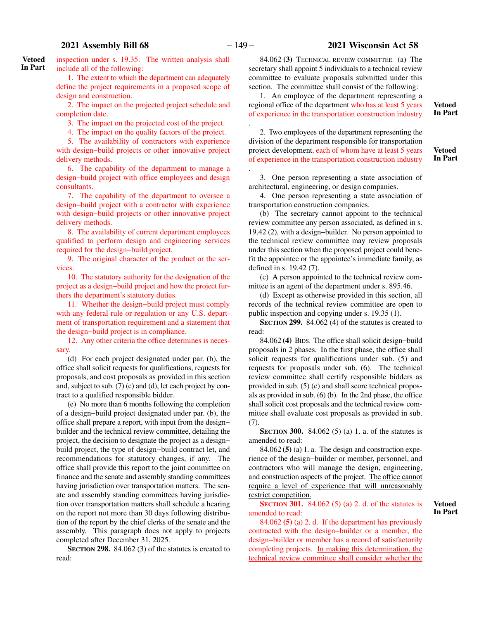.

# **2021 Assembly Bill 68** − 149 − **2021 Wisconsin Act 58**

inspection under s. 19.35. The written analysis shall include all of the following: **Vetoed In Part**

> 1. The extent to which the department can adequately define the project requirements in a proposed scope of design and construction.

> 2. The impact on the projected project schedule and completion date.

3. The impact on the projected cost of the project.

4. The impact on the quality factors of the project.

5. The availability of contractors with experience with design−build projects or other innovative project delivery methods.

6. The capability of the department to manage a design−build project with office employees and design consultants.

7. The capability of the department to oversee a design−build project with a contractor with experience with design−build projects or other innovative project delivery methods.

8. The availability of current department employees qualified to perform design and engineering services required for the design−build project.

9. The original character of the product or the services.

10. The statutory authority for the designation of the project as a design−build project and how the project furthers the department's statutory duties.

11. Whether the design−build project must comply with any federal rule or regulation or any U.S. department of transportation requirement and a statement that the design−build project is in compliance.

12. Any other criteria the office determines is necessary.

(d) For each project designated under par. (b), the office shall solicit requests for qualifications, requests for proposals, and cost proposals as provided in this section and, subject to sub. (7) (c) and (d), let each project by contract to a qualified responsible bidder.

(e) No more than 6 months following the completion of a design−build project designated under par. (b), the office shall prepare a report, with input from the design− builder and the technical review committee, detailing the project, the decision to designate the project as a design− build project, the type of design−build contract let, and recommendations for statutory changes, if any. The office shall provide this report to the joint committee on finance and the senate and assembly standing committees having jurisdiction over transportation matters. The senate and assembly standing committees having jurisdiction over transportation matters shall schedule a hearing on the report not more than 30 days following distribution of the report by the chief clerks of the senate and the assembly. This paragraph does not apply to projects completed after December 31, 2025.

**SECTION 298.** 84.062 (3) of the statutes is created to read:

84.062 **(3)** TECHNICAL REVIEW COMMITTEE. (a) The secretary shall appoint 5 individuals to a technical review committee to evaluate proposals submitted under this section. The committee shall consist of the following:

1. An employee of the department representing a regional office of the department who has at least 5 years of experience in the transportation construction industry

2. Two employees of the department representing the division of the department responsible for transportation project development, each of whom have at least 5 years of experience in the transportation construction industry .

**Vetoed In Part**

**Vetoed In Part**

3. One person representing a state association of architectural, engineering, or design companies.

4. One person representing a state association of transportation construction companies.

(b) The secretary cannot appoint to the technical review committee any person associated, as defined in s. 19.42 (2), with a design−builder. No person appointed to the technical review committee may review proposals under this section when the proposed project could benefit the appointee or the appointee's immediate family, as defined in s. 19.42 (7).

(c) A person appointed to the technical review committee is an agent of the department under s. 895.46.

(d) Except as otherwise provided in this section, all records of the technical review committee are open to public inspection and copying under s. 19.35 (1).

**SECTION 299.** 84.062 (4) of the statutes is created to read:

84.062 **(4)** BIDS. The office shall solicit design−build proposals in 2 phases. In the first phase, the office shall solicit requests for qualifications under sub. (5) and requests for proposals under sub. (6). The technical review committee shall certify responsible bidders as provided in sub. (5) (c) and shall score technical proposals as provided in sub. (6) (b). In the 2nd phase, the office shall solicit cost proposals and the technical review committee shall evaluate cost proposals as provided in sub. (7).

**SECTION 300.** 84.062 (5) (a) 1. a. of the statutes is amended to read:

84.062 **(5)** (a) 1. a. The design and construction experience of the design−builder or member, personnel, and contractors who will manage the design, engineering, and construction aspects of the project. The office cannot require a level of experience that will unreasonably restrict competition.

**SECTION** 301. 84.062 (5) (a) 2. d. of the statutes is amended to read:

84.062 **(5)** (a) 2. d. If the department has previously contracted with the design−builder or a member, the design−builder or member has a record of satisfactorily completing projects. In making this determination, the technical review committee shall consider whether the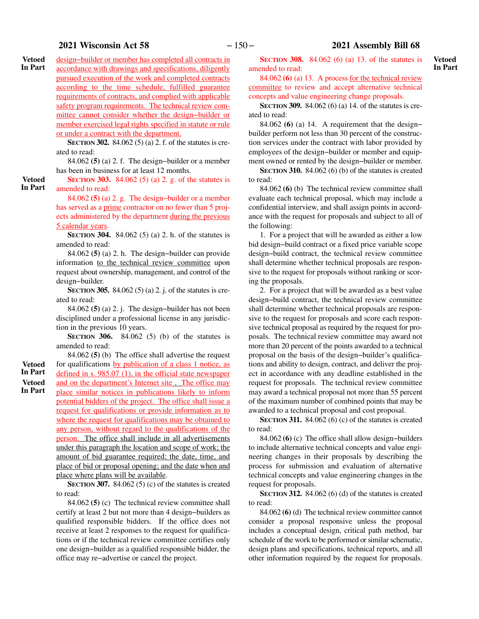# **2021 Wisconsin Act 58** − 150 − **2021 Assembly Bill 68**

design−builder or member has completed all contracts in accordance with drawings and specifications, diligently pursued execution of the work and completed contracts according to the time schedule, fulfilled guarantee requirements of contracts, and complied with applicable safety program requirements. The technical review committee cannot consider whether the design−builder or member exercised legal rights specified in statute or rule or under a contract with the department. **Vetoed In Part**

**SECTION 302.** 84.062 (5) (a) 2. f. of the statutes is created to read:

84.062 **(5)** (a) 2. f. The design−builder or a member has been in business for at least 12 months.

**SECTION** 303. 84.062 (5) (a) 2. g. of the statutes is amended to read:

84.062 **(5)** (a) 2. g. The design−builder or a member has served as a prime contractor on no fewer than 5 projects administered by the department during the previous 5 calendar years.

**SECTION** 304. 84.062 (5) (a) 2. h. of the statutes is amended to read:

84.062 **(5)** (a) 2. h. The design−builder can provide information to the technical review committee upon request about ownership, management, and control of the design−builder.

**SECTION 305.** 84.062 (5) (a) 2. j. of the statutes is created to read:

84.062 **(5)** (a) 2. j. The design−builder has not been disciplined under a professional license in any jurisdiction in the previous 10 years.

**SECTION 306.** 84.062 (5) (b) of the statutes is amended to read:

**Vetoed In Part Vetoed**

**In Part**

84.062 **(5)** (b) The office shall advertise the request for qualifications by publication of a class 1 notice, as defined in s. 985.07 (1), in the official state newspaper and on the department's Internet site . The office may place similar notices in publications likely to inform potential bidders of the project. The office shall issue a request for qualifications or provide information as to where the request for qualifications may be obtained to any person, without regard to the qualifications of the person. The office shall include in all advertisements under this paragraph the location and scope of work; the amount of bid guarantee required; the date, time, and place of bid or proposal opening; and the date when and place where plans will be available.

**SECTION 307.** 84.062 (5) (c) of the statutes is created to read:

84.062 **(5)** (c) The technical review committee shall certify at least 2 but not more than 4 design−builders as qualified responsible bidders. If the office does not receive at least 2 responses to the request for qualifications or if the technical review committee certifies only one design−builder as a qualified responsible bidder, the office may re−advertise or cancel the project.

**SECTION 308.** 84.062 (6) (a) 13. of the statutes is amended to read:

84.062 **(6)** (a) 13. A process for the technical review committee to review and accept alternative technical concepts and value engineering change proposals.

**SECTION 309.** 84.062 (6) (a) 14. of the statutes is created to read:

84.062 **(6)** (a) 14. A requirement that the design− builder perform not less than 30 percent of the construction services under the contract with labor provided by employees of the design−builder or member and equipment owned or rented by the design−builder or member.

**SECTION 310.** 84.062 (6) (b) of the statutes is created to read:

84.062 **(6)** (b) The technical review committee shall evaluate each technical proposal, which may include a confidential interview, and shall assign points in accordance with the request for proposals and subject to all of the following:

1. For a project that will be awarded as either a low bid design−build contract or a fixed price variable scope design−build contract, the technical review committee shall determine whether technical proposals are responsive to the request for proposals without ranking or scoring the proposals.

2. For a project that will be awarded as a best value design−build contract, the technical review committee shall determine whether technical proposals are responsive to the request for proposals and score each responsive technical proposal as required by the request for proposals. The technical review committee may award not more than 20 percent of the points awarded to a technical proposal on the basis of the design−builder's qualifications and ability to design, contract, and deliver the project in accordance with any deadline established in the request for proposals. The technical review committee may award a technical proposal not more than 55 percent of the maximum number of combined points that may be awarded to a technical proposal and cost proposal.

**SECTION 311.** 84.062 (6) (c) of the statutes is created to read:

84.062 **(6)** (c) The office shall allow design−builders to include alternative technical concepts and value engineering changes in their proposals by describing the process for submission and evaluation of alternative technical concepts and value engineering changes in the request for proposals.

**SECTION 312.** 84.062 (6) (d) of the statutes is created to read:

84.062 **(6)** (d) The technical review committee cannot consider a proposal responsive unless the proposal includes a conceptual design, critical path method, bar schedule of the work to be performed or similar schematic, design plans and specifications, technical reports, and all other information required by the request for proposals.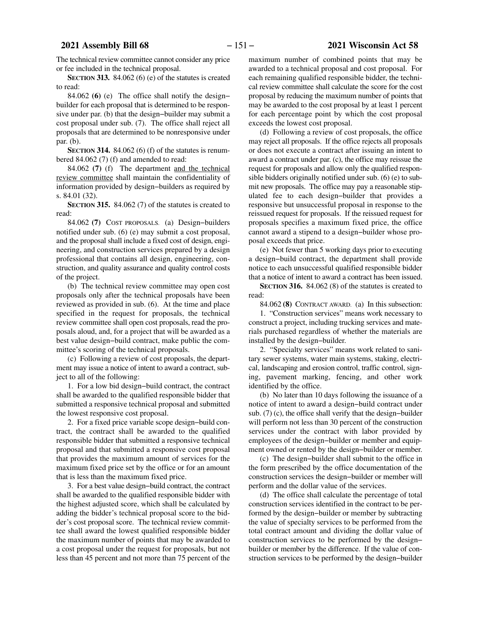The technical review committee cannot consider any price or fee included in the technical proposal.

**SECTION 313.** 84.062 (6) (e) of the statutes is created to read:

84.062 **(6)** (e) The office shall notify the design− builder for each proposal that is determined to be responsive under par. (b) that the design−builder may submit a cost proposal under sub. (7). The office shall reject all proposals that are determined to be nonresponsive under par. (b).

**SECTION** 314. 84.062 (6) (f) of the statutes is renumbered 84.062 (7) (f) and amended to read:

84.062 **(7)** (f) The department and the technical review committee shall maintain the confidentiality of information provided by design−builders as required by s. 84.01 (32).

**SECTION 315.** 84.062 (7) of the statutes is created to read:

84.062 **(7)** COST PROPOSALS. (a) Design−builders notified under sub. (6) (e) may submit a cost proposal, and the proposal shall include a fixed cost of design, engineering, and construction services prepared by a design professional that contains all design, engineering, construction, and quality assurance and quality control costs of the project.

(b) The technical review committee may open cost proposals only after the technical proposals have been reviewed as provided in sub. (6). At the time and place specified in the request for proposals, the technical review committee shall open cost proposals, read the proposals aloud, and, for a project that will be awarded as a best value design−build contract, make public the committee's scoring of the technical proposals.

(c) Following a review of cost proposals, the department may issue a notice of intent to award a contract, subject to all of the following:

1. For a low bid design−build contract, the contract shall be awarded to the qualified responsible bidder that submitted a responsive technical proposal and submitted the lowest responsive cost proposal.

2. For a fixed price variable scope design−build contract, the contract shall be awarded to the qualified responsible bidder that submitted a responsive technical proposal and that submitted a responsive cost proposal that provides the maximum amount of services for the maximum fixed price set by the office or for an amount that is less than the maximum fixed price.

3. For a best value design−build contract, the contract shall be awarded to the qualified responsible bidder with the highest adjusted score, which shall be calculated by adding the bidder's technical proposal score to the bidder's cost proposal score. The technical review committee shall award the lowest qualified responsible bidder the maximum number of points that may be awarded to a cost proposal under the request for proposals, but not less than 45 percent and not more than 75 percent of the

maximum number of combined points that may be awarded to a technical proposal and cost proposal. For each remaining qualified responsible bidder, the technical review committee shall calculate the score for the cost proposal by reducing the maximum number of points that may be awarded to the cost proposal by at least 1 percent for each percentage point by which the cost proposal exceeds the lowest cost proposal.

(d) Following a review of cost proposals, the office may reject all proposals. If the office rejects all proposals or does not execute a contract after issuing an intent to award a contract under par. (c), the office may reissue the request for proposals and allow only the qualified responsible bidders originally notified under sub. (6) (e) to submit new proposals. The office may pay a reasonable stipulated fee to each design−builder that provides a responsive but unsuccessful proposal in response to the reissued request for proposals. If the reissued request for proposals specifies a maximum fixed price, the office cannot award a stipend to a design−builder whose proposal exceeds that price.

(e) Not fewer than 5 working days prior to executing a design−build contract, the department shall provide notice to each unsuccessful qualified responsible bidder that a notice of intent to award a contract has been issued.

**SECTION 316.** 84.062 (8) of the statutes is created to read:

84.062 **(8)** CONTRACT AWARD. (a) In this subsection:

1. "Construction services" means work necessary to construct a project, including trucking services and materials purchased regardless of whether the materials are installed by the design−builder.

2. "Specialty services" means work related to sanitary sewer systems, water main systems, staking, electrical, landscaping and erosion control, traffic control, signing, pavement marking, fencing, and other work identified by the office.

(b) No later than 10 days following the issuance of a notice of intent to award a design−build contract under sub. (7) (c), the office shall verify that the design−builder will perform not less than 30 percent of the construction services under the contract with labor provided by employees of the design−builder or member and equipment owned or rented by the design−builder or member.

(c) The design−builder shall submit to the office in the form prescribed by the office documentation of the construction services the design−builder or member will perform and the dollar value of the services.

(d) The office shall calculate the percentage of total construction services identified in the contract to be performed by the design−builder or member by subtracting the value of specialty services to be performed from the total contract amount and dividing the dollar value of construction services to be performed by the design− builder or member by the difference. If the value of construction services to be performed by the design−builder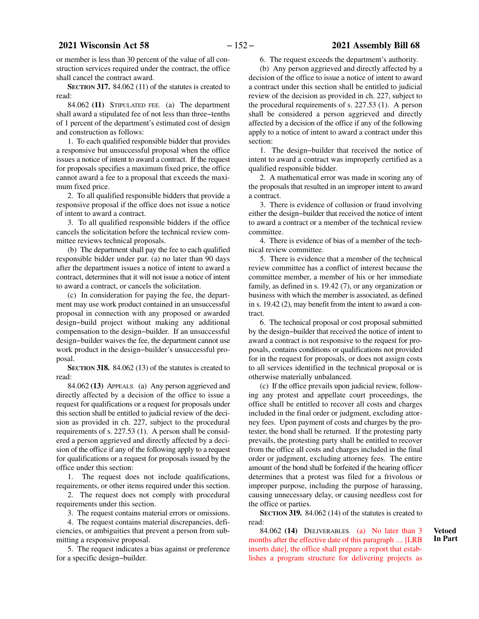or member is less than 30 percent of the value of all construction services required under the contract, the office shall cancel the contract award.

**SECTION 317.** 84.062 (11) of the statutes is created to read:

84.062 **(11)** STIPULATED FEE. (a) The department shall award a stipulated fee of not less than three−tenths of 1 percent of the department's estimated cost of design and construction as follows:

1. To each qualified responsible bidder that provides a responsive but unsuccessful proposal when the office issues a notice of intent to award a contract. If the request for proposals specifies a maximum fixed price, the office cannot award a fee to a proposal that exceeds the maximum fixed price.

2. To all qualified responsible bidders that provide a responsive proposal if the office does not issue a notice of intent to award a contract.

3. To all qualified responsible bidders if the office cancels the solicitation before the technical review committee reviews technical proposals.

(b) The department shall pay the fee to each qualified responsible bidder under par. (a) no later than 90 days after the department issues a notice of intent to award a contract, determines that it will not issue a notice of intent to award a contract, or cancels the solicitation.

(c) In consideration for paying the fee, the department may use work product contained in an unsuccessful proposal in connection with any proposed or awarded design−build project without making any additional compensation to the design−builder. If an unsuccessful design−builder waives the fee, the department cannot use work product in the design−builder's unsuccessful proposal.

**SECTION 318.** 84.062 (13) of the statutes is created to read:

84.062 **(13)** APPEALS. (a) Any person aggrieved and directly affected by a decision of the office to issue a request for qualifications or a request for proposals under this section shall be entitled to judicial review of the decision as provided in ch. 227, subject to the procedural requirements of s. 227.53 (1). A person shall be considered a person aggrieved and directly affected by a decision of the office if any of the following apply to a request for qualifications or a request for proposals issued by the office under this section:

1. The request does not include qualifications, requirements, or other items required under this section.

2. The request does not comply with procedural requirements under this section.

3. The request contains material errors or omissions.

4. The request contains material discrepancies, deficiencies, or ambiguities that prevent a person from submitting a responsive proposal.

5. The request indicates a bias against or preference for a specific design−builder.

6. The request exceeds the department's authority.

(b) Any person aggrieved and directly affected by a decision of the office to issue a notice of intent to award a contract under this section shall be entitled to judicial review of the decision as provided in ch. 227, subject to the procedural requirements of s. 227.53 (1). A person shall be considered a person aggrieved and directly affected by a decision of the office if any of the following apply to a notice of intent to award a contract under this section:

1. The design−builder that received the notice of intent to award a contract was improperly certified as a qualified responsible bidder.

2. A mathematical error was made in scoring any of the proposals that resulted in an improper intent to award a contract.

3. There is evidence of collusion or fraud involving either the design−builder that received the notice of intent to award a contract or a member of the technical review committee.

4. There is evidence of bias of a member of the technical review committee.

5. There is evidence that a member of the technical review committee has a conflict of interest because the committee member, a member of his or her immediate family, as defined in s. 19.42 (7), or any organization or business with which the member is associated, as defined in s. 19.42 (2), may benefit from the intent to award a contract.

6. The technical proposal or cost proposal submitted by the design−builder that received the notice of intent to award a contract is not responsive to the request for proposals, contains conditions or qualifications not provided for in the request for proposals, or does not assign costs to all services identified in the technical proposal or is otherwise materially unbalanced.

(c) If the office prevails upon judicial review, following any protest and appellate court proceedings, the office shall be entitled to recover all costs and charges included in the final order or judgment, excluding attorney fees. Upon payment of costs and charges by the protester, the bond shall be returned. If the protesting party prevails, the protesting party shall be entitled to recover from the office all costs and charges included in the final order or judgment, excluding attorney fees. The entire amount of the bond shall be forfeited if the hearing officer determines that a protest was filed for a frivolous or improper purpose, including the purpose of harassing, causing unnecessary delay, or causing needless cost for the office or parties.

**SECTION 319.** 84.062 (14) of the statutes is created to read:

84.062 **(14)** DELIVERABLES. (a) No later than 3 months after the effective date of this paragraph .... [LRB inserts date], the office shall prepare a report that establishes a program structure for delivering projects as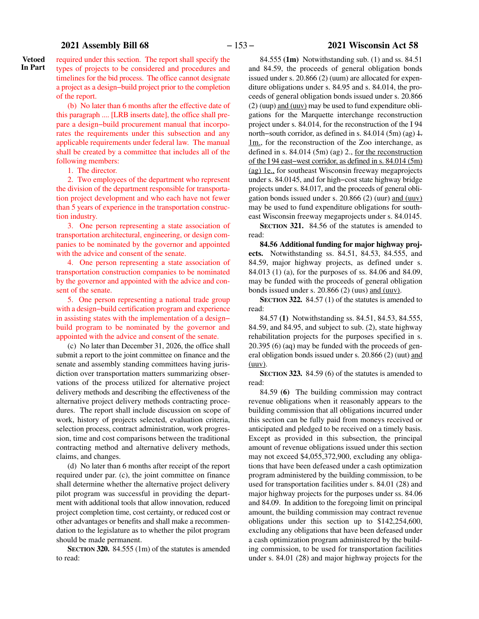# **2021 Assembly Bill 68** − 153 − **2021 Wisconsin Act 58**

**Vetoed In Part**

required under this section. The report shall specify the types of projects to be considered and procedures and timelines for the bid process. The office cannot designate a project as a design−build project prior to the completion of the report.

(b) No later than 6 months after the effective date of this paragraph .... [LRB inserts date], the office shall prepare a design−build procurement manual that incorporates the requirements under this subsection and any applicable requirements under federal law. The manual shall be created by a committee that includes all of the following members:

1. The director.

2. Two employees of the department who represent the division of the department responsible for transportation project development and who each have not fewer than 5 years of experience in the transportation construction industry.

3. One person representing a state association of transportation architectural, engineering, or design companies to be nominated by the governor and appointed with the advice and consent of the senate.

4. One person representing a state association of transportation construction companies to be nominated by the governor and appointed with the advice and consent of the senate.

5. One person representing a national trade group with a design−build certification program and experience in assisting states with the implementation of a design− build program to be nominated by the governor and appointed with the advice and consent of the senate.

(c) No later than December 31, 2026, the office shall submit a report to the joint committee on finance and the senate and assembly standing committees having jurisdiction over transportation matters summarizing observations of the process utilized for alternative project delivery methods and describing the effectiveness of the alternative project delivery methods contracting procedures. The report shall include discussion on scope of work, history of projects selected, evaluation criteria, selection process, contract administration, work progression, time and cost comparisons between the traditional contracting method and alternative delivery methods, claims, and changes.

(d) No later than 6 months after receipt of the report required under par. (c), the joint committee on finance shall determine whether the alternative project delivery pilot program was successful in providing the department with additional tools that allow innovation, reduced project completion time, cost certainty, or reduced cost or other advantages or benefits and shall make a recommendation to the legislature as to whether the pilot program should be made permanent.

**SECTION 320.** 84.555 (1m) of the statutes is amended to read:

84.555 **(1m)** Notwithstanding sub. (1) and ss. 84.51 and 84.59, the proceeds of general obligation bonds issued under s. 20.866 (2) (uum) are allocated for expenditure obligations under s. 84.95 and s. 84.014, the proceeds of general obligation bonds issued under s. 20.866 (2) (uup) and (uuv) may be used to fund expenditure obligations for the Marquette interchange reconstruction project under s. 84.014, for the reconstruction of the I 94 north–south corridor, as defined in s. 84.014 (5m) (ag)  $\pm$ .  $1m$ , for the reconstruction of the Zoo interchange, as defined in s. 84.014 (5m) (ag) 2., for the reconstruction of the I 94 east−west corridor, as defined in s. 84.014 (5m) (ag) 1e., for southeast Wisconsin freeway megaprojects under s. 84.0145, and for high−cost state highway bridge projects under s. 84.017, and the proceeds of general obligation bonds issued under s. 20.866 (2) (uur) and (uuv) may be used to fund expenditure obligations for southeast Wisconsin freeway megaprojects under s. 84.0145.

**SECTION 321.** 84.56 of the statutes is amended to read:

**84.56 Additional funding for major highway projects.** Notwithstanding ss. 84.51, 84.53, 84.555, and 84.59, major highway projects, as defined under s. 84.013 (1) (a), for the purposes of ss. 84.06 and 84.09, may be funded with the proceeds of general obligation bonds issued under s.  $20.866$  (2) (uus) and (uuv).

**SECTION 322.** 84.57 (1) of the statutes is amended to read:

84.57 **(1)** Notwithstanding ss. 84.51, 84.53, 84.555, 84.59, and 84.95, and subject to sub. (2), state highway rehabilitation projects for the purposes specified in s. 20.395 (6) (aq) may be funded with the proceeds of general obligation bonds issued under s. 20.866 (2) (uut) and  $(uuv)$ .

**SECTION 323.** 84.59 (6) of the statutes is amended to read:

84.59 **(6)** The building commission may contract revenue obligations when it reasonably appears to the building commission that all obligations incurred under this section can be fully paid from moneys received or anticipated and pledged to be received on a timely basis. Except as provided in this subsection, the principal amount of revenue obligations issued under this section may not exceed \$4,055,372,900, excluding any obligations that have been defeased under a cash optimization program administered by the building commission, to be used for transportation facilities under s. 84.01 (28) and major highway projects for the purposes under ss. 84.06 and 84.09. In addition to the foregoing limit on principal amount, the building commission may contract revenue obligations under this section up to \$142,254,600, excluding any obligations that have been defeased under a cash optimization program administered by the building commission, to be used for transportation facilities under s. 84.01 (28) and major highway projects for the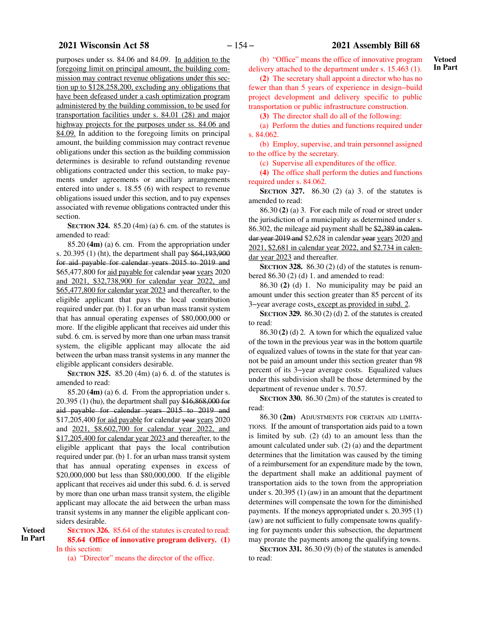purposes under ss. 84.06 and 84.09. In addition to the foregoing limit on principal amount, the building commission may contract revenue obligations under this section up to \$128,258,200, excluding any obligations that have been defeased under a cash optimization program administered by the building commission, to be used for transportation facilities under s. 84.01 (28) and major highway projects for the purposes under ss. 84.06 and 84.09. In addition to the foregoing limits on principal amount, the building commission may contract revenue obligations under this section as the building commission determines is desirable to refund outstanding revenue obligations contracted under this section, to make payments under agreements or ancillary arrangements entered into under s. 18.55 (6) with respect to revenue obligations issued under this section, and to pay expenses associated with revenue obligations contracted under this section.

**SECTION 324.** 85.20 (4m) (a) 6. cm. of the statutes is amended to read:

85.20 **(4m)** (a) 6. cm. From the appropriation under s. 20.395 (1) (ht), the department shall pay \$64,193,900 for aid payable for calendar years 2015 to 2019 and \$65,477,800 for aid payable for calendar year years 2020 and 2021, \$32,738,900 for calendar year 2022, and \$65,477,800 for calendar year 2023 and thereafter, to the eligible applicant that pays the local contribution required under par. (b) 1. for an urban mass transit system that has annual operating expenses of \$80,000,000 or more. If the eligible applicant that receives aid under this subd. 6. cm. is served by more than one urban mass transit system, the eligible applicant may allocate the aid between the urban mass transit systems in any manner the eligible applicant considers desirable.

**SECTION 325.** 85.20 (4m) (a) 6. d. of the statutes is amended to read:

85.20 **(4m)** (a) 6. d. From the appropriation under s. 20.395 (1) (hu), the department shall pay \$16,868,000 for aid payable for calendar years 2015 to 2019 and \$17,205,400 for aid payable for calendar year years 2020 and 2021, \$8,602,700 for calendar year 2022, and \$17,205,400 for calendar year 2023 and thereafter, to the eligible applicant that pays the local contribution required under par. (b) 1. for an urban mass transit system that has annual operating expenses in excess of \$20,000,000 but less than \$80,000,000. If the eligible applicant that receives aid under this subd. 6. d. is served by more than one urban mass transit system, the eligible applicant may allocate the aid between the urban mass transit systems in any manner the eligible applicant considers desirable.

**SECTION** 326. 85.64 of the statutes is created to read: **85.64 Office of innovative program delivery. (1)** In this section:

(a) "Director" means the director of the office.

(b) "Office" means the office of innovative program delivery attached to the department under s. 15.463 (1).

**(2)** The secretary shall appoint a director who has no fewer than than 5 years of experience in design−build project development and delivery specific to public transportation or public infrastructure construction.

**(3)** The director shall do all of the following:

(a) Perform the duties and functions required under s. 84.062.

(b) Employ, supervise, and train personnel assigned to the office by the secretary.

(c) Supervise all expenditures of the office.

**(4)** The office shall perform the duties and functions required under s. 84.062.

**SECTION 327.** 86.30 (2) (a) 3. of the statutes is amended to read:

86.30 **(2)** (a) 3. For each mile of road or street under the jurisdiction of a municipality as determined under s. 86.302, the mileage aid payment shall be \$2,389 in calendar year 2019 and \$2,628 in calendar year years 2020 and 2021, \$2,681 in calendar year 2022, and \$2,734 in calendar year 2023 and thereafter.

**SECTION** 328. 86.30 (2) (d) of the statutes is renumbered 86.30 (2) (d) 1. and amended to read:

86.30 **(2)** (d) 1. No municipality may be paid an amount under this section greater than 85 percent of its 3−year average costs, except as provided in subd. 2.

**SECTION 329.** 86.30 (2) (d) 2. of the statutes is created to read:

86.30 **(2)** (d) 2. A town for which the equalized value of the town in the previous year was in the bottom quartile of equalized values of towns in the state for that year cannot be paid an amount under this section greater than 98 percent of its 3−year average costs. Equalized values under this subdivision shall be those determined by the department of revenue under s. 70.57.

**SECTION 330.** 86.30 (2m) of the statutes is created to read:

86.30 **(2m)** ADJUSTMENTS FOR CERTAIN AID LIMITA-TIONS. If the amount of transportation aids paid to a town is limited by sub. (2) (d) to an amount less than the amount calculated under sub. (2) (a) and the department determines that the limitation was caused by the timing of a reimbursement for an expenditure made by the town, the department shall make an additional payment of transportation aids to the town from the appropriation under s. 20.395 (1) (aw) in an amount that the department determines will compensate the town for the diminished payments. If the moneys appropriated under s. 20.395 (1) (aw) are not sufficient to fully compensate towns qualifying for payments under this subsection, the department may prorate the payments among the qualifying towns.

**SECTION 331.** 86.30 (9) (b) of the statutes is amended to read: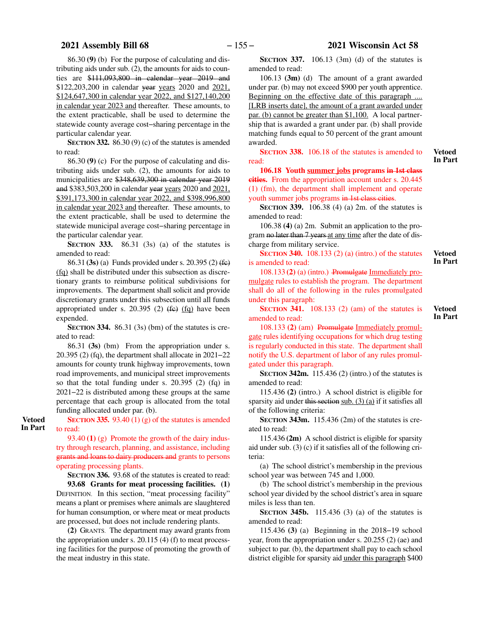86.30 **(9)** (b) For the purpose of calculating and distributing aids under sub. (2), the amounts for aids to counties are \$111,093,800 in calendar year 2019 and \$122,203,200 in calendar year years 2020 and 2021, \$124,647,300 in calendar year 2022, and \$127,140,200 in calendar year 2023 and thereafter. These amounts, to the extent practicable, shall be used to determine the statewide county average cost−sharing percentage in the particular calendar year.

**SECTION 332.** 86.30 (9) (c) of the statutes is amended to read:

86.30 **(9)** (c) For the purpose of calculating and distributing aids under sub. (2), the amounts for aids to municipalities are \$348,639,300 in calendar year 2019 and \$383,503,200 in calendar year years 2020 and 2021, \$391,173,300 in calendar year 2022, and \$398,996,800 in calendar year 2023 and thereafter. These amounts, to the extent practicable, shall be used to determine the statewide municipal average cost−sharing percentage in the particular calendar year.

**SECTION** 333. 86.31 (3s) (a) of the statutes is amended to read:

86.31 **(3s)** (a) Funds provided under s. 20.395 (2) (fc) (fq) shall be distributed under this subsection as discretionary grants to reimburse political subdivisions for improvements. The department shall solicit and provide discretionary grants under this subsection until all funds appropriated under s. 20.395 (2)  $(f \epsilon)$  (fq) have been expended.

**SECTION 334.** 86.31 (3s) (bm) of the statutes is created to read:

86.31 **(3s)** (bm) From the appropriation under s. 20.395 (2) (fq), the department shall allocate in 2021−22 amounts for county trunk highway improvements, town road improvements, and municipal street improvements so that the total funding under s. 20.395 (2) (fq) in 2021−22 is distributed among these groups at the same percentage that each group is allocated from the total funding allocated under par. (b).

**SECTION 335.** 93.40 (1) (g) of the statutes is amended to read: **Vetoed In Part**

> 93.40 **(1)** (g) Promote the growth of the dairy industry through research, planning, and assistance, including grants and loans to dairy producers and grants to persons operating processing plants.

**SECTION 336.** 93.68 of the statutes is created to read:

**93.68 Grants for meat processing facilities. (1)** DEFINITION. In this section, "meat processing facility" means a plant or premises where animals are slaughtered for human consumption, or where meat or meat products are processed, but does not include rendering plants.

**(2)** GRANTS. The department may award grants from the appropriation under s. 20.115 (4) (f) to meat processing facilities for the purpose of promoting the growth of the meat industry in this state.

**SECTION 337.** 106.13 (3m) (d) of the statutes is amended to read:

106.13 **(3m)** (d) The amount of a grant awarded under par. (b) may not exceed \$900 per youth apprentice. Beginning on the effective date of this paragraph .... [LRB inserts date], the amount of a grant awarded under par. (b) cannot be greater than \$1,100. A local partnership that is awarded a grant under par. (b) shall provide matching funds equal to 50 percent of the grant amount awarded.

**SECTION 338.** 106.18 of the statutes is amended to read:

**Vetoed In Part**

**Vetoed In Part**

**Vetoed In Part**

**106.18 Youth summer jobs programs in 1st class cities.** From the appropriation account under s. 20.445 (1) (fm), the department shall implement and operate youth summer jobs programs in 1st class cities.

**SECTION 339.** 106.38 (4) (a) 2m. of the statutes is amended to read:

106.38 **(4)** (a) 2m. Submit an application to the program no later than 7 years at any time after the date of discharge from military service.

**SECTION 340.** 108.133 (2) (a) (intro.) of the statutes is amended to read:

108.133 **(2)** (a) (intro.) Promulgate Immediately promulgate rules to establish the program. The department shall do all of the following in the rules promulgated under this paragraph:

**SECTION 341.** 108.133 (2) (am) of the statutes is amended to read:

108.133 **(2)** (am) Promulgate Immediately promulgate rules identifying occupations for which drug testing is regularly conducted in this state. The department shall notify the U.S. department of labor of any rules promulgated under this paragraph.

**SECTION 342m.** 115.436 (2) (intro.) of the statutes is amended to read:

115.436 **(2)** (intro.) A school district is eligible for sparsity aid under this section sub. (3) (a) if it satisfies all of the following criteria:

**SECTION 343m.** 115.436 (2m) of the statutes is created to read:

115.436 **(2m)** A school district is eligible for sparsity aid under sub. (3) (c) if it satisfies all of the following criteria:

(a) The school district's membership in the previous school year was between 745 and 1,000.

(b) The school district's membership in the previous school year divided by the school district's area in square miles is less than ten.

**SECTION 345b.** 115.436 (3) (a) of the statutes is amended to read:

115.436 **(3)** (a) Beginning in the 2018−19 school year, from the appropriation under s. 20.255 (2) (ae) and subject to par. (b), the department shall pay to each school district eligible for sparsity aid under this paragraph \$400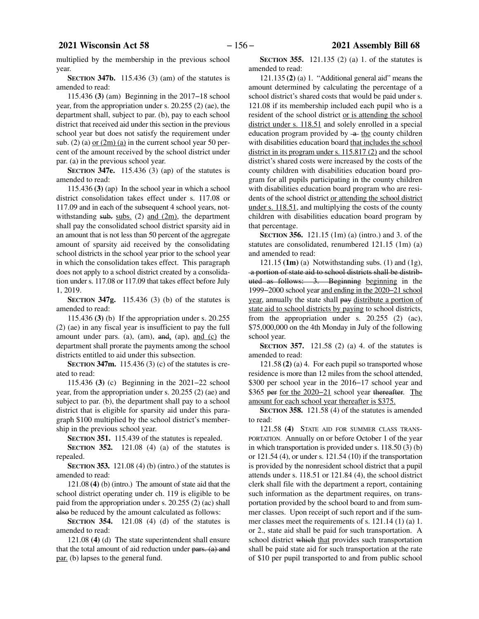multiplied by the membership in the previous school year.

**SECTION 347b.** 115.436 (3) (am) of the statutes is amended to read:

115.436 **(3)** (am) Beginning in the 2017−18 school year, from the appropriation under s. 20.255 (2) (ae), the department shall, subject to par. (b), pay to each school district that received aid under this section in the previous school year but does not satisfy the requirement under sub. (2) (a) or  $(2m)$  (a) in the current school year 50 percent of the amount received by the school district under par. (a) in the previous school year.

**SECTION 347e.** 115.436 (3) (ap) of the statutes is amended to read:

115.436 **(3)** (ap) In the school year in which a school district consolidation takes effect under s. 117.08 or 117.09 and in each of the subsequent 4 school years, notwithstanding  $sub.$  subs. (2) and (2m), the department shall pay the consolidated school district sparsity aid in an amount that is not less than 50 percent of the aggregate amount of sparsity aid received by the consolidating school districts in the school year prior to the school year in which the consolidation takes effect. This paragraph does not apply to a school district created by a consolidation under s. 117.08 or 117.09 that takes effect before July 1, 2019.

**SECTION 347g.** 115.436 (3) (b) of the statutes is amended to read:

115.436 **(3)** (b) If the appropriation under s. 20.255 (2) (ae) in any fiscal year is insufficient to pay the full amount under pars. (a), (am),  $\overline{and}_1$  (ap),  $\overline{and}$  (c) the department shall prorate the payments among the school districts entitled to aid under this subsection.

**SECTION 347m.** 115.436 (3) (c) of the statutes is created to read:

115.436 **(3)** (c) Beginning in the 2021−22 school year, from the appropriation under s. 20.255 (2) (ae) and subject to par. (b), the department shall pay to a school district that is eligible for sparsity aid under this paragraph \$100 multiplied by the school district's membership in the previous school year.

**SECTION 351.** 115.439 of the statutes is repealed.

**SECTION 352.** 121.08 (4) (a) of the statutes is repealed.

**SECTION 353.** 121.08 (4) (b) (intro.) of the statutes is amended to read:

121.08 **(4)** (b) (intro.) The amount of state aid that the school district operating under ch. 119 is eligible to be paid from the appropriation under s. 20.255 (2) (ac) shall also be reduced by the amount calculated as follows:

**SECTION 354.** 121.08 (4) (d) of the statutes is amended to read:

121.08 **(4)** (d) The state superintendent shall ensure that the total amount of aid reduction under pars. (a) and par. (b) lapses to the general fund.

**SECTION 355.** 121.135 (2) (a) 1. of the statutes is amended to read:

121.135 **(2)** (a) 1. "Additional general aid" means the amount determined by calculating the percentage of a school district's shared costs that would be paid under s. 121.08 if its membership included each pupil who is a resident of the school district or is attending the school district under s. 118.51 and solely enrolled in a special education program provided by  $-a$  the county children with disabilities education board that includes the school district in its program under s. 115.817 (2) and the school district's shared costs were increased by the costs of the county children with disabilities education board program for all pupils participating in the county children with disabilities education board program who are residents of the school district or attending the school district under s. 118.51, and multiplying the costs of the county children with disabilities education board program by that percentage.

**SECTION 356.** 121.15 (1m) (a) (intro.) and 3. of the statutes are consolidated, renumbered 121.15 (1m) (a) and amended to read:

121.15 **(1m)** (a) Notwithstanding subs. (1) and (1g), a portion of state aid to school districts shall be distributed as follows: 3. Beginning beginning in the 1999−2000 school year and ending in the 2020−21 school year, annually the state shall pay distribute a portion of state aid to school districts by paying to school districts, from the appropriation under s. 20.255 (2) (ac), \$75,000,000 on the 4th Monday in July of the following school year.

**SECTION 357.** 121.58 (2) (a) 4. of the statutes is amended to read:

121.58 **(2)** (a) 4. For each pupil so transported whose residence is more than 12 miles from the school attended, \$300 per school year in the 2016−17 school year and \$365 per for the 2020−21 school year thereafter. The amount for each school year thereafter is \$375.

**SECTION 358.** 121.58 (4) of the statutes is amended to read:

121.58 **(4)** STATE AID FOR SUMMER CLASS TRANS-PORTATION. Annually on or before October 1 of the year in which transportation is provided under s. 118.50 (3) (b) or 121.54 (4), or under s. 121.54 (10) if the transportation is provided by the nonresident school district that a pupil attends under s. 118.51 or 121.84 (4), the school district clerk shall file with the department a report, containing such information as the department requires, on transportation provided by the school board to and from summer classes. Upon receipt of such report and if the summer classes meet the requirements of s. 121.14 (1) (a) 1. or 2., state aid shall be paid for such transportation. A school district which that provides such transportation shall be paid state aid for such transportation at the rate of \$10 per pupil transported to and from public school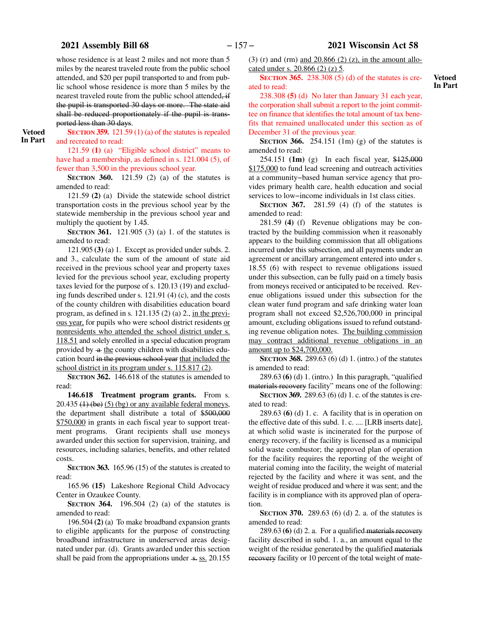# **2021 Assembly Bill 68** − 157 − **2021 Wisconsin Act 58**

whose residence is at least 2 miles and not more than 5 miles by the nearest traveled route from the public school attended, and \$20 per pupil transported to and from public school whose residence is more than 5 miles by the nearest traveled route from the public school attended, if the pupil is transported 30 days or more. The state aid shall be reduced proportionately if the pupil is transported less than 30 days.

**Vetoed In Part**

## **SECTION 359.** 121.59 (1) (a) of the statutes is repealed and recreated to read:

121.59 **(1)** (a) "Eligible school district" means to have had a membership, as defined in s. 121.004 (5), of fewer than 3,500 in the previous school year.

**SECTION 360.** 121.59 (2) (a) of the statutes is amended to read:

121.59 **(2)** (a) Divide the statewide school district transportation costs in the previous school year by the statewide membership in the previous school year and multiply the quotient by 1.45.

**SECTION 361.** 121.905 (3) (a) 1. of the statutes is amended to read:

121.905 **(3)** (a) 1. Except as provided under subds. 2. and 3., calculate the sum of the amount of state aid received in the previous school year and property taxes levied for the previous school year, excluding property taxes levied for the purpose of s. 120.13 (19) and excluding funds described under s. 121.91 (4) (c), and the costs of the county children with disabilities education board program, as defined in s. 121.135 (2) (a) 2., in the previous year, for pupils who were school district residents or nonresidents who attended the school district under s. 118.51 and solely enrolled in a special education program provided by  $-a$  the county children with disabilities education board in the previous school year that included the school district in its program under s. 115.817 (2).

**SECTION** 362. 146.618 of the statutes is amended to read:

**146.618 Treatment program grants.** From s.  $20.435$  (1) (be) (5) (bg) or any available federal moneys, the department shall distribute a total of \$500,000 \$750,000 in grants in each fiscal year to support treatment programs. Grant recipients shall use moneys awarded under this section for supervision, training, and resources, including salaries, benefits, and other related costs.

**SECTION 363.** 165.96 (15) of the statutes is created to read:

165.96 **(15)** Lakeshore Regional Child Advocacy Center in Ozaukee County.

**SECTION 364.** 196.504 (2) (a) of the statutes is amended to read:

196.504 **(2)** (a) To make broadband expansion grants to eligible applicants for the purpose of constructing broadband infrastructure in underserved areas designated under par. (d). Grants awarded under this section shall be paid from the appropriations under  $\frac{1}{2}$  s. 20.155

(3) (r) and (rm) and  $20.866$  (2) (z), in the amount allocated under s. 20.866 (2) (z) 5.

**SECTION 365.** 238.308 (5) (d) of the statutes is created to read:

238.308 **(5)** (d) No later than January 31 each year, the corporation shall submit a report to the joint committee on finance that identifies the total amount of tax benefits that remained unallocated under this section as of December 31 of the previous year.

**SECTION 366.** 254.151 (1m) (g) of the statutes is amended to read:

254.151 **(1m)** (g) In each fiscal year, \$125,000 \$175,000 to fund lead screening and outreach activities at a community−based human service agency that provides primary health care, health education and social services to low−income individuals in 1st class cities.

**SECTION 367.** 281.59 (4) (f) of the statutes is amended to read:

281.59 **(4)** (f) Revenue obligations may be contracted by the building commission when it reasonably appears to the building commission that all obligations incurred under this subsection, and all payments under an agreement or ancillary arrangement entered into under s. 18.55 (6) with respect to revenue obligations issued under this subsection, can be fully paid on a timely basis from moneys received or anticipated to be received. Revenue obligations issued under this subsection for the clean water fund program and safe drinking water loan program shall not exceed \$2,526,700,000 in principal amount, excluding obligations issued to refund outstanding revenue obligation notes. The building commission may contract additional revenue obligations in an amount up to \$24,700,000.

**SECTION 368.** 289.63 (6) (d) 1. (intro.) of the statutes is amended to read:

289.63 **(6)** (d) 1. (intro.) In this paragraph, "qualified materials recovery facility" means one of the following:

**SECTION 369.** 289.63 (6) (d) 1. c. of the statutes is created to read:

289.63 **(6)** (d) 1. c. A facility that is in operation on the effective date of this subd. 1. c. .... [LRB inserts date], at which solid waste is incinerated for the purpose of energy recovery, if the facility is licensed as a municipal solid waste combustor; the approved plan of operation for the facility requires the reporting of the weight of material coming into the facility, the weight of material rejected by the facility and where it was sent, and the weight of residue produced and where it was sent; and the facility is in compliance with its approved plan of operation.

**SECTION** 370. 289.63 (6) (d) 2. a. of the statutes is amended to read:

289.63 **(6)** (d) 2. a. For a qualified materials recovery facility described in subd. 1. a., an amount equal to the weight of the residue generated by the qualified materials recovery facility or 10 percent of the total weight of mate-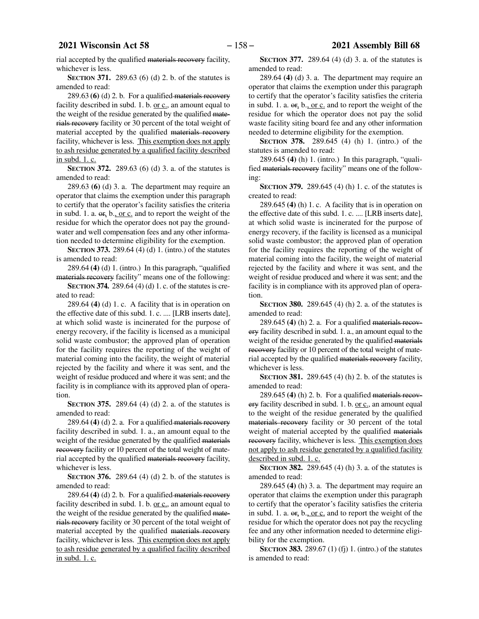rial accepted by the qualified materials recovery facility, whichever is less.

**SECTION 371.** 289.63 (6) (d) 2. b. of the statutes is amended to read:

289.63 **(6)** (d) 2. b. For a qualified materials recovery facility described in subd. 1. b. or c., an amount equal to the weight of the residue generated by the qualified materials recovery facility or 30 percent of the total weight of material accepted by the qualified materials recovery facility, whichever is less. This exemption does not apply to ash residue generated by a qualified facility described in subd. 1. c.

**SECTION** 372. 289.63 (6) (d) 3. a. of the statutes is amended to read:

289.63 **(6)** (d) 3. a. The department may require an operator that claims the exemption under this paragraph to certify that the operator's facility satisfies the criteria in subd. 1. a.  $er_1 b$ , or c. and to report the weight of the residue for which the operator does not pay the groundwater and well compensation fees and any other information needed to determine eligibility for the exemption.

**SECTION 373.** 289.64 (4) (d) 1. (intro.) of the statutes is amended to read:

289.64 **(4)** (d) 1. (intro.) In this paragraph, "qualified materials recovery facility" means one of the following:

**SECTION 374.** 289.64 (4) (d) 1. c. of the statutes is created to read:

289.64 **(4)** (d) 1. c. A facility that is in operation on the effective date of this subd. 1. c. .... [LRB inserts date], at which solid waste is incinerated for the purpose of energy recovery, if the facility is licensed as a municipal solid waste combustor; the approved plan of operation for the facility requires the reporting of the weight of material coming into the facility, the weight of material rejected by the facility and where it was sent, and the weight of residue produced and where it was sent; and the facility is in compliance with its approved plan of operation.

**SECTION 375.** 289.64 (4) (d) 2. a. of the statutes is amended to read:

289.64 **(4)** (d) 2. a. For a qualified materials recovery facility described in subd. 1. a., an amount equal to the weight of the residue generated by the qualified materials recovery facility or 10 percent of the total weight of material accepted by the qualified materials recovery facility, whichever is less.

**SECTION** 376. 289.64 (4) (d) 2. b. of the statutes is amended to read:

289.64 **(4)** (d) 2. b. For a qualified materials recovery facility described in subd. 1. b. or  $c<sub>z</sub>$ , an amount equal to the weight of the residue generated by the qualified materials recovery facility or 30 percent of the total weight of material accepted by the qualified materials recovery facility, whichever is less. This exemption does not apply to ash residue generated by a qualified facility described in subd. 1. c.

**SECTION 377.** 289.64 (4) (d) 3. a. of the statutes is amended to read:

289.64 **(4)** (d) 3. a. The department may require an operator that claims the exemption under this paragraph to certify that the operator's facility satisfies the criteria in subd. 1. a.  $\Theta$ . b., or c. and to report the weight of the residue for which the operator does not pay the solid waste facility siting board fee and any other information needed to determine eligibility for the exemption.

**SECTION 378.** 289.645 (4) (h) 1. (intro.) of the statutes is amended to read:

289.645 **(4)** (h) 1. (intro.) In this paragraph, "qualified materials recovery facility" means one of the following:

**SECTION 379.** 289.645 (4) (h) 1. c. of the statutes is created to read:

289.645 **(4)** (h) 1. c. A facility that is in operation on the effective date of this subd. 1. c. .... [LRB inserts date], at which solid waste is incinerated for the purpose of energy recovery, if the facility is licensed as a municipal solid waste combustor; the approved plan of operation for the facility requires the reporting of the weight of material coming into the facility, the weight of material rejected by the facility and where it was sent, and the weight of residue produced and where it was sent; and the facility is in compliance with its approved plan of operation.

**SECTION** 380. 289.645 (4) (h) 2. a. of the statutes is amended to read:

289.645 **(4)** (h) 2. a. For a qualified materials recovery facility described in subd. 1. a., an amount equal to the weight of the residue generated by the qualified materials recovery facility or 10 percent of the total weight of material accepted by the qualified materials recovery facility, whichever is less.

**SECTION 381.** 289.645 (4) (h) 2. b. of the statutes is amended to read:

289.645 **(4)** (h) 2. b. For a qualified materials recovery facility described in subd. 1. b. or c., an amount equal to the weight of the residue generated by the qualified materials recovery facility or 30 percent of the total weight of material accepted by the qualified materials recovery facility, whichever is less. This exemption does not apply to ash residue generated by a qualified facility described in subd. 1. c.

**SECTION 382.** 289.645 (4) (h) 3. a. of the statutes is amended to read:

289.645 **(4)** (h) 3. a. The department may require an operator that claims the exemption under this paragraph to certify that the operator's facility satisfies the criteria in subd. 1. a.  $\Theta$ <sub>r</sub>, b., or c. and to report the weight of the residue for which the operator does not pay the recycling fee and any other information needed to determine eligibility for the exemption.

**SECTION 383.** 289.67 (1) (fj) 1. (intro.) of the statutes is amended to read: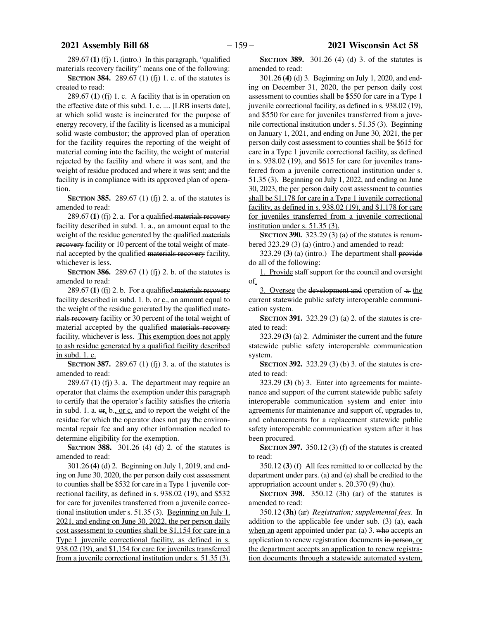289.67 **(1)** (fj) 1. (intro.) In this paragraph, "qualified materials recovery facility" means one of the following:

**SECTION** 384. 289.67 (1) (fj) 1. c. of the statutes is created to read:

289.67 **(1)** (fj) 1. c. A facility that is in operation on the effective date of this subd. 1. c. .... [LRB inserts date], at which solid waste is incinerated for the purpose of energy recovery, if the facility is licensed as a municipal solid waste combustor; the approved plan of operation for the facility requires the reporting of the weight of material coming into the facility, the weight of material rejected by the facility and where it was sent, and the weight of residue produced and where it was sent; and the facility is in compliance with its approved plan of operation.

**SECTION** 385. 289.67 (1) (fj) 2. a. of the statutes is amended to read:

289.67 **(1)** (fj) 2. a. For a qualified materials recovery facility described in subd. 1. a., an amount equal to the weight of the residue generated by the qualified materials recovery facility or 10 percent of the total weight of material accepted by the qualified materials recovery facility, whichever is less.

**SECTION 386.** 289.67 (1) (fj) 2. b. of the statutes is amended to read:

289.67 **(1)** (fj) 2. b. For a qualified materials recovery facility described in subd. 1. b. or  $c<sub>n</sub>$ , an amount equal to the weight of the residue generated by the qualified materials recovery facility or 30 percent of the total weight of material accepted by the qualified materials recovery facility, whichever is less. This exemption does not apply to ash residue generated by a qualified facility described in subd. 1. c.

**SECTION 387.** 289.67 (1) (fj) 3. a. of the statutes is amended to read:

289.67 **(1)** (fj) 3. a. The department may require an operator that claims the exemption under this paragraph to certify that the operator's facility satisfies the criteria in subd. 1. a.  $\Theta$ , b., or c. and to report the weight of the residue for which the operator does not pay the environmental repair fee and any other information needed to determine eligibility for the exemption.

**SECTION 388.** 301.26 (4) (d) 2. of the statutes is amended to read:

301.26 **(4)** (d) 2. Beginning on July 1, 2019, and ending on June 30, 2020, the per person daily cost assessment to counties shall be \$532 for care in a Type 1 juvenile correctional facility, as defined in s. 938.02 (19), and \$532 for care for juveniles transferred from a juvenile correctional institution under s. 51.35 (3). Beginning on July 1, 2021, and ending on June 30, 2022, the per person daily cost assessment to counties shall be \$1,154 for care in a Type 1 juvenile correctional facility, as defined in s. 938.02 (19), and \$1,154 for care for juveniles transferred from a juvenile correctional institution under s. 51.35 (3).

**SECTION 389.** 301.26 (4) (d) 3. of the statutes is amended to read:

301.26 **(4)** (d) 3. Beginning on July 1, 2020, and ending on December 31, 2020, the per person daily cost assessment to counties shall be \$550 for care in a Type 1 juvenile correctional facility, as defined in s. 938.02 (19), and \$550 for care for juveniles transferred from a juvenile correctional institution under s. 51.35 (3). Beginning on January 1, 2021, and ending on June 30, 2021, the per person daily cost assessment to counties shall be \$615 for care in a Type 1 juvenile correctional facility, as defined in s. 938.02 (19), and \$615 for care for juveniles transferred from a juvenile correctional institution under s. 51.35 (3). Beginning on July 1, 2022, and ending on June 30, 2023, the per person daily cost assessment to counties shall be \$1,178 for care in a Type 1 juvenile correctional facility, as defined in s. 938.02 (19), and \$1,178 for care for juveniles transferred from a juvenile correctional institution under s. 51.35 (3).

**SECTION** 390. 323.29 (3) (a) of the statutes is renumbered 323.29 (3) (a) (intro.) and amended to read:

323.29 **(3)** (a) (intro.) The department shall provide do all of the following:

1. Provide staff support for the council and oversight of.

3. Oversee the development and operation of  $-a$  the current statewide public safety interoperable communication system.

**SECTION 391.** 323.29 (3) (a) 2. of the statutes is created to read:

323.29 **(3)** (a) 2. Administer the current and the future statewide public safety interoperable communication system.

**SECTION 392.** 323.29 (3) (b) 3. of the statutes is created to read:

323.29 **(3)** (b) 3. Enter into agreements for maintenance and support of the current statewide public safety interoperable communication system and enter into agreements for maintenance and support of, upgrades to, and enhancements for a replacement statewide public safety interoperable communication system after it has been procured.

**SECTION 397.** 350.12 (3) (f) of the statutes is created to read:

350.12 **(3)** (f) All fees remitted to or collected by the department under pars. (a) and (e) shall be credited to the appropriation account under s. 20.370 (9) (hu).

**SECTION 398.** 350.12 (3h) (ar) of the statutes is amended to read:

350.12 **(3h)** (ar) *Registration; supplemental fees.* In addition to the applicable fee under sub. (3) (a), each when an agent appointed under par. (a) 3. who accepts an application to renew registration documents in person, or the department accepts an application to renew registration documents through a statewide automated system,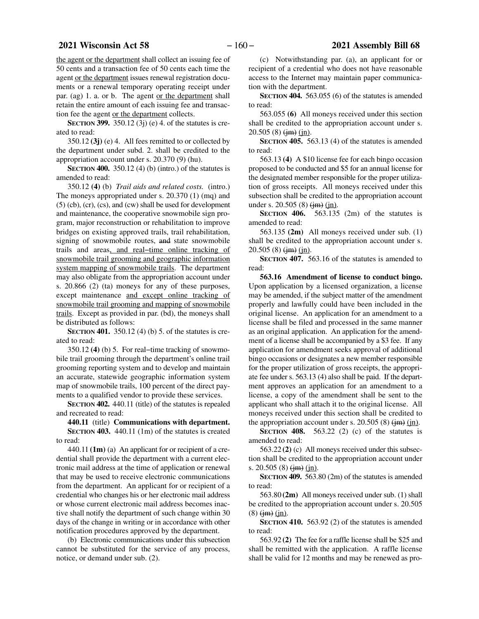the agent or the department shall collect an issuing fee of 50 cents and a transaction fee of 50 cents each time the agent or the department issues renewal registration documents or a renewal temporary operating receipt under par. (ag) 1. a. or b. The agent or the department shall retain the entire amount of each issuing fee and transaction fee the agent or the department collects.

**SECTION 399.** 350.12 (3j) (e) 4. of the statutes is created to read:

350.12 **(3j)** (e) 4. All fees remitted to or collected by the department under subd. 2. shall be credited to the appropriation account under s. 20.370 (9) (hu).

**SECTION 400.** 350.12 (4) (b) (intro.) of the statutes is amended to read:

350.12 **(4)** (b) *Trail aids and related costs.* (intro.) The moneys appropriated under s. 20.370 (1) (mq) and (5) (cb), (cr), (cs), and (cw) shall be used for development and maintenance, the cooperative snowmobile sign program, major reconstruction or rehabilitation to improve bridges on existing approved trails, trail rehabilitation, signing of snowmobile routes, and state snowmobile trails and areas, and real−time online tracking of snowmobile trail grooming and geographic information system mapping of snowmobile trails. The department may also obligate from the appropriation account under s. 20.866 (2) (ta) moneys for any of these purposes, except maintenance and except online tracking of snowmobile trail grooming and mapping of snowmobile trails. Except as provided in par. (bd), the moneys shall be distributed as follows:

**SECTION 401.** 350.12 (4) (b) 5. of the statutes is created to read:

350.12 **(4)** (b) 5. For real−time tracking of snowmobile trail grooming through the department's online trail grooming reporting system and to develop and maintain an accurate, statewide geographic information system map of snowmobile trails, 100 percent of the direct payments to a qualified vendor to provide these services.

**SECTION 402.** 440.11 (title) of the statutes is repealed and recreated to read:

**440.11** (title) **Communications with department.**

**SECTION 403.** 440.11 (1m) of the statutes is created to read:

440.11 **(1m)** (a) An applicant for or recipient of a credential shall provide the department with a current electronic mail address at the time of application or renewal that may be used to receive electronic communications from the department. An applicant for or recipient of a credential who changes his or her electronic mail address or whose current electronic mail address becomes inactive shall notify the department of such change within 30 days of the change in writing or in accordance with other notification procedures approved by the department.

(b) Electronic communications under this subsection cannot be substituted for the service of any process, notice, or demand under sub. (2).

(c) Notwithstanding par. (a), an applicant for or recipient of a credential who does not have reasonable access to the Internet may maintain paper communication with the department.

**SECTION 404.** 563.055 (6) of the statutes is amended to read:

563.055 **(6)** All moneys received under this section shall be credited to the appropriation account under s.  $20.505(8)$  (im) (in).

**SECTION 405.** 563.13 (4) of the statutes is amended to read:

563.13 **(4)** A \$10 license fee for each bingo occasion proposed to be conducted and \$5 for an annual license for the designated member responsible for the proper utilization of gross receipts. All moneys received under this subsection shall be credited to the appropriation account under s. 20.505 (8)  $\frac{\text{Im}}{\text{Im}} \frac{\text{Im}}{\text{Im}}$ .

**SECTION 406.** 563.135 (2m) of the statutes is amended to read:

563.135 **(2m)** All moneys received under sub. (1) shall be credited to the appropriation account under s.  $20.505(8)$  (im) (in).

**SECTION 407.** 563.16 of the statutes is amended to read:

**563.16 Amendment of license to conduct bingo.** Upon application by a licensed organization, a license may be amended, if the subject matter of the amendment properly and lawfully could have been included in the original license. An application for an amendment to a license shall be filed and processed in the same manner as an original application. An application for the amendment of a license shall be accompanied by a \$3 fee. If any application for amendment seeks approval of additional bingo occasions or designates a new member responsible for the proper utilization of gross receipts, the appropriate fee under s. 563.13 (4) also shall be paid. If the department approves an application for an amendment to a license, a copy of the amendment shall be sent to the applicant who shall attach it to the original license. All moneys received under this section shall be credited to the appropriation account under s. 20.505 (8)  $\text{(im)}$  (in).

**SECTION 408.** 563.22 (2) (c) of the statutes is amended to read:

563.22 **(2)** (c) All moneys received under this subsection shall be credited to the appropriation account under s. 20.505 (8)  $\frac{\text{im}}{\text{im}}$  (in).

**SECTION 409.** 563.80 (2m) of the statutes is amended to read:

563.80 **(2m)** All moneys received under sub. (1) shall be credited to the appropriation account under s. 20.505  $(8)$  (im) (in).

**SECTION 410.** 563.92 (2) of the statutes is amended to read:

563.92 **(2)** The fee for a raffle license shall be \$25 and shall be remitted with the application. A raffle license shall be valid for 12 months and may be renewed as pro-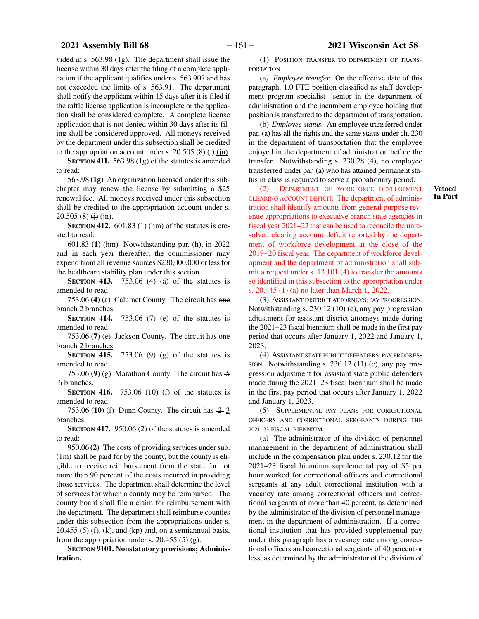<span id="page-160-0"></span>vided in s. 563.98 (1g). The department shall issue the license within 30 days after the filing of a complete application if the applicant qualifies under s. 563.907 and has not exceeded the limits of s. 563.91. The department shall notify the applicant within 15 days after it is filed if the raffle license application is incomplete or the application shall be considered complete. A complete license application that is not denied within 30 days after its filing shall be considered approved. All moneys received by the department under this subsection shall be credited to the appropriation account under s. 20.505 (8)  $\leftrightarrow$  (jn).

**SECTION 411.** 563.98 (1g) of the statutes is amended to read:

563.98 **(1g)** An organization licensed under this subchapter may renew the license by submitting a \$25 renewal fee. All moneys received under this subsection shall be credited to the appropriation account under s.  $20.505(8)$  (i) (in).

**SECTION 412.** 601.83 (1) (hm) of the statutes is created to read:

601.83 **(1)** (hm) Notwithstanding par. (h), in 2022 and in each year thereafter, the commissioner may expend from all revenue sources \$230,000,000 or less for the healthcare stability plan under this section.

**SECTION 413.** 753.06 (4) (a) of the statutes is amended to read:

753.06 **(4)** (a) Calumet County. The circuit has one branch 2 branches.

**SECTION 414.** 753.06 (7) (e) of the statutes is amended to read:

753.06 **(7)** (e) Jackson County. The circuit has one branch 2 branches.

**SECTION 415.** 753.06 (9) (g) of the statutes is amended to read:

753.06 (9) (g) Marathon County. The circuit has  $\frac{5}{9}$ 6 branches.

**SECTION 416.** 753.06 (10) (f) of the statutes is amended to read:

753.06 (10) (f) Dunn County. The circuit has  $\frac{2}{3}$ branches.

**SECTION 417.** 950.06 (2) of the statutes is amended to read:

950.06 **(2)** The costs of providing services under sub. (1m) shall be paid for by the county, but the county is eligible to receive reimbursement from the state for not more than 90 percent of the costs incurred in providing those services. The department shall determine the level of services for which a county may be reimbursed. The county board shall file a claim for reimbursement with the department. The department shall reimburse counties under this subsection from the appropriations under s. 20.455 (5) (f), (k), and (kp) and, on a semiannual basis, from the appropriation under s.  $20.455(5)(g)$ .

SECTION 9101. Nonstatutory provisions; Adminis**tration.**

(1) POSITION TRANSFER TO DEPARTMENT OF TRANS-PORTATION.

(a*) Employee transfer.* On the effective date of this paragraph, 1.0 FTE position classified as staff development program specialist—senior in the department of administration and the incumbent employee holding that position is transferred to the department of transportation.

(b) *Employee status.* An employee transferred under par. (a) has all the rights and the same status under ch. 230 in the department of transportation that the employee enjoyed in the department of administration before the transfer. Notwithstanding s. 230.28 (4), no employee transferred under par. (a) who has attained permanent status in class is required to serve a probationary period.

(2) DEPARTMENT OF WORKFORCE DEVELOPMENT CLEARING ACCOUNT DEFICIT. The department of administration shall identify amounts from general purpose revenue appropriations to executive branch state agencies in fiscal year 2021−22 that can be used to reconcile the unresolved clearing account deficit reported by the department of workforce development at the close of the 2019−20 fiscal year. The department of workforce development and the department of administration shall submit a request under s. 13.101 (4) to transfer the amounts so identified in this subsection to the appropriation under s. 20.445 (1) (a) no later than March 1, 2022.

(3) ASSISTANT DISTRICT ATTORNEYS; PAY PROGRESSION. Notwithstanding s. 230.12 (10) (c), any pay progression adjustment for assistant district attorneys made during the 2021−23 fiscal biennium shall be made in the first pay period that occurs after January 1, 2022 and January 1, 2023.

(4) ASSISTANT STATE PUBLIC DEFENDERS; PAY PROGRES-SION. Notwithstanding s. 230.12 (11) (c), any pay progression adjustment for assistant state public defenders made during the 2021−23 fiscal biennium shall be made in the first pay period that occurs after January 1, 2022 and January 1, 2023.

(5) SUPPLEMENTAL PAY PLANS FOR CORRECTIONAL OFFICERS AND CORRECTIONAL SERGEANTS DURING THE 2021−23 FISCAL BIENNIUM.

(a) The administrator of the division of personnel management in the department of administration shall include in the compensation plan under s. 230.12 for the 2021−23 fiscal biennium supplemental pay of \$5 per hour worked for correctional officers and correctional sergeants at any adult correctional institution with a vacancy rate among correctional officers and correctional sergeants of more than 40 percent, as determined by the administrator of the division of personnel management in the department of administration. If a correctional institution that has provided supplemental pay under this paragraph has a vacancy rate among correctional officers and correctional sergeants of 40 percent or less, as determined by the administrator of the division of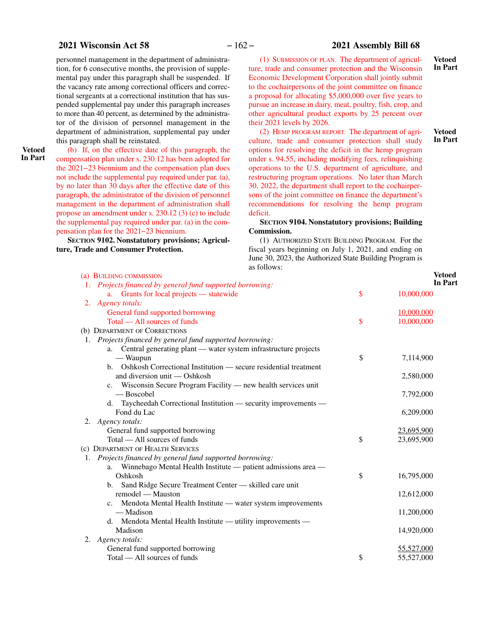### <span id="page-161-0"></span>**2021 Wisconsin Act 58** − 162 − **2021 Assembly Bill 68**

personnel management in the department of administration, for 6 consecutive months, the provision of supplemental pay under this paragraph shall be suspended. If the vacancy rate among correctional officers and correctional sergeants at a correctional institution that has suspended supplemental pay under this paragraph increases to more than 40 percent, as determined by the administrator of the division of personnel management in the department of administration, supplemental pay under this paragraph shall be reinstated.

**Vetoed In Part**

(b) If, on the effective date of this paragraph, the compensation plan under s. 230.12 has been adopted for the 2021−23 biennium and the compensation plan does not include the supplemental pay required under par. ([a](#page-160-0)), by no later than 30 days after the effective date of this paragraph, the administrator of the division of personnel management in the department of administration shall propose an amendment under s. 230.12 (3) (c) to include the supplemental pay required under par. [\(a\)](#page-160-0) in the compensation plan for the 2021−23 biennium.

**SECTION 9102. Nonstatutory provisions; Agriculture, Trade and Consumer Protection.**

(1) SUBMISSION OF PLAN. The department of agriculture, trade and consumer protection and the Wisconsin Economic Development Corporation shall jointly submit to the cochairpersons of the joint committee on finance a proposal for allocating \$5,000,000 over five years to pursue an increase in dairy, meat, poultry, fish, crop, and other agricultural product exports by 25 percent over their 2021 levels by 2026.

(2) HEMP PROGRAM REPORT. The department of agriculture, trade and consumer protection shall study options for resolving the deficit in the hemp program under s. 94.55, including modifying fees, relinquishing operations to the U.S. department of agriculture, and restructuring program operations. No later than March 30, 2022, the department shall report to the cochairpersons of the joint committee on finance the department's recommendations for resolving the hemp program deficit.

#### **SECTION** 9104. Nonstatutory provisions; Building **Commission.**

(1) AUTHORIZED STATE BUILDING PROGRAM. For the fiscal years beginning on July 1, 2021, and ending on June 30, 2023, the Authorized State Building Program is as follows:

| (a) BUILDING COMMISSION                                            |               | V          |
|--------------------------------------------------------------------|---------------|------------|
| 1. Projects financed by general fund supported borrowing:          |               | In         |
| a. Grants for local projects — statewide                           | $\mathsf{\$}$ | 10,000,000 |
| 2. Agency totals:                                                  |               |            |
| General fund supported borrowing                                   |               | 10,000,000 |
| Total — All sources of funds                                       | \$            | 10,000,000 |
| (b) DEPARTMENT OF CORRECTIONS                                      |               |            |
| 1. Projects financed by general fund supported borrowing:          |               |            |
| a. Central generating plant - water system infrastructure projects |               |            |
| — Waupun                                                           | \$            | 7,114,900  |
| b. Oshkosh Correctional Institution — secure residential treatment |               |            |
| and diversion unit — Oshkosh                                       |               | 2,580,000  |
| c. Wisconsin Secure Program Facility — new health services unit    |               |            |
| — Boscobel                                                         |               | 7,792,000  |
| d. Taycheedah Correctional Institution — security improvements —   |               |            |
| Fond du Lac                                                        |               | 6,209,000  |
| Agency totals:<br>2.                                               |               |            |
| General fund supported borrowing                                   |               | 23,695,900 |
| Total — All sources of funds                                       | \$            | 23,695,900 |
| (c) DEPARTMENT OF HEALTH SERVICES                                  |               |            |
| Projects financed by general fund supported borrowing:             |               |            |
| a. Winnebago Mental Health Institute — patient admissions area —   |               |            |
| Oshkosh                                                            | \$            | 16,795,000 |
| Sand Ridge Secure Treatment Center - skilled care unit<br>b.       |               |            |
| remodel - Mauston                                                  |               | 12,612,000 |
| c. Mendota Mental Health Institute — water system improvements     |               |            |
| — Madison                                                          |               | 11,200,000 |
| d. Mendota Mental Health Institute — utility improvements —        |               |            |
| Madison                                                            |               | 14,920,000 |
| 2. Agency totals:                                                  |               |            |
| General fund supported borrowing                                   |               | 55,527,000 |
| Total — All sources of funds                                       | \$            | 55,527,000 |

**Vetoed In Part**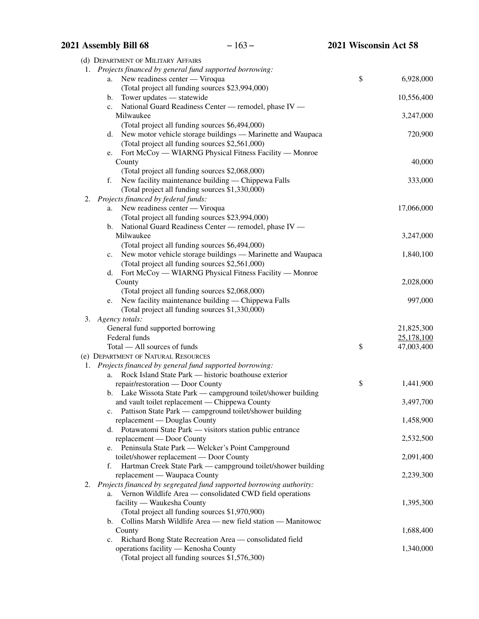|    | 2021 Assembly Bill 68               | $-163-$                                                                | 2021 Wisconsin Act 58 |            |
|----|-------------------------------------|------------------------------------------------------------------------|-----------------------|------------|
|    | (d) DEPARTMENT OF MILITARY AFFAIRS  |                                                                        |                       |            |
|    |                                     | 1. Projects financed by general fund supported borrowing:              |                       |            |
|    | a.                                  | New readiness center — Viroqua                                         | \$                    | 6,928,000  |
|    |                                     | (Total project all funding sources \$23,994,000)                       |                       |            |
|    | Tower updates - statewide<br>b.     |                                                                        |                       | 10,556,400 |
|    | c.                                  | National Guard Readiness Center - remodel, phase IV -                  |                       |            |
|    | Milwaukee                           |                                                                        |                       | 3,247,000  |
|    |                                     | (Total project all funding sources \$6,494,000)                        |                       |            |
|    |                                     | d. New motor vehicle storage buildings - Marinette and Waupaca         |                       | 720,900    |
|    |                                     | (Total project all funding sources \$2,561,000)                        |                       |            |
|    | e.                                  | Fort McCoy — WIARNG Physical Fitness Facility — Monroe                 |                       |            |
|    | County                              |                                                                        |                       | 40,000     |
|    |                                     | (Total project all funding sources \$2,068,000)                        |                       |            |
|    | f.                                  | New facility maintenance building — Chippewa Falls                     |                       | 333,000    |
|    |                                     | (Total project all funding sources \$1,330,000)                        |                       |            |
| 2. | Projects financed by federal funds: |                                                                        |                       |            |
|    | a.                                  | New readiness center - Viroqua                                         |                       | 17,066,000 |
|    |                                     | (Total project all funding sources \$23,994,000)                       |                       |            |
|    | $\mathbf{b}$ .<br>Milwaukee         | National Guard Readiness Center - remodel, phase IV -                  |                       | 3,247,000  |
|    |                                     | (Total project all funding sources \$6,494,000)                        |                       |            |
|    | c.                                  | New motor vehicle storage buildings — Marinette and Waupaca            |                       | 1,840,100  |
|    |                                     | (Total project all funding sources \$2,561,000)                        |                       |            |
|    |                                     | d. Fort McCoy - WIARNG Physical Fitness Facility - Monroe              |                       |            |
|    | County                              |                                                                        |                       | 2,028,000  |
|    |                                     | (Total project all funding sources \$2,068,000)                        |                       |            |
|    | e.                                  | New facility maintenance building — Chippewa Falls                     |                       | 997,000    |
|    |                                     | (Total project all funding sources \$1,330,000)                        |                       |            |
|    | 3. Agency totals:                   |                                                                        |                       |            |
|    | General fund supported borrowing    |                                                                        |                       | 21,825,300 |
|    | Federal funds                       |                                                                        |                       | 25,178,100 |
|    | Total — All sources of funds        |                                                                        | \$                    | 47,003,400 |
|    | (e) DEPARTMENT OF NATURAL RESOURCES |                                                                        |                       |            |
|    |                                     | 1. Projects financed by general fund supported borrowing:              |                       |            |
|    | a.                                  | Rock Island State Park — historic boathouse exterior                   |                       |            |
|    | repair/restoration — Door County    |                                                                        | \$                    | 1,441,900  |
|    |                                     | b. Lake Wissota State Park — campground toilet/shower building         |                       |            |
|    |                                     | and vault toilet replacement - Chippewa County                         |                       | 3,497,700  |
|    |                                     | c. Pattison State Park — campground toilet/shower building             |                       |            |
|    | replacement - Douglas County        | d. Potawatomi State Park — visitors station public entrance            |                       | 1,458,900  |
|    | replacement - Door County           |                                                                        |                       | 2,532,500  |
|    |                                     | e. Peninsula State Park — Welcker's Point Campground                   |                       |            |
|    |                                     | toilet/shower replacement - Door County                                |                       | 2,091,400  |
|    | f.                                  | Hartman Creek State Park — campground toilet/shower building           |                       |            |
|    | replacement — Waupaca County        |                                                                        |                       | 2,239,300  |
|    |                                     | 2. Projects financed by segregated fund supported borrowing authority: |                       |            |
|    | a.                                  | Vernon Wildlife Area — consolidated CWD field operations               |                       |            |
|    | facility — Waukesha County          |                                                                        |                       | 1,395,300  |
|    |                                     | (Total project all funding sources \$1,970,900)                        |                       |            |
|    |                                     | b. Collins Marsh Wildlife Area — new field station — Manitowoc         |                       |            |
|    | County                              |                                                                        |                       | 1,688,400  |
|    |                                     | c. Richard Bong State Recreation Area — consolidated field             |                       |            |
|    |                                     | operations facility - Kenosha County                                   |                       | 1,340,000  |
|    |                                     | (Total project all funding sources \$1,576,300)                        |                       |            |
|    |                                     |                                                                        |                       |            |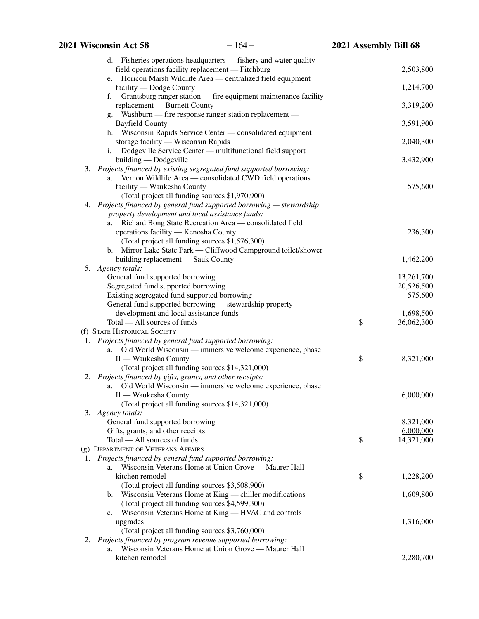| d. Fisheries operations headquarters — fishery and water quality       |                  |
|------------------------------------------------------------------------|------------------|
| field operations facility replacement - Fitchburg                      | 2,503,800        |
| e. Horicon Marsh Wildlife Area — centralized field equipment           |                  |
| facility — Dodge County                                                | 1,214,700        |
| Grantsburg ranger station — fire equipment maintenance facility<br>f.  |                  |
| replacement - Burnett County                                           | 3,319,200        |
| Washburn - fire response ranger station replacement -<br>g.            |                  |
| <b>Bayfield County</b>                                                 | 3,591,900        |
| Wisconsin Rapids Service Center — consolidated equipment<br>h.         |                  |
| storage facility — Wisconsin Rapids                                    | 2,040,300        |
| Dodgeville Service Center — multifunctional field support<br>i.        |                  |
| building — Dodgeville                                                  | 3,432,900        |
| 3. Projects financed by existing segregated fund supported borrowing:  |                  |
| Vernon Wildlife Area — consolidated CWD field operations<br>a.         |                  |
| facility — Waukesha County                                             | 575,600          |
| (Total project all funding sources \$1,970,900)                        |                  |
| 4. Projects financed by general fund supported borrowing - stewardship |                  |
| property development and local assistance funds:                       |                  |
| Richard Bong State Recreation Area - consolidated field<br>a.          |                  |
| operations facility - Kenosha County                                   | 236,300          |
| (Total project all funding sources \$1,576,300)                        |                  |
| Mirror Lake State Park — Cliffwood Campground toilet/shower<br>b.      |                  |
| building replacement - Sauk County                                     | 1,462,200        |
| 5.<br>Agency totals:                                                   |                  |
| General fund supported borrowing                                       | 13,261,700       |
| Segregated fund supported borrowing                                    | 20,526,500       |
| Existing segregated fund supported borrowing                           | 575,600          |
| General fund supported borrowing - stewardship property                |                  |
| development and local assistance funds                                 | 1,698,500        |
| Total — All sources of funds                                           | \$<br>36,062,300 |
| (f) STATE HISTORICAL SOCIETY                                           |                  |
| 1. Projects financed by general fund supported borrowing:              |                  |
| Old World Wisconsin — immersive welcome experience, phase<br>a.        |                  |
| II — Waukesha County                                                   | \$<br>8,321,000  |
| (Total project all funding sources \$14,321,000)                       |                  |
| 2. Projects financed by gifts, grants, and other receipts:             |                  |
| Old World Wisconsin — immersive welcome experience, phase<br>a.        |                  |
| II - Waukesha County                                                   | 6,000,000        |
| (Total project all funding sources \$14,321,000)                       |                  |
| 3.<br>Agency totals:                                                   |                  |
| General fund supported borrowing                                       | 8,321,000        |
| Gifts, grants, and other receipts                                      | 6,000,000        |
| Total — All sources of funds                                           | \$<br>14,321,000 |
| (g) DEPARTMENT OF VETERANS AFFAIRS                                     |                  |
| 1. Projects financed by general fund supported borrowing:              |                  |
| Wisconsin Veterans Home at Union Grove - Maurer Hall<br>a.             |                  |
| kitchen remodel                                                        | \$<br>1,228,200  |
| (Total project all funding sources \$3,508,900)                        |                  |
| Wisconsin Veterans Home at King — chiller modifications<br>b.          | 1,609,800        |
| (Total project all funding sources \$4,599,300)                        |                  |
| Wisconsin Veterans Home at King — HVAC and controls<br>c.              |                  |
| upgrades                                                               | 1,316,000        |
| (Total project all funding sources \$3,760,000)                        |                  |
| 2. Projects financed by program revenue supported borrowing:           |                  |
| Wisconsin Veterans Home at Union Grove - Maurer Hall<br>a.             |                  |
| kitchen remodel                                                        | 2,280,700        |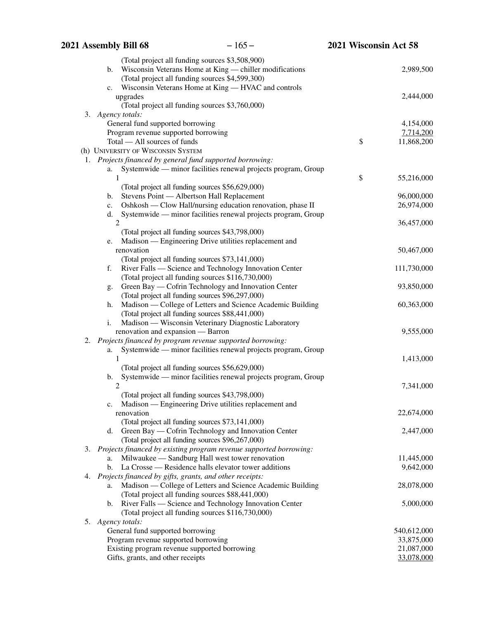| (Total project all funding sources \$3,508,900)<br>Wisconsin Veterans Home at King — chiller modifications<br>b. | 2,989,500        |
|------------------------------------------------------------------------------------------------------------------|------------------|
| (Total project all funding sources \$4,599,300)                                                                  |                  |
| Wisconsin Veterans Home at King — HVAC and controls<br>c.                                                        |                  |
| upgrades                                                                                                         | 2,444,000        |
| (Total project all funding sources \$3,760,000)                                                                  |                  |
| Agency totals:<br>3.                                                                                             |                  |
| General fund supported borrowing                                                                                 | 4,154,000        |
| Program revenue supported borrowing                                                                              | 7,714,200        |
| Total - All sources of funds                                                                                     | \$<br>11,868,200 |
| (h) UNIVERSITY OF WISCONSIN SYSTEM                                                                               |                  |
| 1. Projects financed by general fund supported borrowing:                                                        |                  |
| Systemwide — minor facilities renewal projects program, Group<br>а.                                              |                  |
| 1                                                                                                                | \$<br>55,216,000 |
| (Total project all funding sources \$56,629,000)                                                                 |                  |
| Stevens Point - Albertson Hall Replacement<br>b.                                                                 | 96,000,000       |
| Oshkosh — Clow Hall/nursing education renovation, phase II<br>c.                                                 | 26,974,000       |
| Systemwide - minor facilities renewal projects program, Group<br>d.                                              |                  |
| $\overline{2}$                                                                                                   | 36,457,000       |
| (Total project all funding sources \$43,798,000)                                                                 |                  |
| Madison — Engineering Drive utilities replacement and<br>e.                                                      |                  |
| renovation                                                                                                       | 50,467,000       |
| (Total project all funding sources \$73,141,000)                                                                 |                  |
| River Falls — Science and Technology Innovation Center<br>f.                                                     | 111,730,000      |
| (Total project all funding sources \$116,730,000)                                                                |                  |
| Green Bay — Cofrin Technology and Innovation Center<br>g.                                                        | 93,850,000       |
| (Total project all funding sources \$96,297,000)                                                                 |                  |
| Madison — College of Letters and Science Academic Building<br>h.                                                 | 60,363,000       |
| (Total project all funding sources \$88,441,000)                                                                 |                  |
| Madison — Wisconsin Veterinary Diagnostic Laboratory<br>i.                                                       |                  |
| renovation and expansion — Barron                                                                                | 9,555,000        |
| Projects financed by program revenue supported borrowing:<br>2.                                                  |                  |
| Systemwide — minor facilities renewal projects program, Group<br>а.                                              |                  |
| 1                                                                                                                | 1,413,000        |
| (Total project all funding sources \$56,629,000)                                                                 |                  |
| Systemwide — minor facilities renewal projects program, Group<br>b.                                              |                  |
| $\overline{2}$                                                                                                   | 7,341,000        |
| (Total project all funding sources \$43,798,000)                                                                 |                  |
| c. Madison — Engineering Drive utilities replacement and                                                         |                  |
| renovation                                                                                                       | 22,674,000       |
| (Total project all funding sources \$73,141,000)                                                                 |                  |
| Green Bay — Cofrin Technology and Innovation Center<br>d.                                                        | 2,447,000        |
| (Total project all funding sources \$96,267,000)                                                                 |                  |
| Projects financed by existing program revenue supported borrowing:<br>3.                                         |                  |
| Milwaukee — Sandburg Hall west tower renovation<br>a.                                                            | 11,445,000       |
| La Crosse — Residence halls elevator tower additions<br>b.                                                       | 9,642,000        |
| Projects financed by gifts, grants, and other receipts:<br>4.                                                    |                  |
| Madison — College of Letters and Science Academic Building<br>а.                                                 | 28,078,000       |
| (Total project all funding sources \$88,441,000)                                                                 |                  |
| b. River Falls — Science and Technology Innovation Center                                                        | 5,000,000        |
| (Total project all funding sources \$116,730,000)                                                                |                  |
| 5.<br>Agency totals:                                                                                             |                  |
| General fund supported borrowing                                                                                 | 540,612,000      |
| Program revenue supported borrowing                                                                              | 33,875,000       |
| Existing program revenue supported borrowing                                                                     | 21,087,000       |
| Gifts, grants, and other receipts                                                                                | 33,078,000       |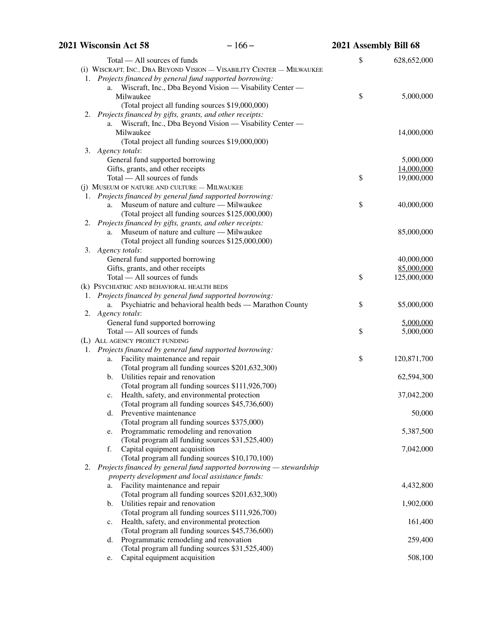|    | $-166-$<br>2021 Wisconsin Act 58                                                                       | 2021 Assembly Bill 68 |             |
|----|--------------------------------------------------------------------------------------------------------|-----------------------|-------------|
|    | Total — All sources of funds                                                                           | \$                    | 628,652,000 |
|    | (i) WISCRAFT, INC., DBA BEYOND VISION - VISABILITY CENTER - MILWAUKEE                                  |                       |             |
|    | 1. Projects financed by general fund supported borrowing:                                              |                       |             |
|    | a. Wiscraft, Inc., Dba Beyond Vision - Visability Center -                                             |                       |             |
|    | Milwaukee                                                                                              | \$                    | 5,000,000   |
|    | (Total project all funding sources \$19,000,000)                                                       |                       |             |
|    | 2. Projects financed by gifts, grants, and other receipts:                                             |                       |             |
|    | Wiscraft, Inc., Dba Beyond Vision — Visability Center —<br>a.                                          |                       |             |
|    | Milwaukee                                                                                              |                       | 14,000,000  |
|    | (Total project all funding sources \$19,000,000)                                                       |                       |             |
|    | 3. Agency totals:                                                                                      |                       |             |
|    | General fund supported borrowing                                                                       |                       | 5,000,000   |
|    | Gifts, grants, and other receipts                                                                      |                       | 14,000,000  |
|    | Total — All sources of funds                                                                           | \$                    | 19,000,000  |
|    | (j) MUSEUM OF NATURE AND CULTURE - MILWAUKEE                                                           |                       |             |
|    | 1. Projects financed by general fund supported borrowing:                                              |                       |             |
|    | Museum of nature and culture - Milwaukee<br>a.                                                         | \$                    | 40,000,000  |
|    | (Total project all funding sources \$125,000,000)                                                      |                       |             |
|    | 2. Projects financed by gifts, grants, and other receipts:<br>Museum of nature and culture — Milwaukee |                       | 85,000,000  |
|    | a.                                                                                                     |                       |             |
|    | (Total project all funding sources \$125,000,000)                                                      |                       |             |
|    | 3. Agency totals:<br>General fund supported borrowing                                                  |                       | 40,000,000  |
|    | Gifts, grants, and other receipts                                                                      |                       | 85,000,000  |
|    | Total — All sources of funds                                                                           | \$                    | 125,000,000 |
|    | (k) PSYCHIATRIC AND BEHAVIORAL HEALTH BEDS                                                             |                       |             |
|    | 1. Projects financed by general fund supported borrowing:                                              |                       |             |
|    | Psychiatric and behavioral health beds — Marathon County<br>a.                                         | \$                    | \$5,000,000 |
|    | 2. Agency totals:                                                                                      |                       |             |
|    | General fund supported borrowing                                                                       |                       | 5,000,000   |
|    | Total — All sources of funds                                                                           | \$                    | 5,000,000   |
|    | (L) ALL AGENCY PROJECT FUNDING                                                                         |                       |             |
|    | 1. Projects financed by general fund supported borrowing:                                              |                       |             |
|    | Facility maintenance and repair<br>a.                                                                  | \$                    | 120,871,700 |
|    | (Total program all funding sources \$201,632,300)                                                      |                       |             |
|    | Utilities repair and renovation<br>b.                                                                  |                       | 62,594,300  |
|    | (Total program all funding sources \$111,926,700)                                                      |                       |             |
|    | Health, safety, and environmental protection<br>c.                                                     |                       | 37,042,200  |
|    | (Total program all funding sources \$45,736,600)                                                       |                       |             |
|    | Preventive maintenance<br>d.                                                                           |                       | 50,000      |
|    | (Total program all funding sources \$375,000)                                                          |                       |             |
|    | Programmatic remodeling and renovation<br>e.                                                           |                       | 5,387,500   |
|    | (Total program all funding sources \$31,525,400)                                                       |                       |             |
|    | Capital equipment acquisition<br>f.                                                                    |                       | 7,042,000   |
|    | (Total program all funding sources \$10,170,100)                                                       |                       |             |
| 2. | Projects financed by general fund supported borrowing — stewardship                                    |                       |             |
|    | property development and local assistance funds:                                                       |                       |             |
|    | Facility maintenance and repair<br>a.                                                                  |                       | 4,432,800   |
|    | (Total program all funding sources \$201,632,300)                                                      |                       |             |
|    | Utilities repair and renovation<br>b.                                                                  |                       | 1,902,000   |
|    | (Total program all funding sources \$111,926,700)                                                      |                       |             |
|    | Health, safety, and environmental protection<br>c.                                                     |                       | 161,400     |
|    | (Total program all funding sources \$45,736,600)<br>Programmatic remodeling and renovation             |                       |             |
|    | d.<br>(Total program all funding sources \$31,525,400)                                                 |                       | 259,400     |
|    | Capital equipment acquisition                                                                          |                       |             |
|    | e.                                                                                                     |                       | 508,100     |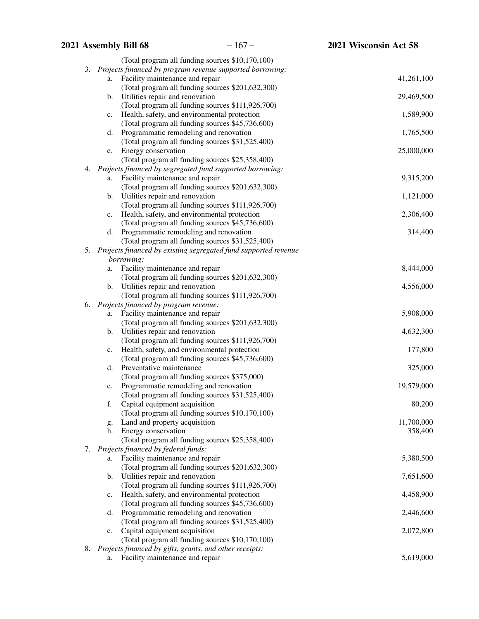# **2021 Assembly Bill 68** − 167 − **2021 Wisconsin Act 58** (Total program all funding sources \$10,170,100) 3. *Projects financed by program revenue supported borrowing:* a. Facility maintenance and repair 41,261,100 (Total program all funding sources \$201,632,300) b. Utilities repair and renovation 29,469,500 (Total program all funding sources \$111,926,700) c. Health, safety, and environmental protection 1,589,900 (Total program all funding sources \$45,736,600) d. Programmatic remodeling and renovation 1,765,500 (Total program all funding sources \$31,525,400) e. Energy conservation 25,000,000 (Total program all funding sources \$25,358,400) 4. *Projects financed by segregated fund supported borrowing:* a. Facility maintenance and repair 9,315,200 (Total program all funding sources \$201,632,300) b. Utilities repair and renovation 1,121,000 (Total program all funding sources \$111,926,700) c. Health, safety, and environmental protection 2,306,400 (Total program all funding sources \$45,736,600) d. Programmatic remodeling and renovation 314,400 (Total program all funding sources \$31,525,400) 5. *Projects financed by existing segregated fund supported revenue borrowing:* a. Facility maintenance and repair 8,444,000 (Total program all funding sources \$201,632,300) b. Utilities repair and renovation  $4,556,000$ (Total program all funding sources \$111,926,700) 6. *Projects financed by program revenue:* a. Facility maintenance and repair 5,908,000 (Total program all funding sources \$201,632,300) b. Utilities repair and renovation 4,632,300 (Total program all funding sources \$111,926,700) c. Health, safety, and environmental protection 177,800 (Total program all funding sources \$45,736,600) d. Preventative maintenance 325,000 (Total program all funding sources \$375,000) e. Programmatic remodeling and renovation 19,579,000 (Total program all funding sources \$31,525,400) f. Capital equipment acquisition 80,200 (Total program all funding sources \$10,170,100) g. Land and property acquisition 11,700,000 h. Energy conservation 358,400 (Total program all funding sources \$25,358,400) 7. *Projects financed by federal funds:* a. Facility maintenance and repair 5,380,500 (Total program all funding sources \$201,632,300) b. Utilities repair and renovation  $7,651,600$ (Total program all funding sources \$111,926,700) c. Health, safety, and environmental protection 4,458,900 (Total program all funding sources \$45,736,600) d. Programmatic remodeling and renovation 2,446,600 (Total program all funding sources \$31,525,400) e. Capital equipment acquisition 2,072,800 (Total program all funding sources \$10,170,100) 8. *Projects financed by gifts, grants, and other receipts:* a. Facility maintenance and repair 5,619,000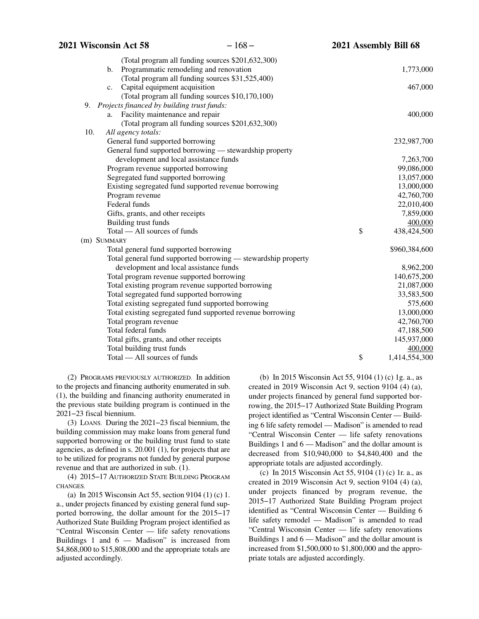| 2021 Wisconsin Act 58                                                      | $-168-$                                                                             | 2021 Assembly Bill 68 |                          |
|----------------------------------------------------------------------------|-------------------------------------------------------------------------------------|-----------------------|--------------------------|
|                                                                            | (Total program all funding sources \$201,632,300)                                   |                       |                          |
| $\mathbf{b}$ .                                                             | Programmatic remodeling and renovation                                              |                       | 1,773,000                |
| Capital equipment acquisition<br>c.                                        | (Total program all funding sources \$31,525,400)                                    |                       | 467,000                  |
|                                                                            | (Total program all funding sources \$10,170,100)                                    |                       |                          |
| Projects financed by building trust funds:<br>9.                           |                                                                                     |                       |                          |
| a. Facility maintenance and repair                                         |                                                                                     |                       | 400,000                  |
|                                                                            | (Total program all funding sources \$201,632,300)                                   |                       |                          |
| 10.<br>All agency totals:                                                  |                                                                                     |                       |                          |
| General fund supported borrowing                                           |                                                                                     |                       | 232,987,700              |
|                                                                            | General fund supported borrowing — stewardship property                             |                       |                          |
|                                                                            | development and local assistance funds                                              |                       | 7,263,700                |
| Program revenue supported borrowing<br>Segregated fund supported borrowing |                                                                                     |                       | 99,086,000<br>13,057,000 |
|                                                                            | Existing segregated fund supported revenue borrowing                                |                       | 13,000,000               |
| Program revenue                                                            |                                                                                     |                       | 42,760,700               |
| Federal funds                                                              |                                                                                     |                       | 22,010,400               |
| Gifts, grants, and other receipts                                          |                                                                                     |                       | 7,859,000                |
| Building trust funds                                                       |                                                                                     |                       | 400,000                  |
| Total — All sources of funds                                               |                                                                                     | \$                    | 438,424,500              |
| (m) SUMMARY                                                                |                                                                                     |                       |                          |
|                                                                            | Total general fund supported borrowing                                              |                       | \$960,384,600            |
|                                                                            | Total general fund supported borrowing — stewardship property                       |                       |                          |
|                                                                            | development and local assistance funds<br>Total program revenue supported borrowing |                       | 8,962,200<br>140,675,200 |
|                                                                            | Total existing program revenue supported borrowing                                  |                       | 21,087,000               |
|                                                                            | Total segregated fund supported borrowing                                           |                       | 33,583,500               |
|                                                                            | Total existing segregated fund supported borrowing                                  |                       | 575,600                  |
|                                                                            | Total existing segregated fund supported revenue borrowing                          |                       | 13,000,000               |
| Total program revenue                                                      |                                                                                     |                       | 42,760,700               |
| Total federal funds                                                        |                                                                                     |                       | 47,188,500               |
| Total gifts, grants, and other receipts                                    |                                                                                     |                       | 145,937,000              |
| Total building trust funds                                                 |                                                                                     |                       | 400,000                  |
| Total — All sources of funds                                               |                                                                                     | \$                    | 1,414,554,300            |
|                                                                            |                                                                                     |                       |                          |

(2) PROGRAMS PREVIOUSLY AUTHORIZED. In addition to the projects and financing authority enumerated in sub. [\(1](#page-161-0)), the building and financing authority enumerated in the previous state building program is continued in the 2021−23 fiscal biennium.

(3) LOANS. During the 2021−23 fiscal biennium, the building commission may make loans from general fund supported borrowing or the building trust fund to state agencies, as defined in s. 20.001 (1), for projects that are to be utilized for programs not funded by general purpose revenue and that are authorized in sub. [\(1](#page-161-0)).

(4) 2015−17 AUTHORIZED STATE BUILDING PROGRAM CHANGES.

(a) In 2015 Wisconsin Act 55, section 9104 (1) (c) 1. a., under projects financed by existing general fund supported borrowing, the dollar amount for the 2015−17 Authorized State Building Program project identified as "Central Wisconsin Center — life safety renovations Buildings 1 and 6 — Madison" is increased from \$4,868,000 to \$15,808,000 and the appropriate totals are adjusted accordingly.

(b) In 2015 Wisconsin Act 55, 9104 (1) (c) 1g. a., as created in 2019 Wisconsin Act 9, section 9104 (4) (a), under projects financed by general fund supported borrowing, the 2015−17 Authorized State Building Program project identified as "Central Wisconsin Center — Building 6 life safety remodel — Madison" is amended to read "Central Wisconsin Center — life safety renovations Buildings 1 and 6 — Madison" and the dollar amount is decreased from \$10,940,000 to \$4,840,400 and the appropriate totals are adjusted accordingly.

(c) In 2015 Wisconsin Act 55, 9104 (1) (c) 1r. a., as created in 2019 Wisconsin Act 9, section 9104 (4) (a), under projects financed by program revenue, the 2015−17 Authorized State Building Program project identified as "Central Wisconsin Center — Building 6 life safety remodel — Madison" is amended to read "Central Wisconsin Center — life safety renovations Buildings 1 and 6 — Madison" and the dollar amount is increased from \$1,500,000 to \$1,800,000 and the appropriate totals are adjusted accordingly.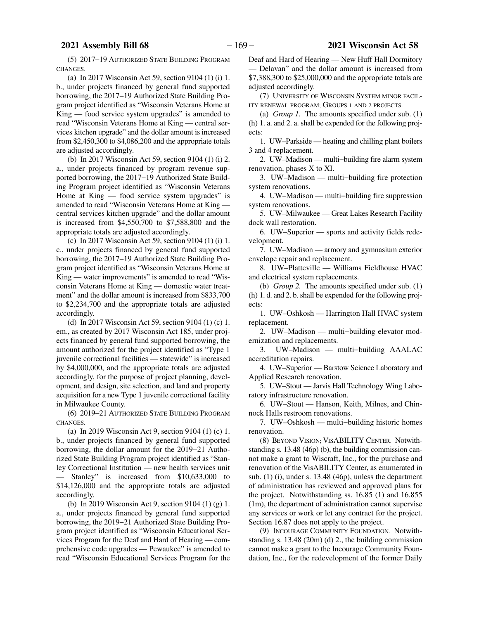(5) 2017−19 AUTHORIZED STATE BUILDING PROGRAM CHANGES.

(a) In 2017 Wisconsin Act 59, section 9104 (1) (i) 1. b., under projects financed by general fund supported borrowing, the 2017−19 Authorized State Building Program project identified as "Wisconsin Veterans Home at King — food service system upgrades" is amended to read "Wisconsin Veterans Home at King — central services kitchen upgrade" and the dollar amount is increased from \$2,450,300 to \$4,086,200 and the appropriate totals are adjusted accordingly.

(b) In 2017 Wisconsin Act 59, section 9104 (1) (i) 2. a., under projects financed by program revenue supported borrowing, the 2017−19 Authorized State Building Program project identified as "Wisconsin Veterans Home at  $King - food$  service system upgrades" is amended to read "Wisconsin Veterans Home at King central services kitchen upgrade" and the dollar amount is increased from \$4,550,700 to \$7,588,800 and the appropriate totals are adjusted accordingly.

(c) In 2017 Wisconsin Act 59, section 9104 (1) (i) 1. c., under projects financed by general fund supported borrowing, the 2017−19 Authorized State Building Program project identified as "Wisconsin Veterans Home at King — water improvements" is amended to read "Wisconsin Veterans Home at King — domestic water treatment" and the dollar amount is increased from \$833,700 to \$2,234,700 and the appropriate totals are adjusted accordingly.

(d) In 2017 Wisconsin Act 59, section 9104 (1) (c) 1. em., as created by 2017 Wisconsin Act 185, under projects financed by general fund supported borrowing, the amount authorized for the project identified as "Type 1 juvenile correctional facilities — statewide" is increased by \$4,000,000, and the appropriate totals are adjusted accordingly, for the purpose of project planning, development, and design, site selection, and land and property acquisition for a new Type 1 juvenile correctional facility in Milwaukee County.

(6) 2019−21 AUTHORIZED STATE BUILDING PROGRAM CHANGES.

(a) In 2019 Wisconsin Act 9, section 9104 (1) (c) 1. b., under projects financed by general fund supported borrowing, the dollar amount for the 2019−21 Authorized State Building Program project identified as "Stanley Correctional Institution — new health services unit Stanley" is increased from \$10,633,000 to \$14,126,000 and the appropriate totals are adjusted accordingly.

(b) In 2019 Wisconsin Act 9, section 9104 (1) (g) 1. a., under projects financed by general fund supported borrowing, the 2019−21 Authorized State Building Program project identified as "Wisconsin Educational Services Program for the Deaf and Hard of Hearing — comprehensive code upgrades — Pewaukee" is amended to read "Wisconsin Educational Services Program for the Deaf and Hard of Hearing — New Huff Hall Dormitory — Delavan" and the dollar amount is increased from \$7,388,300 to \$25,000,000 and the appropriate totals are adjusted accordingly.

(7) UNIVERSITY OF WISCONSIN SYSTEM MINOR FACIL-ITY RENEWAL PROGRAM; GROUPS 1 AND 2 PROJECTS.

(a) *Group 1.* The amounts specified under sub. ([1\)](#page-161-0) (h) 1. a. and 2. a. shall be expended for the following projects:

1. UW–Parkside — heating and chilling plant boilers 3 and 4 replacement.

2. UW–Madison — multi−building fire alarm system renovation, phases X to XI.

3. UW–Madison — multi−building fire protection system renovations.

4. UW–Madison — multi−building fire suppression system renovations.

5. UW–Milwaukee — Great Lakes Research Facility dock wall restoration.

6. UW–Superior — sports and activity fields redevelopment.

7. UW–Madison — armory and gymnasium exterior envelope repair and replacement.

8. UW–Platteville — Williams Fieldhouse HVAC and electrical system replacements.

(b) *Group 2.* The amounts specified under sub. ([1\)](#page-161-0) (h) 1. d. and 2. b. shall be expended for the following projects:

1. UW–Oshkosh — Harrington Hall HVAC system replacement.

2. UW–Madison — multi−building elevator modernization and replacements.

3. UW–Madison — multi−building AAALAC accreditation repairs.

4. UW–Superior — Barstow Science Laboratory and Applied Research renovation.

5. UW–Stout — Jarvis Hall Technology Wing Laboratory infrastructure renovation.

6. UW–Stout — Hanson, Keith, Milnes, and Chinnock Halls restroom renovations.

7. UW–Oshkosh — multi−building historic homes renovation.

(8) BEYOND VISION; VISABILITY CENTER. Notwithstanding s. 13.48 (46p) (b), the building commission cannot make a grant to Wiscraft, Inc., for the purchase and renovation of the VisABILITY Center, as enumerated in sub. [\(1](#page-161-0)) (i), under s. 13.48 (46p), unless the department of administration has reviewed and approved plans for the project. Notwithstanding ss. 16.85 (1) and 16.855 (1m), the department of administration cannot supervise any services or work or let any contract for the project. Section 16.87 does not apply to the project.

(9) INCOURAGE COMMUNITY FOUNDATION. Notwithstanding s. 13.48 (20m) (d) 2., the building commission cannot make a grant to the Incourage Community Foundation, Inc., for the redevelopment of the former Daily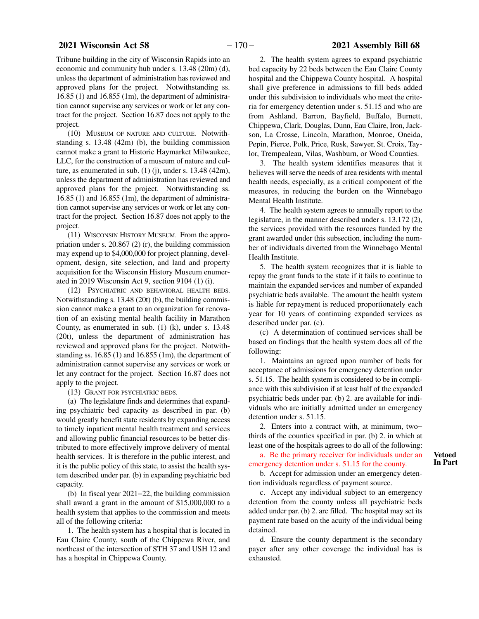# **2021 Wisconsin Act 58** − 170 − **2021 Assembly Bill 68**

Tribune building in the city of Wisconsin Rapids into an economic and community hub under s. 13.48 (20m) (d), unless the department of administration has reviewed and approved plans for the project. Notwithstanding ss.  $16.85$  (1) and  $16.855$  (1m), the department of administration cannot supervise any services or work or let any contract for the project. Section 16.87 does not apply to the project.

(10) MUSEUM OF NATURE AND CULTURE. Notwithstanding s. 13.48 (42m) (b), the building commission cannot make a grant to Historic Haymarket Milwaukee, LLC, for the construction of a museum of nature and culture, as enumerated in sub.  $(1)$  $(1)$  (j), under s. 13.48 (42m), unless the department of administration has reviewed and approved plans for the project. Notwithstanding ss. 16.85 (1) and 16.855 (1m), the department of administration cannot supervise any services or work or let any contract for the project. Section 16.87 does not apply to the project.

(11) WISCONSIN HISTORY MUSEUM. From the appropriation under s. 20.867 (2) (r), the building commission may expend up to \$4,000,000 for project planning, development, design, site selection, and land and property acquisition for the Wisconsin History Museum enumerated in 2019 Wisconsin Act 9, section 9104 (1) (i).

(12) PSYCHIATRIC AND BEHAVIORAL HEALTH BEDS. Notwithstanding s. 13.48 (20t) (b), the building commission cannot make a grant to an organization for renovation of an existing mental health facility in Marathon County, as enumerated in sub. ([1\)](#page-161-0) (k), under s. 13.48 (20t), unless the department of administration has reviewed and approved plans for the project. Notwithstanding ss. 16.85 (1) and 16.855 (1m), the department of administration cannot supervise any services or work or let any contract for the project. Section 16.87 does not apply to the project.

(13) GRANT FOR PSYCHIATRIC BEDS.

(a) The legislature finds and determines that expanding psychiatric bed capacity as described in par. (b) would greatly benefit state residents by expanding access to timely inpatient mental health treatment and services and allowing public financial resources to be better distributed to more effectively improve delivery of mental health services. It is therefore in the public interest, and it is the public policy of this state, to assist the health system described under par. (b) in expanding psychiatric bed capacity.

(b) In fiscal year 2021−22, the building commission shall award a grant in the amount of \$15,000,000 to a health system that applies to the commission and meets all of the following criteria:

1. The health system has a hospital that is located in Eau Claire County, south of the Chippewa River, and northeast of the intersection of STH 37 and USH 12 and has a hospital in Chippewa County.

2. The health system agrees to expand psychiatric bed capacity by 22 beds between the Eau Claire County hospital and the Chippewa County hospital. A hospital shall give preference in admissions to fill beds added under this subdivision to individuals who meet the criteria for emergency detention under s. 51.15 and who are from Ashland, Barron, Bayfield, Buffalo, Burnett, Chippewa, Clark, Douglas, Dunn, Eau Claire, Iron, Jackson, La Crosse, Lincoln, Marathon, Monroe, Oneida, Pepin, Pierce, Polk, Price, Rusk, Sawyer, St. Croix, Taylor, Trempealeau, Vilas, Washburn, or Wood Counties.

3. The health system identifies measures that it believes will serve the needs of area residents with mental health needs, especially, as a critical component of the measures, in reducing the burden on the Winnebago Mental Health Institute.

4. The health system agrees to annually report to the legislature, in the manner described under s. 13.172 (2), the services provided with the resources funded by the grant awarded under this subsection, including the number of individuals diverted from the Winnebago Mental Health Institute.

5. The health system recognizes that it is liable to repay the grant funds to the state if it fails to continue to maintain the expanded services and number of expanded psychiatric beds available. The amount the health system is liable for repayment is reduced proportionately each year for 10 years of continuing expanded services as described under par. (c).

(c) A determination of continued services shall be based on findings that the health system does all of the following:

1. Maintains an agreed upon number of beds for acceptance of admissions for emergency detention under s. 51.15. The health system is considered to be in compliance with this subdivision if at least half of the expanded psychiatric beds under par. (b) 2. are available for individuals who are initially admitted under an emergency detention under s. 51.15.

2. Enters into a contract with, at minimum, two− thirds of the counties specified in par. (b) 2. in which at least one of the hospitals agrees to do all of the following:

a. Be the primary receiver for individuals under an emergency detention under s. 51.15 for the county.

b. Accept for admission under an emergency detention individuals regardless of payment source.

c. Accept any individual subject to an emergency detention from the county unless all psychiatric beds added under par. (b) 2. are filled. The hospital may set its payment rate based on the acuity of the individual being detained.

d. Ensure the county department is the secondary payer after any other coverage the individual has is exhausted.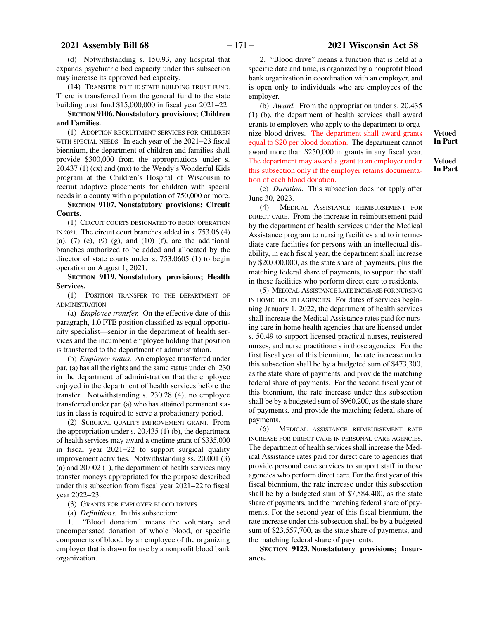# <span id="page-170-0"></span> **2021 Assembly Bill 68** − 171 − **2021 Wisconsin Act 58**

(d) Notwithstanding s. 150.93, any hospital that expands psychiatric bed capacity under this subsection may increase its approved bed capacity.

(14) TRANSFER TO THE STATE BUILDING TRUST FUND. There is transferred from the general fund to the state building trust fund \$15,000,000 in fiscal year 2021−22.

#### **SECTION 9106.**0**Nonstatutory provisions; Children and Families.**

(1) ADOPTION RECRUITMENT SERVICES FOR CHILDREN WITH SPECIAL NEEDS. In each year of the 2021−23 fiscal biennium, the department of children and families shall provide \$300,000 from the appropriations under s. 20.437 (1) (cx) and (mx) to the Wendy's Wonderful Kids program at the Children's Hospital of Wisconsin to recruit adoptive placements for children with special needs in a county with a population of 750,000 or more.

**SECTION 9107.**0**Nonstatutory provisions; Circuit Courts.**

(1) CIRCUIT COURTS DESIGNATED TO BEGIN OPERATION IN 2021. The circuit court branches added in s. 753.06 (4) (a),  $(7)$  (e),  $(9)$  (g), and  $(10)$  (f), are the additional branches authorized to be added and allocated by the director of state courts under s. 753.0605 (1) to begin operation on August 1, 2021.

**SECTION 9119.**0**Nonstatutory provisions; Health Services.**

(1) POSITION TRANSFER TO THE DEPARTMENT OF ADMINISTRATION.

(a) *Employee transfer.* On the effective date of this paragraph, 1.0 FTE position classified as equal opportunity specialist—senior in the department of health services and the incumbent employee holding that position is transferred to the department of administration.

(b) *Employee status.* An employee transferred under par. (a) has all the rights and the same status under ch. 230 in the department of administration that the employee enjoyed in the department of health services before the transfer. Notwithstanding s. 230.28 (4), no employee transferred under par. (a) who has attained permanent status in class is required to serve a probationary period.

(2) SURGICAL QUALITY IMPROVEMENT GRANT. From the appropriation under s. 20.435 (1) (b), the department of health services may award a onetime grant of \$335,000 in fiscal year 2021−22 to support surgical quality improvement activities. Notwithstanding ss. 20.001 (3) (a) and 20.002 (1), the department of health services may transfer moneys appropriated for the purpose described under this subsection from fiscal year 2021−22 to fiscal year 2022−23.

(3) GRANTS FOR EMPLOYER BLOOD DRIVES.

(a) *Definitions.* In this subsection:

1. "Blood donation" means the voluntary and uncompensated donation of whole blood, or specific components of blood, by an employee of the organizing employer that is drawn for use by a nonprofit blood bank organization.

2. "Blood drive" means a function that is held at a specific date and time, is organized by a nonprofit blood bank organization in coordination with an employer, and is open only to individuals who are employees of the employer.

(b) *Award.* From the appropriation under s. 20.435 (1) (b), the department of health services shall award grants to employers who apply to the department to organize blood drives. The department shall award grants equal to \$20 per blood donation. The department cannot award more than \$250,000 in grants in any fiscal year. The department may award a grant to an employer under this subsection only if the employer retains documentation of each blood donation.

**Vetoed In Part**

**Vetoed In Part**

(c) *Duration.* This subsection does not apply after June 30, 2023.

(4) MEDICAL ASSISTANCE REIMBURSEMENT FOR DIRECT CARE. From the increase in reimbursement paid by the department of health services under the Medical Assistance program to nursing facilities and to intermediate care facilities for persons with an intellectual disability, in each fiscal year, the department shall increase by \$20,000,000, as the state share of payments, plus the matching federal share of payments, to support the staff in those facilities who perform direct care to residents.

(5) MEDICAL ASSISTANCE RATE INCREASE FOR NURSING IN HOME HEALTH AGENCIES. For dates of services beginning January 1, 2022, the department of health services shall increase the Medical Assistance rates paid for nursing care in home health agencies that are licensed under s. 50.49 to support licensed practical nurses, registered nurses, and nurse practitioners in those agencies. For the first fiscal year of this biennium, the rate increase under this subsection shall be by a budgeted sum of \$473,300, as the state share of payments, and provide the matching federal share of payments. For the second fiscal year of this biennium, the rate increase under this subsection shall be by a budgeted sum of \$960,200, as the state share of payments, and provide the matching federal share of payments.

(6) MEDICAL ASSISTANCE REIMBURSEMENT RATE INCREASE FOR DIRECT CARE IN PERSONAL CARE AGENCIES. The department of health services shall increase the Medical Assistance rates paid for direct care to agencies that provide personal care services to support staff in those agencies who perform direct care. For the first year of this fiscal biennium, the rate increase under this subsection shall be by a budgeted sum of \$7,584,400, as the state share of payments, and the matching federal share of payments. For the second year of this fiscal biennium, the rate increase under this subsection shall be by a budgeted sum of \$23,557,700, as the state share of payments, and the matching federal share of payments.

**SECTION** 9123. Nonstatutory provisions; Insur**ance.**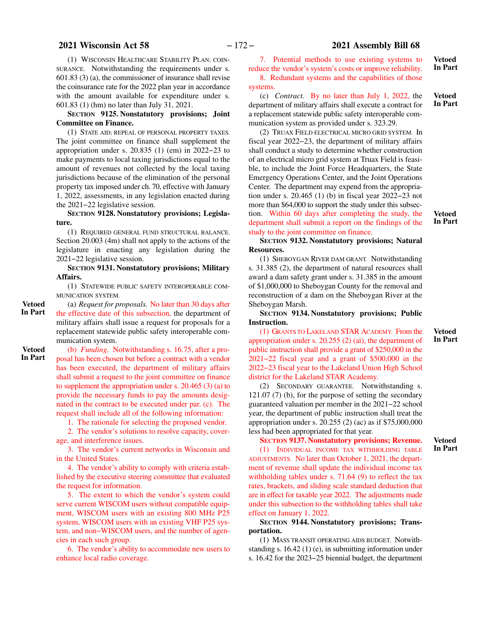# **2021 Wisconsin Act 58** − 172 − **2021 Assembly Bill 68**

**Vetoed In Part**

> **Vetoed In Part**

7. Potential methods to use existing systems to reduce the vendor's system's costs or improve reliability. 8. Redundant systems and the capabilities of those

#### systems.

(c) *Contract.* By no later than July 1, 2022, the department of military affairs shall execute a contract for a replacement statewide public safety interoperable communication system as provided under s. 323.29.

(2) TRUAX FIELD ELECTRICAL MICRO GRID SYSTEM. In fiscal year 2022−23, the department of military affairs shall conduct a study to determine whether construction of an electrical micro grid system at Truax Field is feasible, to include the Joint Force Headquarters, the State Emergency Operations Center, and the Joint Operations Center. The department may expend from the appropriation under s. 20.465 (1) (b) in fiscal year 2022−23 not more than \$64,000 to support the study under this subsection. Within 60 days after completing the study, the department shall submit a report on the findings of the

**Vetoed In Part**

**Vetoed In Part**

**In Part**

study to the joint committee on finance. **SECTION 9132.**0**Nonstatutory provisions; Natural**

**Resources.**

(1) SHEBOYGAN RIVER DAM GRANT. Notwithstanding s. 31.385 (2), the department of natural resources shall award a dam safety grant under s. 31.385 in the amount of \$1,000,000 to Sheboygan County for the removal and reconstruction of a dam on the Sheboygan River at the Sheboygan Marsh.

**SECTION** 9134. Nonstatutory provisions; Public **Instruction.**

(1) GRANTS TO LAKELAND STAR ACADEMY. From the appropriation under s. 20.255 (2) (ai), the department of public instruction shall provide a grant of \$250,000 in the 2021−22 fiscal year and a grant of \$500,000 in the 2022−23 fiscal year to the Lakeland Union High School district for the Lakeland STAR Academy.

(2) SECONDARY GUARANTEE. Notwithstanding s. 121.07 (7) (b), for the purpose of setting the secondary guaranteed valuation per member in the 2021−22 school year, the department of public instruction shall treat the appropriation under s. 20.255 (2) (ac) as if \$75,000,000 less had been appropriated for that year.

#### **SECTION 9137.**0**Nonstatutory provisions; Revenue. Vetoed**

(1) INDIVIDUAL INCOME TAX WITHHOLDING TABLE ADJUSTMENTS. No later than October 1, 2021, the department of revenue shall update the individual income tax withholding tables under s. 71.64 (9) to reflect the tax rates, brackets, and sliding scale standard deduction that are in effect for taxable year 2022. The adjustments made under this subsection to the withholding tables shall take effect on January 1, 2022.

### **SECTION** 9144. Nonstatutory provisions; Trans**portation.**

(1) MASS TRANSIT OPERATING AIDS BUDGET. Notwithstanding s. 16.42 (1) (e), in submitting information under s. 16.42 for the 2023−25 biennial budget, the department

(1) WISCONSIN HEALTHCARE STABILITY PLAN; COIN-SURANCE. Notwithstanding the requirements under s. 601.83 (3) (a), the commissioner of insurance shall revise the coinsurance rate for the 2022 plan year in accordance with the amount available for expenditure under s. 601.83 (1) (hm) no later than July 31, 2021.

### **SECTION 9125.**0**Nonstatutory provisions; Joint Committee on Finance.**

(1) STATE AID; REPEAL OF PERSONAL PROPERTY TAXES. The joint committee on finance shall supplement the appropriation under s. 20.835 (1) (em) in 2022−23 to make payments to local taxing jurisdictions equal to the amount of revenues not collected by the local taxing jurisdictions because of the elimination of the personal property tax imposed under ch. 70, effective with January 1, 2022, assessments, in any legislation enacted during the 2021−22 legislative session.

SECTION 9128. Nonstatutory provisions; Legisla**ture.**

(1) REQUIRED GENERAL FUND STRUCTURAL BALANCE. Section 20.003 (4m) shall not apply to the actions of the legislature in enacting any legislation during the 2021−22 legislative session.

**SECTION 9131.**0**Nonstatutory provisions; Military Affairs.**

(1) STATEWIDE PUBLIC SAFETY INTEROPERABLE COM-MUNICATION SYSTEM.

**Vetoed In Part**

(a) *Request for proposals.* No later than 30 days after the effective date of this subsection, the department of military affairs shall issue a request for proposals for a replacement statewide public safety interoperable communication system.

**Vetoed In Part**

(b) *Funding.* Notwithstanding s. 16.75, after a proposal has been chosen but before a contract with a vendor has been executed, the department of military affairs shall submit a request to the joint committee on finance to supplement the appropriation under s. 20.465 (3) (a) to provide the necessary funds to pay the amounts designated in the contract to be executed under par. (c). The request shall include all of the following information:

1. The rationale for selecting the proposed vendor.

2. The vendor's solutions to resolve capacity, coverage, and interference issues.

3. The vendor's current networks in Wisconsin and in the United States.

4. The vendor's ability to comply with criteria established by the executive steering committee that evaluated the request for information.

5. The extent to which the vendor's system could serve current WISCOM users without compatible equipment, WISCOM users with an existing 800 MHz P25 system, WISCOM users with an existing VHF P25 system, and non−WISCOM users, and the number of agencies in each such group.

6. The vendor's ability to accommodate new users to enhance local radio coverage.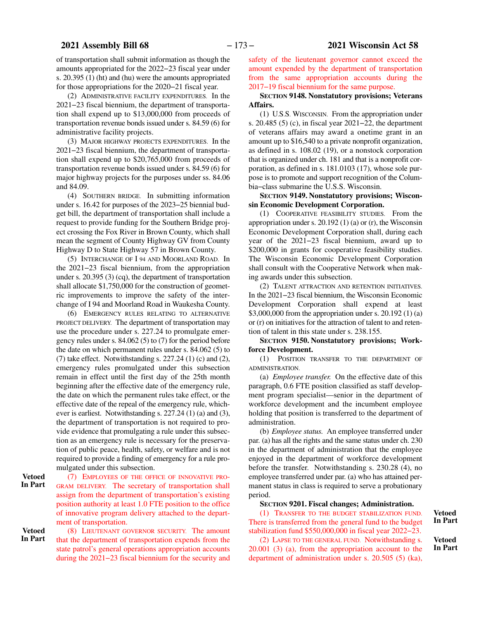of transportation shall submit information as though the amounts appropriated for the 2022−23 fiscal year under s. 20.395 (1) (ht) and (hu) were the amounts appropriated for those appropriations for the 2020−21 fiscal year.

(2) ADMINISTRATIVE FACILITY EXPENDITURES. In the 2021−23 fiscal biennium, the department of transportation shall expend up to \$13,000,000 from proceeds of transportation revenue bonds issued under s. 84.59 (6) for administrative facility projects.

(3) MAJOR HIGHWAY PROJECTS EXPENDITURES. In the 2021−23 fiscal biennium, the department of transportation shall expend up to \$20,765,000 from proceeds of transportation revenue bonds issued under s. 84.59 (6) for major highway projects for the purposes under ss. 84.06 and 84.09.

(4) SOUTHERN BRIDGE. In submitting information under s. 16.42 for purposes of the 2023−25 biennial budget bill, the department of transportation shall include a request to provide funding for the Southern Bridge project crossing the Fox River in Brown County, which shall mean the segment of County Highway GV from County Highway D to State Highway 57 in Brown County.

(5) INTERCHANGE OF I 94 AND MOORLAND ROAD. In the 2021−23 fiscal biennium, from the appropriation under s. 20.395 (3) (cq), the department of transportation shall allocate \$1,750,000 for the construction of geometric improvements to improve the safety of the interchange of I 94 and Moorland Road in Waukesha County.

(6) EMERGENCY RULES RELATING TO ALTERNATIVE PROJECT DELIVERY. The department of transportation may use the procedure under s. 227.24 to promulgate emergency rules under s. 84.062 (5) to (7) for the period before the date on which permanent rules under s. 84.062 (5) to (7) take effect. Notwithstanding s.  $227.24$  (1) (c) and (2), emergency rules promulgated under this subsection remain in effect until the first day of the 25th month beginning after the effective date of the emergency rule, the date on which the permanent rules take effect, or the effective date of the repeal of the emergency rule, whichever is earliest. Notwithstanding s. 227.24 (1) (a) and (3), the department of transportation is not required to provide evidence that promulgating a rule under this subsection as an emergency rule is necessary for the preservation of public peace, health, safety, or welfare and is not required to provide a finding of emergency for a rule promulgated under this subsection.

(7) EMPLOYEES OF THE OFFICE OF INNOVATIVE PRO-GRAM DELIVERY. The secretary of transportation shall assign from the department of transportation's existing position authority at least 1.0 FTE position to the office of innovative program delivery attached to the department of transportation. **Vetoed In Part**

(8) LIEUTENANT GOVERNOR SECURITY. The amount that the department of transportation expends from the state patrol's general operations appropriation accounts during the 2021−23 fiscal biennium for the security and **Vetoed**

safety of the lieutenant governor cannot exceed the amount expended by the department of transportation from the same appropriation accounts during the 2017−19 fiscal biennium for the same purpose.

#### **SECTION** 9148. Nonstatutory provisions; Veterans **Affairs.**

(1) U.S.S. WISCONSIN. From the appropriation under s. 20.485 (5) (c), in fiscal year 2021−22, the department of veterans affairs may award a onetime grant in an amount up to \$16,540 to a private nonprofit organization, as defined in s. 108.02 (19), or a nonstock corporation that is organized under ch. 181 and that is a nonprofit corporation, as defined in s. 181.0103 (17), whose sole purpose is to promote and support recognition of the Columbia−class submarine the U.S.S. Wisconsin.

#### **SECTION** 9149. Nonstatutory provisions; Wiscon**sin Economic Development Corporation.**

(1) COOPERATIVE FEASIBILITY STUDIES. From the appropriation under s. 20.192 (1) (a) or (r), the Wisconsin Economic Development Corporation shall, during each year of the 2021−23 fiscal biennium, award up to \$200,000 in grants for cooperative feasibility studies. The Wisconsin Economic Development Corporation shall consult with the Cooperative Network when making awards under this subsection.

(2) TALENT ATTRACTION AND RETENTION INITIATIVES. In the 2021−23 fiscal biennium, the Wisconsin Economic Development Corporation shall expend at least \$3,000,000 from the appropriation under s. 20.192 (1) (a) or (r) on initiatives for the attraction of talent to and retention of talent in this state under s. 238.155.

**SECTION** 9150. Nonstatutory provisions; Work**force Development.**

(1) POSITION TRANSFER TO THE DEPARTMENT OF ADMINISTRATION.

(a) *Employee transfer.* On the effective date of this paragraph, 0.6 FTE position classified as staff development program specialist—senior in the department of workforce development and the incumbent employee holding that position is transferred to the department of administration.

(b) *Employee status.* An employee transferred under par. (a) has all the rights and the same status under ch. 230 in the department of administration that the employee enjoyed in the department of workforce development before the transfer. Notwithstanding s. 230.28 (4), no employee transferred under par. (a) who has attained permanent status in class is required to serve a probationary period.

#### **SECTION** 9201. Fiscal changes; Administration.

(1) TRANSFER TO THE BUDGET STABILIZATION FUND. There is transferred from the general fund to the budget stabilization fund \$550,000,000 in fiscal year 2022−23.

(2) LAPSE TO THE GENERAL FUND. Notwithstanding s. 20.001 (3) (a), from the appropriation account to the department of administration under s. 20.505 (5) (ka),

**Vetoed In Part**

**Vetoed In Part**

**In Part**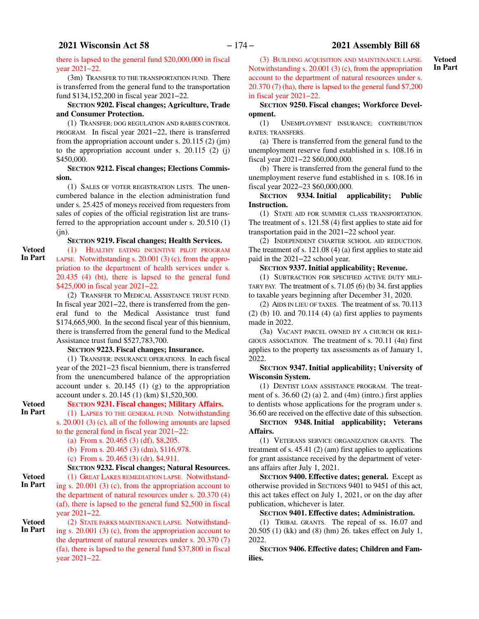there is lapsed to the general fund \$20,000,000 in fiscal year 2021−22.

(3m) TRANSFER TO THE TRANSPORTATION FUND. There is transferred from the general fund to the transportation fund \$134,152,200 in fiscal year 2021−22.

### **SECTION 9202.**0**Fiscal changes; Agriculture, Trade and Consumer Protection.**

(1) TRANSFER; DOG REGULATION AND RABIES CONTROL PROGRAM. In fiscal year 2021−22, there is transferred from the appropriation account under s. 20.115 (2) (jm) to the appropriation account under s.  $20.115$  (2) (j) \$450,000.

#### **SECTION** 9212. Fiscal changes; Elections Commis**sion.**

(1) SALES OF VOTER REGISTRATION LISTS. The unencumbered balance in the election administration fund under s. 25.425 of moneys received from requesters from sales of copies of the official registration list are transferred to the appropriation account under s. 20.510 (1)  $(in).$ 

# **SECTION 9219.**0**Fiscal changes; Health Services.**

(1) HEALTHY EATING INCENTIVE PILOT PROGRAM LAPSE. Notwithstanding s. 20.001 (3) (c), from the appropriation to the department of health services under s. 20.435 (4) (bt), there is lapsed to the general fund \$425,000 in fiscal year 2021−22. **Vetoed In Part**

(2) TRANSFER TO MEDICAL ASSISTANCE TRUST FUND. In fiscal year 2021−22, there is transferred from the general fund to the Medical Assistance trust fund \$174,665,900. In the second fiscal year of this biennium, there is transferred from the general fund to the Medical Assistance trust fund \$527,783,700.

# **SECTION 9223.**0**Fiscal changes; Insurance.**

(1) TRANSFER; INSURANCE OPERATIONS. In each fiscal year of the 2021−23 fiscal biennium, there is transferred from the unencumbered balance of the appropriation account under s.  $20.145$  (1) (g) to the appropriation account under s. 20.145 (1) (km) \$1,520,300.

# **SECTION 9231.**0**Fiscal changes; Military Affairs.**

(1) LAPSES TO THE GENERAL FUND. Notwithstanding s. 20.001 (3) (c), all of the following amounts are lapsed to the general fund in fiscal year 2021−22:

(a) From s. 20.465 (3) (df), \$8,205.

(b) From s. 20.465 (3) (dm), \$116,978.

(c) From s. 20.465 (3) (dr), \$4,911.

# **SECTION 9232.**0**Fiscal changes; Natural Resources.**

(1) GREAT LAKES REMEDIATION LAPSE. Notwithstanding s. 20.001 (3) (c), from the appropriation account to the department of natural resources under s. 20.370 (4) (af), there is lapsed to the general fund \$2,500 in fiscal year 2021−22.

**Vetoed In Part**

**Vetoed In Part**

**Vetoed In Part**

> (2) STATE PARKS MAINTENANCE LAPSE. Notwithstanding s. 20.001 (3) (c), from the appropriation account to the department of natural resources under s. 20.370 (7) (fa), there is lapsed to the general fund \$37,800 in fiscal year 2021−22.

(3) BUILDING ACQUISITION AND MAINTENANCE LAPSE. Notwithstanding s. 20.001 (3) (c), from the appropriation account to the department of natural resources under s. 20.370 (7) (ha), there is lapsed to the general fund \$7,200 in fiscal year 2021−22.

### **SECTION** 9250. Fiscal changes; Workforce Devel**opment.**

(1) UNEMPLOYMENT INSURANCE; CONTRIBUTION RATES; TRANSFERS.

(a) There is transferred from the general fund to the unemployment reserve fund established in s. 108.16 in fiscal year 2021−22 \$60,000,000.

(b) There is transferred from the general fund to the unemployment reserve fund established in s. 108.16 in fiscal year 2022−23 \$60,000,000.

### **SECTION** 9334. Initial applicability; Public **Instruction.**

(1) STATE AID FOR SUMMER CLASS TRANSPORTATION. The treatment of s. 121.58 (4) first applies to state aid for transportation paid in the 2021−22 school year.

(2) INDEPENDENT CHARTER SCHOOL AID REDUCTION. The treatment of s. 121.08 (4) (a) first applies to state aid paid in the 2021−22 school year.

#### **SECTION 9337.**0**Initial applicability; Revenue.**

(1) SUBTRACTION FOR SPECIFIED ACTIVE DUTY MILI-TARY PAY. The treatment of s.  $71.05$  (6) (b) 34. first applies to taxable years beginning after December 31, 2020.

(2) AIDS IN LIEU OF TAXES. The treatment of ss. 70.113  $(2)$  (b) 10. and 70.114 (4) (a) first applies to payments made in 2022.

(3a) VACANT PARCEL OWNED BY A CHURCH OR RELI-GIOUS ASSOCIATION. The treatment of s. 70.11 (4n) first applies to the property tax assessments as of January 1, 2022.

#### **SECTION 9347.**0**Initial applicability; University of Wisconsin System.**

(1) DENTIST LOAN ASSISTANCE PROGRAM. The treatment of s.  $36.60$  (2) (a) 2. and (4m) (intro.) first applies to dentists whose applications for the program under s. 36.60 are received on the effective date of this subsection.

### **SECTION 9348.**0**Initial applicability; Veterans Affairs.**

(1) VETERANS SERVICE ORGANIZATION GRANTS. The treatment of s.  $45.41$  (2) (am) first applies to applications for grant assistance received by the department of veterans affairs after July 1, 2021.

**SECTION** 9400. Effective dates; general. Except as otherwise provided in SECTIONS 9401 to 9451 of this act, this act takes effect on July 1, 2021, or on the day after publication, whichever is later.

**SECTION 9401.**0**Effective dates; Administration.**

(1) TRIBAL GRANTS. The repeal of ss. 16.07 and 20.505 (1) (kk) and (8) (hm) 26. takes effect on July 1, 2022.

**SECTION 9406. Effective dates; Children and Families.**